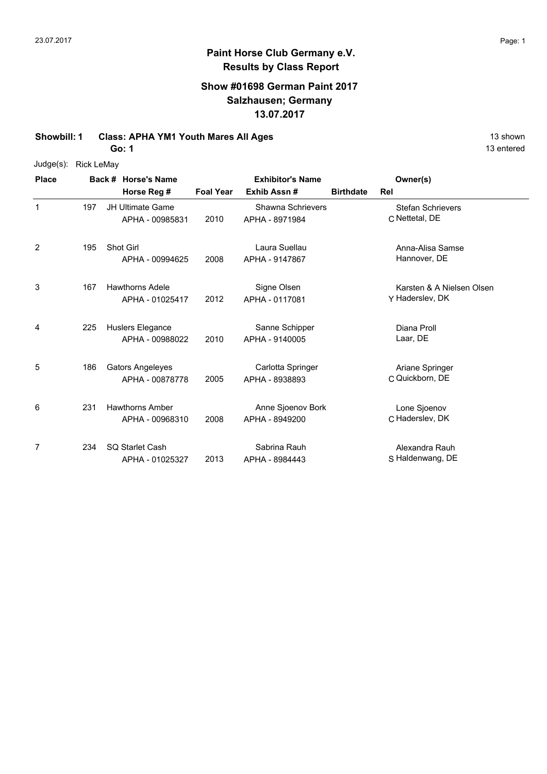## **Paint Horse Club Germany e.V. Results by Class Report**

## **Show #01698 German Paint 2017 Salzhausen; Germany 13.07.2017**

**Showbill: 1 Class: APHA YM1 Youth Mares All Ages** 13 Shown

**Go: 1**

Judge(s): Rick LeMay

| <b>Place</b> |     | Back # Horse's Name                        |                  | <b>Exhibitor's Name</b>             |                  | Owner(s)                                     |
|--------------|-----|--------------------------------------------|------------------|-------------------------------------|------------------|----------------------------------------------|
|              |     | Horse Reg #                                | <b>Foal Year</b> | Exhib Assn#                         | <b>Birthdate</b> | Rel                                          |
| $\mathbf{1}$ | 197 | <b>JH Ultimate Game</b><br>APHA - 00985831 | 2010             | Shawna Schrievers<br>APHA - 8971984 |                  | <b>Stefan Schrievers</b><br>C Nettetal, DE   |
| 2            | 195 | <b>Shot Girl</b><br>APHA - 00994625        | 2008             | Laura Suellau<br>APHA - 9147867     |                  | Anna-Alisa Samse<br>Hannover, DE             |
| 3            | 167 | <b>Hawthorns Adele</b><br>APHA - 01025417  | 2012             | Signe Olsen<br>APHA - 0117081       |                  | Karsten & A Nielsen Olsen<br>Y Haderslev, DK |
| 4            | 225 | Huslers Elegance<br>APHA - 00988022        | 2010             | Sanne Schipper<br>APHA - 9140005    |                  | Diana Proll<br>Laar, DE                      |
| 5            | 186 | <b>Gators Angeleyes</b><br>APHA - 00878778 | 2005             | Carlotta Springer<br>APHA - 8938893 |                  | Ariane Springer<br>C Quickborn, DE           |
| 6            | 231 | <b>Hawthorns Amber</b><br>APHA - 00968310  | 2008             | Anne Sjoenov Bork<br>APHA - 8949200 |                  | Lone Sjoenov<br>C Haderslev, DK              |
| 7            | 234 | <b>SQ Starlet Cash</b><br>APHA - 01025327  | 2013             | Sabrina Rauh<br>APHA - 8984443      |                  | Alexandra Rauh<br>S Haldenwang, DE           |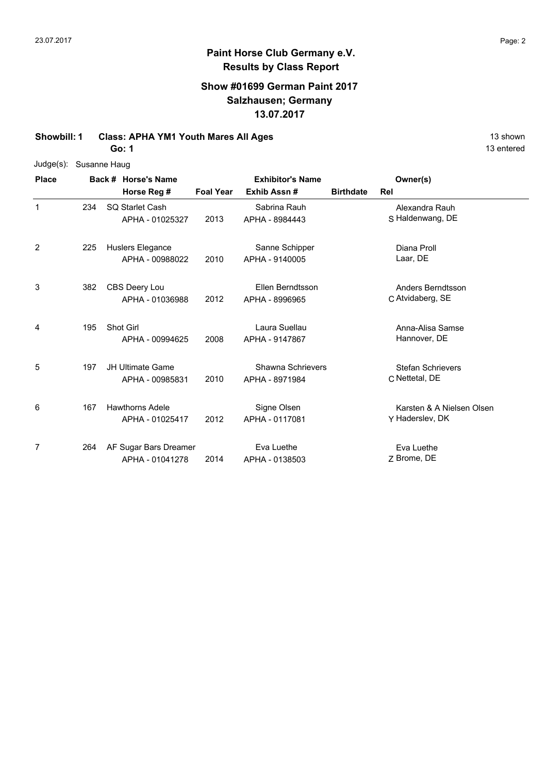## **Show #01699 German Paint 2017 Salzhausen; Germany 13.07.2017**

**Showbill: 1 Class: APHA YM1 Youth Mares All Ages** 13 Shown

**Go: 1**

| Judge(s): Susanne Haug |
|------------------------|
|                        |

| <b>Place</b>   |     | Back # Horse's Name                        |                  | <b>Exhibitor's Name</b>             |                  | Owner(s)                                     |
|----------------|-----|--------------------------------------------|------------------|-------------------------------------|------------------|----------------------------------------------|
|                |     | Horse Reg #                                | <b>Foal Year</b> | Exhib Assn#                         | <b>Birthdate</b> | Rel                                          |
| $\mathbf 1$    | 234 | <b>SQ Starlet Cash</b><br>APHA - 01025327  | 2013             | Sabrina Rauh<br>APHA - 8984443      |                  | Alexandra Rauh<br>S Haldenwang, DE           |
| $\overline{2}$ | 225 | Huslers Elegance<br>APHA - 00988022        | 2010             | Sanne Schipper<br>APHA - 9140005    |                  | Diana Proll<br>Laar, DE                      |
| 3              | 382 | CBS Deery Lou<br>APHA - 01036988           | 2012             | Ellen Berndtsson<br>APHA - 8996965  |                  | <b>Anders Berndtsson</b><br>C Atvidaberg, SE |
| 4              | 195 | Shot Girl<br>APHA - 00994625               | 2008             | Laura Suellau<br>APHA - 9147867     |                  | Anna-Alisa Samse<br>Hannover, DE             |
| 5              | 197 | <b>JH Ultimate Game</b><br>APHA - 00985831 | 2010             | Shawna Schrievers<br>APHA - 8971984 |                  | <b>Stefan Schrievers</b><br>C Nettetal, DE   |
| 6              | 167 | <b>Hawthorns Adele</b><br>APHA - 01025417  | 2012             | Signe Olsen<br>APHA - 0117081       |                  | Karsten & A Nielsen Olsen<br>Y Haderslev, DK |
| 7              | 264 | AF Sugar Bars Dreamer<br>APHA - 01041278   | 2014             | Eva Luethe<br>APHA - 0138503        |                  | Eva Luethe<br>Z Brome, DE                    |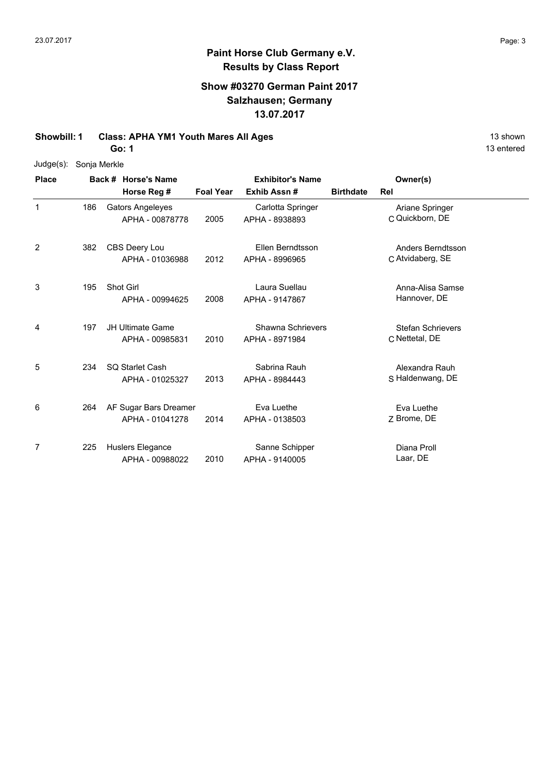## **Show #03270 German Paint 2017 Salzhausen; Germany 13.07.2017**

**Showbill: 1 Class: APHA YM1 Youth Mares All Ages** 13 Shown 13 shown

**Go: 1**

|  | Judge(s): Sonja Merkle |
|--|------------------------|
|  |                        |

| <b>Place</b>   |     | Back # Horse's Name                        | <b>Exhibitor's Name</b> |                                            |                  | Owner(s)                                   |  |
|----------------|-----|--------------------------------------------|-------------------------|--------------------------------------------|------------------|--------------------------------------------|--|
|                |     | Horse Reg #                                | <b>Foal Year</b>        | Exhib Assn#                                | <b>Birthdate</b> | Rel                                        |  |
| 1              | 186 | <b>Gators Angeleyes</b><br>APHA - 00878778 | 2005                    | Carlotta Springer<br>APHA - 8938893        |                  | Ariane Springer<br>C Quickborn, DE         |  |
| $\overline{2}$ | 382 | CBS Deery Lou<br>APHA - 01036988           | 2012                    | Ellen Berndtsson<br>APHA - 8996965         |                  | Anders Berndtsson<br>C Atvidaberg, SE      |  |
| 3              | 195 | Shot Girl<br>APHA - 00994625               | 2008                    | Laura Suellau<br>APHA - 9147867            |                  | Anna-Alisa Samse<br>Hannover, DE           |  |
| 4              | 197 | <b>JH Ultimate Game</b><br>APHA - 00985831 | 2010                    | <b>Shawna Schrievers</b><br>APHA - 8971984 |                  | <b>Stefan Schrievers</b><br>C Nettetal, DE |  |
| 5              | 234 | <b>SQ Starlet Cash</b><br>APHA - 01025327  | 2013                    | Sabrina Rauh<br>APHA - 8984443             |                  | Alexandra Rauh<br>S Haldenwang, DE         |  |
| 6              | 264 | AF Sugar Bars Dreamer<br>APHA - 01041278   | 2014                    | Eva Luethe<br>APHA - 0138503               |                  | Eva Luethe<br>Z Brome, DE                  |  |
| 7              | 225 | Huslers Elegance<br>APHA - 00988022        | 2010                    | Sanne Schipper<br>APHA - 9140005           |                  | Diana Proll<br>Laar, DE                    |  |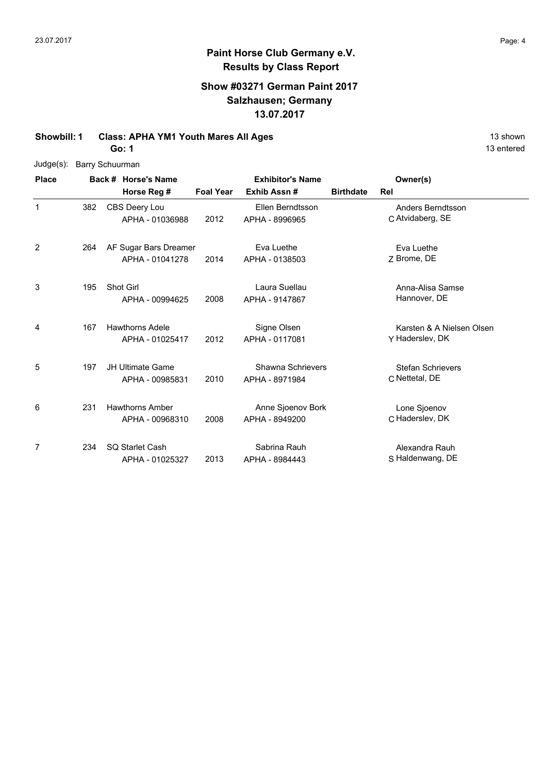## **Paint Horse Club Germany e.V. Results by Class Report**

## **Show #03271 German Paint 2017 Salzhausen; Germany 13.07.2017**

**Showbill: 1 Class: APHA YM1 Youth Mares All Ages 13 Shown 2016** 13 shown

**Go: 1**

Judge(s): Barry Schuurman

| <b>Place</b> |     | Back # Horse's Name                        |                  | <b>Exhibitor's Name</b>             |                  | Owner(s)                                     |
|--------------|-----|--------------------------------------------|------------------|-------------------------------------|------------------|----------------------------------------------|
|              |     | Horse Reg #                                | <b>Foal Year</b> | Exhib Assn#                         | <b>Birthdate</b> | Rel                                          |
| 1            | 382 | CBS Deery Lou<br>APHA - 01036988           | 2012             | Ellen Berndtsson<br>APHA - 8996965  |                  | Anders Berndtsson<br>C Atvidaberg, SE        |
| 2            | 264 | AF Sugar Bars Dreamer<br>APHA - 01041278   | 2014             | Eva Luethe<br>APHA - 0138503        |                  | Eva Luethe<br>Z Brome, DE                    |
| 3            | 195 | Shot Girl<br>APHA - 00994625               | 2008             | Laura Suellau<br>APHA - 9147867     |                  | Anna-Alisa Samse<br>Hannover, DE             |
| 4            | 167 | <b>Hawthorns Adele</b><br>APHA - 01025417  | 2012             | Signe Olsen<br>APHA - 0117081       |                  | Karsten & A Nielsen Olsen<br>Y Haderslev, DK |
| 5            | 197 | <b>JH Ultimate Game</b><br>APHA - 00985831 | 2010             | Shawna Schrievers<br>APHA - 8971984 |                  | <b>Stefan Schrievers</b><br>C Nettetal, DE   |
| 6            | 231 | <b>Hawthorns Amber</b><br>APHA - 00968310  | 2008             | Anne Sjoenov Bork<br>APHA - 8949200 |                  | Lone Sjoenov<br>C Haderslev, DK              |
| 7            | 234 | <b>SQ Starlet Cash</b><br>APHA - 01025327  | 2013             | Sabrina Rauh<br>APHA - 8984443      |                  | Alexandra Rauh<br>S Haldenwang, DE           |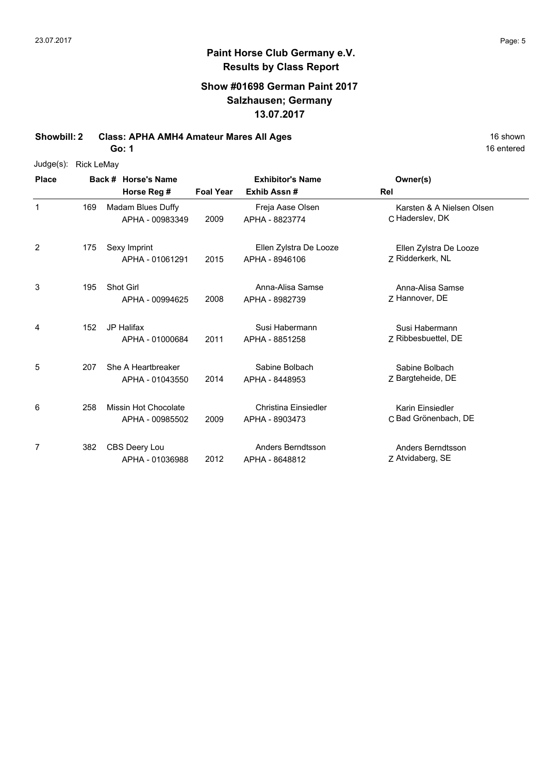## **Show #01698 German Paint 2017 Salzhausen; Germany 13.07.2017**

**Showbill: 2 Class: APHA AMH4 Amateur Mares All Ages** 16 Shown 16 shown

**Go: 1**

| Judge(s): | Rick LeMay |
|-----------|------------|
|-----------|------------|

| <b>Place</b>   |     | Back # Horse's Name                     | <b>Exhibitor's Name</b> |                                          | Owner(s)                                     |
|----------------|-----|-----------------------------------------|-------------------------|------------------------------------------|----------------------------------------------|
|                |     | Horse Reg #                             | <b>Foal Year</b>        | Exhib Assn#                              | Rel                                          |
| 1              | 169 | Madam Blues Duffy<br>APHA - 00983349    | 2009                    | Freja Aase Olsen<br>APHA - 8823774       | Karsten & A Nielsen Olsen<br>C Haderslev, DK |
| $\overline{2}$ | 175 | Sexy Imprint<br>APHA - 01061291         | 2015                    | Ellen Zylstra De Looze<br>APHA - 8946106 | Ellen Zylstra De Looze<br>7 Ridderkerk, NL   |
| 3              | 195 | <b>Shot Girl</b><br>APHA - 00994625     | 2008                    | Anna-Alisa Samse<br>APHA - 8982739       | Anna-Alisa Samse<br>Z Hannover, DE           |
| 4              | 152 | <b>JP Halifax</b><br>APHA - 01000684    | 2011                    | Susi Habermann<br>APHA - 8851258         | Susi Habermann<br>7 Ribbesbuettel, DE        |
| 5              | 207 | She A Heartbreaker<br>APHA - 01043550   | 2014                    | Sabine Bolbach<br>APHA - 8448953         | Sabine Bolbach<br>Z Bargteheide, DE          |
| 6              | 258 | Missin Hot Chocolate<br>APHA - 00985502 | 2009                    | Christina Einsiedler<br>APHA - 8903473   | Karin Einsiedler<br>C Bad Grönenbach, DE     |
| 7              | 382 | CBS Deery Lou<br>APHA - 01036988        | 2012                    | Anders Berndtsson<br>APHA - 8648812      | Anders Berndtsson<br>Z Atvidaberg, SE        |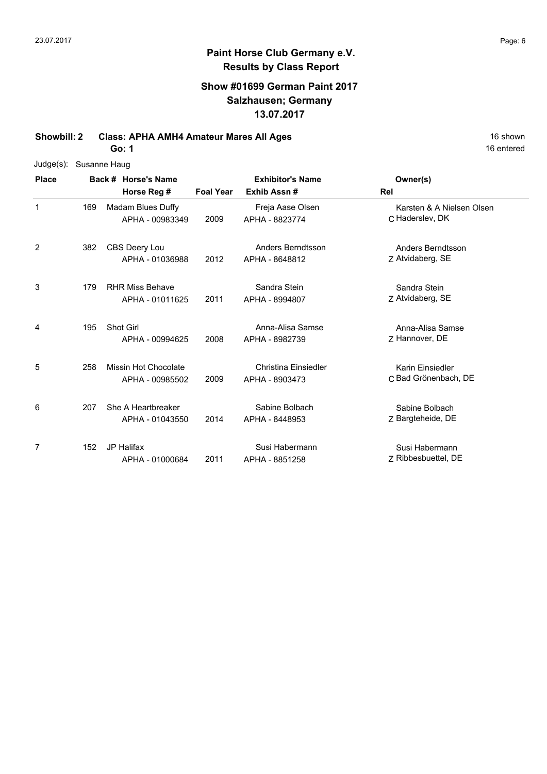## **Paint Horse Club Germany e.V. Results by Class Report**

## **Show #01699 German Paint 2017 Salzhausen; Germany 13.07.2017**

**Showbill: 2 Class: APHA AMH4 Amateur Mares All Ages** 16 Shown 16 shown

**Go: 1**

| $Judge(s)$ : | Susanne Haug |                        |                  |                         |                           |
|--------------|--------------|------------------------|------------------|-------------------------|---------------------------|
| <b>Place</b> |              | Back # Horse's Name    |                  | <b>Exhibitor's Name</b> | Owner(s)                  |
|              |              | Horse Reg #            | <b>Foal Year</b> | Exhib Assn#             | Rel                       |
| 1            | 169          | Madam Blues Duffy      |                  | Freja Aase Olsen        | Karsten & A Nielsen Olsen |
|              |              | APHA - 00983349        | 2009             | APHA - 8823774          | C Haderslev, DK           |
| 2            | 382          | CBS Deery Lou          |                  | Anders Berndtsson       | Anders Berndtsson         |
|              |              | APHA - 01036988        | 2012             | APHA - 8648812          | Z Atvidaberg, SE          |
| 3            | 179          | <b>RHR Miss Behave</b> |                  | Sandra Stein            | Sandra Stein              |
|              |              | APHA - 01011625        | 2011             | APHA - 8994807          | Z Atvidaberg, SE          |
| 4            | 195          | Shot Girl              |                  | Anna-Alisa Samse        | Anna-Alisa Samse          |
|              |              | APHA - 00994625        | 2008             | APHA - 8982739          | Z Hannover, DE            |
| 5            | 258          | Missin Hot Chocolate   |                  | Christina Einsiedler    | Karin Einsiedler          |
|              |              | APHA - 00985502        | 2009             | APHA - 8903473          | C Bad Grönenbach, DE      |
| 6            | 207          | She A Heartbreaker     |                  | Sabine Bolbach          | Sabine Bolbach            |
|              |              | APHA - 01043550        | 2014             | APHA - 8448953          | Z Bargteheide, DE         |
| 7            | 152          | <b>JP Halifax</b>      |                  | Susi Habermann          | Susi Habermann            |
|              |              | APHA - 01000684        | 2011             | APHA - 8851258          | Z Ribbesbuettel, DE       |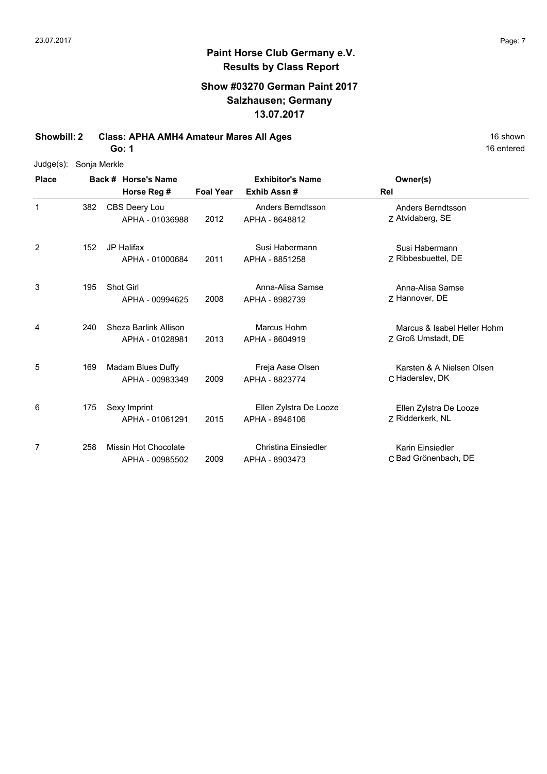## **Paint Horse Club Germany e.V. Results by Class Report**

## **Show #03270 German Paint 2017 Salzhausen; Germany 13.07.2017**

**Showbill: 2 Class: APHA AMH4 Amateur Mares All Ages** 16 Shown 16 shown

**Go: 1**

| Judge(s): | Sonja Merkle |
|-----------|--------------|
|           |              |

| <b>Place</b> |     | Back # Horse's Name                            |                  | <b>Exhibitor's Name</b>                  | Owner(s)                                          |
|--------------|-----|------------------------------------------------|------------------|------------------------------------------|---------------------------------------------------|
|              |     | Horse Reg #                                    | <b>Foal Year</b> | Exhib Assn#                              | Rel                                               |
| $\mathbf 1$  | 382 | CBS Deery Lou<br>APHA - 01036988               | 2012             | Anders Berndtsson<br>APHA - 8648812      | Anders Berndtsson<br>Z Atvidaberg, SE             |
| 2            | 152 | <b>JP Halifax</b><br>APHA - 01000684           | 2011             | Susi Habermann<br>APHA - 8851258         | Susi Habermann<br>7 Ribbesbuettel, DE             |
| 3            | 195 | Shot Girl<br>APHA - 00994625                   | 2008             | Anna-Alisa Samse<br>APHA - 8982739       | Anna-Alisa Samse<br>Z Hannover, DE                |
| 4            | 240 | Sheza Barlink Allison<br>APHA - 01028981       | 2013             | Marcus Hohm<br>APHA - 8604919            | Marcus & Isabel Heller Hohm<br>Z Groß Umstadt, DE |
| 5            | 169 | Madam Blues Duffy<br>APHA - 00983349           | 2009             | Freja Aase Olsen<br>APHA - 8823774       | Karsten & A Nielsen Olsen<br>C Haderslev, DK      |
| 6            | 175 | Sexy Imprint<br>APHA - 01061291                | 2015             | Ellen Zylstra De Looze<br>APHA - 8946106 | Ellen Zylstra De Looze<br>Z Ridderkerk, NL        |
| 7            | 258 | <b>Missin Hot Chocolate</b><br>APHA - 00985502 | 2009             | Christina Einsiedler<br>APHA - 8903473   | Karin Einsiedler<br>C Bad Grönenbach, DE          |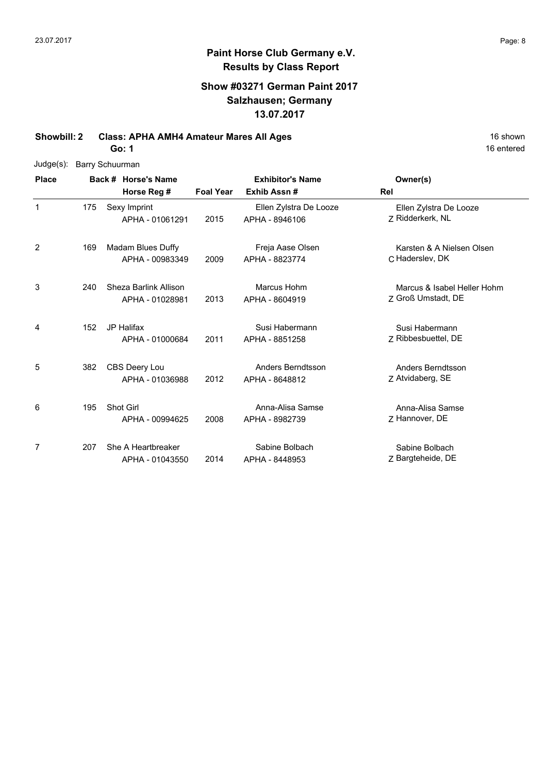### **Paint Horse Club Germany e.V. Results by Class Report**

## **Show #03271 German Paint 2017 Salzhausen; Germany 13.07.2017**

**Showbill: 2 Class: APHA AMH4 Amateur Mares All Ages** 16 shown 16 shown

**Go: 1**

|  | Judge(s): Barry Schuurman |
|--|---------------------------|
|--|---------------------------|

**Back # Horse's Name Place Owner(s) Horse Reg # Exhib Assn # Foal Year Rel Exhibitor's Name** 1 Z Ridderkerk, NL Ellen Zylstra De Looze 2015 Ridderkerk, NL APHA - 8946106 Sexy Imprint APHA - 01061291 Ellen Zylstra De Looze 175 2 C Haderslev, DK Karsten & A Nielsen Olsen 2009 APHA - 8823774 C Haderslev, DK Madam Blues Duffy APHA - 00983349 Freja Aase Olsen 169 3 Z 2013 Groß Umstadt, DE Marcus & Isabel Heller Hohm 240 Sheza Barlink Allison APHA - 01028981 Marcus Hohm APHA - 8604919 4 2011 APHA - 8851258 Z Ribbesbuettel, DE Susi Habermann JP Halifax 152 APHA - 01000684 Susi Habermann APHA - 8851258 5 Z Atvidaberg, SE Anders Berndtsson 2012 Atvidaberg, SE APHA - 8648812 382 CBS Deery Lou APHA - 01036988 Anders Berndtsson 6 Z Hannover, DE Anna-Alisa Samse 2008 Hannover, DE APHA - 8982739 Shot Girl APHA - 00994625 Anna-Alisa Samse 195 7 Z 2014 Bargteheide, DE Sabine Bolbach 207 She A Heartbreaker APHA - 01043550 Sabine Bolbach APHA - 8448953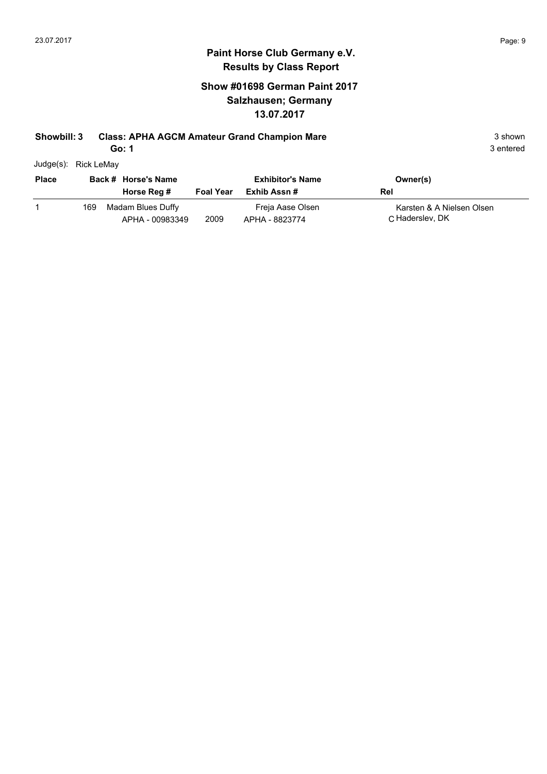## **Show #01698 German Paint 2017 Salzhausen; Germany 13.07.2017**

### **Showbill: 3 Class: APHA AGCM Amateur Grand Champion Mare** 3 shown 3 shown

**Go: 1**

| Judge(s): | Rick LeMay |
|-----------|------------|
|           |            |

| <b>Place</b> |     | Back # Horse's Name<br>Horse Reg #   | <b>Foal Year</b> | <b>Exhibitor's Name</b><br>Exhib Assn # | Owner(s)<br>Rel                               |
|--------------|-----|--------------------------------------|------------------|-----------------------------------------|-----------------------------------------------|
|              | 169 | Madam Blues Duffy<br>APHA - 00983349 | 2009             | Freja Aase Olsen<br>APHA - 8823774      | Karsten & A Nielsen Olsen<br>C. Haderslev, DK |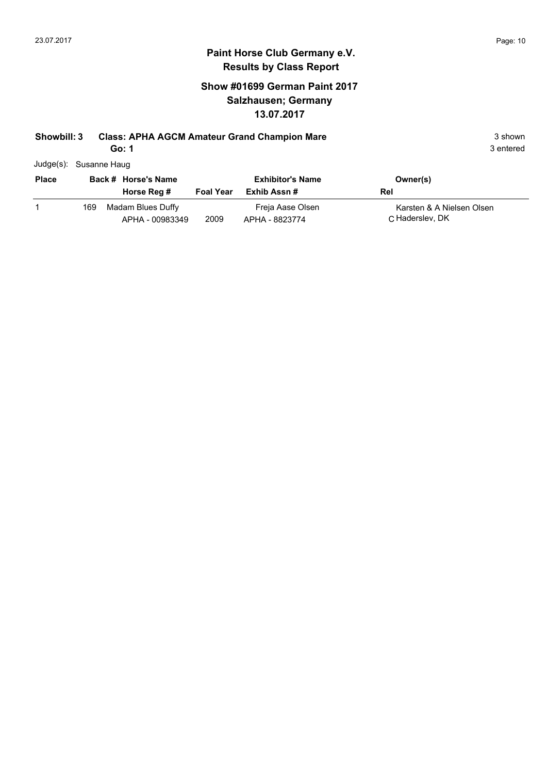## **Show #01699 German Paint 2017 Salzhausen; Germany 13.07.2017**

## **Showbill: 3 Class: APHA AGCM Amateur Grand Champion Mare** 3 shown 3 shown

**Go: 1**

3 entered

Judge(s): Susanne Haug

| <b>Place</b> |     | Back # Horse's Name<br>Horse Reg #   | <b>Foal Year</b> | <b>Exhibitor's Name</b><br>Exhib Assn # | Owner(s)<br>Rel                               |
|--------------|-----|--------------------------------------|------------------|-----------------------------------------|-----------------------------------------------|
|              | 169 | Madam Blues Duffy<br>APHA - 00983349 | 2009             | Freja Aase Olsen<br>APHA - 8823774      | Karsten & A Nielsen Olsen<br>C. Haderslev, DK |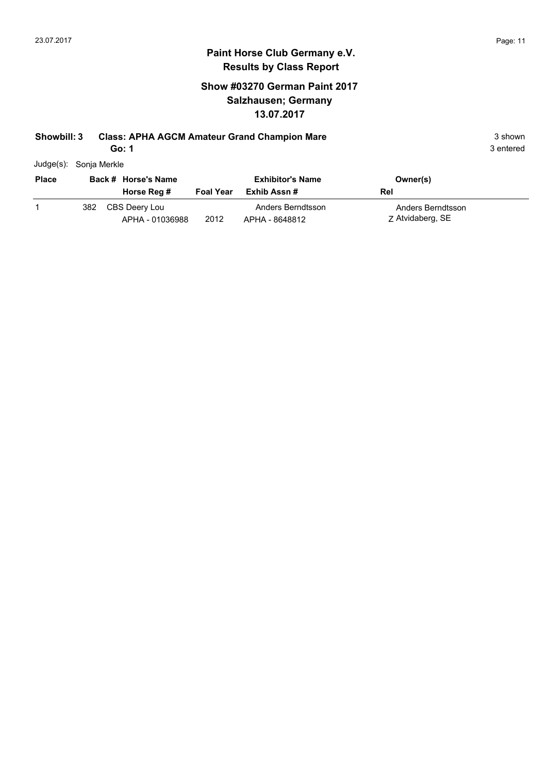## **Show #03270 German Paint 2017 Salzhausen; Germany 13.07.2017**

## **Showbill: 3 Class: APHA AGCM Amateur Grand Champion Mare** 3 shown 3 shown

**Go: 1**

| <b>Place</b> |     | Back # Horse's Name              |           | <b>Exhibitor's Name</b>             | Owner(s)                              |
|--------------|-----|----------------------------------|-----------|-------------------------------------|---------------------------------------|
|              |     | Horse Reg #                      | Foal Year | Exhib Assn #                        | Rel                                   |
|              | 382 | CBS Deery Lou<br>APHA - 01036988 | 2012      | Anders Berndtsson<br>APHA - 8648812 | Anders Berndtsson<br>Z Atvidaberg, SE |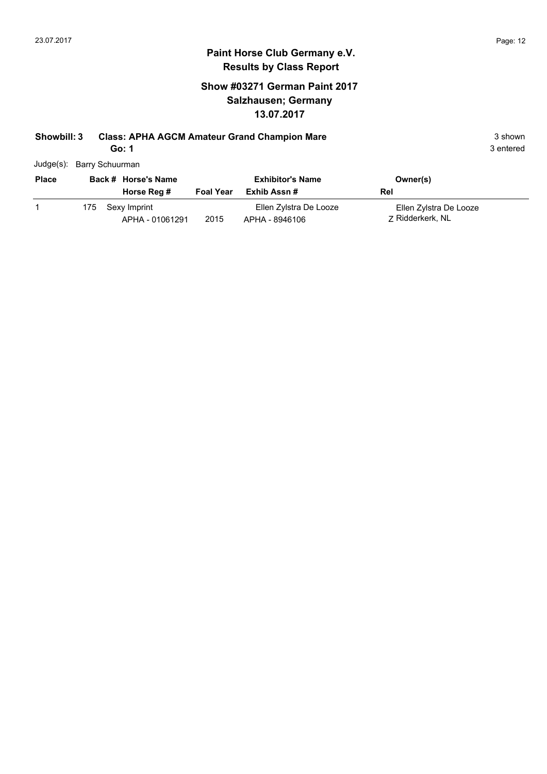## **Show #03271 German Paint 2017 Salzhausen; Germany 13.07.2017**

## **Showbill: 3 Class: APHA AGCM Amateur Grand Champion Mare** 3 shown 3 shown

**Go: 1**

|  | Judge(s): Barry Schuurman |  |
|--|---------------------------|--|
|--|---------------------------|--|

| <b>Place</b> |     | Back # Horse's Name |                  | <b>Exhibitor's Name</b> | Owner(s)               |  |
|--------------|-----|---------------------|------------------|-------------------------|------------------------|--|
|              |     | Horse Reg #         | <b>Foal Year</b> | Exhib Assn #            | Rel                    |  |
|              | 175 | Sexy Imprint        |                  | Ellen Zylstra De Looze  | Ellen Zylstra De Looze |  |
|              |     | APHA - 01061291     | 2015             | APHA - 8946106          | 7 Ridderkerk, NL       |  |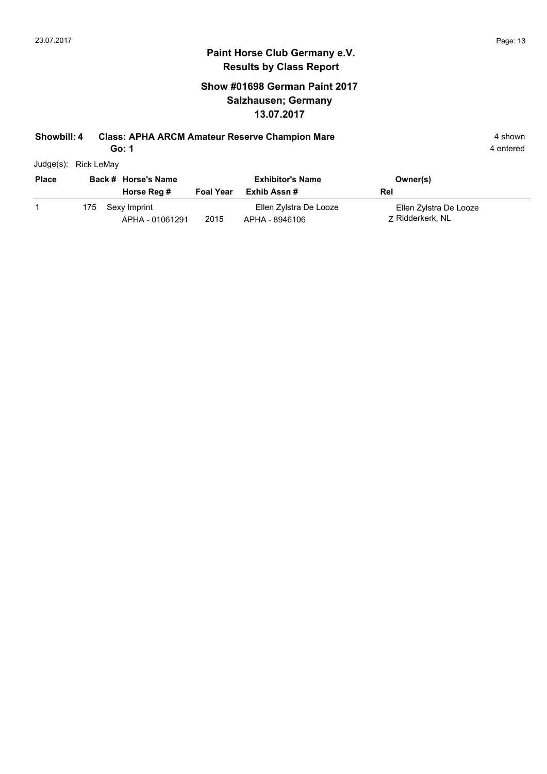## **Show #01698 German Paint 2017 Salzhausen; Germany 13.07.2017**

### **Showbill: 4 Class: APHA ARCM Amateur Reserve Champion Mare** 4 shown 4 shown

**Go: 1**

| Judge(s): | <b>Rick LeMay</b> |
|-----------|-------------------|

| <b>Place</b> |     | Back # Horse's Name             |                  | <b>Exhibitor's Name</b>                  | Owner(s)                                   |
|--------------|-----|---------------------------------|------------------|------------------------------------------|--------------------------------------------|
|              |     | Horse Reg #                     | <b>Foal Year</b> | Exhib Assn #                             | Rel                                        |
|              | 175 | Sexy Imprint<br>APHA - 01061291 | 2015             | Ellen Zylstra De Looze<br>APHA - 8946106 | Ellen Zylstra De Looze<br>7 Ridderkerk, NL |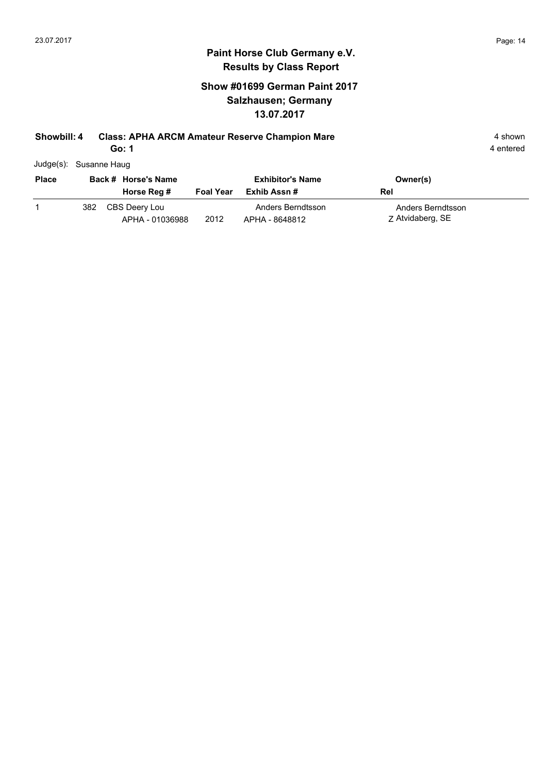## **Show #01699 German Paint 2017 Salzhausen; Germany 13.07.2017**

### **Showbill: 4 Class: APHA ARCM Amateur Reserve Champion Mare** 4 shown 4 shown

**Go: 1**

|  | Judge(s): Susanne Haug |
|--|------------------------|
|--|------------------------|

|     |               |                     | <b>Exhibitor's Name</b> | Owner(s)                                  |                  |
|-----|---------------|---------------------|-------------------------|-------------------------------------------|------------------|
|     | Horse Reg #   | <b>Foal Year</b>    | Exhib Assn #            | Rel                                       |                  |
| 382 | CBS Deery Lou |                     | Anders Berndtsson       | Anders Berndtsson                         |                  |
|     |               | Back # Horse's Name |                         | 2012<br>APHA - 01036988<br>APHA - 8648812 | Z Atvidaberg, SE |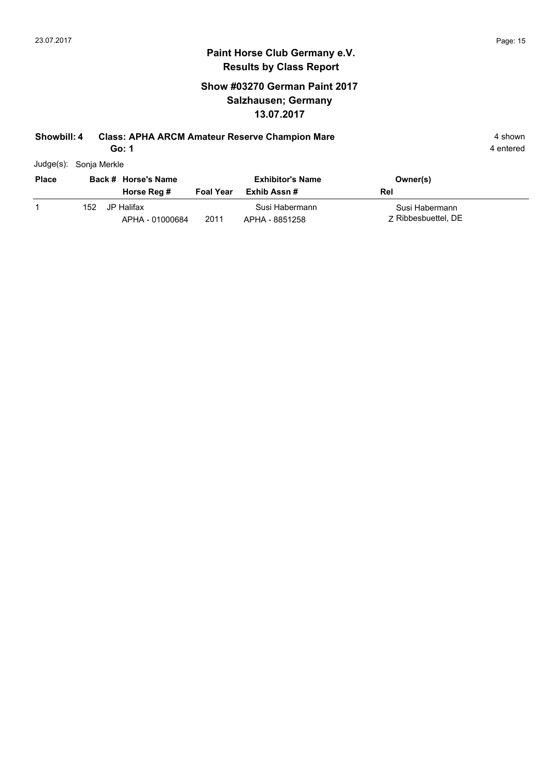## **Show #03270 German Paint 2017 Salzhausen; Germany 13.07.2017**

### **Showbill: 4 Class: APHA ARCM Amateur Reserve Champion Mare** 4 shown 4 shown

**Go: 1**

|  |  | Judge(s): Sonja Merkle |
|--|--|------------------------|
|--|--|------------------------|

| <b>Place</b> |     | Back # Horse's Name           |                  | <b>Exhibitor's Name</b>          | Owner(s)                              |
|--------------|-----|-------------------------------|------------------|----------------------------------|---------------------------------------|
|              |     | Horse Reg #                   | <b>Foal Year</b> | Exhib Assn #                     | Rel                                   |
|              | 152 | JP Halifax<br>APHA - 01000684 | 2011             | Susi Habermann<br>APHA - 8851258 | Susi Habermann<br>7 Ribbesbuettel, DE |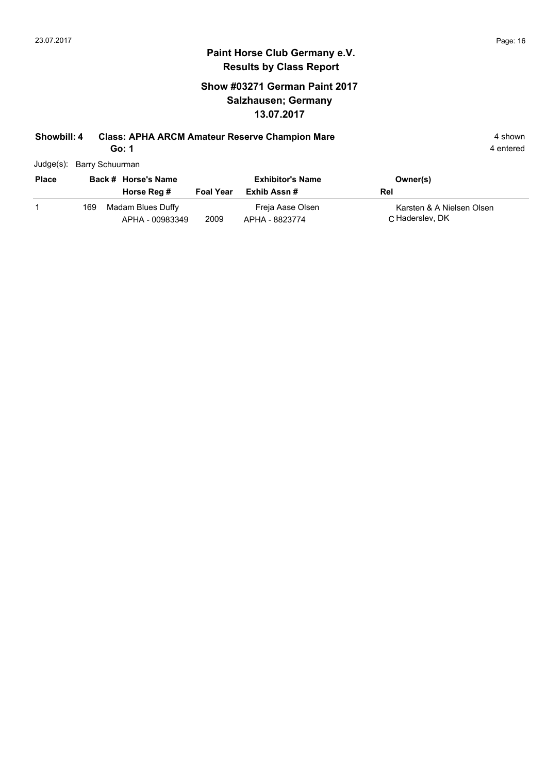## **Show #03271 German Paint 2017 Salzhausen; Germany 13.07.2017**

### **Showbill: 4 Class: APHA ARCM Amateur Reserve Champion Mare** 4 shown 4 shown

**Go: 1**

4 entered

Judge(s): Barry Schuurman

| <b>Place</b> |     | Back # Horse's Name<br>Horse Reg #   | <b>Foal Year</b> | <b>Exhibitor's Name</b><br>Exhib Assn # | Owner(s)<br>Rel                               |
|--------------|-----|--------------------------------------|------------------|-----------------------------------------|-----------------------------------------------|
|              | 169 | Madam Blues Duffy<br>APHA - 00983349 | 2009             | Freja Aase Olsen<br>APHA - 8823774      | Karsten & A Nielsen Olsen<br>C. Haderslev, DK |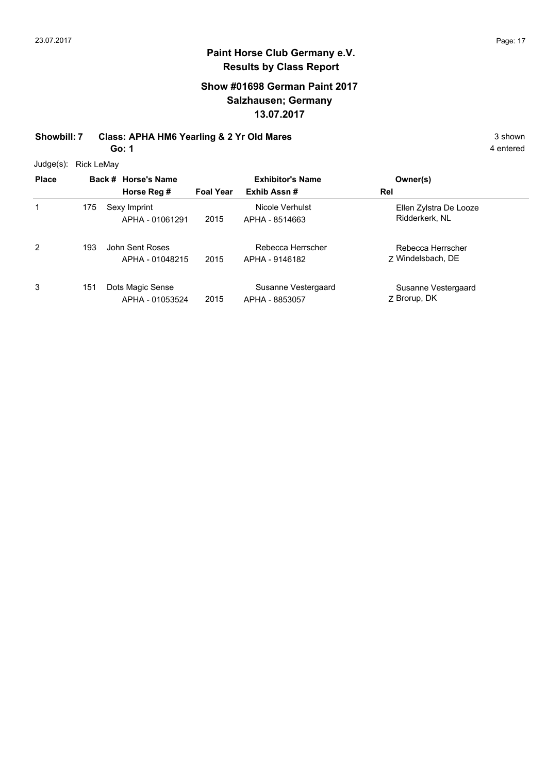## **Show #01698 German Paint 2017 Salzhausen; Germany 13.07.2017**

**Showbill: 7 Class: APHA HM6 Yearling & 2 Yr Old Mares** 3 shown **Go: 1**

4 entered

Judge(s): Rick LeMay

| <u>.</u><br><b>Place</b> |     | Back # Horse's Name<br>Horse Reg #  | <b>Foal Year</b> | <b>Exhibitor's Name</b><br>Exhib Assn# | Owner(s)<br>Rel                          |
|--------------------------|-----|-------------------------------------|------------------|----------------------------------------|------------------------------------------|
| 1                        | 175 | Sexy Imprint<br>APHA - 01061291     | 2015             | Nicole Verhulst<br>APHA - 8514663      | Ellen Zylstra De Looze<br>Ridderkerk, NL |
| 2                        | 193 | John Sent Roses<br>APHA - 01048215  | 2015             | Rebecca Herrscher<br>APHA - 9146182    | Rebecca Herrscher<br>7 Windelsbach, DE   |
| 3                        | 151 | Dots Magic Sense<br>APHA - 01053524 | 2015             | Susanne Vestergaard<br>APHA - 8853057  | Susanne Vestergaard<br>Z Brorup, DK      |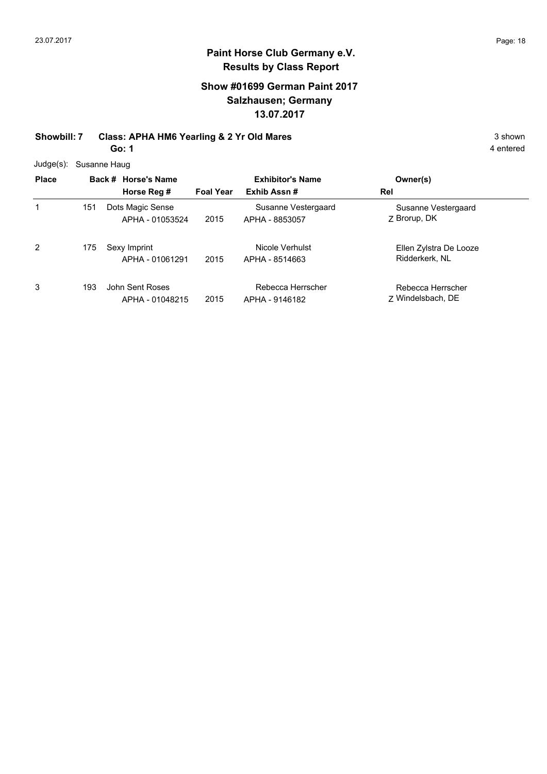## **Show #01699 German Paint 2017 Salzhausen; Germany 13.07.2017**

**Showbill: 7 Class: APHA HM6 Yearling & 2 Yr Old Mares** 3 shown

**Go: 1**

|  | Judge(s): Susanne Haug |
|--|------------------------|
|--|------------------------|

| <b>Place</b> |     | Back # Horse's Name<br>Horse Reg #  | <b>Foal Year</b> | <b>Exhibitor's Name</b><br>Exhib Assn# | Owner(s)<br>Rel                          |
|--------------|-----|-------------------------------------|------------------|----------------------------------------|------------------------------------------|
| 1            | 151 | Dots Magic Sense<br>APHA - 01053524 | 2015             | Susanne Vestergaard<br>APHA - 8853057  | Susanne Vestergaard<br>Z Brorup, DK      |
| 2            | 175 | Sexy Imprint<br>APHA - 01061291     | 2015             | Nicole Verhulst<br>APHA - 8514663      | Ellen Zylstra De Looze<br>Ridderkerk, NL |
| 3            | 193 | John Sent Roses<br>APHA - 01048215  | 2015             | Rebecca Herrscher<br>APHA - 9146182    | Rebecca Herrscher<br>7 Windelsbach, DE   |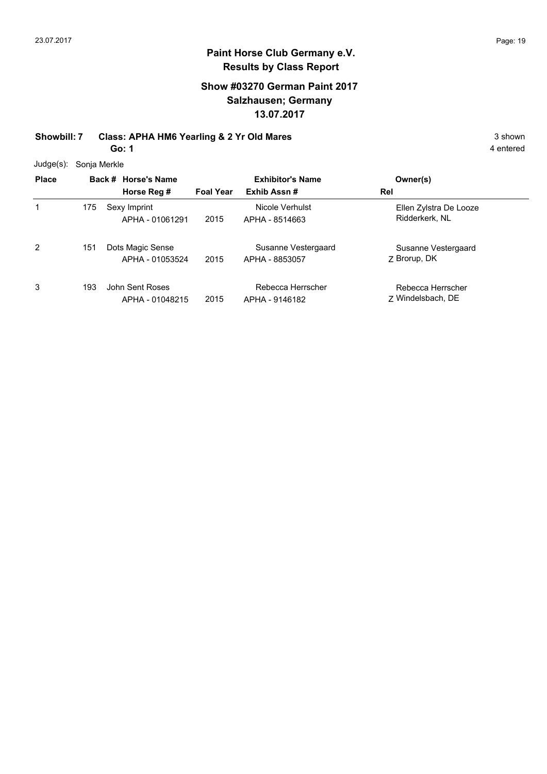## **Show #03270 German Paint 2017 Salzhausen; Germany 13.07.2017**

**Showbill: 7 Class: APHA HM6 Yearling & 2 Yr Old Mares** 3 shown **Go: 1**

4 entered

Judge(s): Sonja Merkle

| <u>.</u><br><b>Place</b> |     | Back # Horse's Name<br>Horse Reg #  | <b>Foal Year</b> | <b>Exhibitor's Name</b><br>Exhib Assn# | Owner(s)<br>Rel                          |
|--------------------------|-----|-------------------------------------|------------------|----------------------------------------|------------------------------------------|
| 1                        | 175 | Sexy Imprint<br>APHA - 01061291     | 2015             | Nicole Verhulst<br>APHA - 8514663      | Ellen Zylstra De Looze<br>Ridderkerk, NL |
| 2                        | 151 | Dots Magic Sense<br>APHA - 01053524 | 2015             | Susanne Vestergaard<br>APHA - 8853057  | Susanne Vestergaard<br>Z Brorup, DK      |
| 3                        | 193 | John Sent Roses<br>APHA - 01048215  | 2015             | Rebecca Herrscher<br>APHA - 9146182    | Rebecca Herrscher<br>7 Windelsbach, DE   |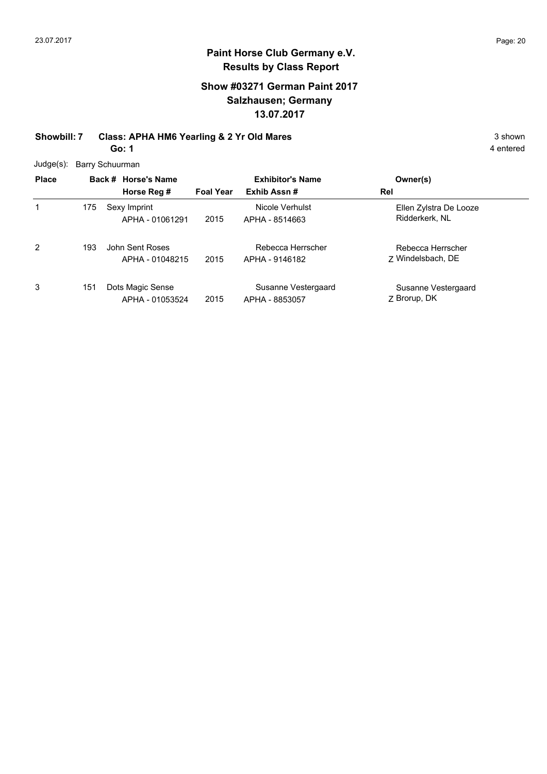## **Show #03271 German Paint 2017 Salzhausen; Germany 13.07.2017**

**Showbill: 7 Class: APHA HM6 Yearling & 2 Yr Old Mares** 3 shown **Go: 1**

4 entered

Judge(s): Barry Schuurman

| <b>Place</b> |     | Back # Horse's Name<br>Horse Reg #  | <b>Foal Year</b> | <b>Exhibitor's Name</b><br>Exhib Assn# | Owner(s)<br>Rel                          |
|--------------|-----|-------------------------------------|------------------|----------------------------------------|------------------------------------------|
| 1            | 175 | Sexy Imprint<br>APHA - 01061291     | 2015             | Nicole Verhulst<br>APHA - 8514663      | Ellen Zylstra De Looze<br>Ridderkerk, NL |
| 2            | 193 | John Sent Roses<br>APHA - 01048215  | 2015             | Rebecca Herrscher<br>APHA - 9146182    | Rebecca Herrscher<br>7 Windelsbach, DE   |
| 3            | 151 | Dots Magic Sense<br>APHA - 01053524 | 2015             | Susanne Vestergaard<br>APHA - 8853057  | Susanne Vestergaard<br>Z Brorup, DK      |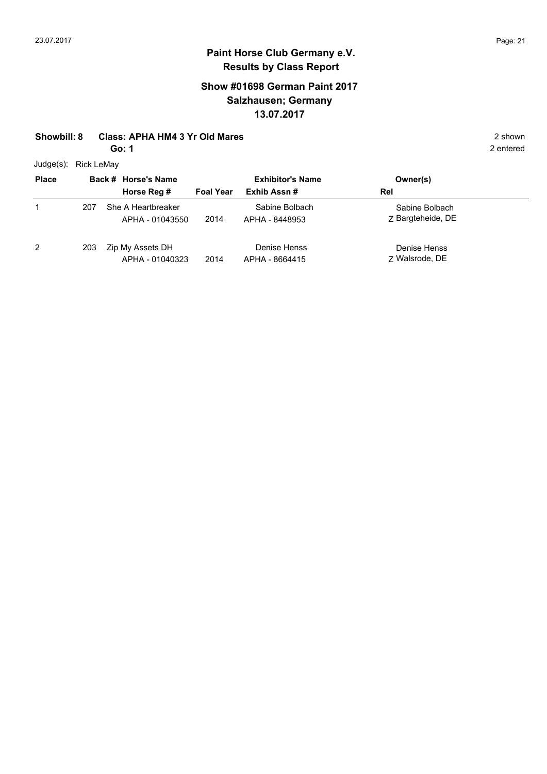## **Paint Horse Club Germany e.V. Results by Class Report**

## **Show #01698 German Paint 2017 Salzhausen; Germany 13.07.2017**

#### **Showbill: 8 Class: APHA HM4 3 Yr Old Mares** 2 shown

**Go: 1**

Judge(s): Rick LeMay

| 0.000        |     |                                       |                         |                                  |                                     |  |
|--------------|-----|---------------------------------------|-------------------------|----------------------------------|-------------------------------------|--|
| <b>Place</b> |     | Back # Horse's Name                   | <b>Exhibitor's Name</b> |                                  | Owner(s)                            |  |
|              |     | Horse Reg #                           | <b>Foal Year</b>        | Exhib Assn#                      | Rel                                 |  |
|              | 207 | She A Heartbreaker<br>APHA - 01043550 | 2014                    | Sabine Bolbach<br>APHA - 8448953 | Sabine Bolbach<br>Z Bargteheide, DE |  |
| 2            | 203 | Zip My Assets DH<br>APHA - 01040323   | 2014                    | Denise Henss<br>APHA - 8664415   | Denise Henss<br>7 Walsrode, DE      |  |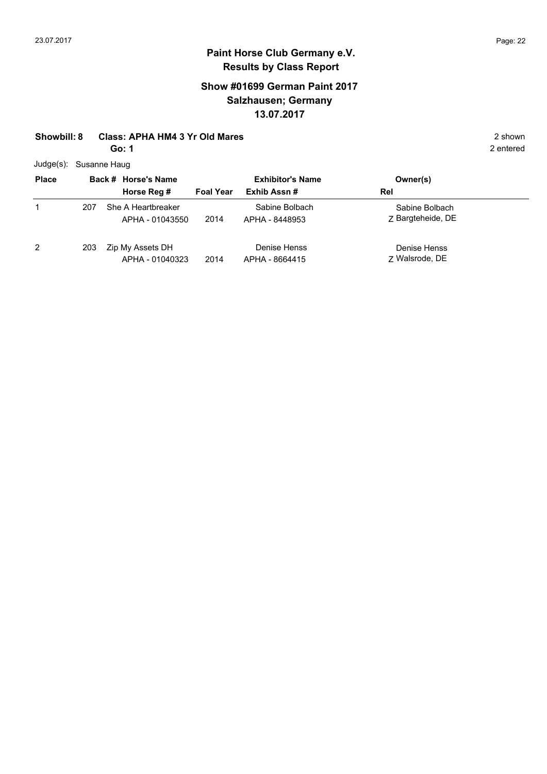## **Show #01699 German Paint 2017 Salzhausen; Germany 13.07.2017**

### **Showbill: 8 Class: APHA HM4 3 Yr Old Mares** 2 shown

**Go: 1**

Judge(s): Susanne Haug

| <b>Place</b>   | Back # Horse's Name |                                       | <b>Exhibitor's Name</b> |                                  | Owner(s)                            |
|----------------|---------------------|---------------------------------------|-------------------------|----------------------------------|-------------------------------------|
|                |                     | Horse Reg #                           | <b>Foal Year</b>        | Exhib Assn#                      | Rel                                 |
| 1              | 207                 | She A Heartbreaker<br>APHA - 01043550 | 2014                    | Sabine Bolbach<br>APHA - 8448953 | Sabine Bolbach<br>7 Bargteheide, DE |
| $\overline{2}$ | 203                 | Zip My Assets DH<br>APHA - 01040323   | 2014                    | Denise Henss<br>APHA - 8664415   | Denise Henss<br>7 Walsrode, DE      |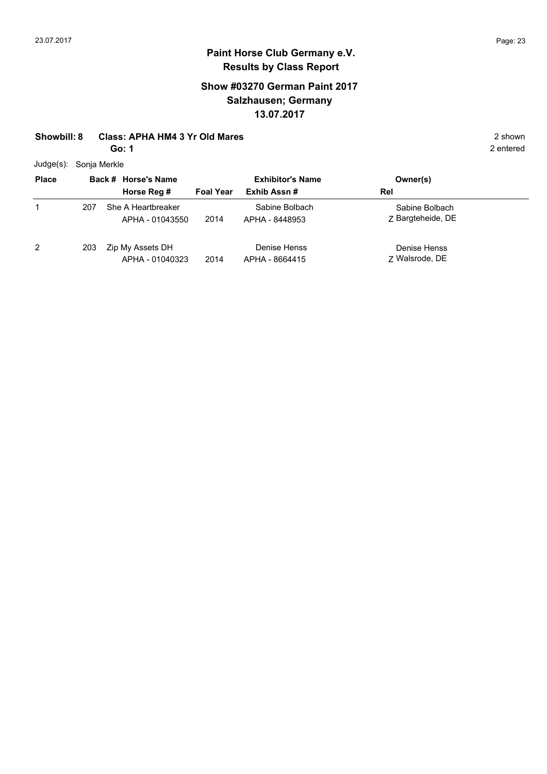## **Show #03270 German Paint 2017 Salzhausen; Germany 13.07.2017**

#### **Showbill: 8 Class: APHA HM4 3 Yr Old Mares** 2 shown

**Go: 1**

Judge(s): Sonja Merkle

| <b>Place</b> |     | Back # Horse's Name                   | <b>Exhibitor's Name</b> |                                  | Owner(s)                            |
|--------------|-----|---------------------------------------|-------------------------|----------------------------------|-------------------------------------|
|              |     | Horse Reg #                           | <b>Foal Year</b>        | Exhib Assn#                      | Rel                                 |
|              | 207 | She A Heartbreaker<br>APHA - 01043550 | 2014                    | Sabine Bolbach<br>APHA - 8448953 | Sabine Bolbach<br>Z Bargteheide, DE |
| 2            | 203 | Zip My Assets DH<br>APHA - 01040323   | 2014                    | Denise Henss<br>APHA - 8664415   | Denise Henss<br>7 Walsrode, DE      |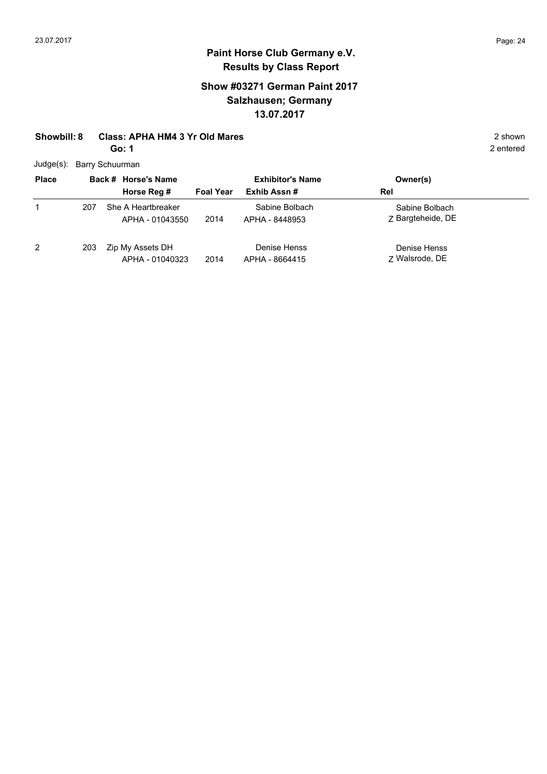1

## **Paint Horse Club Germany e.V. Results by Class Report**

## **Show #03271 German Paint 2017 Salzhausen; Germany 13.07.2017**

#### **Showbill: 8 Class: APHA HM4 3 Yr Old Mares** 2 shown

**Go: 1**

Judge(s): Barry Schuurman

**Back # Horse's Name Place Owner(s) Horse Reg # Exhib Assn # Foal Year Rel Exhibitor's Name** Z Bargteheide, DE Sabine Bolbach 2014 Bargteheide, DE APHA - 8448953 She A Heartbreaker APHA - 01043550 Sabine Bolbach 207

2 203 Zip My Assets DH APHA - 01040323

2014 Walsrode, DE APHA - 8664415 Denise Henss

7 Walsrode, DE Denise Henss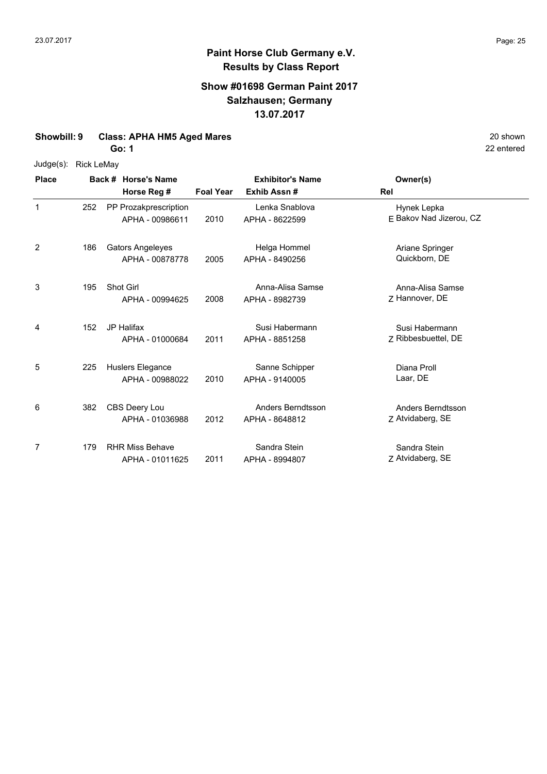### **Show #01698 German Paint 2017 Salzhausen; Germany 13.07.2017**

#### **Showbill: 9 Class: APHA HM5 Aged Mares** 20 shown

**Go: 1**

| Judge(s): | <b>Rick LeMay</b> |
|-----------|-------------------|

| <b>Place</b> |     | Back # Horse's Name                        |                  | <b>Exhibitor's Name</b>             | Owner(s)                               |
|--------------|-----|--------------------------------------------|------------------|-------------------------------------|----------------------------------------|
|              |     | Horse Reg #                                | <b>Foal Year</b> | Exhib Assn #                        | Rel                                    |
| $\mathbf 1$  | 252 | PP Prozakprescription<br>APHA - 00986611   | 2010             | Lenka Snablova<br>APHA - 8622599    | Hynek Lepka<br>E Bakov Nad Jizerou, CZ |
| 2            | 186 | <b>Gators Angeleyes</b><br>APHA - 00878778 | 2005             | Helga Hommel<br>APHA - 8490256      | Ariane Springer<br>Quickborn, DE       |
| 3            | 195 | Shot Girl<br>APHA - 00994625               | 2008             | Anna-Alisa Samse<br>APHA - 8982739  | Anna-Alisa Samse<br>Z Hannover, DE     |
| 4            | 152 | JP Halifax<br>APHA - 01000684              | 2011             | Susi Habermann<br>APHA - 8851258    | Susi Habermann<br>Z Ribbesbuettel, DE  |
| 5            | 225 | Huslers Elegance<br>APHA - 00988022        | 2010             | Sanne Schipper<br>APHA - 9140005    | Diana Proll<br>Laar, DE                |
| 6            | 382 | CBS Deery Lou<br>APHA - 01036988           | 2012             | Anders Berndtsson<br>APHA - 8648812 | Anders Berndtsson<br>Z Atvidaberg, SE  |
| 7            | 179 | <b>RHR Miss Behave</b><br>APHA - 01011625  | 2011             | Sandra Stein<br>APHA - 8994807      | Sandra Stein<br>Z Atvidaberg, SE       |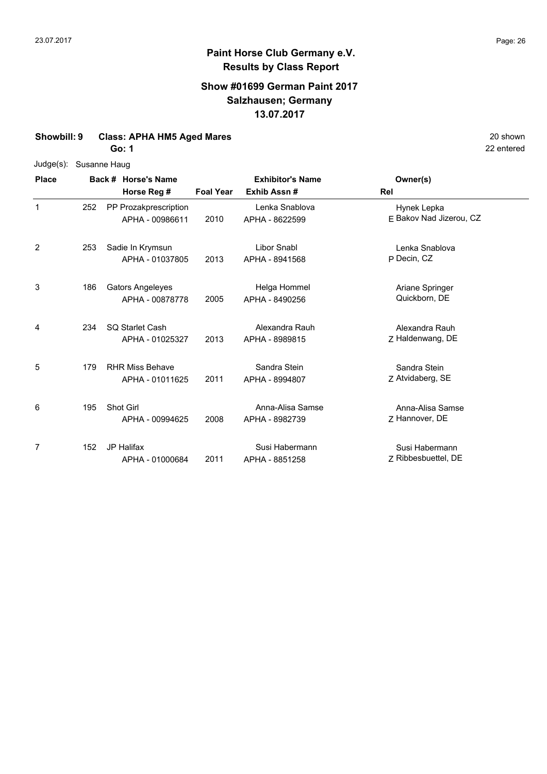### **Show #01699 German Paint 2017 Salzhausen; Germany 13.07.2017**

### **Showbill: 9 Class: APHA HM5 Aged Mares** 20 shown

**Go: 1**

|  |  | Judge(s): Susanne Haug |
|--|--|------------------------|
|--|--|------------------------|

| <b>Place</b> |     | Back # Horse's Name     |                  | <b>Exhibitor's Name</b> | Owner(s)                |
|--------------|-----|-------------------------|------------------|-------------------------|-------------------------|
|              |     | Horse Reg #             | <b>Foal Year</b> | Exhib Assn#             | Rel                     |
| $\mathbf 1$  | 252 | PP Prozakprescription   |                  | Lenka Snablova          | Hynek Lepka             |
|              |     | APHA - 00986611         | 2010             | APHA - 8622599          | E Bakov Nad Jizerou, CZ |
| 2            | 253 | Sadie In Krymsun        |                  | <b>Libor Snabl</b>      | Lenka Snablova          |
|              |     | APHA - 01037805         | 2013             | APHA - 8941568          | P Decin, CZ             |
| 3            | 186 | <b>Gators Angeleyes</b> |                  | Helga Hommel            | Ariane Springer         |
|              |     | APHA - 00878778         | 2005             | APHA - 8490256          | Quickborn, DE           |
| 4            | 234 | <b>SQ Starlet Cash</b>  |                  | Alexandra Rauh          | Alexandra Rauh          |
|              |     | APHA - 01025327         | 2013             | APHA - 8989815          | Z Haldenwang, DE        |
| 5            | 179 | <b>RHR Miss Behave</b>  |                  | Sandra Stein            | Sandra Stein            |
|              |     | APHA - 01011625         | 2011             | APHA - 8994807          | Z Atvidaberg, SE        |
| 6            | 195 | Shot Girl               |                  | Anna-Alisa Samse        | Anna-Alisa Samse        |
|              |     | APHA - 00994625         | 2008             | APHA - 8982739          | Z Hannover, DE          |
| 7            | 152 | <b>JP Halifax</b>       |                  | Susi Habermann          | Susi Habermann          |
|              |     | APHA - 01000684         | 2011             | APHA - 8851258          | Z Ribbesbuettel, DE     |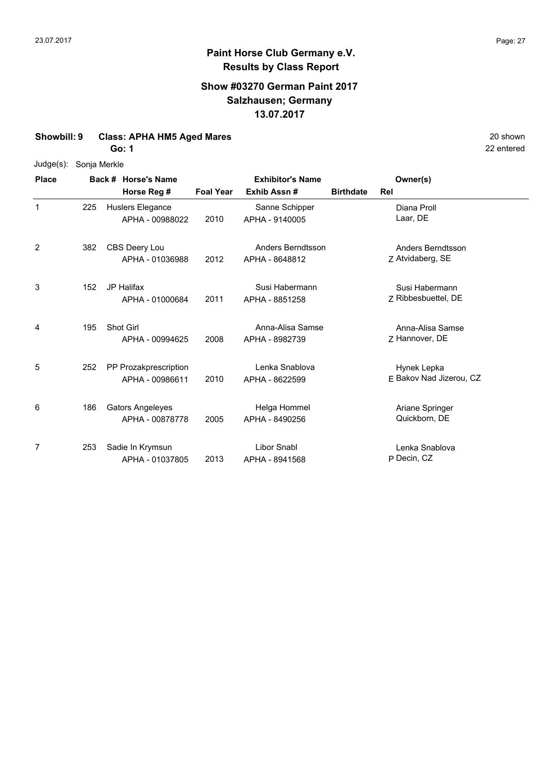## **Show #03270 German Paint 2017 Salzhausen; Germany 13.07.2017**

#### **Showbill: 9 Class: APHA HM5 Aged Mares** 20 shown

**Go: 1**

#### Judge(s): Sonja Merkle

| <b>Place</b>   |     | Back # Horse's Name                        |                  | <b>Exhibitor's Name</b>             |                  | Owner(s)                               |
|----------------|-----|--------------------------------------------|------------------|-------------------------------------|------------------|----------------------------------------|
|                |     | Horse Reg #                                | <b>Foal Year</b> | Exhib Assn#                         | <b>Birthdate</b> | Rel                                    |
| 1              | 225 | Huslers Elegance<br>APHA - 00988022        | 2010             | Sanne Schipper<br>APHA - 9140005    |                  | Diana Proll<br>Laar, DE                |
| $\overline{2}$ | 382 | CBS Deery Lou<br>APHA - 01036988           | 2012             | Anders Berndtsson<br>APHA - 8648812 |                  | Anders Berndtsson<br>Z Atvidaberg, SE  |
| 3              | 152 | <b>JP Halifax</b><br>APHA - 01000684       | 2011             | Susi Habermann<br>APHA - 8851258    |                  | Susi Habermann<br>Z Ribbesbuettel, DE  |
| 4              | 195 | Shot Girl<br>APHA - 00994625               | 2008             | Anna-Alisa Samse<br>APHA - 8982739  |                  | Anna-Alisa Samse<br>7 Hannover, DE     |
| 5              | 252 | PP Prozakprescription<br>APHA - 00986611   | 2010             | Lenka Snablova<br>APHA - 8622599    |                  | Hynek Lepka<br>E Bakov Nad Jizerou, CZ |
| 6              | 186 | <b>Gators Angeleyes</b><br>APHA - 00878778 | 2005             | Helga Hommel<br>APHA - 8490256      |                  | Ariane Springer<br>Quickborn, DE       |
| 7              | 253 | Sadie In Krymsun<br>APHA - 01037805        | 2013             | Libor Snabl<br>APHA - 8941568       |                  | Lenka Snablova<br>P Decin, CZ          |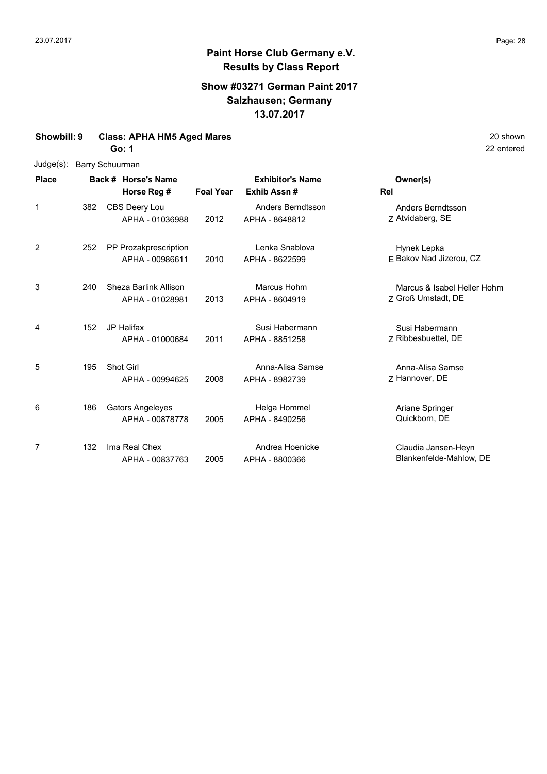## **Show #03271 German Paint 2017 Salzhausen; Germany 13.07.2017**

#### **Showbill: 9 Class: APHA HM5 Aged Mares** 20 shown

**Go: 1**

Judge(s): Barry Schuurman

| <b>Place</b> |     | Back # Horse's Name<br>Horse Reg #         | <b>Foal Year</b> | <b>Exhibitor's Name</b><br>Exhib Assn#     | Owner(s)<br>Rel                                   |
|--------------|-----|--------------------------------------------|------------------|--------------------------------------------|---------------------------------------------------|
| 1            | 382 | CBS Deery Lou<br>APHA - 01036988           | 2012             | <b>Anders Berndtsson</b><br>APHA - 8648812 | Anders Berndtsson<br>Z Atvidaberg, SE             |
| 2            | 252 | PP Prozakprescription<br>APHA - 00986611   | 2010             | Lenka Snablova<br>APHA - 8622599           | Hynek Lepka<br>E Bakov Nad Jizerou, CZ            |
| 3            | 240 | Sheza Barlink Allison<br>APHA - 01028981   | 2013             | Marcus Hohm<br>APHA - 8604919              | Marcus & Isabel Heller Hohm<br>Z Groß Umstadt, DE |
| 4            | 152 | <b>JP Halifax</b><br>APHA - 01000684       | 2011             | Susi Habermann<br>APHA - 8851258           | Susi Habermann<br>Z Ribbesbuettel, DE             |
| 5            | 195 | Shot Girl<br>APHA - 00994625               | 2008             | Anna-Alisa Samse<br>APHA - 8982739         | Anna-Alisa Samse<br>7 Hannover, DE                |
| 6            | 186 | <b>Gators Angeleyes</b><br>APHA - 00878778 | 2005             | Helga Hommel<br>APHA - 8490256             | Ariane Springer<br>Quickborn, DE                  |
| 7            | 132 | Ima Real Chex<br>APHA - 00837763           | 2005             | Andrea Hoenicke<br>APHA - 8800366          | Claudia Jansen-Heyn<br>Blankenfelde-Mahlow, DE    |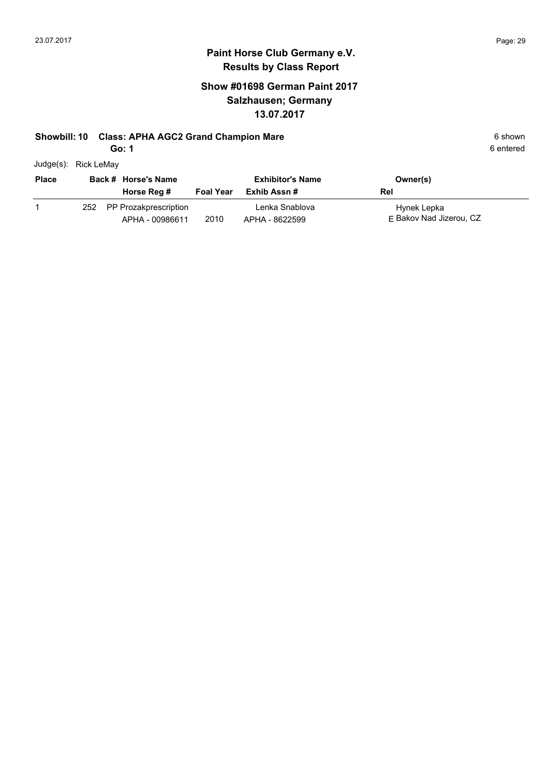## **Show #01698 German Paint 2017 Salzhausen; Germany 13.07.2017**

#### **Showbill: 10 Class: APHA AGC2 Grand Champion Mare** 6 **Shown** 6 shown

**Go: 1**

| Judge(s): | Rick LeMay |
|-----------|------------|

| <b>Place</b> |     | Back # Horse's Name<br>Horse Reg #       | <b>Foal Year</b> | <b>Exhibitor's Name</b><br>Exhib Assn # | Owner(s)<br>Rel                        |
|--------------|-----|------------------------------------------|------------------|-----------------------------------------|----------------------------------------|
|              | 252 | PP Prozakprescription<br>APHA - 00986611 | 2010             | Lenka Snablova<br>APHA - 8622599        | Hynek Lepka<br>F Bakov Nad Jizerou, CZ |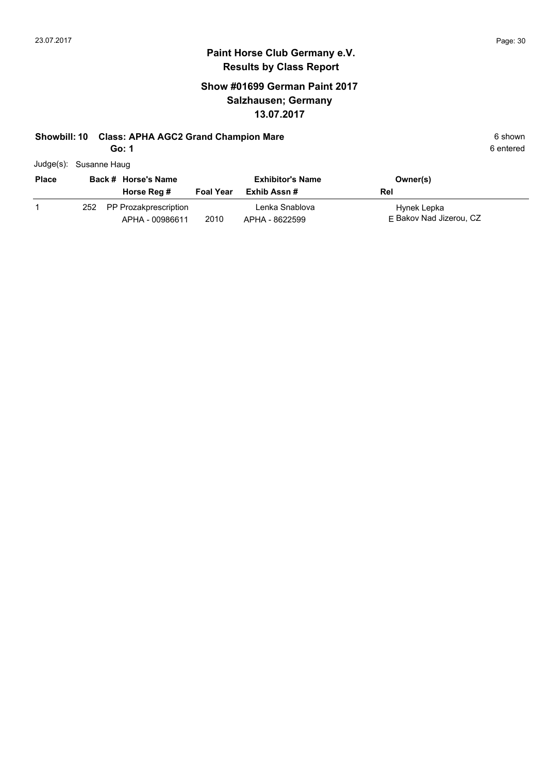## **Show #01699 German Paint 2017 Salzhausen; Germany 13.07.2017**

#### **Showbill: 10 Class: APHA AGC2 Grand Champion Mare** 6 **Shown** 6 shown

**Go: 1**

| Judge(s): Susanne Haug |  |  |
|------------------------|--|--|
|------------------------|--|--|

| <b>Place</b> |     | Back # Horse's Name                      |                  | <b>Exhibitor's Name</b>          | Owner(s)                               |
|--------------|-----|------------------------------------------|------------------|----------------------------------|----------------------------------------|
|              |     | Horse Reg #                              | <b>Foal Year</b> | Exhib Assn #                     | Rel                                    |
|              | 252 | PP Prozakprescription<br>APHA - 00986611 | 2010             | Lenka Snablova<br>APHA - 8622599 | Hynek Lepka<br>F Bakov Nad Jizerou, CZ |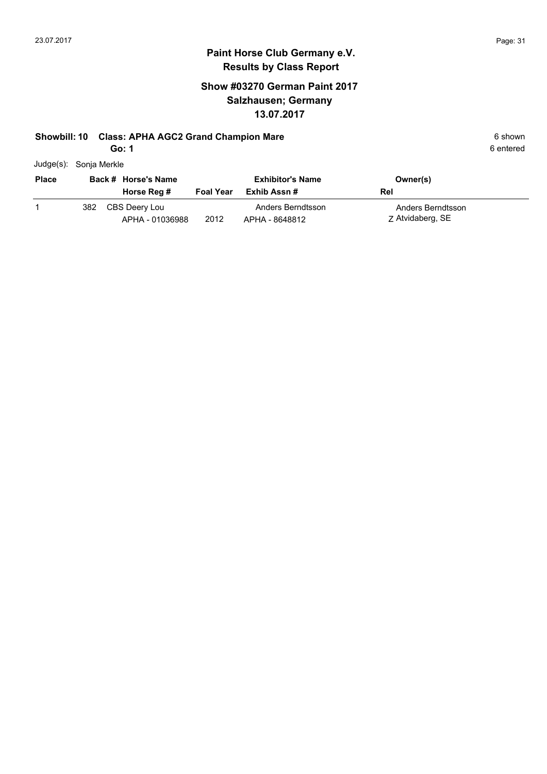## **Paint Horse Club Germany e.V. Results by Class Report**

## **Show #03270 German Paint 2017 Salzhausen; Germany 13.07.2017**

#### **Showbill: 10 Class: APHA AGC2 Grand Champion Mare** 6 **Shown** 6 shown

**Go: 1**

| $Judge(s)$ : | Sonja Merkle |
|--------------|--------------|
|--------------|--------------|

| <b>Place</b> |     | Back # Horse's Name<br>Horse Reg # | <b>Foal Year</b> | <b>Exhibitor's Name</b><br>Exhib Assn # | Owner(s)<br>Rel                       |
|--------------|-----|------------------------------------|------------------|-----------------------------------------|---------------------------------------|
|              | 382 | CBS Deery Lou<br>APHA - 01036988   | 2012             | Anders Berndtsson<br>APHA - 8648812     | Anders Berndtsson<br>Z Atvidaberg, SE |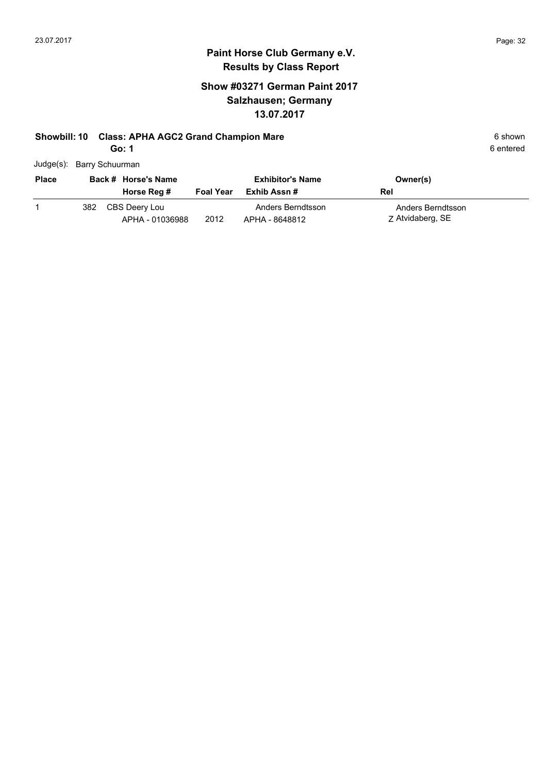## **Show #03271 German Paint 2017 Salzhausen; Germany 13.07.2017**

### **Showbill: 10 Class: APHA AGC2 Grand Champion Mare** 6 **Shown** 6 shown

**Go: 1**

| Judge(s): Barry Schuurman |
|---------------------------|
|                           |

| <b>Place</b> |     | Back # Horse's Name              |                  | <b>Exhibitor's Name</b>             | Owner(s)                              |
|--------------|-----|----------------------------------|------------------|-------------------------------------|---------------------------------------|
|              |     | Horse Reg #                      | <b>Foal Year</b> | Exhib Assn #                        | Rel                                   |
|              | 382 | CBS Deery Lou<br>APHA - 01036988 | 2012             | Anders Berndtsson<br>APHA - 8648812 | Anders Berndtsson<br>Z Atvidaberg, SE |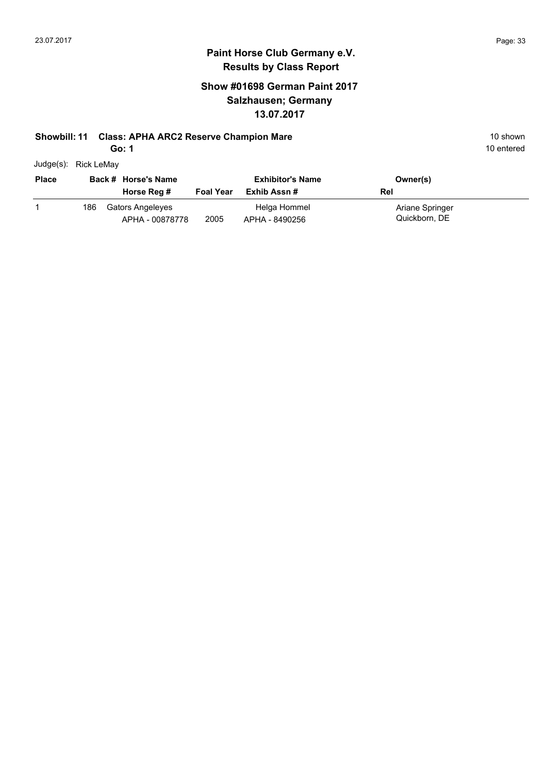## **Show #01698 German Paint 2017 Salzhausen; Germany 13.07.2017**

### **Showbill: 11 Class: APHA ARC2 Reserve Champion Mare** 10 Shown 10 shown

**Go: 1**

10 entered

Judge(s): Rick LeMay

| <b>Place</b> |     | Back # Horse's Name<br>Horse Reg #  | <b>Foal Year</b> | <b>Exhibitor's Name</b><br>Exhib Assn # | Owner(s)<br>Rel                  |
|--------------|-----|-------------------------------------|------------------|-----------------------------------------|----------------------------------|
|              | 186 | Gators Angeleyes<br>APHA - 00878778 | 2005             | Helga Hommel<br>APHA - 8490256          | Ariane Springer<br>Quickborn, DE |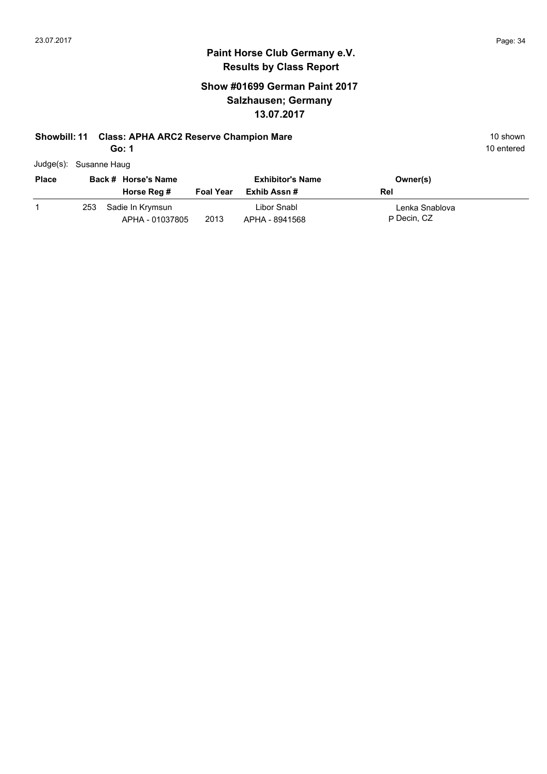## **Show #01699 German Paint 2017 Salzhausen; Germany 13.07.2017**

### **Showbill: 11 Class: APHA ARC2 Reserve Champion Mare** 10 Shown 10 shown

**Go: 1**

| Judge(s): Susanne Haug |
|------------------------|
|                        |

| <b>Place</b> | Back # Horse's Name |                                     | <b>Exhibitor's Name</b> |                               | Owner(s)                      |
|--------------|---------------------|-------------------------------------|-------------------------|-------------------------------|-------------------------------|
|              |                     | Horse Reg #                         | <b>Foal Year</b>        | Exhib Assn #                  | Rel                           |
|              | 253                 | Sadie In Krvmsun<br>APHA - 01037805 | 2013                    | Libor Snabl<br>APHA - 8941568 | Lenka Snablova<br>P Decin, CZ |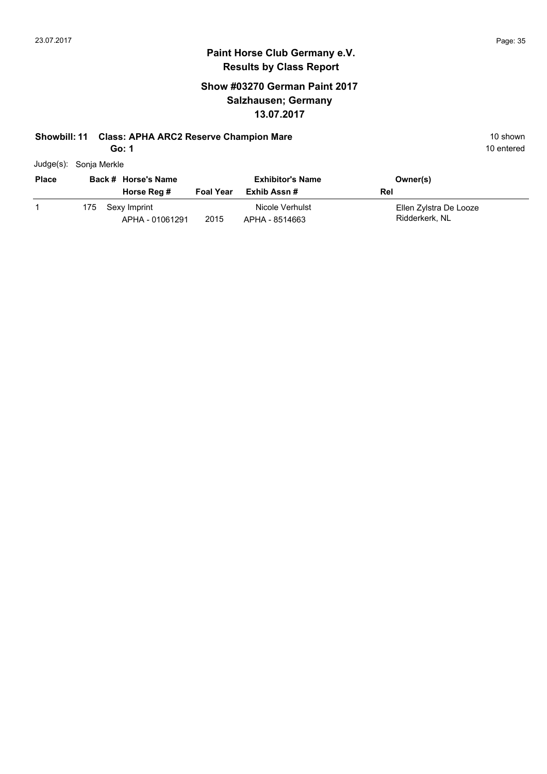## **Show #03270 German Paint 2017 Salzhausen; Germany 13.07.2017**

#### **Showbill: 11 Class: APHA ARC2 Reserve Champion Mare** 10 Shown 10 shown

**Go: 1**

| Judge(s): Sonja Merkle |  |
|------------------------|--|
|                        |  |

| <b>Place</b> |      | Back # Horse's Name<br>Horse Reg # | <b>Foal Year</b> | <b>Exhibitor's Name</b><br>Exhib Assn # | Owner(s)<br>Rel                          |
|--------------|------|------------------------------------|------------------|-----------------------------------------|------------------------------------------|
|              | 175. | Sexy Imprint<br>APHA - 01061291    | 2015             | Nicole Verhulst<br>APHA - 8514663       | Ellen Zylstra De Looze<br>Ridderkerk, NL |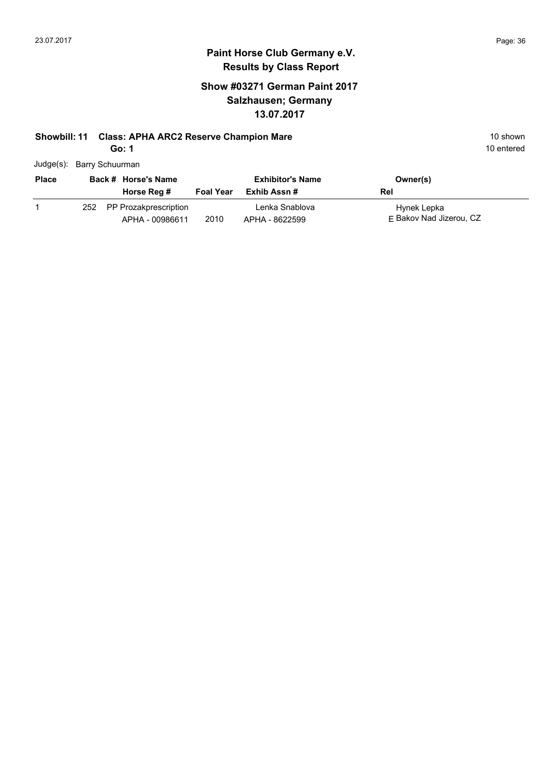## **Show #03271 German Paint 2017 Salzhausen; Germany 13.07.2017**

## **Showbill: 11 Class: APHA ARC2 Reserve Champion Mare** 10 Shown 10 shown

**Go: 1**

|  | Judge(s): Barry Schuurman |
|--|---------------------------|
|--|---------------------------|

| <b>Place</b> | Back # Horse's Name                          |                  | <b>Exhibitor's Name</b>          | Owner(s)                               |
|--------------|----------------------------------------------|------------------|----------------------------------|----------------------------------------|
|              | Horse Reg #                                  | <b>Foal Year</b> | Exhib Assn #                     | Rel                                    |
|              | 252 PP Prozakprescription<br>APHA - 00986611 | 2010             | Lenka Snablova<br>APHA - 8622599 | Hynek Lepka<br>F Bakov Nad Jizerou, CZ |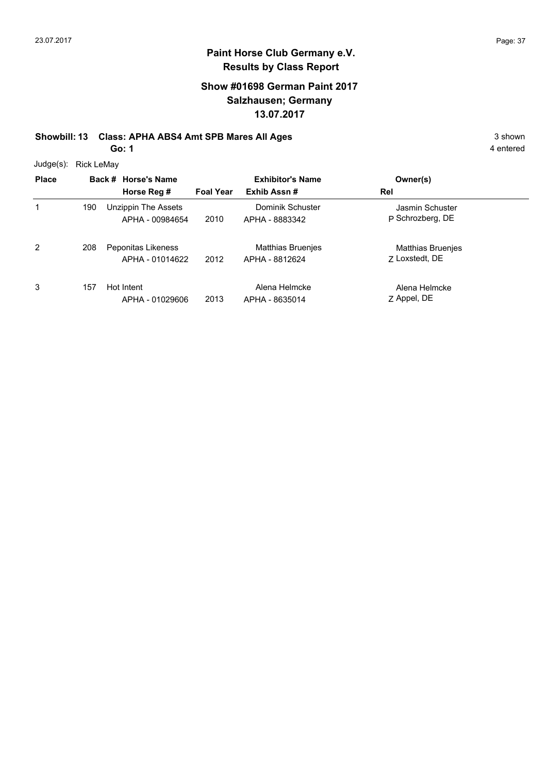# **Paint Horse Club Germany e.V. Results by Class Report**

## **Show #01698 German Paint 2017 Salzhausen; Germany 13.07.2017**

# **Showbill: 13 Class: APHA ABS4 Amt SPB Mares All Ages** 3 shown

**Go: 1**

Judge(s): Rick LeMay

| <b>Place</b> |     | Back # Horse's Name |                  | <b>Exhibitor's Name</b> | Owner(s)                 |
|--------------|-----|---------------------|------------------|-------------------------|--------------------------|
|              |     | Horse Reg #         | <b>Foal Year</b> | Exhib Assn#             | Rel                      |
| 1            | 190 | Unzippin The Assets |                  | Dominik Schuster        | Jasmin Schuster          |
|              |     | APHA - 00984654     | 2010             | APHA - 8883342          | P Schrozberg, DE         |
| 2            | 208 | Peponitas Likeness  |                  | Matthias Bruenjes       | <b>Matthias Bruenjes</b> |
|              |     | APHA - 01014622     | 2012             | APHA - 8812624          | 7 Loxstedt, DE           |
| 3            | 157 | Hot Intent          |                  | Alena Helmcke           | Alena Helmcke            |
|              |     | APHA - 01029606     | 2013             | APHA - 8635014          | Z Appel, DE              |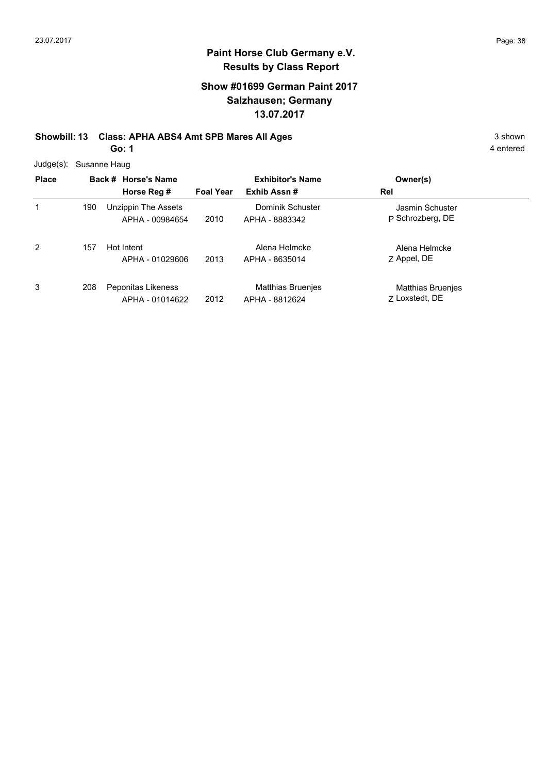## **Show #01699 German Paint 2017 Salzhausen; Germany 13.07.2017**

# **Showbill: 13 Class: APHA ABS4 Amt SPB Mares All Ages** 3 shown

**Go: 1**

|  | Judge(s): Susanne Haug |
|--|------------------------|
|--|------------------------|

| <b>Place</b> |     | Back # Horse's Name<br>Horse Reg #     | <b>Foal Year</b> | <b>Exhibitor's Name</b><br>Exhib Assn# | Owner(s)<br>Rel                            |
|--------------|-----|----------------------------------------|------------------|----------------------------------------|--------------------------------------------|
| 1            | 190 | Unzippin The Assets<br>APHA - 00984654 | 2010             | Dominik Schuster<br>APHA - 8883342     | Jasmin Schuster<br>P Schrozberg, DE        |
| 2            | 157 | Hot Intent<br>APHA - 01029606          | 2013             | Alena Helmcke<br>APHA - 8635014        | Alena Helmcke<br>Z Appel, DE               |
| 3            | 208 | Peponitas Likeness<br>APHA - 01014622  | 2012             | Matthias Bruenjes<br>APHA - 8812624    | <b>Matthias Bruenjes</b><br>7 Loxstedt, DE |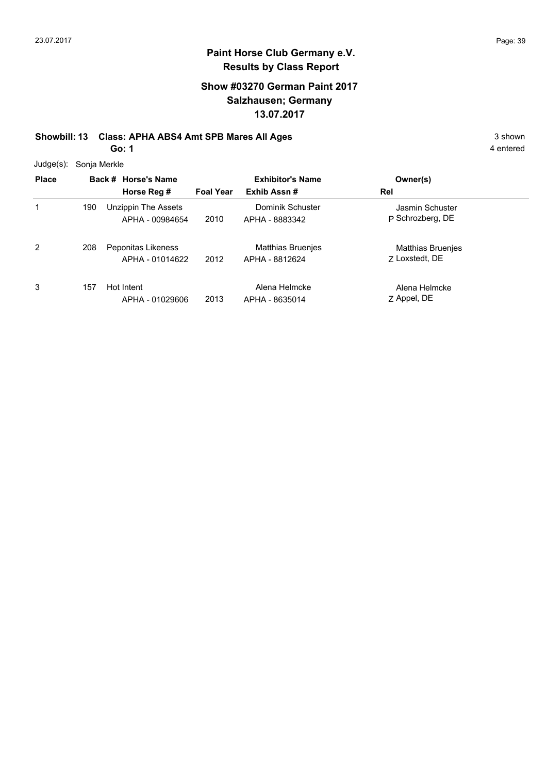### **Show #03270 German Paint 2017 Salzhausen; Germany 13.07.2017**

# **Showbill: 13 Class: APHA ABS4 Amt SPB Mares All Ages** 3 shown

**Go: 1**

4 entered

Judge(s): Sonja Merkle

| <b>Place</b> |     | Back # Horse's Name<br>Horse Reg #     | <b>Foal Year</b> | <b>Exhibitor's Name</b><br>Exhib Assn#     | Owner(s)<br>Rel                            |
|--------------|-----|----------------------------------------|------------------|--------------------------------------------|--------------------------------------------|
| 1            | 190 | Unzippin The Assets<br>APHA - 00984654 | 2010             | Dominik Schuster<br>APHA - 8883342         | Jasmin Schuster<br>P Schrozberg, DE        |
| 2            | 208 | Peponitas Likeness<br>APHA - 01014622  | 2012             | <b>Matthias Bruenjes</b><br>APHA - 8812624 | <b>Matthias Bruenjes</b><br>7 Loxstedt, DE |
| 3            | 157 | Hot Intent<br>APHA - 01029606          | 2013             | Alena Helmcke<br>APHA - 8635014            | Alena Helmcke<br>Z Appel, DE               |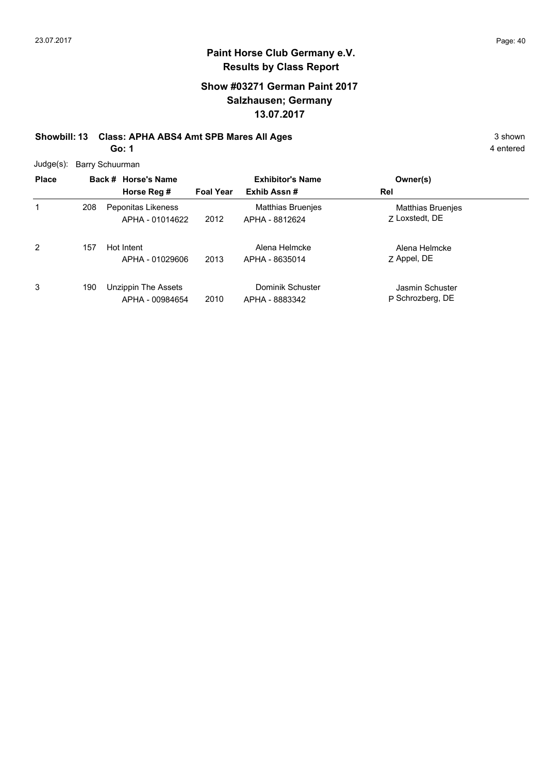## **Show #03271 German Paint 2017 Salzhausen; Germany 13.07.2017**

#### **Showbill: 13 Class: APHA ABS4 Amt SPB Mares All Ages** 3 shown **Go: 1**

|  | Judge(s): Barry Schuurman |
|--|---------------------------|
|--|---------------------------|

| <b>Place</b>   |     | Back # Horse's Name<br>Horse Reg #     | <b>Foal Year</b> | <b>Exhibitor's Name</b><br>Exhib Assn#     | Owner(s)<br>Rel                            |
|----------------|-----|----------------------------------------|------------------|--------------------------------------------|--------------------------------------------|
| 1              | 208 | Peponitas Likeness<br>APHA - 01014622  | 2012             | <b>Matthias Bruenjes</b><br>APHA - 8812624 | <b>Matthias Bruenjes</b><br>7 Loxstedt, DE |
| $\overline{2}$ | 157 | Hot Intent<br>APHA - 01029606          | 2013             | Alena Helmcke<br>APHA - 8635014            | Alena Helmcke<br>Z Appel, DE               |
| 3              | 190 | Unzippin The Assets<br>APHA - 00984654 | 2010             | Dominik Schuster<br>APHA - 8883342         | Jasmin Schuster<br>P Schrozberg, DE        |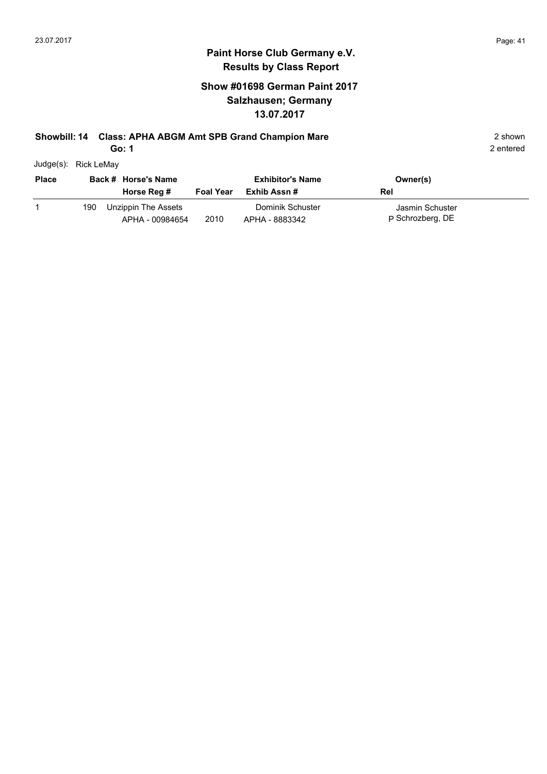#### **Paint Horse Club Germany e.V. Results by Class Report**

## **Show #01698 German Paint 2017 Salzhausen; Germany 13.07.2017**

#### **Showbill: 14 Class: APHA ABGM Amt SPB Grand Champion Mare** 2 shown 2 shown

**Go: 1**

Judge(s): Rick LeMay

| <b>Place</b> |     | Back # Horse's Name<br>Horse Reg #     | <b>Foal Year</b> | <b>Exhibitor's Name</b><br>Exhib Assn # | Owner(s)<br>Rel                     |
|--------------|-----|----------------------------------------|------------------|-----------------------------------------|-------------------------------------|
|              | 190 | Unzippin The Assets<br>APHA - 00984654 | 2010             | Dominik Schuster<br>APHA - 8883342      | Jasmin Schuster<br>P Schrozberg, DE |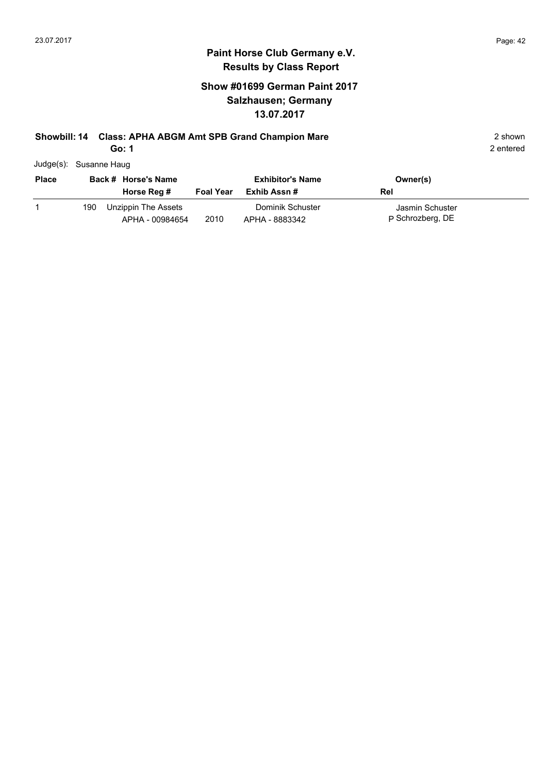#### **Paint Horse Club Germany e.V. Results by Class Report**

## **Show #01699 German Paint 2017 Salzhausen; Germany 13.07.2017**

## **Showbill: 14 Class: APHA ABGM Amt SPB Grand Champion Mare** 2 shown 2 shown

**Go: 1**

Judge(s): Susanne Haug

| <b>Place</b> |     | Back # Horse's Name<br>Horse Reg #     | <b>Foal Year</b> | <b>Exhibitor's Name</b><br>Exhib Assn # | Owner(s)<br>Rel                     |
|--------------|-----|----------------------------------------|------------------|-----------------------------------------|-------------------------------------|
|              | 190 | Unzippin The Assets<br>APHA - 00984654 | 2010             | Dominik Schuster<br>APHA - 8883342      | Jasmin Schuster<br>P Schrozberg, DE |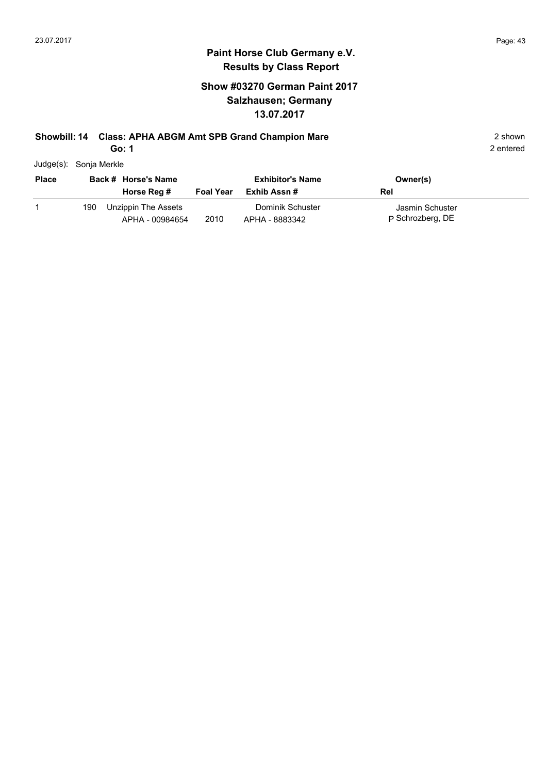#### **Paint Horse Club Germany e.V. Results by Class Report**

## **Show #03270 German Paint 2017 Salzhausen; Germany 13.07.2017**

#### **Showbill: 14 Class: APHA ABGM Amt SPB Grand Champion Mare** 2 shown 2 shown

**Go: 1**

Judge(s): Sonja Merkle

| <b>Place</b> |     | Back # Horse's Name<br>Horse Reg #     | <b>Foal Year</b> | <b>Exhibitor's Name</b><br>Exhib Assn # | Owner(s)<br>Rel                     |
|--------------|-----|----------------------------------------|------------------|-----------------------------------------|-------------------------------------|
|              | 190 | Unzippin The Assets<br>APHA - 00984654 | 2010             | Dominik Schuster<br>APHA - 8883342      | Jasmin Schuster<br>P Schrozberg, DE |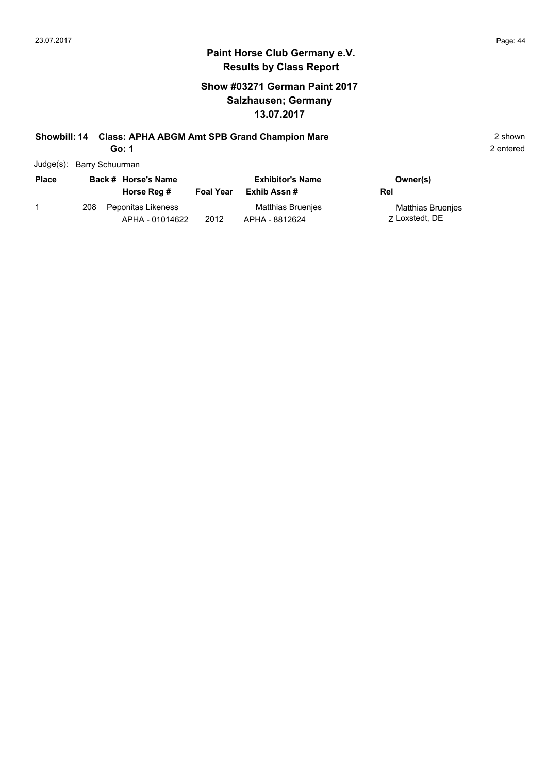## **Show #03271 German Paint 2017 Salzhausen; Germany 13.07.2017**

# **Showbill: 14 Class: APHA ABGM Amt SPB Grand Champion Mare** 2 shown 2 shown

**Go: 1**

| Judge(s): Barry Schuurman |
|---------------------------|
|                           |

| <b>Place</b> | Back # Horse's Name |                                       | <b>Exhibitor's Name</b> |                                     | Owner(s)                            |
|--------------|---------------------|---------------------------------------|-------------------------|-------------------------------------|-------------------------------------|
|              |                     | Horse Reg #                           | <b>Foal Year</b>        | Exhib Assn #                        | Rel                                 |
|              | 208                 | Peponitas Likeness<br>APHA - 01014622 | 2012                    | Matthias Bruenjes<br>APHA - 8812624 | Matthias Bruenjes<br>7 Loxstedt, DE |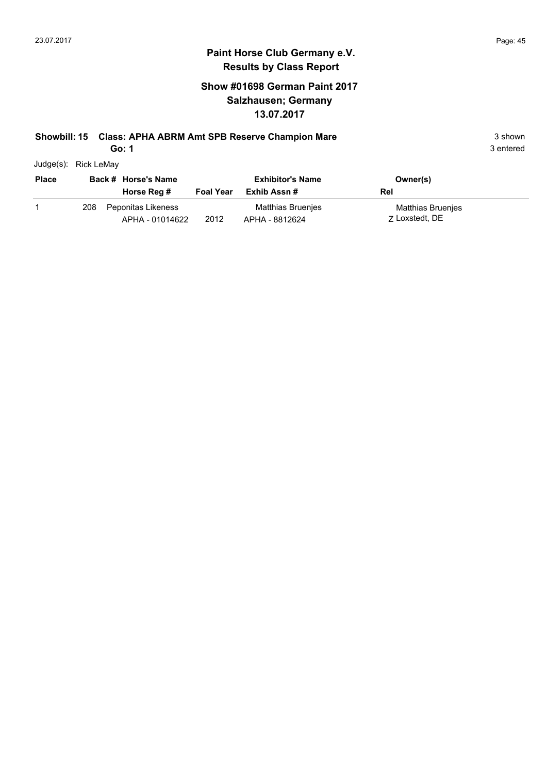## **Show #01698 German Paint 2017 Salzhausen; Germany 13.07.2017**

#### **Showbill: 15 Class: APHA ABRM Amt SPB Reserve Champion Mare** 3 shown 3 shown

**Go: 1**

| <b>Place</b> |     | Back # Horse's Name                   |                  | <b>Exhibitor's Name</b>             | Owner(s)                            |
|--------------|-----|---------------------------------------|------------------|-------------------------------------|-------------------------------------|
|              |     | Horse Reg #                           | <b>Foal Year</b> | Exhib Assn #                        | Rel                                 |
|              | 208 | Peponitas Likeness<br>APHA - 01014622 | 2012             | Matthias Bruenjes<br>APHA - 8812624 | Matthias Bruenjes<br>7 Loxstedt, DE |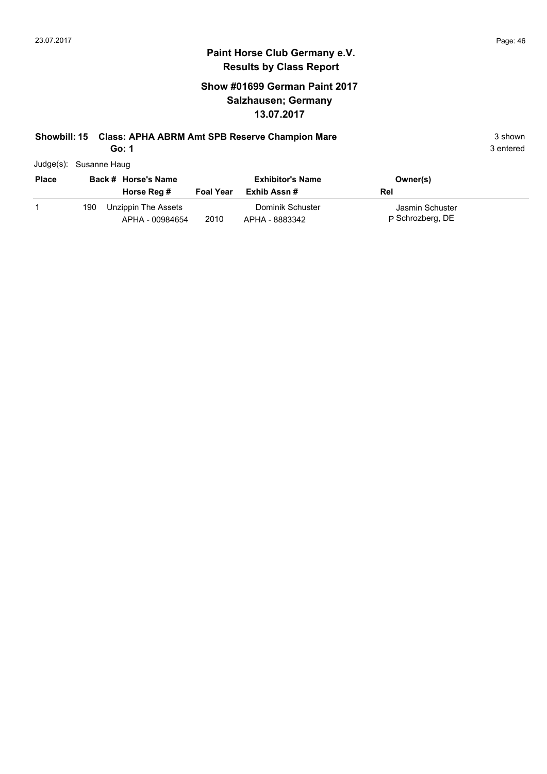### **Show #01699 German Paint 2017 Salzhausen; Germany 13.07.2017**

#### **Showbill: 15 Class: APHA ABRM Amt SPB Reserve Champion Mare** 3 shown 3 shown

**Go: 1**

3 entered

Judge(s): Susanne Haug

| <b>Place</b> |     | Back # Horse's Name                    |                  | <b>Exhibitor's Name</b>            | Owner(s)                            |
|--------------|-----|----------------------------------------|------------------|------------------------------------|-------------------------------------|
|              |     | Horse Reg #                            | <b>Foal Year</b> | Exhib Assn #                       | Rel                                 |
|              | 190 | Unzippin The Assets<br>APHA - 00984654 | 2010             | Dominik Schuster<br>APHA - 8883342 | Jasmin Schuster<br>P Schrozberg, DE |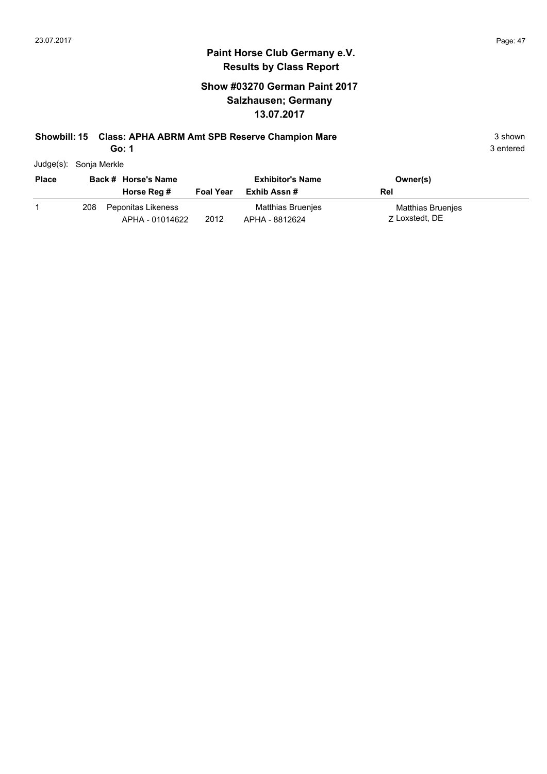### **Show #03270 German Paint 2017 Salzhausen; Germany 13.07.2017**

#### **Showbill: 15 Class: APHA ABRM Amt SPB Reserve Champion Mare** 3 shown 3 shown

**Go: 1**

3 entered

Judge(s): Sonja Merkle

| <b>Place</b> |     | Back # Horse's Name                   |                  | <b>Exhibitor's Name</b>             | Owner(s)                            |
|--------------|-----|---------------------------------------|------------------|-------------------------------------|-------------------------------------|
|              |     | Horse Reg #                           | <b>Foal Year</b> | Exhib Assn #                        | Rel                                 |
|              | 208 | Peponitas Likeness<br>APHA - 01014622 | 2012             | Matthias Bruenjes<br>APHA - 8812624 | Matthias Bruenjes<br>7 Loxstedt, DE |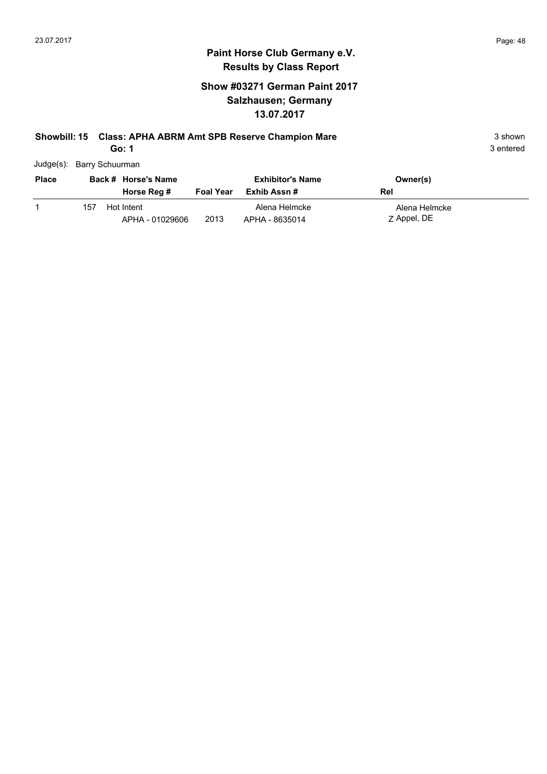## **Show #03271 German Paint 2017 Salzhausen; Germany 13.07.2017**

#### **Showbill: 15 Class: APHA ABRM Amt SPB Reserve Champion Mare** 3 shown 3 shown

**Go: 1**

| Judge(s): Barry Schuurman |  |
|---------------------------|--|
|                           |  |

| Place |     | Back # Horse's Name |                  | <b>Exhibitor's Name</b> | Owner(s)      |
|-------|-----|---------------------|------------------|-------------------------|---------------|
|       |     | Horse Reg #         | <b>Foal Year</b> | Exhib Assn #            | Rel           |
|       | 157 | Hot Intent          |                  | Alena Helmcke           | Alena Helmcke |
|       |     | APHA - 01029606     | 2013             | APHA - 8635014          | Z Appel, DE   |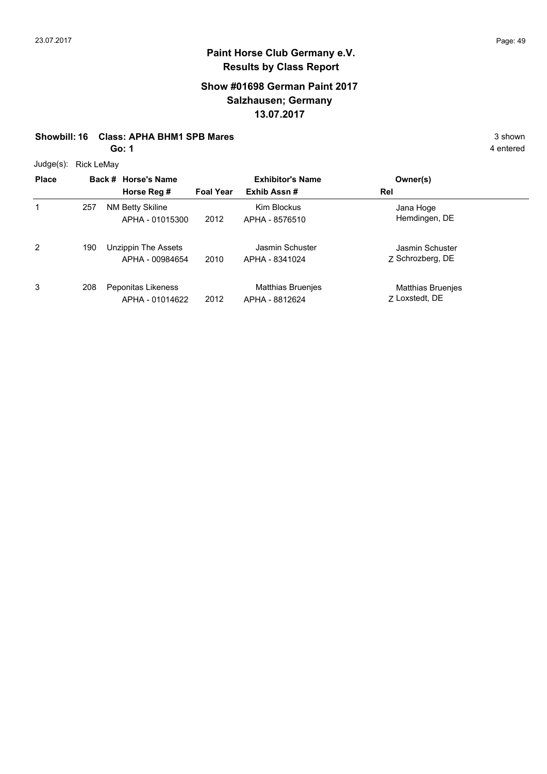#### **Show #01698 German Paint 2017 Salzhausen; Germany 13.07.2017**

#### **Showbill: 16 Class: APHA BHM1 SPB Mares** 3 shown

**Go: 1**

Judge(s): Rick LeMay

| Juuy <del>c</del> (3). | <b>NUN LUMAY</b> |                                            |                  |                                     |                                     |
|------------------------|------------------|--------------------------------------------|------------------|-------------------------------------|-------------------------------------|
| <b>Place</b>           |                  | Back # Horse's Name                        |                  | <b>Exhibitor's Name</b>             | Owner(s)                            |
|                        |                  | Horse Reg #                                | <b>Foal Year</b> | Exhib Assn#                         | Rel                                 |
| 1                      | 257              | <b>NM Betty Skiline</b><br>APHA - 01015300 | 2012             | Kim Blockus<br>APHA - 8576510       | Jana Hoge<br>Hemdingen, DE          |
| $\overline{2}$         | 190              | Unzippin The Assets<br>APHA - 00984654     | 2010             | Jasmin Schuster<br>APHA - 8341024   | Jasmin Schuster<br>Z Schrozberg, DE |
| 3                      | 208              | Peponitas Likeness<br>APHA - 01014622      | 2012             | Matthias Bruenjes<br>APHA - 8812624 | Matthias Bruenjes<br>7 Loxstedt, DE |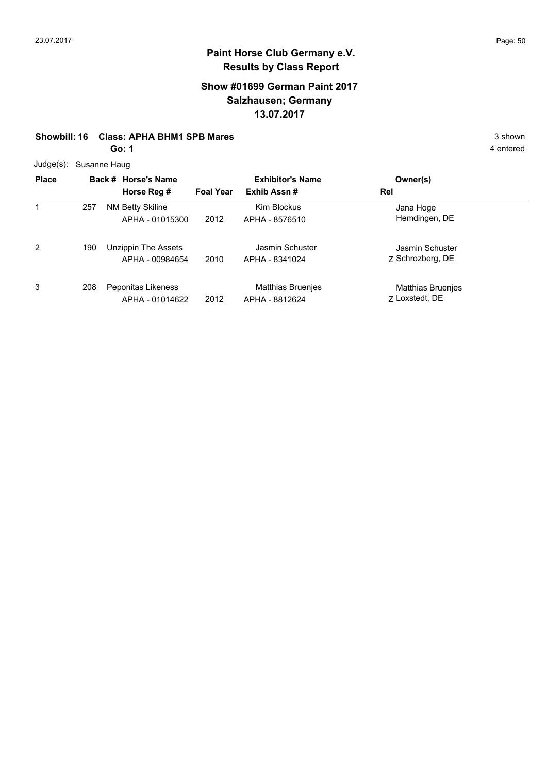#### **Show #01699 German Paint 2017 Salzhausen; Germany 13.07.2017**

#### **Showbill: 16 Class: APHA BHM1 SPB Mares** 3 shown

**Go: 1**

Judge(s): Susanne Haug

| ouuyu(ə).    |     | <b>UUSAHIIG HAUY</b> |                                            |                  |                                            |                                     |
|--------------|-----|----------------------|--------------------------------------------|------------------|--------------------------------------------|-------------------------------------|
| <b>Place</b> |     |                      | Back # Horse's Name                        |                  | <b>Exhibitor's Name</b>                    | Owner(s)                            |
|              |     |                      | Horse Reg #                                | <b>Foal Year</b> | Exhib Assn#                                | Rel                                 |
| 1            | 257 |                      | <b>NM Betty Skiline</b><br>APHA - 01015300 | 2012             | Kim Blockus<br>APHA - 8576510              | Jana Hoge<br>Hemdingen, DE          |
| 2            | 190 |                      | Unzippin The Assets<br>APHA - 00984654     | 2010             | Jasmin Schuster<br>APHA - 8341024          | Jasmin Schuster<br>Z Schrozberg, DE |
| 3            | 208 |                      | Peponitas Likeness<br>APHA - 01014622      | 2012             | <b>Matthias Bruenjes</b><br>APHA - 8812624 | Matthias Bruenjes<br>7 Loxstedt, DE |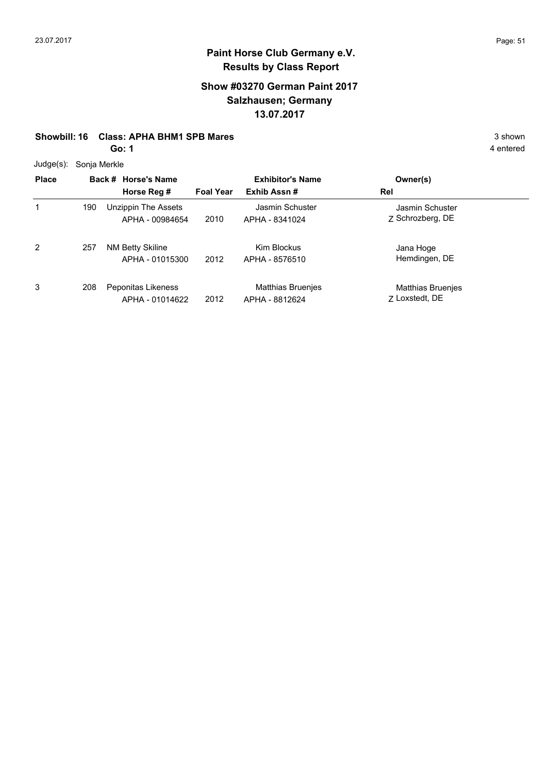### **Show #03270 German Paint 2017 Salzhausen; Germany 13.07.2017**

#### **Showbill: 16 Class: APHA BHM1 SPB Mares** 3 shown

**Go: 1**

Judge(s): Sonja Merkle

| $\frac{1}{2}$ |     |                                        |                  |                                            |                                            |  |
|---------------|-----|----------------------------------------|------------------|--------------------------------------------|--------------------------------------------|--|
| <b>Place</b>  |     | Back # Horse's Name                    |                  | <b>Exhibitor's Name</b>                    | Owner(s)                                   |  |
|               |     | Horse Reg #                            | <b>Foal Year</b> | Exhib Assn#                                | Rel                                        |  |
| 1             | 190 | Unzippin The Assets<br>APHA - 00984654 | 2010             | Jasmin Schuster<br>APHA - 8341024          | Jasmin Schuster<br>Z Schrozberg, DE        |  |
| 2             | 257 | NM Betty Skiline<br>APHA - 01015300    | 2012             | Kim Blockus<br>APHA - 8576510              | Jana Hoge<br>Hemdingen, DE                 |  |
| 3             | 208 | Peponitas Likeness<br>APHA - 01014622  | 2012             | <b>Matthias Bruenjes</b><br>APHA - 8812624 | <b>Matthias Bruenjes</b><br>7 Loxstedt, DE |  |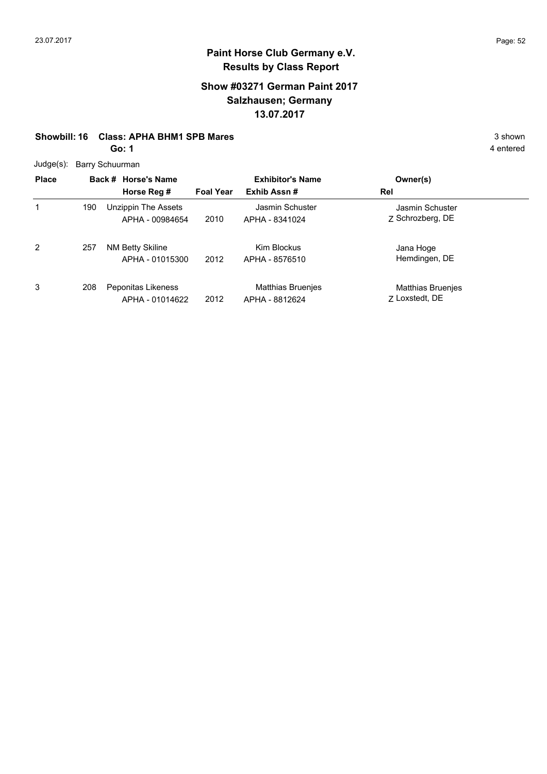### **Show #03271 German Paint 2017 Salzhausen; Germany 13.07.2017**

#### **Showbill: 16 Class: APHA BHM1 SPB Mares** 3 shown

**Go: 1**

Judge(s): Barry Schuurman

| $0$ uuy $0$ ( $0$ ). |     | <b>Daily Octivalitial</b>              |                         |                                     |                                     |  |
|----------------------|-----|----------------------------------------|-------------------------|-------------------------------------|-------------------------------------|--|
| <b>Place</b>         |     | Back # Horse's Name                    | <b>Exhibitor's Name</b> |                                     | Owner(s)                            |  |
|                      |     | Horse Reg #                            | <b>Foal Year</b>        | Exhib Assn#                         | Rel                                 |  |
| 1                    | 190 | Unzippin The Assets<br>APHA - 00984654 | 2010                    | Jasmin Schuster<br>APHA - 8341024   | Jasmin Schuster<br>7 Schrozberg, DE |  |
| 2                    | 257 | NM Betty Skiline<br>APHA - 01015300    | 2012                    | Kim Blockus<br>APHA - 8576510       | Jana Hoge<br>Hemdingen, DE          |  |
| 3                    | 208 | Peponitas Likeness<br>APHA - 01014622  | 2012                    | Matthias Bruenjes<br>APHA - 8812624 | Matthias Bruenjes<br>7 Loxstedt, DE |  |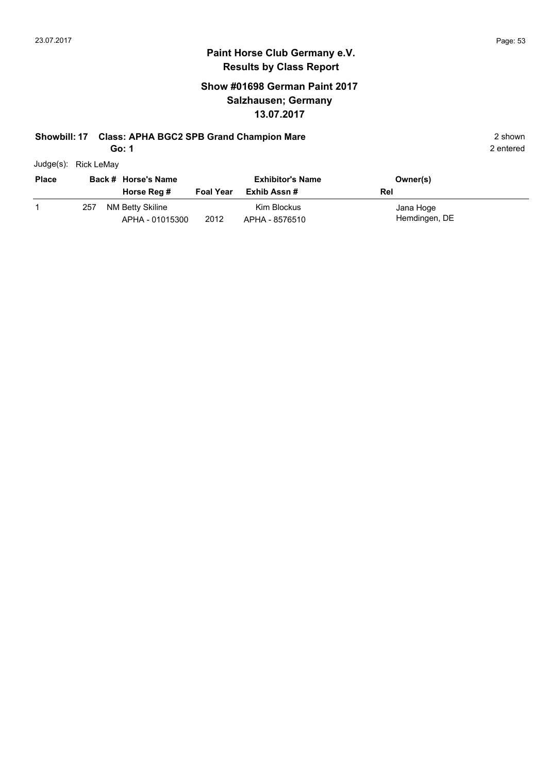## **Show #01698 German Paint 2017 Salzhausen; Germany 13.07.2017**

## **Showbill: 17 Class: APHA BGC2 SPB Grand Champion Mare** 2 shown

**Go: 1**

| Judge(s): | Rick LeMay |
|-----------|------------|
|           |            |

| <b>Place</b> |     | Back # Horse's Name                 |                  | <b>Exhibitor's Name</b>       | Owner(s)                   |
|--------------|-----|-------------------------------------|------------------|-------------------------------|----------------------------|
|              |     | Horse Reg #                         | <b>Foal Year</b> | Exhib Assn #                  | Rel                        |
|              | 257 | NM Betty Skiline<br>APHA - 01015300 | 2012             | Kim Blockus<br>APHA - 8576510 | Jana Hoge<br>Hemdingen, DE |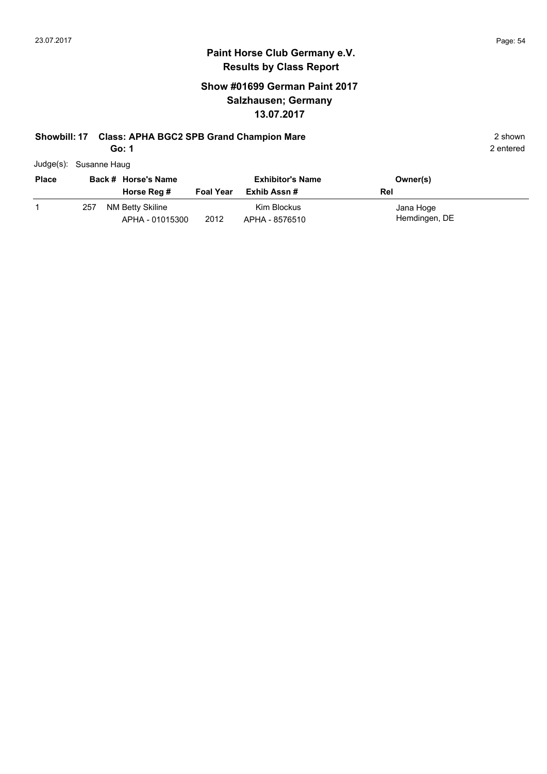## **Show #01699 German Paint 2017 Salzhausen; Germany 13.07.2017**

# **Showbill: 17 Class: APHA BGC2 SPB Grand Champion Mare** 2 shown

**Go: 1**

| Judge(s): Susanne Haug |
|------------------------|

| <b>Place</b> |     | Back # Horse's Name                 |                  | <b>Exhibitor's Name</b>       | Owner(s)                   |
|--------------|-----|-------------------------------------|------------------|-------------------------------|----------------------------|
|              |     | Horse Reg #                         | <b>Foal Year</b> | Exhib Assn #                  | Rel                        |
|              | 257 | NM Betty Skiline<br>APHA - 01015300 | 2012             | Kim Blockus<br>APHA - 8576510 | Jana Hoge<br>Hemdingen, DE |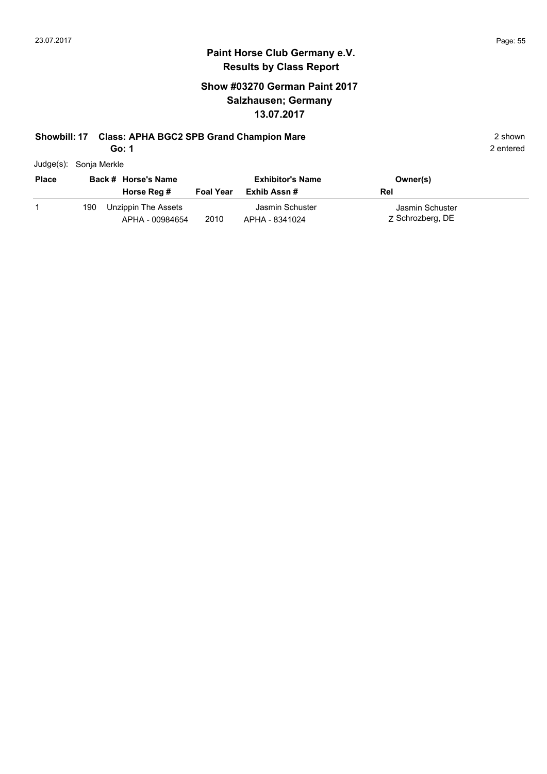#### **Paint Horse Club Germany e.V. Results by Class Report**

## **Show #03270 German Paint 2017 Salzhausen; Germany 13.07.2017**

#### **Showbill: 17 Class: APHA BGC2 SPB Grand Champion Mare** 2 shown

**Go: 1**

Judge(s): Sonja Merkle

| <b>Place</b> |     | Back # Horse's Name<br>Horse Reg #     | <b>Foal Year</b> | <b>Exhibitor's Name</b><br>Exhib Assn # | Owner(s)<br>Rel                     |
|--------------|-----|----------------------------------------|------------------|-----------------------------------------|-------------------------------------|
|              | 190 | Unzippin The Assets<br>APHA - 00984654 | 2010             | Jasmin Schuster<br>APHA - 8341024       | Jasmin Schuster<br>Z Schrozberg, DE |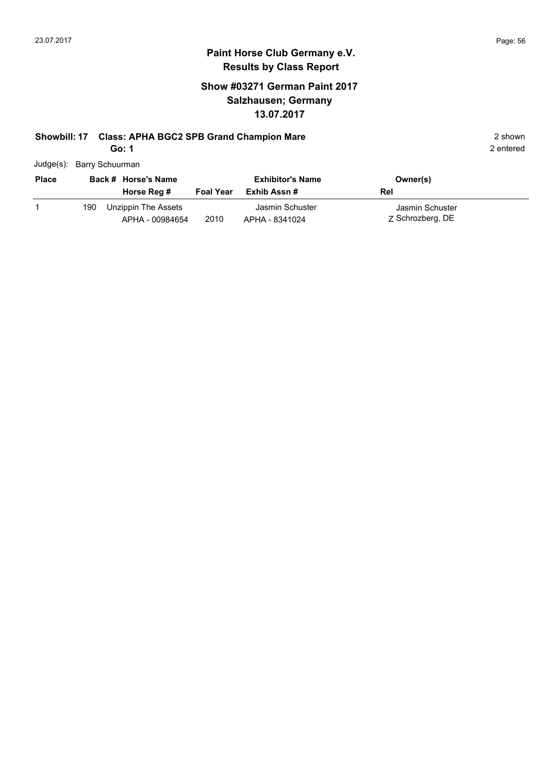# **Paint Horse Club Germany e.V. Results by Class Report**

## **Show #03271 German Paint 2017 Salzhausen; Germany 13.07.2017**

# **Showbill: 17 Class: APHA BGC2 SPB Grand Champion Mare** 2 shown 2 shown

**Go: 1**

| Judge(s): Barry Schuurman |
|---------------------------|

| <b>Place</b> |     | Back # Horse's Name<br>Horse Reg #     | <b>Foal Year</b> | <b>Exhibitor's Name</b><br>Exhib Assn # | Owner(s)<br>Rel                     |
|--------------|-----|----------------------------------------|------------------|-----------------------------------------|-------------------------------------|
|              | 190 | Unzippin The Assets<br>APHA - 00984654 | 2010             | Jasmin Schuster<br>APHA - 8341024       | Jasmin Schuster<br>Z Schrozberg, DE |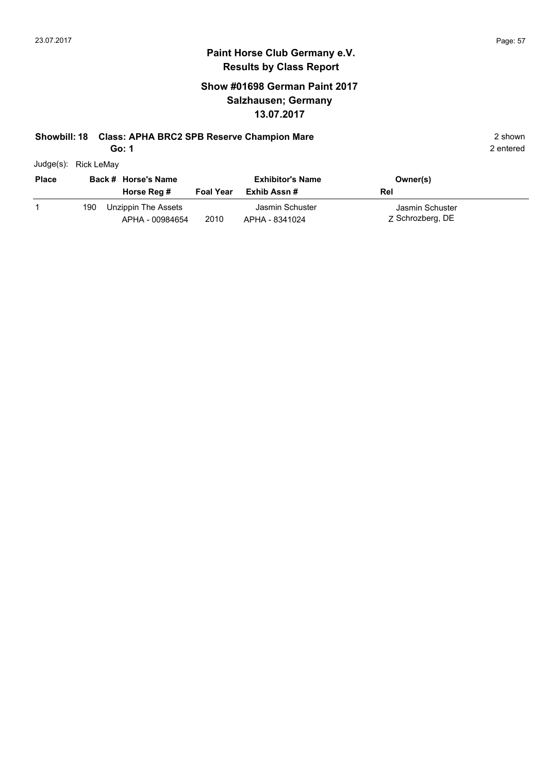## **Show #01698 German Paint 2017 Salzhausen; Germany 13.07.2017**

#### **Showbill: 18 Class: APHA BRC2 SPB Reserve Champion Mare** 2 shown

**Go: 1**

Judge(s): Rick LeMay

| <b>Place</b> |     | Back # Horse's Name<br>Horse Reg #     | <b>Foal Year</b> | <b>Exhibitor's Name</b><br>Exhib Assn # | Owner(s)<br>Rel                     |
|--------------|-----|----------------------------------------|------------------|-----------------------------------------|-------------------------------------|
|              | 190 | Unzippin The Assets<br>APHA - 00984654 | 2010             | Jasmin Schuster<br>APHA - 8341024       | Jasmin Schuster<br>Z Schrozberg, DE |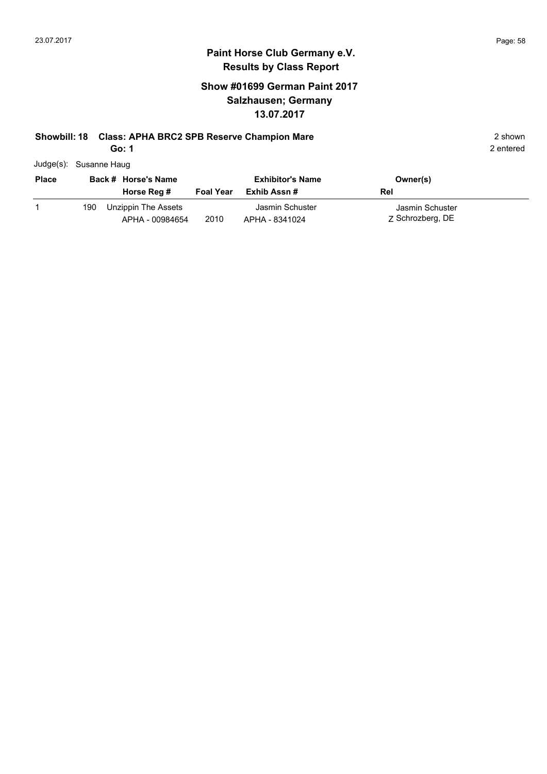## **Show #01699 German Paint 2017 Salzhausen; Germany 13.07.2017**

### **Showbill: 18 Class: APHA BRC2 SPB Reserve Champion Mare** 2 shown

**Go: 1**

|  | Judge(s): Susanne Haug |
|--|------------------------|
|--|------------------------|

| <b>Place</b> |     | Back # Horse's Name                    |                  | <b>Exhibitor's Name</b>           | Owner(s)                            |
|--------------|-----|----------------------------------------|------------------|-----------------------------------|-------------------------------------|
|              |     | Horse Reg #                            | <b>Foal Year</b> | Exhib Assn #                      | Rel                                 |
|              | 190 | Unzippin The Assets<br>APHA - 00984654 | 2010             | Jasmin Schuster<br>APHA - 8341024 | Jasmin Schuster<br>Z Schrozberg, DE |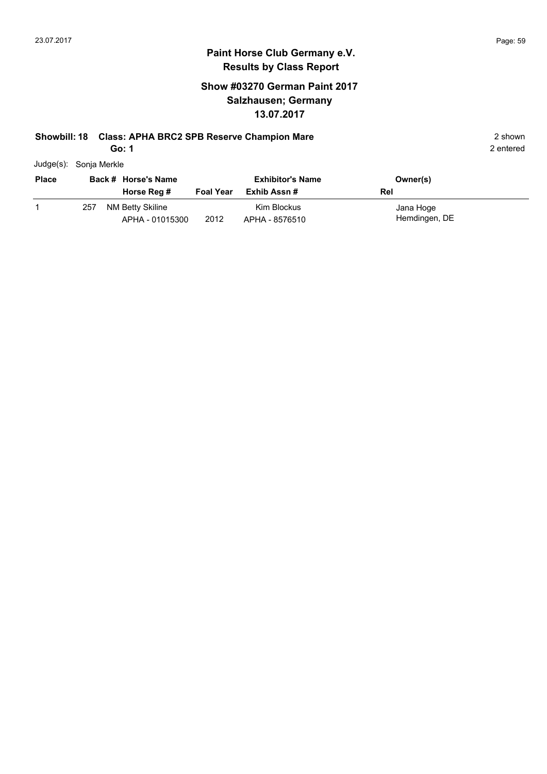## **Show #03270 German Paint 2017 Salzhausen; Germany 13.07.2017**

#### **Showbill: 18 Class: APHA BRC2 SPB Reserve Champion Mare** 2 shown

**Go: 1**

| Judge(s): Sonja Merkle |  |
|------------------------|--|
|                        |  |

| <b>Place</b> | Back # Horse's Name |                                     | <b>Exhibitor's Name</b> |                               | Owner(s)                   |
|--------------|---------------------|-------------------------------------|-------------------------|-------------------------------|----------------------------|
|              |                     | Horse Reg #                         | <b>Foal Year</b>        | Exhib Assn #                  | Rel                        |
|              | 257                 | NM Betty Skiline<br>APHA - 01015300 | 2012                    | Kim Blockus<br>APHA - 8576510 | Jana Hoge<br>Hemdingen, DE |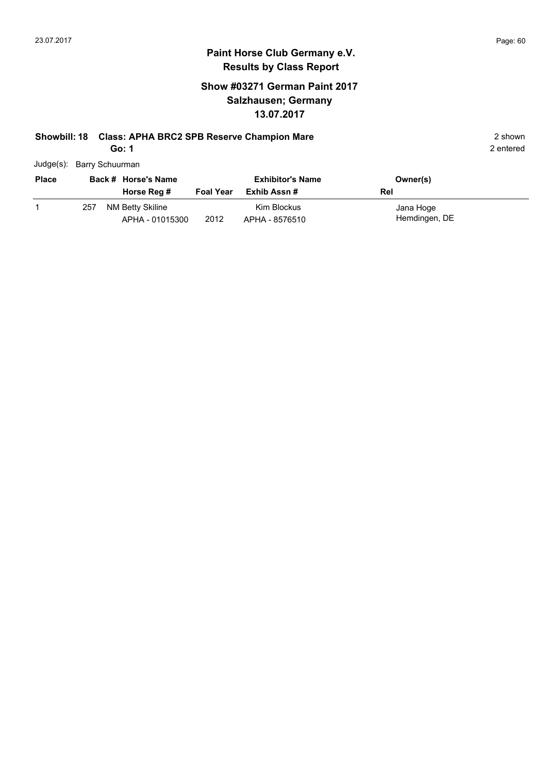## **Show #03271 German Paint 2017 Salzhausen; Germany 13.07.2017**

#### **Showbill: 18 Class: APHA BRC2 SPB Reserve Champion Mare** 2 shown

**Go: 1**

| Judge(s): Barry Schuurman |
|---------------------------|

| <b>Place</b> | Back # Horse's Name |                                     | <b>Exhibitor's Name</b> |                               | Owner(s)                   |
|--------------|---------------------|-------------------------------------|-------------------------|-------------------------------|----------------------------|
|              |                     | Horse Reg #                         | <b>Foal Year</b>        | Exhib Assn #                  | Rel                        |
|              | 257                 | NM Betty Skiline<br>APHA - 01015300 | 2012                    | Kim Blockus<br>APHA - 8576510 | Jana Hoge<br>Hemdingen, DE |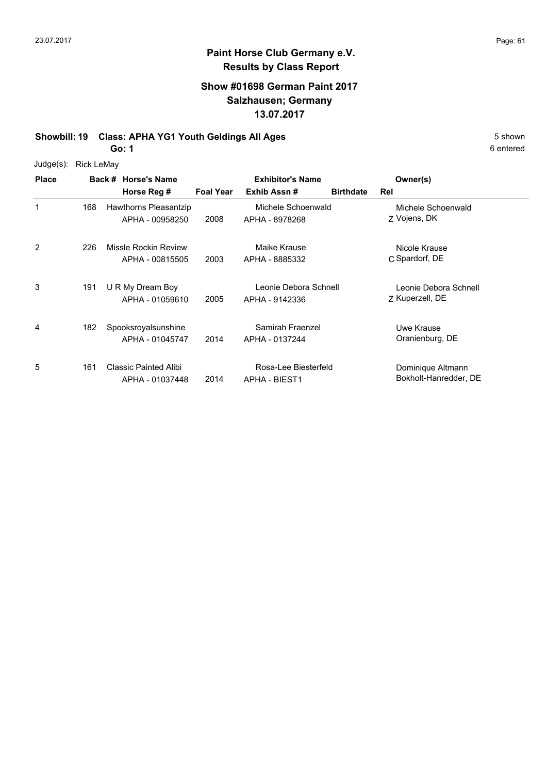# **Paint Horse Club Germany e.V. Results by Class Report**

## **Show #01698 German Paint 2017 Salzhausen; Germany 13.07.2017**

**Showbill: 19 Class: APHA YG1 Youth Geldings All Ages** 5 Shown

**Go: 1**

Judge(s): Rick LeMay

| <b>Place</b> |     | Back # Horse's Name<br>Horse Reg #              | <b>Foal Year</b> | <b>Exhibitor's Name</b><br>Exhib Assn#       | <b>Birthdate</b> | Owner(s)<br>Rel                            |  |
|--------------|-----|-------------------------------------------------|------------------|----------------------------------------------|------------------|--------------------------------------------|--|
| 1            | 168 | Hawthorns Pleasantzip<br>APHA - 00958250        | 2008             | Michele Schoenwald<br>APHA - 8978268         |                  | Michele Schoenwald<br>Z Vojens, DK         |  |
| 2            | 226 | Missle Rockin Review<br>APHA - 00815505         | 2003             | Maike Krause<br>APHA - 8885332               |                  | Nicole Krause<br>C Spardorf, DE            |  |
| 3            | 191 | U R My Dream Boy<br>APHA - 01059610             | 2005             | Leonie Debora Schnell<br>APHA - 9142336      |                  | Leonie Debora Schnell<br>Z Kuperzell, DE   |  |
| 4            | 182 | Spooksroyalsunshine<br>APHA - 01045747          | 2014             | Samirah Fraenzel<br>APHA - 0137244           |                  | Uwe Krause<br>Oranienburg, DE              |  |
| 5            | 161 | <b>Classic Painted Alibi</b><br>APHA - 01037448 | 2014             | Rosa-Lee Biesterfeld<br><b>APHA - BIEST1</b> |                  | Dominique Altmann<br>Bokholt-Hanredder, DE |  |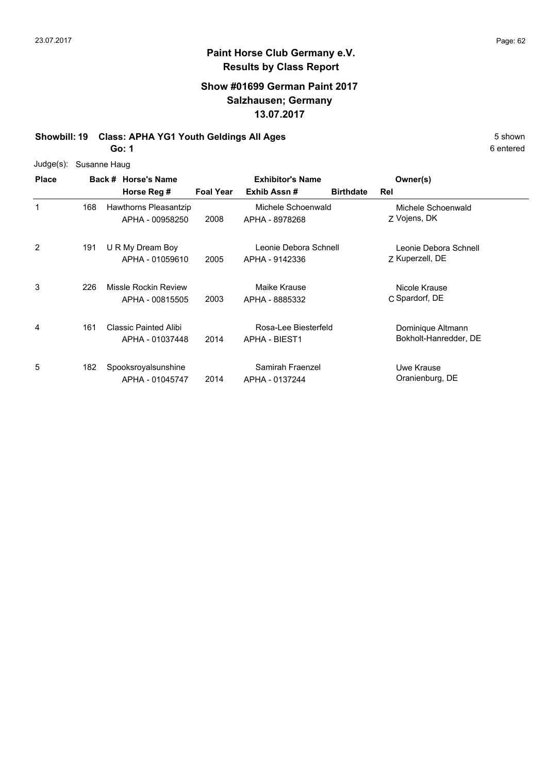# **Paint Horse Club Germany e.V. Results by Class Report**

## **Show #01699 German Paint 2017 Salzhausen; Germany 13.07.2017**

**Showbill: 19 Class: APHA YG1 Youth Geldings All Ages** 5 Shown

**Go: 1**

Judge(s): Susanne Haug

| <b>Place</b> |     | Back # Horse's Name   |                  | <b>Exhibitor's Name</b> |                  | Owner(s)              |  |
|--------------|-----|-----------------------|------------------|-------------------------|------------------|-----------------------|--|
|              |     | Horse Reg #           | <b>Foal Year</b> | Exhib Assn#             | <b>Birthdate</b> | Rel                   |  |
| 1            | 168 | Hawthorns Pleasantzip |                  | Michele Schoenwald      |                  | Michele Schoenwald    |  |
|              |     | APHA - 00958250       | 2008             | APHA - 8978268          |                  | Z Vojens, DK          |  |
| 2            | 191 | U R My Dream Boy      |                  | Leonie Debora Schnell   |                  | Leonie Debora Schnell |  |
|              |     | APHA - 01059610       | 2005             | APHA - 9142336          |                  | Z Kuperzell, DE       |  |
| 3            | 226 | Missle Rockin Review  |                  | Maike Krause            |                  | Nicole Krause         |  |
|              |     | APHA - 00815505       | 2003             | APHA - 8885332          |                  | C Spardorf, DE        |  |
| 4            | 161 | Classic Painted Alibi |                  | Rosa-Lee Biesterfeld    |                  | Dominique Altmann     |  |
|              |     | APHA - 01037448       | 2014             | <b>APHA - BIEST1</b>    |                  | Bokholt-Hanredder, DE |  |
| 5            | 182 | Spooksroyalsunshine   |                  | Samirah Fraenzel        |                  | Uwe Krause            |  |
|              |     | APHA - 01045747       | 2014             | APHA - 0137244          |                  | Oranienburg, DE       |  |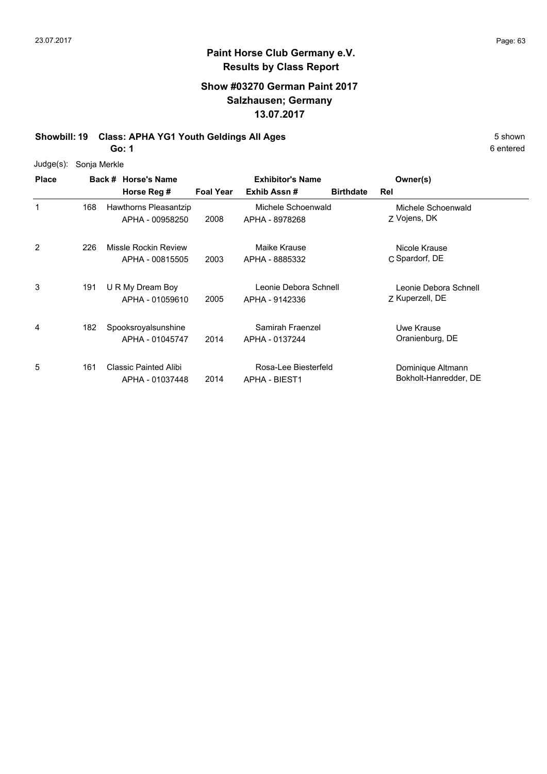#### **Show #03270 German Paint 2017 Salzhausen; Germany 13.07.2017**

**Showbill: 19 Class: APHA YG1 Youth Geldings All Ages** 5 Shown

**Go: 1**

Judge(s): Sonja Merkle

**Back # Horse's Name Place Owner(s) Horse Reg # Exhib Assn # Foal Year Birthdate Rel Exhibitor's Name** 1 Z Vojens, DK Michele Schoenwald 2008 APHA - 8978268 Z Vojens, DK Hawthorns Pleasantzip APHA - 00958250 Michele Schoenwald 168 2 C Spardorf, DE Nicole Krause 2003 APHA - 8885332 C Spardorf, DE Missle Rockin Review APHA - 00815505 Maike Krause 226 3 Z Kuperzell, DE Leonie Debora Schnell 2005 Kuperzell, DE APHA - 9142336 U R My Dream Boy APHA - 01059610 Leonie Debora Schnell 191 4 Uwe Krause Spooksroyalsunshine 2014 Oranienburg, DE APHA - 0137244 APHA - 01045747 Samirah Fraenzel 182 5 161 Classic Painted Alibi Rosa-Lee Biesterfeld Dominique Altmann 2014 Bokholt-Hanredder, DE APHA - 01037448 Rosa-Lee Biesterfeld APHA - BIEST1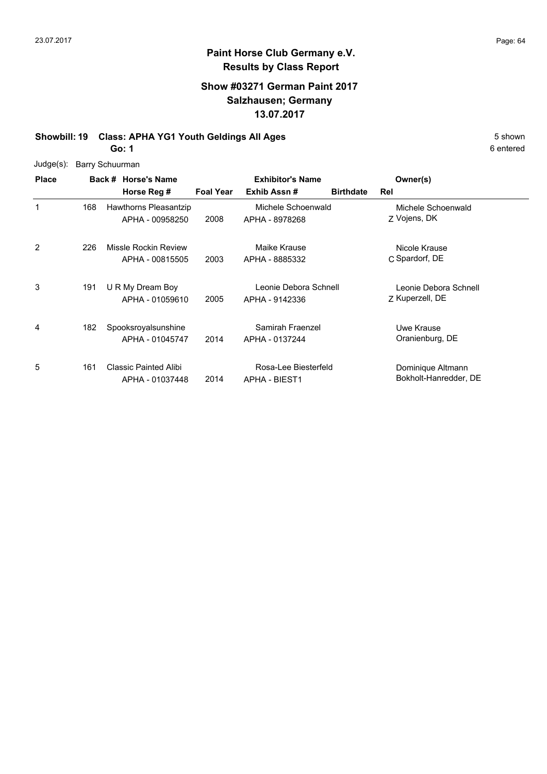### **Paint Horse Club Germany e.V. Results by Class Report**

# **Show #03271 German Paint 2017 Salzhausen; Germany 13.07.2017**

# **Showbill: 19 Class: APHA YG1 Youth Geldings All Ages** 5 Shown

**Go: 1**

Judge(s): Barry Schuurman

| <b>Place</b> |     | Back # Horse's Name<br>Horse Reg #       | <b>Foal Year</b> | <b>Exhibitor's Name</b><br>Exhib Assn#       | <b>Birthdate</b> | Owner(s)<br>Rel                            |  |
|--------------|-----|------------------------------------------|------------------|----------------------------------------------|------------------|--------------------------------------------|--|
| 1            | 168 | Hawthorns Pleasantzip<br>APHA - 00958250 | 2008             | Michele Schoenwald<br>APHA - 8978268         |                  | Michele Schoenwald<br>Z Vojens, DK         |  |
| 2            | 226 | Missle Rockin Review<br>APHA - 00815505  | 2003             | Maike Krause<br>APHA - 8885332               |                  | Nicole Krause<br>C Spardorf, DE            |  |
| 3            | 191 | U R My Dream Boy<br>APHA - 01059610      | 2005             | Leonie Debora Schnell<br>APHA - 9142336      |                  | Leonie Debora Schnell<br>Z Kuperzell, DE   |  |
| 4            | 182 | Spooksroyalsunshine<br>APHA - 01045747   | 2014             | Samirah Fraenzel<br>APHA - 0137244           |                  | Uwe Krause<br>Oranienburg, DE              |  |
| 5            | 161 | Classic Painted Alibi<br>APHA - 01037448 | 2014             | Rosa-Lee Biesterfeld<br><b>APHA - BIEST1</b> |                  | Dominique Altmann<br>Bokholt-Hanredder, DE |  |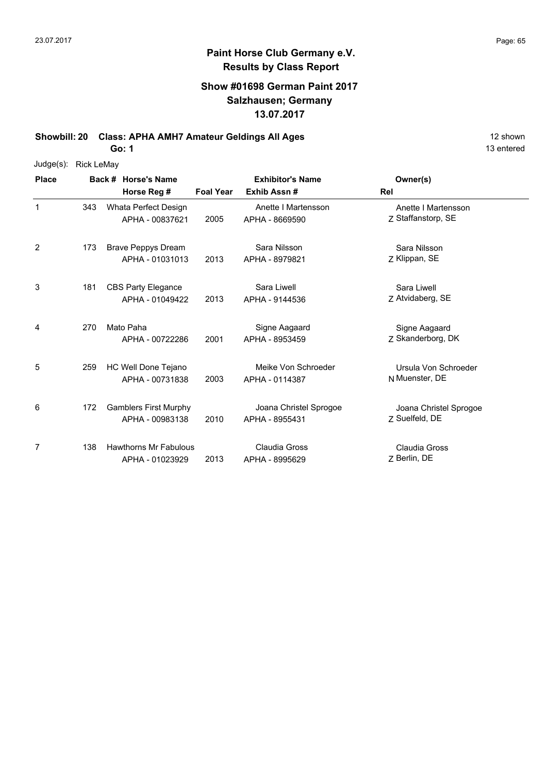#### **Show #01698 German Paint 2017 Salzhausen; Germany 13.07.2017**

**Showbill: 20 Class: APHA AMH7 Amateur Geldings All Ages** 12 shown

**Go: 1**

138 Hawthorns Mr Fabulous

APHA - 01023929

Judge(s): Rick LeMay **Back # Horse's Name Place Owner(s) Horse Reg # Exhib Assn # Foal Year Rel Exhibitor's Name** 1 7 Staffanstorp, SE Anette I Martensson 2005 APHA - 8669590 Z Staffanstorp, SE Whata Perfect Design APHA - 00837621 Anette I Martensson 343 2 Z Klippan, SE Sara Nilsson 2013 APHA - 8979821 Z Klippan, SE 173 Brave Peppys Dream APHA - 01031013 Sara Nilsson 3 Z Atvidaberg, SE Sara Liwell 2013 APHA - 9144536 Z Atvidaberg, SE CBS Party Elegance APHA - 01049422 Sara Liwell 181 4 2001 APHA - 8953459 Z Skanderborg, DK Signe Aagaard Mato Paha APHA - 00722286 Signe Aagaard APHA - 8953459 270 5 N Muenster, DE Ursula Von Schroeder 2003 Muenster, DE APHA - 0114387 259 HC Well Done Tejano APHA - 00731838 Meike Von Schroeder 6 7 Suelfeld, DE Joana Christel Sprogoe 2010 APHA - 8955431 Z Suelfeld, DE 172 Gamblers First Murphy APHA - 00983138 Joana Christel Sprogoe 7 Claudia Gross Claudia Gross

2013 APHA - 8995629 Z Berlin, DE

13 entered

Z Berlin, DE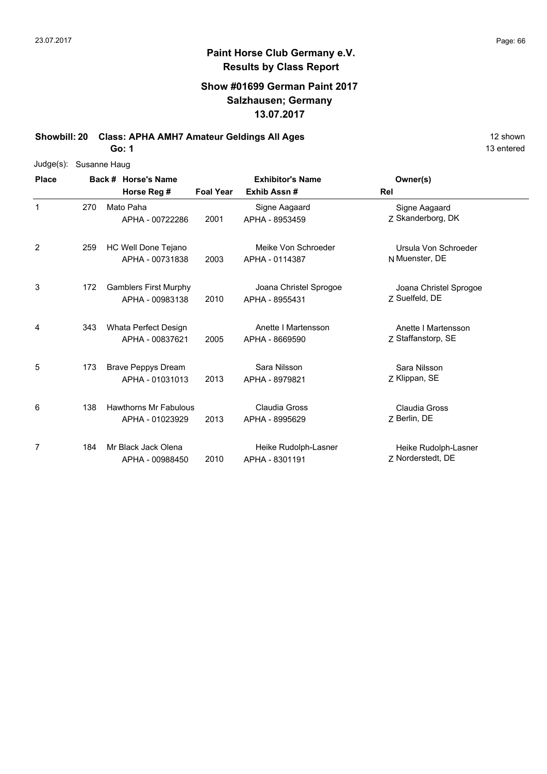### **Show #01699 German Paint 2017 Salzhausen; Germany 13.07.2017**

**Showbill: 20 Class: APHA AMH7 Amateur Geldings All Ages** 12 shown

**Go: 1**

|              | Judge(s): Susanne Haug |                     |                              |                  |                         |                        |  |  |  |
|--------------|------------------------|---------------------|------------------------------|------------------|-------------------------|------------------------|--|--|--|
| <b>Place</b> |                        | Back # Horse's Name |                              |                  | <b>Exhibitor's Name</b> | Owner(s)               |  |  |  |
|              |                        |                     | Horse Reg #                  | <b>Foal Year</b> | Exhib Assn#             | Rel                    |  |  |  |
| $\mathbf{1}$ | 270                    |                     | Mato Paha                    |                  | Signe Aagaard           | Signe Aagaard          |  |  |  |
|              |                        |                     | APHA - 00722286              | 2001             | APHA - 8953459          | Z Skanderborg, DK      |  |  |  |
| 2            | 259                    |                     | HC Well Done Tejano          |                  | Meike Von Schroeder     | Ursula Von Schroeder   |  |  |  |
|              |                        |                     | APHA - 00731838              | 2003             | APHA - 0114387          | N Muenster, DE         |  |  |  |
| 3            | 172                    |                     | <b>Gamblers First Murphy</b> |                  | Joana Christel Sprogoe  | Joana Christel Sprogoe |  |  |  |
|              |                        |                     | APHA - 00983138              | 2010             | APHA - 8955431          | Z Suelfeld, DE         |  |  |  |
| 4            | 343                    |                     | Whata Perfect Design         |                  | Anette I Martensson     | Anette I Martensson    |  |  |  |
|              |                        |                     | APHA - 00837621              | 2005             | APHA - 8669590          | Z Staffanstorp, SE     |  |  |  |
| 5            | 173                    |                     | <b>Brave Peppys Dream</b>    |                  | Sara Nilsson            | Sara Nilsson           |  |  |  |
|              |                        |                     | APHA - 01031013              | 2013             | APHA - 8979821          | Z Klippan, SE          |  |  |  |
| 6            | 138                    |                     | <b>Hawthorns Mr Fabulous</b> |                  | Claudia Gross           | Claudia Gross          |  |  |  |
|              |                        |                     | APHA - 01023929              | 2013             | APHA - 8995629          | Z Berlin, DE           |  |  |  |
| 7            | 184                    |                     | Mr Black Jack Olena          |                  | Heike Rudolph-Lasner    | Heike Rudolph-Lasner   |  |  |  |
|              |                        |                     | APHA - 00988450              | 2010             | APHA - 8301191          | Z Norderstedt, DE      |  |  |  |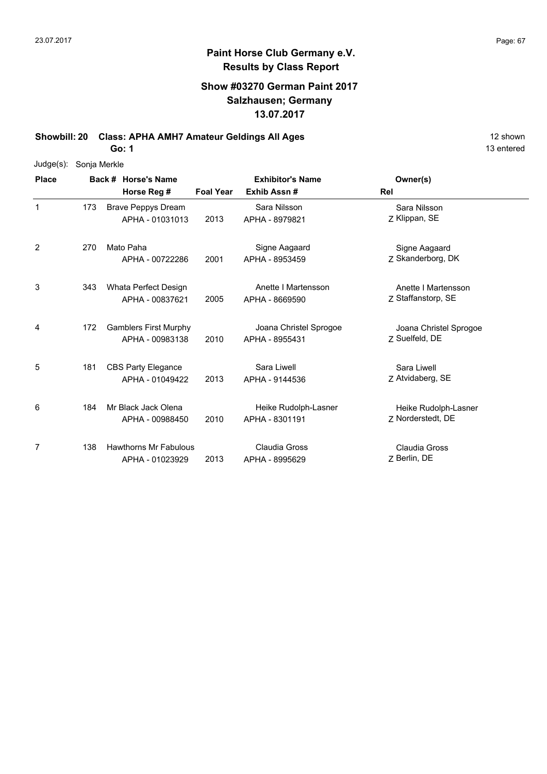#### **Show #03270 German Paint 2017 Salzhausen; Germany 13.07.2017**

**Showbill: 20 Class: APHA AMH7 Amateur Geldings All Ages** 12 shown

**Go: 1**

| $Judge(s)$ : | Sonja Merkle |  |                              |                  |                         |                        |  |  |  |
|--------------|--------------|--|------------------------------|------------------|-------------------------|------------------------|--|--|--|
| <b>Place</b> |              |  | Back # Horse's Name          |                  | <b>Exhibitor's Name</b> | Owner(s)               |  |  |  |
|              |              |  | Horse Reg #                  | <b>Foal Year</b> | Exhib Assn#             | Rel                    |  |  |  |
| $\mathbf{1}$ | 173          |  | <b>Brave Peppys Dream</b>    |                  | Sara Nilsson            | Sara Nilsson           |  |  |  |
|              |              |  | APHA - 01031013              | 2013             | APHA - 8979821          | Z Klippan, SE          |  |  |  |
| 2            | 270          |  | Mato Paha                    |                  | Signe Aagaard           | Signe Aagaard          |  |  |  |
|              |              |  | APHA - 00722286              | 2001             | APHA - 8953459          | Z Skanderborg, DK      |  |  |  |
| 3            | 343          |  | Whata Perfect Design         |                  | Anette I Martensson     | Anette I Martensson    |  |  |  |
|              |              |  | APHA - 00837621              | 2005             | APHA - 8669590          | Z Staffanstorp, SE     |  |  |  |
| 4            | 172          |  | <b>Gamblers First Murphy</b> |                  | Joana Christel Sprogoe  | Joana Christel Sprogoe |  |  |  |
|              |              |  | APHA - 00983138              | 2010             | APHA - 8955431          | 7 Suelfeld, DE         |  |  |  |
| 5            | 181          |  | <b>CBS Party Elegance</b>    |                  | Sara Liwell             | Sara Liwell            |  |  |  |
|              |              |  | APHA - 01049422              | 2013             | APHA - 9144536          | Z Atvidaberg, SE       |  |  |  |
| 6            | 184          |  | Mr Black Jack Olena          |                  | Heike Rudolph-Lasner    | Heike Rudolph-Lasner   |  |  |  |
|              |              |  | APHA - 00988450              | 2010             | APHA - 8301191          | 7 Norderstedt, DE      |  |  |  |
| 7            | 138          |  | <b>Hawthorns Mr Fabulous</b> |                  | Claudia Gross           | <b>Claudia Gross</b>   |  |  |  |
|              |              |  | APHA - 01023929              | 2013             | APHA - 8995629          | Z Berlin, DE           |  |  |  |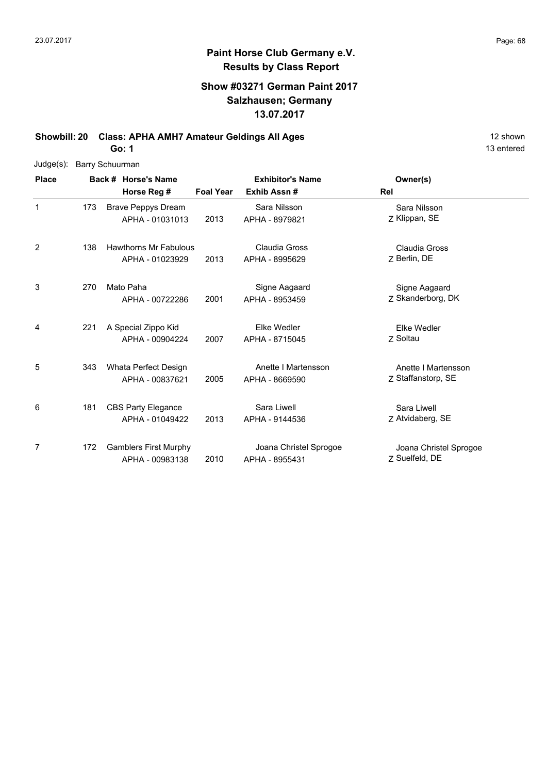### **Show #03271 German Paint 2017 Salzhausen; Germany 13.07.2017**

**Showbill: 20 Class: APHA AMH7 Amateur Geldings All Ages** 12 shown

**Go: 1**

| $Judge(s)$ : | Barry Schuurman |                              |                  |                         |                        |  |  |  |  |
|--------------|-----------------|------------------------------|------------------|-------------------------|------------------------|--|--|--|--|
| <b>Place</b> |                 | Back # Horse's Name          |                  | <b>Exhibitor's Name</b> | Owner(s)               |  |  |  |  |
|              |                 | Horse Reg #                  | <b>Foal Year</b> | Exhib Assn#             | Rel                    |  |  |  |  |
| $\mathbf{1}$ | 173             | <b>Brave Peppys Dream</b>    |                  | Sara Nilsson            | Sara Nilsson           |  |  |  |  |
|              |                 | APHA - 01031013              | 2013             | APHA - 8979821          | Z Klippan, SE          |  |  |  |  |
| 2            | 138             | <b>Hawthorns Mr Fabulous</b> |                  | <b>Claudia Gross</b>    | Claudia Gross          |  |  |  |  |
|              |                 | APHA - 01023929              | 2013             | APHA - 8995629          | Z Berlin, DE           |  |  |  |  |
| 3            | 270             | Mato Paha                    |                  | Signe Aagaard           | Signe Aagaard          |  |  |  |  |
|              |                 | APHA - 00722286              | 2001             | APHA - 8953459          | Z Skanderborg, DK      |  |  |  |  |
| 4            | 221             | A Special Zippo Kid          |                  | Elke Wedler             | Elke Wedler            |  |  |  |  |
|              |                 | APHA - 00904224              | 2007             | APHA - 8715045          | Z Soltau               |  |  |  |  |
| 5            | 343             | Whata Perfect Design         |                  | Anette I Martensson     | Anette I Martensson    |  |  |  |  |
|              |                 | APHA - 00837621              | 2005             | APHA - 8669590          | Z Staffanstorp, SE     |  |  |  |  |
| 6            | 181             | <b>CBS Party Elegance</b>    |                  | Sara Liwell             | Sara Liwell            |  |  |  |  |
|              |                 | APHA - 01049422              | 2013             | APHA - 9144536          | Z Atvidaberg, SE       |  |  |  |  |
| 7            | 172             | <b>Gamblers First Murphy</b> |                  | Joana Christel Sprogoe  | Joana Christel Sprogoe |  |  |  |  |
|              |                 | APHA - 00983138              | 2010             | APHA - 8955431          | Z Suelfeld, DE         |  |  |  |  |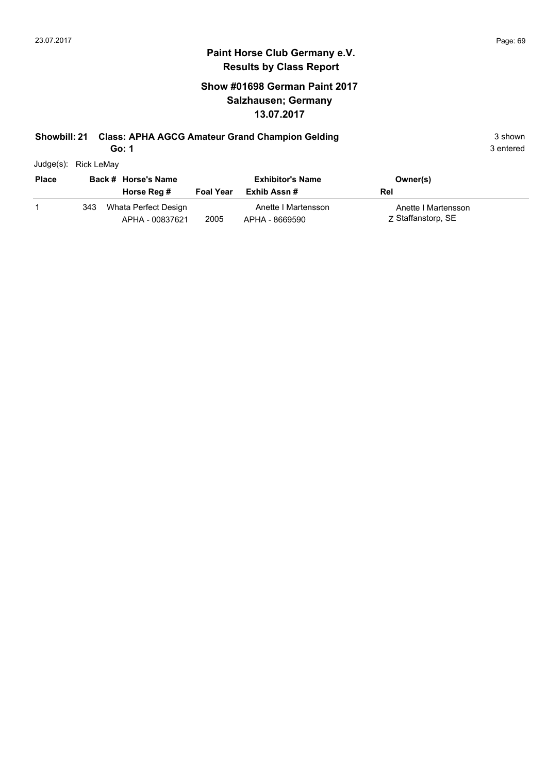# **Show #01698 German Paint 2017 Salzhausen; Germany 13.07.2017**

# **Showbill: 21 Class: APHA AGCG Amateur Grand Champion Gelding** 3 shown 3 shown

**Go: 1**

| Judge(s): | Rick LeMay |
|-----------|------------|
|           |            |

| <b>Place</b> |     | Back # Horse's Name                     |                  | <b>Exhibitor's Name</b>               | Owner(s)                                  |
|--------------|-----|-----------------------------------------|------------------|---------------------------------------|-------------------------------------------|
|              |     | Horse Reg #                             | <b>Foal Year</b> | Exhib Assn #                          | Rel                                       |
|              | 343 | Whata Perfect Design<br>APHA - 00837621 | 2005             | Anette I Martensson<br>APHA - 8669590 | Anette I Martensson<br>Z Staffanstorp, SE |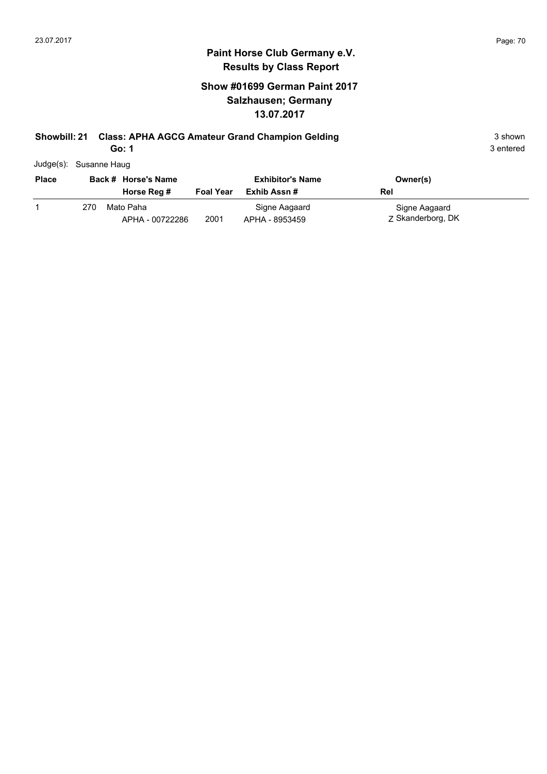## **Show #01699 German Paint 2017 Salzhausen; Germany 13.07.2017**

# **Showbill: 21 Class: APHA AGCG Amateur Grand Champion Gelding** 3 shown 3 shown

**Go: 1**

| Judge(s): Susanne Haug |
|------------------------|
|                        |

| <b>Place</b> |     | Back # Horse's Name          |                  | <b>Exhibitor's Name</b>         | Owner(s)                           |
|--------------|-----|------------------------------|------------------|---------------------------------|------------------------------------|
|              |     | Horse Reg #                  | <b>Foal Year</b> | Exhib Assn #                    | Rel                                |
|              | 270 | Mato Paha<br>APHA - 00722286 | 2001             | Signe Aagaard<br>APHA - 8953459 | Signe Aagaard<br>Z Skanderborg, DK |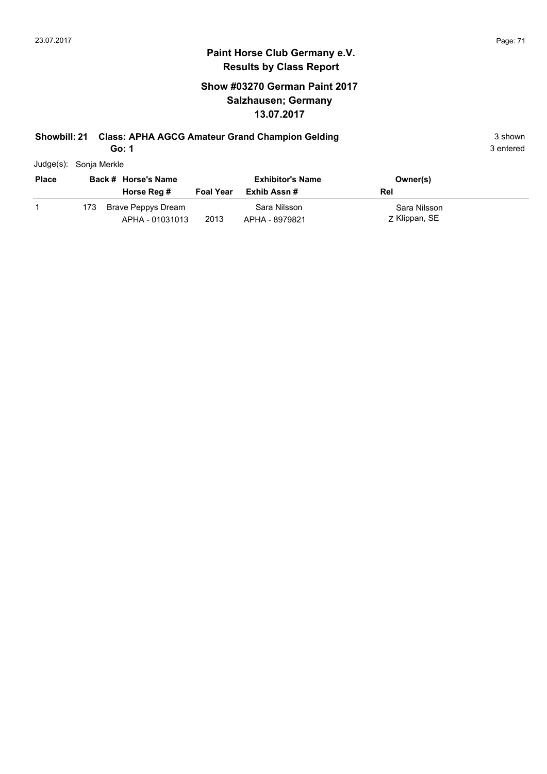## **Show #03270 German Paint 2017 Salzhausen; Germany 13.07.2017**

# **Showbill: 21 Class: APHA AGCG Amateur Grand Champion Gelding** 3 shown 3 shown

**Go: 1**

| Judge(s): Sonja Merkle |  |
|------------------------|--|
|                        |  |

| <b>Place</b> |     | Back # Horse's Name                   |                  | <b>Exhibitor's Name</b>        | Owner(s)                      |
|--------------|-----|---------------------------------------|------------------|--------------------------------|-------------------------------|
|              |     | Horse Reg #                           | <b>Foal Year</b> | Exhib Assn #                   | Rel                           |
|              | 173 | Brave Peppys Dream<br>APHA - 01031013 | 2013             | Sara Nilsson<br>APHA - 8979821 | Sara Nilsson<br>Z Klippan, SE |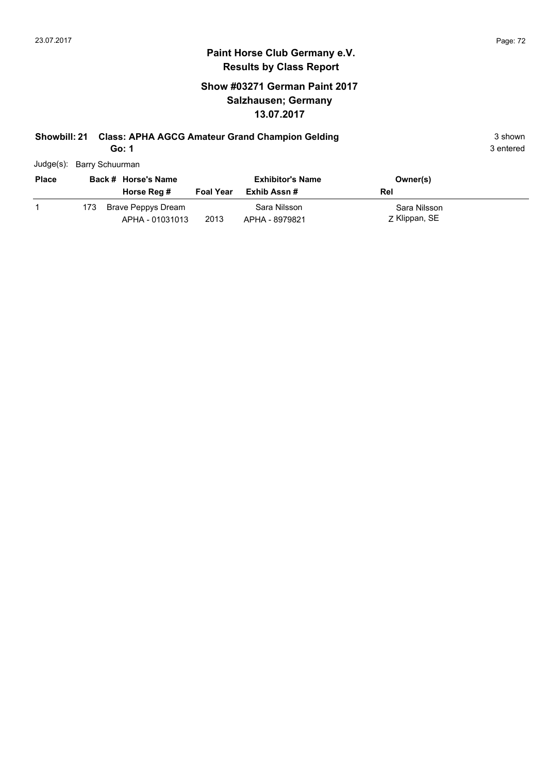## **Show #03271 German Paint 2017 Salzhausen; Germany 13.07.2017**

# **Showbill: 21 Class: APHA AGCG Amateur Grand Champion Gelding** 3 shown 3 shown

**Go: 1**

| Judge(s): Barry Schuurman |
|---------------------------|

| <b>Place</b> | Back # Horse's Name |                                       | <b>Exhibitor's Name</b> |                                | Owner(s)                      |
|--------------|---------------------|---------------------------------------|-------------------------|--------------------------------|-------------------------------|
|              |                     | Horse Reg #                           | <b>Foal Year</b>        | Exhib Assn #                   | Rel                           |
|              | 173.                | Brave Peppys Dream<br>APHA - 01031013 | 2013                    | Sara Nilsson<br>APHA - 8979821 | Sara Nilsson<br>Z Klippan, SE |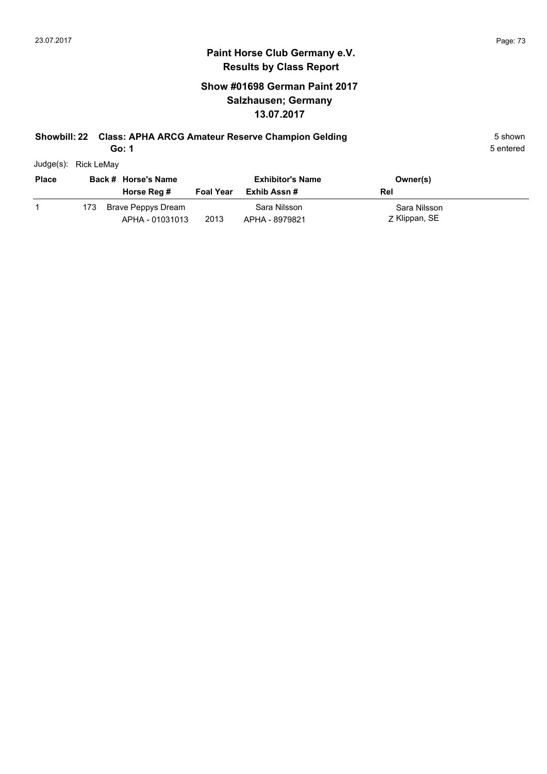## **Show #01698 German Paint 2017 Salzhausen; Germany 13.07.2017**

# **Showbill: 22 Class: APHA ARCG Amateur Reserve Champion Gelding** 5 Shown 5 shown

**Go: 1**

| Judge(s): | <b>Rick LeMay</b> |
|-----------|-------------------|
|           |                   |

| <b>Place</b> |     | Back # Horse's Name                   |                  | <b>Exhibitor's Name</b>        | Owner(s)                      |
|--------------|-----|---------------------------------------|------------------|--------------------------------|-------------------------------|
|              |     | Horse Reg #                           | <b>Foal Year</b> | Exhib Assn #                   | Rel                           |
|              | 173 | Brave Peppys Dream<br>APHA - 01031013 | 2013             | Sara Nilsson<br>APHA - 8979821 | Sara Nilsson<br>Z Klippan, SE |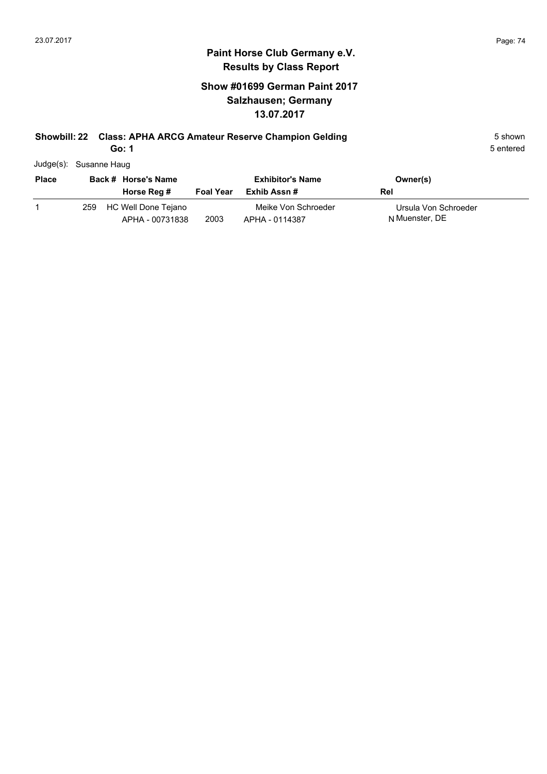## **Show #01699 German Paint 2017 Salzhausen; Germany 13.07.2017**

# **Showbill: 22 Class: APHA ARCG Amateur Reserve Champion Gelding** 5 Shown 5 shown

**Go: 1**

|  | Judge(s): Susanne Haug |
|--|------------------------|
|--|------------------------|

| <b>Place</b> |     | Back # Horse's Name                    | <b>Exhibitor's Name</b> |                                       | Owner(s)                               |  |
|--------------|-----|----------------------------------------|-------------------------|---------------------------------------|----------------------------------------|--|
|              |     | Horse Reg #                            | Foal Year               | Exhib Assn #                          | Rel                                    |  |
|              | 259 | HC Well Done Tejano<br>APHA - 00731838 | 2003                    | Meike Von Schroeder<br>APHA - 0114387 | Ursula Von Schroeder<br>N Muenster, DE |  |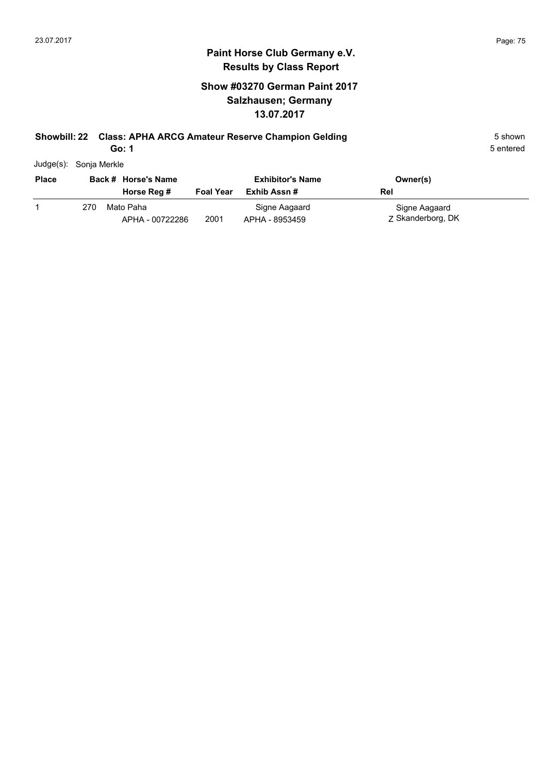## **Show #03270 German Paint 2017 Salzhausen; Germany 13.07.2017**

## **Showbill: 22 Class: APHA ARCG Amateur Reserve Champion Gelding** 5 Shown 5 shown

**Go: 1**

| Judge(s): | Sonja Merkle |
|-----------|--------------|
|           |              |

| <b>Place</b> |     | Back # Horse's Name<br>Horse Reg # | <b>Foal Year</b> | <b>Exhibitor's Name</b><br>Exhib Assn # | Owner(s)<br>Rel                    |
|--------------|-----|------------------------------------|------------------|-----------------------------------------|------------------------------------|
|              | 270 | Mato Paha<br>APHA - 00722286       | 2001             | Signe Aagaard<br>APHA - 8953459         | Signe Aagaard<br>Z Skanderborg, DK |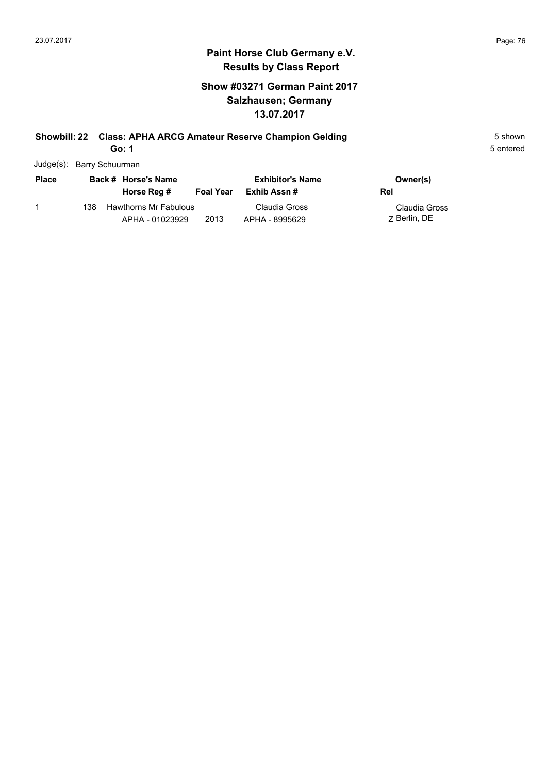## **Show #03271 German Paint 2017 Salzhausen; Germany 13.07.2017**

# **Showbill: 22 Class: APHA ARCG Amateur Reserve Champion Gelding** 5 Shown 5 shown

**Go: 1**

| Judge(s): Barry Schuurman |  |
|---------------------------|--|

| <b>Place</b> |      | Back # Horse's Name                      |                  | <b>Exhibitor's Name</b>         | Owner(s)                      |  |
|--------------|------|------------------------------------------|------------------|---------------------------------|-------------------------------|--|
|              |      | Horse Reg #                              | <b>Foal Year</b> | Exhib Assn #                    | Rel                           |  |
|              | 138. | Hawthorns Mr Fabulous<br>APHA - 01023929 | 2013             | Claudia Gross<br>APHA - 8995629 | Claudia Gross<br>7 Berlin, DE |  |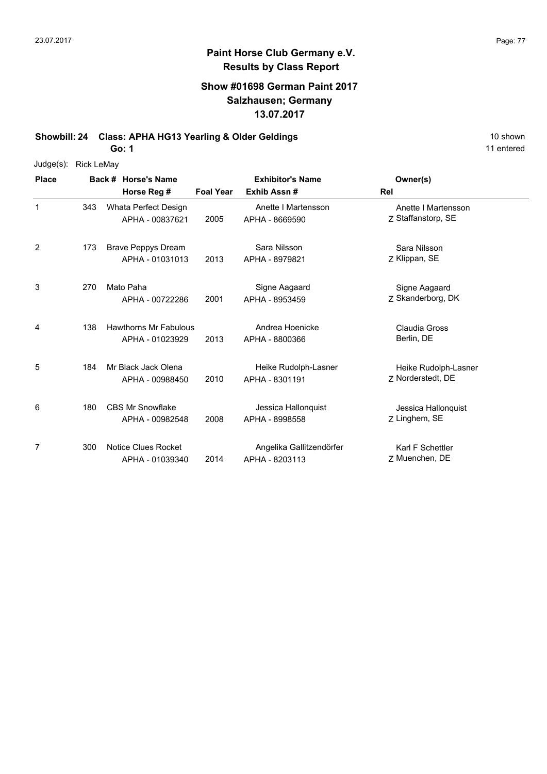## **Show #01698 German Paint 2017 Salzhausen; Germany 13.07.2017**

**Showbill: 24 Class: APHA HG13 Yearling & Older Geldings** 10 Shown 10 shown

**Go: 1**

| $Judge(s)$ : | <b>Rick LeMay</b> |                                                 |                  |                                            |                                           |
|--------------|-------------------|-------------------------------------------------|------------------|--------------------------------------------|-------------------------------------------|
| <b>Place</b> |                   | Back # Horse's Name<br>Horse Reg #              | <b>Foal Year</b> | <b>Exhibitor's Name</b><br>Exhib Assn#     | Owner(s)<br>Rel                           |
| 1            | 343               | Whata Perfect Design<br>APHA - 00837621         | 2005             | Anette I Martensson<br>APHA - 8669590      | Anette I Martensson<br>Z Staffanstorp, SE |
| 2            | 173               | <b>Brave Peppys Dream</b><br>APHA - 01031013    | 2013             | Sara Nilsson<br>APHA - 8979821             | Sara Nilsson<br>Z Klippan, SE             |
| 3            | 270               | Mato Paha<br>APHA - 00722286                    | 2001             | Signe Aagaard<br>APHA - 8953459            | Signe Aagaard<br>Z Skanderborg, DK        |
| 4            | 138               | <b>Hawthorns Mr Fabulous</b><br>APHA - 01023929 | 2013             | Andrea Hoenicke<br>APHA - 8800366          | Claudia Gross<br>Berlin, DE               |
| 5            | 184               | Mr Black Jack Olena<br>APHA - 00988450          | 2010             | Heike Rudolph-Lasner<br>APHA - 8301191     | Heike Rudolph-Lasner<br>7 Norderstedt, DE |
| 6            | 180               | <b>CBS Mr Snowflake</b><br>APHA - 00982548      | 2008             | Jessica Hallonquist<br>APHA - 8998558      | Jessica Hallonquist<br>Z Linghem, SE      |
| 7            | 300               | Notice Clues Rocket<br>APHA - 01039340          | 2014             | Angelika Gallitzendörfer<br>APHA - 8203113 | Karl F Schettler<br>Z Muenchen, DE        |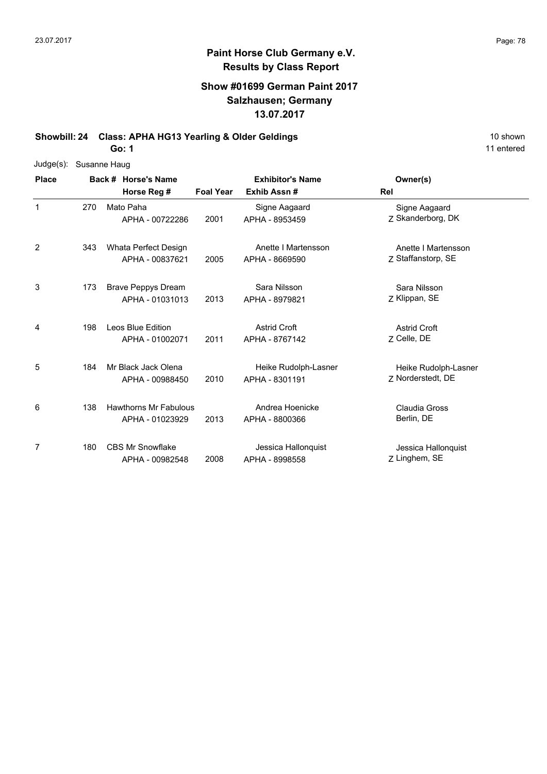## **Show #01699 German Paint 2017 Salzhausen; Germany 13.07.2017**

**Showbill: 24 Class: APHA HG13 Yearling & Older Geldings** 10 Shown 10 shown

**Go: 1**

| 10 shown   |
|------------|
| 11 entered |

| $Judge(s)$ :   |     | Susanne Haug                 |                  |                         |                      |
|----------------|-----|------------------------------|------------------|-------------------------|----------------------|
| <b>Place</b>   |     | Back # Horse's Name          |                  | <b>Exhibitor's Name</b> | Owner(s)             |
|                |     | Horse Reg #                  | <b>Foal Year</b> | Exhib Assn#             | Rel                  |
| 1              | 270 | Mato Paha                    |                  | Signe Aagaard           | Signe Aagaard        |
|                |     | APHA - 00722286              | 2001             | APHA - 8953459          | Z Skanderborg, DK    |
| 2              | 343 | Whata Perfect Design         |                  | Anette I Martensson     | Anette I Martensson  |
|                |     | APHA - 00837621              | 2005             | APHA - 8669590          | Z Staffanstorp, SE   |
| 3              | 173 | <b>Brave Peppys Dream</b>    |                  | Sara Nilsson            | Sara Nilsson         |
|                |     | APHA - 01031013              | 2013             | APHA - 8979821          | Z Klippan, SE        |
| 4              | 198 | Leos Blue Edition            |                  | <b>Astrid Croft</b>     | <b>Astrid Croft</b>  |
|                |     | APHA - 01002071              | 2011             | APHA - 8767142          | Z Celle, DE          |
| 5              | 184 | Mr Black Jack Olena          |                  | Heike Rudolph-Lasner    | Heike Rudolph-Lasner |
|                |     | APHA - 00988450              | 2010             | APHA - 8301191          | 7 Norderstedt, DE    |
| 6              | 138 | <b>Hawthorns Mr Fabulous</b> |                  | Andrea Hoenicke         | Claudia Gross        |
|                |     | APHA - 01023929              | 2013             | APHA - 8800366          | Berlin, DE           |
| $\overline{7}$ | 180 | <b>CBS Mr Snowflake</b>      |                  | Jessica Hallonquist     | Jessica Hallonquist  |
|                |     | APHA - 00982548              | 2008             | APHA - 8998558          | Z Linghem, SE        |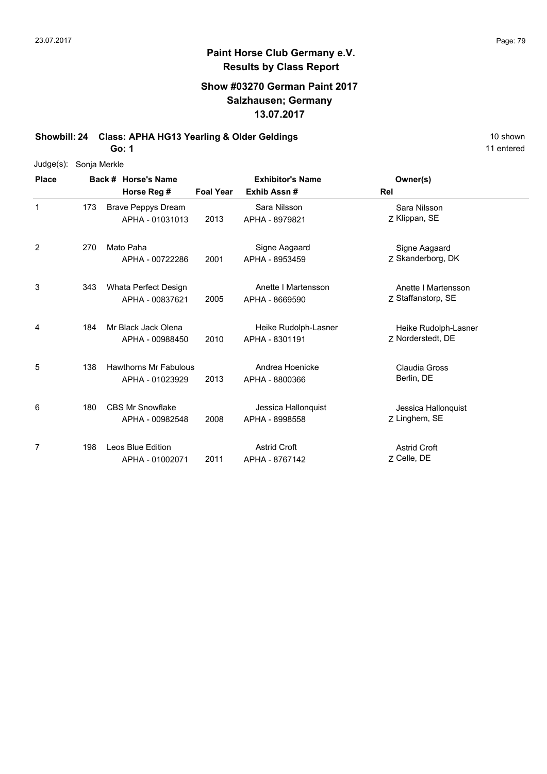## **Show #03270 German Paint 2017 Salzhausen; Germany 13.07.2017**

**Showbill: 24 Class: APHA HG13 Yearling & Older Geldings** 10 Shown 10 shown

**Go: 1**

| 10 shown   |
|------------|
| 11 entered |

| Judge(s): Sonja Merkle |  |
|------------------------|--|
|------------------------|--|

| <b>Place</b> |     | Back # Horse's Name                             |                  | <b>Exhibitor's Name</b>                | Owner(s)                                  |
|--------------|-----|-------------------------------------------------|------------------|----------------------------------------|-------------------------------------------|
|              |     | Horse Reg #                                     | <b>Foal Year</b> | Exhib Assn#                            | Rel                                       |
| $\mathbf{1}$ | 173 | <b>Brave Peppys Dream</b><br>APHA - 01031013    | 2013             | Sara Nilsson<br>APHA - 8979821         | Sara Nilsson<br>Z Klippan, SE             |
| 2            | 270 | Mato Paha<br>APHA - 00722286                    | 2001             | Signe Aagaard<br>APHA - 8953459        | Signe Aagaard<br>Z Skanderborg, DK        |
| 3            | 343 | Whata Perfect Design<br>APHA - 00837621         | 2005             | Anette I Martensson<br>APHA - 8669590  | Anette I Martensson<br>Z Staffanstorp, SE |
| 4            | 184 | Mr Black Jack Olena<br>APHA - 00988450          | 2010             | Heike Rudolph-Lasner<br>APHA - 8301191 | Heike Rudolph-Lasner<br>Z Norderstedt, DE |
| 5            | 138 | <b>Hawthorns Mr Fabulous</b><br>APHA - 01023929 | 2013             | Andrea Hoenicke<br>APHA - 8800366      | Claudia Gross<br>Berlin, DE               |
| 6            | 180 | <b>CBS Mr Snowflake</b><br>APHA - 00982548      | 2008             | Jessica Hallonquist<br>APHA - 8998558  | Jessica Hallonquist<br>Z Linghem, SE      |
| 7            | 198 | Leos Blue Edition<br>APHA - 01002071            | 2011             | <b>Astrid Croft</b><br>APHA - 8767142  | <b>Astrid Croft</b><br>7 Celle, DE        |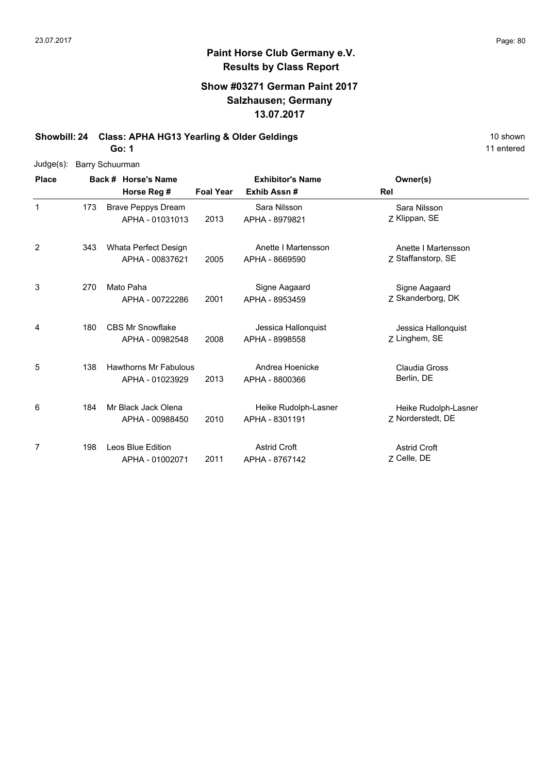## **Show #03271 German Paint 2017 Salzhausen; Germany 13.07.2017**

**Showbill: 24 Class: APHA HG13 Yearling & Older Geldings** 10 Shown 10 shown

**Go: 1**

| Judge(s):    | <b>Barry Schuurman</b> |                              |                  |                         |                      |  |
|--------------|------------------------|------------------------------|------------------|-------------------------|----------------------|--|
| <b>Place</b> |                        | Back # Horse's Name          |                  | <b>Exhibitor's Name</b> | Owner(s)             |  |
|              |                        | Horse Reg #                  | <b>Foal Year</b> | Exhib Assn#             | Rel                  |  |
| $\mathbf{1}$ | 173                    | <b>Brave Peppys Dream</b>    |                  | Sara Nilsson            | Sara Nilsson         |  |
|              |                        | APHA - 01031013              | 2013             | APHA - 8979821          | Z Klippan, SE        |  |
| 2            | 343                    | Whata Perfect Design         |                  | Anette I Martensson     | Anette I Martensson  |  |
|              |                        | APHA - 00837621              | 2005             | APHA - 8669590          | Z Staffanstorp, SE   |  |
| 3            | 270                    | Mato Paha                    |                  | Signe Aagaard           | Signe Aagaard        |  |
|              |                        | APHA - 00722286              | 2001             | APHA - 8953459          | Z Skanderborg, DK    |  |
| 4            | 180                    | <b>CBS Mr Snowflake</b>      |                  | Jessica Hallonquist     | Jessica Hallonquist  |  |
|              |                        | APHA - 00982548              | 2008             | APHA - 8998558          | Z Linghem, SE        |  |
| 5            | 138                    | <b>Hawthorns Mr Fabulous</b> |                  | Andrea Hoenicke         | Claudia Gross        |  |
|              |                        | APHA - 01023929              | 2013             | APHA - 8800366          | Berlin, DE           |  |
| 6            | 184                    | Mr Black Jack Olena          |                  | Heike Rudolph-Lasner    | Heike Rudolph-Lasner |  |
|              |                        | APHA - 00988450              | 2010             | APHA - 8301191          | Z Norderstedt, DE    |  |
| 7            | 198                    | Leos Blue Edition            |                  | <b>Astrid Croft</b>     | <b>Astrid Croft</b>  |  |
|              |                        | APHA - 01002071              | 2011             | APHA - 8767142          | Z Celle, DE          |  |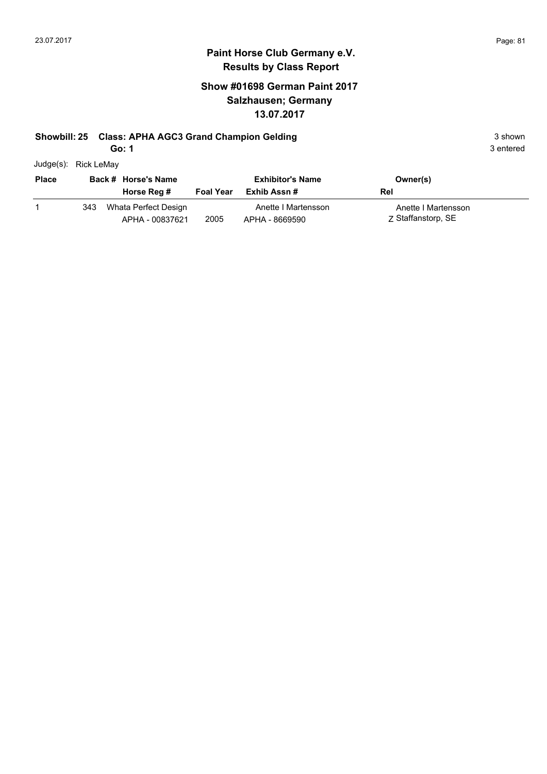## **Show #01698 German Paint 2017 Salzhausen; Germany 13.07.2017**

#### **Showbill: 25 Class: APHA AGC3 Grand Champion Gelding 3 shown 3 shown** 3 shown

**Go: 1**

| Judge(s): | Rick LeMay |
|-----------|------------|

| <b>Place</b> |     | Back # Horse's Name                     |                  | <b>Exhibitor's Name</b>               | Owner(s)                                  |
|--------------|-----|-----------------------------------------|------------------|---------------------------------------|-------------------------------------------|
|              |     | Horse Reg #                             | <b>Foal Year</b> | Exhib Assn #                          | Rel                                       |
|              | 343 | Whata Perfect Design<br>APHA - 00837621 | 2005             | Anette I Martensson<br>APHA - 8669590 | Anette I Martensson<br>Z Staffanstorp, SE |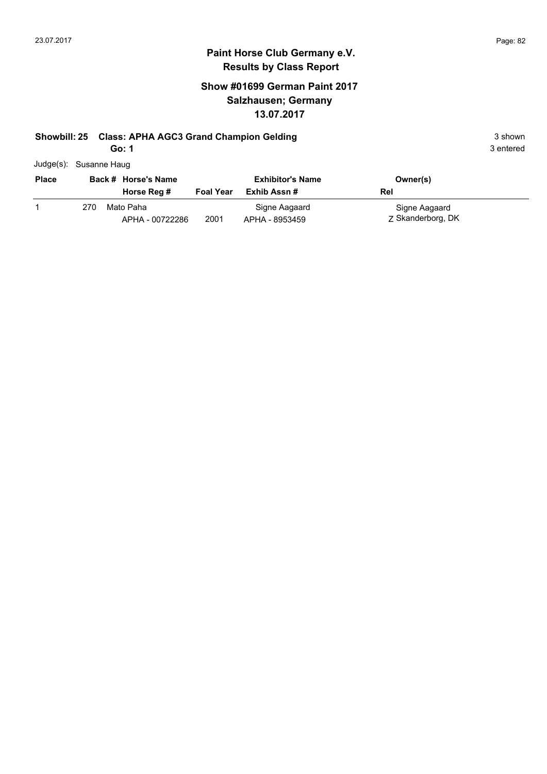## **Paint Horse Club Germany e.V. Results by Class Report**

## **Show #01699 German Paint 2017 Salzhausen; Germany 13.07.2017**

#### **Showbill: 25 Class: APHA AGC3 Grand Champion Gelding 3 shown 3 shown** 3 shown

**Go: 1**

| -----                  |  |
|------------------------|--|
| Judge(s): Susanne Haug |  |

| <b>Place</b> |     | Back # Horse's Name<br>Horse Reg # | <b>Foal Year</b> | <b>Exhibitor's Name</b><br>Exhib Assn # | Owner(s)<br>Rel                    |  |
|--------------|-----|------------------------------------|------------------|-----------------------------------------|------------------------------------|--|
|              | 270 | Mato Paha<br>APHA - 00722286       | 2001             | Signe Aagaard<br>APHA - 8953459         | Signe Aagaard<br>7 Skanderborg, DK |  |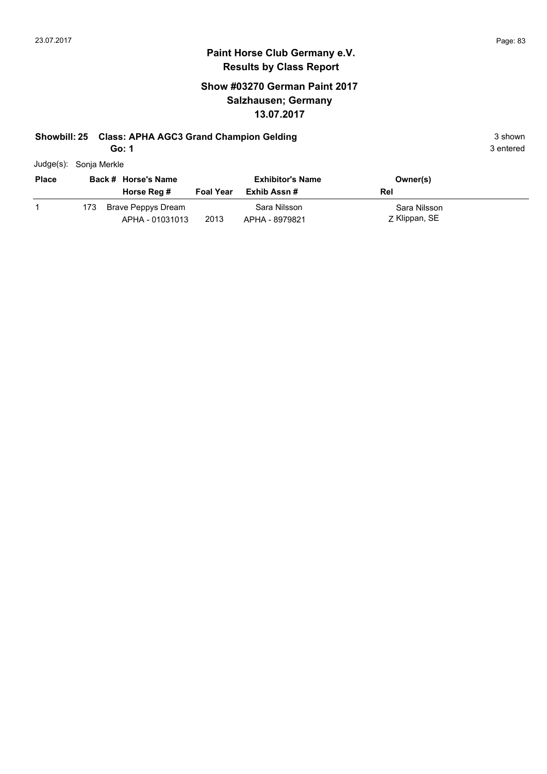## **Show #03270 German Paint 2017 Salzhausen; Germany 13.07.2017**

#### **Showbill: 25 Class: APHA AGC3 Grand Champion Gelding 3 shown 3 shown** 3 shown

**Go: 1**

| Judge(s): Sonja Merkle |
|------------------------|
|                        |

| <b>Place</b> |     | Back # Horse's Name                   |                  | <b>Exhibitor's Name</b>        | Owner(s)                      |
|--------------|-----|---------------------------------------|------------------|--------------------------------|-------------------------------|
|              |     | Horse Reg #                           | <b>Foal Year</b> | Exhib Assn #                   | Rel                           |
|              | 173 | Brave Peppys Dream<br>APHA - 01031013 | 2013             | Sara Nilsson<br>APHA - 8979821 | Sara Nilsson<br>Z Klippan, SE |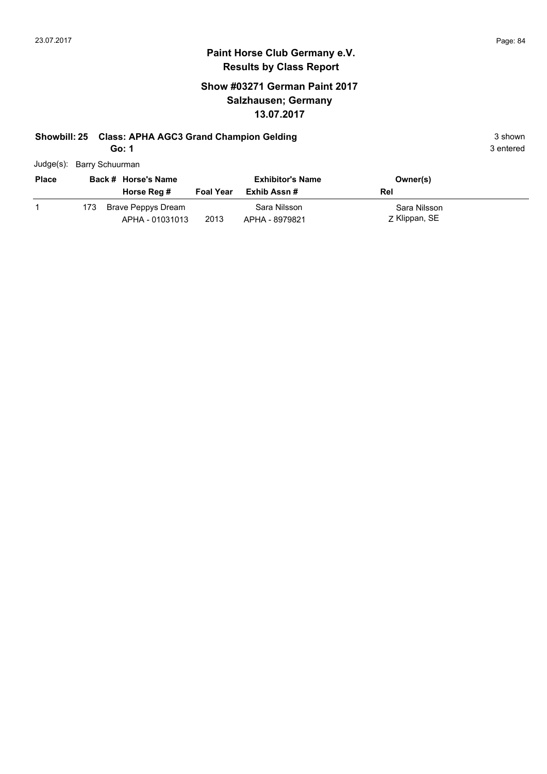#### **Paint Horse Club Germany e.V. Results by Class Report**

## **Show #03271 German Paint 2017 Salzhausen; Germany 13.07.2017**

# **Showbill: 25 Class: APHA AGC3 Grand Champion Gelding 3 shown 3 shown** 3 shown

**Go: 1**

Judge(s): Barry Schuurman

| <b>Place</b> |      | Back # Horse's Name                   |                  | <b>Exhibitor's Name</b>        | Owner(s)                      |
|--------------|------|---------------------------------------|------------------|--------------------------------|-------------------------------|
|              |      | Horse Reg #                           | <b>Foal Year</b> | Exhib Assn #                   | Rel                           |
|              | 173. | Brave Peppys Dream<br>APHA - 01031013 | 2013             | Sara Nilsson<br>APHA - 8979821 | Sara Nilsson<br>Z Klippan, SE |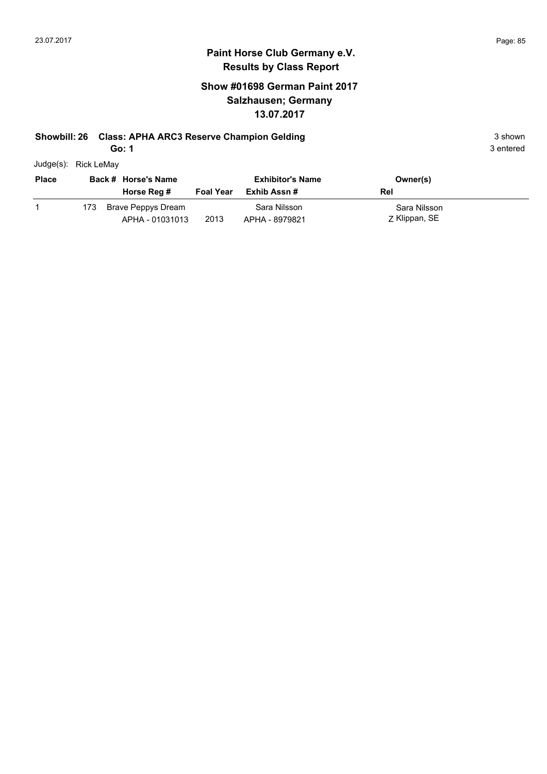### **Paint Horse Club Germany e.V. Results by Class Report**

## **Show #01698 German Paint 2017 Salzhausen; Germany 13.07.2017**

#### **Showbill: 26 Class: APHA ARC3 Reserve Champion Gelding 3 Shown 3 shown** 3 shown

**Go: 1**

| Judge(s): Rick LeMay |  |
|----------------------|--|

| <b>Place</b> |      | Back # Horse's Name<br>Horse Reg #    | <b>Foal Year</b> | <b>Exhibitor's Name</b><br>Exhib Assn # | Owner(s)<br>Rel               |
|--------------|------|---------------------------------------|------------------|-----------------------------------------|-------------------------------|
|              | 173. | Brave Peppys Dream<br>APHA - 01031013 | 2013             | Sara Nilsson<br>APHA - 8979821          | Sara Nilsson<br>Z Klippan, SE |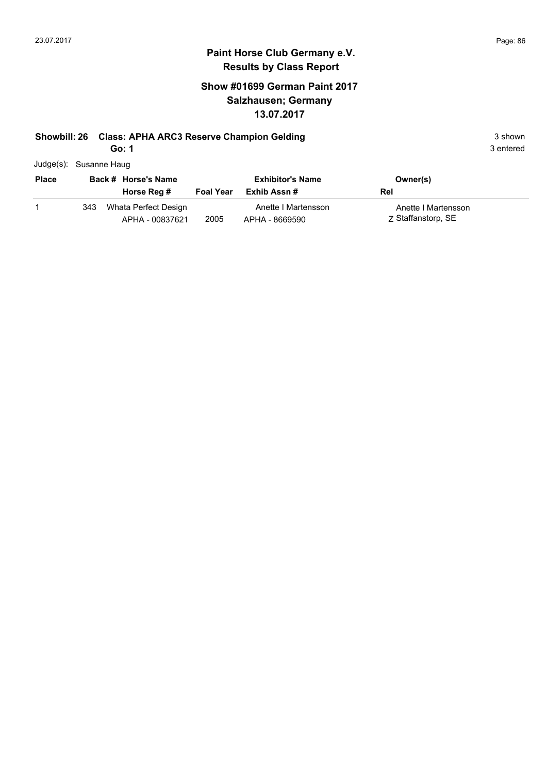## **Show #01699 German Paint 2017 Salzhausen; Germany 13.07.2017**

## **Showbill: 26 Class: APHA ARC3 Reserve Champion Gelding 3 Shown 3 shown** 3 shown

**Go: 1**

| Judge(s): Susanne Haug |
|------------------------|
|                        |

| <b>Place</b> |     | Back # Horse's Name                     | <b>Exhibitor's Name</b> |                                       | Owner(s)                                  |
|--------------|-----|-----------------------------------------|-------------------------|---------------------------------------|-------------------------------------------|
|              |     | Horse Reg #                             | <b>Foal Year</b>        | Exhib Assn #                          | Rel                                       |
|              | 343 | Whata Perfect Design<br>APHA - 00837621 | 2005                    | Anette I Martensson<br>APHA - 8669590 | Anette I Martensson<br>7 Staffanstorp, SE |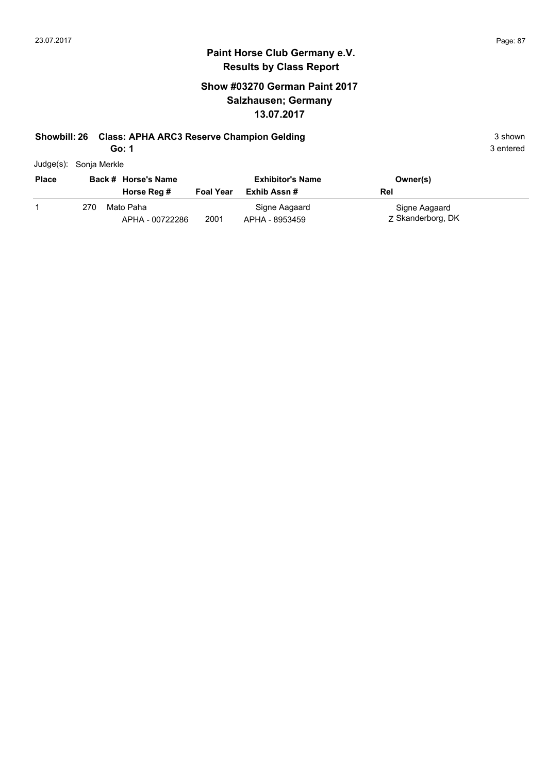#### **Paint Horse Club Germany e.V. Results by Class Report**

## **Show #03270 German Paint 2017 Salzhausen; Germany 13.07.2017**

#### **Showbill: 26 Class: APHA ARC3 Reserve Champion Gelding 3 Shown 3 shown** 3 shown

**Go: 1**

Judge(s): Sonja Merkle

| <b>Place</b> |     | Back # Horse's Name<br>Horse Reg # | <b>Foal Year</b> | <b>Exhibitor's Name</b><br>Exhib Assn # | Owner(s)<br>Rel                    |
|--------------|-----|------------------------------------|------------------|-----------------------------------------|------------------------------------|
|              | 270 | Mato Paha<br>APHA - 00722286       | 2001             | Signe Aagaard<br>APHA - 8953459         | Signe Aagaard<br>7 Skanderborg, DK |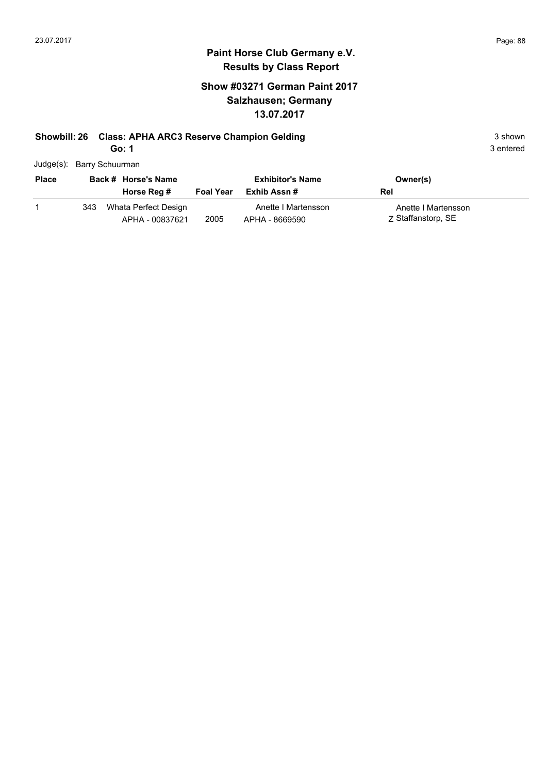## **Show #03271 German Paint 2017 Salzhausen; Germany 13.07.2017**

## **Showbill: 26 Class: APHA ARC3 Reserve Champion Gelding 3 Shown 3 shown** 3 shown

**Go: 1**

| Judge(s): Barry Schuurman |  |
|---------------------------|--|

| <b>Place</b> | Back # Horse's Name |                                         | <b>Exhibitor's Name</b> |                                       | Owner(s)                                  |  |
|--------------|---------------------|-----------------------------------------|-------------------------|---------------------------------------|-------------------------------------------|--|
|              |                     | Horse Reg #                             | <b>Foal Year</b>        | Exhib Assn #                          | Rel                                       |  |
|              | 343                 | Whata Perfect Design<br>APHA - 00837621 | 2005                    | Anette I Martensson<br>APHA - 8669590 | Anette I Martensson<br>Z Staffanstorp, SE |  |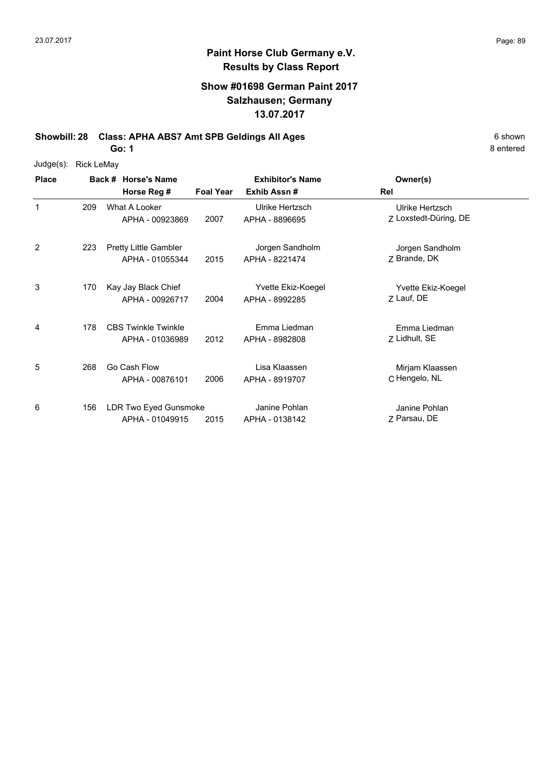## **Paint Horse Club Germany e.V. Results by Class Report**

## **Show #01698 German Paint 2017 Salzhausen; Germany 13.07.2017**

**Showbill: 28 Class: APHA ABS7 Amt SPB Geldings All Ages** 6 Shown **Go: 1**

Judge(s): Rick LeMay

| <b>Place</b> |     | Back # Horse's Name<br>Horse Reg #              | <b>Foal Year</b> | <b>Exhibitor's Name</b><br>Exhib Assn# | Owner(s)<br>Rel                          |  |
|--------------|-----|-------------------------------------------------|------------------|----------------------------------------|------------------------------------------|--|
| 1            | 209 | What A Looker<br>APHA - 00923869                | 2007             | Ulrike Hertzsch<br>APHA - 8896695      | Ulrike Hertzsch<br>Z Loxstedt-Düring, DE |  |
| 2            | 223 | <b>Pretty Little Gambler</b><br>APHA - 01055344 | 2015             | Jorgen Sandholm<br>APHA - 8221474      | Jorgen Sandholm<br>Z Brande, DK          |  |
| 3            | 170 | Kay Jay Black Chief<br>APHA - 00926717          | 2004             | Yvette Ekiz-Koegel<br>APHA - 8992285   | Yvette Ekiz-Koegel<br>Z Lauf, DE         |  |
| 4            | 178 | <b>CBS Twinkle Twinkle</b><br>APHA - 01036989   | 2012             | Emma Liedman<br>APHA - 8982808         | Emma Liedman<br>Z Lidhult, SE            |  |
| 5            | 268 | Go Cash Flow<br>APHA - 00876101                 | 2006             | Lisa Klaassen<br>APHA - 8919707        | Mirjam Klaassen<br>C Hengelo, NL         |  |
| 6            | 156 | LDR Two Eyed Gunsmoke<br>APHA - 01049915        | 2015             | Janine Pohlan<br>APHA - 0138142        | Janine Pohlan<br>Z Parsau, DE            |  |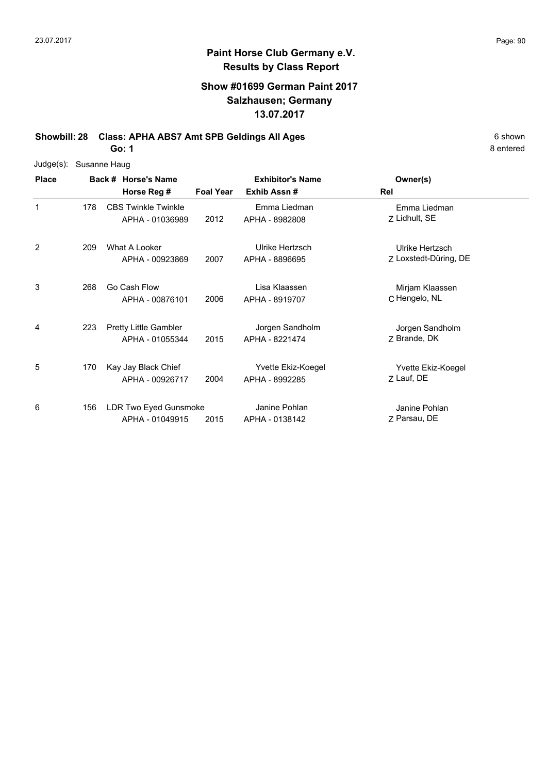## **Show #01699 German Paint 2017 Salzhausen; Germany 13.07.2017**

**Showbill: 28 Class: APHA ABS7 Amt SPB Geldings All Ages** 6 shown

**Go: 1**

| Judge(s):    | Susanne Haug |                                                 |                  |                                      |                                          |
|--------------|--------------|-------------------------------------------------|------------------|--------------------------------------|------------------------------------------|
| <b>Place</b> |              | Back # Horse's Name                             |                  | <b>Exhibitor's Name</b>              | Owner(s)                                 |
|              |              | Horse Reg #                                     | <b>Foal Year</b> | Exhib Assn #                         | Rel                                      |
| 1            | 178          | <b>CBS Twinkle Twinkle</b><br>APHA - 01036989   | 2012             | Emma Liedman<br>APHA - 8982808       | Emma Liedman<br>Z Lidhult, SE            |
| 2            | 209          | What A Looker<br>APHA - 00923869                | 2007             | Ulrike Hertzsch<br>APHA - 8896695    | Ulrike Hertzsch<br>Z Loxstedt-Düring, DE |
| 3            | 268          | Go Cash Flow<br>APHA - 00876101                 | 2006             | Lisa Klaassen<br>APHA - 8919707      | Mirjam Klaassen<br>C Hengelo, NL         |
| 4            | 223          | <b>Pretty Little Gambler</b><br>APHA - 01055344 | 2015             | Jorgen Sandholm<br>APHA - 8221474    | Jorgen Sandholm<br>Z Brande, DK          |
| 5            | 170          | Kay Jay Black Chief<br>APHA - 00926717          | 2004             | Yvette Ekiz-Koegel<br>APHA - 8992285 | Yvette Ekiz-Koegel<br>Z Lauf, DE         |
| 6            | 156          | LDR Two Eyed Gunsmoke<br>APHA - 01049915        | 2015             | Janine Pohlan<br>APHA - 0138142      | Janine Pohlan<br>7 Parsau, DE            |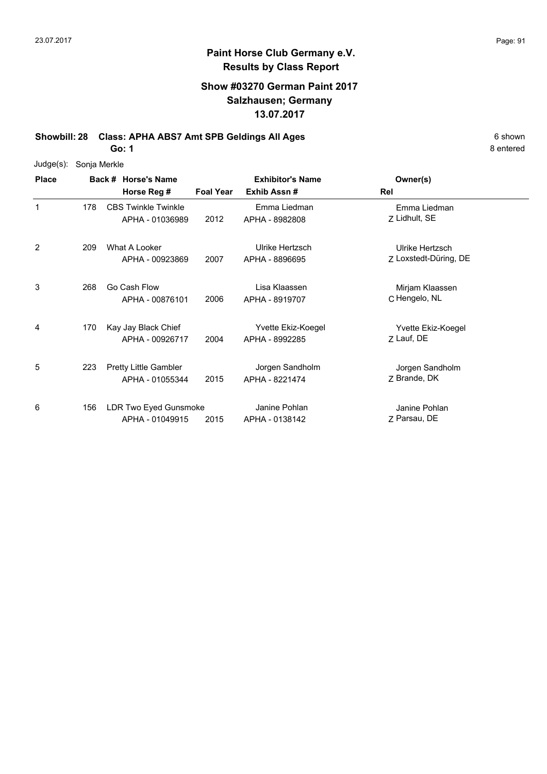## **Show #03270 German Paint 2017 Salzhausen; Germany 13.07.2017**

**Showbill: 28 Class: APHA ABS7 Amt SPB Geldings All Ages** 6 shown

**Go: 1**

|              | Judge(s): Sonja Merkle |                     |
|--------------|------------------------|---------------------|
| <b>Place</b> |                        | Back # Horse's Name |

| <b>Place</b> |     | Back # Horse's Name                           | <b>Exhibitor's Name</b> |                                | Owner(s)                      |  |
|--------------|-----|-----------------------------------------------|-------------------------|--------------------------------|-------------------------------|--|
|              |     | Horse Reg #                                   | <b>Foal Year</b>        | Exhib Assn#                    | Rel                           |  |
| 1            | 178 | <b>CBS Twinkle Twinkle</b><br>APHA - 01036989 | 2012                    | Emma Liedman<br>APHA - 8982808 | Emma Liedman<br>Z Lidhult, SE |  |
|              |     |                                               |                         |                                |                               |  |
| 2            | 209 | What A Looker                                 |                         | Ulrike Hertzsch                | Ulrike Hertzsch               |  |
|              |     | APHA - 00923869                               | 2007                    | APHA - 8896695                 | Z Loxstedt-Düring, DE         |  |
| 3            | 268 | Go Cash Flow                                  |                         | Lisa Klaassen                  | Mirjam Klaassen               |  |
|              |     | APHA - 00876101                               | 2006                    | APHA - 8919707                 | C Hengelo, NL                 |  |
| 4            | 170 | Kay Jay Black Chief                           |                         | Yvette Ekiz-Koegel             | Yvette Ekiz-Koegel            |  |
|              |     | APHA - 00926717                               | 2004                    | APHA - 8992285                 | Z Lauf, DE                    |  |
| 5            | 223 | Pretty Little Gambler                         |                         | Jorgen Sandholm                | Jorgen Sandholm               |  |
|              |     | APHA - 01055344                               | 2015                    | APHA - 8221474                 | Z Brande, DK                  |  |
| 6            | 156 | LDR Two Eyed Gunsmoke                         |                         | Janine Pohlan                  | Janine Pohlan                 |  |
|              |     | APHA - 01049915                               | 2015                    | APHA - 0138142                 | 7 Parsau, DE                  |  |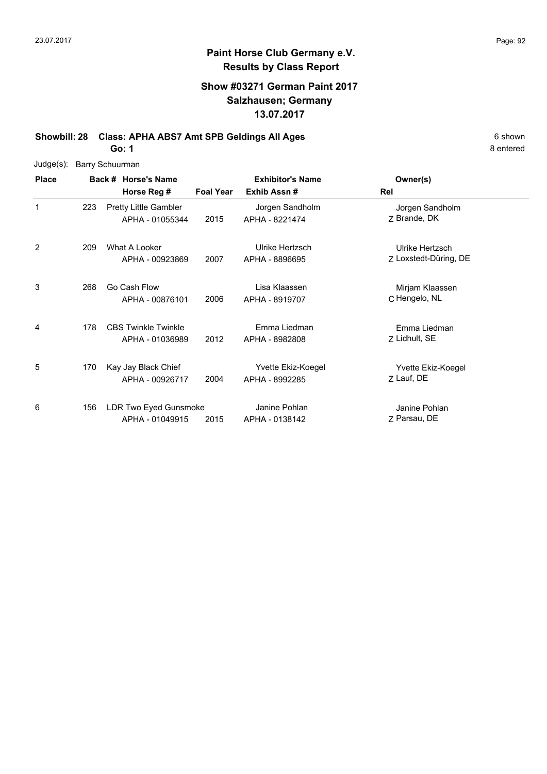## **Paint Horse Club Germany e.V. Results by Class Report**

## **Show #03271 German Paint 2017 Salzhausen; Germany 13.07.2017**

**Showbill: 28 Class: APHA ABS7 Amt SPB Geldings All Ages** 6 Shown

**Go: 1**

| Judge(s):    | <b>Barry Schuurman</b> |                                               |                  |                                      |                                          |
|--------------|------------------------|-----------------------------------------------|------------------|--------------------------------------|------------------------------------------|
| <b>Place</b> |                        | Back # Horse's Name                           |                  | <b>Exhibitor's Name</b>              | Owner(s)                                 |
|              |                        | Horse Reg #                                   | <b>Foal Year</b> | Exhib Assn #                         | Rel                                      |
| 1            | 223                    | Pretty Little Gambler<br>APHA - 01055344      | 2015             | Jorgen Sandholm<br>APHA - 8221474    | Jorgen Sandholm<br>Z Brande, DK          |
| 2            | 209                    | What A Looker<br>APHA - 00923869              | 2007             | Ulrike Hertzsch<br>APHA - 8896695    | Ulrike Hertzsch<br>Z Loxstedt-Düring, DE |
| 3            | 268                    | Go Cash Flow<br>APHA - 00876101               | 2006             | Lisa Klaassen<br>APHA - 8919707      | Mirjam Klaassen<br>C Hengelo, NL         |
| 4            | 178                    | <b>CBS Twinkle Twinkle</b><br>APHA - 01036989 | 2012             | Emma Liedman<br>APHA - 8982808       | Emma Liedman<br>Z Lidhult, SE            |
| 5            | 170                    | Kay Jay Black Chief<br>APHA - 00926717        | 2004             | Yvette Ekiz-Koegel<br>APHA - 8992285 | Yvette Ekiz-Koegel<br>Z Lauf, DE         |
| 6            | 156                    | LDR Two Eyed Gunsmoke<br>APHA - 01049915      | 2015             | Janine Pohlan<br>APHA - 0138142      | Janine Pohlan<br>Z Parsau, DE            |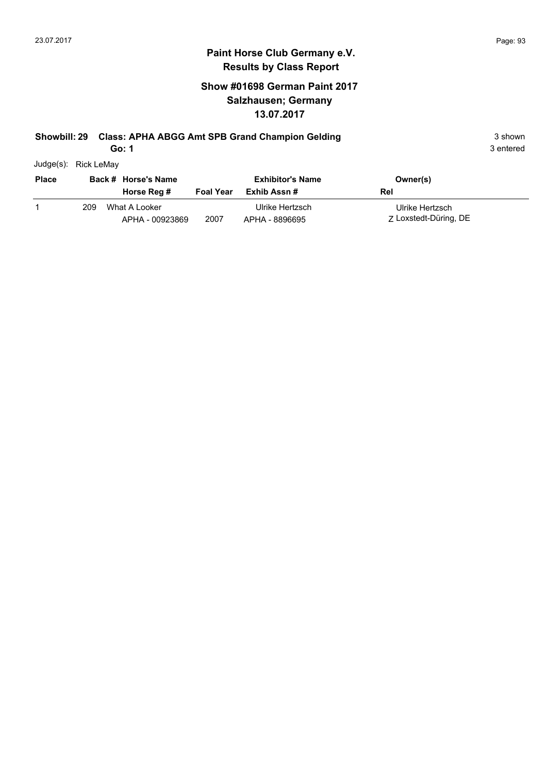## **Show #01698 German Paint 2017 Salzhausen; Germany 13.07.2017**

#### **Showbill: 29 Class: APHA ABGG Amt SPB Grand Champion Gelding** 3 Shown 3 shown

**Go: 1**

3 entered

Judge(s): Rick LeMay

| <b>Place</b> | Back # Horse's Name |                                  |                  | <b>Exhibitor's Name</b>           | Owner(s)                                 |
|--------------|---------------------|----------------------------------|------------------|-----------------------------------|------------------------------------------|
|              |                     | Horse Reg #                      | <b>Foal Year</b> | Exhib Assn #                      | Rel                                      |
|              | 209                 | What A Looker<br>APHA - 00923869 | 2007             | Ulrike Hertzsch<br>APHA - 8896695 | Ulrike Hertzsch<br>Z Loxstedt-Düring, DE |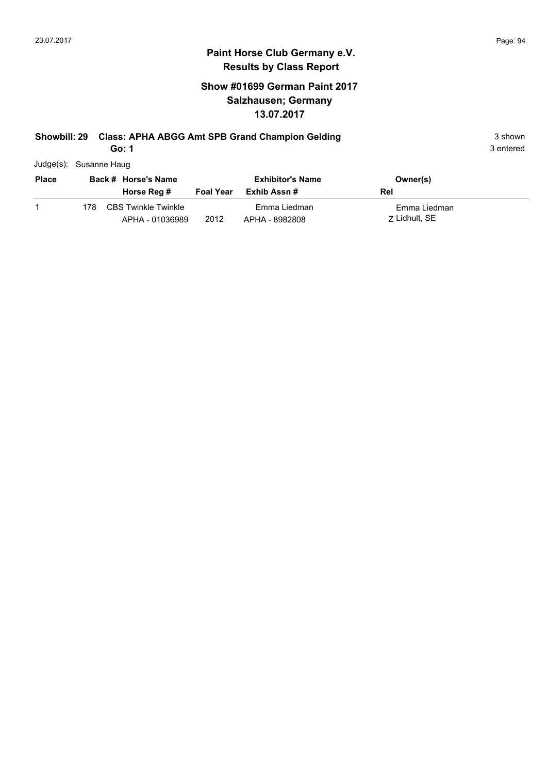## **Show #01699 German Paint 2017 Salzhausen; Germany 13.07.2017**

## **Showbill: 29 Class: APHA ABGG Amt SPB Grand Champion Gelding** 3 Shown 3 shown

**Go: 1**

| Judge(s): Susanne Haug |
|------------------------|
|                        |

| <b>Place</b> |      | Back # Horse's Name                    |                  | <b>Exhibitor's Name</b>        | Owner(s)                      |
|--------------|------|----------------------------------------|------------------|--------------------------------|-------------------------------|
|              |      | Horse Reg #                            | <b>Foal Year</b> | Exhib Assn #                   | Rel                           |
|              | 178. | CBS Twinkle Twinkle<br>APHA - 01036989 | 2012             | Emma Liedman<br>APHA - 8982808 | Emma Liedman<br>7 Lidhult, SE |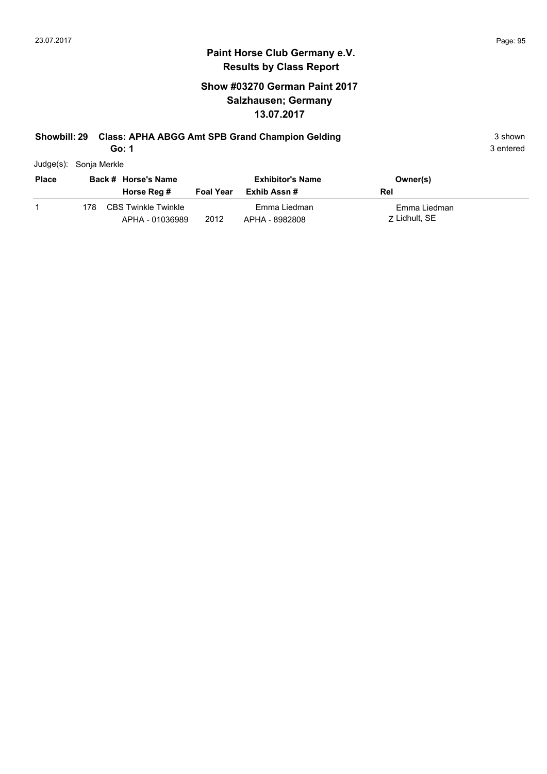## **Show #03270 German Paint 2017 Salzhausen; Germany 13.07.2017**

## **Showbill: 29 Class: APHA ABGG Amt SPB Grand Champion Gelding** 3 Shown 3 shown

**Go: 1**

| Judge(s): | Sonja Merkle |
|-----------|--------------|
|           |              |

| <b>Place</b> |     | Back # Horse's Name                           |                  | <b>Exhibitor's Name</b>        | Owner(s)                      |
|--------------|-----|-----------------------------------------------|------------------|--------------------------------|-------------------------------|
|              |     | Horse Reg #                                   | <b>Foal Year</b> | Exhib Assn #                   | Rel                           |
|              | 178 | <b>CBS Twinkle Twinkle</b><br>APHA - 01036989 | 2012             | Emma Liedman<br>APHA - 8982808 | Emma Liedman<br>7 Lidhult, SE |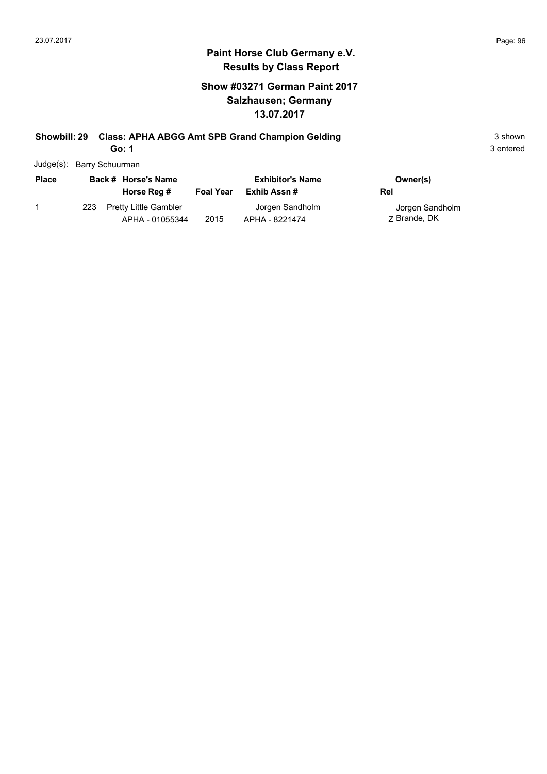## **Show #03271 German Paint 2017 Salzhausen; Germany 13.07.2017**

# **Showbill: 29 Class: APHA ABGG Amt SPB Grand Champion Gelding** 3 Shown 3 shown

**Go: 1**

| Judge(s): Barry Schuurman |
|---------------------------|
|                           |

| <b>Place</b> |     | Back # Horse's Name                             |                  | <b>Exhibitor's Name</b>           | Owner(s)                        |
|--------------|-----|-------------------------------------------------|------------------|-----------------------------------|---------------------------------|
|              |     | Horse Reg #                                     | <b>Foal Year</b> | Exhib Assn #                      | Rel                             |
|              | 223 | <b>Pretty Little Gambler</b><br>APHA - 01055344 | 2015             | Jorgen Sandholm<br>APHA - 8221474 | Jorgen Sandholm<br>7 Brande, DK |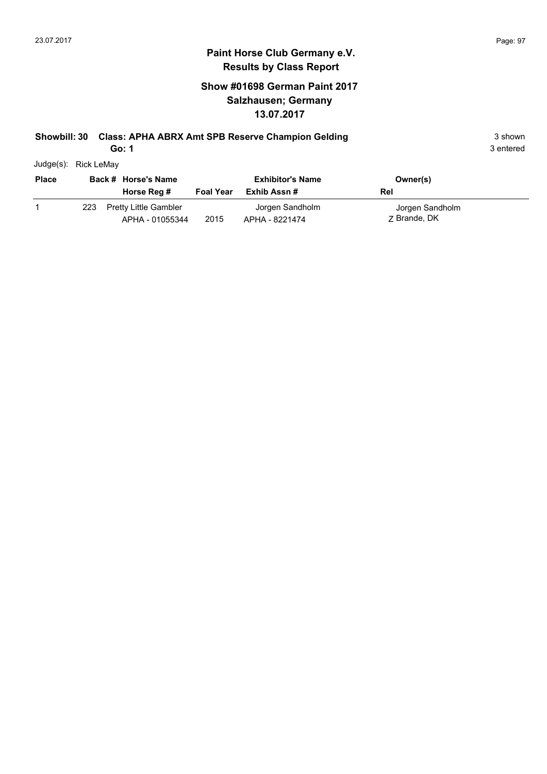## **Show #01698 German Paint 2017 Salzhausen; Germany 13.07.2017**

## **Showbill: 30 Class: APHA ABRX Amt SPB Reserve Champion Gelding** 3 Shown 3 shown

**Go: 1**

| Judge(s): | Rick LeMay |
|-----------|------------|

| <b>Place</b> |     | Back # Horse's Name<br>Horse Reg #              | <b>Foal Year</b> | <b>Exhibitor's Name</b><br>Exhib Assn # | Owner(s)<br>Rel                 |
|--------------|-----|-------------------------------------------------|------------------|-----------------------------------------|---------------------------------|
|              | 223 | <b>Pretty Little Gambler</b><br>APHA - 01055344 | 2015             | Jorgen Sandholm<br>APHA - 8221474       | Jorgen Sandholm<br>7 Brande, DK |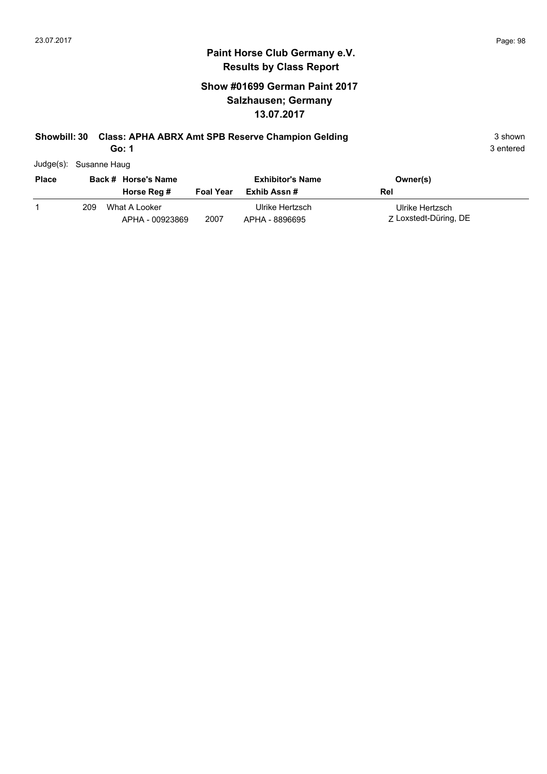## **Show #01699 German Paint 2017 Salzhausen; Germany 13.07.2017**

## **Showbill: 30 Class: APHA ABRX Amt SPB Reserve Champion Gelding** 3 Shown 3 shown

**Go: 1**

3 entered

Judge(s): Susanne Haug

| <b>Place</b> |     | Back # Horse's Name              |                  | <b>Exhibitor's Name</b>           | Owner(s)                                 |
|--------------|-----|----------------------------------|------------------|-----------------------------------|------------------------------------------|
|              |     | Horse Reg #                      | <b>Foal Year</b> | Exhib Assn #                      | Rel                                      |
|              | 209 | What A Looker<br>APHA - 00923869 | 2007             | Ulrike Hertzsch<br>APHA - 8896695 | Ulrike Hertzsch<br>Z Loxstedt-Düring, DE |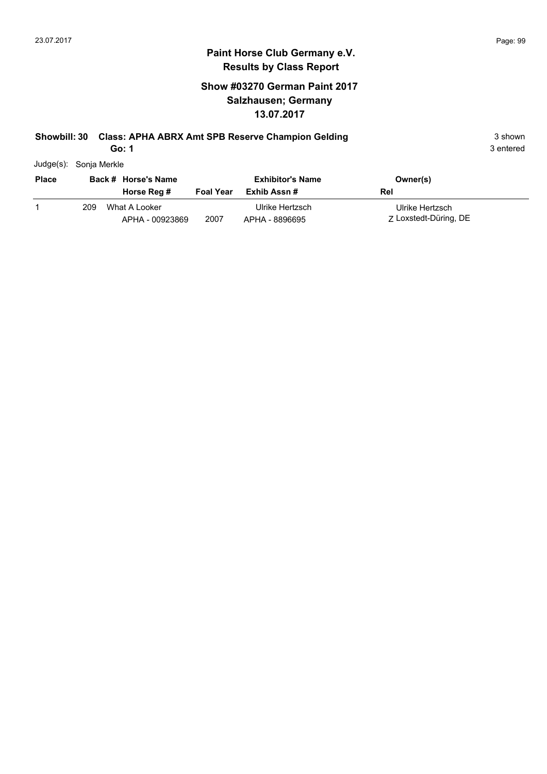## **Show #03270 German Paint 2017 Salzhausen; Germany 13.07.2017**

## **Showbill: 30 Class: APHA ABRX Amt SPB Reserve Champion Gelding** 3 Shown 3 shown

**Go: 1**

3 entered

Judge(s): Sonja Merkle

| <b>Place</b> |     | Back # Horse's Name              |                  | <b>Exhibitor's Name</b>           | Owner(s)                                 |
|--------------|-----|----------------------------------|------------------|-----------------------------------|------------------------------------------|
|              |     | Horse Reg #                      | <b>Foal Year</b> | Exhib Assn #                      | Rel                                      |
|              | 209 | What A Looker<br>APHA - 00923869 | 2007             | Ulrike Hertzsch<br>APHA - 8896695 | Ulrike Hertzsch<br>Z Loxstedt-Düring, DE |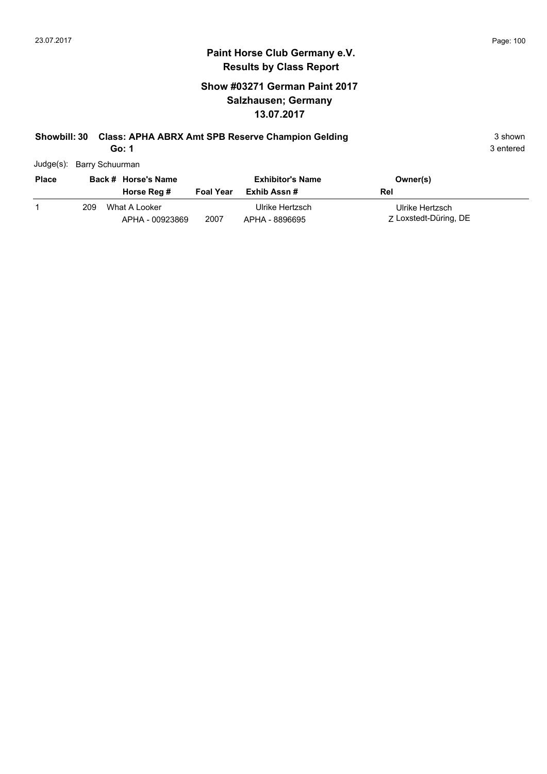## **Show #03271 German Paint 2017 Salzhausen; Germany 13.07.2017**

## **Showbill: 30 Class: APHA ABRX Amt SPB Reserve Champion Gelding** 3 Shown 3 shown

**Go: 1**

|  | Judge(s): Barry Schuurman |
|--|---------------------------|
|--|---------------------------|

| <b>Place</b> |     | Back # Horse's Name<br>Horse Reg # | <b>Foal Year</b> | <b>Exhibitor's Name</b><br>Exhib Assn # | Owner(s)<br>Rel                          |
|--------------|-----|------------------------------------|------------------|-----------------------------------------|------------------------------------------|
|              | 209 | What A Looker<br>APHA - 00923869   | 2007             | Ulrike Hertzsch<br>APHA - 8896695       | Ulrike Hertzsch<br>Z Loxstedt-Düring, DE |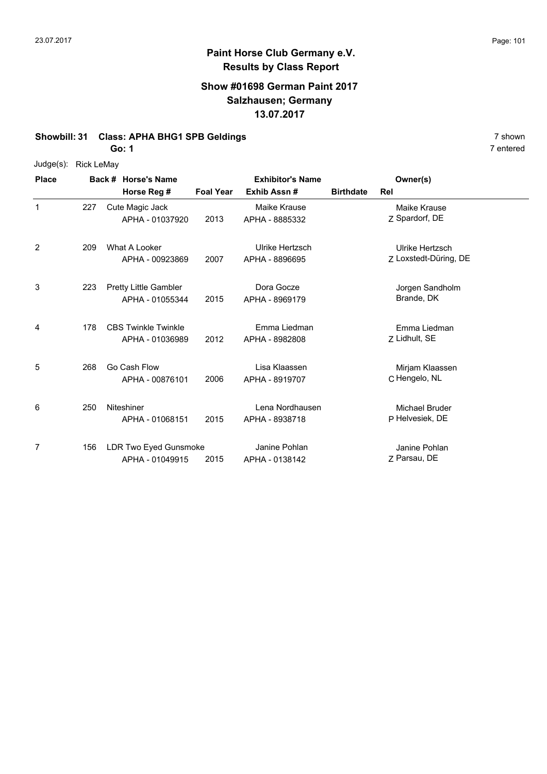#### **Show #01698 German Paint 2017 Salzhausen; Germany 13.07.2017**

#### **Showbill: 31 Class: APHA BHG1 SPB Geldings** 7 shown

**Go: 1**

#### Judge(s): Rick LeMay

| <b>Place</b> |     | Back # Horse's Name                           |                  | <b>Exhibitor's Name</b>           |                  | Owner(s)                                 |
|--------------|-----|-----------------------------------------------|------------------|-----------------------------------|------------------|------------------------------------------|
|              |     | Horse Reg #                                   | <b>Foal Year</b> | Exhib Assn#                       | <b>Birthdate</b> | Rel                                      |
| 1            | 227 | Cute Magic Jack<br>APHA - 01037920            | 2013             | Maike Krause<br>APHA - 8885332    |                  | Maike Krause<br>Z Spardorf, DE           |
| 2            | 209 | What A Looker<br>APHA - 00923869              | 2007             | Ulrike Hertzsch<br>APHA - 8896695 |                  | Ulrike Hertzsch<br>Z Loxstedt-Düring, DE |
| 3            | 223 | Pretty Little Gambler<br>APHA - 01055344      | 2015             | Dora Gocze<br>APHA - 8969179      |                  | Jorgen Sandholm<br>Brande, DK            |
| 4            | 178 | <b>CBS Twinkle Twinkle</b><br>APHA - 01036989 | 2012             | Emma Liedman<br>APHA - 8982808    |                  | Emma Liedman<br>Z Lidhult, SE            |
| 5            | 268 | Go Cash Flow<br>APHA - 00876101               | 2006             | Lisa Klaassen<br>APHA - 8919707   |                  | Mirjam Klaassen<br>C Hengelo, NL         |
| 6            | 250 | <b>Niteshiner</b><br>APHA - 01068151          | 2015             | Lena Nordhausen<br>APHA - 8938718 |                  | Michael Bruder<br>P Helvesiek, DE        |
| 7            | 156 | LDR Two Eyed Gunsmoke<br>APHA - 01049915      | 2015             | Janine Pohlan<br>APHA - 0138142   |                  | Janine Pohlan<br>Z Parsau, DE            |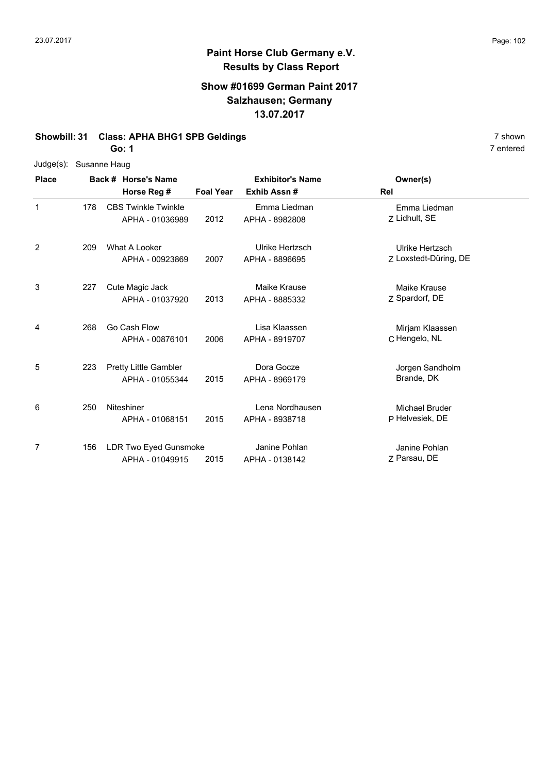#### **Show #01699 German Paint 2017 Salzhausen; Germany 13.07.2017**

#### **Showbill: 31 Class: APHA BHG1 SPB Geldings 1988 1989 12 Shown** 7 shown

**Go: 1**

|  | Judge(s): Susanne Haug |
|--|------------------------|
|--|------------------------|

| <b>Place</b> | Back # Horse's Name |                                               | <b>Exhibitor's Name</b> |                                   | Owner(s)                                 |  |
|--------------|---------------------|-----------------------------------------------|-------------------------|-----------------------------------|------------------------------------------|--|
|              |                     | Horse Reg #                                   | <b>Foal Year</b>        | Exhib Assn#                       | Rel                                      |  |
| $\mathbf{1}$ | 178                 | <b>CBS Twinkle Twinkle</b><br>APHA - 01036989 | 2012                    | Emma Liedman<br>APHA - 8982808    | Emma Liedman<br>Z Lidhult, SE            |  |
| 2            | 209                 | What A Looker<br>APHA - 00923869              | 2007                    | Ulrike Hertzsch<br>APHA - 8896695 | Ulrike Hertzsch<br>Z Loxstedt-Düring, DE |  |
| 3            | 227                 | Cute Magic Jack<br>APHA - 01037920            | 2013                    | Maike Krause<br>APHA - 8885332    | Maike Krause<br>Z Spardorf, DE           |  |
| 4            | 268                 | Go Cash Flow<br>APHA - 00876101               | 2006                    | Lisa Klaassen<br>APHA - 8919707   | Mirjam Klaassen<br>C Hengelo, NL         |  |
| 5            | 223                 | Pretty Little Gambler<br>APHA - 01055344      | 2015                    | Dora Gocze<br>APHA - 8969179      | Jorgen Sandholm<br>Brande, DK            |  |
| 6            | 250                 | Niteshiner<br>APHA - 01068151                 | 2015                    | Lena Nordhausen<br>APHA - 8938718 | <b>Michael Bruder</b><br>P Helvesiek, DE |  |
| 7            | 156                 | LDR Two Eyed Gunsmoke<br>APHA - 01049915      | 2015                    | Janine Pohlan<br>APHA - 0138142   | Janine Pohlan<br>Z Parsau, DE            |  |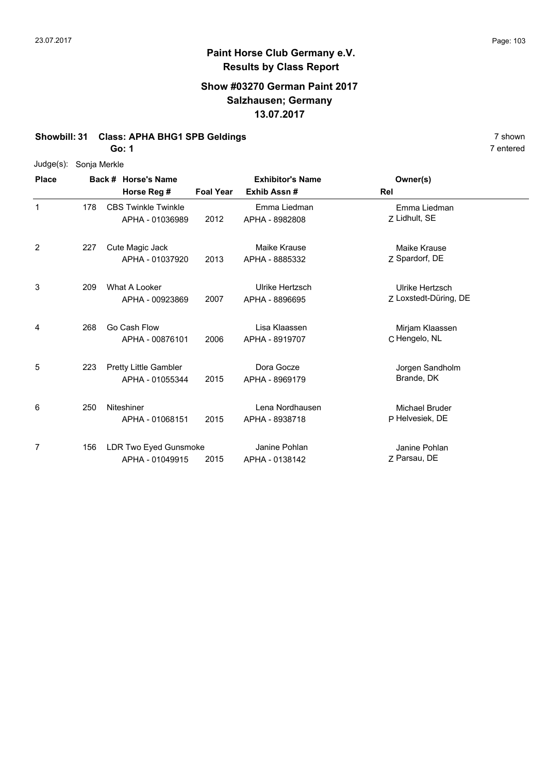#### **Show #03270 German Paint 2017 Salzhausen; Germany 13.07.2017**

#### **Showbill: 31 Class: APHA BHG1 SPB Geldings 1988 1989 12 Shown** 7 shown

**Go: 1**

| Judge(s): | Sonja Merkle |
|-----------|--------------|
|-----------|--------------|

| <b>Place</b> | Back # Horse's Name |                                               |                  | <b>Exhibitor's Name</b>           | Owner(s)                                 |  |
|--------------|---------------------|-----------------------------------------------|------------------|-----------------------------------|------------------------------------------|--|
|              |                     | Horse Reg #                                   | <b>Foal Year</b> | Exhib Assn#                       | Rel                                      |  |
| $\mathbf 1$  | 178                 | <b>CBS Twinkle Twinkle</b><br>APHA - 01036989 | 2012             | Emma Liedman<br>APHA - 8982808    | Emma Liedman<br>Z Lidhult, SE            |  |
| 2            | 227                 | Cute Magic Jack<br>APHA - 01037920            | 2013             | Maike Krause<br>APHA - 8885332    | <b>Maike Krause</b><br>Z Spardorf, DE    |  |
| 3            | 209                 | What A Looker<br>APHA - 00923869              | 2007             | Ulrike Hertzsch<br>APHA - 8896695 | Ulrike Hertzsch<br>Z Loxstedt-Düring, DE |  |
| 4            | 268                 | Go Cash Flow<br>APHA - 00876101               | 2006             | Lisa Klaassen<br>APHA - 8919707   | Mirjam Klaassen<br>C Hengelo, NL         |  |
| 5            | 223                 | Pretty Little Gambler<br>APHA - 01055344      | 2015             | Dora Gocze<br>APHA - 8969179      | Jorgen Sandholm<br>Brande, DK            |  |
| 6            | 250                 | Niteshiner<br>APHA - 01068151                 | 2015             | Lena Nordhausen<br>APHA - 8938718 | Michael Bruder<br>P Helvesiek, DE        |  |
| 7            | 156                 | LDR Two Eyed Gunsmoke<br>APHA - 01049915      | 2015             | Janine Pohlan<br>APHA - 0138142   | Janine Pohlan<br>Z Parsau, DE            |  |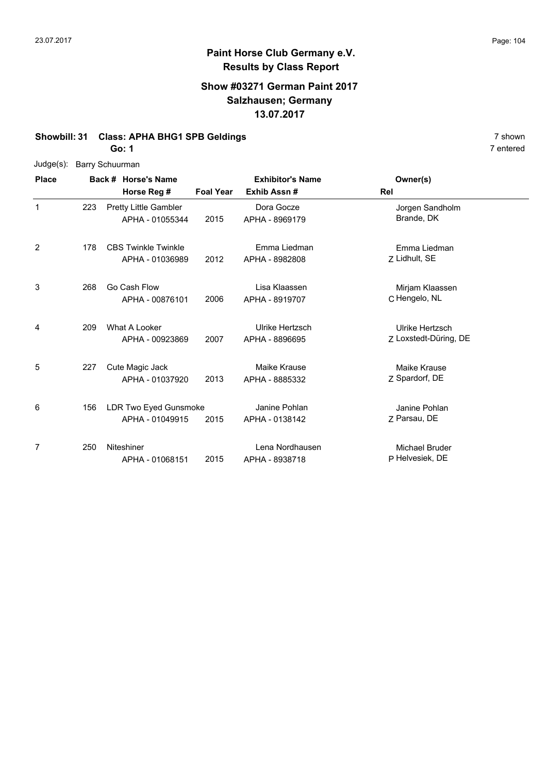# **Paint Horse Club Germany e.V. Results by Class Report**

#### **Show #03271 German Paint 2017 Salzhausen; Germany 13.07.2017**

#### **Showbill: 31 Class: APHA BHG1 SPB Geldings** 7 shown

**Go: 1**

|  | Judge(s): Barry Schuurman |
|--|---------------------------|
|--|---------------------------|

| <b>Place</b> |     | Back # Horse's Name                             |                  | <b>Exhibitor's Name</b>           | Owner(s)                                 |  |
|--------------|-----|-------------------------------------------------|------------------|-----------------------------------|------------------------------------------|--|
|              |     | Horse Reg #                                     | <b>Foal Year</b> | Exhib Assn#                       | Rel                                      |  |
| $\mathbf 1$  | 223 | <b>Pretty Little Gambler</b><br>APHA - 01055344 | 2015             | Dora Gocze<br>APHA - 8969179      | Jorgen Sandholm<br>Brande, DK            |  |
| 2            | 178 | <b>CBS Twinkle Twinkle</b><br>APHA - 01036989   | 2012             | Emma Liedman<br>APHA - 8982808    | Emma Liedman<br>Z Lidhult, SE            |  |
| 3            | 268 | Go Cash Flow<br>APHA - 00876101                 | 2006             | Lisa Klaassen<br>APHA - 8919707   | Mirjam Klaassen<br>C Hengelo, NL         |  |
| 4            | 209 | What A Looker<br>APHA - 00923869                | 2007             | Ulrike Hertzsch<br>APHA - 8896695 | Ulrike Hertzsch<br>Z Loxstedt-Düring, DE |  |
| 5            | 227 | Cute Magic Jack<br>APHA - 01037920              | 2013             | Maike Krause<br>APHA - 8885332    | Maike Krause<br>Z Spardorf, DE           |  |
| 6            | 156 | LDR Two Eyed Gunsmoke<br>APHA - 01049915        | 2015             | Janine Pohlan<br>APHA - 0138142   | Janine Pohlan<br>7 Parsau, DE            |  |
| 7            | 250 | Niteshiner<br>APHA - 01068151                   | 2015             | Lena Nordhausen<br>APHA - 8938718 | <b>Michael Bruder</b><br>P Helvesiek, DE |  |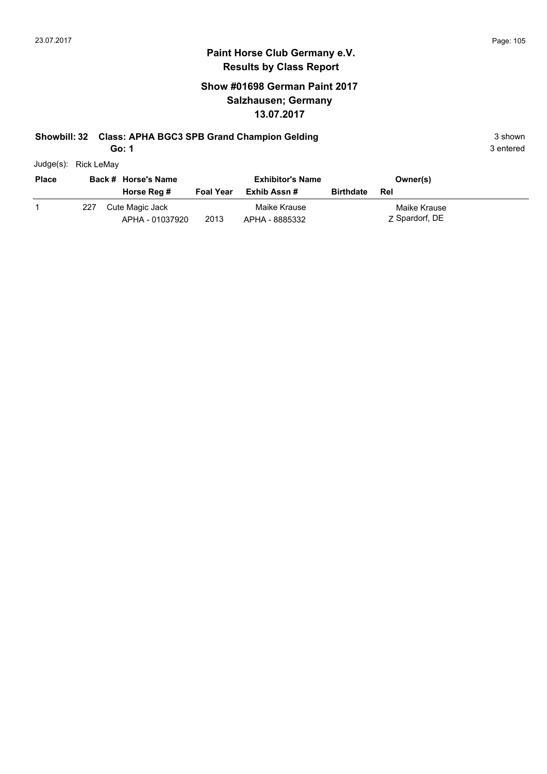## **Paint Horse Club Germany e.V. Results by Class Report**

## **Show #01698 German Paint 2017 Salzhausen; Germany 13.07.2017**

#### **Showbill: 32 Class: APHA BGC3 SPB Grand Champion Gelding** 3 Shown 3 shown

**Go: 1**

Judge(s): Rick LeMay

| <b>Place</b> |     | Back # Horse's Name                |                  | <b>Exhibitor's Name</b>        |                  | Owner(s)                       |
|--------------|-----|------------------------------------|------------------|--------------------------------|------------------|--------------------------------|
|              |     | Horse Reg #                        | <b>Foal Year</b> | Exhib Assn #                   | <b>Birthdate</b> | Rel                            |
|              | 227 | Cute Magic Jack<br>APHA - 01037920 | 2013             | Maike Krause<br>APHA - 8885332 |                  | Maike Krause<br>Z Spardorf, DE |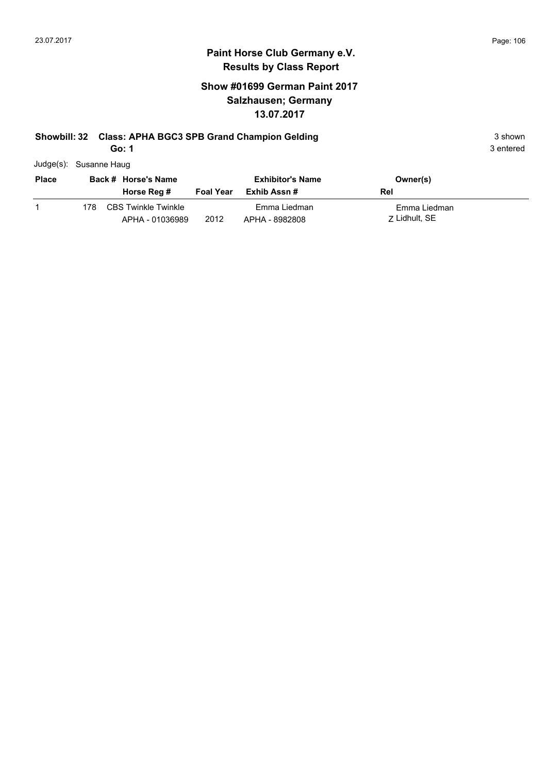## **Show #01699 German Paint 2017 Salzhausen; Germany 13.07.2017**

# **Showbill: 32 Class: APHA BGC3 SPB Grand Champion Gelding** 3 Shown 3 shown

**Go: 1**

|  | Judge(s): Susanne Haug |
|--|------------------------|
|--|------------------------|

| <b>Place</b> |     | Back # Horse's Name                    |                  | <b>Exhibitor's Name</b>        | Owner(s)                      |
|--------------|-----|----------------------------------------|------------------|--------------------------------|-------------------------------|
|              |     | Horse Reg #                            | <b>Foal Year</b> | Exhib Assn #                   | Rel                           |
|              | 178 | CBS Twinkle Twinkle<br>APHA - 01036989 | 2012             | Emma Liedman<br>APHA - 8982808 | Emma Liedman<br>7 Lidhult, SE |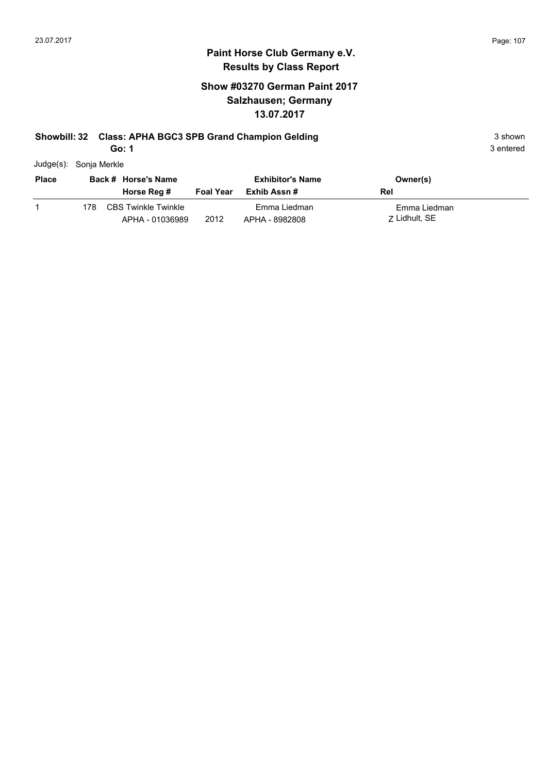## **Show #03270 German Paint 2017 Salzhausen; Germany 13.07.2017**

## **Showbill: 32 Class: APHA BGC3 SPB Grand Champion Gelding** 3 Shown 3 shown

**Go: 1**

| Judge(s): | Sonja Merkle |
|-----------|--------------|
|           |              |

| <b>Place</b> |     | Back # Horse's Name                           |                  | <b>Exhibitor's Name</b>        | Owner(s)                      |
|--------------|-----|-----------------------------------------------|------------------|--------------------------------|-------------------------------|
|              |     | Horse Reg #                                   | <b>Foal Year</b> | Exhib Assn #                   | Rel                           |
|              | 178 | <b>CBS Twinkle Twinkle</b><br>APHA - 01036989 | 2012             | Emma Liedman<br>APHA - 8982808 | Emma Liedman<br>7 Lidhult, SE |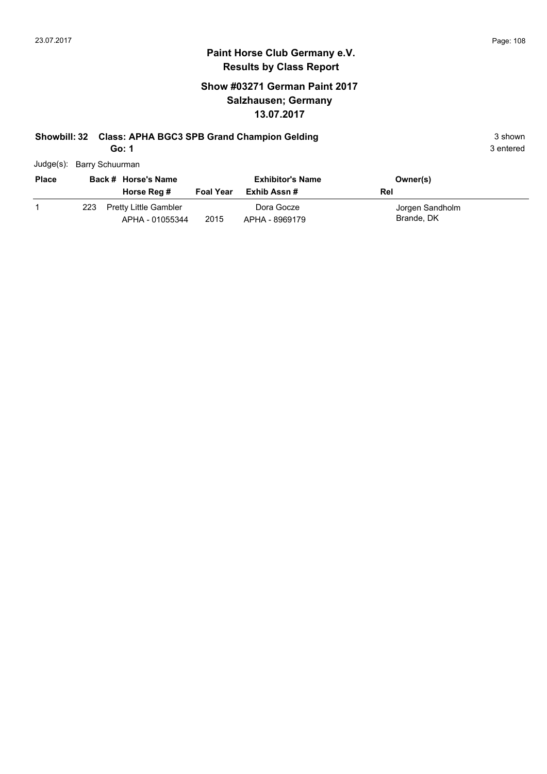## **Show #03271 German Paint 2017 Salzhausen; Germany 13.07.2017**

# **Showbill: 32 Class: APHA BGC3 SPB Grand Champion Gelding** 3 Shown 3 shown

**Go: 1**

| Judge(s): Barry Schuurman |  |
|---------------------------|--|
|                           |  |

| <b>Place</b> | Back # Horse's Name |                                                 |                  | <b>Exhibitor's Name</b>      | Owner(s)                      |
|--------------|---------------------|-------------------------------------------------|------------------|------------------------------|-------------------------------|
|              |                     | Horse Reg #                                     | <b>Foal Year</b> | Exhib Assn #                 | Rel                           |
|              | 223                 | <b>Pretty Little Gambler</b><br>APHA - 01055344 | 2015             | Dora Gocze<br>APHA - 8969179 | Jorgen Sandholm<br>Brande, DK |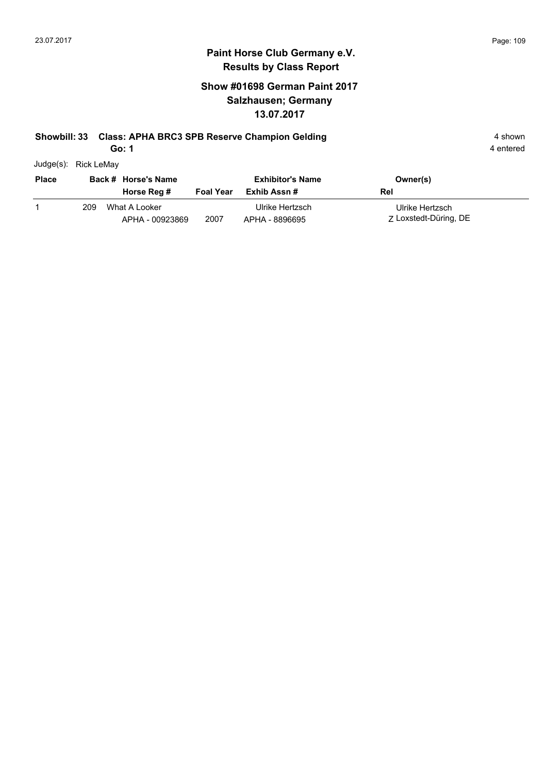#### **Show #01698 German Paint 2017 Salzhausen; Germany 13.07.2017**

#### **Showbill: 33 Class: APHA BRC3 SPB Reserve Champion Gelding 4 shown 4 shown**

**Go: 1**

| Judge(s): | Rick LeMay |
|-----------|------------|

| <b>Place</b> |     | Back # Horse's Name              | <b>Exhibitor's Name</b> |                                   | Owner(s)                                 |
|--------------|-----|----------------------------------|-------------------------|-----------------------------------|------------------------------------------|
|              |     | Horse Reg #                      | <b>Foal Year</b>        | Exhib Assn #                      | Rel                                      |
|              | 209 | What A Looker<br>APHA - 00923869 | 2007                    | Ulrike Hertzsch<br>APHA - 8896695 | Ulrike Hertzsch<br>Z Loxstedt-Düring, DE |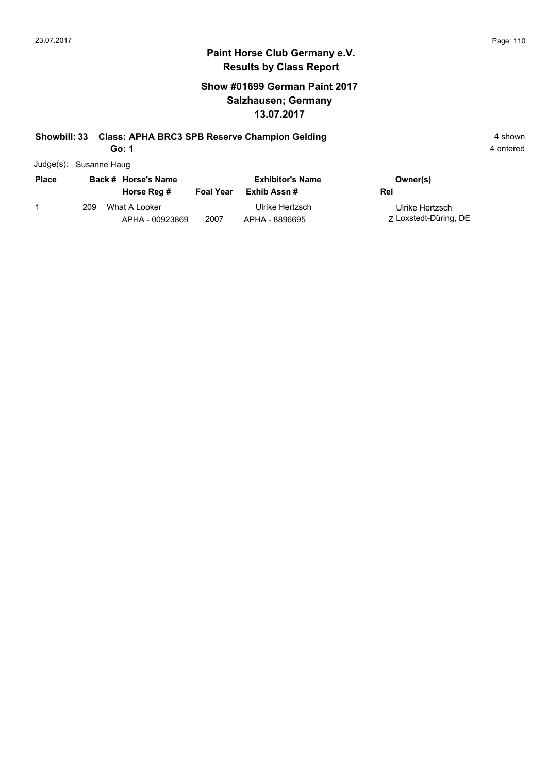#### **Show #01699 German Paint 2017 Salzhausen; Germany 13.07.2017**

#### **Showbill: 33 Class: APHA BRC3 SPB Reserve Champion Gelding 4 shown 4 shown**

**Go: 1**

| Judge(s): Susanne Haug |
|------------------------|
|                        |

| <b>Place</b> |     | Back # Horse's Name              |                  | <b>Exhibitor's Name</b>           | Owner(s)                                 |
|--------------|-----|----------------------------------|------------------|-----------------------------------|------------------------------------------|
|              |     | Horse Reg #                      | <b>Foal Year</b> | Exhib Assn #                      | Rel                                      |
|              | 209 | What A Looker<br>APHA - 00923869 | 2007             | Ulrike Hertzsch<br>APHA - 8896695 | Ulrike Hertzsch<br>Z Loxstedt-Düring, DE |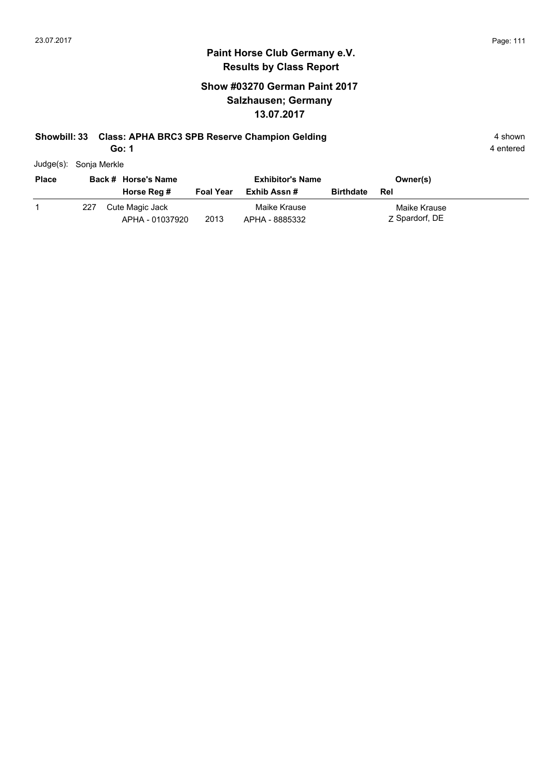#### **Show #03270 German Paint 2017 Salzhausen; Germany 13.07.2017**

#### **Showbill: 33 Class: APHA BRC3 SPB Reserve Champion Gelding 4 shown 4 shown**

**Go: 1**

| Judge(s): Sonja Merkle |
|------------------------|
|                        |

| <b>Place</b> |     | Back # Horse's Name                |                  | <b>Exhibitor's Name</b>        |                  | Owner(s)                       |
|--------------|-----|------------------------------------|------------------|--------------------------------|------------------|--------------------------------|
|              |     | Horse Reg #                        | <b>Foal Year</b> | Exhib Assn #                   | <b>Birthdate</b> | Rel                            |
|              | 227 | Cute Magic Jack<br>APHA - 01037920 | 2013             | Maike Krause<br>APHA - 8885332 |                  | Maike Krause<br>Z Spardorf, DE |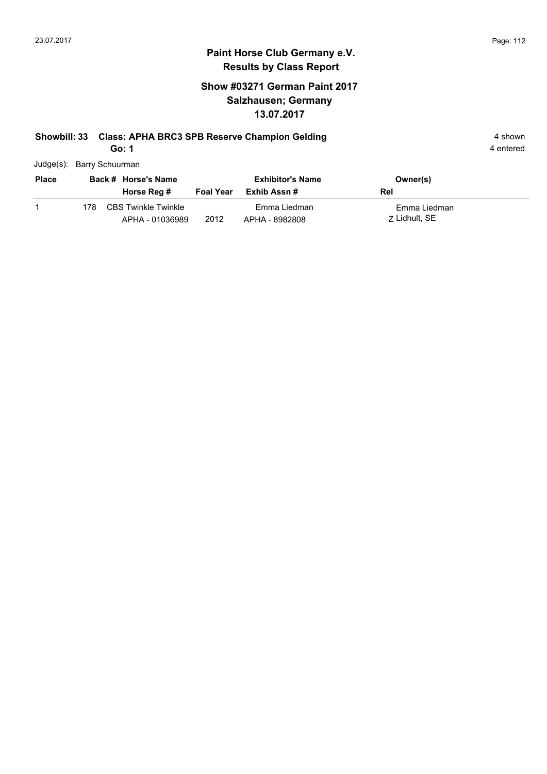#### **Show #03271 German Paint 2017 Salzhausen; Germany 13.07.2017**

# **Showbill: 33 Class: APHA BRC3 SPB Reserve Champion Gelding 4 shown 4 shown**

**Go: 1**

| Judge(s): Barry Schuurman |  |
|---------------------------|--|
|                           |  |

| <b>Place</b> |     | Back # Horse's Name                           |                  | <b>Exhibitor's Name</b>        | Owner(s)                      |
|--------------|-----|-----------------------------------------------|------------------|--------------------------------|-------------------------------|
|              |     | Horse Reg #                                   | <b>Foal Year</b> | Exhib Assn #                   | Rel                           |
|              | 178 | <b>CBS Twinkle Twinkle</b><br>APHA - 01036989 | 2012             | Emma Liedman<br>APHA - 8982808 | Emma Liedman<br>7 Lidhult, SE |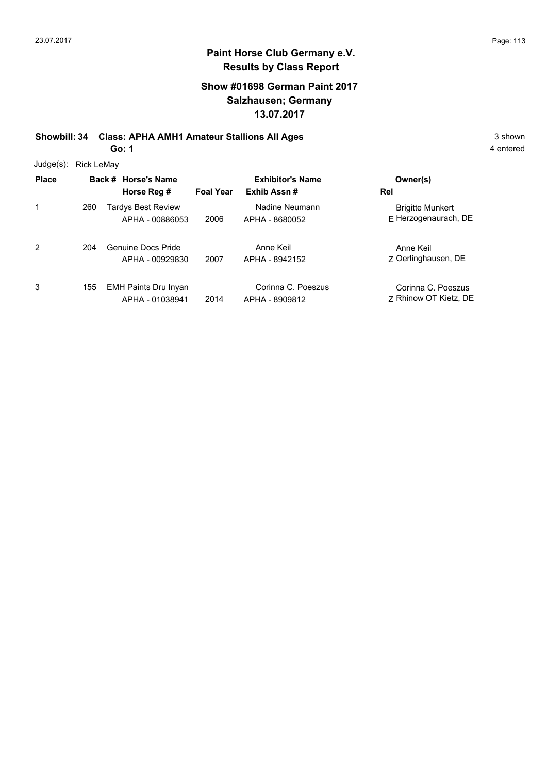#### **Show #01698 German Paint 2017 Salzhausen; Germany 13.07.2017**

**Showbill: 34 Class: APHA AMH1 Amateur Stallions All Ages** 3 shown **Go: 1**

| Judge(s):    | Rick LeMay |                                                |                  |                                      |                                                 |  |
|--------------|------------|------------------------------------------------|------------------|--------------------------------------|-------------------------------------------------|--|
| <b>Place</b> |            | Back # Horse's Name                            |                  | <b>Exhibitor's Name</b>              | Owner(s)                                        |  |
|              |            | Horse Reg #                                    | <b>Foal Year</b> | Exhib Assn#                          | Rel                                             |  |
| 1            | 260        | Tardys Best Review<br>APHA - 00886053          | 2006             | Nadine Neumann<br>APHA - 8680052     | <b>Brigitte Munkert</b><br>F Herzogenaurach, DE |  |
| 2            | 204        | Genuine Docs Pride<br>APHA - 00929830          | 2007             | Anne Keil<br>APHA - 8942152          | Anne Keil<br>7 Oerlinghausen, DE                |  |
| 3            | 155        | <b>EMH Paints Dru Inyan</b><br>APHA - 01038941 | 2014             | Corinna C. Poeszus<br>APHA - 8909812 | Corinna C. Poeszus<br>7 Rhinow OT Kietz, DE     |  |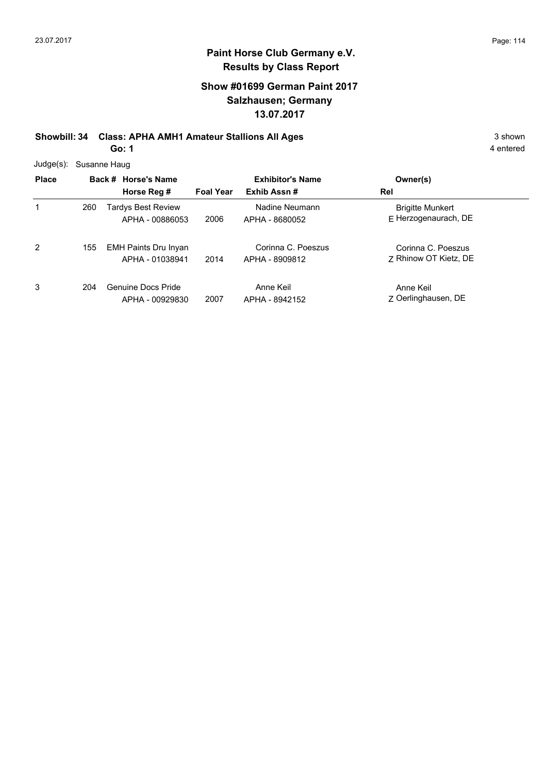#### **Show #01699 German Paint 2017 Salzhausen; Germany 13.07.2017**

**Showbill: 34 Class: APHA AMH1 Amateur Stallions All Ages** 3 shown

**Go: 1**

|  | Judge(s): Susanne Haug |
|--|------------------------|
|--|------------------------|

| <b>Place</b> |     | Back # Horse's Name<br>Horse Reg #             | <b>Foal Year</b> | <b>Exhibitor's Name</b><br>Exhib Assn# | Owner(s)<br>Rel                                 |
|--------------|-----|------------------------------------------------|------------------|----------------------------------------|-------------------------------------------------|
|              | 260 | Tardys Best Review<br>APHA - 00886053          | 2006             | Nadine Neumann<br>APHA - 8680052       | <b>Brigitte Munkert</b><br>E Herzogenaurach, DE |
| 2            | 155 | <b>EMH Paints Dru Inyan</b><br>APHA - 01038941 | 2014             | Corinna C. Poeszus<br>APHA - 8909812   | Corinna C. Poeszus<br>7 Rhinow OT Kietz, DE     |
| 3            | 204 | Genuine Docs Pride<br>APHA - 00929830          | 2007             | Anne Keil<br>APHA - 8942152            | Anne Keil<br>Z Oerlinghausen, DE                |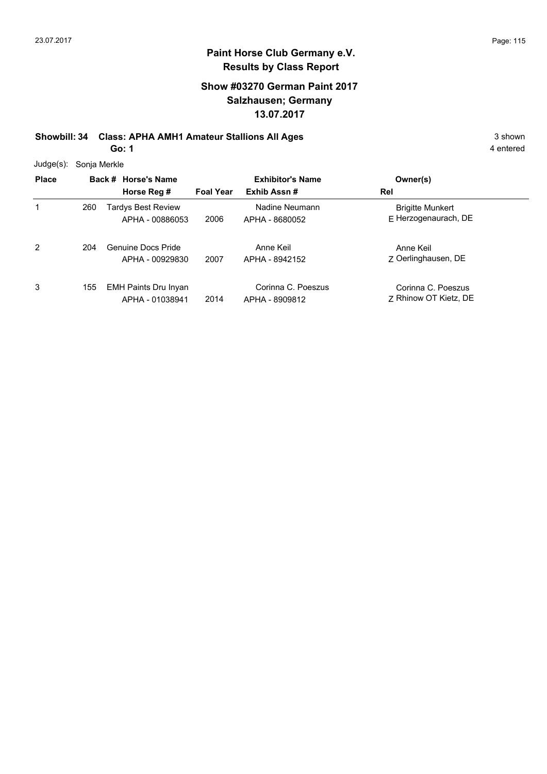#### **Show #03270 German Paint 2017 Salzhausen; Germany 13.07.2017**

**Showbill: 34 Class: APHA AMH1 Amateur Stallions All Ages** 3 shown

**Go: 1**

4 entered

Judge(s): Sonja Merkle

| <b>Place</b> |     | Back # Horse's Name<br>Horse Reg #             | <b>Foal Year</b> | <b>Exhibitor's Name</b><br>Exhib Assn# | Owner(s)<br>Rel                                 |
|--------------|-----|------------------------------------------------|------------------|----------------------------------------|-------------------------------------------------|
| 1            | 260 | <b>Tardys Best Review</b><br>APHA - 00886053   | 2006             | Nadine Neumann<br>APHA - 8680052       | <b>Brigitte Munkert</b><br>E Herzogenaurach, DE |
| 2            | 204 | Genuine Docs Pride<br>APHA - 00929830          | 2007             | Anne Keil<br>APHA - 8942152            | Anne Keil<br>7 Oerlinghausen, DE                |
| 3            | 155 | <b>EMH Paints Dru Inyan</b><br>APHA - 01038941 | 2014             | Corinna C. Poeszus<br>APHA - 8909812   | Corinna C. Poeszus<br>7 Rhinow OT Kietz, DE     |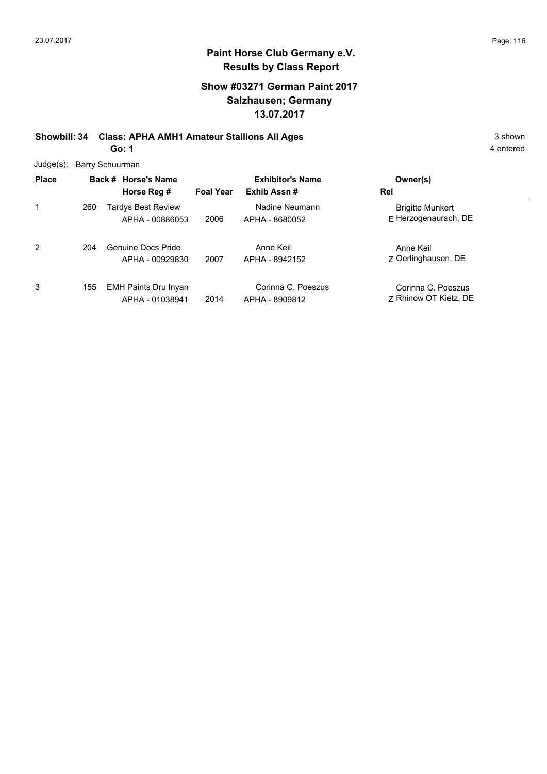#### **Show #03271 German Paint 2017 Salzhausen; Germany 13.07.2017**

**Showbill: 34 Class: APHA AMH1 Amateur Stallions All Ages** 3 shown **Go: 1**

4 entered

Judge(s): Barry Schuurman

| <b>Place</b> |     | Back # Horse's Name<br>Horse Reg #             | <b>Foal Year</b> | <b>Exhibitor's Name</b><br>Exhib Assn# | Owner(s)<br>Rel                                 |
|--------------|-----|------------------------------------------------|------------------|----------------------------------------|-------------------------------------------------|
| 1            | 260 | Tardys Best Review<br>APHA - 00886053          | 2006             | Nadine Neumann<br>APHA - 8680052       | <b>Brigitte Munkert</b><br>E Herzogenaurach, DE |
| 2            | 204 | Genuine Docs Pride<br>APHA - 00929830          | 2007             | Anne Keil<br>APHA - 8942152            | Anne Keil<br>7 Oerlinghausen, DE                |
| 3            | 155 | <b>EMH Paints Dru Inyan</b><br>APHA - 01038941 | 2014             | Corinna C. Poeszus<br>APHA - 8909812   | Corinna C. Poeszus<br>7 Rhinow OT Kietz, DE     |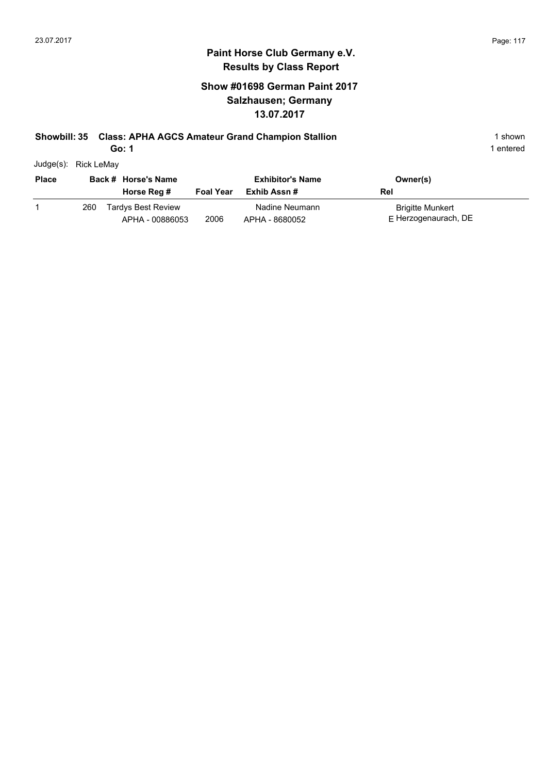#### **Show #01698 German Paint 2017 Salzhausen; Germany 13.07.2017**

#### **Showbill: 35 Class: APHA AGCS Amateur Grand Champion Stallion** 1 shown 1 shown

**Go: 1**

| Judge(s): | Rick LeMay |
|-----------|------------|
|           |            |

| <b>Place</b> |     | Back # Horse's Name<br>Horse Reg #           | <b>Foal Year</b> | <b>Exhibitor's Name</b><br>Exhib Assn # | Owner(s)<br>Rel                            |
|--------------|-----|----------------------------------------------|------------------|-----------------------------------------|--------------------------------------------|
|              | 260 | <b>Tardys Best Review</b><br>APHA - 00886053 | 2006             | Nadine Neumann<br>APHA - 8680052        | Brigitte Munkert<br>$E$ Herzogenaurach, DE |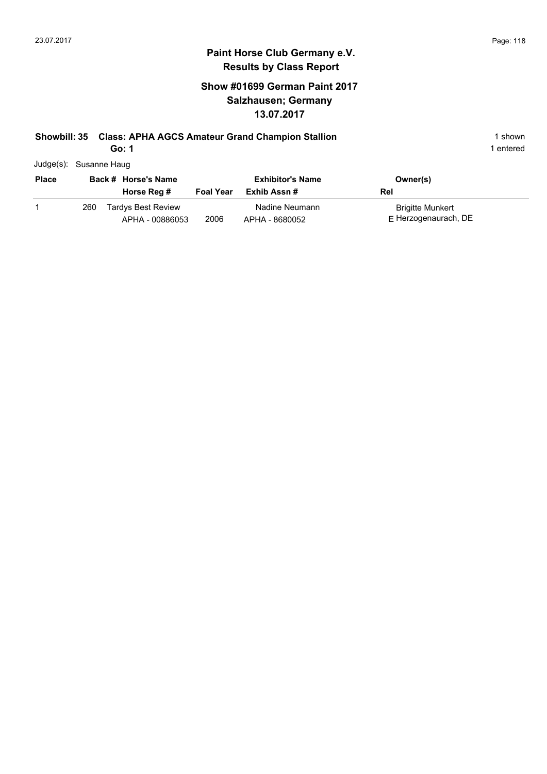#### **Show #01699 German Paint 2017 Salzhausen; Germany 13.07.2017**

# **Showbill: 35 Class: APHA AGCS Amateur Grand Champion Stallion** 1 shown 1 shown

**Go: 1**

| Judge(s): Susanne Haug |
|------------------------|
|------------------------|

| <b>Place</b> |     | Back # Horse's Name                   |                  | <b>Exhibitor's Name</b>          | Owner(s)                                 |
|--------------|-----|---------------------------------------|------------------|----------------------------------|------------------------------------------|
|              |     | Horse Reg #                           | <b>Foal Year</b> | Exhib Assn #                     | Rel                                      |
|              | 260 | Tardys Best Review<br>APHA - 00886053 | 2006             | Nadine Neumann<br>APHA - 8680052 | Brigitte Munkert<br>E Herzogenaurach, DE |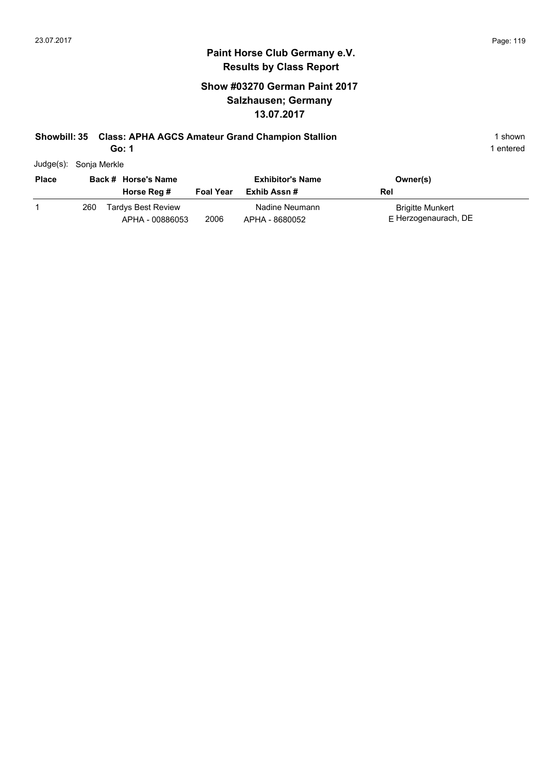#### **Show #03270 German Paint 2017 Salzhausen; Germany 13.07.2017**

#### **Showbill: 35 Class: APHA AGCS Amateur Grand Champion Stallion** 1 shown 1 shown

**Go: 1**

| Judge(s): | Sonja Merkle |
|-----------|--------------|
|           |              |

| <b>Place</b> |     | Back # Horse's Name<br>Horse Reg #           | <b>Foal Year</b> | <b>Exhibitor's Name</b><br>Exhib Assn # | Owner(s)<br>Rel                            |
|--------------|-----|----------------------------------------------|------------------|-----------------------------------------|--------------------------------------------|
|              | 260 | <b>Tardys Best Review</b><br>APHA - 00886053 | 2006             | Nadine Neumann<br>APHA - 8680052        | Brigitte Munkert<br>$E$ Herzogenaurach, DE |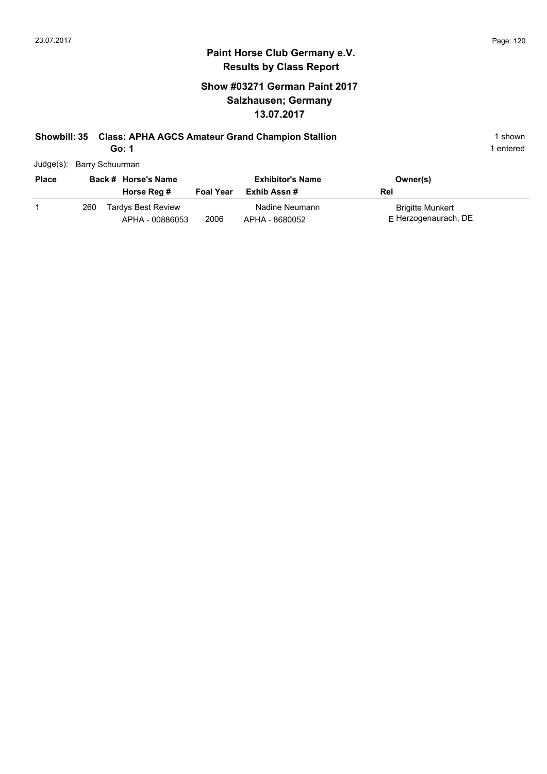#### **Show #03271 German Paint 2017 Salzhausen; Germany 13.07.2017**

# **Showbill: 35 Class: APHA AGCS Amateur Grand Champion Stallion** 1 shown 1 shown

**Go: 1**

| <b>Place</b> |     | Back # Horse's Name                          |                  | <b>Exhibitor's Name</b>          | Owner(s)                                        |
|--------------|-----|----------------------------------------------|------------------|----------------------------------|-------------------------------------------------|
|              |     | Horse Reg #                                  | <b>Foal Year</b> | Exhib Assn #                     | Rel                                             |
|              | 260 | <b>Tardys Best Review</b><br>APHA - 00886053 | 2006             | Nadine Neumann<br>APHA - 8680052 | <b>Brigitte Munkert</b><br>E Herzogenaurach, DE |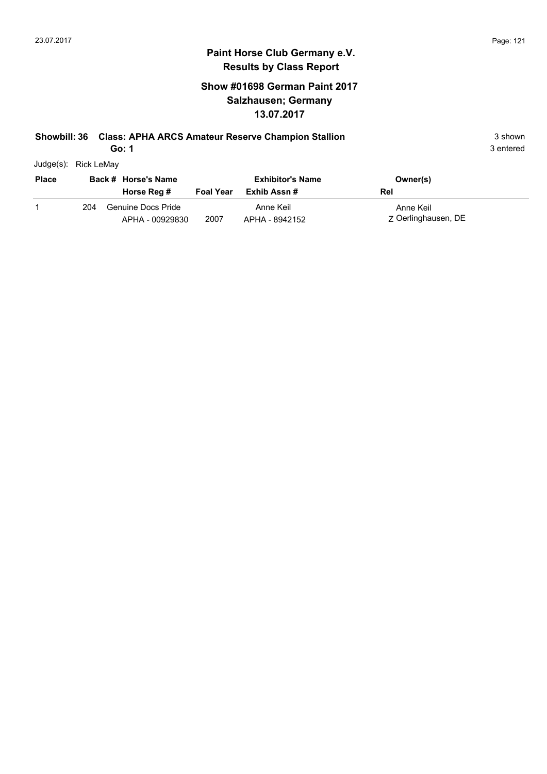#### **Show #01698 German Paint 2017 Salzhausen; Germany 13.07.2017**

#### **Showbill: 36 Class: APHA ARCS Amateur Reserve Champion Stallion** 3 Shown 3 shown

**Go: 1**

3 entered

Judge(s): Rick LeMay

| <b>Place</b> |     | Back # Horse's Name                   |                  | <b>Exhibitor's Name</b>     | Owner(s)                         |
|--------------|-----|---------------------------------------|------------------|-----------------------------|----------------------------------|
|              |     | Horse Reg #                           | <b>Foal Year</b> | Exhib Assn #                | Rel                              |
|              | 204 | Genuine Docs Pride<br>APHA - 00929830 | 2007             | Anne Keil<br>APHA - 8942152 | Anne Keil<br>Z Oerlinghausen, DE |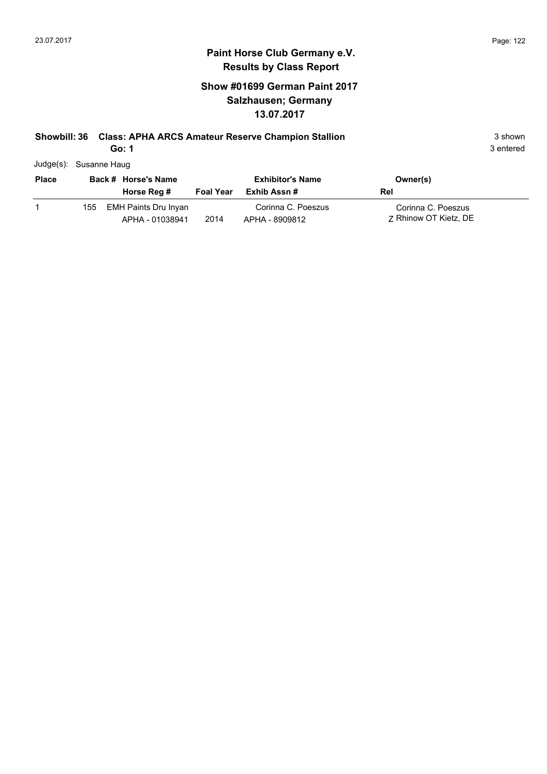#### **Show #01699 German Paint 2017 Salzhausen; Germany 13.07.2017**

#### **Showbill: 36 Class: APHA ARCS Amateur Reserve Champion Stallion** 3 Shown 3 shown

**Go: 1**

| Judge(s): Susanne Haug |
|------------------------|
|                        |

| <b>Place</b> |      | Back # Horse's Name                     |                  | <b>Exhibitor's Name</b>              | Owner(s)                                    |
|--------------|------|-----------------------------------------|------------------|--------------------------------------|---------------------------------------------|
|              |      | Horse Reg #                             | <b>Foal Year</b> | Exhib Assn #                         | Rel                                         |
|              | 155. | EMH Paints Dru Inyan<br>APHA - 01038941 | 2014             | Corinna C. Poeszus<br>APHA - 8909812 | Corinna C. Poeszus<br>7 Rhinow OT Kietz, DE |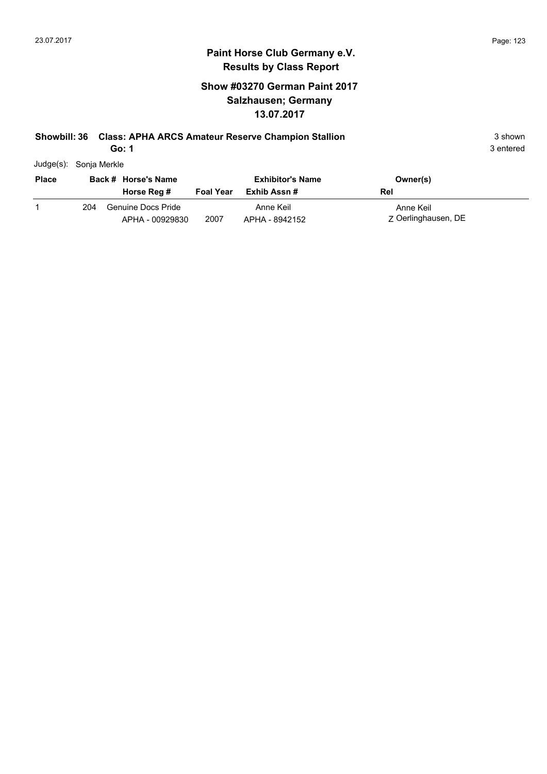#### **Show #03270 German Paint 2017 Salzhausen; Germany 13.07.2017**

#### **Showbill: 36 Class: APHA ARCS Amateur Reserve Champion Stallion** 3 Shown 3 shown

**Go: 1**

3 entered

Judge(s): Sonja Merkle

| <b>Place</b> |     | Back # Horse's Name                   |                  | <b>Exhibitor's Name</b>     | Owner(s)                         |
|--------------|-----|---------------------------------------|------------------|-----------------------------|----------------------------------|
|              |     | Horse Reg #                           | <b>Foal Year</b> | Exhib Assn #                | Rel                              |
|              | 204 | Genuine Docs Pride<br>APHA - 00929830 | 2007             | Anne Keil<br>APHA - 8942152 | Anne Keil<br>Z Oerlinghausen, DE |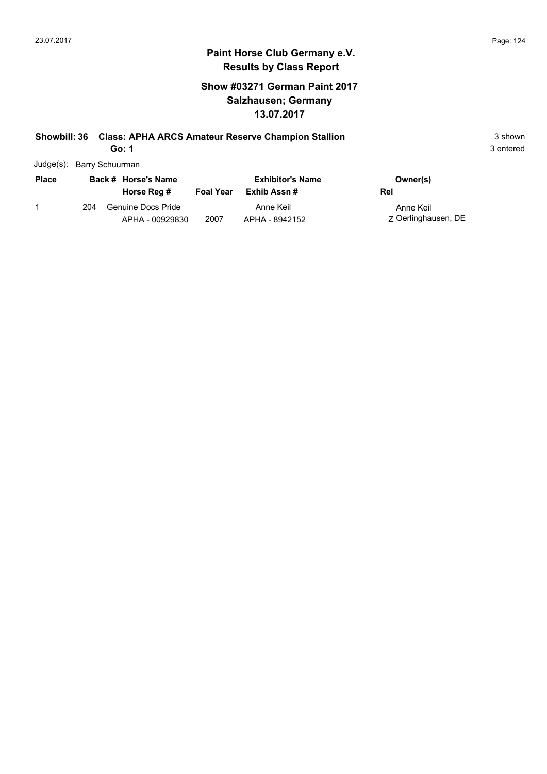#### **Show #03271 German Paint 2017 Salzhausen; Germany 13.07.2017**

#### **Showbill: 36 Class: APHA ARCS Amateur Reserve Champion Stallion** 3 Shown 3 shown

**Go: 1**

| Judge(s): Barry Schuurman |  |
|---------------------------|--|

| <b>Place</b> |     | Back # Horse's Name                   |                  | <b>Exhibitor's Name</b>     | Owner(s)                         |
|--------------|-----|---------------------------------------|------------------|-----------------------------|----------------------------------|
|              |     | Horse Reg #                           | <b>Foal Year</b> | Exhib Assn #                | Rel                              |
|              | 204 | Genuine Docs Pride<br>APHA - 00929830 | 2007             | Anne Keil<br>APHA - 8942152 | Anne Keil<br>Z Oerlinghausen, DE |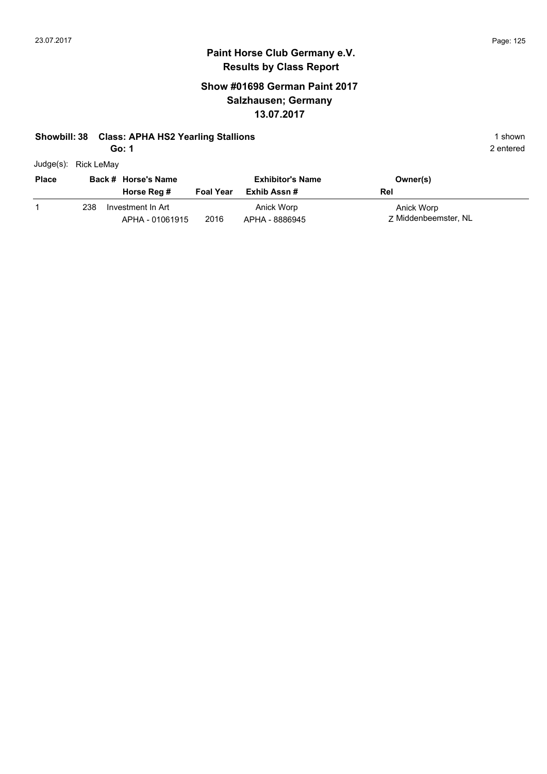# **Paint Horse Club Germany e.V. Results by Class Report**

#### **Show #01698 German Paint 2017 Salzhausen; Germany 13.07.2017**

#### **Showbill: 38 Class: APHA HS2 Yearling Stallions** 1 shown

**Go: 1**

|  | Judge(s): Rick LeMay |
|--|----------------------|
|--|----------------------|

| <b>Place</b> |     | Back # Horse's Name                  |                  | <b>Exhibitor's Name</b>      | Owner(s)                           |
|--------------|-----|--------------------------------------|------------------|------------------------------|------------------------------------|
|              |     | Horse Reg #                          | <b>Foal Year</b> | Exhib Assn #                 | Rel                                |
|              | 238 | Investment In Art<br>APHA - 01061915 | 2016             | Anick Worp<br>APHA - 8886945 | Anick Worp<br>7 Middenbeemster, NL |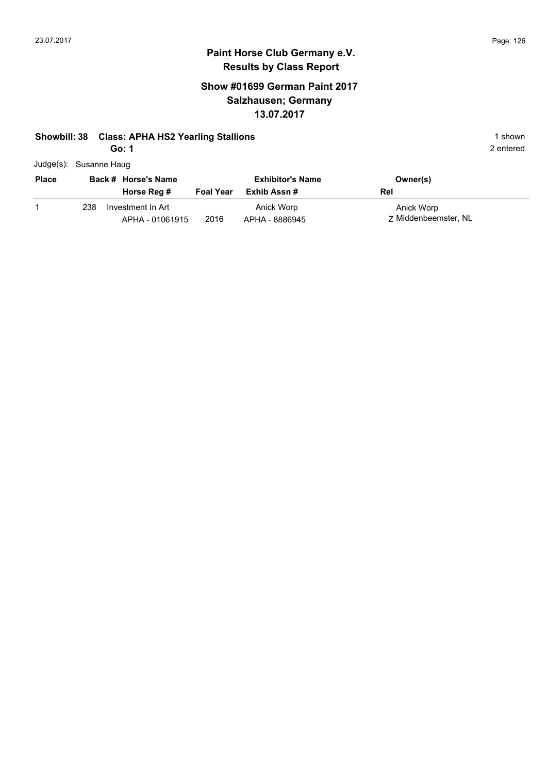# **Paint Horse Club Germany e.V. Results by Class Report**

#### **Show #01699 German Paint 2017 Salzhausen; Germany 13.07.2017**

#### **Showbill: 38 Class: APHA HS2 Yearling Stallions** 1 shown

**Go: 1**

| Judge(s): Susanne Haug |     |                                      |                  |                              |                                    |
|------------------------|-----|--------------------------------------|------------------|------------------------------|------------------------------------|
| <b>Place</b>           |     | Back # Horse's Name                  |                  | <b>Exhibitor's Name</b>      | Owner(s)                           |
|                        |     | Horse Reg #                          | <b>Foal Year</b> | Exhib Assn#                  | Rel                                |
|                        | 238 | Investment In Art<br>APHA - 01061915 | 2016             | Anick Worp<br>APHA - 8886945 | Anick Worp<br>7 Middenbeemster, NL |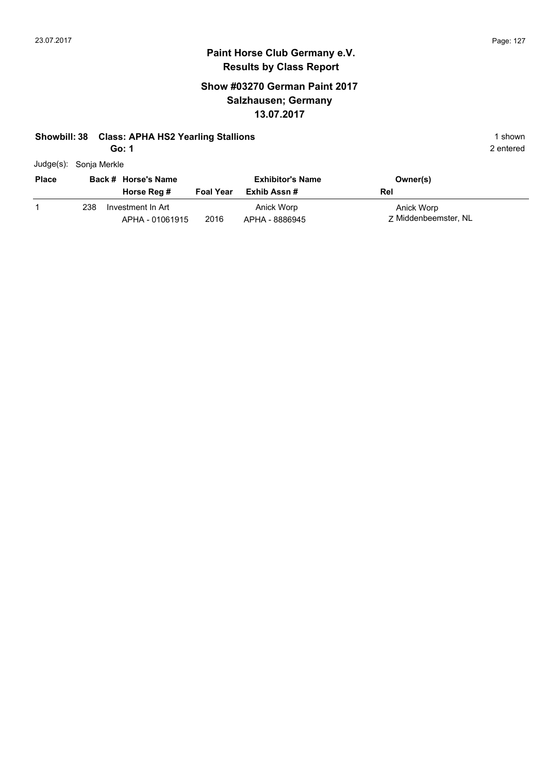#### **Show #03270 German Paint 2017 Salzhausen; Germany 13.07.2017**

#### **Showbill: 38 Class: APHA HS2 Yearling Stallions** 1 shown

**Go: 1**

|              | Judge(s): Sonja Merkle   |                  |                         |          |
|--------------|--------------------------|------------------|-------------------------|----------|
| <b>Place</b> | Back # Horse's Name      |                  | <b>Exhibitor's Name</b> | Owner(s) |
|              | Horse Reg #              | <b>Foal Year</b> | Exhib Assn #            | Rel      |
|              | Investment In Art<br>238 |                  | Anick Worp              | Anick Wo |

2016 APHA - 8886945 Z Middenbeemster, NL 238 Investment In Art APHA - 01061915 Anick Worp APHA - 8886945

2 entered

Anick Worp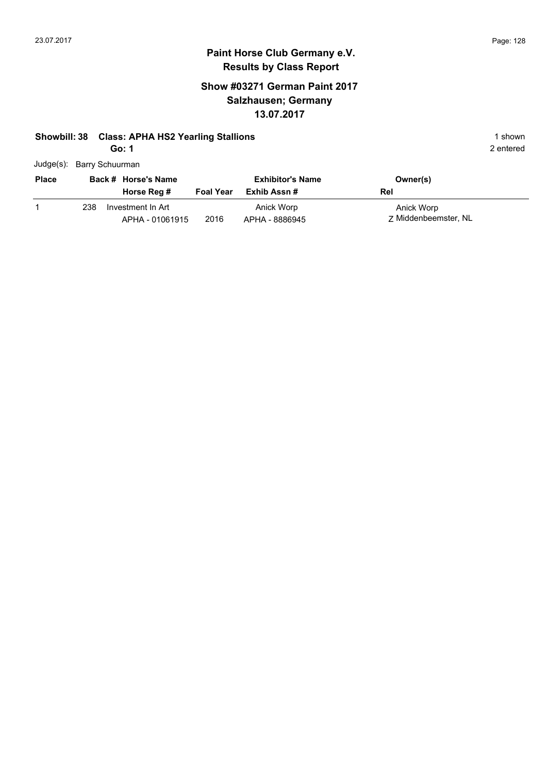## **Paint Horse Club Germany e.V. Results by Class Report**

#### **Show #03271 German Paint 2017 Salzhausen; Germany 13.07.2017**

#### **Showbill: 38 Class: APHA HS2 Yearling Stallions** 1 shown

**Go: 1**

|              |     | Judge(s): Barry Schuurman |                  |                         |                      |
|--------------|-----|---------------------------|------------------|-------------------------|----------------------|
| <b>Place</b> |     | Back # Horse's Name       |                  | <b>Exhibitor's Name</b> | Owner(s)             |
|              |     | Horse Reg #               | <b>Foal Year</b> | Exhib Assn #            | Rel                  |
|              | 238 | Investment In Art         |                  | Anick Worp              | Anick Worp           |
|              |     | APHA - 01061915           | 2016             | APHA - 8886945          | 7 Middenbeemster, NL |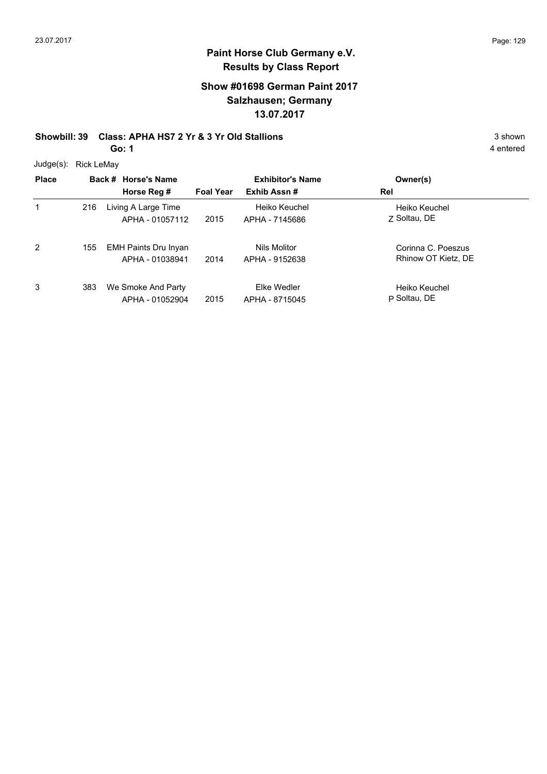# **Paint Horse Club Germany e.V. Results by Class Report**

#### **Show #01698 German Paint 2017 Salzhausen; Germany 13.07.2017**

# **Showbill: 39 Class: APHA HS7 2 Yr & 3 Yr Old Stallions** 3 Shown 3 shown

**Go: 1**

Judge(s): Rick LeMay

| <b>Place</b> |     | Back # Horse's Name         |                  | <b>Exhibitor's Name</b> | Owner(s)            |
|--------------|-----|-----------------------------|------------------|-------------------------|---------------------|
|              |     | Horse Reg #                 | <b>Foal Year</b> | Exhib Assn#             | Rel                 |
|              | 216 | Living A Large Time         |                  | Heiko Keuchel           | Heiko Keuchel       |
|              |     | APHA - 01057112             | 2015             | APHA - 7145686          | 7 Soltau, DE        |
| 2            | 155 | <b>EMH Paints Dru Inyan</b> |                  | Nils Molitor            | Corinna C. Poeszus  |
|              |     | APHA - 01038941             | 2014             | APHA - 9152638          | Rhinow OT Kietz, DE |
| 3            | 383 | We Smoke And Party          |                  | Elke Wedler             | Heiko Keuchel       |
|              |     | APHA - 01052904             | 2015             | APHA - 8715045          | P Soltau, DE        |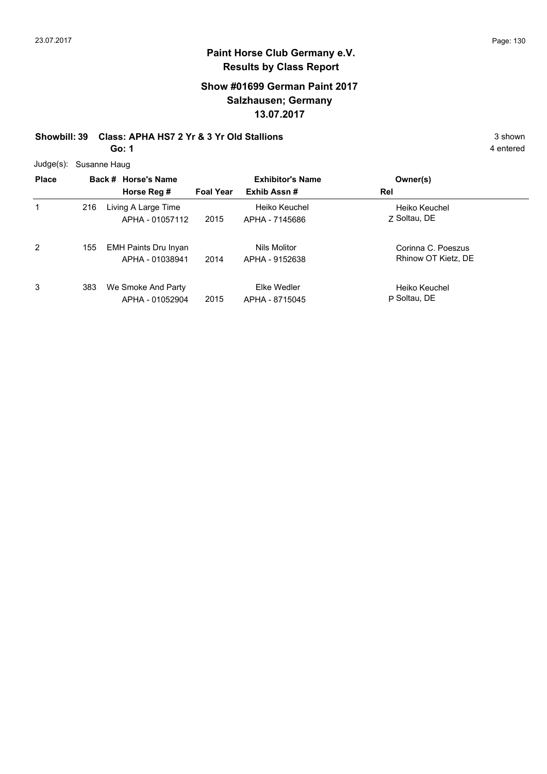# **Paint Horse Club Germany e.V. Results by Class Report**

#### **Show #01699 German Paint 2017 Salzhausen; Germany 13.07.2017**

#### **Showbill: 39 Class: APHA HS7 2 Yr & 3 Yr Old Stallions** 3 Shown 3 shown **Go: 1**

Judge(s): Susanne Haug

| <b>Place</b> |     | Back # Horse's Name<br>Horse Reg #             | <b>Foal Year</b> | <b>Exhibitor's Name</b><br>Exhib Assn# | Owner(s)<br>Rel                           |
|--------------|-----|------------------------------------------------|------------------|----------------------------------------|-------------------------------------------|
| 1            | 216 | Living A Large Time<br>APHA - 01057112         | 2015             | Heiko Keuchel<br>APHA - 7145686        | Heiko Keuchel<br>Z Soltau, DE             |
| 2            | 155 | <b>EMH Paints Dru Inyan</b><br>APHA - 01038941 | 2014             | Nils Molitor<br>APHA - 9152638         | Corinna C. Poeszus<br>Rhinow OT Kietz, DE |
| 3            | 383 | We Smoke And Party<br>APHA - 01052904          | 2015             | Elke Wedler<br>APHA - 8715045          | Heiko Keuchel<br>P Soltau, DE             |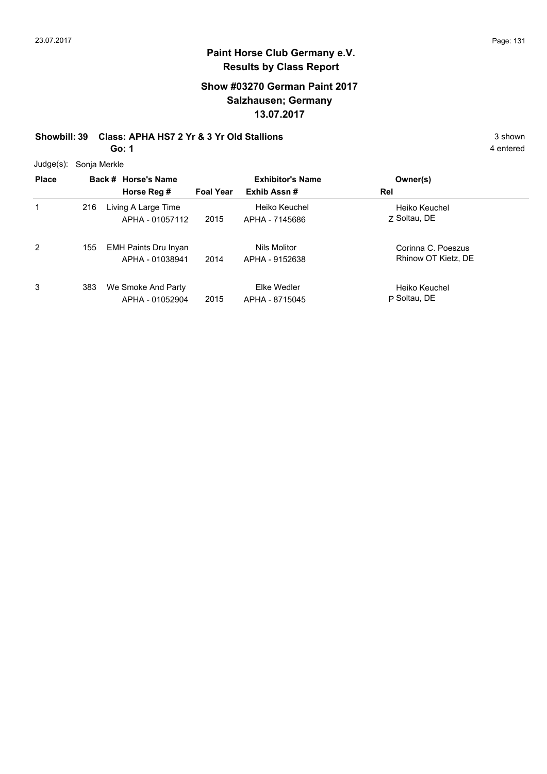# **Paint Horse Club Germany e.V. Results by Class Report**

#### **Show #03270 German Paint 2017 Salzhausen; Germany 13.07.2017**

# **Showbill: 39 Class: APHA HS7 2 Yr & 3 Yr Old Stallions** 3 Shown 3 shown

**Go: 1**

Judge(s): Sonja Merkle

| <b>Place</b> |     | Back # Horse's Name<br>Horse Reg #             | <b>Foal Year</b> | <b>Exhibitor's Name</b><br>Exhib Assn# | Owner(s)<br>Rel                           |
|--------------|-----|------------------------------------------------|------------------|----------------------------------------|-------------------------------------------|
|              | 216 | Living A Large Time<br>APHA - 01057112         | 2015             | Heiko Keuchel<br>APHA - 7145686        | Heiko Keuchel<br>7 Soltau, DE             |
| 2            | 155 | <b>EMH Paints Dru Inyan</b><br>APHA - 01038941 | 2014             | Nils Molitor<br>APHA - 9152638         | Corinna C. Poeszus<br>Rhinow OT Kietz, DE |
| 3            | 383 | We Smoke And Party<br>APHA - 01052904          | 2015             | Elke Wedler<br>APHA - 8715045          | Heiko Keuchel<br>P Soltau, DE             |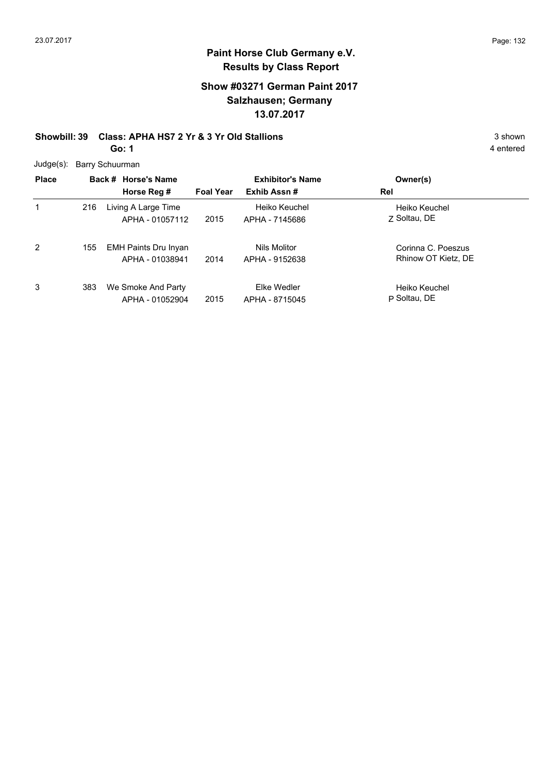1

3

#### **Paint Horse Club Germany e.V. Results by Class Report**

#### **Show #03271 German Paint 2017 Salzhausen; Germany 13.07.2017**

#### **Showbill: 39 Class: APHA HS7 2 Yr & 3 Yr Old Stallions** 3 Shown 3 shown **Go: 1**

Judge(s): Barry Schuurman **Back # Horse's Name Place Owner(s) Horse Reg # Exhib Assn # Foal Year Rel Exhibitor's Name** Z Soltau, DE Heiko Keuchel 2015 APHA - 7145686 Z Soltau, DE 216 Living A Large Time APHA - 01057112 Heiko Keuchel 2 Corinna C. Poeszus EMH Paints Dru Inyan 155 2014 APHA - 9152638 Rhinow OT Kietz, DE APHA - 01038941 Nils Molitor APHA - 9152638 P Soltau, DE Heiko Keuchel We Smoke And Party 383APHA - 01052904 Elke Wedler

2015 APHA - 8715045 **Soltau**, DE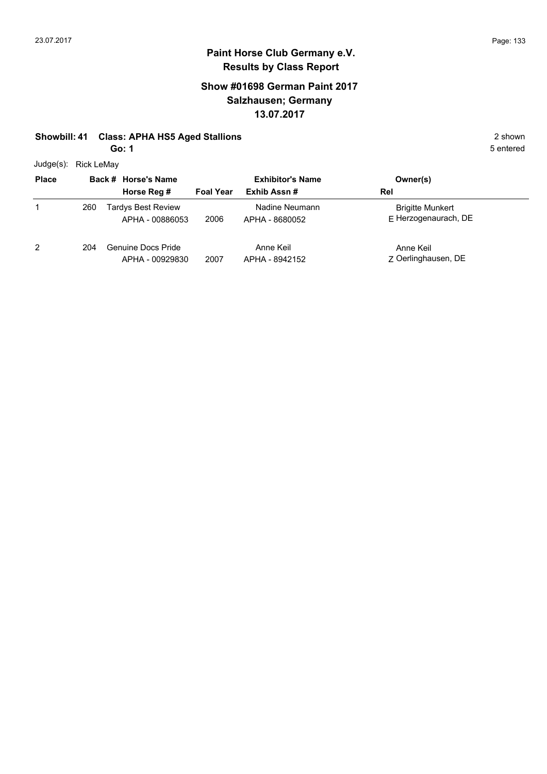#### **Show #01698 German Paint 2017 Salzhausen; Germany 13.07.2017**

#### **Showbill: 41 Class: APHA HS5 Aged Stallions** 2 shown

**Go: 1**

Judge(s): Rick LeMay

| <b>Place</b> |     | Back # Horse's Name                          |                  | <b>Exhibitor's Name</b>          | Owner(s)                                        |
|--------------|-----|----------------------------------------------|------------------|----------------------------------|-------------------------------------------------|
|              |     | Horse Reg #                                  | <b>Foal Year</b> | Exhib Assn#                      | Rel                                             |
|              | 260 | <b>Tardys Best Review</b><br>APHA - 00886053 | 2006             | Nadine Neumann<br>APHA - 8680052 | <b>Brigitte Munkert</b><br>E Herzogenaurach, DE |
| 2            | 204 | Genuine Docs Pride<br>APHA - 00929830        | 2007             | Anne Keil<br>APHA - 8942152      | Anne Keil<br>Z Oerlinghausen, DE                |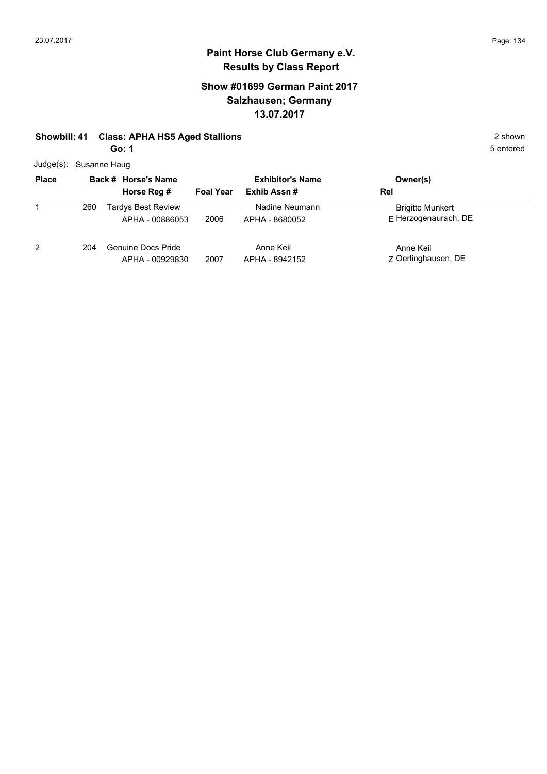#### **Show #01699 German Paint 2017 Salzhausen; Germany 13.07.2017**

#### **Showbill: 41 Class: APHA HS5 Aged Stallions** 2 shown

**Go: 1**

Judge(s): Susanne Haug

| <b>Place</b> | Back # Horse's Name |                                              | <b>Exhibitor's Name</b> |                                  | Owner(s)                                        |
|--------------|---------------------|----------------------------------------------|-------------------------|----------------------------------|-------------------------------------------------|
|              |                     | Horse Reg #                                  | <b>Foal Year</b>        | Exhib Assn#                      | Rel                                             |
| 1            | 260                 | <b>Tardys Best Review</b><br>APHA - 00886053 | 2006                    | Nadine Neumann<br>APHA - 8680052 | <b>Brigitte Munkert</b><br>F Herzogenaurach, DE |
| 2            | 204                 | Genuine Docs Pride<br>APHA - 00929830        | 2007                    | Anne Keil<br>APHA - 8942152      | Anne Keil<br>Z Oerlinghausen, DE                |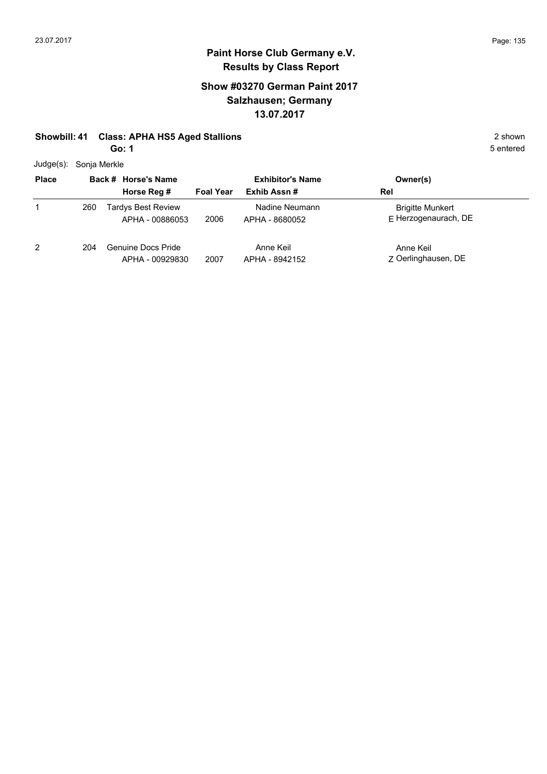#### **Show #03270 German Paint 2017 Salzhausen; Germany 13.07.2017**

#### **Showbill: 41 Class: APHA HS5 Aged Stallions** 2 shown

**Go: 1**

Judge(s): Sonja Merkle

| <b>Place</b> |     | Back # Horse's Name                          |                  | <b>Exhibitor's Name</b>          | Owner(s)                                        |
|--------------|-----|----------------------------------------------|------------------|----------------------------------|-------------------------------------------------|
|              |     | Horse Reg #                                  | <b>Foal Year</b> | Exhib Assn#                      | Rel                                             |
|              | 260 | <b>Tardys Best Review</b><br>APHA - 00886053 | 2006             | Nadine Neumann<br>APHA - 8680052 | <b>Brigitte Munkert</b><br>E Herzogenaurach, DE |
| 2            | 204 | <b>Genuine Docs Pride</b><br>APHA - 00929830 | 2007             | Anne Keil<br>APHA - 8942152      | Anne Keil<br>Z Oerlinghausen, DE                |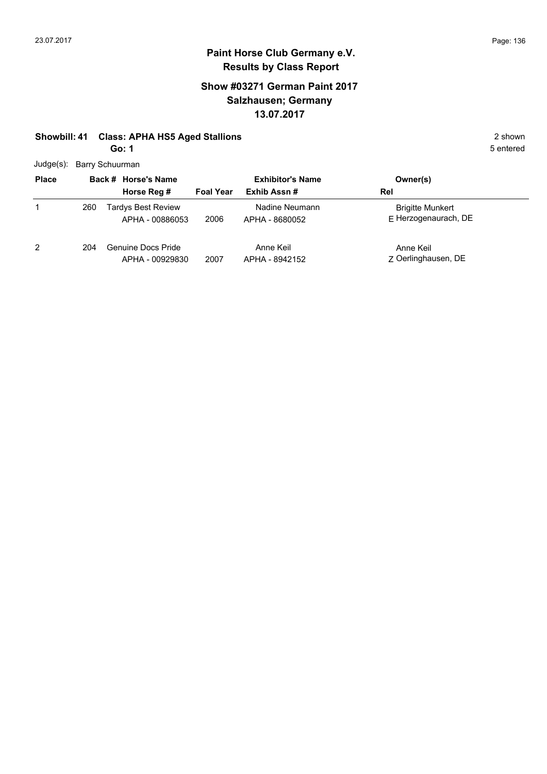#### **Show #03271 German Paint 2017 Salzhausen; Germany 13.07.2017**

#### **Showbill: 41 Class: APHA HS5 Aged Stallions** 2 shown

**Go: 1**

Judge(s): Barry Schuurman

| ouuyu(3).    | <b>Dally Octival High</b> |                                              |                         |                                  |                                                 |  |  |  |
|--------------|---------------------------|----------------------------------------------|-------------------------|----------------------------------|-------------------------------------------------|--|--|--|
| <b>Place</b> |                           | Back # Horse's Name                          | <b>Exhibitor's Name</b> |                                  | Owner(s)                                        |  |  |  |
|              |                           | Horse Reg #                                  | <b>Foal Year</b>        | Exhib Assn#                      | Rel                                             |  |  |  |
| 1            | 260                       | <b>Tardys Best Review</b><br>APHA - 00886053 | 2006                    | Nadine Neumann<br>APHA - 8680052 | <b>Brigitte Munkert</b><br>E Herzogenaurach, DE |  |  |  |
| 2            | 204                       | <b>Genuine Docs Pride</b><br>APHA - 00929830 | 2007                    | Anne Keil<br>APHA - 8942152      | Anne Keil<br>Z Oerlinghausen, DE                |  |  |  |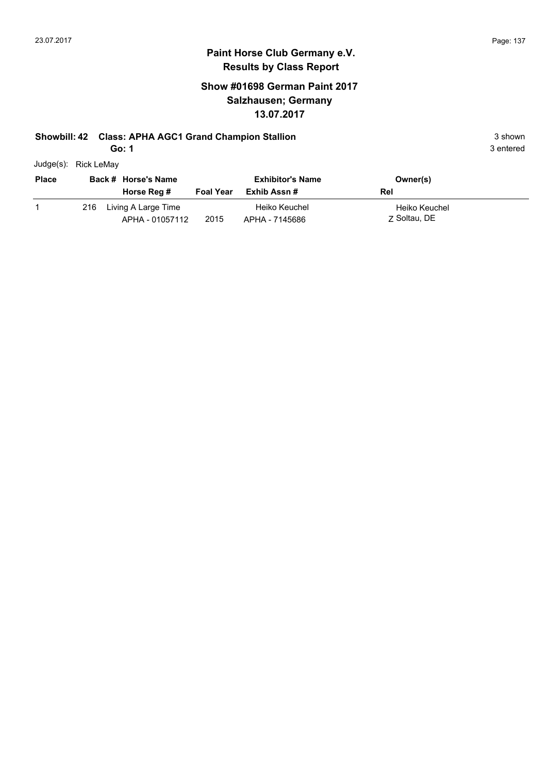#### **Show #01698 German Paint 2017 Salzhausen; Germany 13.07.2017**

#### **Showbill: 42 Class: APHA AGC1 Grand Champion Stallion** 3 shown 3 shown

**Go: 1**

|           |                          |               | 3 entered |
|-----------|--------------------------|---------------|-----------|
|           |                          |               |           |
| _________ | $\overline{\phantom{0}}$ | $\sim$ $\sim$ |           |

| Judge(s): | Rick LeMay |
|-----------|------------|
|-----------|------------|

| <b>Place</b><br>Back # Horse's Name |     |                                        | <b>Exhibitor's Name</b> | Owner(s)                        |                               |
|-------------------------------------|-----|----------------------------------------|-------------------------|---------------------------------|-------------------------------|
|                                     |     | Horse Reg #                            | <b>Foal Year</b>        | Exhib Assn #                    | Rel                           |
|                                     | 216 | Living A Large Time<br>APHA - 01057112 | 2015                    | Heiko Keuchel<br>APHA - 7145686 | Heiko Keuchel<br>7 Soltau, DE |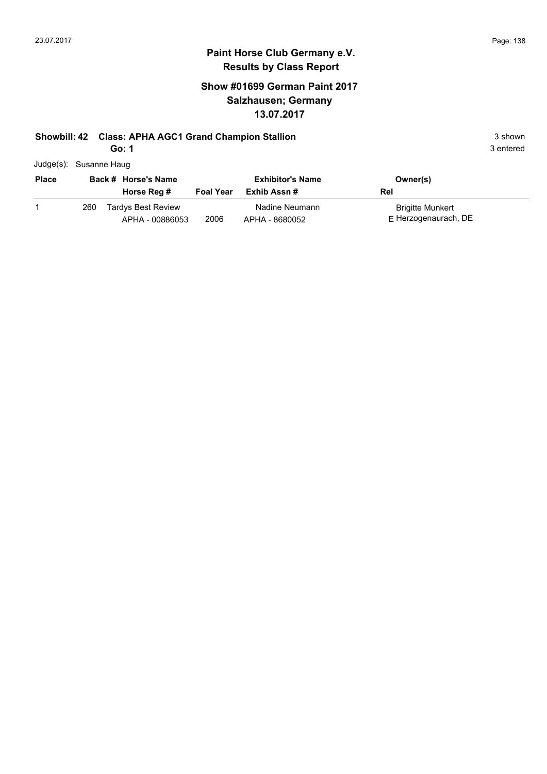#### **Show #01699 German Paint 2017 Salzhausen; Germany 13.07.2017**

#### **Showbill: 42 Class: APHA AGC1 Grand Champion Stallion** 3 shown 3 shown

**Go: 1**

| Judge(s): Susanne Haug |  |
|------------------------|--|
|                        |  |

| <b>Place</b><br>Back # Horse's Name |     |                                              | <b>Exhibitor's Name</b> | Owner(s)                         |                                                   |  |
|-------------------------------------|-----|----------------------------------------------|-------------------------|----------------------------------|---------------------------------------------------|--|
|                                     |     | Horse Reg #                                  | <b>Foal Year</b>        | Exhib Assn #                     | Rel                                               |  |
|                                     | 260 | <b>Tardys Best Review</b><br>APHA - 00886053 | 2006                    | Nadine Neumann<br>APHA - 8680052 | <b>Brigitte Munkert</b><br>$E$ Herzogenaurach, DE |  |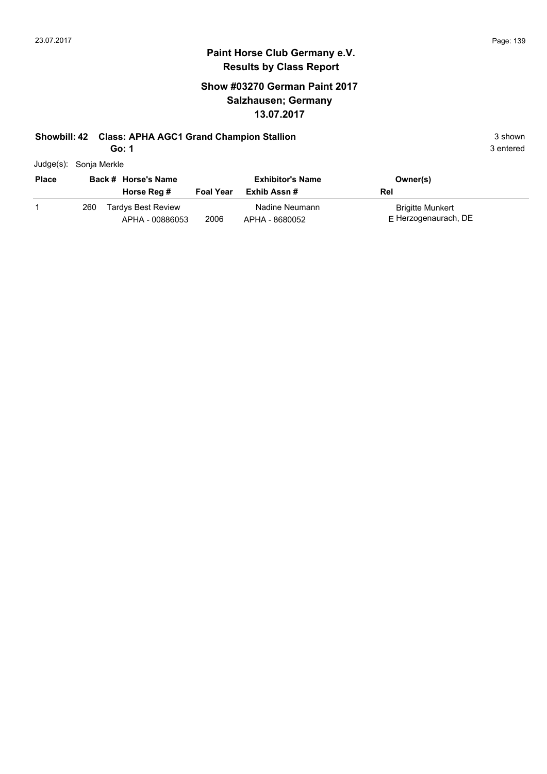### **Paint Horse Club Germany e.V. Results by Class Report**

#### **Show #03270 German Paint 2017 Salzhausen; Germany 13.07.2017**

#### **Showbill: 42 Class: APHA AGC1 Grand Champion Stallion** 3 shown 3 shown

**Go: 1**

| Judge(s): Sonja Merkle |
|------------------------|
|                        |

| <b>Place</b> |     | Back # Horse's Name<br>Horse Reg #    | <b>Foal Year</b> | <b>Exhibitor's Name</b><br>Exhib Assn # | Owner(s)<br>Rel                            |
|--------------|-----|---------------------------------------|------------------|-----------------------------------------|--------------------------------------------|
|              | 260 | Tardys Best Review<br>APHA - 00886053 | 2006             | Nadine Neumann<br>APHA - 8680052        | Brigitte Munkert<br>$E$ Herzogenaurach, DE |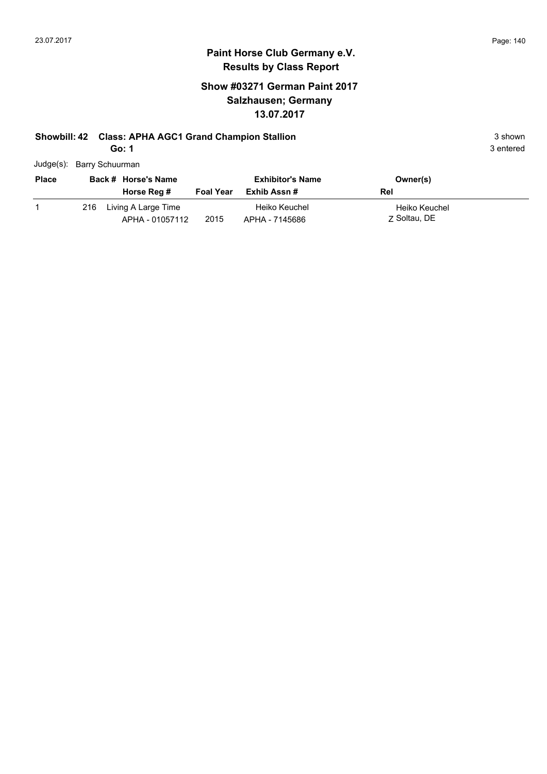#### **Paint Horse Club Germany e.V. Results by Class Report**

#### **Show #03271 German Paint 2017 Salzhausen; Germany 13.07.2017**

# **Showbill: 42 Class: APHA AGC1 Grand Champion Stallion** 3 shown 3 shown

**Go: 1**

Judge(s): Barry Schuurman

| <b>Place</b> | Back # Horse's Name<br>Horse Reg #         | <b>Foal Year</b> | <b>Exhibitor's Name</b><br>Exhib Assn # | Owner(s)<br>Rel               |
|--------------|--------------------------------------------|------------------|-----------------------------------------|-------------------------------|
|              | 216 Living A Large Time<br>APHA - 01057112 | 2015             | Heiko Keuchel<br>APHA - 7145686         | Heiko Keuchel<br>7 Soltau, DE |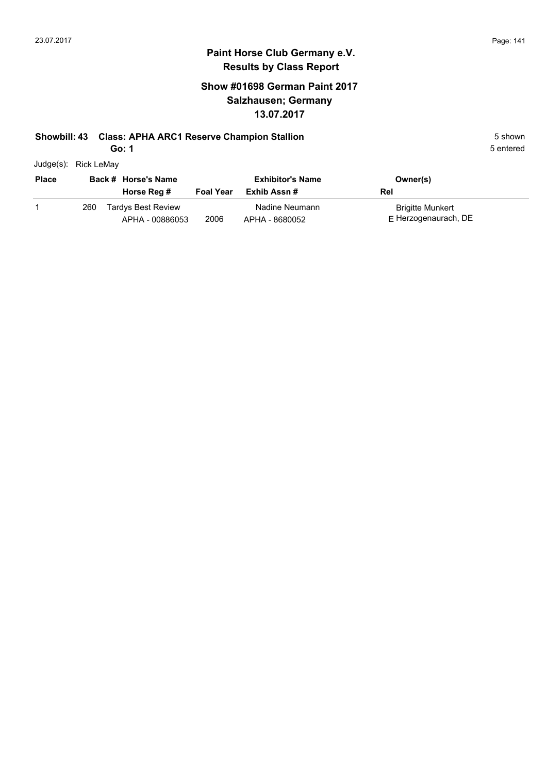#### **Paint Horse Club Germany e.V. Results by Class Report**

#### **Show #01698 German Paint 2017 Salzhausen; Germany 13.07.2017**

#### **Showbill: 43 Class: APHA ARC1 Reserve Champion Stallion** 5 Shown 5 shown

**Go: 1**

| ו טט |  |  |
|------|--|--|
|      |  |  |
|      |  |  |
|      |  |  |

APHA - 00886053

|              | Judge(s): Rick LeMay |                           |                  |                         |                         |  |
|--------------|----------------------|---------------------------|------------------|-------------------------|-------------------------|--|
| <b>Place</b> |                      | Back # Horse's Name       |                  | <b>Exhibitor's Name</b> | Owner(s)                |  |
|              |                      | Horse Reg #               | <b>Foal Year</b> | Exhib Assn #            | Rel                     |  |
|              | 260                  | <b>Tardys Best Review</b> |                  | Nadine Neumann          | <b>Brigitte Munkert</b> |  |

APHA - 8680052

2006 APHA - 8680052 E Herzogenaurach, DE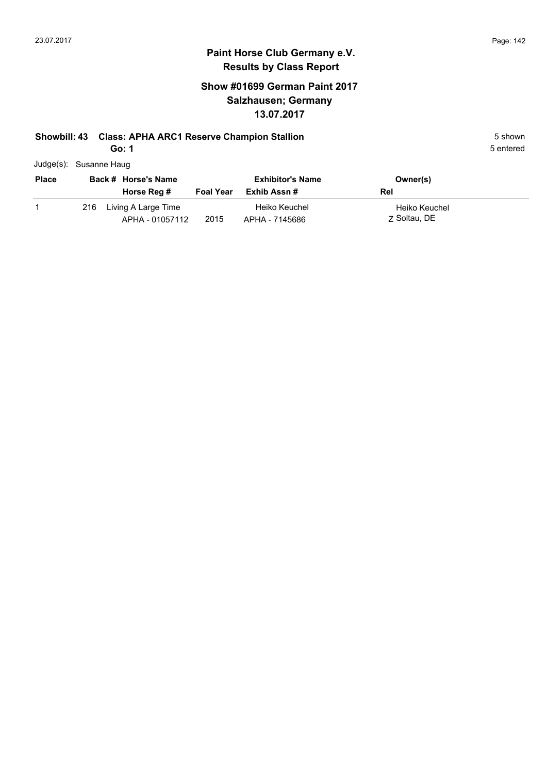#### **Show #01699 German Paint 2017 Salzhausen; Germany 13.07.2017**

#### **Showbill: 43 Class: APHA ARC1 Reserve Champion Stallion** 5 Shown 5 shown

**Go: 1**

| Judge(s): Susanne Haug |  |
|------------------------|--|

| <b>Place</b> |     | Back # Horse's Name                    |                  | <b>Exhibitor's Name</b>         | Owner(s)                      |
|--------------|-----|----------------------------------------|------------------|---------------------------------|-------------------------------|
|              |     | Horse Reg #                            | <b>Foal Year</b> | Exhib Assn #                    | Rel                           |
|              | 216 | Living A Large Time<br>APHA - 01057112 | 2015             | Heiko Keuchel<br>APHA - 7145686 | Heiko Keuchel<br>7 Soltau, DE |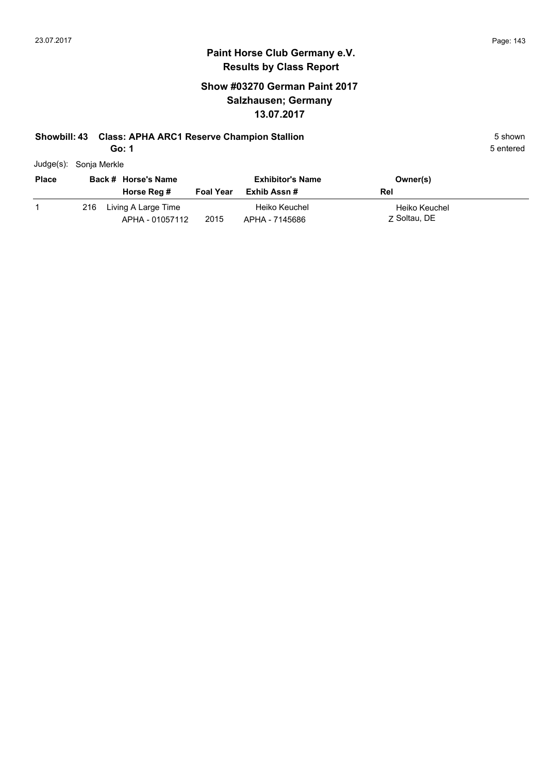#### **Paint Horse Club Germany e.V. Results by Class Report**

#### **Show #03270 German Paint 2017 Salzhausen; Germany 13.07.2017**

#### **Showbill: 43 Class: APHA ARC1 Reserve Champion Stallion** 5 Shown 5 shown

**Go: 1**

|              | Judge(s): Sonja Merkle |                    |
|--------------|------------------------|--------------------|
| <b>Place</b> | Back # Horse's Name    | <b>Exhibitor's</b> |

| <b>Place</b> |     | Back # Horse's Name                    |                  | <b>Exhibitor's Name</b>         | Owner(s)                      |  |
|--------------|-----|----------------------------------------|------------------|---------------------------------|-------------------------------|--|
|              |     | Horse Reg #                            | <b>Foal Year</b> | Exhib Assn #                    | Rel                           |  |
|              | 216 | Living A Large Time<br>APHA - 01057112 | 2015             | Heiko Keuchel<br>APHA - 7145686 | Heiko Keuchel<br>7 Soltau, DE |  |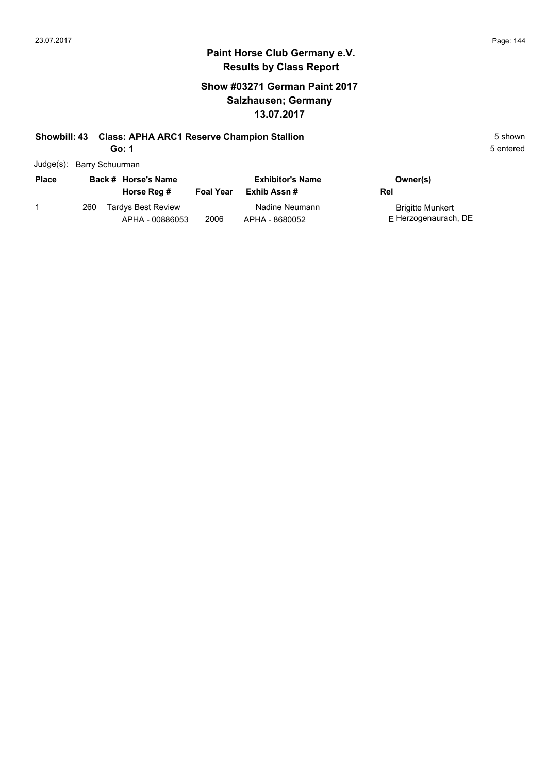#### **Show #03271 German Paint 2017 Salzhausen; Germany 13.07.2017**

## **Showbill: 43 Class: APHA ARC1 Reserve Champion Stallion** 5 Shown 5 shown

**Go: 1**

| Judge(s): Barry Schuurman |  |
|---------------------------|--|
|                           |  |

| <b>Place</b> |     | Back # Horse's Name                          |                  | <b>Exhibitor's Name</b>          | Owner(s)                                 |
|--------------|-----|----------------------------------------------|------------------|----------------------------------|------------------------------------------|
|              |     | Horse Reg #                                  | <b>Foal Year</b> | Exhib Assn #                     | Rel                                      |
|              | 260 | <b>Tardys Best Review</b><br>APHA - 00886053 | 2006             | Nadine Neumann<br>APHA - 8680052 | Brigitte Munkert<br>E Herzogenaurach, DE |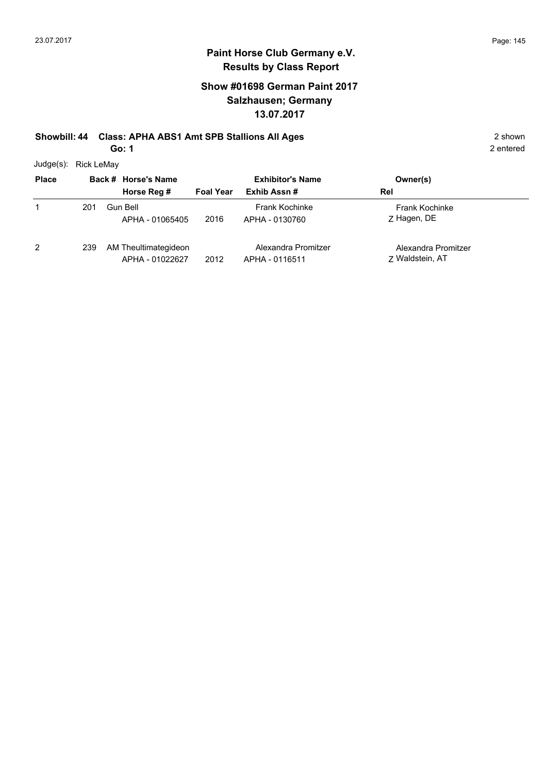2 entered

# **Paint Horse Club Germany e.V. Results by Class Report**

# **Show #01698 German Paint 2017 Salzhausen; Germany 13.07.2017**

# **Showbill: 44 Class: APHA ABS1 Amt SPB Stallions All Ages** 2 shown

**Go: 1**

Judge(s): Rick LeMay

| <b>Place</b> |     | Back # Horse's Name                     |                  | <b>Exhibitor's Name</b>                 | Owner(s)                               |  |
|--------------|-----|-----------------------------------------|------------------|-----------------------------------------|----------------------------------------|--|
|              |     | Horse Reg #                             | <b>Foal Year</b> | Exhib Assn#                             | Rel                                    |  |
|              | 201 | <b>Gun Bell</b><br>APHA - 01065405      | 2016             | <b>Frank Kochinke</b><br>APHA - 0130760 | <b>Frank Kochinke</b><br>Z Hagen, DE   |  |
| 2            | 239 | AM Theultimategideon<br>APHA - 01022627 | 2012             | Alexandra Promitzer<br>APHA - 0116511   | Alexandra Promitzer<br>7 Waldstein, AT |  |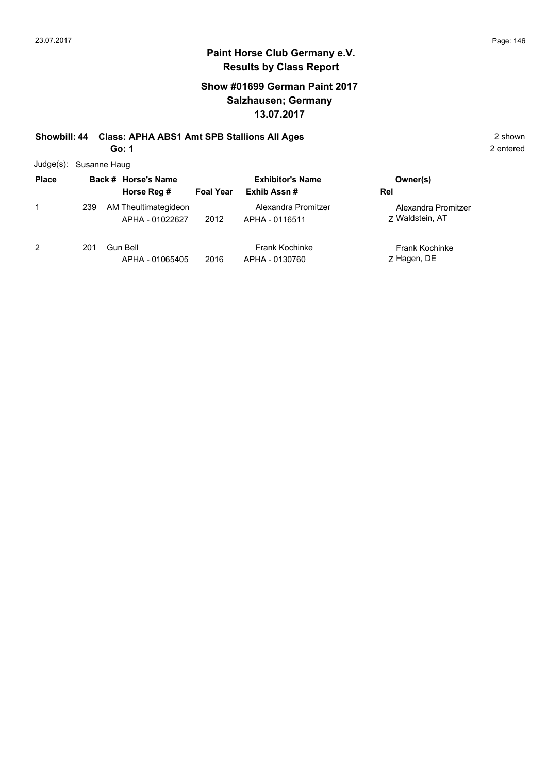# **Show #01699 German Paint 2017 Salzhausen; Germany 13.07.2017**

#### **Showbill: 44 Class: APHA ABS1 Amt SPB Stallions All Ages** 2 shown **Go: 1**

|  | Judge(s): Susanne Haug |
|--|------------------------|
|--|------------------------|

| <b>Place</b>   |     | Back # Horse's Name                     | <b>Exhibitor's Name</b> |                                         | Owner(s)                               |
|----------------|-----|-----------------------------------------|-------------------------|-----------------------------------------|----------------------------------------|
|                |     | Horse Reg #                             | <b>Foal Year</b>        | Exhib Assn#                             | Rel                                    |
| 1              | 239 | AM Theultimategideon<br>APHA - 01022627 | 2012                    | Alexandra Promitzer<br>APHA - 0116511   | Alexandra Promitzer<br>7 Waldstein, AT |
| $\overline{2}$ | 201 | Gun Bell<br>APHA - 01065405             | 2016                    | <b>Frank Kochinke</b><br>APHA - 0130760 | <b>Frank Kochinke</b><br>Z Hagen, DE   |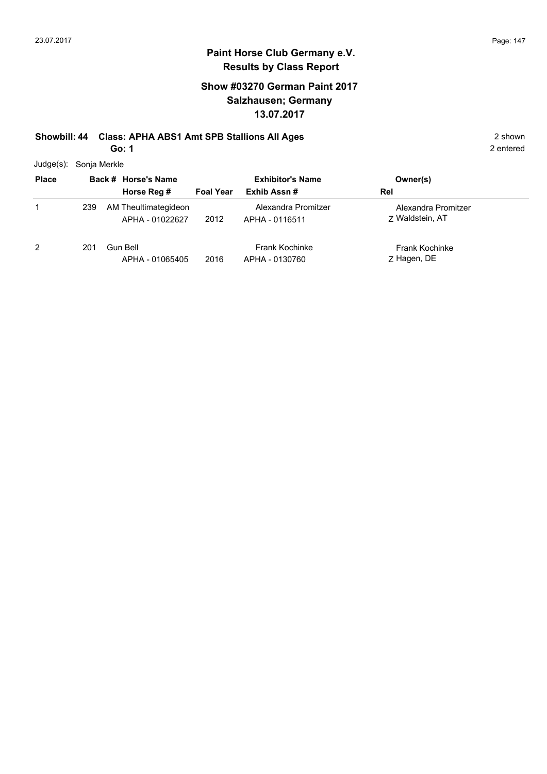# **Show #03270 German Paint 2017 Salzhausen; Germany 13.07.2017**

# **Showbill: 44 Class: APHA ABS1 Amt SPB Stallions All Ages** 2 shown

**Go: 1**

2 entered

Judge(s): Sonja Merkle

| <b>Place</b> |     | Back # Horse's Name                     | <b>Foal Year</b> | <b>Exhibitor's Name</b><br>Exhib Assn#  | Owner(s)<br>Rel                        |
|--------------|-----|-----------------------------------------|------------------|-----------------------------------------|----------------------------------------|
|              |     | Horse Reg #                             |                  |                                         |                                        |
|              | 239 | AM Theultimategideon<br>APHA - 01022627 | 2012             | Alexandra Promitzer<br>APHA - 0116511   | Alexandra Promitzer<br>7 Waldstein, AT |
| 2            | 201 | Gun Bell<br>APHA - 01065405             | 2016             | <b>Frank Kochinke</b><br>APHA - 0130760 | <b>Frank Kochinke</b><br>Z Hagen, DE   |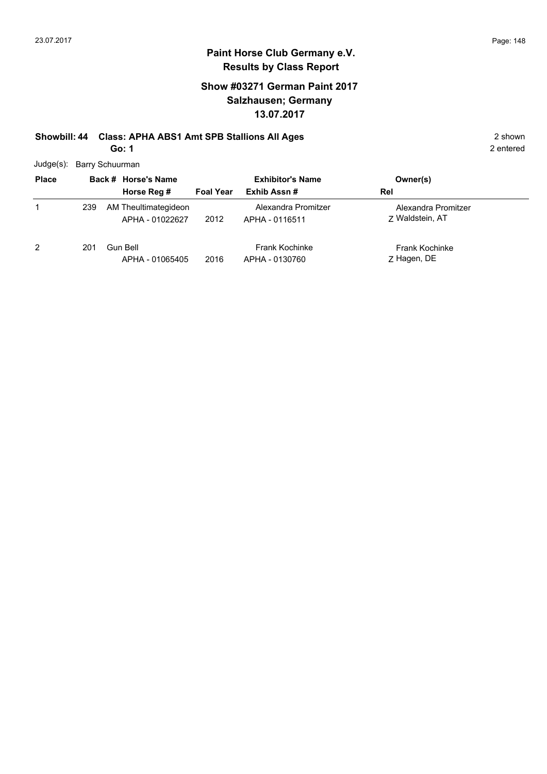# **Show #03271 German Paint 2017 Salzhausen; Germany 13.07.2017**

#### **Showbill: 44 Class: APHA ABS1 Amt SPB Stallions All Ages** 2 shown **Go: 1**

|  | Judge(s): Barry Schuurman |  |
|--|---------------------------|--|
|--|---------------------------|--|

| <b>Place</b>   |     | Back # Horse's Name                     | <b>Exhibitor's Name</b> |                                         | Owner(s)                               |
|----------------|-----|-----------------------------------------|-------------------------|-----------------------------------------|----------------------------------------|
|                |     | Horse Reg #                             | <b>Foal Year</b>        | Exhib Assn#                             | Rel                                    |
| 1              | 239 | AM Theultimategideon<br>APHA - 01022627 | 2012                    | Alexandra Promitzer<br>APHA - 0116511   | Alexandra Promitzer<br>7 Waldstein, AT |
| $\overline{2}$ | 201 | Gun Bell<br>APHA - 01065405             | 2016                    | <b>Frank Kochinke</b><br>APHA - 0130760 | <b>Frank Kochinke</b><br>Z Hagen, DE   |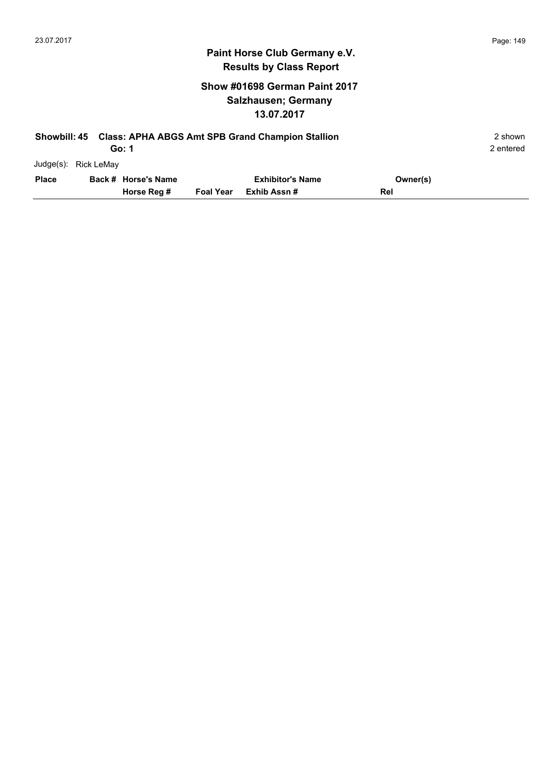# **Show #01698 German Paint 2017 Salzhausen; Germany 13.07.2017**

| <b>Showbill: 45</b> |            | Go: 1               |                  | <b>Class: APHA ABGS Amt SPB Grand Champion Stallion</b> |          | 2 shown<br>2 entered |
|---------------------|------------|---------------------|------------------|---------------------------------------------------------|----------|----------------------|
| Judge(s):           | Rick LeMay |                     |                  |                                                         |          |                      |
| <b>Place</b>        |            | Back # Horse's Name |                  | <b>Exhibitor's Name</b>                                 | Owner(s) |                      |
|                     |            | Horse Reg #         | <b>Foal Year</b> | Exhib Assn#                                             | Rel      |                      |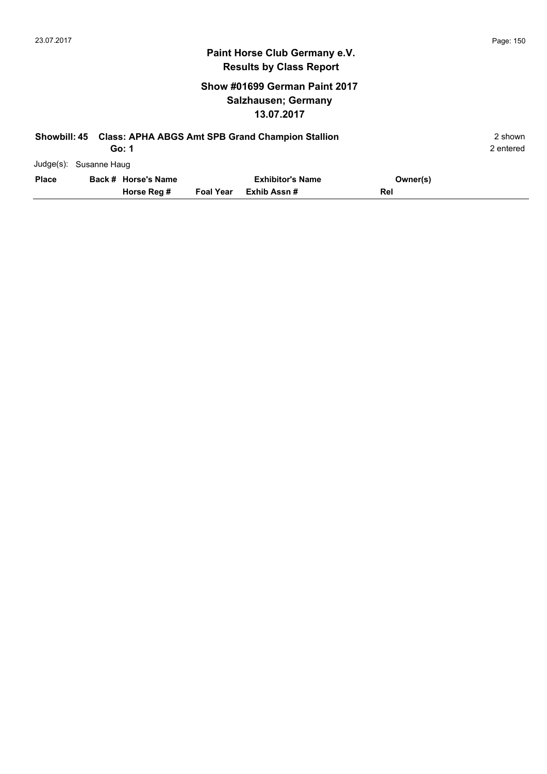# **Show #01699 German Paint 2017 Salzhausen; Germany 13.07.2017**

| <b>Showbill: 45</b>    |                     |                  | <b>Class: APHA ABGS Amt SPB Grand Champion Stallion</b> |          | 2 shown   |
|------------------------|---------------------|------------------|---------------------------------------------------------|----------|-----------|
|                        | Go: 1               |                  |                                                         |          | 2 entered |
| Judge(s): Susanne Haug |                     |                  |                                                         |          |           |
| <b>Place</b>           | Back # Horse's Name |                  | <b>Exhibitor's Name</b>                                 | Owner(s) |           |
|                        | Horse Reg #         | <b>Foal Year</b> | Exhib Assn#                                             | Rel      |           |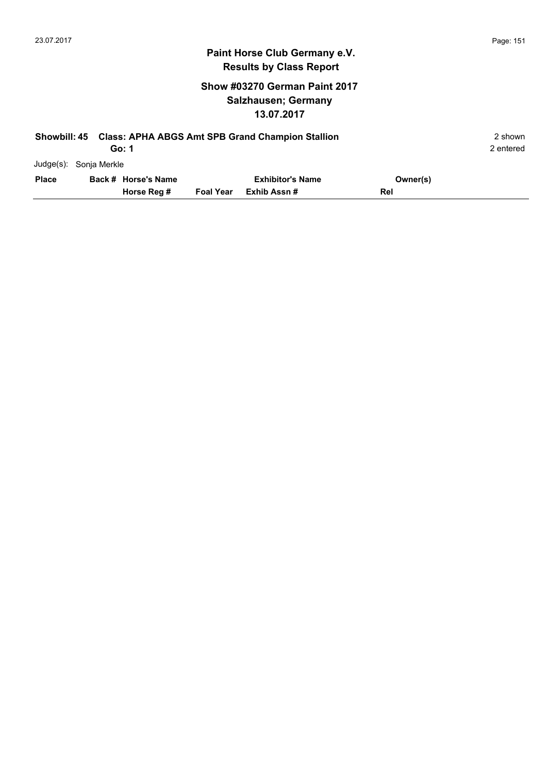# **Show #03270 German Paint 2017 Salzhausen; Germany 13.07.2017**

| <b>Showbill: 45</b> |                        | Go: 1               |                  | <b>Class: APHA ABGS Amt SPB Grand Champion Stallion</b> |          | 2 shown<br>2 entered |
|---------------------|------------------------|---------------------|------------------|---------------------------------------------------------|----------|----------------------|
|                     | Judge(s): Sonja Merkle |                     |                  |                                                         |          |                      |
| <b>Place</b>        |                        | Back # Horse's Name |                  | <b>Exhibitor's Name</b>                                 | Owner(s) |                      |
|                     |                        | Horse Reg #         | <b>Foal Year</b> | Exhib Assn #                                            | Rel      |                      |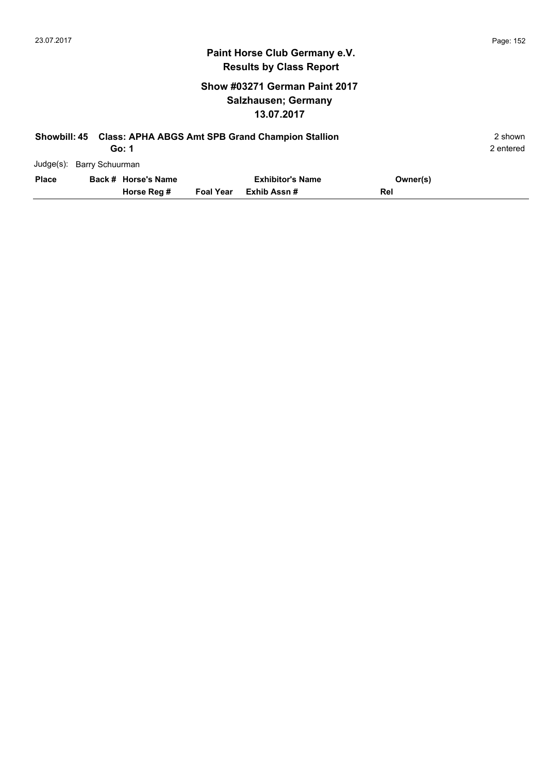# **Show #03271 German Paint 2017 Salzhausen; Germany 13.07.2017**

| Showbill: 45 |                           | <b>Class: APHA ABGS Amt SPB Grand Champion Stallion</b><br>Go: 1 |                  |                         |          |  |  |  |
|--------------|---------------------------|------------------------------------------------------------------|------------------|-------------------------|----------|--|--|--|
|              | Judge(s): Barry Schuurman |                                                                  |                  |                         |          |  |  |  |
| <b>Place</b> |                           | Back # Horse's Name                                              |                  | <b>Exhibitor's Name</b> | Owner(s) |  |  |  |
|              |                           | Horse Reg #                                                      | <b>Foal Year</b> | Exhib Assn #            | Rel      |  |  |  |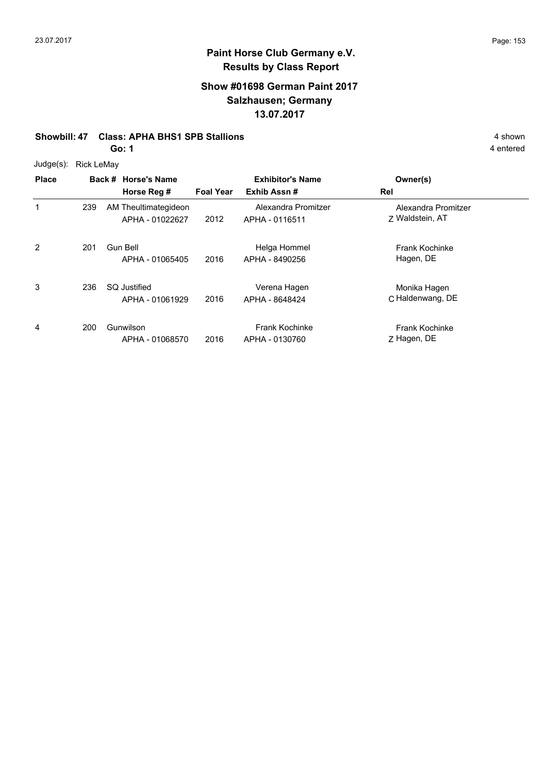### **Show #01698 German Paint 2017 Salzhausen; Germany 13.07.2017**

#### **Showbill: 47 Class: APHA BHS1 SPB Stallions** 4 shown

**Go: 1**

| Judge(s): | Rick LeMay |
|-----------|------------|
|-----------|------------|

| <b>Place</b> |     | Back # Horse's Name<br>Horse Reg #      | <b>Foal Year</b> | <b>Exhibitor's Name</b><br>Exhib Assn#  | Owner(s)<br>Rel                        |
|--------------|-----|-----------------------------------------|------------------|-----------------------------------------|----------------------------------------|
| 1            | 239 | AM Theultimategideon<br>APHA - 01022627 | 2012             | Alexandra Promitzer<br>APHA - 0116511   | Alexandra Promitzer<br>7 Waldstein, AT |
| 2            | 201 | Gun Bell<br>APHA - 01065405             | 2016             | Helga Hommel<br>APHA - 8490256          | <b>Frank Kochinke</b><br>Hagen, DE     |
| 3            | 236 | <b>SQ Justified</b><br>APHA - 01061929  | 2016             | Verena Hagen<br>APHA - 8648424          | Monika Hagen<br>C Haldenwang, DE       |
| 4            | 200 | Gunwilson<br>APHA - 01068570            | 2016             | <b>Frank Kochinke</b><br>APHA - 0130760 | <b>Frank Kochinke</b><br>Z Hagen, DE   |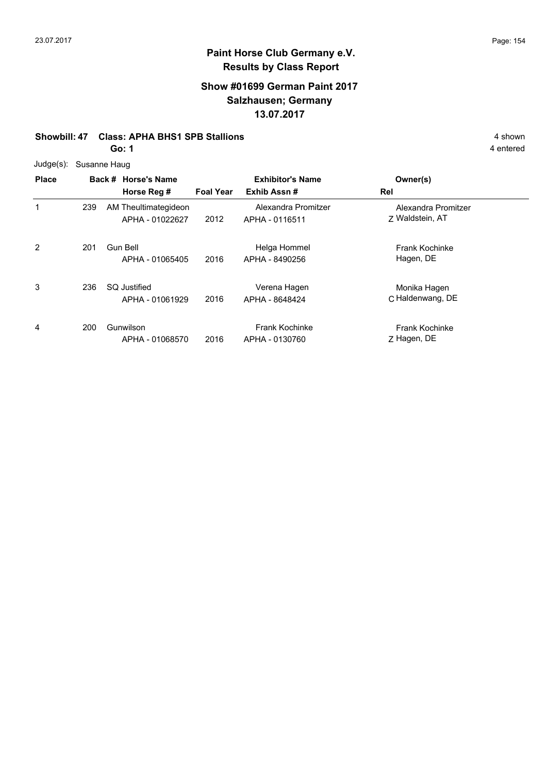# **Show #01699 German Paint 2017 Salzhausen; Germany 13.07.2017**

#### **Showbill: 47 Class: APHA BHS1 SPB Stallions** 4 shown

**Go: 1**

| Judge(s):    | Susanne Haug |                                         |                  |                                         |                                        |
|--------------|--------------|-----------------------------------------|------------------|-----------------------------------------|----------------------------------------|
| <b>Place</b> |              | Back # Horse's Name                     |                  | <b>Exhibitor's Name</b>                 | Owner(s)                               |
|              |              | Horse Reg #                             | <b>Foal Year</b> | Exhib Assn#                             | Rel                                    |
| 1            | 239          | AM Theultimategideon<br>APHA - 01022627 | 2012             | Alexandra Promitzer<br>APHA - 0116511   | Alexandra Promitzer<br>7 Waldstein, AT |
| 2            | 201          | Gun Bell<br>APHA - 01065405             | 2016             | Helga Hommel<br>APHA - 8490256          | <b>Frank Kochinke</b><br>Hagen, DE     |
| 3            | 236          | <b>SQ Justified</b><br>APHA - 01061929  | 2016             | Verena Hagen<br>APHA - 8648424          | Monika Hagen<br>C Haldenwang, DE       |
| 4            | 200          | Gunwilson<br>APHA - 01068570            | 2016             | <b>Frank Kochinke</b><br>APHA - 0130760 | <b>Frank Kochinke</b><br>Z Hagen, DE   |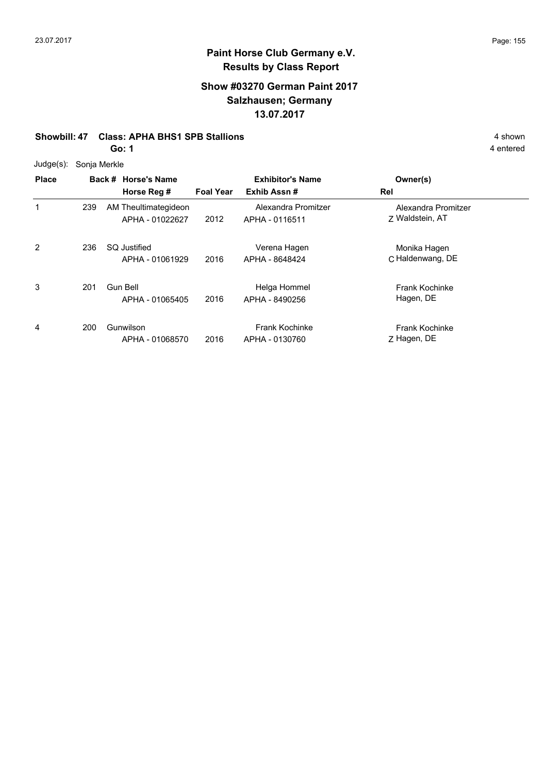# **Show #03270 German Paint 2017 Salzhausen; Germany 13.07.2017**

#### **Showbill: 47 Class: APHA BHS1 SPB Stallions** 4 shown

**Go: 1**

|  | Judge(s): Sonja Merkle |
|--|------------------------|
|--|------------------------|

| <b>Place</b> |     | Back # Horse's Name<br>Horse Reg #      | <b>Foal Year</b> | <b>Exhibitor's Name</b><br>Exhib Assn#  | Owner(s)<br>Rel                        |  |  |  |
|--------------|-----|-----------------------------------------|------------------|-----------------------------------------|----------------------------------------|--|--|--|
| 1            | 239 | AM Theultimategideon<br>APHA - 01022627 | 2012             | Alexandra Promitzer<br>APHA - 0116511   | Alexandra Promitzer<br>7 Waldstein, AT |  |  |  |
| 2            | 236 | SQ Justified<br>APHA - 01061929         | 2016             | Verena Hagen<br>APHA - 8648424          | Monika Hagen<br>C Haldenwang, DE       |  |  |  |
| 3            | 201 | <b>Gun Bell</b><br>APHA - 01065405      | 2016             | Helga Hommel<br>APHA - 8490256          | <b>Frank Kochinke</b><br>Hagen, DE     |  |  |  |
| 4            | 200 | Gunwilson<br>APHA - 01068570            | 2016             | <b>Frank Kochinke</b><br>APHA - 0130760 | <b>Frank Kochinke</b><br>Z Hagen, DE   |  |  |  |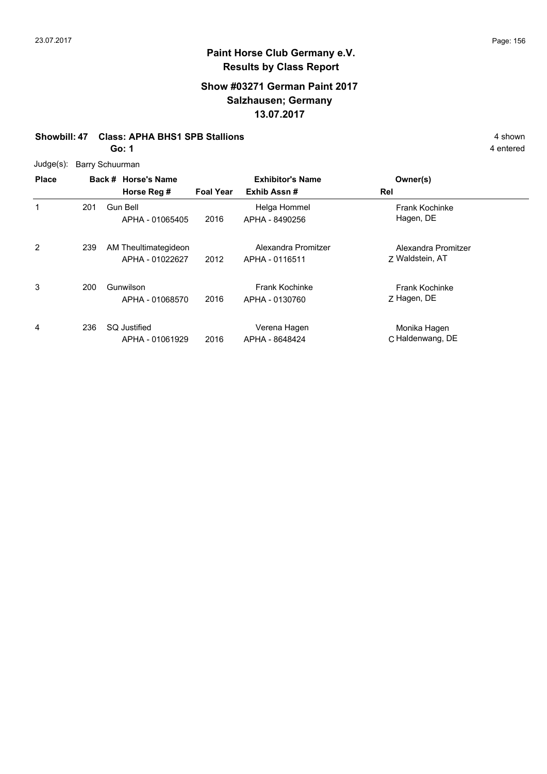# **Show #03271 German Paint 2017 Salzhausen; Germany 13.07.2017**

#### **Showbill: 47 Class: APHA BHS1 SPB Stallions** 4 shown

**Go: 1**

Judge(s): Barry Schuurman

| <b>Place</b>   |     | Back # Horse's Name<br>Horse Reg #      | <b>Foal Year</b> | <b>Exhibitor's Name</b><br>Exhib Assn#  | Owner(s)<br>Rel                        |
|----------------|-----|-----------------------------------------|------------------|-----------------------------------------|----------------------------------------|
| 1              | 201 | Gun Bell<br>APHA - 01065405             | 2016             | Helga Hommel<br>APHA - 8490256          | <b>Frank Kochinke</b><br>Hagen, DE     |
| $\overline{2}$ | 239 | AM Theultimategideon<br>APHA - 01022627 | 2012             | Alexandra Promitzer<br>APHA - 0116511   | Alexandra Promitzer<br>7 Waldstein, AT |
| 3              | 200 | Gunwilson<br>APHA - 01068570            | 2016             | <b>Frank Kochinke</b><br>APHA - 0130760 | <b>Frank Kochinke</b><br>Z Hagen, DE   |
| 4              | 236 | <b>SQ Justified</b><br>APHA - 01061929  | 2016             | Verena Hagen<br>APHA - 8648424          | Monika Hagen<br>C Haldenwang, DE       |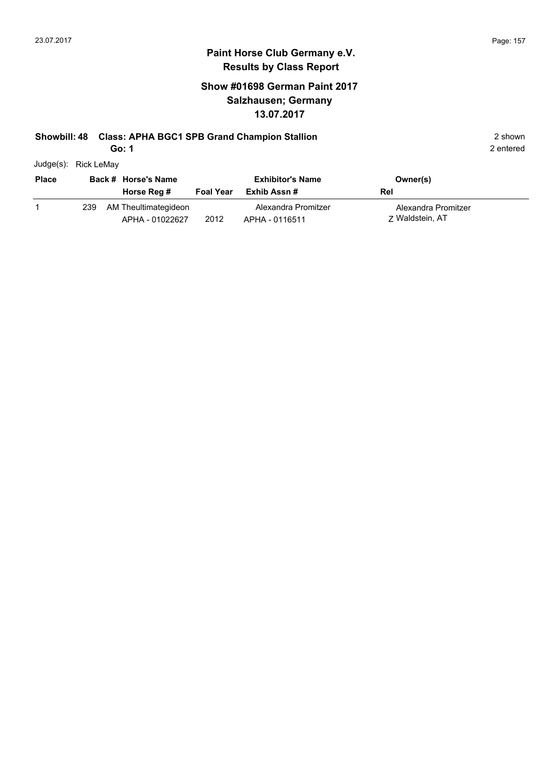2 entered

#### **Paint Horse Club Germany e.V. Results by Class Report**

# **Show #01698 German Paint 2017 Salzhausen; Germany 13.07.2017**

### **Showbill: 48 Class: APHA BGC1 SPB Grand Champion Stallion** 2 shown 2 shown

**Go: 1**

Judge(s): Rick LeMay

| <b>Place</b> |     | Back # Horse's Name<br>Horse Reg #      | <b>Foal Year</b> | <b>Exhibitor's Name</b><br>Exhib Assn # | Owner(s)<br>Rel                        |
|--------------|-----|-----------------------------------------|------------------|-----------------------------------------|----------------------------------------|
|              | 239 | AM Theultimategideon<br>APHA - 01022627 | 2012             | Alexandra Promitzer<br>APHA - 0116511   | Alexandra Promitzer<br>7 Waldstein, AT |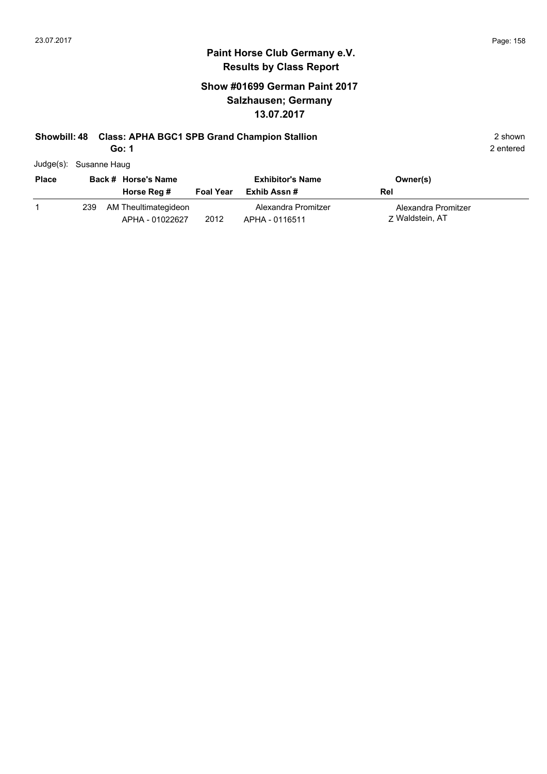# **Show #01699 German Paint 2017 Salzhausen; Germany 13.07.2017**

# **Showbill: 48 Class: APHA BGC1 SPB Grand Champion Stallion** 2 shown 2 shown

**Go: 1**

| Judge(s): Susanne Haug |  |
|------------------------|--|
|                        |  |

| <b>Place</b> |     | Back # Horse's Name                     |                  | <b>Exhibitor's Name</b>               |     | Owner(s)                               |  |
|--------------|-----|-----------------------------------------|------------------|---------------------------------------|-----|----------------------------------------|--|
|              |     | Horse Reg #                             | <b>Foal Year</b> | Exhib Assn #                          | Rel |                                        |  |
|              | 239 | AM Theultimategideon<br>APHA - 01022627 | 2012             | Alexandra Promitzer<br>APHA - 0116511 |     | Alexandra Promitzer<br>7 Waldstein, AT |  |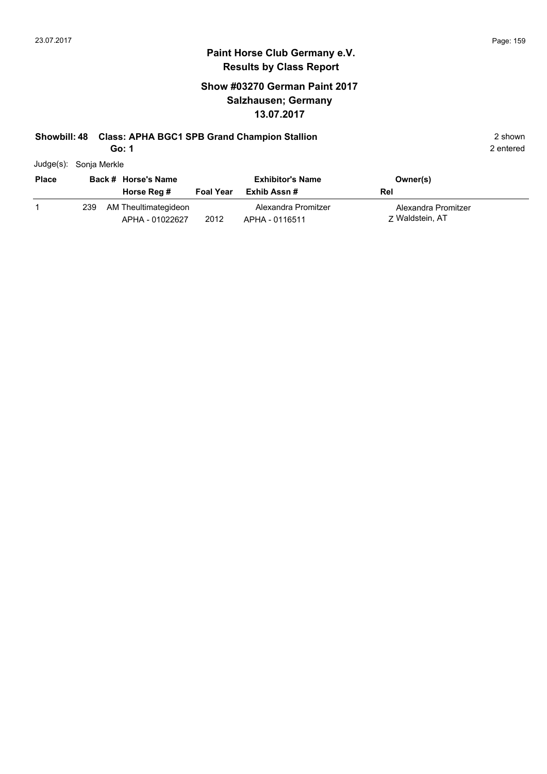2 entered

#### **Paint Horse Club Germany e.V. Results by Class Report**

# **Show #03270 German Paint 2017 Salzhausen; Germany 13.07.2017**

# **Showbill: 48 Class: APHA BGC1 SPB Grand Champion Stallion** 2 shown 2 shown

**Go: 1**

Judge(s): Sonja Merkle

| <b>Place</b> |     | Back # Horse's Name                     |                  | <b>Exhibitor's Name</b>               | Owner(s)                               |
|--------------|-----|-----------------------------------------|------------------|---------------------------------------|----------------------------------------|
|              |     | Horse Reg #                             | <b>Foal Year</b> | Exhib Assn #                          | Rel                                    |
|              | 239 | AM Theultimategideon<br>APHA - 01022627 | 2012             | Alexandra Promitzer<br>APHA - 0116511 | Alexandra Promitzer<br>7 Waldstein, AT |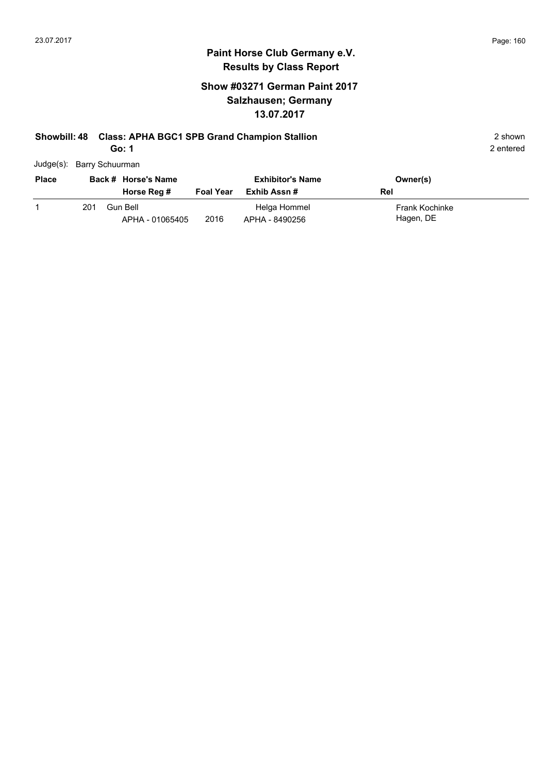# **Show #03271 German Paint 2017 Salzhausen; Germany 13.07.2017**

# **Showbill: 48 Class: APHA BGC1 SPB Grand Champion Stallion** 2 shown 2 shown

**Go: 1**

| Judge(s): Barry Schuurman |  |
|---------------------------|--|

| <b>Place</b> | Back # Horse's Name |                             | <b>Exhibitor's Name</b> |                                | Owner(s)                           |
|--------------|---------------------|-----------------------------|-------------------------|--------------------------------|------------------------------------|
|              |                     | Horse Reg #                 | <b>Foal Year</b>        | Exhib Assn #                   | Rel                                |
|              | 201                 | Gun Bell<br>APHA - 01065405 | 2016                    | Helga Hommel<br>APHA - 8490256 | <b>Frank Kochinke</b><br>Hagen, DE |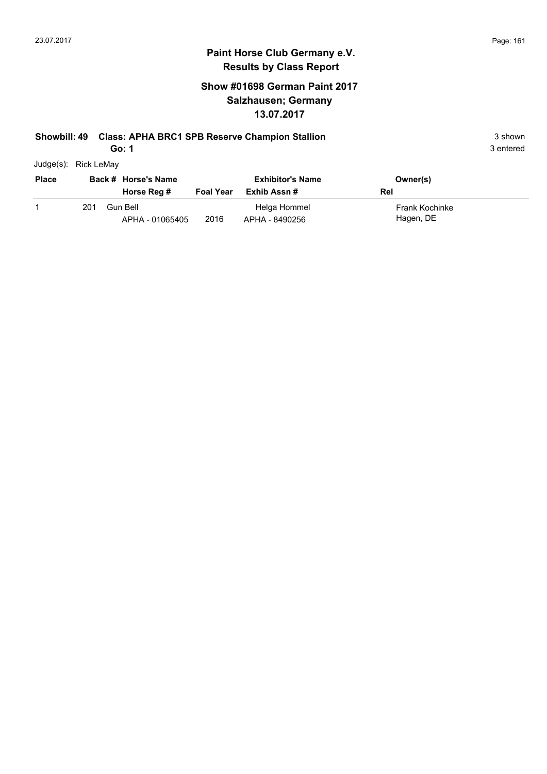# **Show #01698 German Paint 2017 Salzhausen; Germany 13.07.2017**

#### **Showbill: 49 Class: APHA BRC1 SPB Reserve Champion Stallion** 3 shown 3 shown

**Go: 1**

| Judge(s): | Rick LeMay |
|-----------|------------|
|           |            |

| <b>Place</b> |     | Back # Horse's Name<br>Horse Reg # | <b>Foal Year</b> | <b>Exhibitor's Name</b><br>Exhib Assn # | Owner(s)<br>Rel                    |
|--------------|-----|------------------------------------|------------------|-----------------------------------------|------------------------------------|
|              | 201 | Gun Bell<br>APHA - 01065405        | 2016             | Helga Hommel<br>APHA - 8490256          | <b>Frank Kochinke</b><br>Hagen, DE |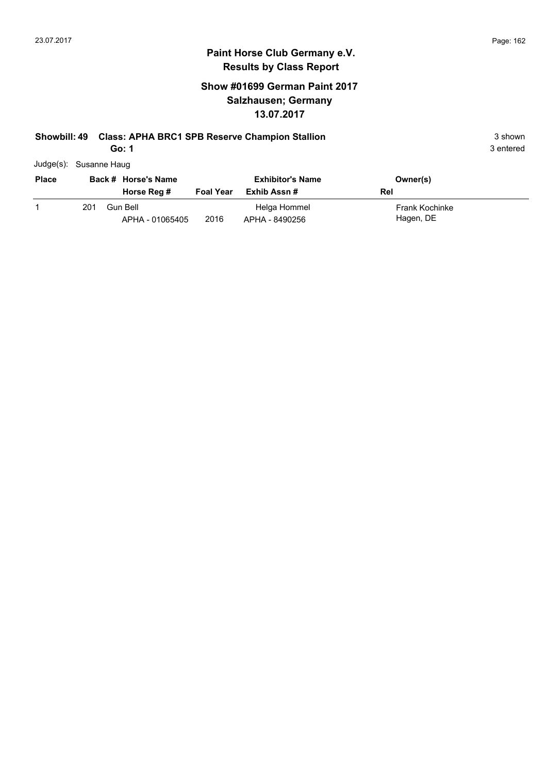# **Show #01699 German Paint 2017 Salzhausen; Germany 13.07.2017**

# **Showbill: 49 Class: APHA BRC1 SPB Reserve Champion Stallion** 3 shown 3 shown

**Go: 1**

| Judge(s): Susanne Haug |
|------------------------|
|                        |

| <b>Place</b> | Back # Horse's Name |                             |                  | <b>Exhibitor's Name</b>        | Owner(s)                    |
|--------------|---------------------|-----------------------------|------------------|--------------------------------|-----------------------------|
|              |                     | Horse Reg #                 | <b>Foal Year</b> | Exhib Assn #                   | Rel                         |
|              | 201                 | Gun Bell<br>APHA - 01065405 | 2016             | Helga Hommel<br>APHA - 8490256 | Frank Kochinke<br>Hagen, DE |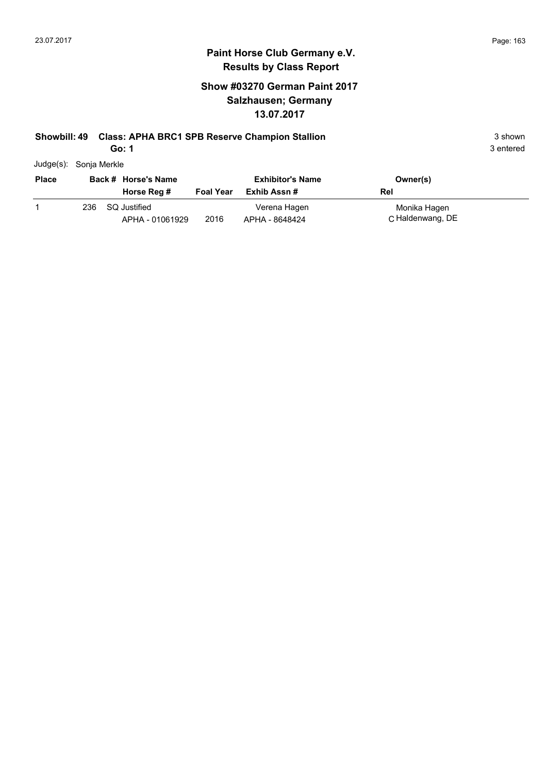# **Show #03270 German Paint 2017 Salzhausen; Germany 13.07.2017**

# **Showbill: 49 Class: APHA BRC1 SPB Reserve Champion Stallion** 3 shown 3 shown

**Go: 1**

| Judge(s): | Sonja Merkle |
|-----------|--------------|
|           |              |

| <b>Place</b> |     | Back # Horse's Name             | <b>Exhibitor's Name</b> |                                | Owner(s)                         |
|--------------|-----|---------------------------------|-------------------------|--------------------------------|----------------------------------|
|              |     | Horse Reg #                     | <b>Foal Year</b>        | Exhib Assn #                   | Rel                              |
|              | 236 | SQ Justified<br>APHA - 01061929 | 2016                    | Verena Hagen<br>APHA - 8648424 | Monika Hagen<br>C Haldenwang, DE |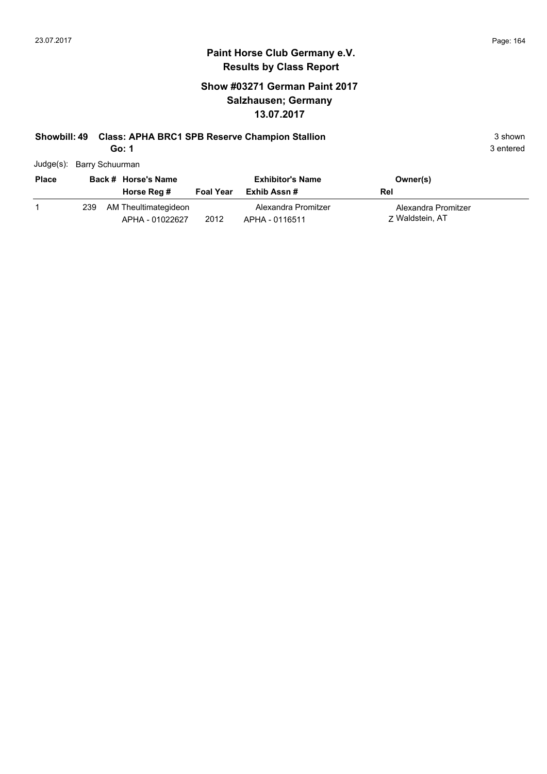# **Show #03271 German Paint 2017 Salzhausen; Germany 13.07.2017**

# **Showbill: 49 Class: APHA BRC1 SPB Reserve Champion Stallion** 3 shown 3 shown

**Go: 1**

| Judge(s): Barry Schuurman |  |
|---------------------------|--|
|                           |  |

| <b>Place</b> |     | Back # Horse's Name                     |                  | <b>Exhibitor's Name</b>               | Owner(s)                               |
|--------------|-----|-----------------------------------------|------------------|---------------------------------------|----------------------------------------|
|              |     | Horse Reg #                             | <b>Foal Year</b> | Exhib Assn #                          | Rel                                    |
|              | 239 | AM Theultimategideon<br>APHA - 01022627 | 2012             | Alexandra Promitzer<br>APHA - 0116511 | Alexandra Promitzer<br>7 Waldstein, AT |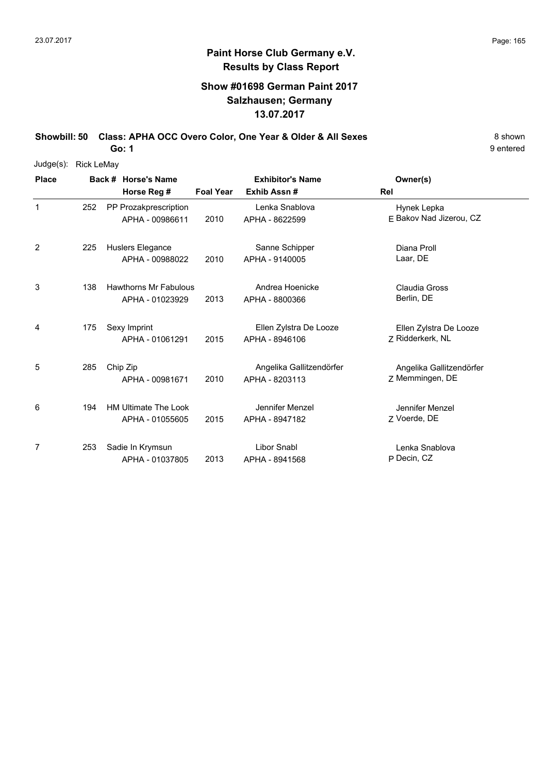# **Show #01698 German Paint 2017 Salzhausen; Germany 13.07.2017**

**Showbill: 50 Class: APHA OCC Overo Color, One Year & Older & All Sexes** 8 Shown

9 entered

| Judge(s):    | <b>Rick LeMay</b> |                                                 |                  |                                            |                                             |
|--------------|-------------------|-------------------------------------------------|------------------|--------------------------------------------|---------------------------------------------|
| <b>Place</b> |                   | Back # Horse's Name                             |                  | <b>Exhibitor's Name</b>                    | Owner(s)                                    |
|              |                   | Horse Reg #                                     | <b>Foal Year</b> | Exhib Assn#                                | Rel                                         |
| 1            | 252               | PP Prozakprescription<br>APHA - 00986611        | 2010             | Lenka Snablova<br>APHA - 8622599           | Hynek Lepka<br>E Bakov Nad Jizerou, CZ      |
| 2            | 225               | Huslers Elegance                                |                  | Sanne Schipper                             | Diana Proll                                 |
|              |                   | APHA - 00988022                                 | 2010             | APHA - 9140005                             | Laar, DE                                    |
| 3            | 138               | <b>Hawthorns Mr Fabulous</b><br>APHA - 01023929 | 2013             | Andrea Hoenicke<br>APHA - 8800366          | Claudia Gross<br>Berlin, DE                 |
| 4            | 175               | Sexy Imprint<br>APHA - 01061291                 | 2015             | Ellen Zylstra De Looze<br>APHA - 8946106   | Ellen Zylstra De Looze<br>Z Ridderkerk, NL  |
| 5            | 285               | Chip Zip<br>APHA - 00981671                     | 2010             | Angelika Gallitzendörfer<br>APHA - 8203113 | Angelika Gallitzendörfer<br>Z Memmingen, DE |
| 6            | 194               | <b>HM Ultimate The Look</b><br>APHA - 01055605  | 2015             | Jennifer Menzel<br>APHA - 8947182          | Jennifer Menzel<br>Z Voerde, DE             |
| 7            | 253               | Sadie In Krymsun<br>APHA - 01037805             | 2013             | <b>Libor Snabl</b><br>APHA - 8941568       | Lenka Snablova<br>P Decin, CZ               |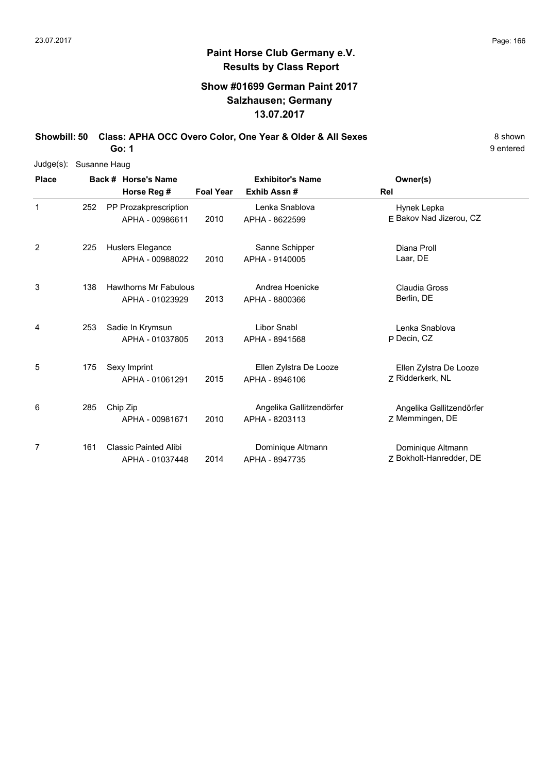# **Show #01699 German Paint 2017 Salzhausen; Germany 13.07.2017**

**Showbill: 50 Class: APHA OCC Overo Color, One Year & Older & All Sexes** 8 Shown 8 shown

9 entered

| Judge(s): Susanne Haug |     |                                                 |                  |                                            |                                              |
|------------------------|-----|-------------------------------------------------|------------------|--------------------------------------------|----------------------------------------------|
| <b>Place</b>           |     | Back # Horse's Name                             |                  | <b>Exhibitor's Name</b>                    | Owner(s)                                     |
|                        |     | Horse Reg #                                     | <b>Foal Year</b> | Exhib Assn#                                | Rel                                          |
| 1                      | 252 | PP Prozakprescription<br>APHA - 00986611        | 2010             | Lenka Snablova<br>APHA - 8622599           | Hynek Lepka<br>E Bakov Nad Jizerou, CZ       |
| 2                      | 225 | Huslers Elegance<br>APHA - 00988022             | 2010             | Sanne Schipper<br>APHA - 9140005           | Diana Proll<br>Laar, DE                      |
| 3                      | 138 | <b>Hawthorns Mr Fabulous</b><br>APHA - 01023929 | 2013             | Andrea Hoenicke<br>APHA - 8800366          | <b>Claudia Gross</b><br>Berlin, DE           |
| 4                      | 253 | Sadie In Krymsun<br>APHA - 01037805             | 2013             | Libor Snabl<br>APHA - 8941568              | Lenka Snablova<br>P Decin, CZ                |
| 5                      | 175 | Sexy Imprint<br>APHA - 01061291                 | 2015             | Ellen Zylstra De Looze<br>APHA - 8946106   | Ellen Zylstra De Looze<br>7 Ridderkerk, NL   |
| 6                      | 285 | Chip Zip<br>APHA - 00981671                     | 2010             | Angelika Gallitzendörfer<br>APHA - 8203113 | Angelika Gallitzendörfer<br>Z Memmingen, DE  |
| 7                      | 161 | <b>Classic Painted Alibi</b><br>APHA - 01037448 | 2014             | Dominique Altmann<br>APHA - 8947735        | Dominique Altmann<br>Z Bokholt-Hanredder, DE |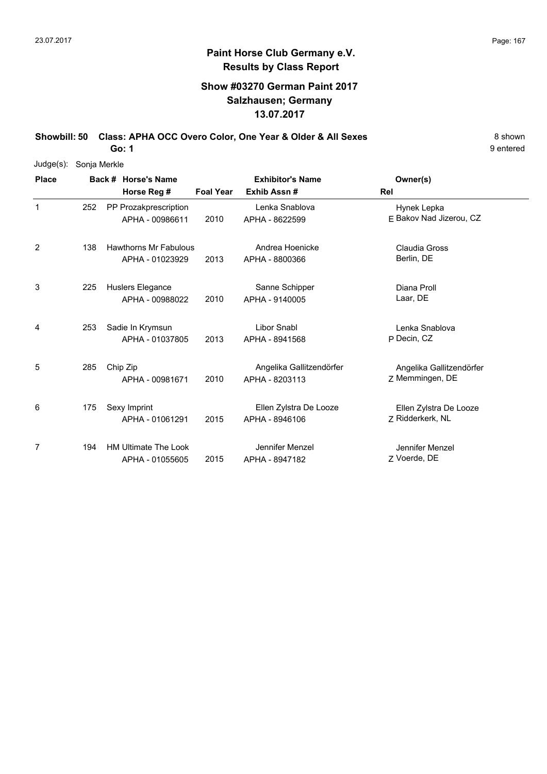9 entered

# **Paint Horse Club Germany e.V. Results by Class Report**

# **Show #03270 German Paint 2017 Salzhausen; Germany 13.07.2017**

**Showbill: 50 Class: APHA OCC Overo Color, One Year & Older & All Sexes** 8 Shown 8 shown

| $Judge(s)$ : | Sonja Merkle |                                                 |                  |                                            |                                             |
|--------------|--------------|-------------------------------------------------|------------------|--------------------------------------------|---------------------------------------------|
| <b>Place</b> |              | Back # Horse's Name<br>Horse Reg #              | <b>Foal Year</b> | <b>Exhibitor's Name</b><br>Exhib Assn#     | Owner(s)<br>Rel                             |
| 1            | 252          | PP Prozakprescription<br>APHA - 00986611        | 2010             | Lenka Snablova<br>APHA - 8622599           | Hynek Lepka<br>E Bakov Nad Jizerou, CZ      |
| 2            | 138          | <b>Hawthorns Mr Fabulous</b><br>APHA - 01023929 | 2013             | Andrea Hoenicke<br>APHA - 8800366          | Claudia Gross<br>Berlin, DE                 |
| 3            | 225          | Huslers Elegance<br>APHA - 00988022             | 2010             | Sanne Schipper<br>APHA - 9140005           | Diana Proll<br>Laar, DE                     |
| 4            | 253          | Sadie In Krymsun<br>APHA - 01037805             | 2013             | <b>Libor Snabl</b><br>APHA - 8941568       | Lenka Snablova<br>P Decin, CZ               |
| 5            | 285          | Chip Zip<br>APHA - 00981671                     | 2010             | Angelika Gallitzendörfer<br>APHA - 8203113 | Angelika Gallitzendörfer<br>Z Memmingen, DE |
| 6            | 175          | Sexy Imprint<br>APHA - 01061291                 | 2015             | Ellen Zylstra De Looze<br>APHA - 8946106   | Ellen Zylstra De Looze<br>7 Ridderkerk, NL  |
| 7            | 194          | <b>HM Ultimate The Look</b><br>APHA - 01055605  | 2015             | Jennifer Menzel<br>APHA - 8947182          | Jennifer Menzel<br>Z Voerde, DE             |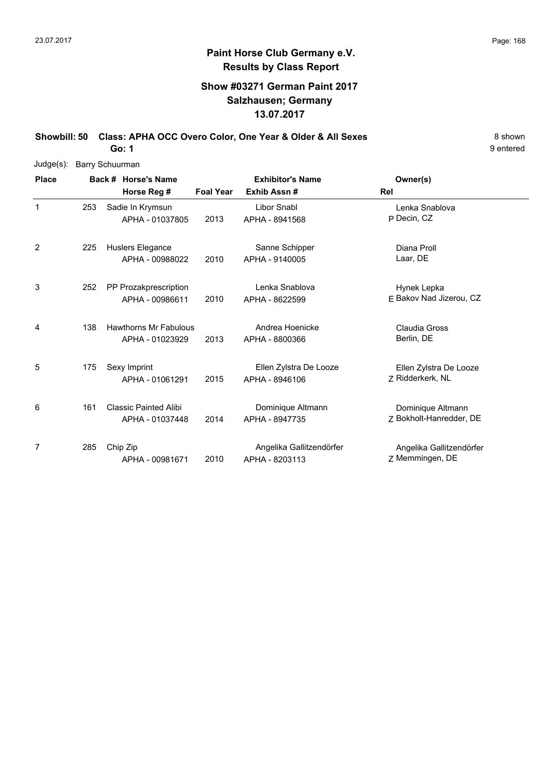# **Show #03271 German Paint 2017 Salzhausen; Germany 13.07.2017**

**Showbill: 50 Class: APHA OCC Overo Color, One Year & Older & All Sexes** 8 Shown **Go: 1**

9 entered

Judge(s): Barry Schuurman

| <b>Place</b> |     | Back # Horse's Name                             | <b>Exhibitor's Name</b> |                                            | Owner(s)                                     |
|--------------|-----|-------------------------------------------------|-------------------------|--------------------------------------------|----------------------------------------------|
|              |     | Horse Reg #                                     | <b>Foal Year</b>        | Exhib Assn#                                | Rel                                          |
| 1            | 253 | Sadie In Krymsun<br>APHA - 01037805             | 2013                    | <b>Libor Snabl</b><br>APHA - 8941568       | Lenka Snablova<br>P Decin, CZ                |
| 2            | 225 | Huslers Elegance<br>APHA - 00988022             | 2010                    | Sanne Schipper<br>APHA - 9140005           | Diana Proll<br>Laar, DE                      |
| 3            | 252 | PP Prozakprescription<br>APHA - 00986611        | 2010                    | Lenka Snablova<br>APHA - 8622599           | Hynek Lepka<br>E Bakov Nad Jizerou, CZ       |
| 4            | 138 | <b>Hawthorns Mr Fabulous</b><br>APHA - 01023929 | 2013                    | Andrea Hoenicke<br>APHA - 8800366          | Claudia Gross<br>Berlin, DE                  |
| 5            | 175 | Sexy Imprint<br>APHA - 01061291                 | 2015                    | Ellen Zylstra De Looze<br>APHA - 8946106   | Ellen Zylstra De Looze<br>7 Ridderkerk, NL   |
| 6            | 161 | <b>Classic Painted Alibi</b><br>APHA - 01037448 | 2014                    | Dominique Altmann<br>APHA - 8947735        | Dominique Altmann<br>Z Bokholt-Hanredder, DE |
| 7            | 285 | Chip Zip<br>APHA - 00981671                     | 2010                    | Angelika Gallitzendörfer<br>APHA - 8203113 | Angelika Gallitzendörfer<br>Z Memmingen, DE  |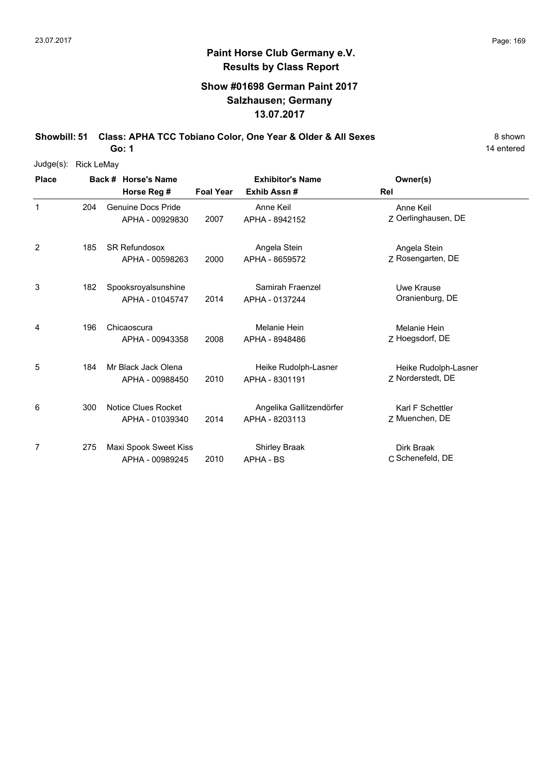# **Show #01698 German Paint 2017 Salzhausen; Germany 13.07.2017**

**Showbill: 51 Class: APHA TCC Tobiano Color, One Year & Older & All Sexes** 8 Shown

14 entered

| $Judge(s)$ : | <b>Rick LeMay</b> |                           |                  |                          |                      |
|--------------|-------------------|---------------------------|------------------|--------------------------|----------------------|
| <b>Place</b> |                   | Back # Horse's Name       |                  | <b>Exhibitor's Name</b>  | Owner(s)             |
|              |                   | Horse Reg #               | <b>Foal Year</b> | Exhib Assn#              | Rel                  |
| 1            | 204               | <b>Genuine Docs Pride</b> |                  | Anne Keil                | Anne Keil            |
|              |                   | APHA - 00929830           | 2007             | APHA - 8942152           | Z Oerlinghausen, DE  |
| 2            | 185               | <b>SR Refundosox</b>      |                  | Angela Stein             | Angela Stein         |
|              |                   | APHA - 00598263           | 2000             | APHA - 8659572           | Z Rosengarten, DE    |
| 3            | 182               | Spooksroyalsunshine       |                  | Samirah Fraenzel         | Uwe Krause           |
|              |                   | APHA - 01045747           | 2014             | APHA - 0137244           | Oranienburg, DE      |
| 4            | 196               | Chicaoscura               |                  | Melanie Hein             | Melanie Hein         |
|              |                   | APHA - 00943358           | 2008             | APHA - 8948486           | Z Hoegsdorf, DE      |
| 5            | 184               | Mr Black Jack Olena       |                  | Heike Rudolph-Lasner     | Heike Rudolph-Lasner |
|              |                   | APHA - 00988450           | 2010             | APHA - 8301191           | Z Norderstedt, DE    |
| 6            | 300               | Notice Clues Rocket       |                  | Angelika Gallitzendörfer | Karl F Schettler     |
|              |                   | APHA - 01039340           | 2014             | APHA - 8203113           | Z Muenchen, DE       |
| 7            | 275               | Maxi Spook Sweet Kiss     |                  | <b>Shirley Braak</b>     | Dirk Braak           |
|              |                   | APHA - 00989245           | 2010             | <b>APHA - BS</b>         | C Schenefeld, DE     |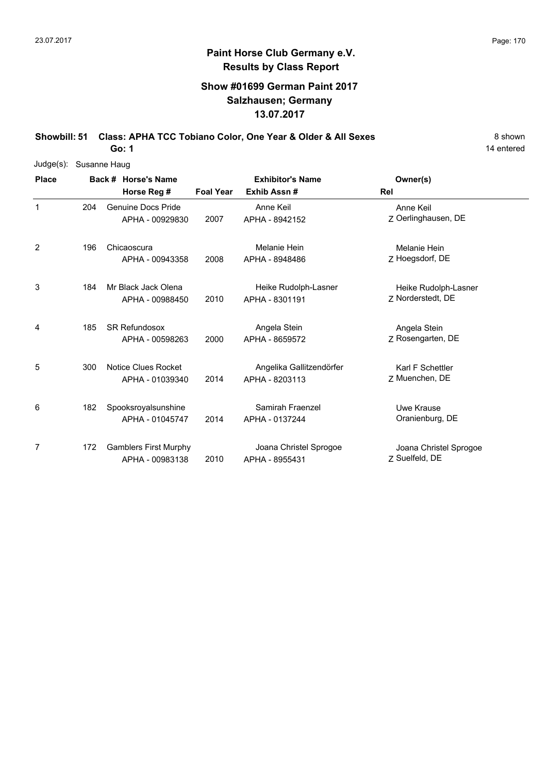14 entered

# **Paint Horse Club Germany e.V. Results by Class Report**

# **Show #01699 German Paint 2017 Salzhausen; Germany 13.07.2017**

**Showbill: 51 Class: APHA TCC Tobiano Color, One Year & Older & All Sexes** 8 Shown

| Judge(s): Susanne Haug |     |                              |                  |                          |                        |
|------------------------|-----|------------------------------|------------------|--------------------------|------------------------|
| <b>Place</b>           |     | Back # Horse's Name          |                  | <b>Exhibitor's Name</b>  | Owner(s)               |
|                        |     | Horse Reg #                  | <b>Foal Year</b> | Exhib Assn#              | <b>Rel</b>             |
| 1                      | 204 | <b>Genuine Docs Pride</b>    |                  | Anne Keil                | Anne Keil              |
|                        |     | APHA - 00929830              | 2007             | APHA - 8942152           | Z Oerlinghausen, DE    |
| 2                      | 196 | Chicaoscura                  |                  | Melanie Hein             | Melanie Hein           |
|                        |     | APHA - 00943358              | 2008             | APHA - 8948486           | Z Hoegsdorf, DE        |
| 3                      | 184 | Mr Black Jack Olena          |                  | Heike Rudolph-Lasner     | Heike Rudolph-Lasner   |
|                        |     | APHA - 00988450              | 2010             | APHA - 8301191           | Z Norderstedt, DE      |
| 4                      | 185 | <b>SR Refundosox</b>         |                  | Angela Stein             | Angela Stein           |
|                        |     | APHA - 00598263              | 2000             | APHA - 8659572           | Z Rosengarten, DE      |
| 5                      | 300 | Notice Clues Rocket          |                  | Angelika Gallitzendörfer | Karl F Schettler       |
|                        |     | APHA - 01039340              | 2014             | APHA - 8203113           | Z Muenchen, DE         |
| 6                      | 182 | Spooksroyalsunshine          |                  | Samirah Fraenzel         | Uwe Krause             |
|                        |     | APHA - 01045747              | 2014             | APHA - 0137244           | Oranienburg, DE        |
| 7                      | 172 | <b>Gamblers First Murphy</b> |                  | Joana Christel Sprogoe   | Joana Christel Sprogoe |
|                        |     | APHA - 00983138              | 2010             | APHA - 8955431           | Z Suelfeld, DE         |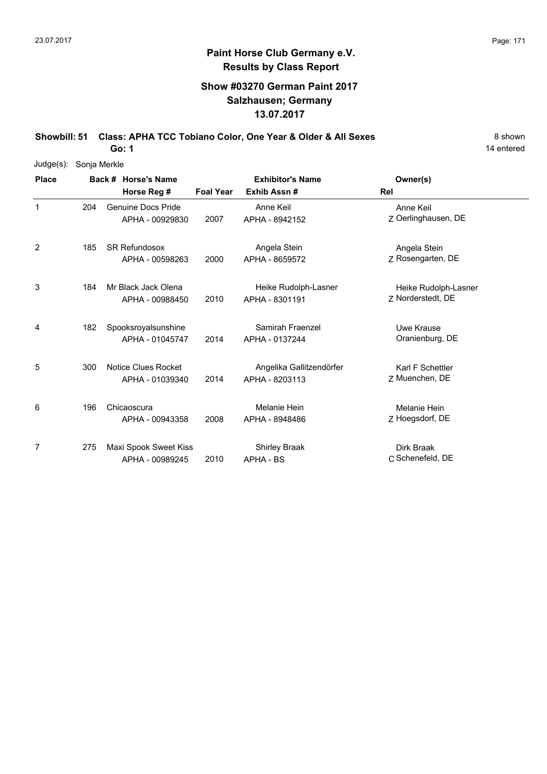# **Show #03270 German Paint 2017 Salzhausen; Germany 13.07.2017**

**Showbill: 51 Class: APHA TCC Tobiano Color, One Year & Older & All Sexes** 8 Shown

14 entered

| Judge(s):    | Sonja Merkle |                           |                  |                          |                      |
|--------------|--------------|---------------------------|------------------|--------------------------|----------------------|
| <b>Place</b> |              | Back # Horse's Name       |                  | <b>Exhibitor's Name</b>  | Owner(s)             |
|              |              | Horse Reg #               | <b>Foal Year</b> | Exhib Assn#              | Rel                  |
| 1            | 204          | <b>Genuine Docs Pride</b> |                  | Anne Keil                | Anne Keil            |
|              |              | APHA - 00929830           | 2007             | APHA - 8942152           | Z Oerlinghausen, DE  |
| 2            | 185          | <b>SR Refundosox</b>      |                  | Angela Stein             | Angela Stein         |
|              |              | APHA - 00598263           | 2000             | APHA - 8659572           | Z Rosengarten, DE    |
| 3            | 184          | Mr Black Jack Olena       |                  | Heike Rudolph-Lasner     | Heike Rudolph-Lasner |
|              |              | APHA - 00988450           | 2010             | APHA - 8301191           | 7 Norderstedt, DE    |
| 4            | 182          | Spooksroyalsunshine       |                  | Samirah Fraenzel         | Uwe Krause           |
|              |              | APHA - 01045747           | 2014             | APHA - 0137244           | Oranienburg, DE      |
| 5            | 300          | Notice Clues Rocket       |                  | Angelika Gallitzendörfer | Karl F Schettler     |
|              |              | APHA - 01039340           | 2014             | APHA - 8203113           | Z Muenchen, DE       |
| 6            | 196          | Chicaoscura               |                  | Melanie Hein             | Melanie Hein         |
|              |              | APHA - 00943358           | 2008             | APHA - 8948486           | Z Hoegsdorf, DE      |
| 7            | 275          | Maxi Spook Sweet Kiss     |                  | Shirley Braak            | Dirk Braak           |
|              |              | APHA - 00989245           | 2010             | APHA - BS                | C Schenefeld, DE     |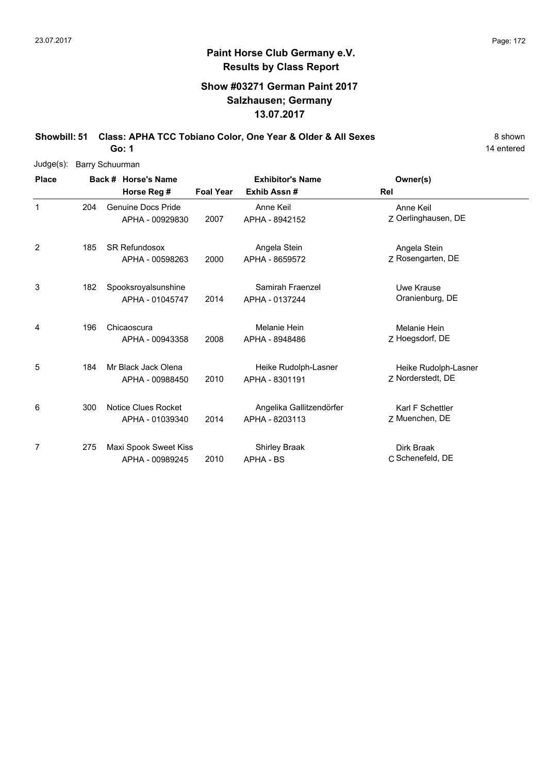# **Show #03271 German Paint 2017 Salzhausen; Germany 13.07.2017**

**Showbill: 51 Class: APHA TCC Tobiano Color, One Year & Older & All Sexes** 8 Shown **Go: 1**

14 entered

Judge(s): Barry Schuurman

| <b>Place</b> |     | Back # Horse's Name                           |                  | <b>Exhibitor's Name</b>                    | Owner(s)                                  |
|--------------|-----|-----------------------------------------------|------------------|--------------------------------------------|-------------------------------------------|
|              |     | Horse Reg #                                   | <b>Foal Year</b> | Exhib Assn#                                | <b>Rel</b>                                |
| $\mathbf{1}$ | 204 | <b>Genuine Docs Pride</b><br>APHA - 00929830  | 2007             | Anne Keil<br>APHA - 8942152                | Anne Keil<br>Z Oerlinghausen, DE          |
| 2            | 185 | <b>SR Refundosox</b><br>APHA - 00598263       | 2000             | Angela Stein<br>APHA - 8659572             | Angela Stein<br>Z Rosengarten, DE         |
| 3            | 182 | Spooksroyalsunshine<br>APHA - 01045747        | 2014             | Samirah Fraenzel<br>APHA - 0137244         | Uwe Krause<br>Oranienburg, DE             |
| 4            | 196 | Chicaoscura<br>APHA - 00943358                | 2008             | Melanie Hein<br>APHA - 8948486             | Melanie Hein<br>Z Hoegsdorf, DE           |
| 5            | 184 | Mr Black Jack Olena<br>APHA - 00988450        | 2010             | Heike Rudolph-Lasner<br>APHA - 8301191     | Heike Rudolph-Lasner<br>Z Norderstedt, DE |
| 6            | 300 | <b>Notice Clues Rocket</b><br>APHA - 01039340 | 2014             | Angelika Gallitzendörfer<br>APHA - 8203113 | Karl F Schettler<br>Z Muenchen, DE        |
| 7            | 275 | Maxi Spook Sweet Kiss<br>APHA - 00989245      | 2010             | <b>Shirley Braak</b><br>APHA - BS          | Dirk Braak<br>C Schenefeld, DE            |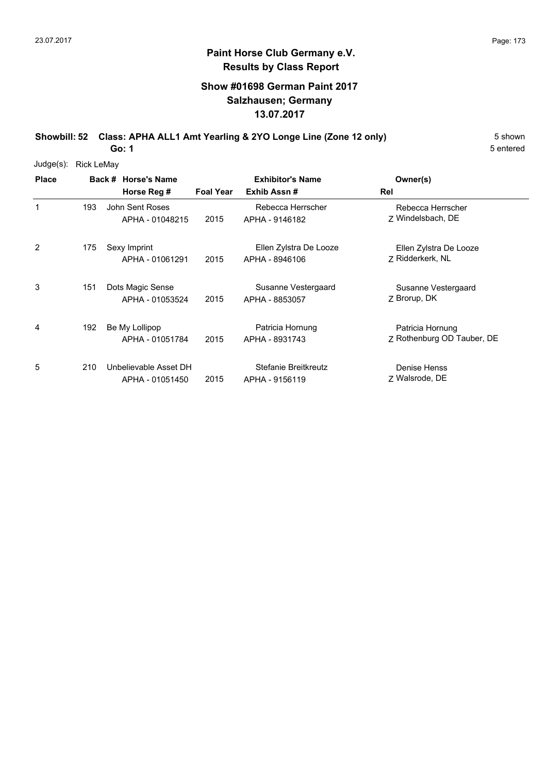### **Show #01698 German Paint 2017 Salzhausen; Germany 13.07.2017**

**Showbill: 52 Class: APHA ALL1 Amt Yearling & 2YO Longe Line (Zone 12 only)** 5 Shown

5 entered

| $Judge(s)$ : | <b>Rick LeMay</b> |                                          |                  |                                          |                                                |
|--------------|-------------------|------------------------------------------|------------------|------------------------------------------|------------------------------------------------|
| <b>Place</b> |                   | Back # Horse's Name<br>Horse Reg #       | <b>Foal Year</b> | <b>Exhibitor's Name</b><br>Exhib Assn#   | Owner(s)<br>Rel                                |
| 1            | 193               | John Sent Roses<br>APHA - 01048215       | 2015             | Rebecca Herrscher<br>APHA - 9146182      | Rebecca Herrscher<br>7 Windelsbach, DE         |
| 2            | 175               | Sexy Imprint<br>APHA - 01061291          | 2015             | Ellen Zylstra De Looze<br>APHA - 8946106 | Ellen Zylstra De Looze<br>7 Ridderkerk, NL     |
| 3            | 151               | Dots Magic Sense<br>APHA - 01053524      | 2015             | Susanne Vestergaard<br>APHA - 8853057    | Susanne Vestergaard<br>Z Brorup, DK            |
| 4            | 192               | Be My Lollipop<br>APHA - 01051784        | 2015             | Patricia Hornung<br>APHA - 8931743       | Patricia Hornung<br>Z Rothenburg OD Tauber, DE |
| 5            | 210               | Unbelievable Asset DH<br>APHA - 01051450 | 2015             | Stefanie Breitkreutz<br>APHA - 9156119   | Denise Henss<br>7 Walsrode, DE                 |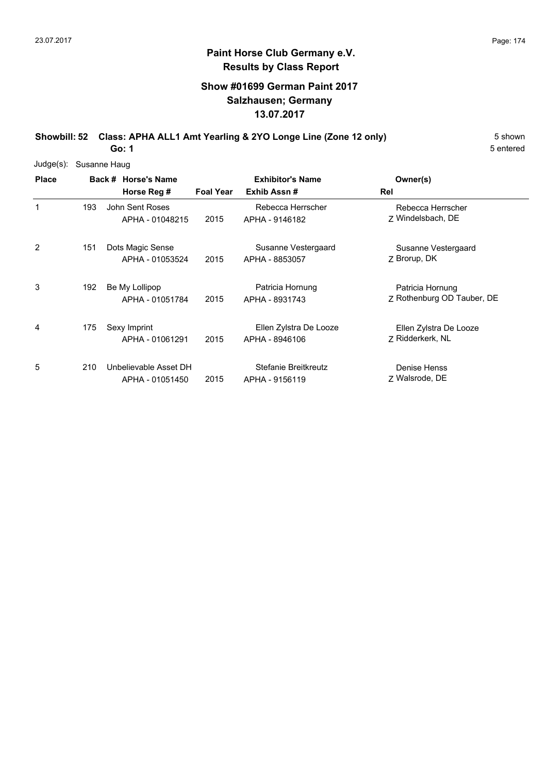# **Show #01699 German Paint 2017 Salzhausen; Germany 13.07.2017**

**Showbill: 52 Class: APHA ALL1 Amt Yearling & 2YO Longe Line (Zone 12 only)** 5 Shown

5 entered

| $Judge(s)$ : | Susanne Haug |                       |                  |                         |                            |
|--------------|--------------|-----------------------|------------------|-------------------------|----------------------------|
| <b>Place</b> |              | Back # Horse's Name   |                  | <b>Exhibitor's Name</b> | Owner(s)                   |
|              |              | Horse Reg #           | <b>Foal Year</b> | Exhib Assn#             | Rel                        |
|              | 193          | John Sent Roses       |                  | Rebecca Herrscher       | Rebecca Herrscher          |
|              |              | APHA - 01048215       | 2015             | APHA - 9146182          | Z Windelsbach, DE          |
| 2            | 151          | Dots Magic Sense      |                  | Susanne Vestergaard     | Susanne Vestergaard        |
|              |              | APHA - 01053524       | 2015             | APHA - 8853057          | Z Brorup, DK               |
| 3            | 192          | Be My Lollipop        |                  | Patricia Hornung        | Patricia Hornung           |
|              |              | APHA - 01051784       | 2015             | APHA - 8931743          | Z Rothenburg OD Tauber, DE |
| 4            | 175          | Sexy Imprint          |                  | Ellen Zylstra De Looze  | Ellen Zylstra De Looze     |
|              |              | APHA - 01061291       | 2015             | APHA - 8946106          | 7 Ridderkerk, NL           |
| 5            | 210          | Unbelievable Asset DH |                  | Stefanie Breitkreutz    | <b>Denise Henss</b>        |
|              |              | APHA - 01051450       | 2015             | APHA - 9156119          | 7 Walsrode, DE             |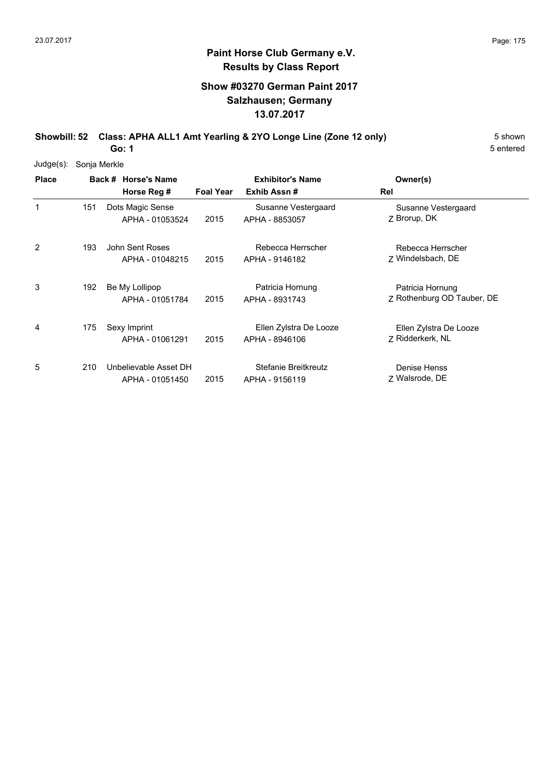# **Show #03270 German Paint 2017 Salzhausen; Germany 13.07.2017**

**Showbill: 52 Class: APHA ALL1 Amt Yearling & 2YO Longe Line (Zone 12 only)** 5 Shown

5 entered

| $Judge(s)$ : | Sonja Merkle |                                          |                  |                                          |                                                |
|--------------|--------------|------------------------------------------|------------------|------------------------------------------|------------------------------------------------|
| <b>Place</b> |              | Back # Horse's Name<br>Horse Reg #       | <b>Foal Year</b> | <b>Exhibitor's Name</b><br>Exhib Assn#   | Owner(s)<br>Rel                                |
| 1            | 151          | Dots Magic Sense<br>APHA - 01053524      | 2015             | Susanne Vestergaard<br>APHA - 8853057    | Susanne Vestergaard<br>Z Brorup, DK            |
| 2            | 193          | John Sent Roses<br>APHA - 01048215       | 2015             | Rebecca Herrscher<br>APHA - 9146182      | Rebecca Herrscher<br>Z Windelsbach, DE         |
| 3            | 192          | Be My Lollipop<br>APHA - 01051784        | 2015             | Patricia Hornung<br>APHA - 8931743       | Patricia Hornung<br>Z Rothenburg OD Tauber, DE |
| 4            | 175          | Sexy Imprint<br>APHA - 01061291          | 2015             | Ellen Zylstra De Looze<br>APHA - 8946106 | Ellen Zylstra De Looze<br>Z Ridderkerk, NL     |
| 5            | 210          | Unbelievable Asset DH<br>APHA - 01051450 | 2015             | Stefanie Breitkreutz<br>APHA - 9156119   | Denise Henss<br>7 Walsrode, DE                 |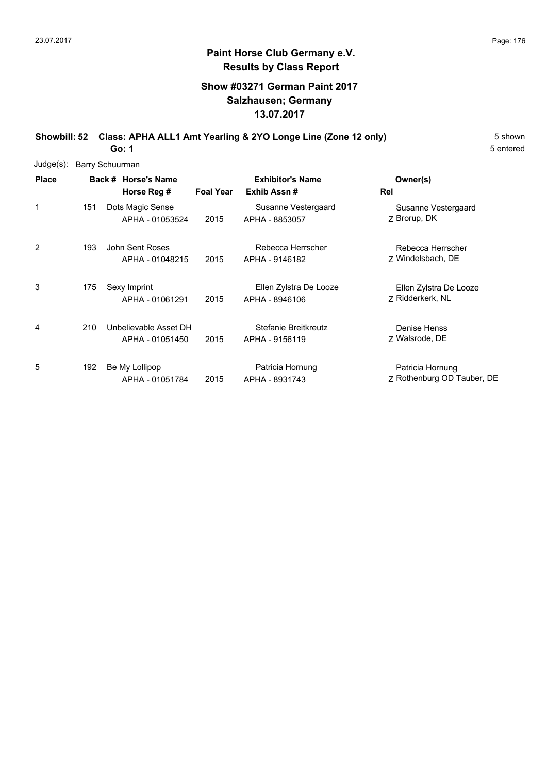# **Show #03271 German Paint 2017 Salzhausen; Germany 13.07.2017**

**Showbill: 52 Class: APHA ALL1 Amt Yearling & 2YO Longe Line (Zone 12 only)** 5 Shown

5 entered

| Judge(s):    |     | Barry Schuurman                          |                  |                                          |                                                |
|--------------|-----|------------------------------------------|------------------|------------------------------------------|------------------------------------------------|
| <b>Place</b> |     | Back # Horse's Name<br>Horse Reg #       | <b>Foal Year</b> | <b>Exhibitor's Name</b><br>Exhib Assn#   | Owner(s)<br>Rel                                |
| 1            | 151 | Dots Magic Sense<br>APHA - 01053524      | 2015             | Susanne Vestergaard<br>APHA - 8853057    | Susanne Vestergaard<br>Z Brorup, DK            |
| 2            | 193 | John Sent Roses<br>APHA - 01048215       | 2015             | Rebecca Herrscher<br>APHA - 9146182      | Rebecca Herrscher<br>7 Windelsbach, DE         |
| 3            | 175 | Sexy Imprint<br>APHA - 01061291          | 2015             | Ellen Zylstra De Looze<br>APHA - 8946106 | Ellen Zylstra De Looze<br>Z Ridderkerk, NL     |
| 4            | 210 | Unbelievable Asset DH<br>APHA - 01051450 | 2015             | Stefanie Breitkreutz<br>APHA - 9156119   | Denise Henss<br>Z Walsrode, DE                 |
| 5            | 192 | Be My Lollipop<br>APHA - 01051784        | 2015             | Patricia Hornung<br>APHA - 8931743       | Patricia Hornung<br>Z Rothenburg OD Tauber, DE |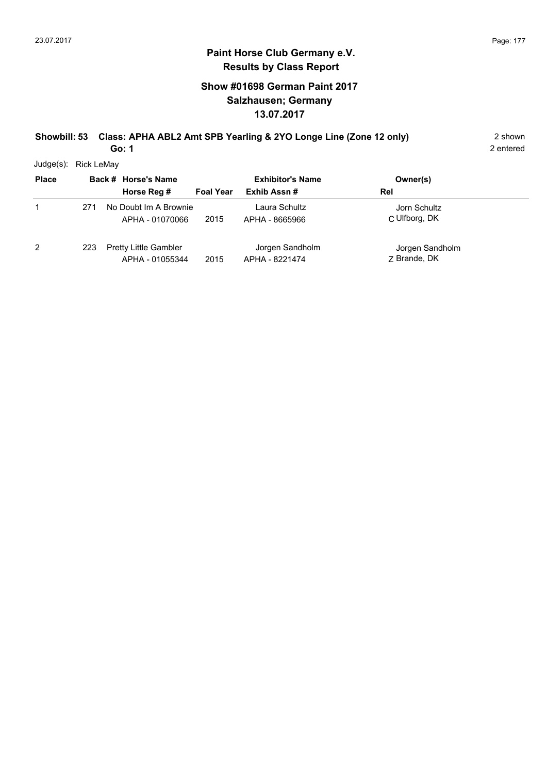# **Show #01698 German Paint 2017 Salzhausen; Germany 13.07.2017**

#### **Showbill: 53 Class: APHA ABL2 Amt SPB Yearling & 2YO Longe Line (Zone 12 only)** 2 shown **Go: 1**

2 entered

Judge(s): Rick LeMay

| <b>Place</b> |     | Back # Horse's Name                             |                  | <b>Exhibitor's Name</b>           | Owner(s)                        |
|--------------|-----|-------------------------------------------------|------------------|-----------------------------------|---------------------------------|
|              |     | Horse Reg #                                     | <b>Foal Year</b> | Exhib Assn#                       | Rel                             |
|              | 271 | No Doubt Im A Brownie<br>APHA - 01070066        | 2015             | Laura Schultz<br>APHA - 8665966   | Jorn Schultz<br>C Ulfborg, DK   |
| 2            | 223 | <b>Pretty Little Gambler</b><br>APHA - 01055344 | 2015             | Jorgen Sandholm<br>APHA - 8221474 | Jorgen Sandholm<br>7 Brande, DK |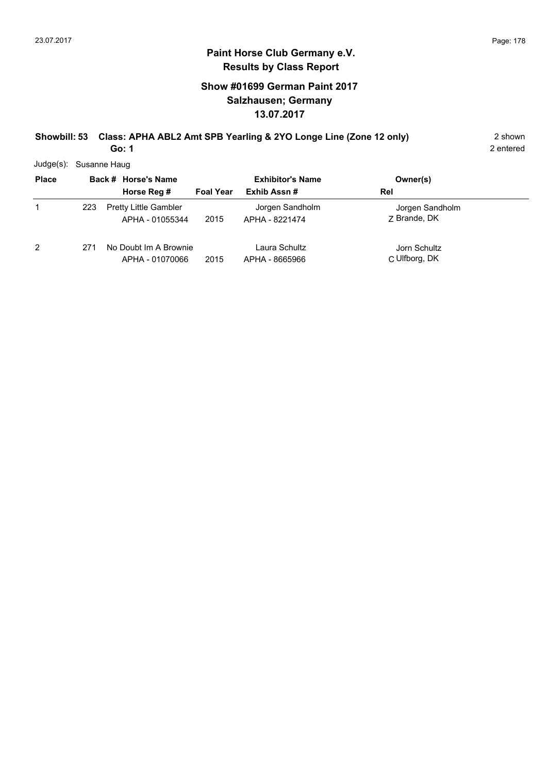# **Show #01699 German Paint 2017 Salzhausen; Germany 13.07.2017**

#### **Showbill: 53 Class: APHA ABL2 Amt SPB Yearling & 2YO Longe Line (Zone 12 only)** 2 shown **Go: 1**

2 entered

Judge(s): Susanne Haug

| <b>Place</b> |     | Back # Horse's Name<br>Horse Reg #              | <b>Foal Year</b> | <b>Exhibitor's Name</b><br>Exhib Assn# | Owner(s)<br>Rel                 |
|--------------|-----|-------------------------------------------------|------------------|----------------------------------------|---------------------------------|
|              | 223 | <b>Pretty Little Gambler</b><br>APHA - 01055344 | 2015             | Jorgen Sandholm<br>APHA - 8221474      | Jorgen Sandholm<br>7 Brande, DK |
| 2            | 271 | No Doubt Im A Brownie<br>APHA - 01070066        | 2015             | Laura Schultz<br>APHA - 8665966        | Jorn Schultz<br>C Ulfborg, DK   |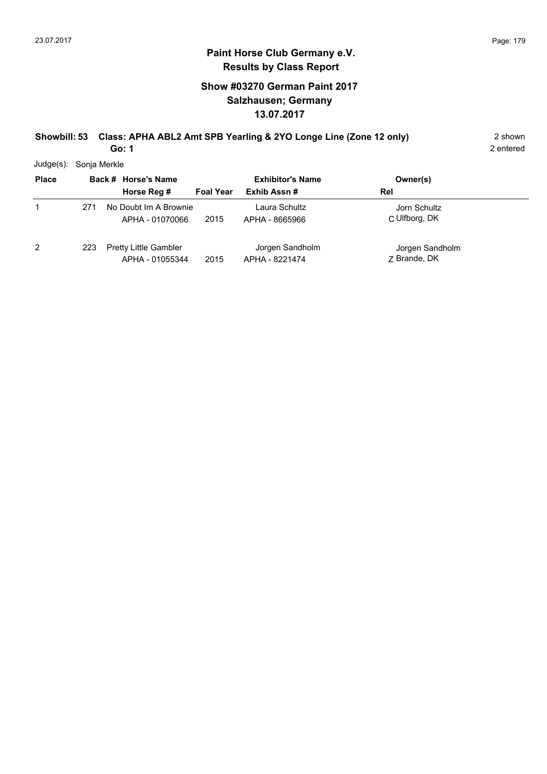# **Show #03270 German Paint 2017 Salzhausen; Germany 13.07.2017**

#### **Showbill: 53 Class: APHA ABL2 Amt SPB Yearling & 2YO Longe Line (Zone 12 only)** 2 shown **Go: 1**

2 entered

Judge(s): Sonja Merkle

| <b>Place</b> |     | Back # Horse's Name<br>Horse Reg #              | <b>Foal Year</b> | <b>Exhibitor's Name</b><br>Exhib Assn# | Owner(s)<br>Rel                 |
|--------------|-----|-------------------------------------------------|------------------|----------------------------------------|---------------------------------|
| 1            | 271 | No Doubt Im A Brownie<br>APHA - 01070066        | 2015             | Laura Schultz<br>APHA - 8665966        | Jorn Schultz<br>C Ulfborg, DK   |
| 2            | 223 | <b>Pretty Little Gambler</b><br>APHA - 01055344 | 2015             | Jorgen Sandholm<br>APHA - 8221474      | Jorgen Sandholm<br>7 Brande, DK |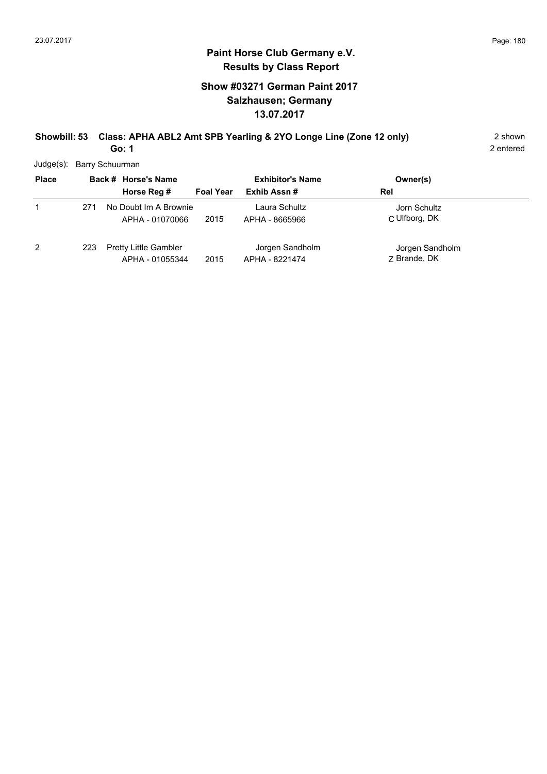# **Show #03271 German Paint 2017 Salzhausen; Germany 13.07.2017**

#### **Showbill: 53 Class: APHA ABL2 Amt SPB Yearling & 2YO Longe Line (Zone 12 only)** 2 shown **Go: 1**

2 entered

Judge(s): Barry Schuurman

| <b>Place</b> |     | Back # Horse's Name<br>Horse Reg #              | <b>Foal Year</b> | <b>Exhibitor's Name</b><br>Exhib Assn# | Owner(s)<br>Rel                 |
|--------------|-----|-------------------------------------------------|------------------|----------------------------------------|---------------------------------|
|              | 271 | No Doubt Im A Brownie<br>APHA - 01070066        | 2015             | Laura Schultz<br>APHA - 8665966        | Jorn Schultz<br>C Ulfborg, DK   |
| 2            | 223 | <b>Pretty Little Gambler</b><br>APHA - 01055344 | 2015             | Jorgen Sandholm<br>APHA - 8221474      | Jorgen Sandholm<br>7 Brande, DK |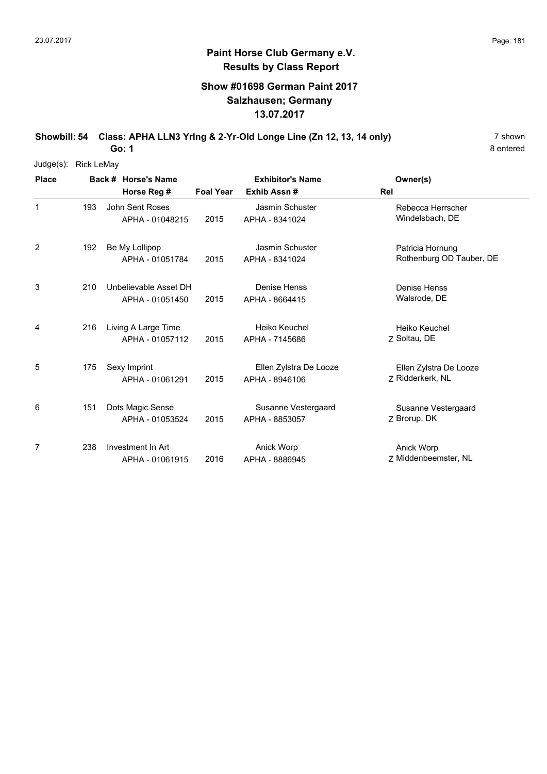#### **Show #01698 German Paint 2017 Salzhausen; Germany 13.07.2017**

**Showbill: 54 Class: APHA LLN3 Yring & 2-Yr-Old Longe Line (Zn 12, 13, 14 only)** 7 shown

8 entered

| Judge(s):    | <b>Rick LeMay</b> |                       |                         |                        |                          |  |  |  |  |
|--------------|-------------------|-----------------------|-------------------------|------------------------|--------------------------|--|--|--|--|
| <b>Place</b> |                   | Back # Horse's Name   | <b>Exhibitor's Name</b> |                        | Owner(s)                 |  |  |  |  |
|              |                   | Horse Reg #           | <b>Foal Year</b>        | Exhib Assn#            | Rel                      |  |  |  |  |
| $\mathbf{1}$ | 193               | John Sent Roses       |                         | Jasmin Schuster        | Rebecca Herrscher        |  |  |  |  |
|              |                   | APHA - 01048215       | 2015                    | APHA - 8341024         | Windelsbach, DE          |  |  |  |  |
| 2            | 192               | Be My Lollipop        |                         | Jasmin Schuster        | Patricia Hornung         |  |  |  |  |
|              |                   | APHA - 01051784       | 2015                    | APHA - 8341024         | Rothenburg OD Tauber, DE |  |  |  |  |
| 3            | 210               | Unbelievable Asset DH |                         | Denise Henss           | Denise Henss             |  |  |  |  |
|              |                   | APHA - 01051450       | 2015                    | APHA - 8664415         | Walsrode, DE             |  |  |  |  |
| 4            | 216               | Living A Large Time   |                         | Heiko Keuchel          | Heiko Keuchel            |  |  |  |  |
|              |                   | APHA - 01057112       | 2015                    | APHA - 7145686         | Z Soltau, DE             |  |  |  |  |
| 5            | 175               | Sexy Imprint          |                         | Ellen Zylstra De Looze | Ellen Zylstra De Looze   |  |  |  |  |
|              |                   | APHA - 01061291       | 2015                    | APHA - 8946106         | 7 Ridderkerk, NL         |  |  |  |  |
| 6            | 151               | Dots Magic Sense      |                         | Susanne Vestergaard    | Susanne Vestergaard      |  |  |  |  |
|              |                   | APHA - 01053524       | 2015                    | APHA - 8853057         | Z Brorup, DK             |  |  |  |  |
| 7            | 238               | Investment In Art     |                         | Anick Worp             | Anick Worp               |  |  |  |  |
|              |                   | APHA - 01061915       | 2016                    | APHA - 8886945         | 7 Middenbeemster, NL     |  |  |  |  |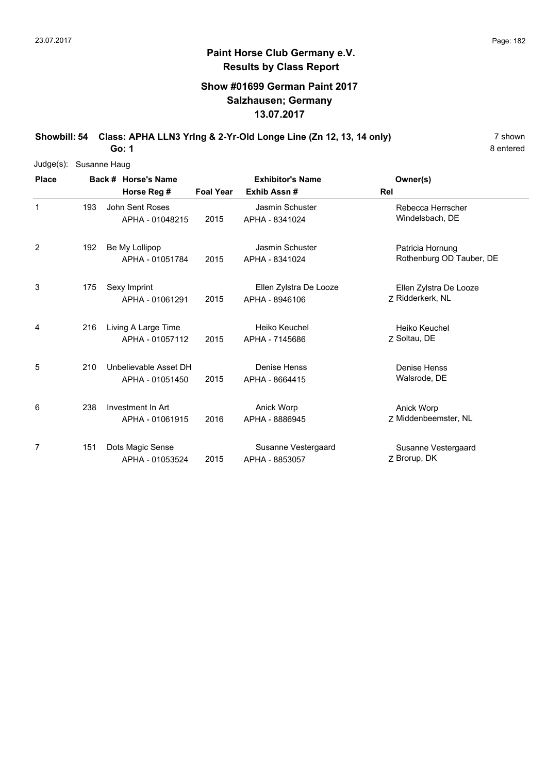#### **Show #01699 German Paint 2017 Salzhausen; Germany 13.07.2017**

**Showbill: 54 Class: APHA LLN3 Yring & 2-Yr-Old Longe Line (Zn 12, 13, 14 only)** 7 shown

8 entered

| $Judge(s)$ : | Susanne Haug |                 |                       |                         |                        |                          |  |  |  |  |
|--------------|--------------|-----------------|-----------------------|-------------------------|------------------------|--------------------------|--|--|--|--|
| <b>Place</b> |              |                 | Back # Horse's Name   | <b>Exhibitor's Name</b> |                        | Owner(s)                 |  |  |  |  |
|              |              |                 | Horse Reg #           | <b>Foal Year</b>        | Exhib Assn #           | Rel                      |  |  |  |  |
| $\mathbf{1}$ | 193          | John Sent Roses |                       |                         | Jasmin Schuster        | Rebecca Herrscher        |  |  |  |  |
|              |              |                 | APHA - 01048215       | 2015                    | APHA - 8341024         | Windelsbach, DE          |  |  |  |  |
| 2            | 192          |                 | Be My Lollipop        |                         | <b>Jasmin Schuster</b> | Patricia Hornung         |  |  |  |  |
|              |              |                 | APHA - 01051784       | 2015                    | APHA - 8341024         | Rothenburg OD Tauber, DE |  |  |  |  |
| 3            | 175          |                 | Sexy Imprint          |                         | Ellen Zylstra De Looze | Ellen Zylstra De Looze   |  |  |  |  |
|              |              |                 | APHA - 01061291       | 2015                    | APHA - 8946106         | 7 Ridderkerk, NL         |  |  |  |  |
| 4            | 216          |                 | Living A Large Time   |                         | Heiko Keuchel          | Heiko Keuchel            |  |  |  |  |
|              |              |                 | APHA - 01057112       | 2015                    | APHA - 7145686         | Z Soltau, DE             |  |  |  |  |
| 5            | 210          |                 | Unbelievable Asset DH |                         | Denise Henss           | Denise Henss             |  |  |  |  |
|              |              |                 | APHA - 01051450       | 2015                    | APHA - 8664415         | Walsrode, DE             |  |  |  |  |
| 6            | 238          |                 | Investment In Art     |                         | Anick Worp             | Anick Worp               |  |  |  |  |
|              |              |                 | APHA - 01061915       | 2016                    | APHA - 8886945         | 7 Middenbeemster, NL     |  |  |  |  |
| 7            | 151          |                 | Dots Magic Sense      |                         | Susanne Vestergaard    | Susanne Vestergaard      |  |  |  |  |
|              |              |                 | APHA - 01053524       | 2015                    | APHA - 8853057         | Z Brorup, DK             |  |  |  |  |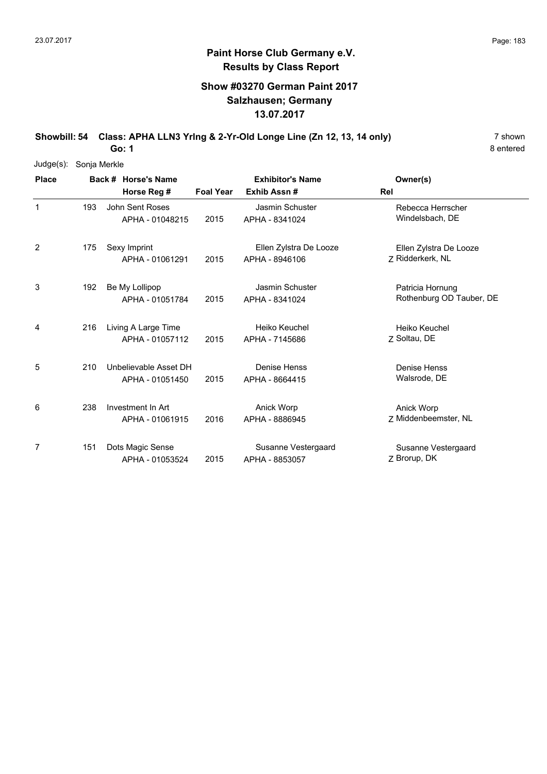#### **Show #03270 German Paint 2017 Salzhausen; Germany 13.07.2017**

**Showbill: 54 Class: APHA LLN3 Yring & 2-Yr-Old Longe Line (Zn 12, 13, 14 only)** 7 shown

8 entered

| Judge(s):      | Sonja Merkle |                 |                       |                  |                         |                          |  |  |  |  |
|----------------|--------------|-----------------|-----------------------|------------------|-------------------------|--------------------------|--|--|--|--|
| <b>Place</b>   |              |                 | Back # Horse's Name   |                  | <b>Exhibitor's Name</b> | Owner(s)                 |  |  |  |  |
|                |              |                 | Horse Reg #           | <b>Foal Year</b> | Exhib Assn #            | Rel                      |  |  |  |  |
| $\mathbf{1}$   | 193          | John Sent Roses |                       |                  | Jasmin Schuster         | Rebecca Herrscher        |  |  |  |  |
|                |              |                 | APHA - 01048215       | 2015             | APHA - 8341024          | Windelsbach, DE          |  |  |  |  |
| $\overline{2}$ | 175          |                 | Sexy Imprint          |                  | Ellen Zylstra De Looze  | Ellen Zylstra De Looze   |  |  |  |  |
|                |              |                 | APHA - 01061291       | 2015             | APHA - 8946106          | Z Ridderkerk, NL         |  |  |  |  |
| 3              | 192          |                 | Be My Lollipop        |                  | Jasmin Schuster         | Patricia Hornung         |  |  |  |  |
|                |              |                 | APHA - 01051784       | 2015             | APHA - 8341024          | Rothenburg OD Tauber, DE |  |  |  |  |
| 4              | 216          |                 | Living A Large Time   |                  | Heiko Keuchel           | Heiko Keuchel            |  |  |  |  |
|                |              |                 | APHA - 01057112       | 2015             | APHA - 7145686          | 7 Soltau, DE             |  |  |  |  |
| 5              | 210          |                 | Unbelievable Asset DH |                  | Denise Henss            | Denise Henss             |  |  |  |  |
|                |              |                 | APHA - 01051450       | 2015             | APHA - 8664415          | Walsrode, DE             |  |  |  |  |
| 6              | 238          |                 | Investment In Art     |                  | Anick Worp              | Anick Worp               |  |  |  |  |
|                |              |                 | APHA - 01061915       | 2016             | APHA - 8886945          | 7 Middenbeemster, NL     |  |  |  |  |
| 7              | 151          |                 | Dots Magic Sense      |                  | Susanne Vestergaard     | Susanne Vestergaard      |  |  |  |  |
|                |              |                 | APHA - 01053524       | 2015             | APHA - 8853057          | Z Brorup, DK             |  |  |  |  |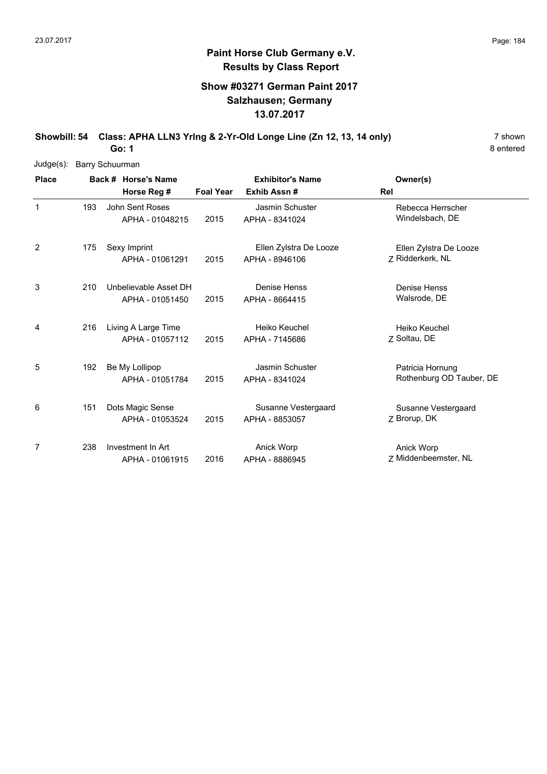#### **Show #03271 German Paint 2017 Salzhausen; Germany 13.07.2017**

**Showbill: 54 Class: APHA LLN3 Yring & 2-Yr-Old Longe Line (Zn 12, 13, 14 only)** 7 shown

8 entered

| $Judge(s)$ : | <b>Barry Schuurman</b> |                 |                       |                         |                        |                          |  |  |  |
|--------------|------------------------|-----------------|-----------------------|-------------------------|------------------------|--------------------------|--|--|--|
| <b>Place</b> |                        |                 | Back # Horse's Name   | <b>Exhibitor's Name</b> |                        | Owner(s)                 |  |  |  |
|              |                        |                 | Horse Reg #           | <b>Foal Year</b>        | Exhib Assn#            | Rel                      |  |  |  |
| $\mathbf{1}$ | 193                    | John Sent Roses |                       |                         | Jasmin Schuster        | Rebecca Herrscher        |  |  |  |
|              |                        |                 | APHA - 01048215       | 2015                    | APHA - 8341024         | Windelsbach, DE          |  |  |  |
| 2            | 175                    |                 | Sexy Imprint          |                         | Ellen Zylstra De Looze | Ellen Zylstra De Looze   |  |  |  |
|              |                        |                 | APHA - 01061291       | 2015                    | APHA - 8946106         | Z Ridderkerk, NL         |  |  |  |
| 3            | 210                    |                 | Unbelievable Asset DH |                         | Denise Henss           | Denise Henss             |  |  |  |
|              |                        |                 | APHA - 01051450       | 2015                    | APHA - 8664415         | Walsrode, DE             |  |  |  |
| 4            | 216                    |                 | Living A Large Time   |                         | Heiko Keuchel          | Heiko Keuchel            |  |  |  |
|              |                        |                 | APHA - 01057112       | 2015                    | APHA - 7145686         | Z Soltau, DE             |  |  |  |
| 5            | 192                    |                 | Be My Lollipop        |                         | Jasmin Schuster        | Patricia Hornung         |  |  |  |
|              |                        |                 | APHA - 01051784       | 2015                    | APHA - 8341024         | Rothenburg OD Tauber, DE |  |  |  |
| 6            | 151                    |                 | Dots Magic Sense      |                         | Susanne Vestergaard    | Susanne Vestergaard      |  |  |  |
|              |                        |                 | APHA - 01053524       | 2015                    | APHA - 8853057         | Z Brorup, DK             |  |  |  |
| 7            | 238                    |                 | Investment In Art     |                         | Anick Worp             | Anick Worp               |  |  |  |
|              |                        |                 | APHA - 01061915       | 2016                    | APHA - 8886945         | Z Middenbeemster, NL     |  |  |  |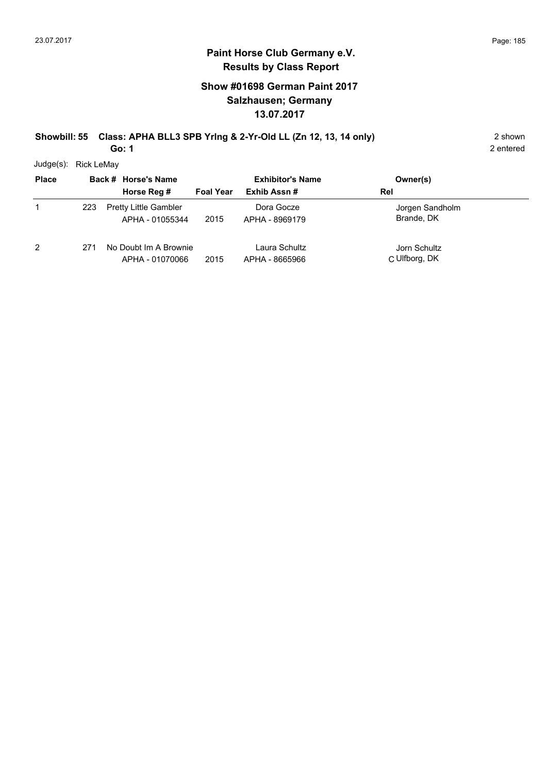#### **Show #01698 German Paint 2017 Salzhausen; Germany 13.07.2017**

#### **Showbill: 55 Class: APHA BLL3 SPB Yring & 2-Yr-Old LL (Zn 12, 13, 14 only)** 2 shown **Go: 1**

2 entered

Judge(s): Rick LeMay

| <b>Place</b>   |     | Back # Horse's Name<br>Horse Reg #              | <b>Exhibitor's Name</b><br>Exhib Assn#<br><b>Foal Year</b> | Owner(s)<br>Rel                 |                               |  |
|----------------|-----|-------------------------------------------------|------------------------------------------------------------|---------------------------------|-------------------------------|--|
| 1              | 223 | <b>Pretty Little Gambler</b><br>APHA - 01055344 | 2015                                                       | Dora Gocze<br>APHA - 8969179    | Jorgen Sandholm<br>Brande, DK |  |
| $\overline{2}$ | 271 | No Doubt Im A Brownie<br>APHA - 01070066        | 2015                                                       | Laura Schultz<br>APHA - 8665966 | Jorn Schultz<br>C Ulfborg, DK |  |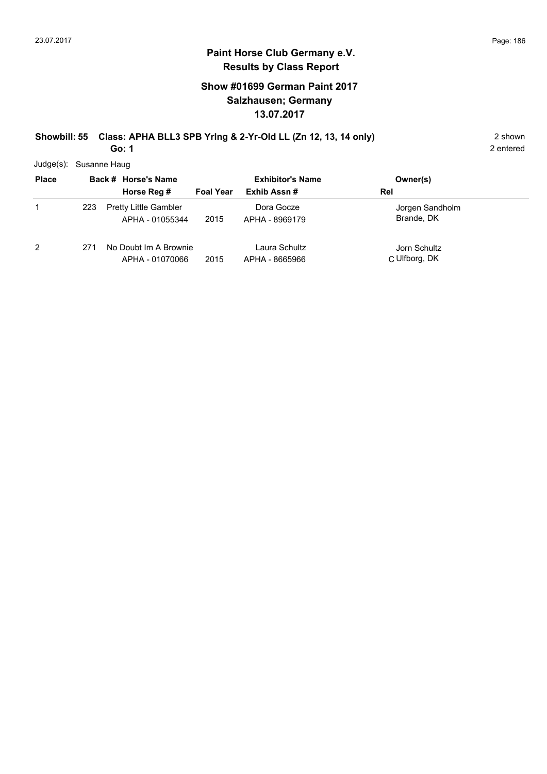#### **Paint Horse Club Germany e.V. Results by Class Report**

#### **Show #01699 German Paint 2017 Salzhausen; Germany 13.07.2017**

#### **Showbill: 55 Class: APHA BLL3 SPB Yring & 2-Yr-Old LL (Zn 12, 13, 14 only)** 2 shown **Go: 1**

Judge(s): Susanne Haug

| <b>Place</b> |     | Back # Horse's Name<br>Horse Reg # | <b>Exhibitor's Name</b><br>Exhib Assn#<br><b>Foal Year</b> |                | Owner(s)<br>Rel |
|--------------|-----|------------------------------------|------------------------------------------------------------|----------------|-----------------|
|              |     |                                    |                                                            |                |                 |
|              | 223 | <b>Pretty Little Gambler</b>       |                                                            | Dora Gocze     | Jorgen Sandholm |
|              |     | APHA - 01055344                    | 2015                                                       | APHA - 8969179 | Brande, DK      |
| 2            | 271 | No Doubt Im A Brownie              |                                                            | Laura Schultz  | Jorn Schultz    |
|              |     | APHA - 01070066                    | 2015                                                       | APHA - 8665966 | C Ulfborg, DK   |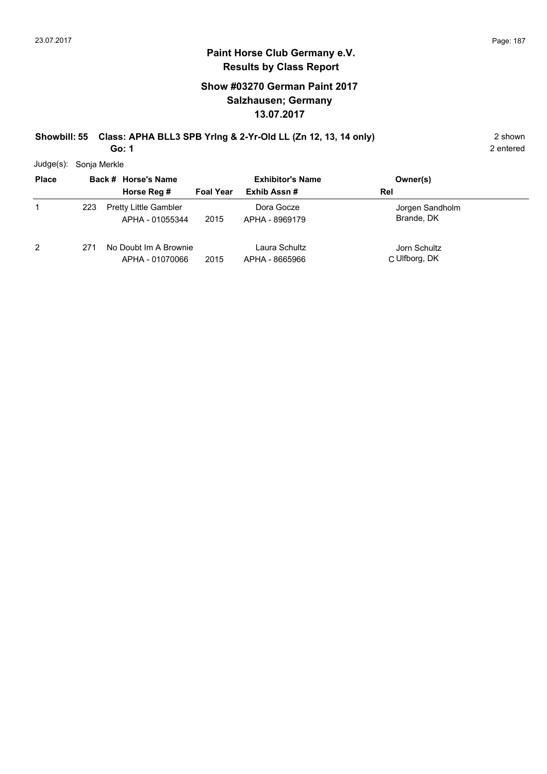## **Paint Horse Club Germany e.V. Results by Class Report**

#### **Show #03270 German Paint 2017 Salzhausen; Germany 13.07.2017**

#### **Showbill: 55 Class: APHA BLL3 SPB Yring & 2-Yr-Old LL (Zn 12, 13, 14 only)** 2 shown **Go: 1**

Judge(s): Sonja Merkle

| <b>Place</b> |     | Back # Horse's Name                             | <b>Exhibitor's Name</b> |                                 | Owner(s)                      |
|--------------|-----|-------------------------------------------------|-------------------------|---------------------------------|-------------------------------|
|              |     | Horse Reg #                                     | <b>Foal Year</b>        | Exhib Assn#                     | Rel                           |
|              | 223 | <b>Pretty Little Gambler</b><br>APHA - 01055344 | 2015                    | Dora Gocze<br>APHA - 8969179    | Jorgen Sandholm<br>Brande, DK |
| 2            | 271 | No Doubt Im A Brownie<br>APHA - 01070066        | 2015                    | Laura Schultz<br>APHA - 8665966 | Jorn Schultz<br>C Ulfborg, DK |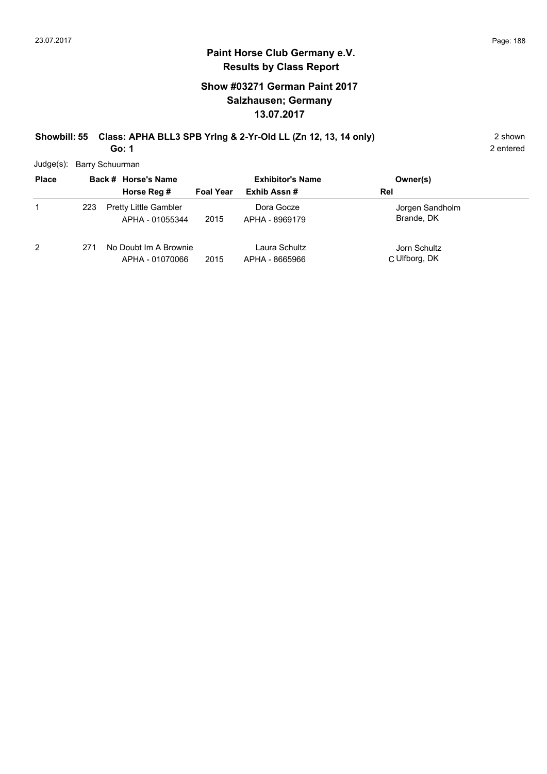#### **Paint Horse Club Germany e.V. Results by Class Report**

#### **Show #03271 German Paint 2017 Salzhausen; Germany 13.07.2017**

#### **Showbill: 55 Class: APHA BLL3 SPB Yring & 2-Yr-Old LL (Zn 12, 13, 14 only)** 2 shown **Go: 1**

Judge(s): Barry Schuurman

| <b>Place</b> |     | Back # Horse's Name                             |                  | <b>Exhibitor's Name</b>         | Owner(s)                      |
|--------------|-----|-------------------------------------------------|------------------|---------------------------------|-------------------------------|
|              |     | Horse Reg #                                     | <b>Foal Year</b> | Exhib Assn#                     | Rel                           |
|              | 223 | <b>Pretty Little Gambler</b><br>APHA - 01055344 | 2015             | Dora Gocze<br>APHA - 8969179    | Jorgen Sandholm<br>Brande, DK |
| 2            | 271 | No Doubt Im A Brownie<br>APHA - 01070066        | 2015             | Laura Schultz<br>APHA - 8665966 | Jorn Schultz<br>C Ulfborg, DK |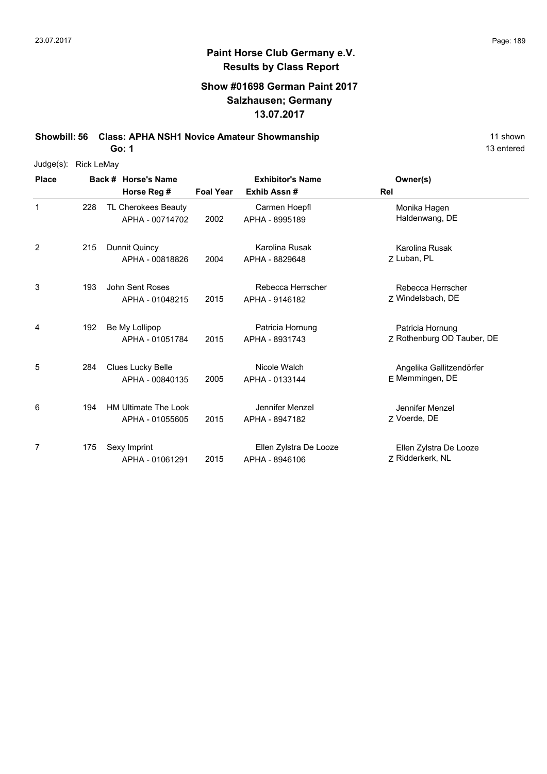#### **Show #01698 German Paint 2017 Salzhausen; Germany 13.07.2017**

**Showbill: 56 Class: APHA NSH1 Novice Amateur Showmanship** 11 shown

**Go: 1**

| Judge(s):    | <b>Rick LeMay</b> |                                                |                         |                                          |                                                |  |  |  |  |
|--------------|-------------------|------------------------------------------------|-------------------------|------------------------------------------|------------------------------------------------|--|--|--|--|
| <b>Place</b> |                   | Back # Horse's Name                            | <b>Exhibitor's Name</b> |                                          | Owner(s)                                       |  |  |  |  |
|              |                   | Horse Reg #                                    | <b>Foal Year</b>        | Exhib Assn#                              | Rel                                            |  |  |  |  |
| $\mathbf{1}$ | 228               | TL Cherokees Beauty<br>APHA - 00714702         | 2002                    | Carmen Hoepfl<br>APHA - 8995189          | Monika Hagen<br>Haldenwang, DE                 |  |  |  |  |
| 2            | 215               | Dunnit Quincy<br>APHA - 00818826               | 2004                    | Karolina Rusak<br>APHA - 8829648         | Karolina Rusak<br>Z Luban, PL                  |  |  |  |  |
| 3            | 193               | <b>John Sent Roses</b><br>APHA - 01048215      | 2015                    | Rebecca Herrscher<br>APHA - 9146182      | Rebecca Herrscher<br>7 Windelsbach, DE         |  |  |  |  |
| 4            | 192               | Be My Lollipop<br>APHA - 01051784              | 2015                    | Patricia Hornung<br>APHA - 8931743       | Patricia Hornung<br>Z Rothenburg OD Tauber, DE |  |  |  |  |
| 5            | 284               | Clues Lucky Belle<br>APHA - 00840135           | 2005                    | Nicole Walch<br>APHA - 0133144           | Angelika Gallitzendörfer<br>E Memmingen, DE    |  |  |  |  |
| 6            | 194               | <b>HM Ultimate The Look</b><br>APHA - 01055605 | 2015                    | Jennifer Menzel<br>APHA - 8947182        | Jennifer Menzel<br>Z Voerde, DE                |  |  |  |  |
| 7            | 175               | Sexy Imprint<br>APHA - 01061291                | 2015                    | Ellen Zylstra De Looze<br>APHA - 8946106 | Ellen Zylstra De Looze<br>Z Ridderkerk, NL     |  |  |  |  |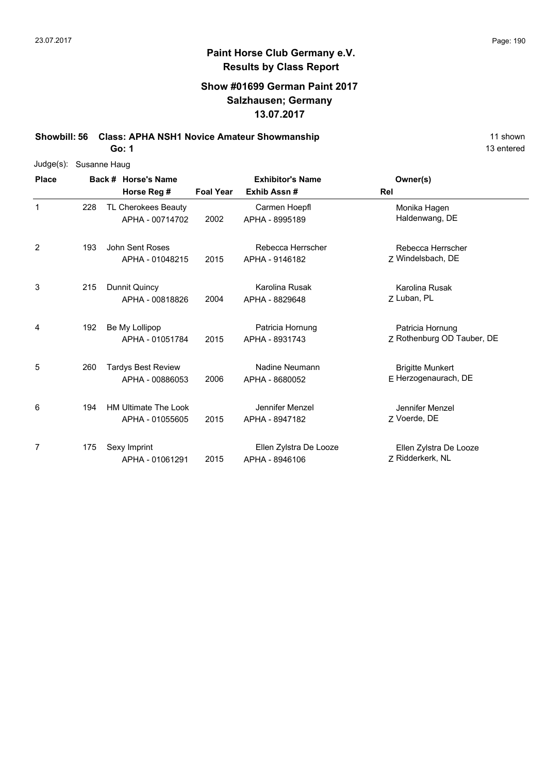#### **Show #01699 German Paint 2017 Salzhausen; Germany 13.07.2017**

**Showbill: 56 Class: APHA NSH1 Novice Amateur Showmanship** 11 shown 11 shown

**Go: 1**

| $Judge(s)$ : | Susanne Haug |                             |                         |                        |                            |  |  |  |  |  |
|--------------|--------------|-----------------------------|-------------------------|------------------------|----------------------------|--|--|--|--|--|
| <b>Place</b> |              | Back # Horse's Name         | <b>Exhibitor's Name</b> |                        | Owner(s)                   |  |  |  |  |  |
|              |              | Horse Reg #                 | <b>Foal Year</b>        | Exhib Assn#            | Rel                        |  |  |  |  |  |
| $\mathbf{1}$ | 228          | TL Cherokees Beauty         |                         | Carmen Hoepfl          | Monika Hagen               |  |  |  |  |  |
|              |              | APHA - 00714702             | 2002                    | APHA - 8995189         | Haldenwang, DE             |  |  |  |  |  |
| 2            | 193          | John Sent Roses             |                         | Rebecca Herrscher      | Rebecca Herrscher          |  |  |  |  |  |
|              |              | APHA - 01048215             | 2015                    | APHA - 9146182         | Z Windelsbach, DE          |  |  |  |  |  |
| 3            | 215          | Dunnit Quincy               |                         | Karolina Rusak         | Karolina Rusak             |  |  |  |  |  |
|              |              | APHA - 00818826             | 2004                    | APHA - 8829648         | Z Luban, PL                |  |  |  |  |  |
| 4            | 192          | Be My Lollipop              |                         | Patricia Hornung       | Patricia Hornung           |  |  |  |  |  |
|              |              | APHA - 01051784             | 2015                    | APHA - 8931743         | Z Rothenburg OD Tauber, DE |  |  |  |  |  |
| 5            | 260          | <b>Tardys Best Review</b>   |                         | Nadine Neumann         | <b>Brigitte Munkert</b>    |  |  |  |  |  |
|              |              | APHA - 00886053             | 2006                    | APHA - 8680052         | E Herzogenaurach, DE       |  |  |  |  |  |
| 6            | 194          | <b>HM Ultimate The Look</b> |                         | Jennifer Menzel        | Jennifer Menzel            |  |  |  |  |  |
|              |              | APHA - 01055605             | 2015                    | APHA - 8947182         | Z Voerde, DE               |  |  |  |  |  |
| 7            | 175          | Sexy Imprint                |                         | Ellen Zylstra De Looze | Ellen Zylstra De Looze     |  |  |  |  |  |
|              |              | APHA - 01061291             | 2015                    | APHA - 8946106         | 7 Ridderkerk, NL           |  |  |  |  |  |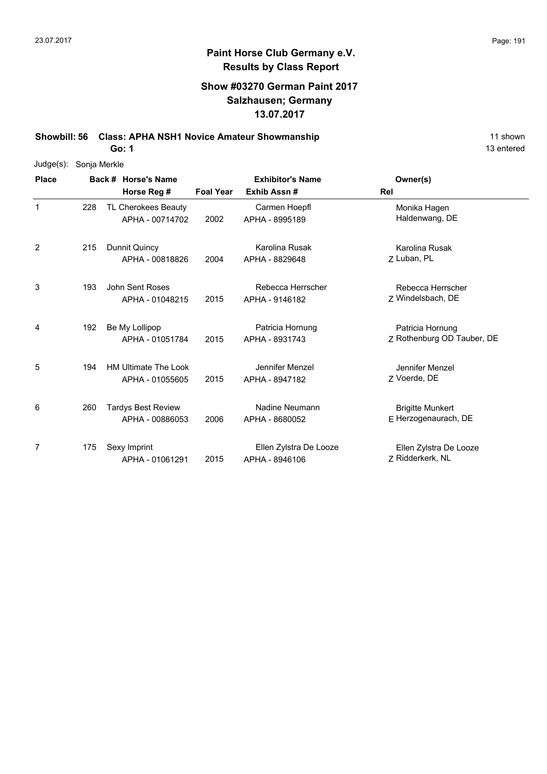#### **Show #03270 German Paint 2017 Salzhausen; Germany 13.07.2017**

**Showbill: 56 Class: APHA NSH1 Novice Amateur Showmanship** 11 shown

**Go: 1**

| Judge(s):    | Sonja Merkle |                             |                         |                        |                            |  |  |  |  |  |
|--------------|--------------|-----------------------------|-------------------------|------------------------|----------------------------|--|--|--|--|--|
| <b>Place</b> |              | Back # Horse's Name         | <b>Exhibitor's Name</b> |                        | Owner(s)                   |  |  |  |  |  |
|              |              | Horse Reg #                 | <b>Foal Year</b>        | Exhib Assn#            | Rel                        |  |  |  |  |  |
| $\mathbf{1}$ | 228          | TL Cherokees Beauty         |                         | Carmen Hoepfl          | Monika Hagen               |  |  |  |  |  |
|              |              | APHA - 00714702             | 2002                    | APHA - 8995189         | Haldenwang, DE             |  |  |  |  |  |
| 2            | 215          | Dunnit Quincy               |                         | Karolina Rusak         | Karolina Rusak             |  |  |  |  |  |
|              |              | APHA - 00818826             | 2004                    | APHA - 8829648         | Z Luban, PL                |  |  |  |  |  |
| 3            | 193          | John Sent Roses             |                         | Rebecca Herrscher      | Rebecca Herrscher          |  |  |  |  |  |
|              |              | APHA - 01048215             | 2015                    | APHA - 9146182         | Z Windelsbach, DE          |  |  |  |  |  |
| 4            | 192          | Be My Lollipop              |                         | Patricia Hornung       | Patricia Hornung           |  |  |  |  |  |
|              |              | APHA - 01051784             | 2015                    | APHA - 8931743         | Z Rothenburg OD Tauber, DE |  |  |  |  |  |
| 5            | 194          | <b>HM Ultimate The Look</b> |                         | Jennifer Menzel        | Jennifer Menzel            |  |  |  |  |  |
|              |              | APHA - 01055605             | 2015                    | APHA - 8947182         | Z Voerde, DE               |  |  |  |  |  |
| 6            | 260          | <b>Tardys Best Review</b>   |                         | Nadine Neumann         | <b>Brigitte Munkert</b>    |  |  |  |  |  |
|              |              | APHA - 00886053             | 2006                    | APHA - 8680052         | E Herzogenaurach, DE       |  |  |  |  |  |
| 7            | 175          | Sexy Imprint                |                         | Ellen Zylstra De Looze | Ellen Zylstra De Looze     |  |  |  |  |  |
|              |              | APHA - 01061291             | 2015                    | APHA - 8946106         | Z Ridderkerk, NL           |  |  |  |  |  |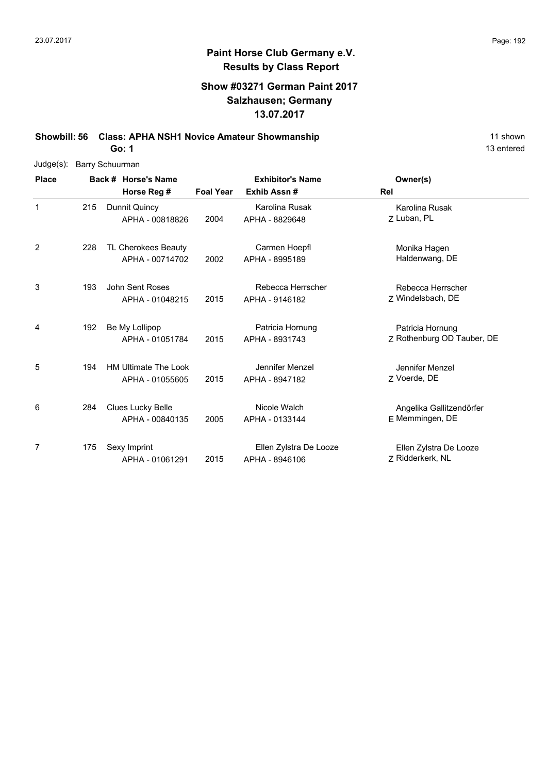### **Show #03271 German Paint 2017 Salzhausen; Germany 13.07.2017**

**Showbill: 56 Class: APHA NSH1 Novice Amateur Showmanship** 11 shown

**Go: 1**

| Judge(s):      | <b>Barry Schuurman</b> |               |                             |                  |                         |                            |  |  |  |
|----------------|------------------------|---------------|-----------------------------|------------------|-------------------------|----------------------------|--|--|--|
| <b>Place</b>   |                        |               | Back # Horse's Name         |                  | <b>Exhibitor's Name</b> | Owner(s)                   |  |  |  |
|                |                        |               | Horse Reg #                 | <b>Foal Year</b> | Exhib Assn#             | Rel                        |  |  |  |
| $\mathbf{1}$   | 215                    | Dunnit Quincy |                             |                  | Karolina Rusak          | Karolina Rusak             |  |  |  |
|                |                        |               | APHA - 00818826             | 2004             | APHA - 8829648          | 7 Luban, PL                |  |  |  |
| $\overline{2}$ | 228                    |               | TL Cherokees Beauty         |                  | Carmen Hoepfl           | Monika Hagen               |  |  |  |
|                |                        |               | APHA - 00714702             | 2002             | APHA - 8995189          | Haldenwang, DE             |  |  |  |
| 3              | 193                    |               | John Sent Roses             |                  | Rebecca Herrscher       | Rebecca Herrscher          |  |  |  |
|                |                        |               | APHA - 01048215             | 2015             | APHA - 9146182          | Z Windelsbach, DE          |  |  |  |
| 4              | 192                    |               | Be My Lollipop              |                  | Patricia Hornung        | Patricia Hornung           |  |  |  |
|                |                        |               | APHA - 01051784             | 2015             | APHA - 8931743          | Z Rothenburg OD Tauber, DE |  |  |  |
| 5              | 194                    |               | <b>HM Ultimate The Look</b> |                  | Jennifer Menzel         | Jennifer Menzel            |  |  |  |
|                |                        |               | APHA - 01055605             | 2015             | APHA - 8947182          | 7 Voerde, DE               |  |  |  |
| 6              | 284                    |               | <b>Clues Lucky Belle</b>    |                  | Nicole Walch            | Angelika Gallitzendörfer   |  |  |  |
|                |                        |               | APHA - 00840135             | 2005             | APHA - 0133144          | E Memmingen, DE            |  |  |  |
| 7              | 175                    | Sexy Imprint  |                             |                  | Ellen Zylstra De Looze  | Ellen Zylstra De Looze     |  |  |  |
|                |                        |               | APHA - 01061291             | 2015             | APHA - 8946106          | Z Ridderkerk, NL           |  |  |  |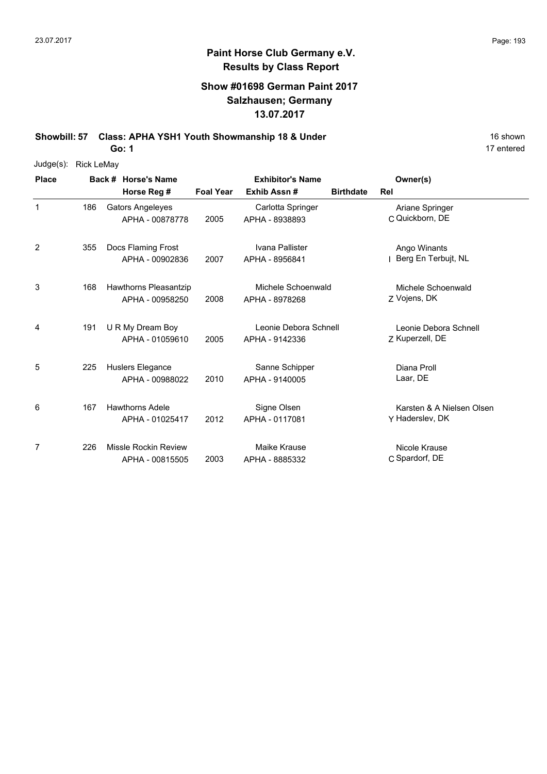### **Show #01698 German Paint 2017 Salzhausen; Germany 13.07.2017**

**Showbill: 57 Class: APHA YSH1 Youth Showmanship 18 & Under** 16 Shown 16 shown

**Go: 1**

| Judge(s): | <b>Rick LeMay</b> |
|-----------|-------------------|
|           |                   |

| <b>Place</b> |     | Back # Horse's Name                       | <b>Exhibitor's Name</b> |                                         |                  | Owner(s)                                     |
|--------------|-----|-------------------------------------------|-------------------------|-----------------------------------------|------------------|----------------------------------------------|
|              |     | Horse Reg #                               | <b>Foal Year</b>        | Exhib Assn#                             | <b>Birthdate</b> | Rel                                          |
| $\mathbf{1}$ | 186 | Gators Angeleyes<br>APHA - 00878778       | 2005                    | Carlotta Springer<br>APHA - 8938893     |                  | Ariane Springer<br>C Quickborn, DE           |
| 2            | 355 | Docs Flaming Frost<br>APHA - 00902836     | 2007                    | Ivana Pallister<br>APHA - 8956841       |                  | Ango Winants<br>Berg En Terbujt, NL          |
| 3            | 168 | Hawthorns Pleasantzip<br>APHA - 00958250  | 2008                    | Michele Schoenwald<br>APHA - 8978268    |                  | Michele Schoenwald<br>Z Vojens, DK           |
| 4            | 191 | U R My Dream Boy<br>APHA - 01059610       | 2005                    | Leonie Debora Schnell<br>APHA - 9142336 |                  | Leonie Debora Schnell<br>Z Kuperzell, DE     |
| 5            | 225 | Huslers Elegance<br>APHA - 00988022       | 2010                    | Sanne Schipper<br>APHA - 9140005        |                  | Diana Proll<br>Laar, DE                      |
| 6            | 167 | <b>Hawthorns Adele</b><br>APHA - 01025417 | 2012                    | Signe Olsen<br>APHA - 0117081           |                  | Karsten & A Nielsen Olsen<br>Y Haderslev, DK |
| 7            | 226 | Missle Rockin Review<br>APHA - 00815505   | 2003                    | Maike Krause<br>APHA - 8885332          |                  | Nicole Krause<br>C Spardorf, DE              |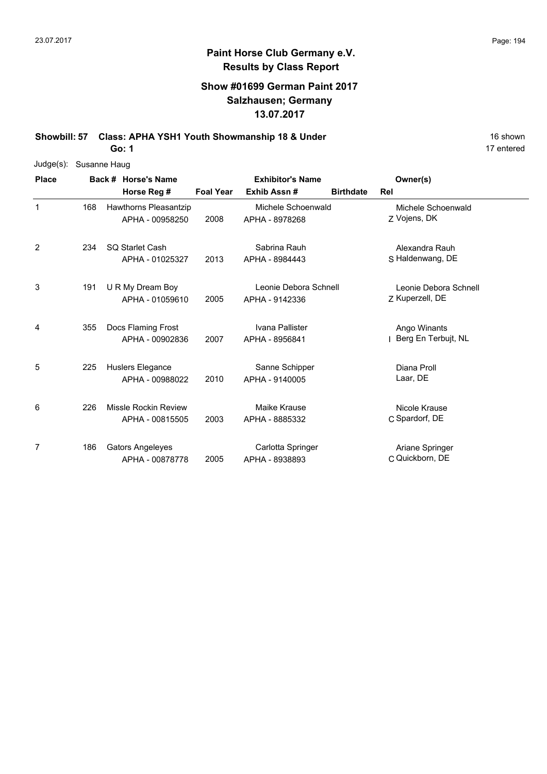### **Show #01699 German Paint 2017 Salzhausen; Germany 13.07.2017**

**Showbill: 57 Class: APHA YSH1 Youth Showmanship 18 & Under** 16 Shown 16 shown

|              |              | <b>Go: 1</b>                               |                  |                                         |                  |                                          | 17 entered |
|--------------|--------------|--------------------------------------------|------------------|-----------------------------------------|------------------|------------------------------------------|------------|
| Judge(s):    | Susanne Haug |                                            |                  |                                         |                  |                                          |            |
| <b>Place</b> |              | Back # Horse's Name                        |                  | <b>Exhibitor's Name</b>                 |                  | Owner(s)                                 |            |
|              |              | Horse Reg #                                | <b>Foal Year</b> | Exhib Assn#                             | <b>Birthdate</b> | Rel                                      |            |
| $\mathbf{1}$ | 168          | Hawthorns Pleasantzip<br>APHA - 00958250   | 2008             | Michele Schoenwald<br>APHA - 8978268    |                  | Michele Schoenwald<br>Z Vojens, DK       |            |
| 2            | 234          | SO Starlet Cash<br>APHA - 01025327         | 2013             | Sabrina Rauh<br>APHA - 8984443          |                  | Alexandra Rauh<br>S Haldenwang, DE       |            |
| 3            | 191          | U R My Dream Boy<br>APHA - 01059610        | 2005             | Leonie Debora Schnell<br>APHA - 9142336 |                  | Leonie Debora Schnell<br>Z Kuperzell, DE |            |
| 4            | 355          | Docs Flaming Frost<br>APHA - 00902836      | 2007             | Ivana Pallister<br>APHA - 8956841       |                  | Ango Winants<br>Berg En Terbujt, NL      |            |
| 5            | 225          | Huslers Elegance<br>APHA - 00988022        | 2010             | Sanne Schipper<br>APHA - 9140005        |                  | Diana Proll<br>Laar, DE                  |            |
| 6            | 226          | Missle Rockin Review<br>APHA - 00815505    | 2003             | Maike Krause<br>APHA - 8885332          |                  | Nicole Krause<br>C Spardorf, DE          |            |
| 7            | 186          | <b>Gators Angeleyes</b><br>APHA - 00878778 | 2005             | Carlotta Springer<br>APHA - 8938893     |                  | Ariane Springer<br>C Quickborn, DE       |            |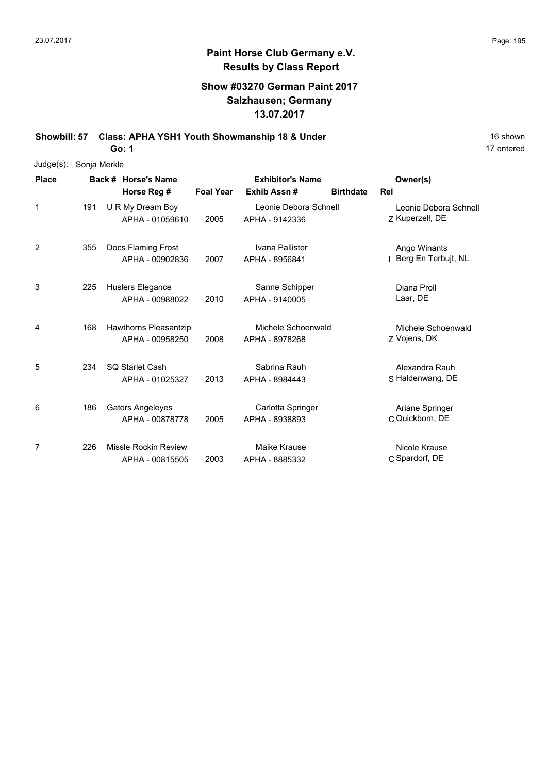### **Show #03270 German Paint 2017 Salzhausen; Germany 13.07.2017**

**Showbill: 57 Class: APHA YSH1 Youth Showmanship 18 & Under** 16 Shown 16 shown

**Go: 1**

| Judge(s):    | Sonja Merkle |                         |                  |                         |                  |                       |
|--------------|--------------|-------------------------|------------------|-------------------------|------------------|-----------------------|
| <b>Place</b> |              | Back # Horse's Name     |                  | <b>Exhibitor's Name</b> |                  | Owner(s)              |
|              |              | Horse Reg #             | <b>Foal Year</b> | Exhib Assn#             | <b>Birthdate</b> | Rel                   |
| 1            | 191          | U R My Dream Boy        |                  | Leonie Debora Schnell   |                  | Leonie Debora Schnell |
|              |              | APHA - 01059610         | 2005             | APHA - 9142336          |                  | Z Kuperzell, DE       |
| 2            | 355          | Docs Flaming Frost      |                  | Ivana Pallister         |                  | Ango Winants          |
|              |              | APHA - 00902836         | 2007             | APHA - 8956841          |                  | Berg En Terbujt, NL   |
| 3            | 225          | Huslers Elegance        |                  | Sanne Schipper          |                  | Diana Proll           |
|              |              | APHA - 00988022         | 2010             | APHA - 9140005          |                  | Laar, DE              |
| 4            | 168          | Hawthorns Pleasantzip   |                  | Michele Schoenwald      |                  | Michele Schoenwald    |
|              |              | APHA - 00958250         | 2008             | APHA - 8978268          |                  | Z Vojens, DK          |
| 5            | 234          | <b>SQ Starlet Cash</b>  |                  | Sabrina Rauh            |                  | Alexandra Rauh        |
|              |              | APHA - 01025327         | 2013             | APHA - 8984443          |                  | S Haldenwang, DE      |
| 6            | 186          | <b>Gators Angeleyes</b> |                  | Carlotta Springer       |                  | Ariane Springer       |
|              |              | APHA - 00878778         | 2005             | APHA - 8938893          |                  | C Quickborn, DE       |
| 7            | 226          | Missle Rockin Review    |                  | Maike Krause            |                  | Nicole Krause         |
|              |              | APHA - 00815505         | 2003             | APHA - 8885332          |                  | C Spardorf, DE        |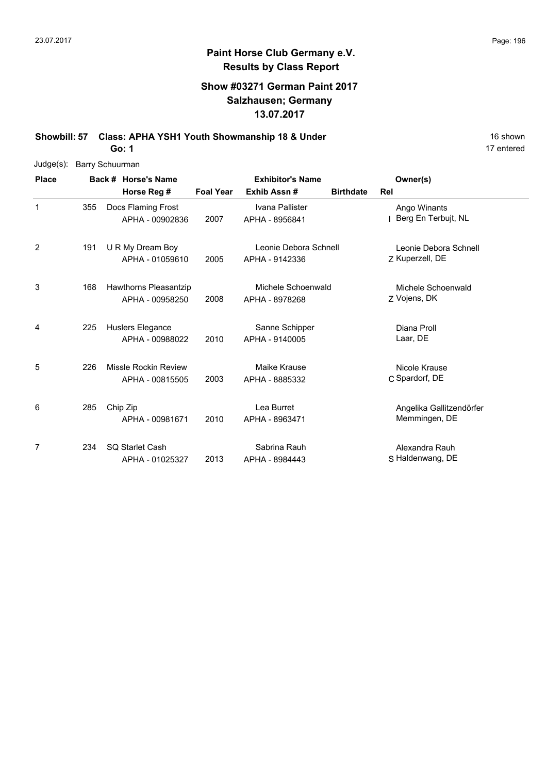## **Paint Horse Club Germany e.V. Results by Class Report**

### **Show #03271 German Paint 2017 Salzhausen; Germany 13.07.2017**

**Showbill: 57 Class: APHA YSH1 Youth Showmanship 18 & Under** 16 Shown 16 shown

**Go: 1**

| $Judge(s)$ : |     | <b>Barry Schuurman</b> |                                                |                  |                                         |                  |                                           |  |
|--------------|-----|------------------------|------------------------------------------------|------------------|-----------------------------------------|------------------|-------------------------------------------|--|
| <b>Place</b> |     |                        | Back # Horse's Name                            |                  | <b>Exhibitor's Name</b>                 |                  | Owner(s)                                  |  |
|              |     |                        | Horse Reg #                                    | <b>Foal Year</b> | Exhib Assn#                             | <b>Birthdate</b> | Rel                                       |  |
| $\mathbf 1$  | 355 |                        | Docs Flaming Frost<br>APHA - 00902836          | 2007             | Ivana Pallister<br>APHA - 8956841       |                  | Ango Winants<br>Berg En Terbujt, NL       |  |
| 2            | 191 |                        | U R My Dream Boy<br>APHA - 01059610            | 2005             | Leonie Debora Schnell<br>APHA - 9142336 |                  | Leonie Debora Schnell<br>Z Kuperzell, DE  |  |
| 3            | 168 |                        | Hawthorns Pleasantzip<br>APHA - 00958250       | 2008             | Michele Schoenwald<br>APHA - 8978268    |                  | Michele Schoenwald<br>Z Vojens, DK        |  |
| 4            | 225 |                        | Huslers Elegance<br>APHA - 00988022            | 2010             | Sanne Schipper<br>APHA - 9140005        |                  | Diana Proll<br>Laar, DE                   |  |
| 5            | 226 |                        | <b>Missle Rockin Review</b><br>APHA - 00815505 | 2003             | Maike Krause<br>APHA - 8885332          |                  | Nicole Krause<br>C Spardorf, DE           |  |
| 6            | 285 | Chip Zip               | APHA - 00981671                                | 2010             | Lea Burret<br>APHA - 8963471            |                  | Angelika Gallitzendörfer<br>Memmingen, DE |  |
| 7            | 234 |                        | <b>SQ Starlet Cash</b><br>APHA - 01025327      | 2013             | Sabrina Rauh<br>APHA - 8984443          |                  | Alexandra Rauh<br>S Haldenwang, DE        |  |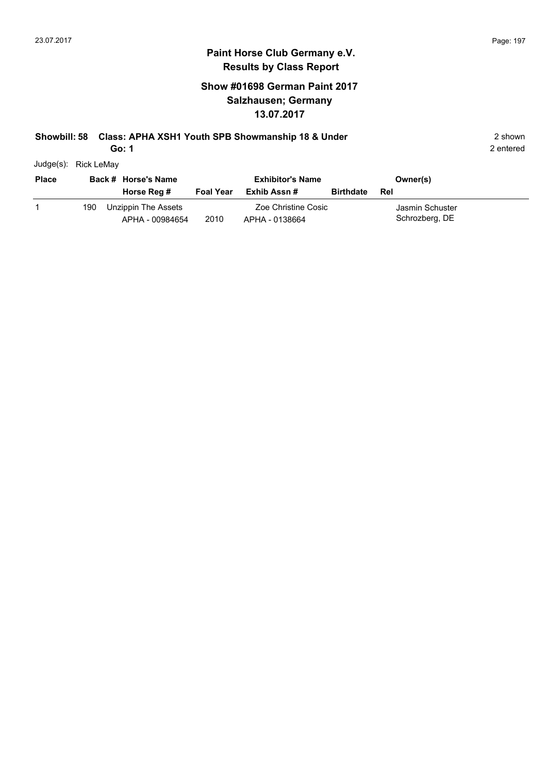## **Paint Horse Club Germany e.V. Results by Class Report**

### **Show #01698 German Paint 2017 Salzhausen; Germany 13.07.2017**

#### **Showbill: 58 Class: APHA XSH1 Youth SPB Showmanship 18 & Under** 2 shown 2 shown

**Go: 1**

Judge(s): Rick LeMay

| <b>Place</b> |     | Back # Horse's Name<br>Horse Reg #     | <b>Foal Year</b> | <b>Exhibitor's Name</b><br>Exhib Assn # | <b>Birthdate</b> | Owner(s)<br>Rel                   |  |
|--------------|-----|----------------------------------------|------------------|-----------------------------------------|------------------|-----------------------------------|--|
|              | 190 | Unzippin The Assets<br>APHA - 00984654 | 2010             | Zoe Christine Cosic<br>APHA - 0138664   |                  | Jasmin Schuster<br>Schrozberg, DE |  |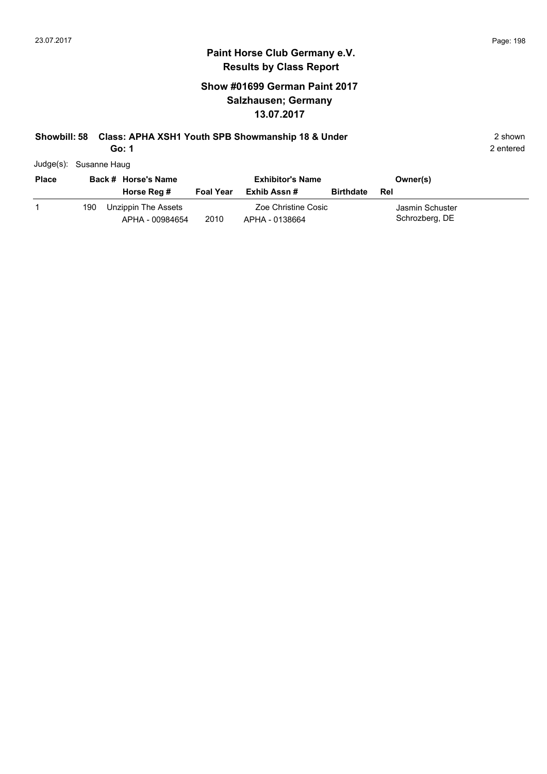### **Show #01699 German Paint 2017 Salzhausen; Germany 13.07.2017**

### **Showbill: 58 Class: APHA XSH1 Youth SPB Showmanship 18 & Under** 2 shown 2 shown

**Go: 1**

2 entered

Judge(s): Susanne Haug

| <b>Place</b> | Back # Horse's Name |                                        |                  | <b>Exhibitor's Name</b>               | Owner(s)         |                                   |  |
|--------------|---------------------|----------------------------------------|------------------|---------------------------------------|------------------|-----------------------------------|--|
|              |                     | Horse Reg #                            | <b>Foal Year</b> | Exhib Assn #                          | <b>Birthdate</b> | Rel                               |  |
|              | 190                 | Unzippin The Assets<br>APHA - 00984654 | 2010             | Zoe Christine Cosic<br>APHA - 0138664 |                  | Jasmin Schuster<br>Schrozberg, DE |  |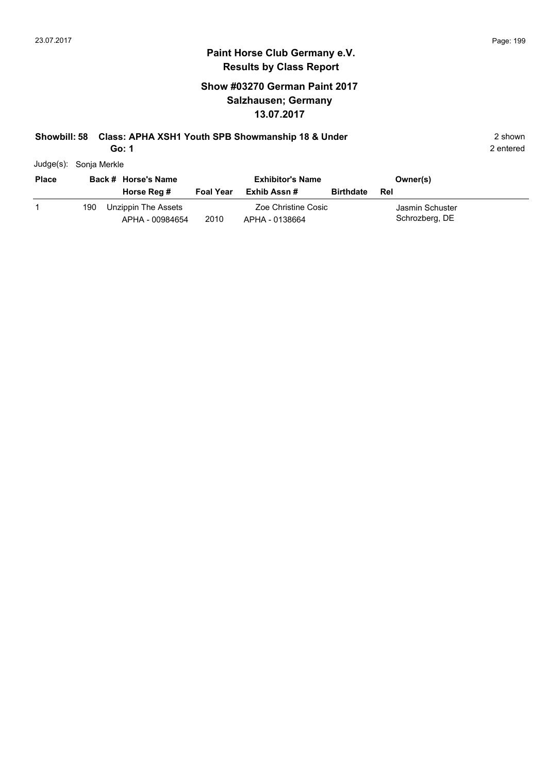#### **Paint Horse Club Germany e.V. Results by Class Report**

### **Show #03270 German Paint 2017 Salzhausen; Germany 13.07.2017**

#### **Showbill: 58 Class: APHA XSH1 Youth SPB Showmanship 18 & Under** 2 shown 2 shown

**Go: 1**

Judge(s): Sonja Merkle

| <b>Place</b> |     | Back # Horse's Name<br>Horse Reg #     | <b>Foal Year</b> | <b>Exhibitor's Name</b><br>Exhib Assn # | <b>Birthdate</b> | Owner(s)<br>Rel                   |  |
|--------------|-----|----------------------------------------|------------------|-----------------------------------------|------------------|-----------------------------------|--|
|              | 190 | Unzippin The Assets<br>APHA - 00984654 | 2010             | Zoe Christine Cosic<br>APHA - 0138664   |                  | Jasmin Schuster<br>Schrozberg, DE |  |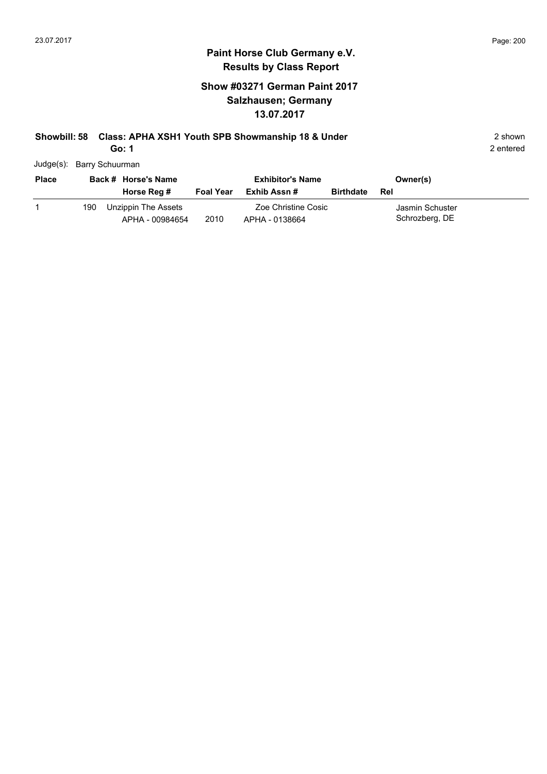### **Show #03271 German Paint 2017 Salzhausen; Germany 13.07.2017**

## **Showbill: 58 Class: APHA XSH1 Youth SPB Showmanship 18 & Under** 2 shown 2 shown

**Go: 1**

| <b>Place</b> | Back # Horse's Name |                                        |                  | <b>Exhibitor's Name</b>               | Owner(s)         |                                   |  |
|--------------|---------------------|----------------------------------------|------------------|---------------------------------------|------------------|-----------------------------------|--|
|              |                     | Horse Reg #                            | <b>Foal Year</b> | Exhib Assn #                          | <b>Birthdate</b> | <b>Rel</b>                        |  |
|              | 190.                | Unzippin The Assets<br>APHA - 00984654 | 2010             | Zoe Christine Cosic<br>APHA - 0138664 |                  | Jasmin Schuster<br>Schrozberg, DE |  |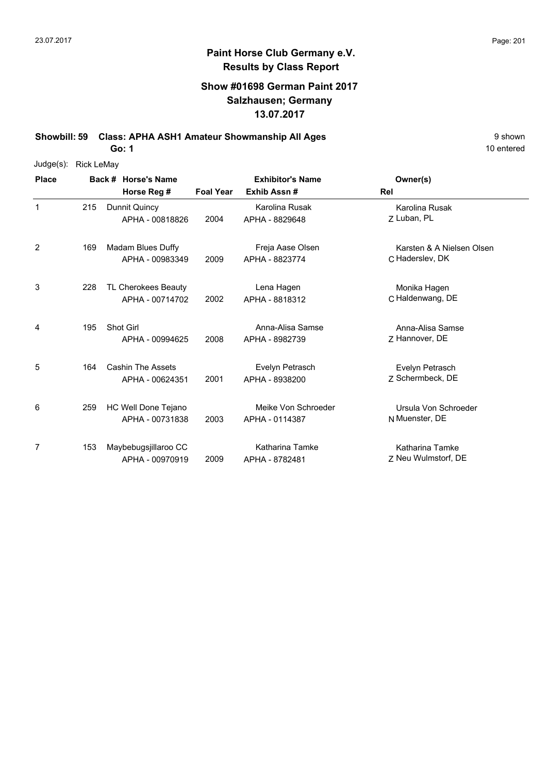### **Show #01698 German Paint 2017 Salzhausen; Germany 13.07.2017**

**Showbill: 59 Class: APHA ASH1 Amateur Showmanship All Ages** 9 shown

**Go: 1**

| $Judge(s)$ : | <b>Rick LeMay</b> |                          |                  |                         |                           |
|--------------|-------------------|--------------------------|------------------|-------------------------|---------------------------|
| <b>Place</b> |                   | Back # Horse's Name      |                  | <b>Exhibitor's Name</b> | Owner(s)                  |
|              |                   | Horse Reg #              | <b>Foal Year</b> | Exhib Assn#             | Rel                       |
| $\mathbf 1$  | 215               | Dunnit Quincy            |                  | Karolina Rusak          | Karolina Rusak            |
|              |                   | APHA - 00818826          | 2004             | APHA - 8829648          | Z Luban, PL               |
| 2            | 169               | Madam Blues Duffy        |                  | Freja Aase Olsen        | Karsten & A Nielsen Olsen |
|              |                   | APHA - 00983349          | 2009             | APHA - 8823774          | C Haderslev, DK           |
| 3            | 228               | TL Cherokees Beauty      |                  | Lena Hagen              | Monika Hagen              |
|              |                   | APHA - 00714702          | 2002             | APHA - 8818312          | C Haldenwang, DE          |
| 4            | 195               | Shot Girl                |                  | Anna-Alisa Samse        | Anna-Alisa Samse          |
|              |                   | APHA - 00994625          | 2008             | APHA - 8982739          | Z Hannover, DE            |
| 5            | 164               | <b>Cashin The Assets</b> |                  | Evelyn Petrasch         | Evelyn Petrasch           |
|              |                   | APHA - 00624351          | 2001             | APHA - 8938200          | Z Schermbeck, DE          |
| 6            | 259               | HC Well Done Tejano      |                  | Meike Von Schroeder     | Ursula Von Schroeder      |
|              |                   | APHA - 00731838          | 2003             | APHA - 0114387          | N Muenster, DE            |
| 7            | 153               | Maybebugsjillaroo CC     |                  | Katharina Tamke         | Katharina Tamke           |
|              |                   | APHA - 00970919          | 2009             | APHA - 8782481          | Z Neu Wulmstorf, DE       |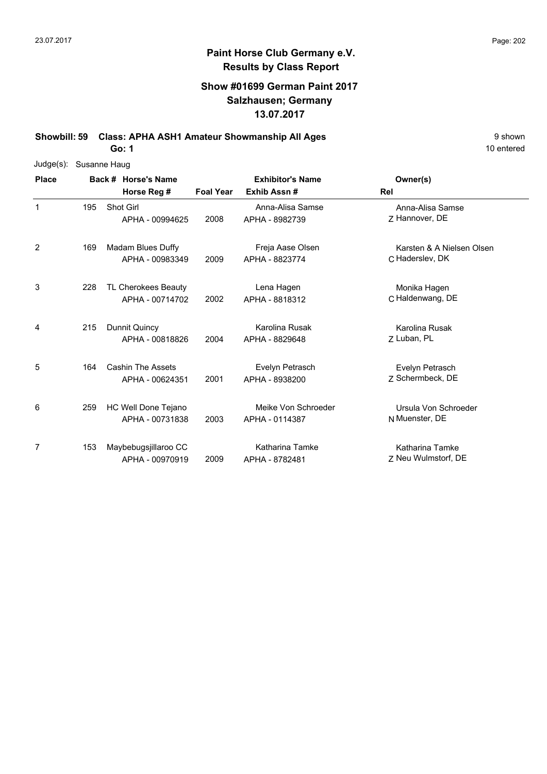### **Show #01699 German Paint 2017 Salzhausen; Germany 13.07.2017**

**Showbill: 59 Class: APHA ASH1 Amateur Showmanship All Ages** 9 shown

**Go: 1**

| Judge(s):    | Susanne Haug |                     |                          |                         |                     |                           |  |  |  |  |  |
|--------------|--------------|---------------------|--------------------------|-------------------------|---------------------|---------------------------|--|--|--|--|--|
| <b>Place</b> |              | Back # Horse's Name |                          | <b>Exhibitor's Name</b> |                     | Owner(s)                  |  |  |  |  |  |
|              |              |                     | Horse Reg #              | <b>Foal Year</b>        | Exhib Assn#         | Rel                       |  |  |  |  |  |
| 1            | 195          | Shot Girl           |                          |                         | Anna-Alisa Samse    | Anna-Alisa Samse          |  |  |  |  |  |
|              |              |                     | APHA - 00994625          | 2008                    | APHA - 8982739      | Z Hannover, DE            |  |  |  |  |  |
| 2            | 169          |                     | Madam Blues Duffy        |                         | Freja Aase Olsen    | Karsten & A Nielsen Olsen |  |  |  |  |  |
|              |              |                     | APHA - 00983349          | 2009                    | APHA - 8823774      | C Haderslev, DK           |  |  |  |  |  |
| 3            | 228          |                     | TL Cherokees Beauty      |                         | Lena Hagen          | Monika Hagen              |  |  |  |  |  |
|              |              |                     | APHA - 00714702          | 2002                    | APHA - 8818312      | C Haldenwang, DE          |  |  |  |  |  |
| 4            | 215          |                     | Dunnit Quincy            |                         | Karolina Rusak      | Karolina Rusak            |  |  |  |  |  |
|              |              |                     | APHA - 00818826          | 2004                    | APHA - 8829648      | Z Luban, PL               |  |  |  |  |  |
| 5            | 164          |                     | <b>Cashin The Assets</b> |                         | Evelyn Petrasch     | Evelyn Petrasch           |  |  |  |  |  |
|              |              |                     | APHA - 00624351          | 2001                    | APHA - 8938200      | Z Schermbeck, DE          |  |  |  |  |  |
| 6            | 259          |                     | HC Well Done Tejano      |                         | Meike Von Schroeder | Ursula Von Schroeder      |  |  |  |  |  |
|              |              |                     | APHA - 00731838          | 2003                    | APHA - 0114387      | N Muenster, DE            |  |  |  |  |  |
| 7            | 153          |                     | Maybebugsjillaroo CC     |                         | Katharina Tamke     | Katharina Tamke           |  |  |  |  |  |
|              |              |                     | APHA - 00970919          | 2009                    | APHA - 8782481      | Z Neu Wulmstorf, DE       |  |  |  |  |  |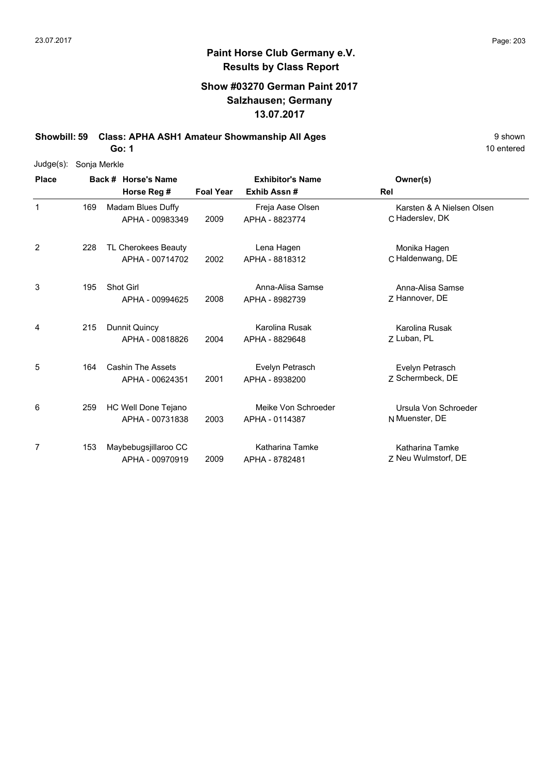### **Show #03270 German Paint 2017 Salzhausen; Germany 13.07.2017**

**Showbill: 59 Class: APHA ASH1 Amateur Showmanship All Ages** 9 shown

**Go: 1**

| Judge(s):    | Sonja Merkle |  |                          |                  |                         |                           |  |  |  |  |
|--------------|--------------|--|--------------------------|------------------|-------------------------|---------------------------|--|--|--|--|
| <b>Place</b> |              |  | Back # Horse's Name      |                  | <b>Exhibitor's Name</b> | Owner(s)                  |  |  |  |  |
|              |              |  | Horse Reg #              | <b>Foal Year</b> | Exhib Assn#             | Rel                       |  |  |  |  |
| $\mathbf{1}$ | 169          |  | <b>Madam Blues Duffy</b> |                  | Freja Aase Olsen        | Karsten & A Nielsen Olsen |  |  |  |  |
|              |              |  | APHA - 00983349          | 2009             | APHA - 8823774          | C Haderslev, DK           |  |  |  |  |
| 2            | 228          |  | TL Cherokees Beauty      |                  | Lena Hagen              | Monika Hagen              |  |  |  |  |
|              |              |  | APHA - 00714702          | 2002             | APHA - 8818312          | C Haldenwang, DE          |  |  |  |  |
| 3            | 195          |  | Shot Girl                |                  | Anna-Alisa Samse        | Anna-Alisa Samse          |  |  |  |  |
|              |              |  | APHA - 00994625          | 2008             | APHA - 8982739          | Z Hannover, DE            |  |  |  |  |
| 4            | 215          |  | Dunnit Quincy            |                  | Karolina Rusak          | Karolina Rusak            |  |  |  |  |
|              |              |  | APHA - 00818826          | 2004             | APHA - 8829648          | Z Luban, PL               |  |  |  |  |
| 5            | 164          |  | <b>Cashin The Assets</b> |                  | Evelyn Petrasch         | Evelyn Petrasch           |  |  |  |  |
|              |              |  | APHA - 00624351          | 2001             | APHA - 8938200          | 7 Schermbeck, DE          |  |  |  |  |
| 6            | 259          |  | HC Well Done Tejano      |                  | Meike Von Schroeder     | Ursula Von Schroeder      |  |  |  |  |
|              |              |  | APHA - 00731838          | 2003             | APHA - 0114387          | N Muenster, DE            |  |  |  |  |
| 7            | 153          |  | Maybebugsjillaroo CC     |                  | Katharina Tamke         | <b>Katharina Tamke</b>    |  |  |  |  |
|              |              |  | APHA - 00970919          | 2009             | APHA - 8782481          | 7 Neu Wulmstorf, DE       |  |  |  |  |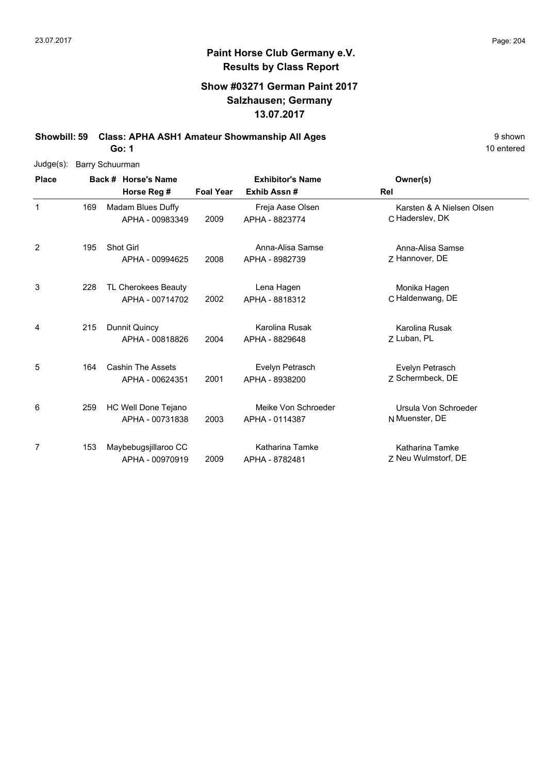### **Show #03271 German Paint 2017 Salzhausen; Germany 13.07.2017**

**Showbill: 59 Class: APHA ASH1 Amateur Showmanship All Ages** 9 shown

**Go: 1**

| Judge(s):    | <b>Barry Schuurman</b> |                          |                  |                         |                           |
|--------------|------------------------|--------------------------|------------------|-------------------------|---------------------------|
| <b>Place</b> |                        | Back # Horse's Name      |                  | <b>Exhibitor's Name</b> | Owner(s)                  |
|              |                        | Horse Reg #              | <b>Foal Year</b> | Exhib Assn#             | Rel                       |
| $\mathbf{1}$ | 169                    | Madam Blues Duffy        |                  | Freja Aase Olsen        | Karsten & A Nielsen Olsen |
|              |                        | APHA - 00983349          | 2009             | APHA - 8823774          | C Haderslev, DK           |
| 2            | 195                    | Shot Girl                |                  | Anna-Alisa Samse        | Anna-Alisa Samse          |
|              |                        | APHA - 00994625          | 2008             | APHA - 8982739          | Z Hannover, DE            |
| 3            | 228                    | TL Cherokees Beauty      |                  | Lena Hagen              | Monika Hagen              |
|              |                        | APHA - 00714702          | 2002             | APHA - 8818312          | C Haldenwang, DE          |
| 4            | 215                    | Dunnit Quincy            |                  | Karolina Rusak          | Karolina Rusak            |
|              |                        | APHA - 00818826          | 2004             | APHA - 8829648          | 7 Luban, PL               |
| 5            | 164                    | <b>Cashin The Assets</b> |                  | Evelyn Petrasch         | Evelyn Petrasch           |
|              |                        | APHA - 00624351          | 2001             | APHA - 8938200          | 7 Schermbeck, DE          |
| 6            | 259                    | HC Well Done Tejano      |                  | Meike Von Schroeder     | Ursula Von Schroeder      |
|              |                        | APHA - 00731838          | 2003             | APHA - 0114387          | N Muenster, DE            |
| 7            | 153                    | Maybebugsjillaroo CC     |                  | Katharina Tamke         | Katharina Tamke           |
|              |                        | APHA - 00970919          | 2009             | APHA - 8782481          | Z Neu Wulmstorf, DE       |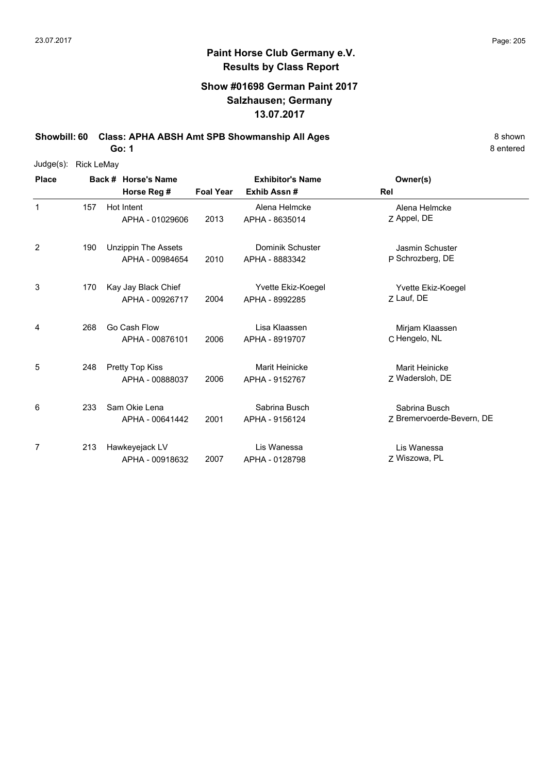#### **Show #01698 German Paint 2017 Salzhausen; Germany 13.07.2017**

**Showbill: 60 Class: APHA ABSH Amt SPB Showmanship All Ages** 8 Shown 8 Shown

**Go: 1**

| Judge(s): | <b>Rick LeMay</b> |  |
|-----------|-------------------|--|
|           |                   |  |

| <b>Place</b> |     | Back # Horse's Name                           |                  | <b>Exhibitor's Name</b>              | Owner(s)                                   |
|--------------|-----|-----------------------------------------------|------------------|--------------------------------------|--------------------------------------------|
|              |     | Horse Reg #                                   | <b>Foal Year</b> | Exhib Assn#                          | Rel                                        |
| 1            | 157 | Hot Intent<br>APHA - 01029606                 | 2013             | Alena Helmcke<br>APHA - 8635014      | Alena Helmcke<br>Z Appel, DE               |
| 2            | 190 | <b>Unzippin The Assets</b><br>APHA - 00984654 | 2010             | Dominik Schuster<br>APHA - 8883342   | <b>Jasmin Schuster</b><br>P Schrozberg, DE |
| 3            | 170 | Kay Jay Black Chief<br>APHA - 00926717        | 2004             | Yvette Ekiz-Koegel<br>APHA - 8992285 | Yvette Ekiz-Koegel<br>Z Lauf, DE           |
| 4            | 268 | Go Cash Flow<br>APHA - 00876101               | 2006             | Lisa Klaassen<br>APHA - 8919707      | Mirjam Klaassen<br>C Hengelo, NL           |
| 5            | 248 | Pretty Top Kiss<br>APHA - 00888037            | 2006             | Marit Heinicke<br>APHA - 9152767     | Marit Heinicke<br>Z Wadersloh, DE          |
| 6            | 233 | Sam Okie Lena<br>APHA - 00641442              | 2001             | Sabrina Busch<br>APHA - 9156124      | Sabrina Busch<br>Z Bremervoerde-Bevern, DE |
| 7            | 213 | Hawkeyejack LV<br>APHA - 00918632             | 2007             | Lis Wanessa<br>APHA - 0128798        | Lis Wanessa<br>7 Wiszowa, PL               |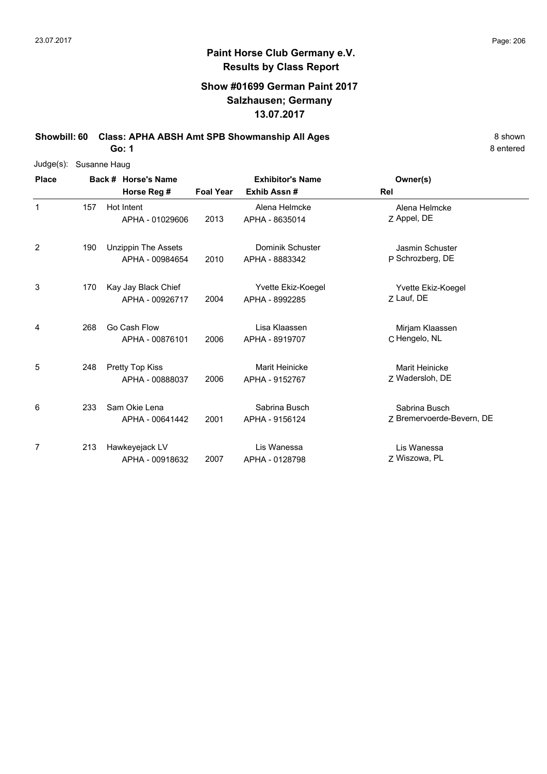#### **Show #01699 German Paint 2017 Salzhausen; Germany 13.07.2017**

**Showbill: 60 Class: APHA ABSH Amt SPB Showmanship All Ages** 8 Shown 8 Shown

**Go: 1**

| $Judge(s)$ : | Susanne Haug |                            |                     |                  |                         |                           |  |  |  |  |  |
|--------------|--------------|----------------------------|---------------------|------------------|-------------------------|---------------------------|--|--|--|--|--|
| <b>Place</b> |              |                            | Back # Horse's Name |                  | <b>Exhibitor's Name</b> | Owner(s)                  |  |  |  |  |  |
|              |              | Horse Reg #                |                     | <b>Foal Year</b> | Exhib Assn#             | Rel                       |  |  |  |  |  |
| 1            | 157          | Hot Intent                 |                     |                  | Alena Helmcke           | Alena Helmcke             |  |  |  |  |  |
|              |              | APHA - 01029606            |                     | 2013             | APHA - 8635014          | Z Appel, DE               |  |  |  |  |  |
| 2            | 190          | <b>Unzippin The Assets</b> |                     |                  | Dominik Schuster        | Jasmin Schuster           |  |  |  |  |  |
|              |              | APHA - 00984654            |                     | 2010             | APHA - 8883342          | P Schrozberg, DE          |  |  |  |  |  |
| 3            | 170          | Kay Jay Black Chief        |                     |                  | Yvette Ekiz-Koegel      | Yvette Ekiz-Koegel        |  |  |  |  |  |
|              |              | APHA - 00926717            |                     | 2004             | APHA - 8992285          | Z Lauf, DE                |  |  |  |  |  |
| 4            | 268          | Go Cash Flow               |                     |                  | Lisa Klaassen           | Mirjam Klaassen           |  |  |  |  |  |
|              |              | APHA - 00876101            |                     | 2006             | APHA - 8919707          | C Hengelo, NL             |  |  |  |  |  |
| 5            | 248          | Pretty Top Kiss            |                     |                  | Marit Heinicke          | Marit Heinicke            |  |  |  |  |  |
|              |              | APHA - 00888037            |                     | 2006             | APHA - 9152767          | Z Wadersloh, DE           |  |  |  |  |  |
| 6            | 233          | Sam Okie Lena              |                     |                  | Sabrina Busch           | Sabrina Busch             |  |  |  |  |  |
|              |              | APHA - 00641442            |                     | 2001             | APHA - 9156124          | Z Bremervoerde-Bevern, DE |  |  |  |  |  |
| 7            | 213          | Hawkeyejack LV             |                     |                  | Lis Wanessa             | Lis Wanessa               |  |  |  |  |  |
|              |              | APHA - 00918632            |                     | 2007             | APHA - 0128798          | Z Wiszowa, PL             |  |  |  |  |  |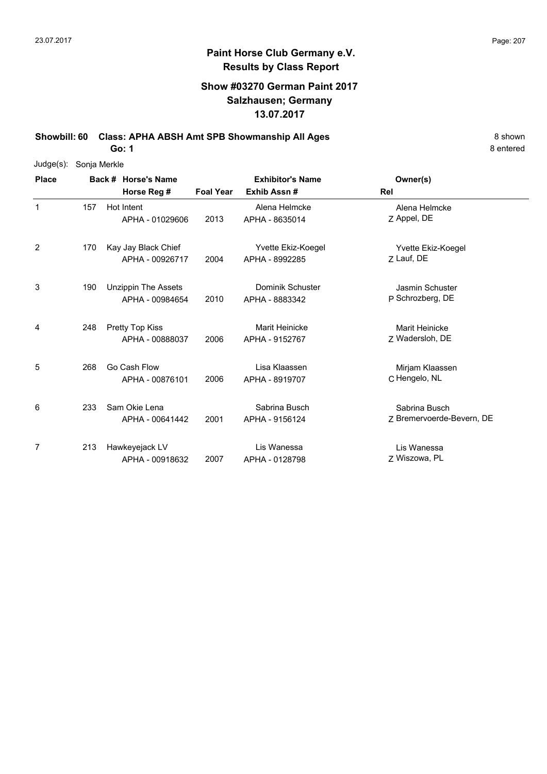6

7

#### **Paint Horse Club Germany e.V. Results by Class Report**

#### **Show #03270 German Paint 2017 Salzhausen; Germany 13.07.2017**

Sabrina Busch APHA - 9156124

Lis Wanessa

**Showbill: 60 Class: APHA ABSH Amt SPB Showmanship All Ages** 8 Shown

**Go: 1**

233 Sam Okie Lena

213 Hawkeyejack LV

APHA - 00641442

APHA - 00918632

8 entered

| $Judge(s)$ : | Sonja Merkle |                                        |                  |                                        |                                     |
|--------------|--------------|----------------------------------------|------------------|----------------------------------------|-------------------------------------|
| <b>Place</b> |              | Back # Horse's Name<br>Horse Reg #     | <b>Foal Year</b> | <b>Exhibitor's Name</b><br>Exhib Assn# | Owner(s)<br>Rel                     |
|              | 157          | Hot Intent<br>APHA - 01029606          | 2013             | Alena Helmcke<br>APHA - 8635014        | Alena Helmcke<br>Z Appel, DE        |
| 2            | 170          | Kay Jay Black Chief<br>APHA - 00926717 | 2004             | Yvette Ekiz-Koegel<br>APHA - 8992285   | Yvette Ekiz-Koegel<br>7 Lauf, DE    |
| 3            | 190          | Unzippin The Assets<br>APHA - 00984654 | 2010             | Dominik Schuster<br>APHA - 8883342     | Jasmin Schuster<br>P Schrozberg, DE |
| 4            | 248          | Pretty Top Kiss<br>APHA - 00888037     | 2006             | Marit Heinicke<br>APHA - 9152767       | Marit Heinicke<br>Z Wadersloh, DE   |
| 5            | 268          | Go Cash Flow<br>APHA - 00876101        | 2006             | Lisa Klaassen<br>APHA - 8919707        | Mirjam Klaassen<br>C Hengelo, NL    |

2001 APHA - 9156124 Z Bremervoerde-Bevern, DE Sabrina Busch

Z Wiszowa, PL Lis Wanessa 2007 APHA - 0128798 Z Wiszowa, PL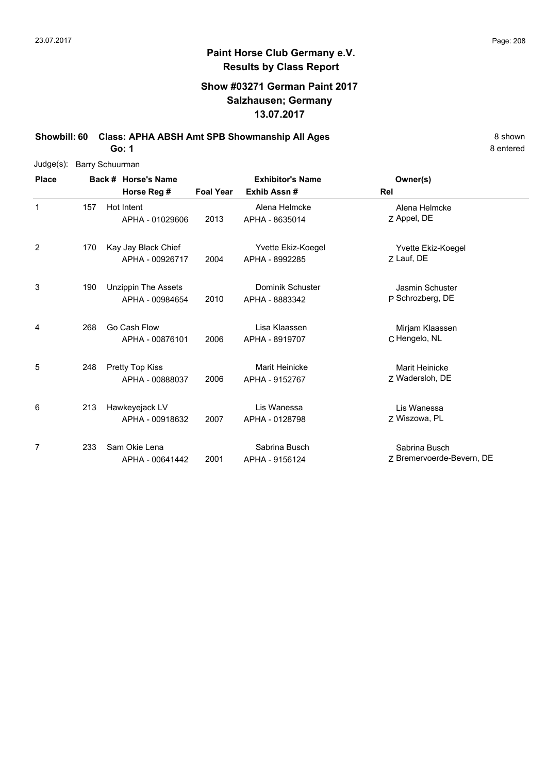#### **Show #03271 German Paint 2017 Salzhausen; Germany 13.07.2017**

**Showbill: 60 Class: APHA ABSH Amt SPB Showmanship All Ages** 8 Shown 8 Shown

**Go: 1**

| $Judge(s)$ : | <b>Barry Schuurman</b> |  |                            |                         |                    |                           |  |  |  |  |  |
|--------------|------------------------|--|----------------------------|-------------------------|--------------------|---------------------------|--|--|--|--|--|
| <b>Place</b> |                        |  | Back # Horse's Name        | <b>Exhibitor's Name</b> |                    | Owner(s)                  |  |  |  |  |  |
|              |                        |  | Horse Reg #                | <b>Foal Year</b>        | Exhib Assn#        | Rel                       |  |  |  |  |  |
| $\mathbf 1$  | 157                    |  | Hot Intent                 |                         | Alena Helmcke      | Alena Helmcke             |  |  |  |  |  |
|              |                        |  | APHA - 01029606            | 2013                    | APHA - 8635014     | Z Appel, DE               |  |  |  |  |  |
| 2            | 170                    |  | Kay Jay Black Chief        |                         | Yvette Ekiz-Koegel | Yvette Ekiz-Koegel        |  |  |  |  |  |
|              |                        |  | APHA - 00926717            | 2004                    | APHA - 8992285     | Z Lauf, DE                |  |  |  |  |  |
| 3            | 190                    |  | <b>Unzippin The Assets</b> |                         | Dominik Schuster   | Jasmin Schuster           |  |  |  |  |  |
|              |                        |  | APHA - 00984654            | 2010                    | APHA - 8883342     | P Schrozberg, DE          |  |  |  |  |  |
| 4            | 268                    |  | Go Cash Flow               |                         | Lisa Klaassen      | Mirjam Klaassen           |  |  |  |  |  |
|              |                        |  | APHA - 00876101            | 2006                    | APHA - 8919707     | C Hengelo, NL             |  |  |  |  |  |
| 5            | 248                    |  | Pretty Top Kiss            |                         | Marit Heinicke     | <b>Marit Heinicke</b>     |  |  |  |  |  |
|              |                        |  | APHA - 00888037            | 2006                    | APHA - 9152767     | Z Wadersloh, DE           |  |  |  |  |  |
| 6            | 213                    |  | Hawkeyejack LV             |                         | Lis Wanessa        | Lis Wanessa               |  |  |  |  |  |
|              |                        |  | APHA - 00918632            | 2007                    | APHA - 0128798     | Z Wiszowa, PL             |  |  |  |  |  |
| 7            | 233                    |  | Sam Okie Lena              |                         | Sabrina Busch      | Sabrina Busch             |  |  |  |  |  |
|              |                        |  | APHA - 00641442            | 2001                    | APHA - 9156124     | Z Bremervoerde-Bevern, DE |  |  |  |  |  |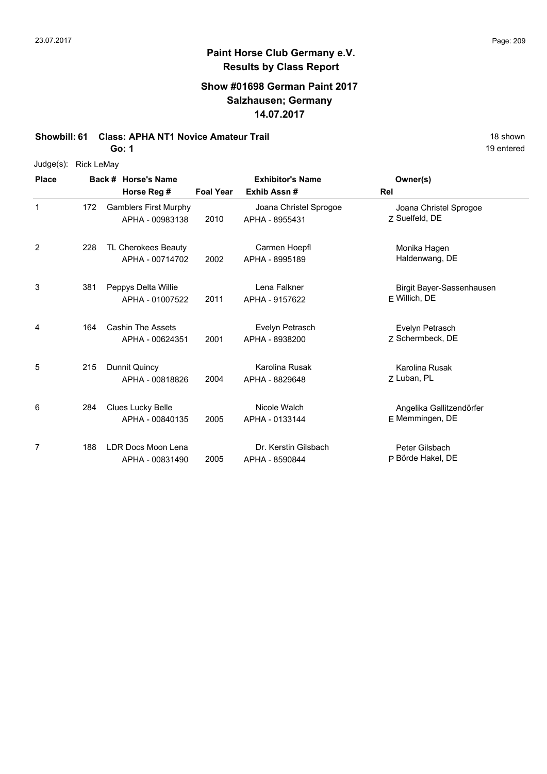## **Paint Horse Club Germany e.V. Results by Class Report**

#### **Show #01698 German Paint 2017 Salzhausen; Germany 14.07.2017**

#### **Showbill: 61 Class: APHA NT1 Novice Amateur Trail 18 Shown 18 Shown 18 Shown**

| $Judge(s)$ : | Rick LeMay |
|--------------|------------|
|--------------|------------|

| <b>Place</b>   |     | Back # Horse's Name                             |                  | <b>Exhibitor's Name</b>                  | Owner(s)                                    |  |
|----------------|-----|-------------------------------------------------|------------------|------------------------------------------|---------------------------------------------|--|
|                |     | Horse Reg #                                     | <b>Foal Year</b> | Exhib Assn#                              | Rel                                         |  |
| 1              | 172 | <b>Gamblers First Murphy</b><br>APHA - 00983138 | 2010             | Joana Christel Sprogoe<br>APHA - 8955431 | Joana Christel Sprogoe<br>Z Suelfeld, DE    |  |
| $\overline{c}$ | 228 | TL Cherokees Beauty<br>APHA - 00714702          | 2002             | Carmen Hoepfl<br>APHA - 8995189          | Monika Hagen<br>Haldenwang, DE              |  |
| 3              | 381 | Peppys Delta Willie<br>APHA - 01007522          | 2011             | Lena Falkner<br>APHA - 9157622           | Birgit Bayer-Sassenhausen<br>F Willich, DE  |  |
| 4              | 164 | <b>Cashin The Assets</b><br>APHA - 00624351     | 2001             | Evelyn Petrasch<br>APHA - 8938200        | Evelyn Petrasch<br>7 Schermbeck, DE         |  |
| 5              | 215 | Dunnit Quincy<br>APHA - 00818826                | 2004             | Karolina Rusak<br>APHA - 8829648         | Karolina Rusak<br>7 Luban, PL               |  |
| 6              | 284 | <b>Clues Lucky Belle</b><br>APHA - 00840135     | 2005             | Nicole Walch<br>APHA - 0133144           | Angelika Gallitzendörfer<br>E Memmingen, DE |  |
| 7              | 188 | LDR Docs Moon Lena<br>APHA - 00831490           | 2005             | Dr. Kerstin Gilsbach<br>APHA - 8590844   | Peter Gilsbach<br>P Börde Hakel, DE         |  |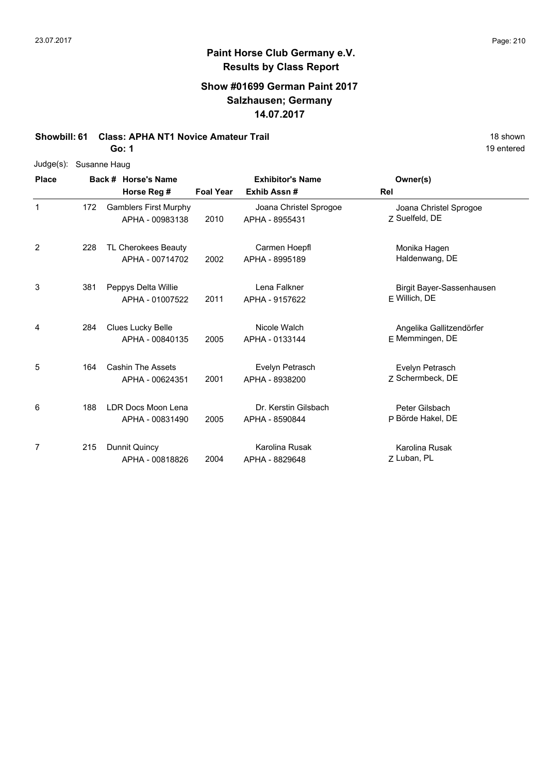## **Paint Horse Club Germany e.V. Results by Class Report**

#### **Show #01699 German Paint 2017 Salzhausen; Germany 14.07.2017**

## **Showbill: 61 Class: APHA NT1 Novice Amateur Trail 18 Shown 18 Shown 18 Shown**

| Judge(s):    | Susanne Haug |                              |                  |                         |                           |
|--------------|--------------|------------------------------|------------------|-------------------------|---------------------------|
| <b>Place</b> |              | Back # Horse's Name          |                  | <b>Exhibitor's Name</b> | Owner(s)                  |
|              |              | Horse Reg #                  | <b>Foal Year</b> | Exhib Assn #            | <b>Rel</b>                |
| $\mathbf{1}$ | 172          | <b>Gamblers First Murphy</b> |                  | Joana Christel Sprogoe  | Joana Christel Sprogoe    |
|              |              | APHA - 00983138              | 2010             | APHA - 8955431          | Z Suelfeld, DE            |
| 2            | 228          | TL Cherokees Beauty          |                  | Carmen Hoepfl           | Monika Hagen              |
|              |              | APHA - 00714702              | 2002             | APHA - 8995189          | Haldenwang, DE            |
| 3            | 381          | Peppys Delta Willie          |                  | Lena Falkner            | Birgit Bayer-Sassenhausen |
|              |              | APHA - 01007522              | 2011             | APHA - 9157622          | F Willich, DE             |
| 4            | 284          | Clues Lucky Belle            |                  | Nicole Walch            | Angelika Gallitzendörfer  |
|              |              | APHA - 00840135              | 2005             | APHA - 0133144          | E Memmingen, DE           |
| 5            | 164          | <b>Cashin The Assets</b>     |                  | Evelyn Petrasch         | Evelyn Petrasch           |
|              |              | APHA - 00624351              | 2001             | APHA - 8938200          | Z Schermbeck, DE          |
| 6            | 188          | LDR Docs Moon Lena           |                  | Dr. Kerstin Gilsbach    | Peter Gilsbach            |
|              |              | APHA - 00831490              | 2005             | APHA - 8590844          | P Börde Hakel, DE         |
| 7            | 215          | Dunnit Quincy                |                  | Karolina Rusak          | Karolina Rusak            |
|              |              | APHA - 00818826              | 2004             | APHA - 8829648          | Z Luban, PL               |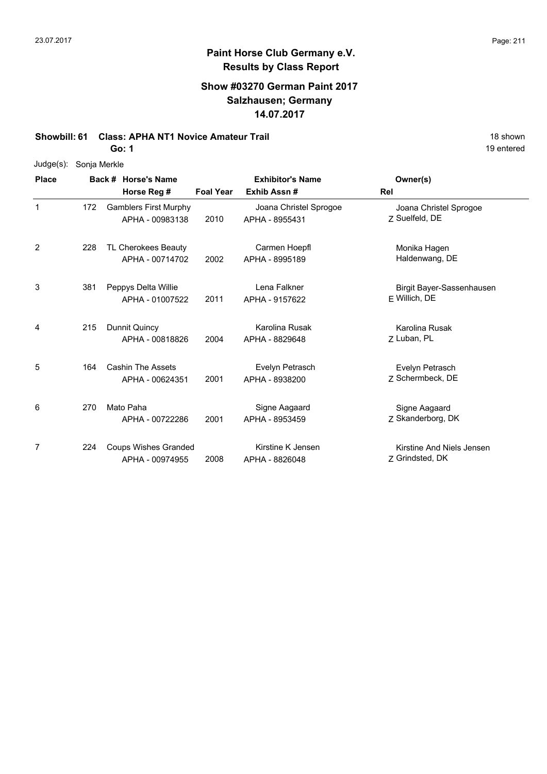## **Paint Horse Club Germany e.V. Results by Class Report**

#### **Show #03270 German Paint 2017 Salzhausen; Germany 14.07.2017**

#### **Showbill: 61 Class: APHA NT1 Novice Amateur Trail 18 Shown 18 Shown 18 Shown**

| $Judge(s)$ : | Sonja Merkle |                                                 |                  |                                          |                                              |
|--------------|--------------|-------------------------------------------------|------------------|------------------------------------------|----------------------------------------------|
| <b>Place</b> |              | Back # Horse's Name                             |                  | <b>Exhibitor's Name</b>                  | Owner(s)                                     |
|              |              | Horse Reg #                                     | <b>Foal Year</b> | Exhib Assn#                              | Rel                                          |
| $\mathbf 1$  | 172          | <b>Gamblers First Murphy</b><br>APHA - 00983138 | 2010             | Joana Christel Sprogoe<br>APHA - 8955431 | Joana Christel Sprogoe<br>7 Suelfeld, DE     |
| 2            | 228          | TL Cherokees Beauty<br>APHA - 00714702          | 2002             | Carmen Hoepfl<br>APHA - 8995189          | Monika Hagen<br>Haldenwang, DE               |
| 3            | 381          | Peppys Delta Willie<br>APHA - 01007522          | 2011             | Lena Falkner<br>APHA - 9157622           | Birgit Bayer-Sassenhausen<br>E Willich, DE   |
| 4            | 215          | Dunnit Quincy<br>APHA - 00818826                | 2004             | Karolina Rusak<br>APHA - 8829648         | Karolina Rusak<br>Z Luban, PL                |
| 5            | 164          | <b>Cashin The Assets</b><br>APHA - 00624351     | 2001             | Evelyn Petrasch<br>APHA - 8938200        | Evelyn Petrasch<br>7 Schermbeck, DE          |
| 6            | 270          | Mato Paha<br>APHA - 00722286                    | 2001             | Signe Aagaard<br>APHA - 8953459          | Signe Aagaard<br>Z Skanderborg, DK           |
| 7            | 224          | <b>Coups Wishes Granded</b><br>APHA - 00974955  | 2008             | Kirstine K Jensen<br>APHA - 8826048      | Kirstine And Niels Jensen<br>Z Grindsted, DK |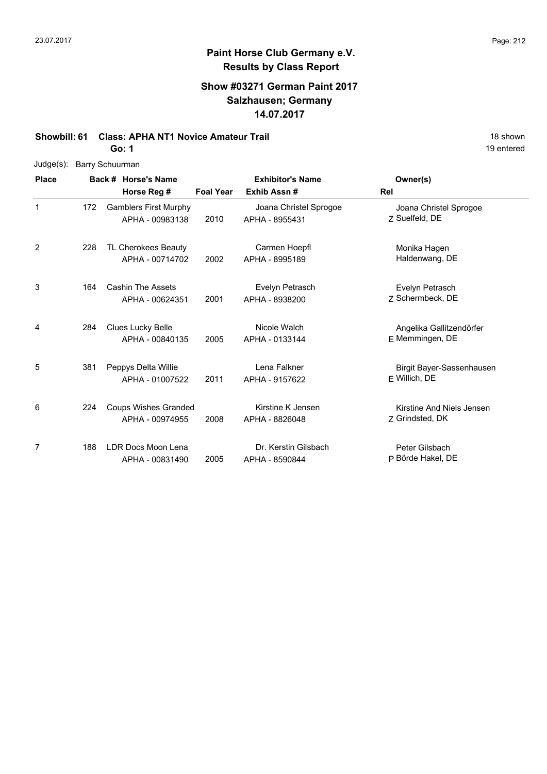### **Paint Horse Club Germany e.V. Results by Class Report**

### **Show #03271 German Paint 2017 Salzhausen; Germany 14.07.2017**

# **Showbill: 61 Class: APHA NT1 Novice Amateur Trail 18 Shown 18 shown**

**Go: 1**

| Judge(s):    |     | Barry Schuurman                                 |                  |                                          |                                              |
|--------------|-----|-------------------------------------------------|------------------|------------------------------------------|----------------------------------------------|
| <b>Place</b> |     | Back # Horse's Name<br>Horse Reg #              | <b>Foal Year</b> | <b>Exhibitor's Name</b><br>Exhib Assn#   | Owner(s)<br>Rel                              |
| 1            | 172 | <b>Gamblers First Murphy</b><br>APHA - 00983138 | 2010             | Joana Christel Sprogoe<br>APHA - 8955431 | Joana Christel Sprogoe<br>Z Suelfeld, DE     |
| 2            | 228 | TL Cherokees Beauty<br>APHA - 00714702          | 2002             | Carmen Hoepfl<br>APHA - 8995189          | Monika Hagen<br>Haldenwang, DE               |
| 3            | 164 | <b>Cashin The Assets</b><br>APHA - 00624351     | 2001             | Evelyn Petrasch<br>APHA - 8938200        | Evelyn Petrasch<br>Z Schermbeck, DE          |
| 4            | 284 | Clues Lucky Belle<br>APHA - 00840135            | 2005             | Nicole Walch<br>APHA - 0133144           | Angelika Gallitzendörfer<br>E Memmingen, DE  |
| 5            | 381 | Peppys Delta Willie<br>APHA - 01007522          | 2011             | Lena Falkner<br>APHA - 9157622           | Birgit Bayer-Sassenhausen<br>E Willich, DE   |
| 6            | 224 | <b>Coups Wishes Granded</b><br>APHA - 00974955  | 2008             | Kirstine K Jensen<br>APHA - 8826048      | Kirstine And Niels Jensen<br>Z Grindsted, DK |

7 2005 APHA - 8590844 P Börde Hakel, DE Peter Gilsbach 188 LDR Docs Moon Lena APHA - 00831490 Dr. Kerstin Gilsbach APHA - 8590844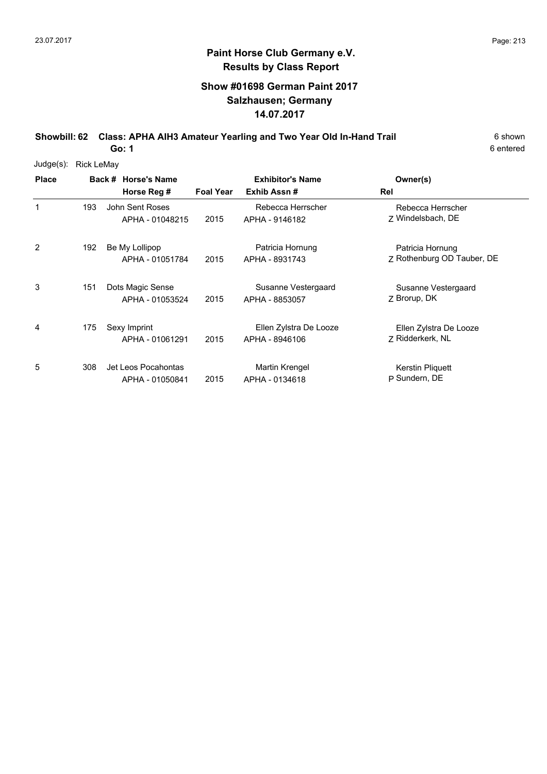#### **Show #01698 German Paint 2017 Salzhausen; Germany 14.07.2017**

**Showbill: 62 Class: APHA AIH3 Amateur Yearling and Two Year Old In-Hand Trail** 6 Shown

6 entered

| $Judge(s)$ : | <b>Rick LeMay</b> |                                        |                  |                                          |                                                |  |  |
|--------------|-------------------|----------------------------------------|------------------|------------------------------------------|------------------------------------------------|--|--|
| <b>Place</b> |                   | Back # Horse's Name<br>Horse Reg #     | <b>Foal Year</b> | <b>Exhibitor's Name</b><br>Exhib Assn#   | Owner(s)<br>Rel                                |  |  |
| $\mathbf{1}$ | 193               | John Sent Roses<br>APHA - 01048215     | 2015             | Rebecca Herrscher<br>APHA - 9146182      | Rebecca Herrscher<br>7 Windelsbach, DE         |  |  |
| 2            | 192               | Be My Lollipop<br>APHA - 01051784      | 2015             | Patricia Hornung<br>APHA - 8931743       | Patricia Hornung<br>Z Rothenburg OD Tauber, DE |  |  |
| 3            | 151               | Dots Magic Sense<br>APHA - 01053524    | 2015             | Susanne Vestergaard<br>APHA - 8853057    | Susanne Vestergaard<br>Z Brorup, DK            |  |  |
| 4            | 175               | Sexy Imprint<br>APHA - 01061291        | 2015             | Ellen Zylstra De Looze<br>APHA - 8946106 | Ellen Zylstra De Looze<br>7 Ridderkerk, NL     |  |  |
| 5            | 308               | Jet Leos Pocahontas<br>APHA - 01050841 | 2015             | Martin Krengel<br>APHA - 0134618         | Kerstin Pliquett<br>P Sundern, DE              |  |  |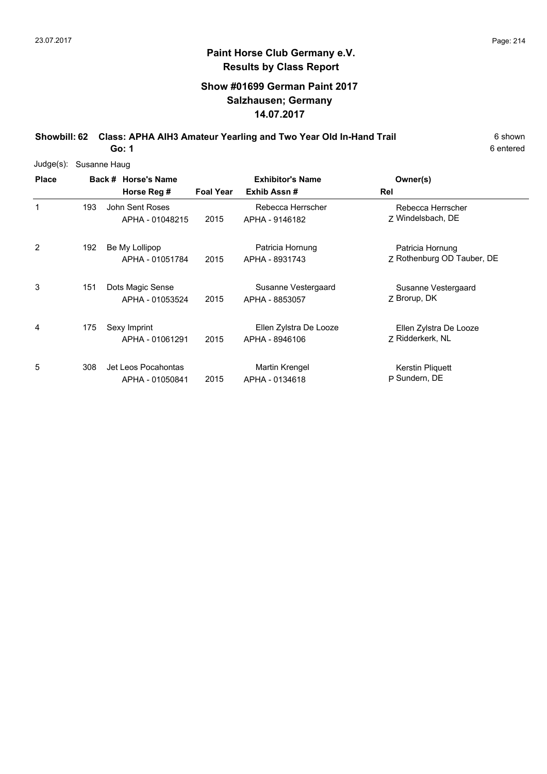#### **Show #01699 German Paint 2017 Salzhausen; Germany 14.07.2017**

**Showbill: 62 Class: APHA AIH3 Amateur Yearling and Two Year Old In-Hand Trail** 6 Shown

6 entered

| $Judge(s)$ : | Susanne Haug |                                        |                  |                                          |                                                |  |  |
|--------------|--------------|----------------------------------------|------------------|------------------------------------------|------------------------------------------------|--|--|
| <b>Place</b> |              | Back # Horse's Name<br>Horse Reg #     | <b>Foal Year</b> | <b>Exhibitor's Name</b><br>Exhib Assn#   | Owner(s)<br>Rel                                |  |  |
| 1            | 193          | John Sent Roses<br>APHA - 01048215     | 2015             | Rebecca Herrscher<br>APHA - 9146182      | Rebecca Herrscher<br>Z Windelsbach, DE         |  |  |
| 2            | 192          | Be My Lollipop<br>APHA - 01051784      | 2015             | Patricia Hornung<br>APHA - 8931743       | Patricia Hornung<br>Z Rothenburg OD Tauber, DE |  |  |
| 3            | 151          | Dots Magic Sense<br>APHA - 01053524    | 2015             | Susanne Vestergaard<br>APHA - 8853057    | Susanne Vestergaard<br>Z Brorup, DK            |  |  |
| 4            | 175          | Sexy Imprint<br>APHA - 01061291        | 2015             | Ellen Zylstra De Looze<br>APHA - 8946106 | Ellen Zylstra De Looze<br>Z Ridderkerk, NL     |  |  |
| 5            | 308          | Jet Leos Pocahontas<br>APHA - 01050841 | 2015             | Martin Krengel<br>APHA - 0134618         | Kerstin Pliquett<br>P Sundern, DE              |  |  |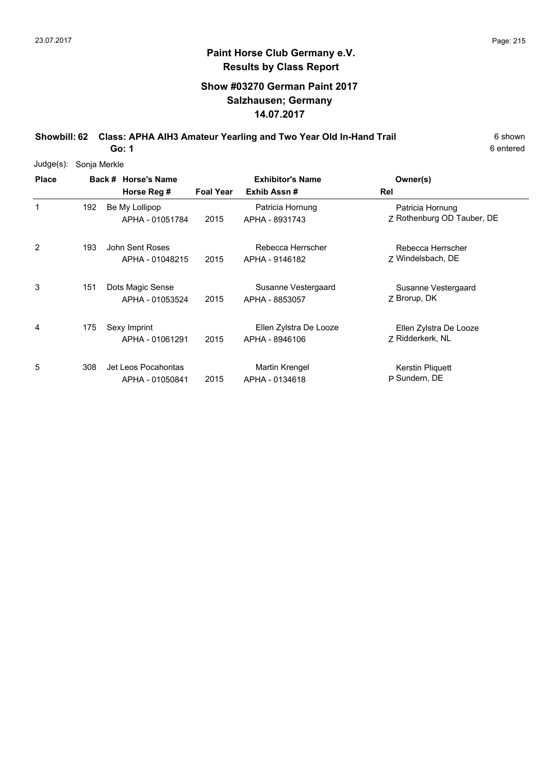#### **Show #03270 German Paint 2017 Salzhausen; Germany 14.07.2017**

**Showbill: 62 Class: APHA AIH3 Amateur Yearling and Two Year Old In-Hand Trail** 6 Shown

6 entered

| Judge(s):    | Sonja Merkle |                                        |                  |                                          |                                                |  |  |
|--------------|--------------|----------------------------------------|------------------|------------------------------------------|------------------------------------------------|--|--|
| <b>Place</b> |              | Back # Horse's Name<br>Horse Reg #     | <b>Foal Year</b> | <b>Exhibitor's Name</b><br>Exhib Assn#   | Owner(s)<br>Rel                                |  |  |
| 1            | 192          | Be My Lollipop<br>APHA - 01051784      | 2015             | Patricia Hornung<br>APHA - 8931743       | Patricia Hornung<br>Z Rothenburg OD Tauber, DE |  |  |
| 2            | 193          | John Sent Roses<br>APHA - 01048215     | 2015             | Rebecca Herrscher<br>APHA - 9146182      | Rebecca Herrscher<br>Z Windelsbach, DE         |  |  |
| 3            | 151          | Dots Magic Sense<br>APHA - 01053524    | 2015             | Susanne Vestergaard<br>APHA - 8853057    | Susanne Vestergaard<br>Z Brorup, DK            |  |  |
| 4            | 175          | Sexy Imprint<br>APHA - 01061291        | 2015             | Ellen Zylstra De Looze<br>APHA - 8946106 | Ellen Zylstra De Looze<br>Z Ridderkerk, NL     |  |  |
| 5            | 308          | Jet Leos Pocahontas<br>APHA - 01050841 | 2015             | Martin Krengel<br>APHA - 0134618         | Kerstin Pliquett<br>P Sundern, DE              |  |  |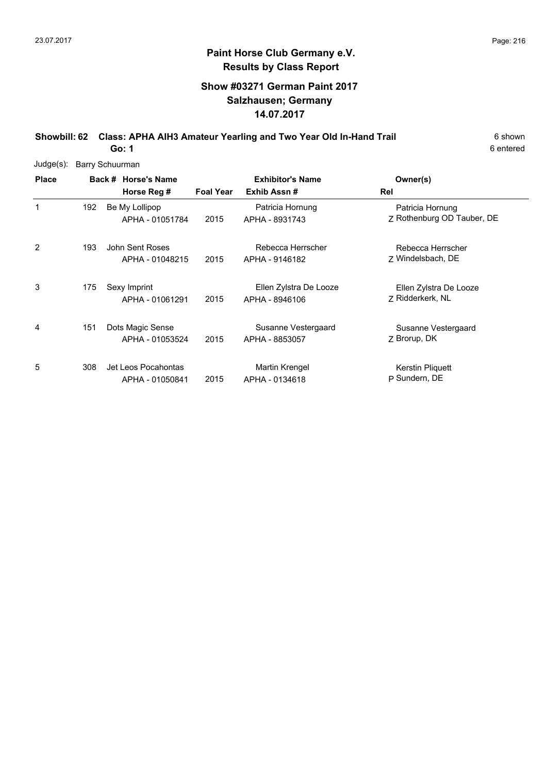#### **Show #03271 German Paint 2017 Salzhausen; Germany 14.07.2017**

**Showbill: 62 Class: APHA AIH3 Amateur Yearling and Two Year Old In-Hand Trail** 6 Shown

6 entered

| Judge(s):    | <b>Barry Schuurman</b> |                                        |                  |                                          |                                                |  |  |
|--------------|------------------------|----------------------------------------|------------------|------------------------------------------|------------------------------------------------|--|--|
| <b>Place</b> |                        | Back # Horse's Name<br>Horse Reg #     | <b>Foal Year</b> | <b>Exhibitor's Name</b><br>Exhib Assn#   | Owner(s)<br>Rel                                |  |  |
| 1            | 192                    | Be My Lollipop<br>APHA - 01051784      | 2015             | Patricia Hornung<br>APHA - 8931743       | Patricia Hornung<br>Z Rothenburg OD Tauber, DE |  |  |
| 2            | 193                    | John Sent Roses<br>APHA - 01048215     | 2015             | Rebecca Herrscher<br>APHA - 9146182      | Rebecca Herrscher<br>Z Windelsbach, DE         |  |  |
| 3            | 175                    | Sexy Imprint<br>APHA - 01061291        | 2015             | Ellen Zylstra De Looze<br>APHA - 8946106 | Ellen Zylstra De Looze<br>7 Ridderkerk, NL     |  |  |
| 4            | 151                    | Dots Magic Sense<br>APHA - 01053524    | 2015             | Susanne Vestergaard<br>APHA - 8853057    | Susanne Vestergaard<br>Z Brorup, DK            |  |  |
| 5            | 308                    | Jet Leos Pocahontas<br>APHA - 01050841 | 2015             | Martin Krengel<br>APHA - 0134618         | Kerstin Pliquett<br>P Sundern, DE              |  |  |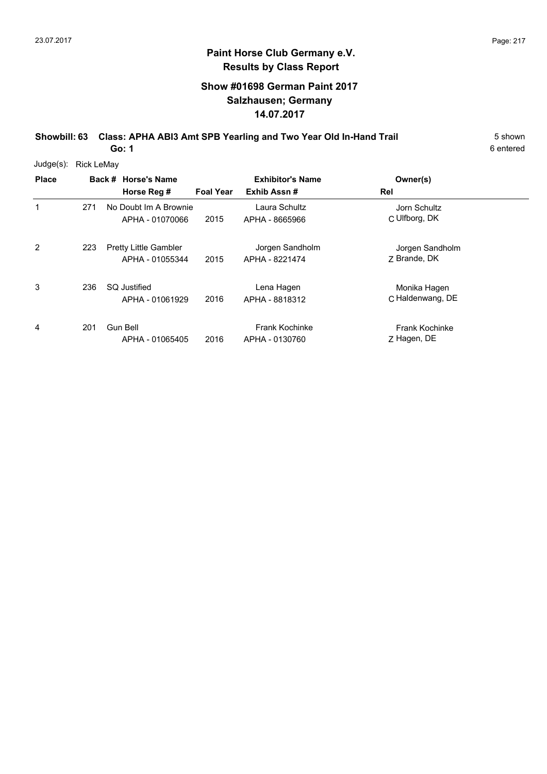#### **Show #01698 German Paint 2017 Salzhausen; Germany 14.07.2017**

**Showbill: 63 Class: APHA ABI3 Amt SPB Yearling and Two Year Old In-Hand Trail** 5 Shown **Go: 1**

6 entered

Judge(s): Rick LeMay

| <b>Place</b>   |     | Back # Horse's Name<br>Horse Reg #              | <b>Foal Year</b> | <b>Exhibitor's Name</b><br>Exhib Assn#  | Owner(s)<br>Rel                      |  |
|----------------|-----|-------------------------------------------------|------------------|-----------------------------------------|--------------------------------------|--|
| 1              | 271 | No Doubt Im A Brownie<br>APHA - 01070066        | 2015             | Laura Schultz<br>APHA - 8665966         | Jorn Schultz<br>C Ulfborg, DK        |  |
| $\overline{2}$ | 223 | <b>Pretty Little Gambler</b><br>APHA - 01055344 | 2015             | Jorgen Sandholm<br>APHA - 8221474       | Jorgen Sandholm<br>7 Brande, DK      |  |
| 3              | 236 | <b>SQ Justified</b><br>APHA - 01061929          | 2016             | Lena Hagen<br>APHA - 8818312            | Monika Hagen<br>C Haldenwang, DE     |  |
| 4              | 201 | Gun Bell<br>APHA - 01065405                     | 2016             | <b>Frank Kochinke</b><br>APHA - 0130760 | <b>Frank Kochinke</b><br>Z Hagen, DE |  |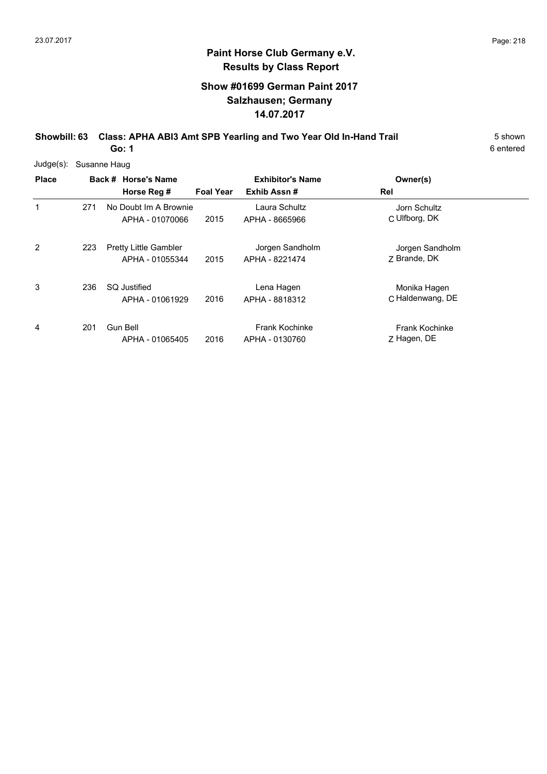#### **Show #01699 German Paint 2017 Salzhausen; Germany 14.07.2017**

**Showbill: 63 Class: APHA ABI3 Amt SPB Yearling and Two Year Old In-Hand Trail** 5 Shown

6 entered

**Go: 1**

| $Judge(s)$ : |     | Susanne Haug                                    |                  |                                         |                                      |  |
|--------------|-----|-------------------------------------------------|------------------|-----------------------------------------|--------------------------------------|--|
| <b>Place</b> |     | Back # Horse's Name                             |                  | <b>Exhibitor's Name</b>                 | Owner(s)                             |  |
|              |     | Horse Reg #                                     | <b>Foal Year</b> | Exhib Assn#                             | Rel                                  |  |
| 1            | 271 | No Doubt Im A Brownie<br>APHA - 01070066        | 2015             | Laura Schultz<br>APHA - 8665966         | Jorn Schultz<br>C Ulfborg, DK        |  |
| 2            | 223 | <b>Pretty Little Gambler</b><br>APHA - 01055344 | 2015             | Jorgen Sandholm<br>APHA - 8221474       | Jorgen Sandholm<br>7 Brande, DK      |  |
| 3            | 236 | SQ Justified<br>APHA - 01061929                 | 2016             | Lena Hagen<br>APHA - 8818312            | Monika Hagen<br>C Haldenwang, DE     |  |
| 4            | 201 | Gun Bell<br>APHA - 01065405                     | 2016             | <b>Frank Kochinke</b><br>APHA - 0130760 | <b>Frank Kochinke</b><br>Z Hagen, DE |  |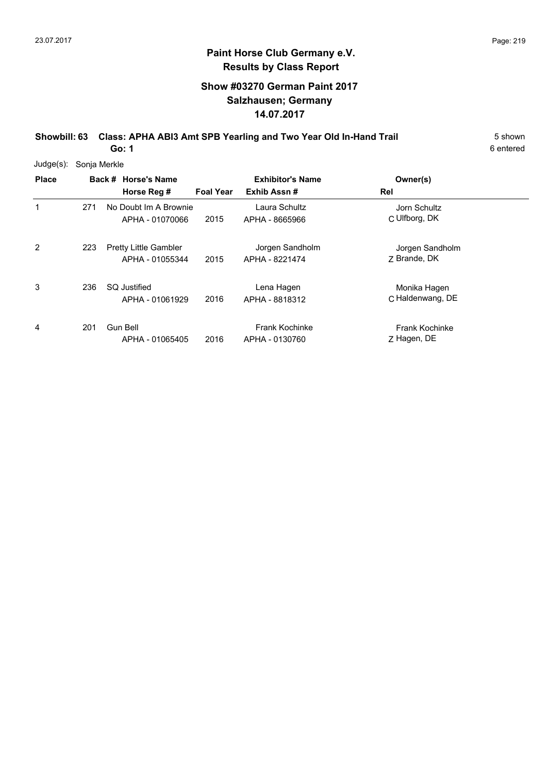#### **Show #03270 German Paint 2017 Salzhausen; Germany 14.07.2017**

**Showbill: 63 Class: APHA ABI3 Amt SPB Yearling and Two Year Old In-Hand Trail** 5 Shown **Go: 1**

6 entered

Judge(s): Sonja Merkle

| <b>Place</b> |     | Back # Horse's Name<br>Horse Reg #              | <b>Foal Year</b> | <b>Exhibitor's Name</b><br>Exhib Assn#  | Owner(s)<br>Rel                      |
|--------------|-----|-------------------------------------------------|------------------|-----------------------------------------|--------------------------------------|
| 1            | 271 | No Doubt Im A Brownie<br>APHA - 01070066        | 2015             | Laura Schultz<br>APHA - 8665966         | Jorn Schultz<br>C Ulfborg, DK        |
| 2            | 223 | <b>Pretty Little Gambler</b><br>APHA - 01055344 | 2015             | Jorgen Sandholm<br>APHA - 8221474       | Jorgen Sandholm<br>7 Brande, DK      |
| 3            | 236 | <b>SQ Justified</b><br>APHA - 01061929          | 2016             | Lena Hagen<br>APHA - 8818312            | Monika Hagen<br>C Haldenwang, DE     |
| 4            | 201 | Gun Bell<br>APHA - 01065405                     | 2016             | <b>Frank Kochinke</b><br>APHA - 0130760 | <b>Frank Kochinke</b><br>Z Hagen, DE |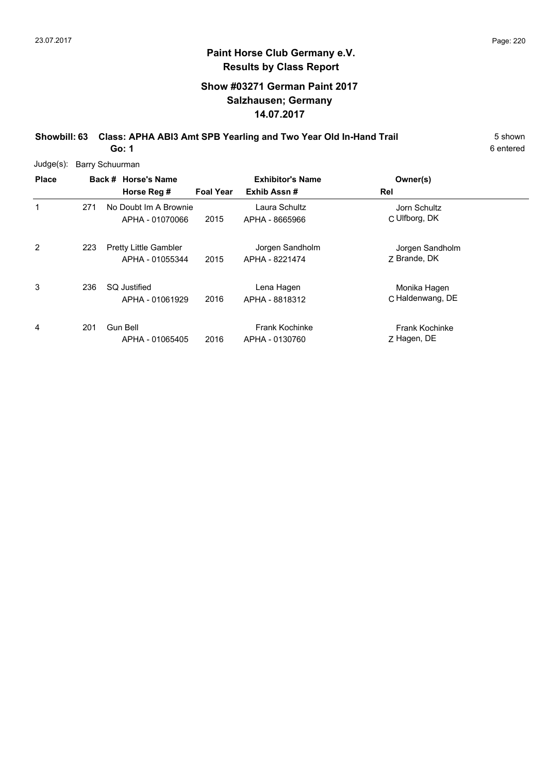#### **Show #03271 German Paint 2017 Salzhausen; Germany 14.07.2017**

**Showbill: 63 Class: APHA ABI3 Amt SPB Yearling and Two Year Old In-Hand Trail** 5 Shown **Go: 1**

6 entered

Judge(s): Barry Schuurman

| <b>Place</b>   |     | Back # Horse's Name<br>Horse Reg #              | <b>Foal Year</b> | <b>Exhibitor's Name</b><br>Exhib Assn#  | Owner(s)<br>Rel                      |  |
|----------------|-----|-------------------------------------------------|------------------|-----------------------------------------|--------------------------------------|--|
| 1              | 271 | No Doubt Im A Brownie<br>APHA - 01070066        | 2015             | Laura Schultz<br>APHA - 8665966         | Jorn Schultz<br>C Ulfborg, DK        |  |
| $\overline{2}$ | 223 | <b>Pretty Little Gambler</b><br>APHA - 01055344 | 2015             | Jorgen Sandholm<br>APHA - 8221474       | Jorgen Sandholm<br>7 Brande, DK      |  |
| 3              | 236 | <b>SQ Justified</b><br>APHA - 01061929          | 2016             | Lena Hagen<br>APHA - 8818312            | Monika Hagen<br>C Haldenwang, DE     |  |
| 4              | 201 | <b>Gun Bell</b><br>APHA - 01065405              | 2016             | <b>Frank Kochinke</b><br>APHA - 0130760 | <b>Frank Kochinke</b><br>Z Hagen, DE |  |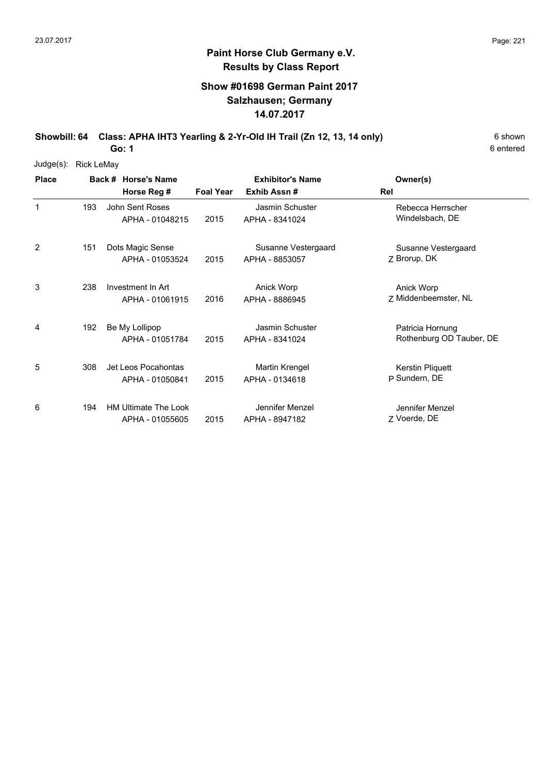#### **Show #01698 German Paint 2017 Salzhausen; Germany 14.07.2017**

Showbill: 64 Class: APHA IHT3 Yearling & 2-Yr-Old IH Trail (Zn 12, 13, 14 only) 6 Shown **Go: 1**

6 entered

Judge(s): Rick LeMay

| <b>Place</b> |     | Back # Horse's Name         |                  | <b>Exhibitor's Name</b> | Owner(s)                 |
|--------------|-----|-----------------------------|------------------|-------------------------|--------------------------|
|              |     | Horse Reg #                 | <b>Foal Year</b> | Exhib Assn#             | Rel                      |
| $\mathbf{1}$ | 193 | John Sent Roses             |                  | Jasmin Schuster         | Rebecca Herrscher        |
|              |     | APHA - 01048215             | 2015             | APHA - 8341024          | Windelsbach, DE          |
| 2            | 151 | Dots Magic Sense            |                  | Susanne Vestergaard     | Susanne Vestergaard      |
|              |     | APHA - 01053524             | 2015             | APHA - 8853057          | Z Brorup, DK             |
| 3            | 238 | Investment In Art           |                  | Anick Worp              | Anick Worp               |
|              |     | APHA - 01061915             | 2016             | APHA - 8886945          | Z Middenbeemster, NL     |
| 4            | 192 | Be My Lollipop              |                  | Jasmin Schuster         | Patricia Hornung         |
|              |     | APHA - 01051784             | 2015             | APHA - 8341024          | Rothenburg OD Tauber, DE |
| 5            | 308 | Jet Leos Pocahontas         |                  | Martin Krengel          | Kerstin Pliquett         |
|              |     | APHA - 01050841             | 2015             | APHA - 0134618          | P Sundern, DE            |
| 6            | 194 | <b>HM Ultimate The Look</b> |                  | Jennifer Menzel         | Jennifer Menzel          |
|              |     | APHA - 01055605             | 2015             | APHA - 8947182          | 7 Voerde, DE             |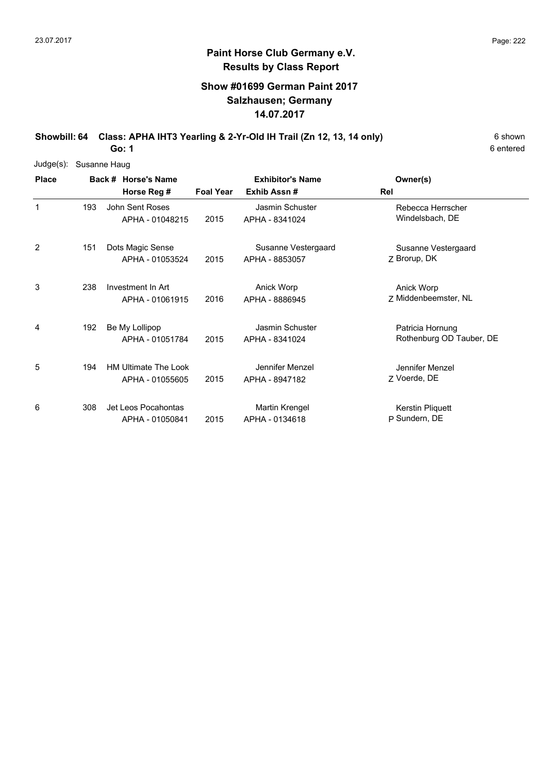#### **Show #01699 German Paint 2017 Salzhausen; Germany 14.07.2017**

Showbill: 64 Class: APHA IHT3 Yearling & 2-Yr-Old IH Trail (Zn 12, 13, 14 only) 6 Shown

6 entered

**Go: 1**

| Judge(s):    |     | Susanne Haug                            |                  |                                         |                                              |
|--------------|-----|-----------------------------------------|------------------|-----------------------------------------|----------------------------------------------|
| <b>Place</b> |     | Back # Horse's Name<br>Horse Reg #      | <b>Foal Year</b> | <b>Exhibitor's Name</b><br>Exhib Assn#  | Owner(s)<br>Rel                              |
| 1            | 193 | John Sent Roses<br>APHA - 01048215      | 2015             | Jasmin Schuster<br>APHA - 8341024       | Rebecca Herrscher<br>Windelsbach, DE         |
| 2            | 151 | Dots Magic Sense<br>APHA - 01053524     | 2015             | Susanne Vestergaard<br>APHA - 8853057   | Susanne Vestergaard<br>Z Brorup, DK          |
| 3            | 238 | Investment In Art<br>APHA - 01061915    | 2016             | Anick Worp<br>APHA - 8886945            | Anick Worp<br>Z Middenbeemster, NL           |
| 4            | 192 | Be My Lollipop<br>APHA - 01051784       | 2015             | Jasmin Schuster<br>APHA - 8341024       | Patricia Hornung<br>Rothenburg OD Tauber, DE |
| 5            | 194 | HM Ultimate The Look<br>APHA - 01055605 | 2015             | Jennifer Menzel<br>APHA - 8947182       | Jennifer Menzel<br>Z Voerde, DE              |
| 6            | 308 | Jet Leos Pocahontas<br>APHA - 01050841  | 2015             | <b>Martin Krengel</b><br>APHA - 0134618 | Kerstin Pliquett<br>P Sundern, DE            |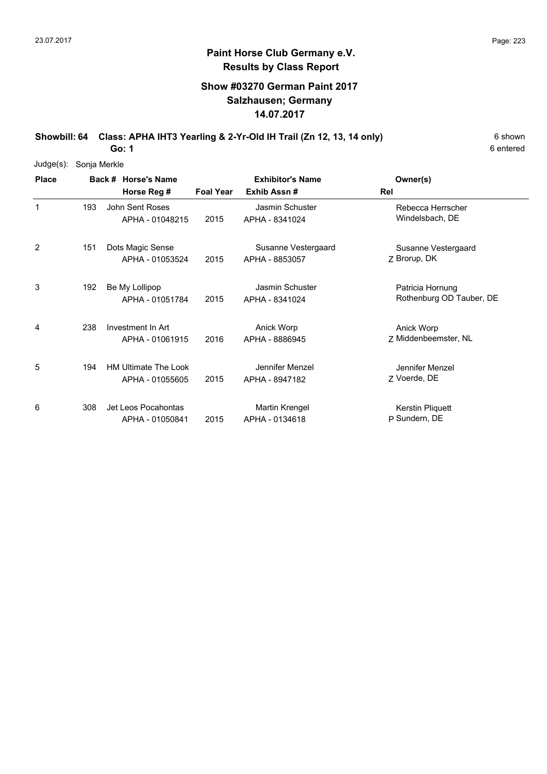#### **Show #03270 German Paint 2017 Salzhausen; Germany 14.07.2017**

Showbill: 64 Class: APHA IHT3 Yearling & 2-Yr-Old IH Trail (Zn 12, 13, 14 only) 6 Shown **Go: 1**

6 entered

Judge(s): Sonja Merkle

| <b>Place</b> |     | Back # Horse's Name<br>Horse Reg #             | <b>Foal Year</b> | <b>Exhibitor's Name</b><br>Exhib Assn# | Owner(s)<br>Rel                              |
|--------------|-----|------------------------------------------------|------------------|----------------------------------------|----------------------------------------------|
| 1            | 193 | John Sent Roses<br>APHA - 01048215             | 2015             | Jasmin Schuster<br>APHA - 8341024      | Rebecca Herrscher<br>Windelsbach, DE         |
| 2            | 151 | Dots Magic Sense<br>APHA - 01053524            | 2015             | Susanne Vestergaard<br>APHA - 8853057  | Susanne Vestergaard<br>Z Brorup, DK          |
| 3            | 192 | Be My Lollipop<br>APHA - 01051784              | 2015             | Jasmin Schuster<br>APHA - 8341024      | Patricia Hornung<br>Rothenburg OD Tauber, DE |
| 4            | 238 | Investment In Art<br>APHA - 01061915           | 2016             | Anick Worp<br>APHA - 8886945           | Anick Worp<br>Z Middenbeemster, NL           |
| 5            | 194 | <b>HM Ultimate The Look</b><br>APHA - 01055605 | 2015             | Jennifer Menzel<br>APHA - 8947182      | Jennifer Menzel<br>7 Voerde, DE              |
| 6            | 308 | Jet Leos Pocahontas<br>APHA - 01050841         | 2015             | Martin Krengel<br>APHA - 0134618       | Kerstin Pliquett<br>P Sundern, DE            |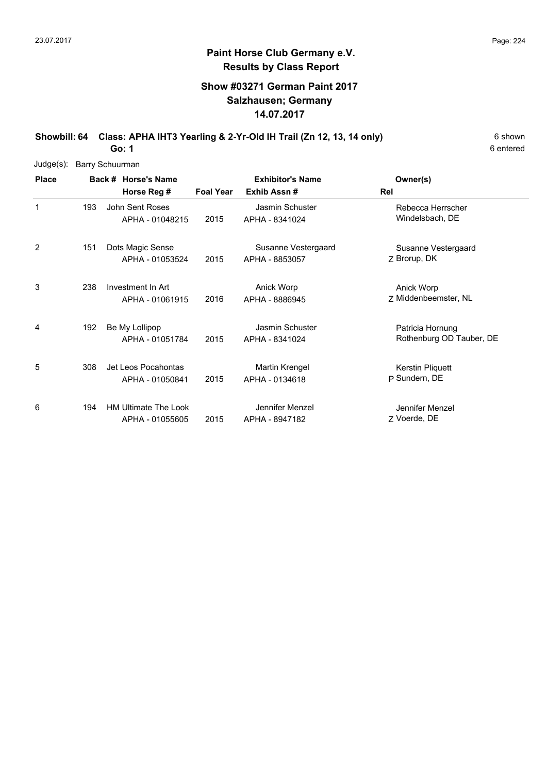#### **Show #03271 German Paint 2017 Salzhausen; Germany 14.07.2017**

**Showbill: 64 Class: APHA IHT3 Yearling & 2-Yr-Old IH Trail (Zn 12, 13, 14 only)** 6 Shown

6 entered

**Go: 1**

| Judge(s):    |     | <b>Barry Schuurman</b>                         |                  |                                       |                                              |
|--------------|-----|------------------------------------------------|------------------|---------------------------------------|----------------------------------------------|
| <b>Place</b> |     | Back # Horse's Name                            |                  | <b>Exhibitor's Name</b>               | Owner(s)                                     |
|              |     | Horse Reg #                                    | <b>Foal Year</b> | Exhib Assn #                          | Rel                                          |
| 1            | 193 | John Sent Roses<br>APHA - 01048215             | 2015             | Jasmin Schuster<br>APHA - 8341024     | Rebecca Herrscher<br>Windelsbach, DE         |
| 2            | 151 | Dots Magic Sense<br>APHA - 01053524            | 2015             | Susanne Vestergaard<br>APHA - 8853057 | Susanne Vestergaard<br>Z Brorup, DK          |
| 3            | 238 | Investment In Art<br>APHA - 01061915           | 2016             | Anick Worp<br>APHA - 8886945          | Anick Worp<br>Z Middenbeemster, NL           |
| 4            | 192 | Be My Lollipop<br>APHA - 01051784              | 2015             | Jasmin Schuster<br>APHA - 8341024     | Patricia Hornung<br>Rothenburg OD Tauber, DE |
| 5            | 308 | Jet Leos Pocahontas<br>APHA - 01050841         | 2015             | Martin Krengel<br>APHA - 0134618      | Kerstin Pliquett<br>P Sundern, DE            |
| 6            | 194 | <b>HM Ultimate The Look</b><br>APHA - 01055605 | 2015             | Jennifer Menzel<br>APHA - 8947182     | Jennifer Menzel<br>Z Voerde, DE              |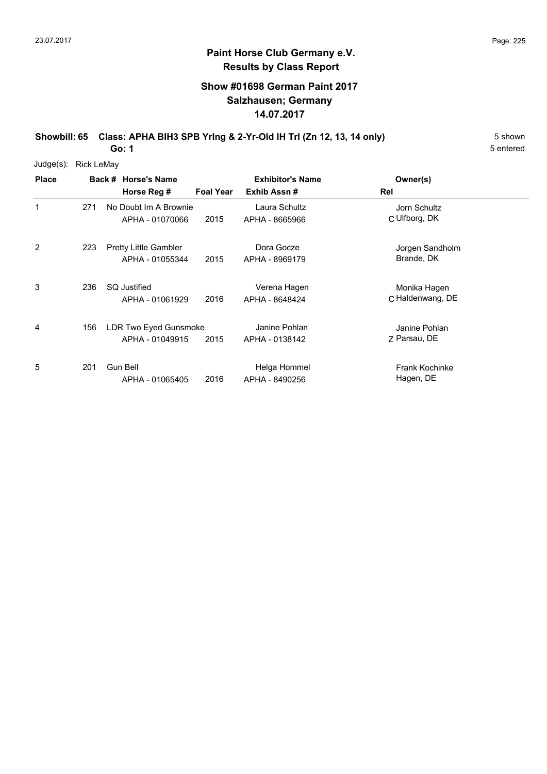#### **Paint Horse Club Germany e.V. Results by Class Report**

#### **Show #01698 German Paint 2017 Salzhausen; Germany 14.07.2017**

**Showbill: 65 Class: APHA BIH3 SPB Yring & 2-Yr-Old IH Tri (Zn 12, 13, 14 only)** 5 Shown **Go: 1**

Judge(s): Rick LeMay

| <b>Place</b> |     | Back # Horse's Name          |                  | <b>Exhibitor's Name</b> | Owner(s)              |  |
|--------------|-----|------------------------------|------------------|-------------------------|-----------------------|--|
|              |     | Horse Reg #                  | <b>Foal Year</b> | Exhib Assn#             | Rel                   |  |
| 1            | 271 | No Doubt Im A Brownie        |                  | Laura Schultz           | Jorn Schultz          |  |
|              |     | APHA - 01070066              | 2015             | APHA - 8665966          | C Ulfborg, DK         |  |
| 2            | 223 | <b>Pretty Little Gambler</b> |                  | Dora Gocze              | Jorgen Sandholm       |  |
|              |     | APHA - 01055344              | 2015             | APHA - 8969179          | Brande, DK            |  |
| 3            | 236 | SQ Justified                 |                  | Verena Hagen            | Monika Hagen          |  |
|              |     | APHA - 01061929              | 2016             | APHA - 8648424          | C Haldenwang, DE      |  |
| 4            | 156 | LDR Two Eyed Gunsmoke        |                  | Janine Pohlan           | Janine Pohlan         |  |
|              |     | APHA - 01049915              | 2015             | APHA - 0138142          | 7 Parsau, DE          |  |
| 5            | 201 | <b>Gun Bell</b>              |                  | Helga Hommel            | <b>Frank Kochinke</b> |  |
|              |     | APHA - 01065405              | 2016             | APHA - 8490256          | Hagen, DE             |  |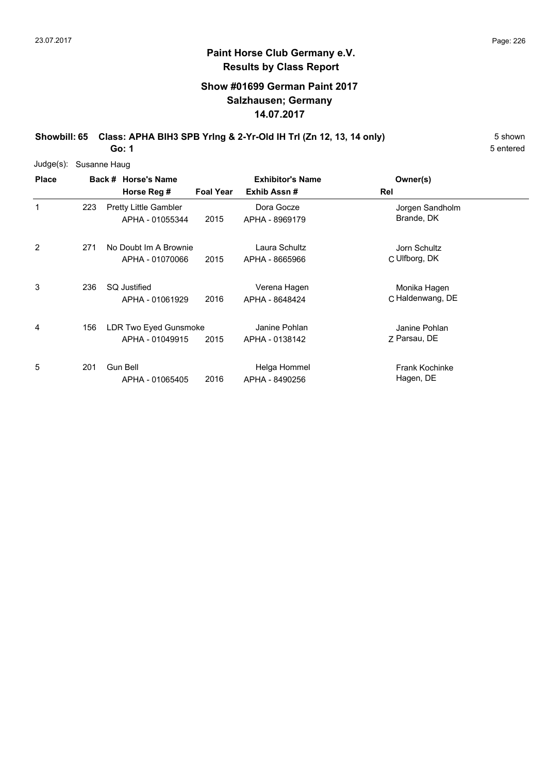#### **Paint Horse Club Germany e.V. Results by Class Report**

#### **Show #01699 German Paint 2017 Salzhausen; Germany 14.07.2017**

**Showbill: 65 Class: APHA BIH3 SPB Yring & 2-Yr-Old IH Tri (Zn 12, 13, 14 only)** 5 Shown **Go: 1**

Judge(s): Susanne Haug

| <b>Place</b> |     | Back # Horse's Name<br>Horse Reg #              | <b>Foal Year</b> | <b>Exhibitor's Name</b><br>Exhib Assn# | Owner(s)<br>Rel                    |
|--------------|-----|-------------------------------------------------|------------------|----------------------------------------|------------------------------------|
| 1            | 223 | <b>Pretty Little Gambler</b><br>APHA - 01055344 | 2015             | Dora Gocze<br>APHA - 8969179           | Jorgen Sandholm<br>Brande, DK      |
| 2            | 271 | No Doubt Im A Brownie<br>APHA - 01070066        | 2015             | Laura Schultz<br>APHA - 8665966        | Jorn Schultz<br>C Ulfborg, DK      |
| 3            | 236 | <b>SQ Justified</b><br>APHA - 01061929          | 2016             | Verena Hagen<br>APHA - 8648424         | Monika Hagen<br>C Haldenwang, DE   |
| 4            | 156 | LDR Two Eyed Gunsmoke<br>APHA - 01049915        | 2015             | Janine Pohlan<br>APHA - 0138142        | Janine Pohlan<br>Z Parsau, DE      |
| 5            | 201 | Gun Bell<br>APHA - 01065405                     | 2016             | Helga Hommel<br>APHA - 8490256         | <b>Frank Kochinke</b><br>Hagen, DE |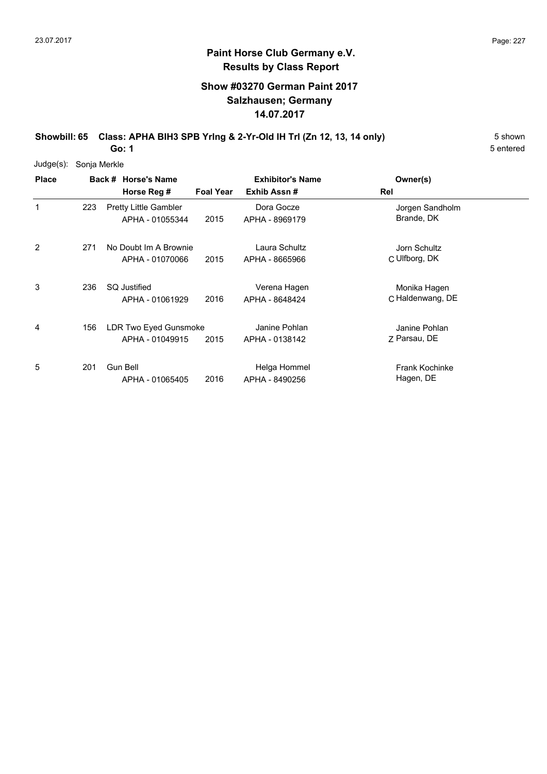#### **Paint Horse Club Germany e.V. Results by Class Report**

#### **Show #03270 German Paint 2017 Salzhausen; Germany 14.07.2017**

**Showbill: 65 Class: APHA BIH3 SPB Yring & 2-Yr-Old IH Tri (Zn 12, 13, 14 only)** 5 Shown **Go: 1**

Judge(s): Sonja Merkle

| <b>Place</b> |     | Back # Horse's Name          |                  | <b>Exhibitor's Name</b> | Owner(s)              |  |
|--------------|-----|------------------------------|------------------|-------------------------|-----------------------|--|
|              |     | Horse Reg #                  | <b>Foal Year</b> | Exhib Assn#             | Rel                   |  |
| 1            | 223 | <b>Pretty Little Gambler</b> |                  | Dora Gocze              | Jorgen Sandholm       |  |
|              |     | APHA - 01055344              | 2015             | APHA - 8969179          | Brande, DK            |  |
| 2            | 271 | No Doubt Im A Brownie        |                  | Laura Schultz           | Jorn Schultz          |  |
|              |     | APHA - 01070066              | 2015             | APHA - 8665966          | C Ulfborg, DK         |  |
| 3            | 236 | <b>SQ Justified</b>          |                  | Verena Hagen            | Monika Hagen          |  |
|              |     | APHA - 01061929              | 2016             | APHA - 8648424          | C Haldenwang, DE      |  |
| 4            | 156 | LDR Two Eyed Gunsmoke        |                  | Janine Pohlan           | Janine Pohlan         |  |
|              |     | APHA - 01049915              | 2015             | APHA - 0138142          | Z Parsau, DE          |  |
| 5            | 201 | Gun Bell                     |                  | Helga Hommel            | <b>Frank Kochinke</b> |  |
|              |     | APHA - 01065405              | 2016             | APHA - 8490256          | Hagen, DE             |  |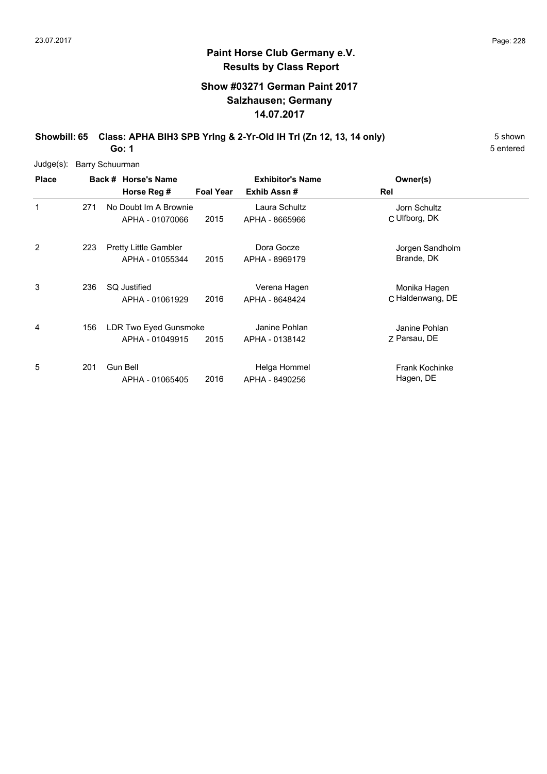#### **Paint Horse Club Germany e.V. Results by Class Report**

#### **Show #03271 German Paint 2017 Salzhausen; Germany 14.07.2017**

**Showbill: 65 Class: APHA BIH3 SPB Yring & 2-Yr-Old IH Tri (Zn 12, 13, 14 only)** 5 Shown **Go: 1**

Judge(s): Barry Schuurman

| <b>Place</b>   |     | Back # Horse's Name          |                  | <b>Exhibitor's Name</b> | Owner(s)              |
|----------------|-----|------------------------------|------------------|-------------------------|-----------------------|
|                |     | Horse Reg #                  | <b>Foal Year</b> | Exhib Assn#             | Rel                   |
| 1              | 271 | No Doubt Im A Brownie        |                  | Laura Schultz           | Jorn Schultz          |
|                |     | APHA - 01070066              | 2015             | APHA - 8665966          | C Ulfborg, DK         |
| $\overline{2}$ | 223 | <b>Pretty Little Gambler</b> |                  | Dora Gocze              | Jorgen Sandholm       |
|                |     | APHA - 01055344              | 2015             | APHA - 8969179          | Brande, DK            |
| 3              | 236 | <b>SQ Justified</b>          |                  | Verena Hagen            | Monika Hagen          |
|                |     | APHA - 01061929              | 2016             | APHA - 8648424          | C Haldenwang, DE      |
| 4              | 156 | LDR Two Eyed Gunsmoke        |                  | Janine Pohlan           | Janine Pohlan         |
|                |     | APHA - 01049915              | 2015             | APHA - 0138142          | Z Parsau, DE          |
| 5              | 201 | <b>Gun Bell</b>              |                  | Helga Hommel            | <b>Frank Kochinke</b> |
|                |     | APHA - 01065405              | 2016             | APHA - 8490256          | Hagen, DE             |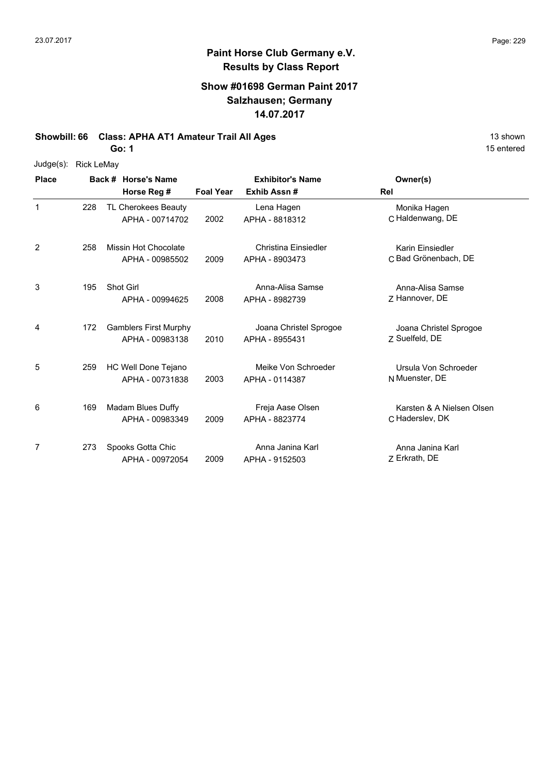# **Paint Horse Club Germany e.V. Results by Class Report**

#### **Show #01698 German Paint 2017 Salzhausen; Germany 14.07.2017**

**Showbill: 66 Class: APHA AT1 Amateur Trail All Ages** 13 shown

**Go: 1**

| Judge(s): | Rick LeMay |
|-----------|------------|
|-----------|------------|

| <b>Place</b> |     | Back # Horse's Name                             | <b>Exhibitor's Name</b> |                                               | Owner(s)                                     |
|--------------|-----|-------------------------------------------------|-------------------------|-----------------------------------------------|----------------------------------------------|
|              |     | Horse Reg #                                     | <b>Foal Year</b>        | Exhib Assn#                                   | Rel                                          |
| $\mathbf 1$  | 228 | TL Cherokees Beauty<br>APHA - 00714702          | 2002                    | Lena Hagen<br>APHA - 8818312                  | Monika Hagen<br>C Haldenwang, DE             |
| 2            | 258 | <b>Missin Hot Chocolate</b><br>APHA - 00985502  | 2009                    | <b>Christina Einsiedler</b><br>APHA - 8903473 | Karin Einsiedler<br>C Bad Grönenbach, DE     |
| 3            | 195 | <b>Shot Girl</b><br>APHA - 00994625             | 2008                    | Anna-Alisa Samse<br>APHA - 8982739            | Anna-Alisa Samse<br>Z Hannover, DE           |
| 4            | 172 | <b>Gamblers First Murphy</b><br>APHA - 00983138 | 2010                    | Joana Christel Sprogoe<br>APHA - 8955431      | Joana Christel Sprogoe<br>Z Suelfeld, DE     |
| 5            | 259 | HC Well Done Tejano<br>APHA - 00731838          | 2003                    | Meike Von Schroeder<br>APHA - 0114387         | Ursula Von Schroeder<br>N Muenster, DE       |
| 6            | 169 | Madam Blues Duffy<br>APHA - 00983349            | 2009                    | Freja Aase Olsen<br>APHA - 8823774            | Karsten & A Nielsen Olsen<br>C Haderslev, DK |
| 7            | 273 | Spooks Gotta Chic<br>APHA - 00972054            | 2009                    | Anna Janina Karl<br>APHA - 9152503            | Anna Janina Karl<br>Z Erkrath, DE            |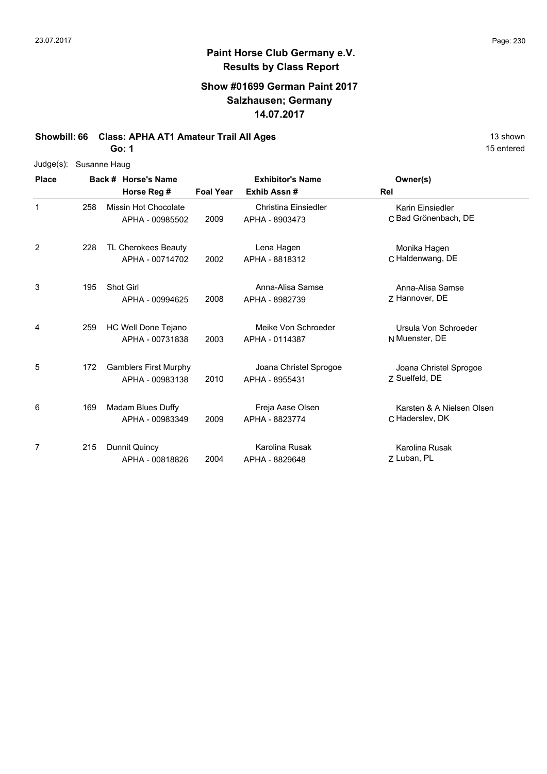#### **Show #01699 German Paint 2017 Salzhausen; Germany 14.07.2017**

**Showbill: 66 Class: APHA AT1 Amateur Trail All Ages** 13 shown

**Go: 1**

| Judge(s):    | Susanne Haug |                              |                  |                         |                           |
|--------------|--------------|------------------------------|------------------|-------------------------|---------------------------|
| <b>Place</b> |              | Back # Horse's Name          |                  | <b>Exhibitor's Name</b> | Owner(s)                  |
|              |              | Horse Reg #                  | <b>Foal Year</b> | Exhib Assn#             | Rel                       |
| $\mathbf{1}$ | 258          | Missin Hot Chocolate         |                  | Christina Einsiedler    | Karin Einsiedler          |
|              |              | APHA - 00985502              | 2009             | APHA - 8903473          | C Bad Grönenbach, DE      |
| 2            | 228          | TL Cherokees Beauty          |                  | Lena Hagen              | Monika Hagen              |
|              |              | APHA - 00714702              | 2002             | APHA - 8818312          | C Haldenwang, DE          |
| 3            | 195          | Shot Girl                    |                  | Anna-Alisa Samse        | Anna-Alisa Samse          |
|              |              | APHA - 00994625              | 2008             | APHA - 8982739          | Z Hannover, DE            |
| 4            | 259          | HC Well Done Tejano          |                  | Meike Von Schroeder     | Ursula Von Schroeder      |
|              |              | APHA - 00731838              | 2003             | APHA - 0114387          | N Muenster, DE            |
| 5            | 172          | <b>Gamblers First Murphy</b> |                  | Joana Christel Sprogoe  | Joana Christel Sprogoe    |
|              |              | APHA - 00983138              | 2010             | APHA - 8955431          | 7 Suelfeld, DE            |
| 6            | 169          | Madam Blues Duffy            |                  | Freja Aase Olsen        | Karsten & A Nielsen Olsen |
|              |              | APHA - 00983349              | 2009             | APHA - 8823774          | C Haderslev, DK           |
| 7            | 215          | Dunnit Quincy                |                  | Karolina Rusak          | Karolina Rusak            |
|              |              | APHA - 00818826              | 2004             | APHA - 8829648          | Z Luban, PL               |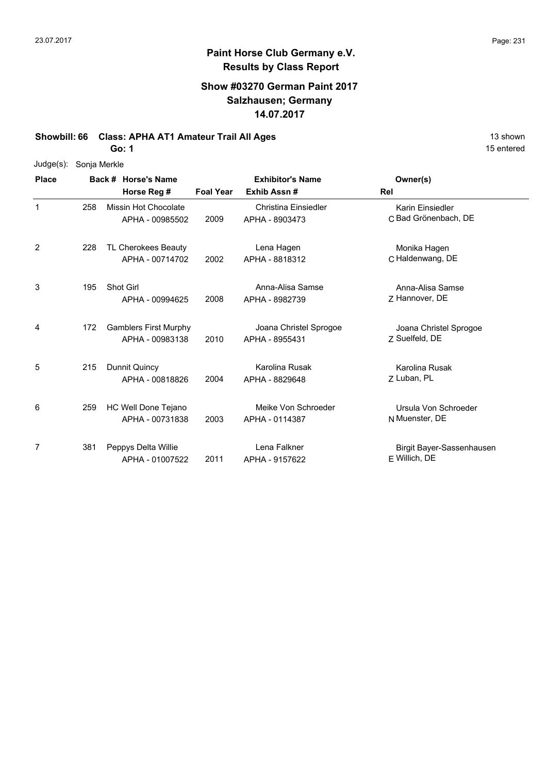6

7

### **Paint Horse Club Germany e.V. Results by Class Report**

#### **Show #03270 German Paint 2017 Salzhausen; Germany 14.07.2017**

**Showbill: 66 Class: APHA AT1 Amateur Trail All Ages** 13 Shown

**Go: 1**

259 HC Well Done Tejano

381 Peppys Delta Willie

APHA - 00731838

APHA - 01007522

| $Judge(s)$ : | Sonja Merkle |                                                 |                  |                                          |                                          |
|--------------|--------------|-------------------------------------------------|------------------|------------------------------------------|------------------------------------------|
| <b>Place</b> |              | Back # Horse's Name<br>Horse Reg #              | <b>Foal Year</b> | <b>Exhibitor's Name</b><br>Exhib Assn#   | Owner(s)<br>Rel                          |
| 1            | 258          | Missin Hot Chocolate<br>APHA - 00985502         | 2009             | Christina Einsiedler<br>APHA - 8903473   | Karin Einsiedler<br>C Bad Grönenbach, DE |
| 2            | 228          | TL Cherokees Beauty<br>APHA - 00714702          | 2002             | Lena Hagen<br>APHA - 8818312             | Monika Hagen<br>C Haldenwang, DE         |
| 3            | 195          | <b>Shot Girl</b><br>APHA - 00994625             | 2008             | Anna-Alisa Samse<br>APHA - 8982739       | Anna-Alisa Samse<br>7 Hannover, DE       |
| 4            | 172          | <b>Gamblers First Murphy</b><br>APHA - 00983138 | 2010             | Joana Christel Sprogoe<br>APHA - 8955431 | Joana Christel Sprogoe<br>7 Suelfeld, DE |
| 5            | 215          | Dunnit Quincy<br>APHA - 00818826                | 2004             | Karolina Rusak<br>APHA - 8829648         | Karolina Rusak<br>7 Luban, PL            |

15 entered

N Muenster, DE

E Willich, DE

2003 Muenster, DE APHA - 0114387

2011 Willich, DE APHA - 9157622

Meike Von Schroeder

Lena Falkner

Ursula Von Schroeder

Birgit Bayer-Sassenhausen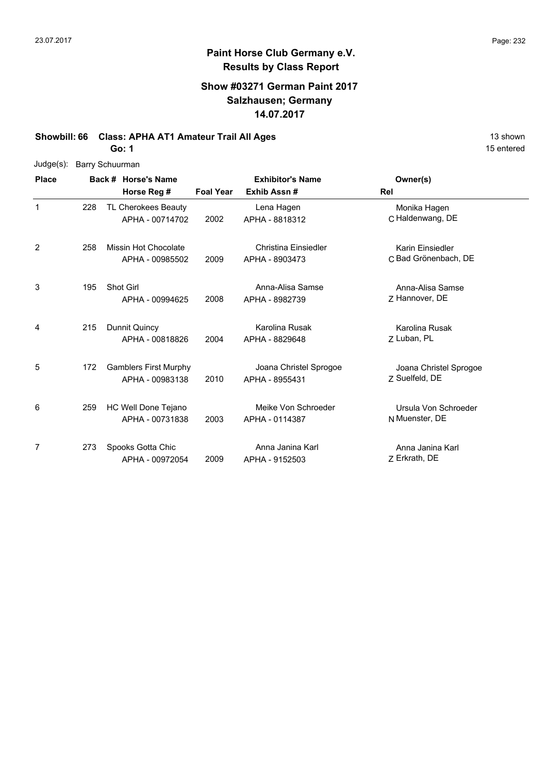## **Paint Horse Club Germany e.V. Results by Class Report**

#### **Show #03271 German Paint 2017 Salzhausen; Germany 14.07.2017**

**Showbill: 66 Class: APHA AT1 Amateur Trail All Ages** 13 shown

**Go: 1**

| $Judge(s)$ : |     | Barry Schuurman              |                  |                         |                        |
|--------------|-----|------------------------------|------------------|-------------------------|------------------------|
| <b>Place</b> |     | Back # Horse's Name          |                  | <b>Exhibitor's Name</b> | Owner(s)               |
|              |     | Horse Reg #                  | <b>Foal Year</b> | Exhib Assn#             | Rel                    |
| $\mathbf 1$  | 228 | TL Cherokees Beauty          |                  | Lena Hagen              | Monika Hagen           |
|              |     | APHA - 00714702              | 2002             | APHA - 8818312          | C Haldenwang, DE       |
| 2            | 258 | Missin Hot Chocolate         |                  | Christina Einsiedler    | Karin Einsiedler       |
|              |     | APHA - 00985502              | 2009             | APHA - 8903473          | C Bad Grönenbach, DE   |
| 3            | 195 | <b>Shot Girl</b>             |                  | Anna-Alisa Samse        | Anna-Alisa Samse       |
|              |     | APHA - 00994625              | 2008             | APHA - 8982739          | Z Hannover, DE         |
| 4            | 215 | Dunnit Quincy                |                  | Karolina Rusak          | Karolina Rusak         |
|              |     | APHA - 00818826              | 2004             | APHA - 8829648          | Z Luban, PL            |
| 5            | 172 | <b>Gamblers First Murphy</b> |                  | Joana Christel Sprogoe  | Joana Christel Sprogoe |
|              |     | APHA - 00983138              | 2010             | APHA - 8955431          | 7 Suelfeld, DE         |
| 6            | 259 | HC Well Done Tejano          |                  | Meike Von Schroeder     | Ursula Von Schroeder   |
|              |     | APHA - 00731838              | 2003             | APHA - 0114387          | N Muenster, DE         |
| 7            | 273 | Spooks Gotta Chic            |                  | Anna Janina Karl        | Anna Janina Karl       |
|              |     | APHA - 00972054              | 2009             | APHA - 9152503          | Z Erkrath, DE          |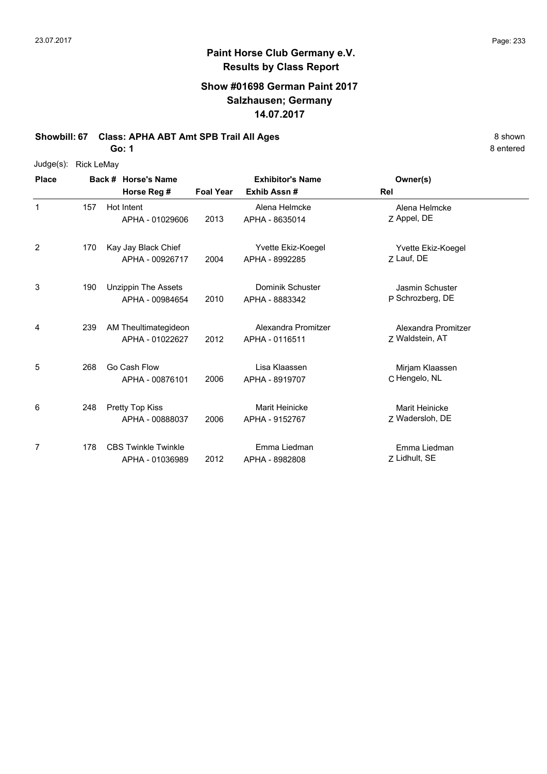### **Paint Horse Club Germany e.V. Results by Class Report**

#### **Show #01698 German Paint 2017 Salzhausen; Germany 14.07.2017**

**Showbill: 67 Class: APHA ABT Amt SPB Trail All Ages** 8 Shown 8 Shown

**Go: 1**

Judge(s): Rick LeMay

| <b>Place</b> |     | Back # Horse's Name                           |                  | <b>Exhibitor's Name</b>                 | Owner(s)                                   |
|--------------|-----|-----------------------------------------------|------------------|-----------------------------------------|--------------------------------------------|
|              |     | Horse Reg #                                   | <b>Foal Year</b> | Exhib Assn#                             | Rel                                        |
| 1            | 157 | Hot Intent<br>APHA - 01029606                 | 2013             | Alena Helmcke<br>APHA - 8635014         | Alena Helmcke<br>Z Appel, DE               |
| 2            | 170 | Kay Jay Black Chief<br>APHA - 00926717        | 2004             | Yvette Ekiz-Koegel<br>APHA - 8992285    | Yvette Ekiz-Koegel<br>7 Lauf, DE           |
| 3            | 190 | <b>Unzippin The Assets</b><br>APHA - 00984654 | 2010             | Dominik Schuster<br>APHA - 8883342      | <b>Jasmin Schuster</b><br>P Schrozberg, DE |
| 4            | 239 | AM Theultimategideon<br>APHA - 01022627       | 2012             | Alexandra Promitzer<br>APHA - 0116511   | Alexandra Promitzer<br>Z Waldstein, AT     |
| 5            | 268 | Go Cash Flow<br>APHA - 00876101               | 2006             | Lisa Klaassen<br>APHA - 8919707         | Mirjam Klaassen<br>C Hengelo, NL           |
| 6            | 248 | Pretty Top Kiss<br>APHA - 00888037            | 2006             | <b>Marit Heinicke</b><br>APHA - 9152767 | Marit Heinicke<br>7 Wadersloh, DE          |
| 7            | 178 | <b>CBS Twinkle Twinkle</b><br>APHA - 01036989 | 2012             | Emma Liedman<br>APHA - 8982808          | Emma Liedman<br>Z Lidhult, SE              |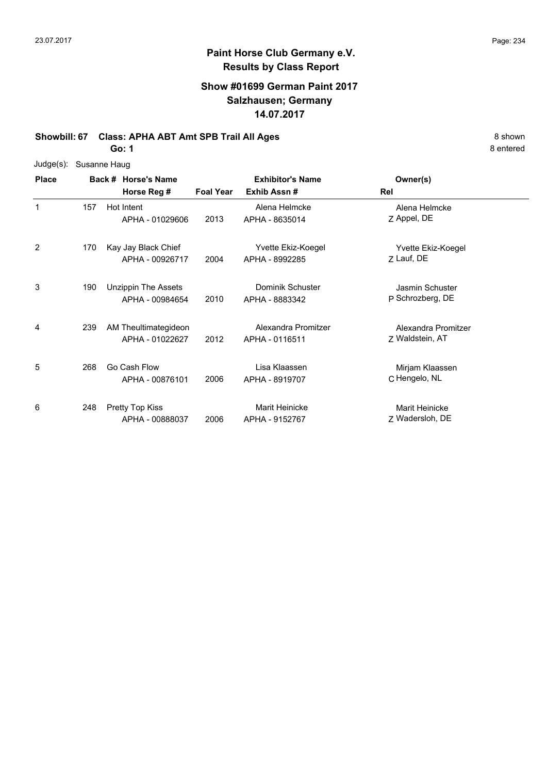# **Paint Horse Club Germany e.V. Results by Class Report**

#### **Show #01699 German Paint 2017 Salzhausen; Germany 14.07.2017**

#### **Showbill: 67 Class: APHA ABT Amt SPB Trail All Ages** 8 Shown 8 Shown

**Go: 1**

| Judge(s): | Susanne Haug |  |
|-----------|--------------|--|
|-----------|--------------|--|

| <b>Place</b> |     | Back # Horse's Name                           |                  | <b>Exhibitor's Name</b>               | Owner(s)                               |  |
|--------------|-----|-----------------------------------------------|------------------|---------------------------------------|----------------------------------------|--|
|              |     | Horse Reg #                                   | <b>Foal Year</b> | Exhib Assn#                           | Rel                                    |  |
| 1            | 157 | Hot Intent<br>APHA - 01029606                 | 2013             | Alena Helmcke<br>APHA - 8635014       | Alena Helmcke<br>Z Appel, DE           |  |
| 2            | 170 | Kay Jay Black Chief<br>APHA - 00926717        | 2004             | Yvette Ekiz-Koegel<br>APHA - 8992285  | Yvette Ekiz-Koegel<br>Z Lauf, DE       |  |
| 3            | 190 | <b>Unzippin The Assets</b><br>APHA - 00984654 | 2010             | Dominik Schuster<br>APHA - 8883342    | Jasmin Schuster<br>P Schrozberg, DE    |  |
| 4            | 239 | AM Theultimategideon<br>APHA - 01022627       | 2012             | Alexandra Promitzer<br>APHA - 0116511 | Alexandra Promitzer<br>7 Waldstein, AT |  |
| 5            | 268 | Go Cash Flow<br>APHA - 00876101               | 2006             | Lisa Klaassen<br>APHA - 8919707       | Mirjam Klaassen<br>C Hengelo, NL       |  |
| 6            | 248 | Pretty Top Kiss<br>APHA - 00888037            | 2006             | Marit Heinicke<br>APHA - 9152767      | Marit Heinicke<br>Z Wadersloh, DE      |  |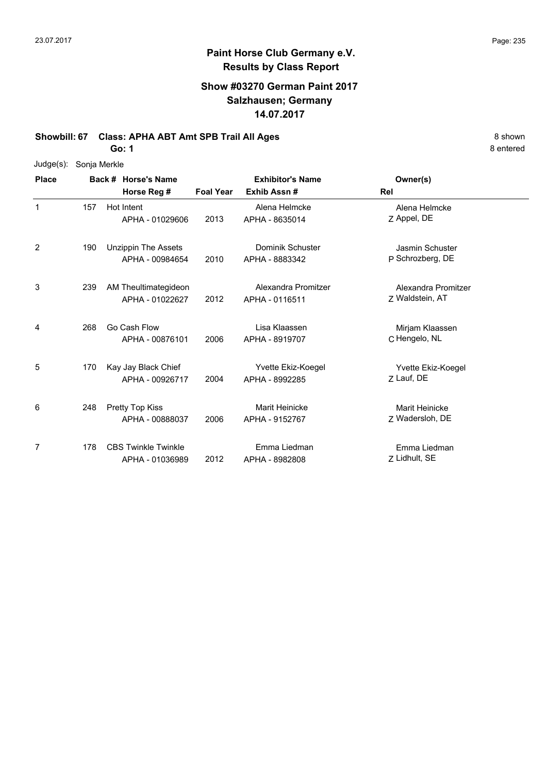#### **Paint Horse Club Germany e.V. Results by Class Report**

#### **Show #03270 German Paint 2017 Salzhausen; Germany 14.07.2017**

**Showbill: 67 Class: APHA ABT Amt SPB Trail All Ages** 8 Shown 8 Shown

**Go: 1**

Judge(s): Sonja Merkle

| <b>Place</b> |     | Back # Horse's Name                           | <b>Exhibitor's Name</b> |                                           | Owner(s)                               |
|--------------|-----|-----------------------------------------------|-------------------------|-------------------------------------------|----------------------------------------|
|              |     | Horse Reg #                                   | <b>Foal Year</b>        | Exhib Assn#                               | Rel                                    |
| 1            | 157 | Hot Intent<br>APHA - 01029606                 | 2013                    | Alena Helmcke<br>APHA - 8635014           | Alena Helmcke<br>Z Appel, DE           |
| 2            | 190 | <b>Unzippin The Assets</b><br>APHA - 00984654 | 2010                    | <b>Dominik Schuster</b><br>APHA - 8883342 | Jasmin Schuster<br>P Schrozberg, DE    |
| 3            | 239 | AM Theultimategideon<br>APHA - 01022627       | 2012                    | Alexandra Promitzer<br>APHA - 0116511     | Alexandra Promitzer<br>Z Waldstein, AT |
| 4            | 268 | Go Cash Flow<br>APHA - 00876101               | 2006                    | Lisa Klaassen<br>APHA - 8919707           | Mirjam Klaassen<br>C Hengelo, NL       |
| 5            | 170 | Kay Jay Black Chief<br>APHA - 00926717        | 2004                    | Yvette Ekiz-Koegel<br>APHA - 8992285      | Yvette Ekiz-Koegel<br>7 Lauf, DE       |
| 6            | 248 | Pretty Top Kiss<br>APHA - 00888037            | 2006                    | <b>Marit Heinicke</b><br>APHA - 9152767   | Marit Heinicke<br>Z Wadersloh, DE      |
| 7            | 178 | <b>CBS Twinkle Twinkle</b><br>APHA - 01036989 | 2012                    | Emma Liedman<br>APHA - 8982808            | Emma Liedman<br>Z Lidhult, SE          |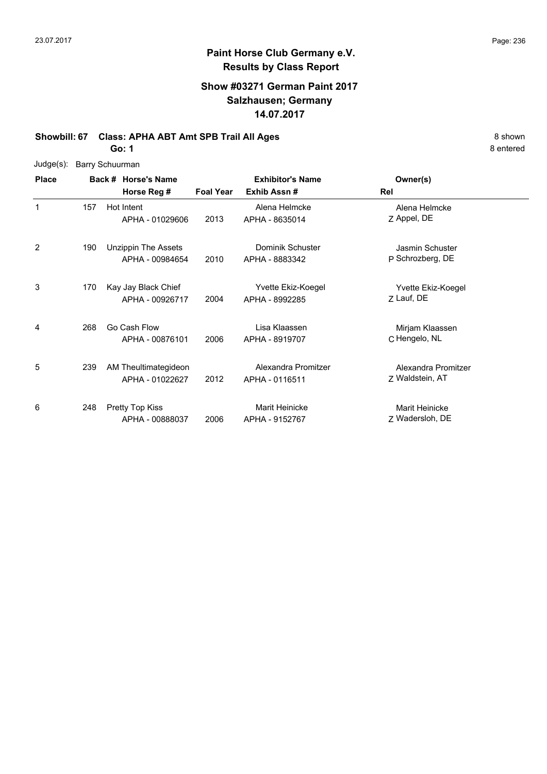1

2

8 entered

#### **Paint Horse Club Germany e.V. Results by Class Report**

#### **Show #03271 German Paint 2017 Salzhausen; Germany 14.07.2017**

#### **Showbill: 67 Class: APHA ABT Amt SPB Trail All Ages** 8 Shown

**Go: 1**

|  | Judge(s): Barry Schuurman |
|--|---------------------------|
|--|---------------------------|

| Judge(s):    | Barry Schuurman |  |                                        |                  |                                    |                                     |  |  |  |
|--------------|-----------------|--|----------------------------------------|------------------|------------------------------------|-------------------------------------|--|--|--|
| <b>Place</b> |                 |  | Back # Horse's Name                    |                  | <b>Exhibitor's Name</b>            | Owner(s)                            |  |  |  |
|              |                 |  | Horse Reg #                            | <b>Foal Year</b> | Exhib Assn#                        | Rel                                 |  |  |  |
|              | 157             |  | Hot Intent<br>APHA - 01029606          | 2013             | Alena Helmcke<br>APHA - 8635014    | Alena Helmcke<br>Z Appel, DE        |  |  |  |
| 2            | 190             |  | Unzippin The Assets<br>APHA - 00984654 | 2010             | Dominik Schuster<br>APHA - 8883342 | Jasmin Schuster<br>P Schrozberg, DE |  |  |  |
| 3            | 170             |  | Kay Jay Black Chief                    |                  | Yvette Ekiz-Koegel                 | Yvette Ekiz-Koegel                  |  |  |  |

| 3 | 170 | Kay Jay Black Chief<br>APHA - 00926717  | 2004 | Yvette Ekiz-Koegel<br>APHA - 8992285  | Yvette Ekiz-Koegel<br>Z Lauf, DE       |
|---|-----|-----------------------------------------|------|---------------------------------------|----------------------------------------|
| 4 | 268 | Go Cash Flow<br>APHA - 00876101         | 2006 | Lisa Klaassen<br>APHA - 8919707       | Mirjam Klaassen<br>C Hengelo, NL       |
| 5 | 239 | AM Theultimategideon<br>APHA - 01022627 | 2012 | Alexandra Promitzer<br>APHA - 0116511 | Alexandra Promitzer<br>7 Waldstein, AT |
| 6 | 248 | Pretty Top Kiss<br>APHA - 00888037      | 2006 | Marit Heinicke<br>APHA - 9152767      | Marit Heinicke<br>7 Wadersloh, DE      |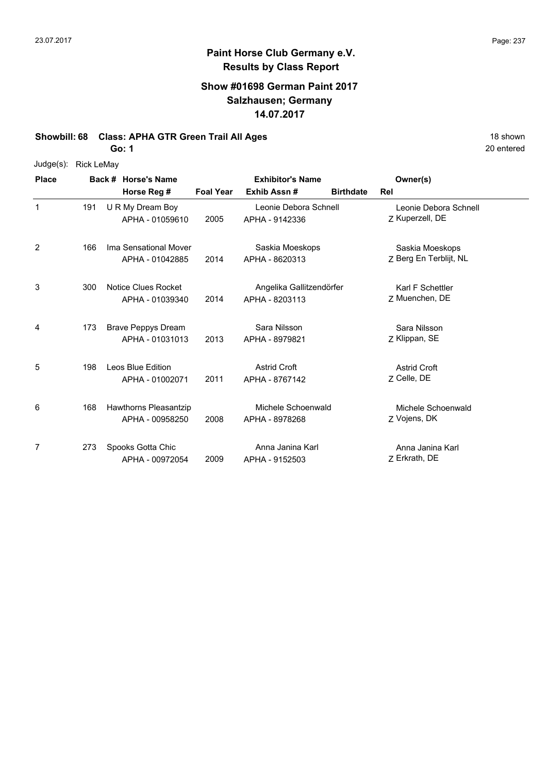#### **Paint Horse Club Germany e.V. Results by Class Report**

#### **Show #01698 German Paint 2017 Salzhausen; Germany 14.07.2017**

**Showbill: 68 Class: APHA GTR Green Trail All Ages** 18 Shown 18 shown

**Go: 1**

Judge(s): Rick LeMay

**Back # Horse's Name Place Owner(s) Horse Reg # Exhib Assn # Foal Year Birthdate Rel Exhibitor's Name** 1 Z Kuperzell, DE Leonie Debora Schnell 2005 Kuperzell, DE APHA - 9142336 U R My Dream Boy APHA - 01059610 Leonie Debora Schnell 191 2 2014 APHA - 8620313 Z Berg En Terblijt, NL Saskia Moeskops Ima Sensational Mover APHA - 01042885 Saskia Moeskops APHA - 8620313 166 3 Z Muenchen, DE Karl F Schettler 2014 Muenchen, DE APHA - 8203113 300 Notice Clues Rocket APHA - 01039340 Angelika Gallitzendörfer 4 7 Klippan, SE Sara Nilsson 2013 APHA - 8979821 Z Klippan, SE 173 Brave Peppys Dream APHA - 01031013 Sara Nilsson 5 7 Celle, DE Astrid Croft 2011 APHA - 8767142 Z Celle, DE 198 Leos Blue Edition APHA - 01002071 Astrid Croft 6 7 Vojens, DK Michele Schoenwald 2008 APHA - 8978268 Z Vojens, DK Hawthorns Pleasantzip APHA - 00958250 Michele Schoenwald 168 7 Z Erkrath, DE Anna Janina Karl 2009 Erkrath, DE APHA - 9152503 273 Spooks Gotta Chic APHA - 00972054 Anna Janina Karl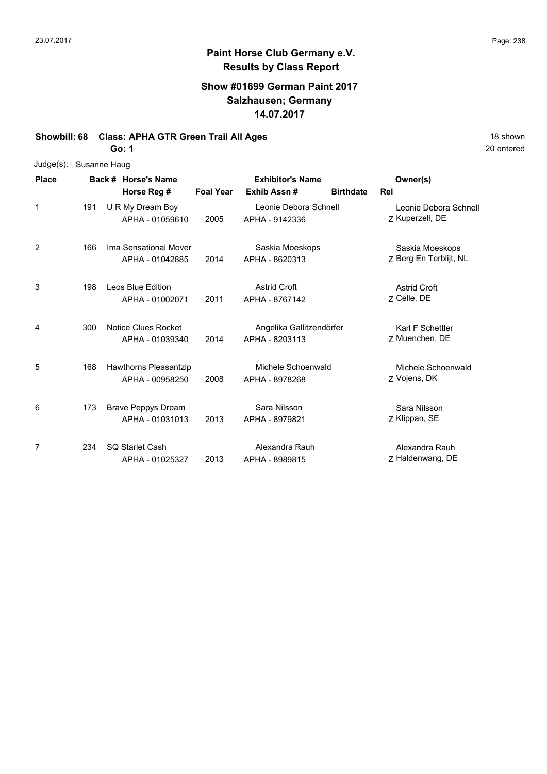#### **Show #01699 German Paint 2017 Salzhausen; Germany 14.07.2017**

**Showbill: 68 Class: APHA GTR Green Trail All Ages** 18 Shown 18 shown

**Go: 1**

| Judge(s): Susanne Haug |  |
|------------------------|--|
|                        |  |

| <b>Place</b> |     | Back # Horse's Name                           |                  | <b>Exhibitor's Name</b>                    |                  | Owner(s)                                  |  |
|--------------|-----|-----------------------------------------------|------------------|--------------------------------------------|------------------|-------------------------------------------|--|
|              |     | Horse Reg #                                   | <b>Foal Year</b> | Exhib Assn#                                | <b>Birthdate</b> | Rel                                       |  |
| $\mathbf 1$  | 191 | U R My Dream Boy<br>APHA - 01059610           | 2005             | Leonie Debora Schnell<br>APHA - 9142336    |                  | Leonie Debora Schnell<br>Z Kuperzell, DE  |  |
| 2            | 166 | Ima Sensational Mover<br>APHA - 01042885      | 2014             | Saskia Moeskops<br>APHA - 8620313          |                  | Saskia Moeskops<br>Z Berg En Terblijt, NL |  |
| 3            | 198 | Leos Blue Edition<br>APHA - 01002071          | 2011             | <b>Astrid Croft</b><br>APHA - 8767142      |                  | <b>Astrid Croft</b><br>Z Celle, DE        |  |
| 4            | 300 | <b>Notice Clues Rocket</b><br>APHA - 01039340 | 2014             | Angelika Gallitzendörfer<br>APHA - 8203113 |                  | Karl F Schettler<br>Z Muenchen, DE        |  |
| 5            | 168 | Hawthorns Pleasantzip<br>APHA - 00958250      | 2008             | Michele Schoenwald<br>APHA - 8978268       |                  | Michele Schoenwald<br>Z Vojens, DK        |  |
| 6            | 173 | <b>Brave Peppys Dream</b><br>APHA - 01031013  | 2013             | Sara Nilsson<br>APHA - 8979821             |                  | Sara Nilsson<br>Z Klippan, SE             |  |
| 7            | 234 | <b>SQ Starlet Cash</b><br>APHA - 01025327     | 2013             | Alexandra Rauh<br>APHA - 8989815           |                  | Alexandra Rauh<br>Z Haldenwang, DE        |  |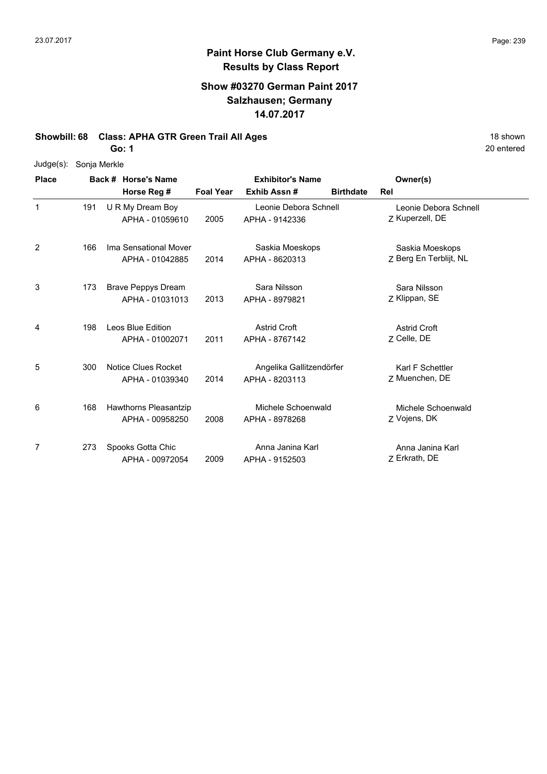#### **Show #03270 German Paint 2017 Salzhausen; Germany 14.07.2017**

**Showbill: 68 Class: APHA GTR Green Trail All Ages** 18 Shown 18 shown

**Go: 1**

Judge(s): Sonja Merkle

| <b>Place</b> |     | Back # Horse's Name                          |                  | <b>Exhibitor's Name</b>                    | Owner(s)                                  |
|--------------|-----|----------------------------------------------|------------------|--------------------------------------------|-------------------------------------------|
|              |     | Horse Reg #                                  | <b>Foal Year</b> | Exhib Assn#<br><b>Birthdate</b>            | Rel                                       |
| 1            | 191 | U R My Dream Boy<br>APHA - 01059610          | 2005             | Leonie Debora Schnell<br>APHA - 9142336    | Leonie Debora Schnell<br>Z Kuperzell, DE  |
| 2            | 166 | Ima Sensational Mover<br>APHA - 01042885     | 2014             | Saskia Moeskops<br>APHA - 8620313          | Saskia Moeskops<br>Z Berg En Terblijt, NL |
| 3            | 173 | <b>Brave Peppys Dream</b><br>APHA - 01031013 | 2013             | Sara Nilsson<br>APHA - 8979821             | Sara Nilsson<br>Z Klippan, SE             |
| 4            | 198 | Leos Blue Edition<br>APHA - 01002071         | 2011             | <b>Astrid Croft</b><br>APHA - 8767142      | <b>Astrid Croft</b><br>Z Celle, DE        |
| 5            | 300 | Notice Clues Rocket<br>APHA - 01039340       | 2014             | Angelika Gallitzendörfer<br>APHA - 8203113 | Karl F Schettler<br>7 Muenchen, DE        |
| 6            | 168 | Hawthorns Pleasantzip<br>APHA - 00958250     | 2008             | Michele Schoenwald<br>APHA - 8978268       | Michele Schoenwald<br>Z Vojens, DK        |
| 7            | 273 | Spooks Gotta Chic<br>APHA - 00972054         | 2009             | Anna Janina Karl<br>APHA - 9152503         | Anna Janina Karl<br>7 Erkrath, DE         |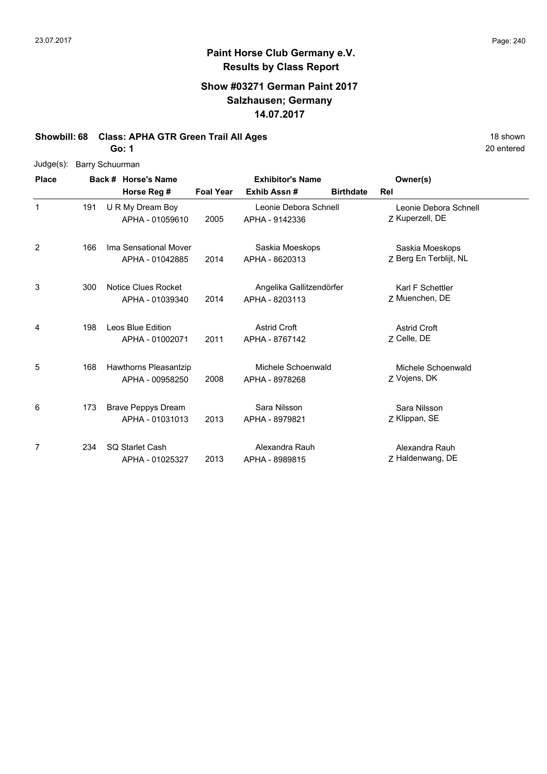#### **Show #03271 German Paint 2017 Salzhausen; Germany 14.07.2017**

**Showbill: 68 Class: APHA GTR Green Trail All Ages** 18 Shown 18 shown

**Go: 1**

Judge(s): Barry Schuurman

| <b>Place</b> |     | Back # Horse's Name                             |                  | <b>Exhibitor's Name</b>                    |                  | Owner(s)                                  |
|--------------|-----|-------------------------------------------------|------------------|--------------------------------------------|------------------|-------------------------------------------|
|              |     | Horse Reg #                                     | <b>Foal Year</b> | Exhib Assn#                                | <b>Birthdate</b> | Rel                                       |
| 1            | 191 | U R My Dream Boy<br>APHA - 01059610             | 2005             | Leonie Debora Schnell<br>APHA - 9142336    |                  | Leonie Debora Schnell<br>Z Kuperzell, DE  |
| 2            | 166 | Ima Sensational Mover<br>APHA - 01042885        | 2014             | Saskia Moeskops<br>APHA - 8620313          |                  | Saskia Moeskops<br>Z Berg En Terblijt, NL |
| 3            | 300 | Notice Clues Rocket<br>APHA - 01039340          | 2014             | Angelika Gallitzendörfer<br>APHA - 8203113 |                  | Karl F Schettler<br>Z Muenchen, DE        |
| 4            | 198 | Leos Blue Edition<br>APHA - 01002071            | 2011             | <b>Astrid Croft</b><br>APHA - 8767142      |                  | <b>Astrid Croft</b><br>7 Celle, DE        |
| 5            | 168 | <b>Hawthorns Pleasantzip</b><br>APHA - 00958250 | 2008             | Michele Schoenwald<br>APHA - 8978268       |                  | Michele Schoenwald<br>Z Vojens, DK        |
| 6            | 173 | <b>Brave Peppys Dream</b><br>APHA - 01031013    | 2013             | Sara Nilsson<br>APHA - 8979821             |                  | Sara Nilsson<br>Z Klippan, SE             |
| 7            | 234 | <b>SQ Starlet Cash</b><br>APHA - 01025327       | 2013             | Alexandra Rauh<br>APHA - 8989815           |                  | Alexandra Rauh<br>Z Haldenwang, DE        |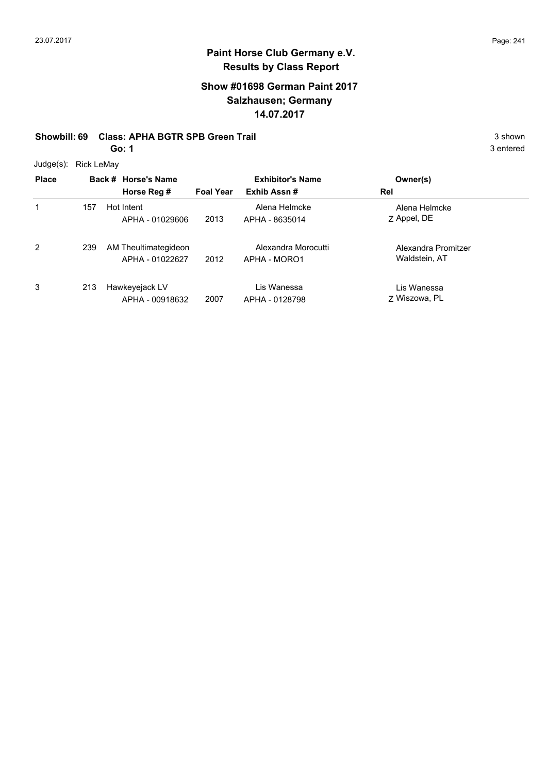#### **Show #01698 German Paint 2017 Salzhausen; Germany 14.07.2017**

#### **Showbill: 69 Class: APHA BGTR SPB Green Trail 3 shown 3 shown 3 shown**

**Go: 1**

Judge(s): Rick LeMay

| <b>UUUYUUU, INUN LUIVIAY</b> |     |                      |                  |                         |                     |  |
|------------------------------|-----|----------------------|------------------|-------------------------|---------------------|--|
| <b>Place</b>                 |     | Back # Horse's Name  |                  | <b>Exhibitor's Name</b> | Owner(s)            |  |
|                              |     | Horse Reg #          | <b>Foal Year</b> | Exhib Assn#             | Rel                 |  |
| 1                            | 157 | Hot Intent           |                  | Alena Helmcke           | Alena Helmcke       |  |
|                              |     | APHA - 01029606      | 2013             | APHA - 8635014          | Z Appel, DE         |  |
| 2                            | 239 | AM Theultimategideon |                  | Alexandra Morocutti     | Alexandra Promitzer |  |
|                              |     | APHA - 01022627      | 2012             | APHA - MORO1            | Waldstein, AT       |  |
| 3                            | 213 | Hawkeyejack LV       |                  | Lis Wanessa             | Lis Wanessa         |  |
|                              |     | APHA - 00918632      | 2007             | APHA - 0128798          | 7 Wiszowa, PL       |  |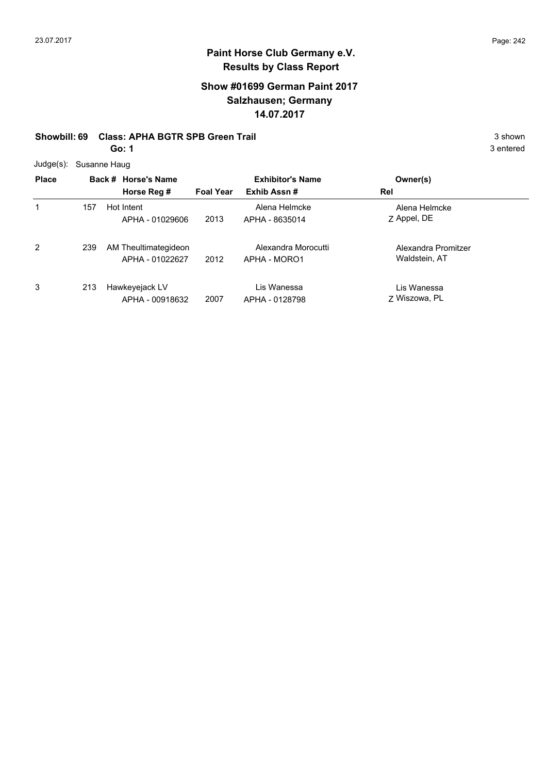#### **Show #01699 German Paint 2017 Salzhausen; Germany 14.07.2017**

#### **Showbill: 69 Class: APHA BGTR SPB Green Trail 3 shown 3 shown 3 shown**

**Go: 1**

Judge(s): Susanne Haug

| $\frac{1}{2}$  |     |                      |                  |                         |                     |  |
|----------------|-----|----------------------|------------------|-------------------------|---------------------|--|
| <b>Place</b>   |     | Back # Horse's Name  |                  | <b>Exhibitor's Name</b> | Owner(s)            |  |
|                |     | Horse Reg #          | <b>Foal Year</b> | Exhib Assn#             | Rel                 |  |
| 1              | 157 | Hot Intent           |                  | Alena Helmcke           | Alena Helmcke       |  |
|                |     | APHA - 01029606      | 2013             | APHA - 8635014          | Z Appel, DE         |  |
| $\overline{2}$ | 239 | AM Theultimategideon |                  | Alexandra Morocutti     | Alexandra Promitzer |  |
|                |     | APHA - 01022627      | 2012             | APHA - MORO1            | Waldstein, AT       |  |
| 3              | 213 | Hawkeyejack LV       |                  | Lis Wanessa             | Lis Wanessa         |  |
|                |     | APHA - 00918632      | 2007             | APHA - 0128798          | 7 Wiszowa, PL       |  |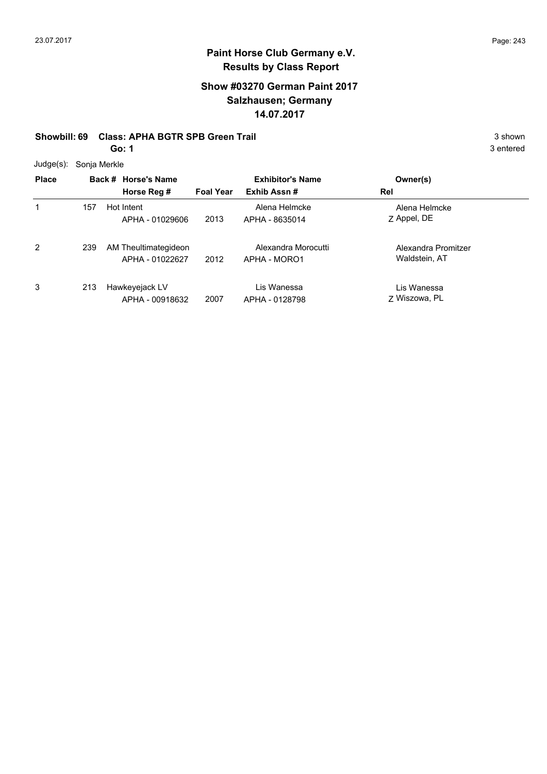#### **Show #03270 German Paint 2017 Salzhausen; Germany 14.07.2017**

#### **Showbill: 69 Class: APHA BGTR SPB Green Trail 3 shown 3 shown 3 shown**

**Go: 1**

Judge(s): Sonja Merkle

| $0.499(9)$ . Obiija mornic |     |                                         |                  |                                     |                                      |  |
|----------------------------|-----|-----------------------------------------|------------------|-------------------------------------|--------------------------------------|--|
| <b>Place</b>               |     | Back # Horse's Name                     |                  | <b>Exhibitor's Name</b>             | Owner(s)                             |  |
|                            |     | Horse Reg #                             | <b>Foal Year</b> | Exhib Assn#                         | Rel                                  |  |
| 1                          | 157 | Hot Intent<br>APHA - 01029606           | 2013             | Alena Helmcke<br>APHA - 8635014     | Alena Helmcke<br>Z Appel, DE         |  |
| 2                          | 239 | AM Theultimategideon<br>APHA - 01022627 | 2012             | Alexandra Morocutti<br>APHA - MORO1 | Alexandra Promitzer<br>Waldstein, AT |  |
| 3                          | 213 | Hawkeyejack LV<br>APHA - 00918632       | 2007             | Lis Wanessa<br>APHA - 0128798       | Lis Wanessa<br>7 Wiszowa, PL         |  |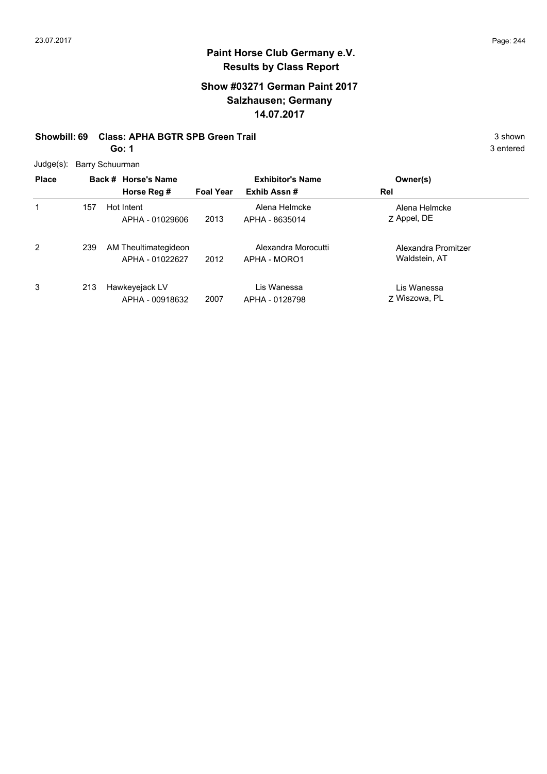#### **Show #03271 German Paint 2017 Salzhausen; Germany 14.07.2017**

#### **Showbill: 69 Class: APHA BGTR SPB Green Trail 3 shown 3 shown 3 shown**

**Go: 1**

Judge(s): Barry Schuurman

| $0$ uuy $0$ ( $J$ ). |     | <b>Daily Ochuumian</b> |                  |                         |                     |  |
|----------------------|-----|------------------------|------------------|-------------------------|---------------------|--|
| <b>Place</b>         |     | Back # Horse's Name    |                  | <b>Exhibitor's Name</b> | Owner(s)            |  |
|                      |     | Horse Reg #            | <b>Foal Year</b> | Exhib Assn#             | Rel                 |  |
|                      | 157 | Hot Intent             |                  | Alena Helmcke           | Alena Helmcke       |  |
|                      |     | APHA - 01029606        | 2013             | APHA - 8635014          | Z Appel, DE         |  |
| 2                    | 239 | AM Theultimategideon   |                  | Alexandra Morocutti     | Alexandra Promitzer |  |
|                      |     | APHA - 01022627        | 2012             | APHA - MORO1            | Waldstein, AT       |  |
| 3                    | 213 | Hawkeyejack LV         |                  | Lis Wanessa             | Lis Wanessa         |  |
|                      |     | APHA - 00918632        | 2007             | APHA - 0128798          | 7 Wiszowa, PL       |  |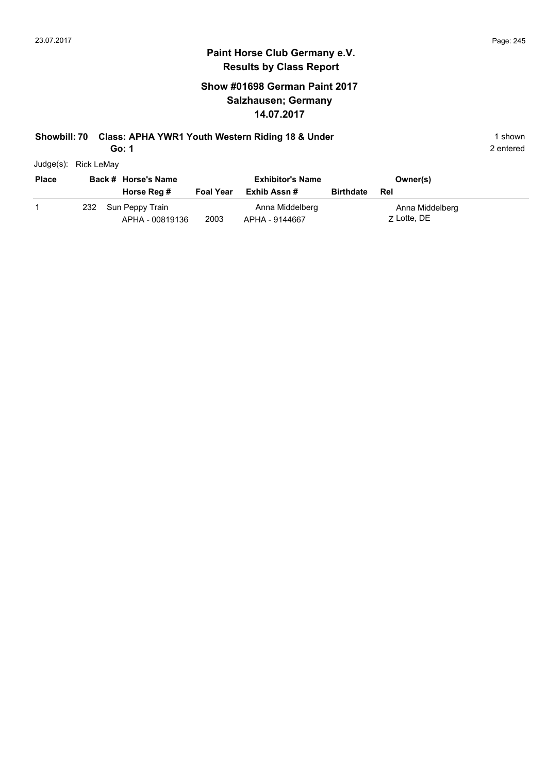#### **Show #01698 German Paint 2017 Salzhausen; Germany 14.07.2017**

# **Showbill: 70 Class: APHA YWR1 Youth Western Riding 18 & Under** 1 Shown 1 shown

**Go: 1**

| Judge(s): | Rick LeMay |  |
|-----------|------------|--|

| <b>Place</b> |     | Back # Horse's Name                |                  | <b>Exhibitor's Name</b>           |                  | Owner(s)                       |
|--------------|-----|------------------------------------|------------------|-----------------------------------|------------------|--------------------------------|
|              |     | Horse Reg #                        | <b>Foal Year</b> | Exhib Assn #                      | <b>Birthdate</b> | Rel                            |
|              | 232 | Sun Peppy Train<br>APHA - 00819136 | 2003             | Anna Middelberg<br>APHA - 9144667 |                  | Anna Middelberg<br>7 Lotte, DE |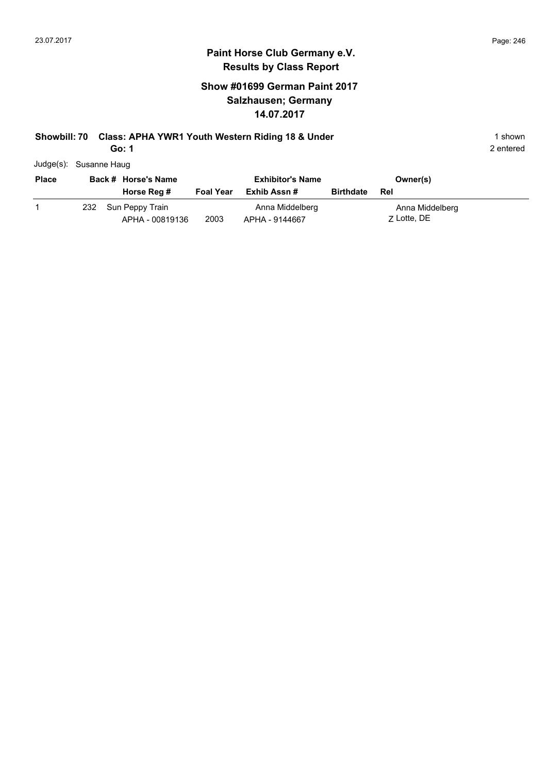#### **Show #01699 German Paint 2017 Salzhausen; Germany 14.07.2017**

# **Showbill: 70 Class: APHA YWR1 Youth Western Riding 18 & Under** 1 Shown 1 shown

**Go: 1**

| Judge(s): Susanne Haug |
|------------------------|
|                        |

| <b>Place</b> |     | Back # Horse's Name                |                  | <b>Exhibitor's Name</b>           |                  | Owner(s)                       |
|--------------|-----|------------------------------------|------------------|-----------------------------------|------------------|--------------------------------|
|              |     | Horse Reg #                        | <b>Foal Year</b> | Exhib Assn #                      | <b>Birthdate</b> | Rel                            |
|              | 232 | Sun Peppy Train<br>APHA - 00819136 | 2003             | Anna Middelberg<br>APHA - 9144667 |                  | Anna Middelberg<br>7 Lotte, DE |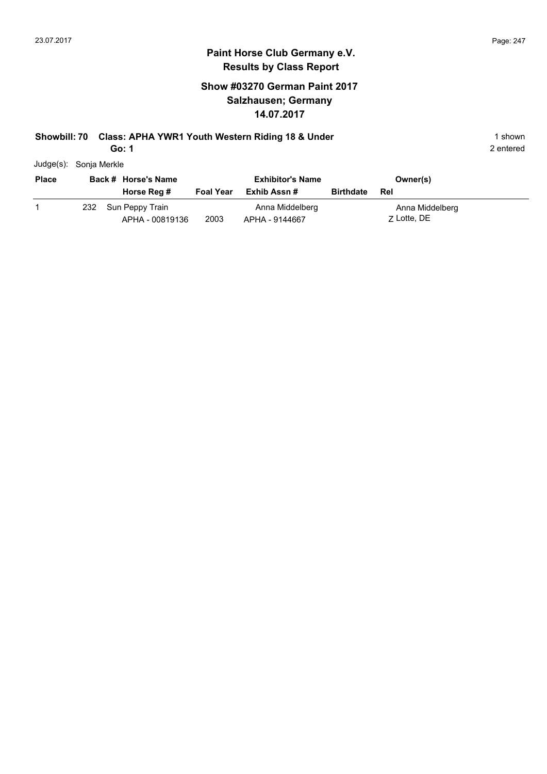#### **Show #03270 German Paint 2017 Salzhausen; Germany 14.07.2017**

# **Showbill: 70 Class: APHA YWR1 Youth Western Riding 18 & Under** 1 Shown 1 shown

**Go: 1**

| Judge(s): | Sonja Merkle |
|-----------|--------------|
|           |              |

| <b>Place</b> |     | Back # Horse's Name                |                  | <b>Exhibitor's Name</b>           |                  | Owner(s)                       |
|--------------|-----|------------------------------------|------------------|-----------------------------------|------------------|--------------------------------|
|              |     | Horse Reg #                        | <b>Foal Year</b> | Exhib Assn #                      | <b>Birthdate</b> | Rel                            |
|              | 232 | Sun Peppy Train<br>APHA - 00819136 | 2003             | Anna Middelberg<br>APHA - 9144667 |                  | Anna Middelberg<br>7 Lotte, DE |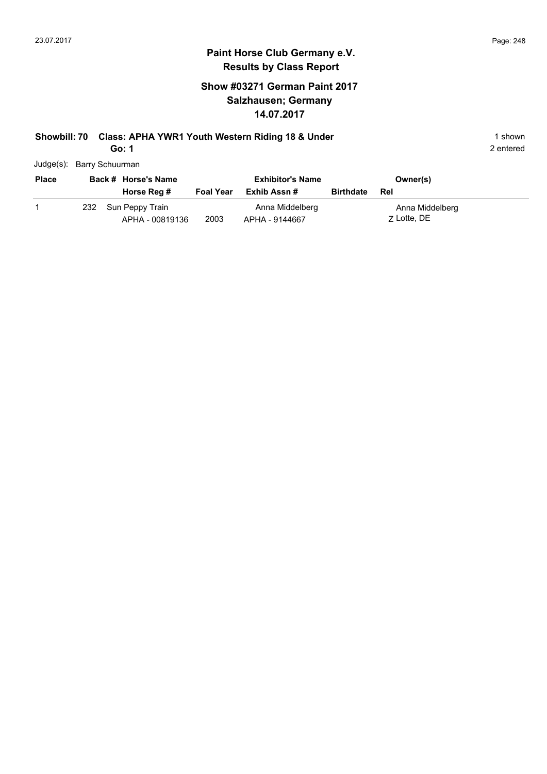#### **Show #03271 German Paint 2017 Salzhausen; Germany 14.07.2017**

# **Showbill: 70 Class: APHA YWR1 Youth Western Riding 18 & Under** 1 Shown 1 shown

**Go: 1**

| Judge(s): Barry Schuurman |  |
|---------------------------|--|
|                           |  |

| <b>Place</b> |     | Back # Horse's Name                |                  | <b>Exhibitor's Name</b>           |                  | Owner(s)                       |
|--------------|-----|------------------------------------|------------------|-----------------------------------|------------------|--------------------------------|
|              |     | Horse Reg #                        | <b>Foal Year</b> | Exhib Assn #                      | <b>Birthdate</b> | Rel                            |
|              | 232 | Sun Peppy Train<br>APHA - 00819136 | 2003             | Anna Middelberg<br>APHA - 9144667 |                  | Anna Middelberg<br>7 Lotte, DE |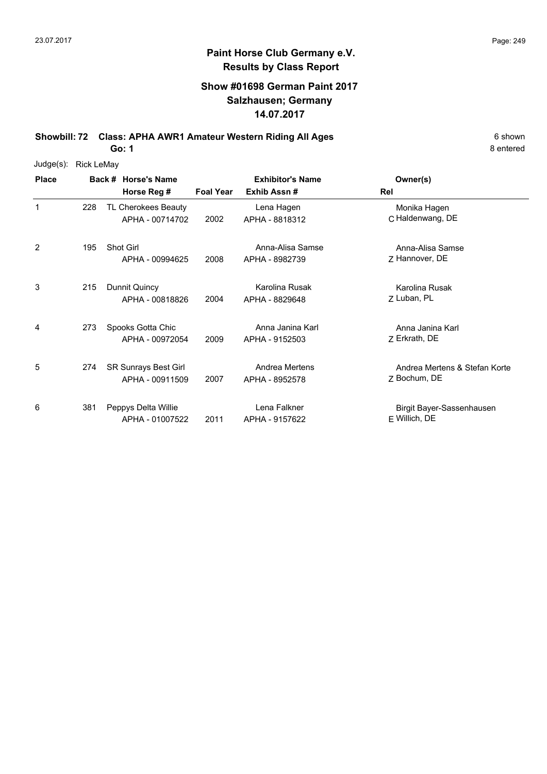#### **Show #01698 German Paint 2017 Salzhausen; Germany 14.07.2017**

**Showbill: 72 Class: APHA AWR1 Amateur Western Riding All Ages** 6 shown

**Go: 1**

| Judge(s):    | <b>Rick LeMay</b> |                                         |                  |                                    |                                               |
|--------------|-------------------|-----------------------------------------|------------------|------------------------------------|-----------------------------------------------|
| <b>Place</b> |                   | Back # Horse's Name                     |                  | <b>Exhibitor's Name</b>            | Owner(s)                                      |
|              |                   | Horse Reg #                             | <b>Foal Year</b> | Exhib Assn#                        | Rel                                           |
| 1            | 228               | TL Cherokees Beauty<br>APHA - 00714702  | 2002             | Lena Hagen<br>APHA - 8818312       | Monika Hagen<br>C Haldenwang, DE              |
| 2            | 195               | Shot Girl<br>APHA - 00994625            | 2008             | Anna-Alisa Samse<br>APHA - 8982739 | Anna-Alisa Samse<br>Z Hannover, DE            |
| 3            | 215               | Dunnit Quincy<br>APHA - 00818826        | 2004             | Karolina Rusak<br>APHA - 8829648   | Karolina Rusak<br>Z Luban, PL                 |
| 4            | 273               | Spooks Gotta Chic<br>APHA - 00972054    | 2009             | Anna Janina Karl<br>APHA - 9152503 | Anna Janina Karl<br>Z Erkrath, DE             |
| 5            | 274               | SR Sunrays Best Girl<br>APHA - 00911509 | 2007             | Andrea Mertens<br>APHA - 8952578   | Andrea Mertens & Stefan Korte<br>Z Bochum, DE |
| 6            | 381               | Peppys Delta Willie<br>APHA - 01007522  | 2011             | Lena Falkner<br>APHA - 9157622     | Birgit Bayer-Sassenhausen<br>$E$ Willich, DE  |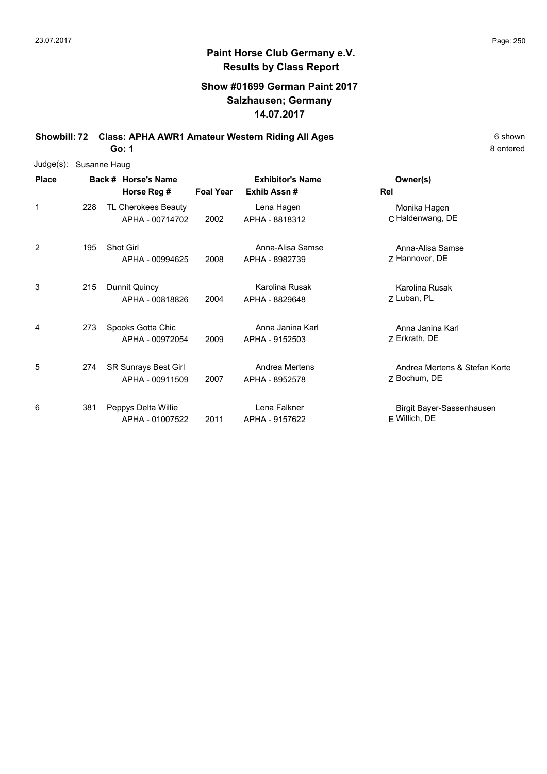#### **Show #01699 German Paint 2017 Salzhausen; Germany 14.07.2017**

**Showbill: 72 Class: APHA AWR1 Amateur Western Riding All Ages** 6 Shown

**Go: 1**

| Judge(s):    |     | Susanne Haug                                   |                  |                                        |                                               |
|--------------|-----|------------------------------------------------|------------------|----------------------------------------|-----------------------------------------------|
| <b>Place</b> |     | Back # Horse's Name<br>Horse Reg #             | <b>Foal Year</b> | <b>Exhibitor's Name</b><br>Exhib Assn# | Owner(s)<br>Rel                               |
| 1            | 228 | TL Cherokees Beauty<br>APHA - 00714702         | 2002             | Lena Hagen<br>APHA - 8818312           | Monika Hagen<br>C Haldenwang, DE              |
| 2            | 195 | Shot Girl<br>APHA - 00994625                   | 2008             | Anna-Alisa Samse<br>APHA - 8982739     | Anna-Alisa Samse<br>Z Hannover, DE            |
| 3            | 215 | Dunnit Quincy<br>APHA - 00818826               | 2004             | Karolina Rusak<br>APHA - 8829648       | Karolina Rusak<br>Z Luban, PL                 |
| 4            | 273 | Spooks Gotta Chic<br>APHA - 00972054           | 2009             | Anna Janina Karl<br>APHA - 9152503     | Anna Janina Karl<br>Z Erkrath, DE             |
| 5            | 274 | <b>SR Sunrays Best Girl</b><br>APHA - 00911509 | 2007             | Andrea Mertens<br>APHA - 8952578       | Andrea Mertens & Stefan Korte<br>Z Bochum, DE |
| 6            | 381 | Peppys Delta Willie<br>APHA - 01007522         | 2011             | Lena Falkner<br>APHA - 9157622         | Birgit Bayer-Sassenhausen<br>E Willich, DE    |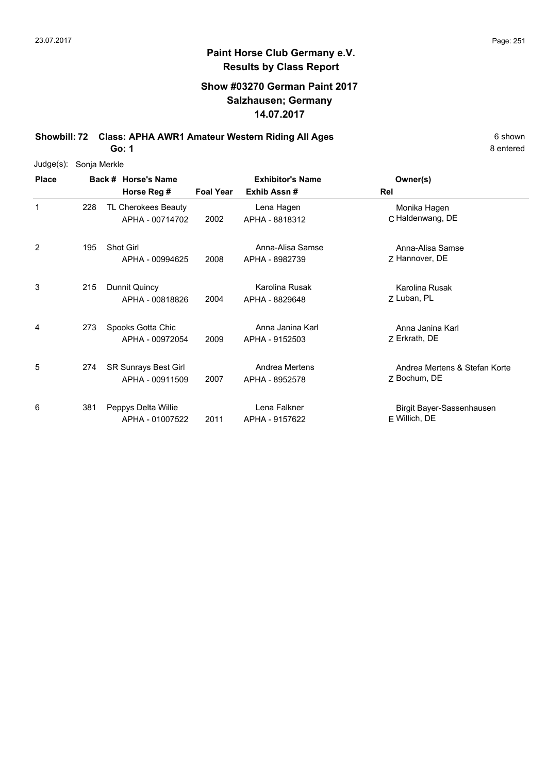#### **Show #03270 German Paint 2017 Salzhausen; Germany 14.07.2017**

**Showbill: 72 Class: APHA AWR1 Amateur Western Riding All Ages** 6 shown

**Go: 1**

| Judge(s):    | Sonja Merkle |                                         |                  |                                    |                                               |
|--------------|--------------|-----------------------------------------|------------------|------------------------------------|-----------------------------------------------|
| <b>Place</b> |              | Back # Horse's Name                     |                  | <b>Exhibitor's Name</b>            | Owner(s)                                      |
|              |              | Horse Reg #                             | <b>Foal Year</b> | Exhib Assn#                        | Rel                                           |
| 1            | 228          | TL Cherokees Beauty<br>APHA - 00714702  | 2002             | Lena Hagen<br>APHA - 8818312       | Monika Hagen<br>C Haldenwang, DE              |
| 2            | 195          | Shot Girl<br>APHA - 00994625            | 2008             | Anna-Alisa Samse<br>APHA - 8982739 | Anna-Alisa Samse<br>Z Hannover, DE            |
| 3            | 215          | Dunnit Quincy<br>APHA - 00818826        | 2004             | Karolina Rusak<br>APHA - 8829648   | Karolina Rusak<br>Z Luban, PL                 |
| 4            | 273          | Spooks Gotta Chic<br>APHA - 00972054    | 2009             | Anna Janina Karl<br>APHA - 9152503 | Anna Janina Karl<br>Z Erkrath, DE             |
| 5            | 274          | SR Sunrays Best Girl<br>APHA - 00911509 | 2007             | Andrea Mertens<br>APHA - 8952578   | Andrea Mertens & Stefan Korte<br>Z Bochum, DE |
| 6            | 381          | Peppys Delta Willie<br>APHA - 01007522  | 2011             | Lena Falkner<br>APHA - 9157622     | Birgit Bayer-Sassenhausen<br>E Willich, DE    |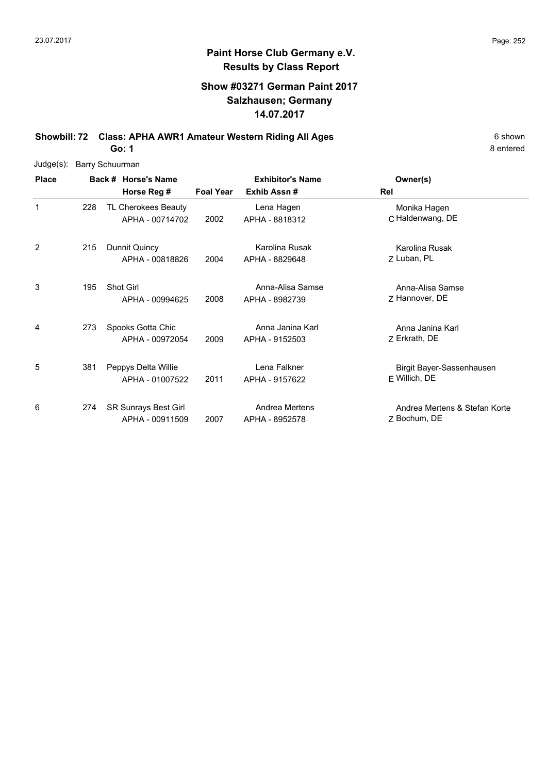#### **Show #03271 German Paint 2017 Salzhausen; Germany 14.07.2017**

**Showbill: 72 Class: APHA AWR1 Amateur Western Riding All Ages** 6 Shown

**Go: 1**

| Judge(s):    |     | <b>Barry Schuurman</b>                         |                  |                                        |                                               |
|--------------|-----|------------------------------------------------|------------------|----------------------------------------|-----------------------------------------------|
| <b>Place</b> |     | Back # Horse's Name<br>Horse Reg #             | <b>Foal Year</b> | <b>Exhibitor's Name</b><br>Exhib Assn# | Owner(s)<br>Rel                               |
| 1            | 228 | TL Cherokees Beauty<br>APHA - 00714702         | 2002             | Lena Hagen<br>APHA - 8818312           | Monika Hagen<br>C Haldenwang, DE              |
| 2            | 215 | Dunnit Quincy<br>APHA - 00818826               | 2004             | Karolina Rusak<br>APHA - 8829648       | Karolina Rusak<br>Z Luban, PL                 |
| 3            | 195 | <b>Shot Girl</b><br>APHA - 00994625            | 2008             | Anna-Alisa Samse<br>APHA - 8982739     | Anna-Alisa Samse<br>Z Hannover, DE            |
| 4            | 273 | Spooks Gotta Chic<br>APHA - 00972054           | 2009             | Anna Janina Karl<br>APHA - 9152503     | Anna Janina Karl<br>Z Erkrath, DE             |
| 5            | 381 | Peppys Delta Willie<br>APHA - 01007522         | 2011             | Lena Falkner<br>APHA - 9157622         | Birgit Bayer-Sassenhausen<br>E Willich, DE    |
| 6            | 274 | <b>SR Sunrays Best Girl</b><br>APHA - 00911509 | 2007             | Andrea Mertens<br>APHA - 8952578       | Andrea Mertens & Stefan Korte<br>7 Bochum, DE |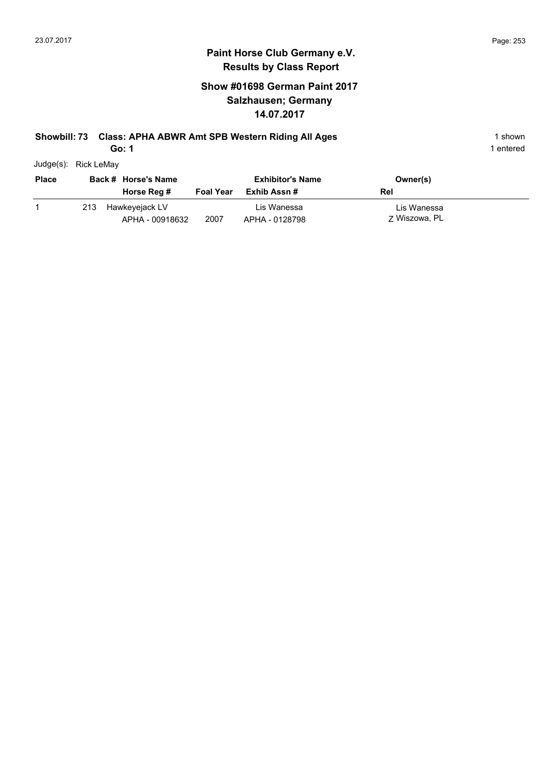### **Show #01698 German Paint 2017 Salzhausen; Germany 14.07.2017**

### **Showbill: 73 Class: APHA ABWR Amt SPB Western Riding All Ages** 1 shown

**Go: 1**

| Judge(s): | Rick LeMay |
|-----------|------------|

| <b>Place</b> | Back # Horse's Name |                                   | <b>Exhibitor's Name</b> |                               | Owner(s)                     |
|--------------|---------------------|-----------------------------------|-------------------------|-------------------------------|------------------------------|
|              |                     | Horse Reg #                       | <b>Foal Year</b>        | Exhib Assn #                  | Rel                          |
|              | 213                 | Hawkeyejack LV<br>APHA - 00918632 | 2007                    | Lis Wanessa<br>APHA - 0128798 | Lis Wanessa<br>7 Wiszowa, PL |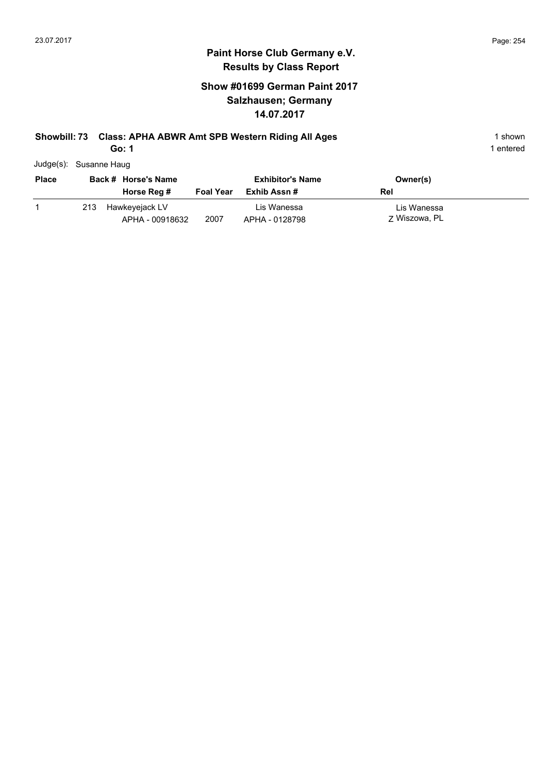### **Show #01699 German Paint 2017 Salzhausen; Germany 14.07.2017**

# **Showbill: 73 Class: APHA ABWR Amt SPB Western Riding All Ages** 1 shown

**Go: 1**

| Judge(s): Susanne Haug |
|------------------------|
|                        |

| <b>Place</b> | Back # Horse's Name |                                   | <b>Exhibitor's Name</b> |                               | Owner(s)                     |
|--------------|---------------------|-----------------------------------|-------------------------|-------------------------------|------------------------------|
|              |                     | Horse Reg #                       | <b>Foal Year</b>        | Exhib Assn #                  | Rel                          |
|              | 213                 | Hawkeyejack LV<br>APHA - 00918632 | 2007                    | Lis Wanessa<br>APHA - 0128798 | Lis Wanessa<br>7 Wiszowa, PL |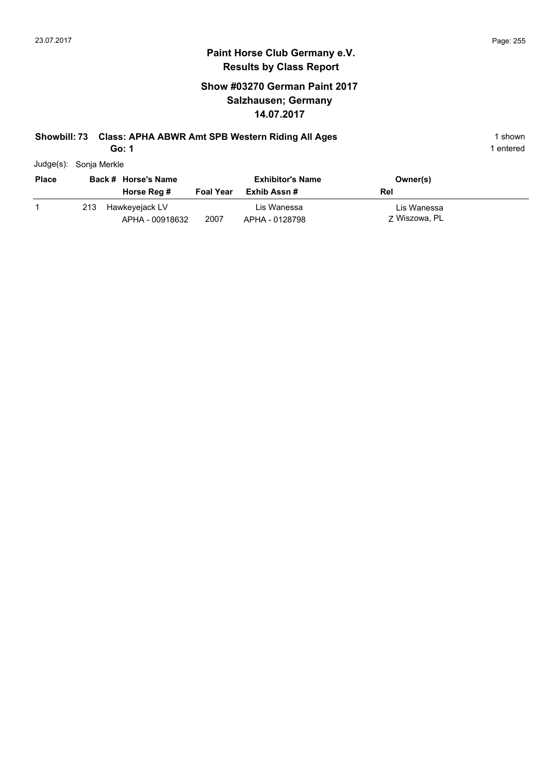### **Show #03270 German Paint 2017 Salzhausen; Germany 14.07.2017**

### **Showbill: 73 Class: APHA ABWR Amt SPB Western Riding All Ages** 1 shown

**Go: 1**

| Judge(s): | Sonja Merkle |
|-----------|--------------|
|           |              |

| <b>Place</b> | Back # Horse's Name |                                   | <b>Exhibitor's Name</b> |                               | Owner(s)                     |
|--------------|---------------------|-----------------------------------|-------------------------|-------------------------------|------------------------------|
|              |                     | Horse Reg #                       | <b>Foal Year</b>        | Exhib Assn #                  | Rel                          |
|              | 213                 | Hawkeyejack LV<br>APHA - 00918632 | 2007                    | Lis Wanessa<br>APHA - 0128798 | Lis Wanessa<br>7 Wiszowa, PL |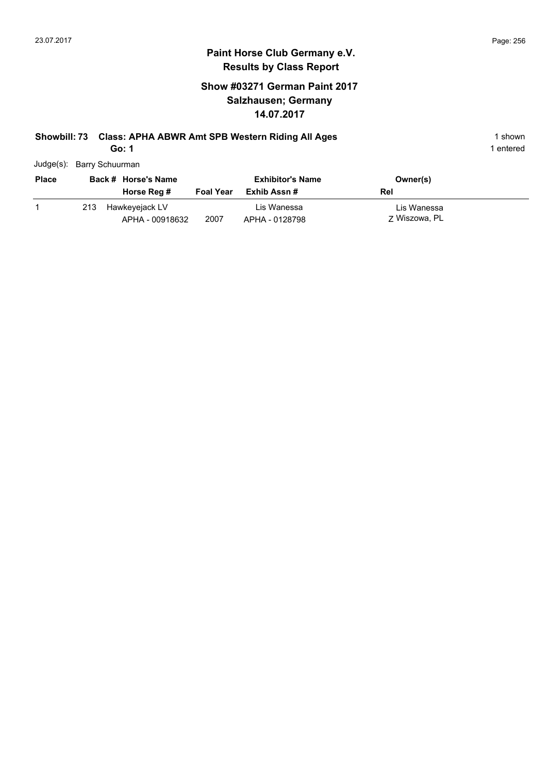### **Show #03271 German Paint 2017 Salzhausen; Germany 14.07.2017**

# **Showbill: 73 Class: APHA ABWR Amt SPB Western Riding All Ages** 1 shown

**Go: 1**

| Judge(s): Barry Schuurman |  |
|---------------------------|--|
|                           |  |

| <b>Place</b> | Back # Horse's Name |                                   | <b>Exhibitor's Name</b> |                               | Owner(s)                     |
|--------------|---------------------|-----------------------------------|-------------------------|-------------------------------|------------------------------|
|              |                     | Horse Reg #                       | <b>Foal Year</b>        | Exhib Assn #                  | Rel                          |
|              | 213                 | Hawkeyejack LV<br>APHA - 00918632 | 2007                    | Lis Wanessa<br>APHA - 0128798 | Lis Wanessa<br>7 Wiszowa, PL |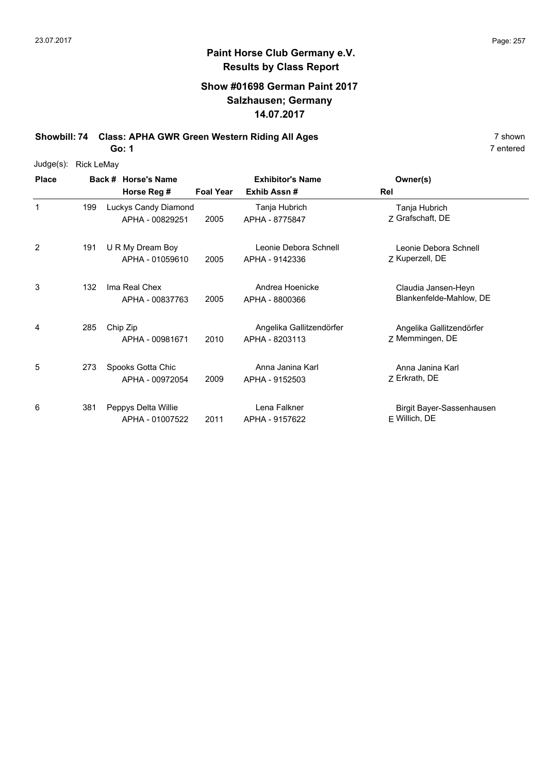### **Show #01698 German Paint 2017 Salzhausen; Germany 14.07.2017**

**Showbill: 74 Class: APHA GWR Green Western Riding All Ages** 7 shown

**Go: 1**

| Judge(s):    | <b>Rick LeMay</b> |                                         |                  |                                            |                                                |
|--------------|-------------------|-----------------------------------------|------------------|--------------------------------------------|------------------------------------------------|
| <b>Place</b> |                   | Back # Horse's Name                     |                  | <b>Exhibitor's Name</b>                    | Owner(s)                                       |
|              |                   | Horse Reg #                             | <b>Foal Year</b> | Exhib Assn#                                | Rel                                            |
| $\mathbf{1}$ | 199               | Luckys Candy Diamond<br>APHA - 00829251 | 2005             | Tanja Hubrich<br>APHA - 8775847            | Tanja Hubrich<br>Z Grafschaft, DE              |
| 2            | 191               | U R My Dream Boy<br>APHA - 01059610     | 2005             | Leonie Debora Schnell<br>APHA - 9142336    | Leonie Debora Schnell<br>Z Kuperzell, DE       |
| 3            | 132               | Ima Real Chex<br>APHA - 00837763        | 2005             | Andrea Hoenicke<br>APHA - 8800366          | Claudia Jansen-Heyn<br>Blankenfelde-Mahlow, DE |
| 4            | 285               | Chip Zip<br>APHA - 00981671             | 2010             | Angelika Gallitzendörfer<br>APHA - 8203113 | Angelika Gallitzendörfer<br>Z Memmingen, DE    |
| 5            | 273               | Spooks Gotta Chic<br>APHA - 00972054    | 2009             | Anna Janina Karl<br>APHA - 9152503         | Anna Janina Karl<br>Z Erkrath, DE              |
| 6            | 381               | Peppys Delta Willie<br>APHA - 01007522  | 2011             | Lena Falkner<br>APHA - 9157622             | Birgit Bayer-Sassenhausen<br>F Willich, DE     |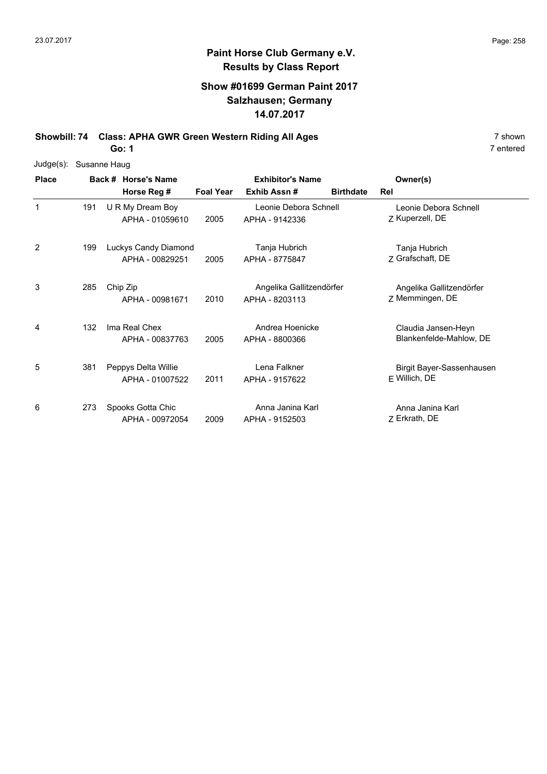### **Show #01699 German Paint 2017 Salzhausen; Germany 14.07.2017**

**Showbill: 74 Class: APHA GWR Green Western Riding All Ages** 7 shown

**Go: 1**

| $Judge(s)$ : |     | Susanne Haug                            |                  |                                            |                  |                                                |
|--------------|-----|-----------------------------------------|------------------|--------------------------------------------|------------------|------------------------------------------------|
| <b>Place</b> |     | Back # Horse's Name                     |                  | <b>Exhibitor's Name</b>                    |                  | Owner(s)                                       |
|              |     | Horse Reg #                             | <b>Foal Year</b> | Exhib Assn#                                | <b>Birthdate</b> | Rel                                            |
| $\mathbf{1}$ | 191 | U R My Dream Boy<br>APHA - 01059610     | 2005             | Leonie Debora Schnell<br>APHA - 9142336    |                  | Leonie Debora Schnell<br>Z Kuperzell, DE       |
| 2            | 199 | Luckys Candy Diamond<br>APHA - 00829251 | 2005             | Tanja Hubrich<br>APHA - 8775847            |                  | Tanja Hubrich<br>Z Grafschaft, DE              |
| 3            | 285 | Chip Zip<br>APHA - 00981671             | 2010             | Angelika Gallitzendörfer<br>APHA - 8203113 |                  | Angelika Gallitzendörfer<br>Z Memmingen, DE    |
| 4            | 132 | Ima Real Chex<br>APHA - 00837763        | 2005             | Andrea Hoenicke<br>APHA - 8800366          |                  | Claudia Jansen-Heyn<br>Blankenfelde-Mahlow, DE |
| 5            | 381 | Peppys Delta Willie<br>APHA - 01007522  | 2011             | Lena Falkner<br>APHA - 9157622             |                  | Birgit Bayer-Sassenhausen<br>F Willich, DE     |
| 6            | 273 | Spooks Gotta Chic<br>APHA - 00972054    | 2009             | Anna Janina Karl<br>APHA - 9152503         |                  | Anna Janina Karl<br>Z Erkrath, DE              |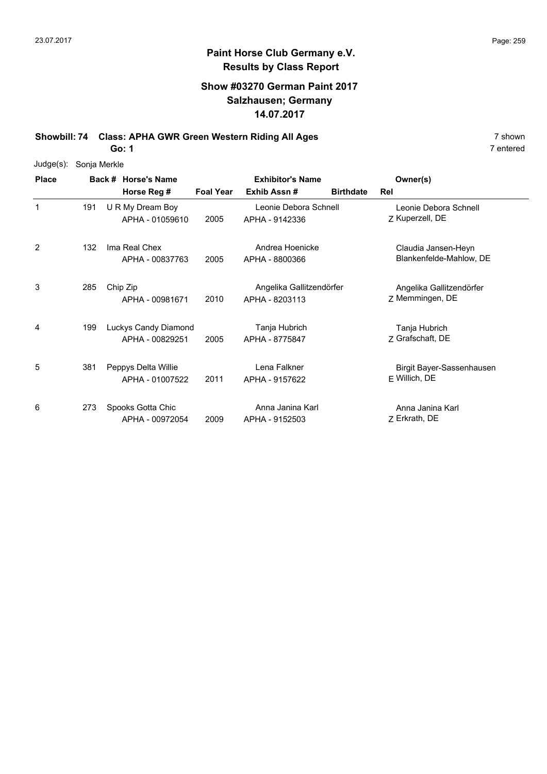### **Show #03270 German Paint 2017 Salzhausen; Germany 14.07.2017**

**Showbill: 74 Class: APHA GWR Green Western Riding All Ages** 7 shown

**Go: 1**

| $Judge(s)$ : | Sonja Merkle |                                         |                         |                                            |                  |                                                |
|--------------|--------------|-----------------------------------------|-------------------------|--------------------------------------------|------------------|------------------------------------------------|
| <b>Place</b> |              | Back # Horse's Name                     | <b>Exhibitor's Name</b> |                                            |                  | Owner(s)                                       |
|              |              | Horse Reg #                             | <b>Foal Year</b>        | Exhib Assn#                                | <b>Birthdate</b> | Rel                                            |
| 1            | 191          | U R My Dream Boy<br>APHA - 01059610     | 2005                    | Leonie Debora Schnell<br>APHA - 9142336    |                  | Leonie Debora Schnell<br>Z Kuperzell, DE       |
| 2            | 132          | Ima Real Chex<br>APHA - 00837763        | 2005                    | Andrea Hoenicke<br>APHA - 8800366          |                  | Claudia Jansen-Heyn<br>Blankenfelde-Mahlow, DE |
| 3            | 285          | Chip Zip<br>APHA - 00981671             | 2010                    | Angelika Gallitzendörfer<br>APHA - 8203113 |                  | Angelika Gallitzendörfer<br>Z Memmingen, DE    |
| 4            | 199          | Luckys Candy Diamond<br>APHA - 00829251 | 2005                    | Tanja Hubrich<br>APHA - 8775847            |                  | Tanja Hubrich<br>7 Grafschaft, DE              |
| 5            | 381          | Peppys Delta Willie<br>APHA - 01007522  | 2011                    | Lena Falkner<br>APHA - 9157622             |                  | Birgit Bayer-Sassenhausen<br>F Willich, DE     |
| 6            | 273          | Spooks Gotta Chic<br>APHA - 00972054    | 2009                    | Anna Janina Karl<br>APHA - 9152503         |                  | Anna Janina Karl<br>Z Erkrath, DE              |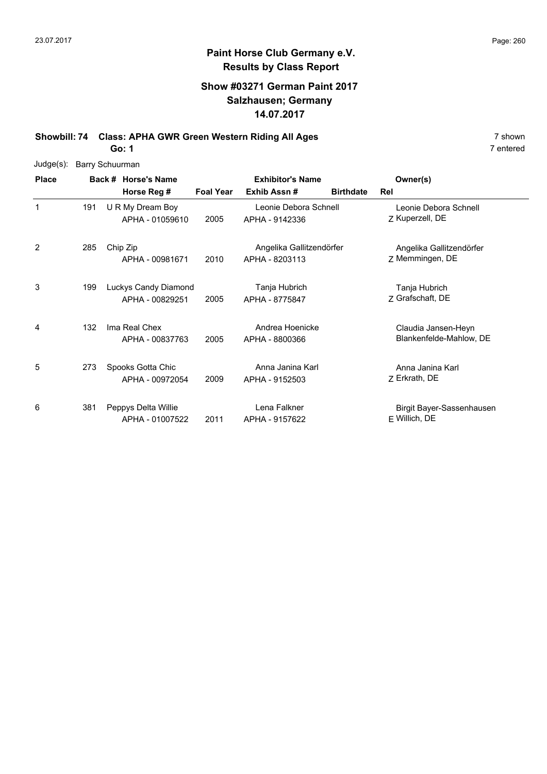### **Show #03271 German Paint 2017 Salzhausen; Germany 14.07.2017**

**Showbill: 74 Class: APHA GWR Green Western Riding All Ages** 7 shown

**Go: 1**

| Judge(s):    | <b>Barry Schuurman</b> |  |                                         |                         |                                            |                  |                                                |
|--------------|------------------------|--|-----------------------------------------|-------------------------|--------------------------------------------|------------------|------------------------------------------------|
| <b>Place</b> | Back # Horse's Name    |  |                                         | <b>Exhibitor's Name</b> |                                            |                  | Owner(s)                                       |
|              |                        |  | Horse Reg #                             | <b>Foal Year</b>        | Exhib Assn#                                | <b>Birthdate</b> | Rel                                            |
| 1            | 191                    |  | U R My Dream Boy<br>APHA - 01059610     | 2005                    | Leonie Debora Schnell<br>APHA - 9142336    |                  | Leonie Debora Schnell<br>Z Kuperzell, DE       |
| 2            | 285                    |  | Chip Zip<br>APHA - 00981671             | 2010                    | Angelika Gallitzendörfer<br>APHA - 8203113 |                  | Angelika Gallitzendörfer<br>Z Memmingen, DE    |
| 3            | 199                    |  | Luckys Candy Diamond<br>APHA - 00829251 | 2005                    | Tanja Hubrich<br>APHA - 8775847            |                  | Tanja Hubrich<br>Z Grafschaft, DE              |
| 4            | 132                    |  | Ima Real Chex<br>APHA - 00837763        | 2005                    | Andrea Hoenicke<br>APHA - 8800366          |                  | Claudia Jansen-Heyn<br>Blankenfelde-Mahlow, DE |
| 5            | 273                    |  | Spooks Gotta Chic<br>APHA - 00972054    | 2009                    | Anna Janina Karl<br>APHA - 9152503         |                  | Anna Janina Karl<br>Z Erkrath, DE              |
| 6            | 381                    |  | Peppys Delta Willie<br>APHA - 01007522  | 2011                    | Lena Falkner<br>APHA - 9157622             |                  | Birgit Bayer-Sassenhausen<br>$F$ Willich, DE   |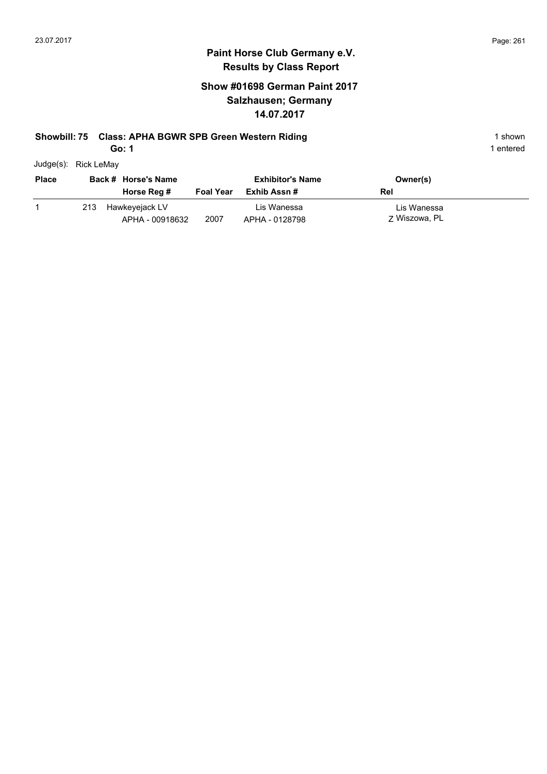### **Show #01698 German Paint 2017 Salzhausen; Germany 14.07.2017**

#### **Showbill: 75 Class: APHA BGWR SPB Green Western Riding 1 Shown 1 shown** 1 shown

**Go: 1**

| Judge(s): | <b>Rick LeMay</b> |
|-----------|-------------------|
|           |                   |

| <b>Place</b> |     | Back # Horse's Name<br>Horse Reg # | <b>Foal Year</b> | <b>Exhibitor's Name</b><br>Exhib Assn # | Owner(s)<br>Rel              |
|--------------|-----|------------------------------------|------------------|-----------------------------------------|------------------------------|
|              | 213 | Hawkeyejack LV<br>APHA - 00918632  | 2007             | Lis Wanessa<br>APHA - 0128798           | Lis Wanessa<br>7 Wiszowa, PL |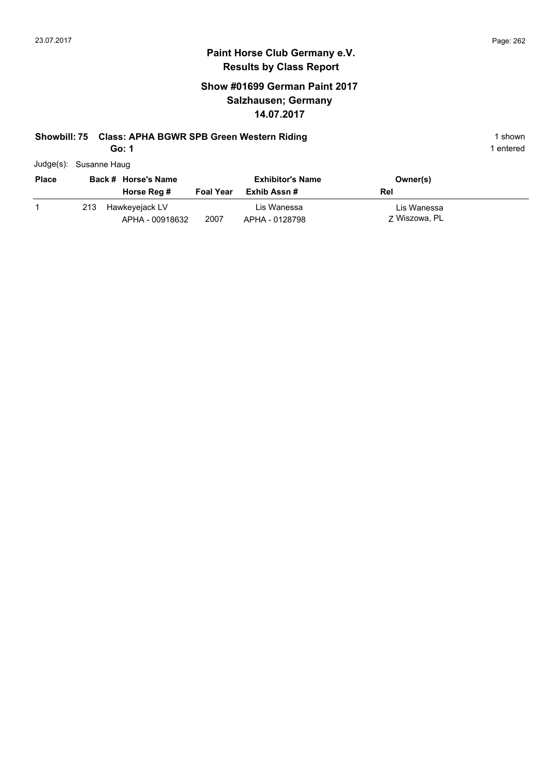### **Show #01699 German Paint 2017 Salzhausen; Germany 14.07.2017**

### **Showbill: 75 Class: APHA BGWR SPB Green Western Riding 1 Shown 1 shown** 1 shown

**Go: 1**

| Judge(s): Susanne Haug |  |
|------------------------|--|
|                        |  |

| <b>Place</b><br>Back # Horse's Name |     |                                   | <b>Exhibitor's Name</b> | Owner(s)                      |                              |
|-------------------------------------|-----|-----------------------------------|-------------------------|-------------------------------|------------------------------|
|                                     |     | Horse Reg #                       | <b>Foal Year</b>        | Exhib Assn #                  | Rel                          |
|                                     | 213 | Hawkeyejack LV<br>APHA - 00918632 | 2007                    | Lis Wanessa<br>APHA - 0128798 | Lis Wanessa<br>7 Wiszowa, PL |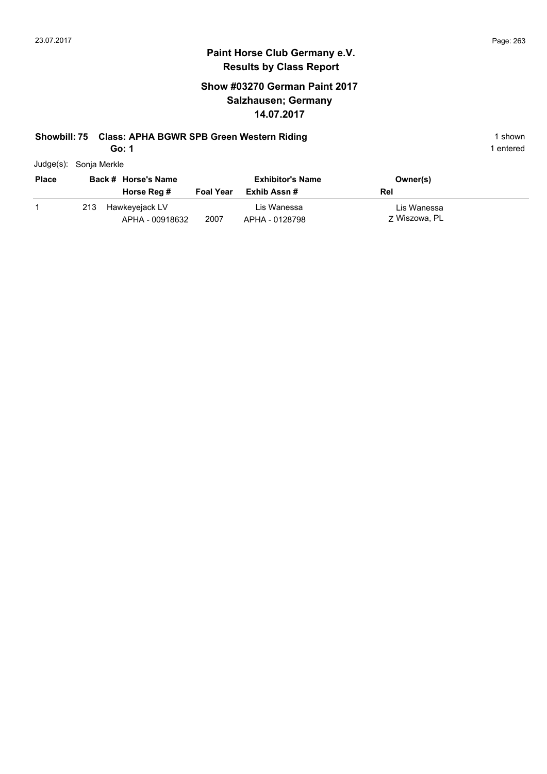### **Show #03270 German Paint 2017 Salzhausen; Germany 14.07.2017**

#### **Showbill: 75 Class: APHA BGWR SPB Green Western Riding 1 Shown 1 shown** 1 shown

**Go: 1**

| Judge(s): | Sonja Merkle |
|-----------|--------------|
|           |              |

| <b>Place</b> |     | Back # Horse's Name |                  | <b>Exhibitor's Name</b> | Owner(s)      |
|--------------|-----|---------------------|------------------|-------------------------|---------------|
|              |     | Horse Reg #         | <b>Foal Year</b> | Exhib Assn #            | Rel           |
|              | 213 | Hawkeyejack LV      |                  | Lis Wanessa             | Lis Wanessa   |
|              |     | APHA - 00918632     | 2007             | APHA - 0128798          | 7 Wiszowa, PL |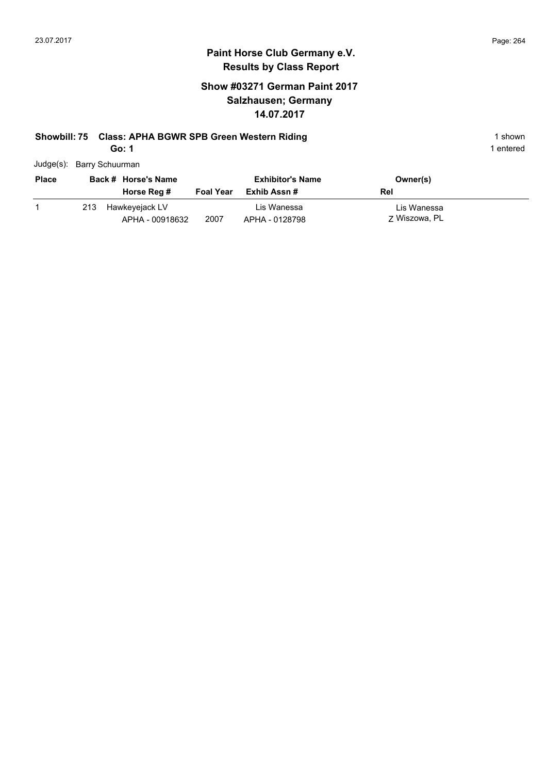1 entered

#### **Paint Horse Club Germany e.V. Results by Class Report**

### **Show #03271 German Paint 2017 Salzhausen; Germany 14.07.2017**

# **Showbill: 75 Class: APHA BGWR SPB Green Western Riding 1 Shown 1 shown**

| Judge(s): Barry Schuurman |
|---------------------------|

| <b>Place</b><br>Back # Horse's Name                     |                          | <b>Exhibitor's Name</b>                       | Owner(s)                            |  |
|---------------------------------------------------------|--------------------------|-----------------------------------------------|-------------------------------------|--|
| Horse Reg #<br>Hawkeyejack LV<br>213<br>APHA - 00918632 | <b>Foal Year</b><br>2007 | Exhib Assn #<br>Lis Wanessa<br>APHA - 0128798 | Rel<br>Lis Wanessa<br>7 Wiszowa, PL |  |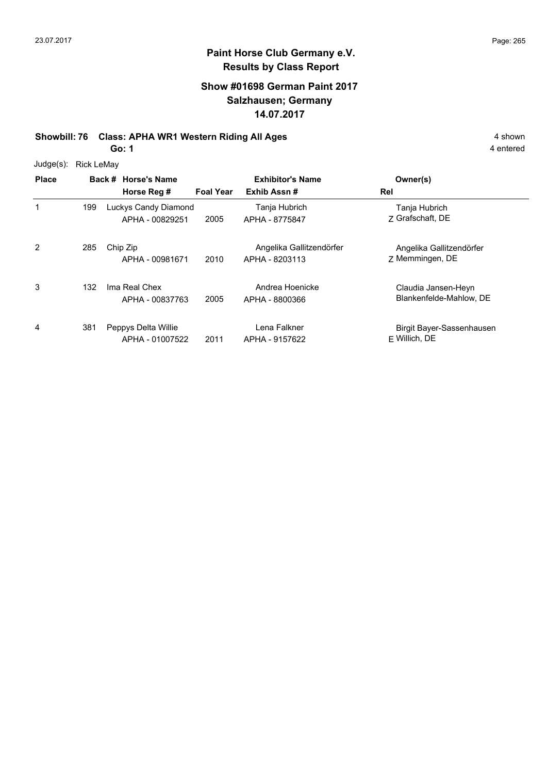### **Show #01698 German Paint 2017 Salzhausen; Germany 14.07.2017**

**Showbill: 76 Class: APHA WR1 Western Riding All Ages** 4 shown

**Go: 1**

| Judge(s): | Rick LeMay |
|-----------|------------|
|           |            |

| <b>Place</b> |     | Back # Horse's Name<br>Horse Reg #      | <b>Foal Year</b> | <b>Exhibitor's Name</b><br>Exhib Assn#     | Owner(s)<br>Rel                                |
|--------------|-----|-----------------------------------------|------------------|--------------------------------------------|------------------------------------------------|
| 1            | 199 | Luckys Candy Diamond<br>APHA - 00829251 | 2005             | Tanja Hubrich<br>APHA - 8775847            | Tanja Hubrich<br>7 Grafschaft, DE              |
| 2            | 285 | Chip Zip<br>APHA - 00981671             | 2010             | Angelika Gallitzendörfer<br>APHA - 8203113 | Angelika Gallitzendörfer<br>Z Memmingen, DE    |
| 3            | 132 | Ima Real Chex<br>APHA - 00837763        | 2005             | Andrea Hoenicke<br>APHA - 8800366          | Claudia Jansen-Heyn<br>Blankenfelde-Mahlow, DE |
| 4            | 381 | Peppys Delta Willie<br>APHA - 01007522  | 2011             | Lena Falkner<br>APHA - 9157622             | Birgit Bayer-Sassenhausen<br>$F$ Willich, DE   |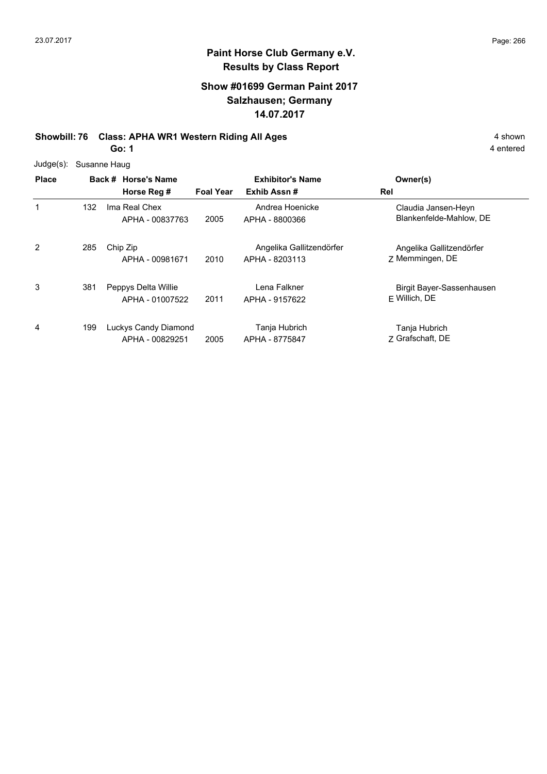### **Show #01699 German Paint 2017 Salzhausen; Germany 14.07.2017**

**Showbill: 76 Class: APHA WR1 Western Riding All Ages** 4 shown

**Go: 1**

| $Judge(s)$ : |     | Susanne Haug                            |                  |                                            |                                                |
|--------------|-----|-----------------------------------------|------------------|--------------------------------------------|------------------------------------------------|
| <b>Place</b> |     | Back # Horse's Name<br>Horse Reg #      | <b>Foal Year</b> | <b>Exhibitor's Name</b><br>Exhib Assn#     | Owner(s)<br>Rel                                |
|              | 132 | Ima Real Chex<br>APHA - 00837763        | 2005             | Andrea Hoenicke<br>APHA - 8800366          | Claudia Jansen-Heyn<br>Blankenfelde-Mahlow, DE |
| 2            | 285 | Chip Zip<br>APHA - 00981671             | 2010             | Angelika Gallitzendörfer<br>APHA - 8203113 | Angelika Gallitzendörfer<br>7 Memmingen, DE    |
| 3            | 381 | Peppys Delta Willie<br>APHA - 01007522  | 2011             | Lena Falkner<br>APHA - 9157622             | Birgit Bayer-Sassenhausen<br>$F$ Willich, DE   |
| 4            | 199 | Luckys Candy Diamond<br>APHA - 00829251 | 2005             | Tanja Hubrich<br>APHA - 8775847            | Tanja Hubrich<br>7 Grafschaft, DE              |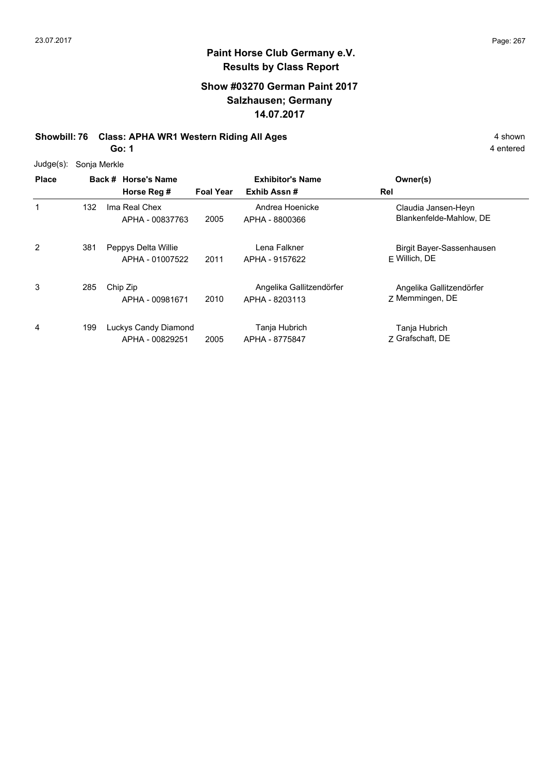### **Show #03270 German Paint 2017 Salzhausen; Germany 14.07.2017**

**Showbill: 76 Class: APHA WR1 Western Riding All Ages** 4 shown

**Go: 1**

| $Judge(s)$ : | Sonja Merkle |                                         |                  |                                            |                                                |  |  |
|--------------|--------------|-----------------------------------------|------------------|--------------------------------------------|------------------------------------------------|--|--|
| <b>Place</b> |              | Back # Horse's Name<br>Horse Reg #      | <b>Foal Year</b> | <b>Exhibitor's Name</b><br>Exhib Assn#     | Owner(s)<br>Rel                                |  |  |
| 1            | 132          | Ima Real Chex<br>APHA - 00837763        | 2005             | Andrea Hoenicke<br>APHA - 8800366          | Claudia Jansen-Heyn<br>Blankenfelde-Mahlow, DE |  |  |
| 2            | 381          | Peppys Delta Willie<br>APHA - 01007522  | 2011             | Lena Falkner<br>APHA - 9157622             | Birgit Bayer-Sassenhausen<br>F Willich, DE     |  |  |
| 3            | 285          | Chip Zip<br>APHA - 00981671             | 2010             | Angelika Gallitzendörfer<br>APHA - 8203113 | Angelika Gallitzendörfer<br>7 Memmingen, DE    |  |  |
| 4            | 199          | Luckys Candy Diamond<br>APHA - 00829251 | 2005             | Tanja Hubrich<br>APHA - 8775847            | Tanja Hubrich<br>7 Grafschaft, DE              |  |  |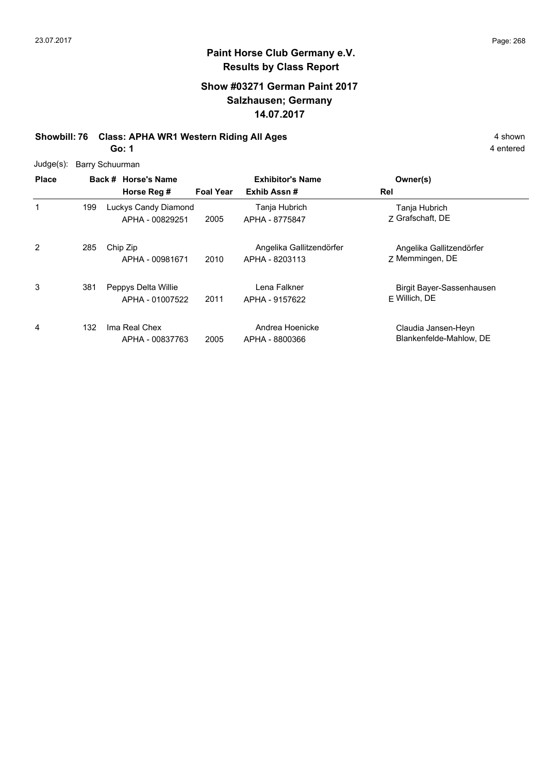### **Show #03271 German Paint 2017 Salzhausen; Germany 14.07.2017**

**Showbill: 76 Class: APHA WR1 Western Riding All Ages** 4 shown

**Go: 1**

|  | Judge(s): Barry Schuurman |  |
|--|---------------------------|--|
|--|---------------------------|--|

| <b>Place</b> |     | Back # Horse's Name                     |                  | <b>Exhibitor's Name</b>                    | Owner(s)                                       |
|--------------|-----|-----------------------------------------|------------------|--------------------------------------------|------------------------------------------------|
|              |     | Horse Reg #                             | <b>Foal Year</b> | Exhib Assn#                                | Rel                                            |
| 1            | 199 | Luckys Candy Diamond<br>APHA - 00829251 | 2005             | Tanja Hubrich<br>APHA - 8775847            | Tanja Hubrich<br>7 Grafschaft, DE              |
| 2            | 285 | Chip Zip<br>APHA - 00981671             | 2010             | Angelika Gallitzendörfer<br>APHA - 8203113 | Angelika Gallitzendörfer<br>7 Memmingen, DE    |
| 3            | 381 | Peppys Delta Willie<br>APHA - 01007522  | 2011             | Lena Falkner<br>APHA - 9157622             | Birgit Bayer-Sassenhausen<br>$F$ Willich, DE   |
| 4            | 132 | Ima Real Chex<br>APHA - 00837763        | 2005             | Andrea Hoenicke<br>APHA - 8800366          | Claudia Jansen-Heyn<br>Blankenfelde-Mahlow, DE |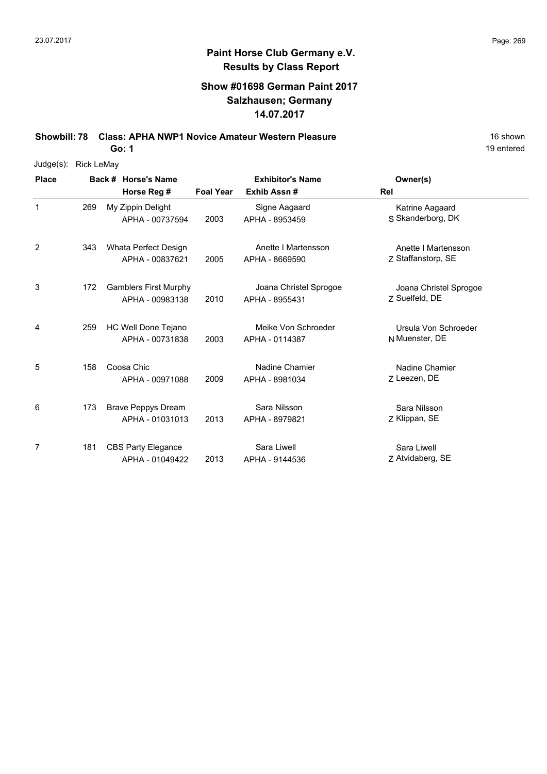### **Show #01698 German Paint 2017 Salzhausen; Germany 14.07.2017**

**Showbill: 78 Class: APHA NWP1 Novice Amateur Western Pleasure** 16 Shown 16 shown **Go: 1**

19 entered

Judge(s): Rick LeMay

| <b>Place</b> |     | Back # Horse's Name                             |                  | <b>Exhibitor's Name</b>                  | Owner(s)                                  |
|--------------|-----|-------------------------------------------------|------------------|------------------------------------------|-------------------------------------------|
|              |     | Horse Reg #                                     | <b>Foal Year</b> | Exhib Assn#                              | Rel                                       |
| $\mathbf{1}$ | 269 | My Zippin Delight<br>APHA - 00737594            | 2003             | Signe Aagaard<br>APHA - 8953459          | Katrine Aagaard<br>S Skanderborg, DK      |
| 2            | 343 | Whata Perfect Design<br>APHA - 00837621         | 2005             | Anette I Martensson<br>APHA - 8669590    | Anette I Martensson<br>Z Staffanstorp, SE |
| 3            | 172 | <b>Gamblers First Murphy</b><br>APHA - 00983138 | 2010             | Joana Christel Sprogoe<br>APHA - 8955431 | Joana Christel Sprogoe<br>7 Suelfeld, DE  |
| 4            | 259 | HC Well Done Tejano<br>APHA - 00731838          | 2003             | Meike Von Schroeder<br>APHA - 0114387    | Ursula Von Schroeder<br>N Muenster, DE    |
| 5            | 158 | Coosa Chic<br>APHA - 00971088                   | 2009             | Nadine Chamier<br>APHA - 8981034         | Nadine Chamier<br>7 Leezen, DE            |
| 6            | 173 | <b>Brave Peppys Dream</b><br>APHA - 01031013    | 2013             | Sara Nilsson<br>APHA - 8979821           | Sara Nilsson<br>Z Klippan, SE             |
| 7            | 181 | <b>CBS Party Elegance</b><br>APHA - 01049422    | 2013             | Sara Liwell<br>APHA - 9144536            | Sara Liwell<br>Z Atvidaberg, SE           |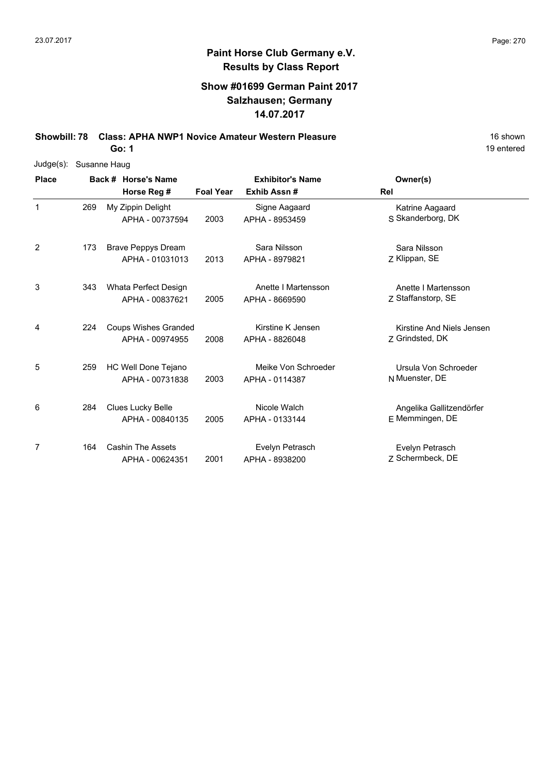### **Show #01699 German Paint 2017 Salzhausen; Germany 14.07.2017**

**Showbill: 78 Class: APHA NWP1 Novice Amateur Western Pleasure** 16 Shown

**Go: 1**

| Judge(s):    | Susanne Haug |                             |                  |                         |                           |
|--------------|--------------|-----------------------------|------------------|-------------------------|---------------------------|
| <b>Place</b> |              | Back # Horse's Name         |                  | <b>Exhibitor's Name</b> | Owner(s)                  |
|              |              | Horse Reg #                 | <b>Foal Year</b> | Exhib Assn#             | Rel                       |
| $\mathbf{1}$ | 269          | My Zippin Delight           |                  | Signe Aagaard           | Katrine Aagaard           |
|              |              | APHA - 00737594             | 2003             | APHA - 8953459          | S Skanderborg, DK         |
| 2            | 173          | <b>Brave Peppys Dream</b>   |                  | Sara Nilsson            | Sara Nilsson              |
|              |              | APHA - 01031013             | 2013             | APHA - 8979821          | Z Klippan, SE             |
| 3            | 343          | Whata Perfect Design        |                  | Anette I Martensson     | Anette I Martensson       |
|              |              | APHA - 00837621             | 2005             | APHA - 8669590          | Z Staffanstorp, SE        |
| 4            | 224          | <b>Coups Wishes Granded</b> |                  | Kirstine K Jensen       | Kirstine And Niels Jensen |
|              |              | APHA - 00974955             | 2008             | APHA - 8826048          | Z Grindsted, DK           |
| 5            | 259          | HC Well Done Tejano         |                  | Meike Von Schroeder     | Ursula Von Schroeder      |
|              |              | APHA - 00731838             | 2003             | APHA - 0114387          | N Muenster, DE            |
| 6            | 284          | Clues Lucky Belle           |                  | Nicole Walch            | Angelika Gallitzendörfer  |
|              |              | APHA - 00840135             | 2005             | APHA - 0133144          | E Memmingen, DE           |
| 7            | 164          | <b>Cashin The Assets</b>    |                  | Evelyn Petrasch         | Evelyn Petrasch           |
|              |              | APHA - 00624351             | 2001             | APHA - 8938200          | Z Schermbeck, DE          |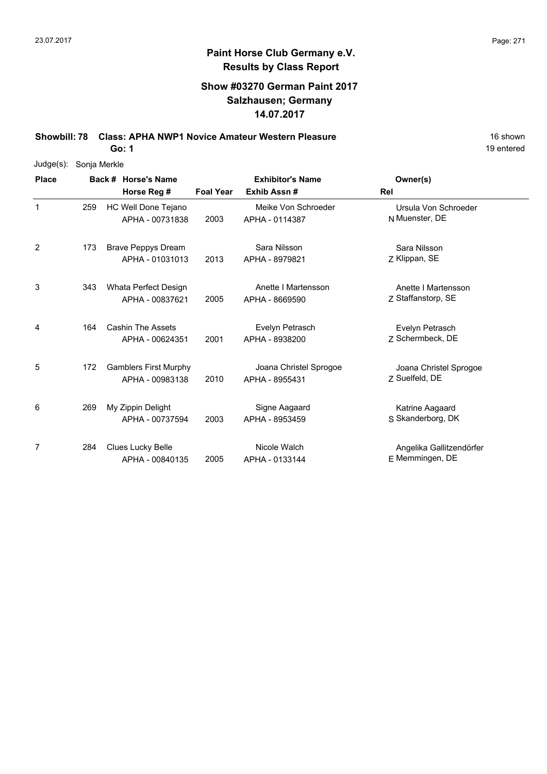### **Show #03270 German Paint 2017 Salzhausen; Germany 14.07.2017**

**Showbill: 78 Class: APHA NWP1 Novice Amateur Western Pleasure** 16 Shown

**Go: 1**

| Judge(s): Sonja Merkle |
|------------------------|
|                        |

| <b>Place</b>   |     | Back # Horse's Name                             | <b>Exhibitor's Name</b> |                                          | Owner(s)                                    |
|----------------|-----|-------------------------------------------------|-------------------------|------------------------------------------|---------------------------------------------|
|                |     | Horse Reg #                                     | <b>Foal Year</b>        | Exhib Assn #                             | Rel                                         |
| 1              | 259 | HC Well Done Tejano<br>APHA - 00731838          | 2003                    | Meike Von Schroeder<br>APHA - 0114387    | Ursula Von Schroeder<br>N Muenster, DE      |
| $\overline{2}$ | 173 | <b>Brave Peppys Dream</b><br>APHA - 01031013    | 2013                    | Sara Nilsson<br>APHA - 8979821           | Sara Nilsson<br>Z Klippan, SE               |
| 3              | 343 | Whata Perfect Design<br>APHA - 00837621         | 2005                    | Anette I Martensson<br>APHA - 8669590    | Anette I Martensson<br>Z Staffanstorp, SE   |
| 4              | 164 | <b>Cashin The Assets</b><br>APHA - 00624351     | 2001                    | Evelyn Petrasch<br>APHA - 8938200        | Evelyn Petrasch<br>Z Schermbeck, DE         |
| 5              | 172 | <b>Gamblers First Murphy</b><br>APHA - 00983138 | 2010                    | Joana Christel Sprogoe<br>APHA - 8955431 | Joana Christel Sprogoe<br>7 Suelfeld, DE    |
| 6              | 269 | My Zippin Delight<br>APHA - 00737594            | 2003                    | Signe Aagaard<br>APHA - 8953459          | Katrine Aagaard<br>S Skanderborg, DK        |
| 7              | 284 | Clues Lucky Belle<br>APHA - 00840135            | 2005                    | Nicole Walch<br>APHA - 0133144           | Angelika Gallitzendörfer<br>E Memmingen, DE |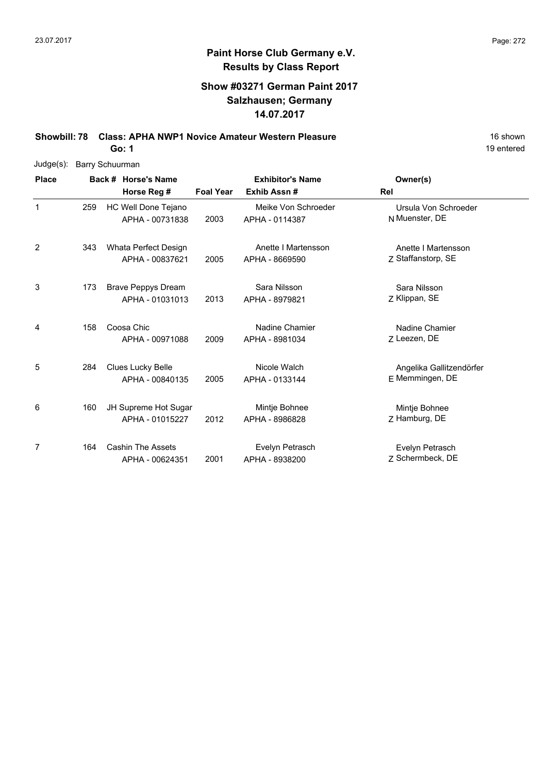### **Show #03271 German Paint 2017 Salzhausen; Germany 14.07.2017**

**Showbill: 78 Class: APHA NWP1 Novice Amateur Western Pleasure** 16 Shown

**Go: 1**

| Judge(s):    | <b>Barry Schuurman</b> |                           |                  |                         |                          |
|--------------|------------------------|---------------------------|------------------|-------------------------|--------------------------|
| <b>Place</b> |                        | Back # Horse's Name       |                  | <b>Exhibitor's Name</b> | Owner(s)                 |
|              |                        | Horse Reg #               | <b>Foal Year</b> | Exhib Assn#             | Rel                      |
| $\mathbf 1$  | 259                    | HC Well Done Tejano       |                  | Meike Von Schroeder     | Ursula Von Schroeder     |
|              |                        | APHA - 00731838           | 2003             | APHA - 0114387          | N Muenster, DE           |
| 2            | 343                    | Whata Perfect Design      |                  | Anette I Martensson     | Anette I Martensson      |
|              |                        | APHA - 00837621           | 2005             | APHA - 8669590          | Z Staffanstorp, SE       |
| 3            | 173                    | <b>Brave Peppys Dream</b> |                  | Sara Nilsson            | Sara Nilsson             |
|              |                        | APHA - 01031013           | 2013             | APHA - 8979821          | Z Klippan, SE            |
| 4            | 158                    | Coosa Chic                |                  | Nadine Chamier          | Nadine Chamier           |
|              |                        | APHA - 00971088           | 2009             | APHA - 8981034          | Z Leezen, DE             |
| 5            | 284                    | Clues Lucky Belle         |                  | Nicole Walch            | Angelika Gallitzendörfer |
|              |                        | APHA - 00840135           | 2005             | APHA - 0133144          | E Memmingen, DE          |
| 6            | 160                    | JH Supreme Hot Sugar      |                  | Mintje Bohnee           | Mintje Bohnee            |
|              |                        | APHA - 01015227           | 2012             | APHA - 8986828          | Z Hamburg, DE            |
| 7            | 164                    | <b>Cashin The Assets</b>  |                  | Evelyn Petrasch         | Evelyn Petrasch          |
|              |                        | APHA - 00624351           | 2001             | APHA - 8938200          | 7 Schermbeck, DE         |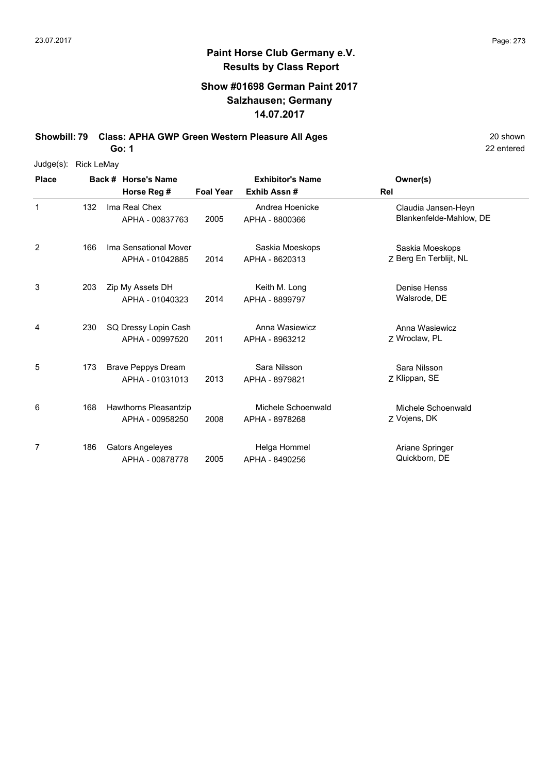### **Show #01698 German Paint 2017 Salzhausen; Germany 14.07.2017**

**Showbill: 79 Class: APHA GWP Green Western Pleasure All Ages** 20 Shown

**Go: 1**

| Judge(s):    | <b>Rick LeMay</b> |                              |                  |                         |                         |
|--------------|-------------------|------------------------------|------------------|-------------------------|-------------------------|
| <b>Place</b> |                   | Back # Horse's Name          |                  | <b>Exhibitor's Name</b> | Owner(s)                |
|              |                   | Horse Reg #                  | <b>Foal Year</b> | Exhib Assn#             | Rel                     |
| $\mathbf{1}$ | 132               | Ima Real Chex                |                  | Andrea Hoenicke         | Claudia Jansen-Heyn     |
|              |                   | APHA - 00837763              | 2005             | APHA - 8800366          | Blankenfelde-Mahlow, DE |
| 2            | 166               | Ima Sensational Mover        |                  | Saskia Moeskops         | Saskia Moeskops         |
|              |                   | APHA - 01042885              | 2014             | APHA - 8620313          | Z Berg En Terblijt, NL  |
| 3            | 203               | Zip My Assets DH             |                  | Keith M. Long           | Denise Henss            |
|              |                   | APHA - 01040323              | 2014             | APHA - 8899797          | Walsrode, DE            |
| 4            | 230               | SQ Dressy Lopin Cash         |                  | Anna Wasiewicz          | Anna Wasiewicz          |
|              |                   | APHA - 00997520              | 2011             | APHA - 8963212          | Z Wroclaw, PL           |
| 5            | 173               | <b>Brave Peppys Dream</b>    |                  | Sara Nilsson            | Sara Nilsson            |
|              |                   | APHA - 01031013              | 2013             | APHA - 8979821          | Z Klippan, SE           |
| 6            | 168               | <b>Hawthorns Pleasantzip</b> |                  | Michele Schoenwald      | Michele Schoenwald      |
|              |                   | APHA - 00958250              | 2008             | APHA - 8978268          | Z Vojens, DK            |
| 7            | 186               | <b>Gators Angeleyes</b>      |                  | Helga Hommel            | Ariane Springer         |
|              |                   | APHA - 00878778              | 2005             | APHA - 8490256          | Quickborn, DE           |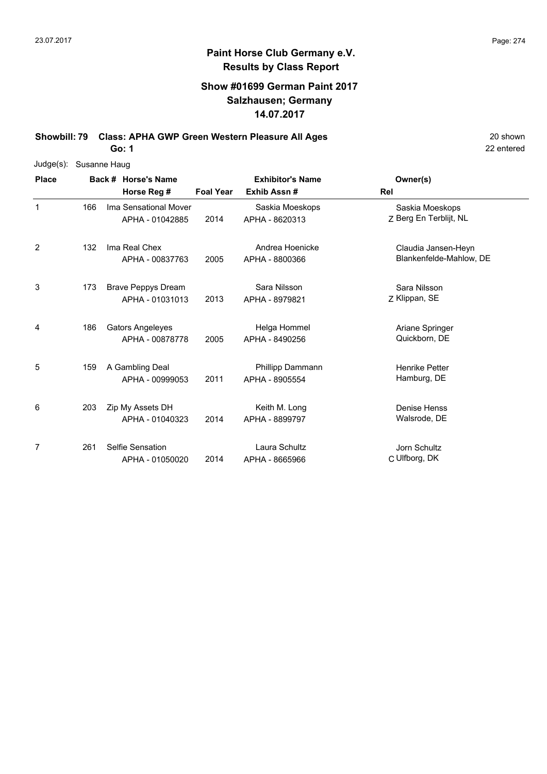### **Show #01699 German Paint 2017 Salzhausen; Germany 14.07.2017**

**Showbill: 79 Class: APHA GWP Green Western Pleasure All Ages** 20 Shown

**Go: 1**

| Judge(s):    | Susanne Haug |                           |                  |                         |                         |
|--------------|--------------|---------------------------|------------------|-------------------------|-------------------------|
| <b>Place</b> |              | Back # Horse's Name       |                  | <b>Exhibitor's Name</b> | Owner(s)                |
|              |              | Horse Reg #               | <b>Foal Year</b> | Exhib Assn#             | Rel                     |
| $\mathbf{1}$ | 166          | Ima Sensational Mover     |                  | Saskia Moeskops         | Saskia Moeskops         |
|              |              | APHA - 01042885           | 2014             | APHA - 8620313          | Z Berg En Terblijt, NL  |
| 2            | 132          | Ima Real Chex             |                  | Andrea Hoenicke         | Claudia Jansen-Heyn     |
|              |              | APHA - 00837763           | 2005             | APHA - 8800366          | Blankenfelde-Mahlow, DE |
| 3            | 173          | <b>Brave Peppys Dream</b> |                  | Sara Nilsson            | Sara Nilsson            |
|              |              | APHA - 01031013           | 2013             | APHA - 8979821          | Z Klippan, SE           |
| 4            | 186          | <b>Gators Angeleyes</b>   |                  | Helga Hommel            | Ariane Springer         |
|              |              | APHA - 00878778           | 2005             | APHA - 8490256          | Quickborn, DE           |
| 5            | 159          | A Gambling Deal           |                  | Phillipp Dammann        | <b>Henrike Petter</b>   |
|              |              | APHA - 00999053           | 2011             | APHA - 8905554          | Hamburg, DE             |
| 6            | 203          | Zip My Assets DH          |                  | Keith M. Long           | Denise Henss            |
|              |              | APHA - 01040323           | 2014             | APHA - 8899797          | Walsrode, DE            |
| 7            | 261          | Selfie Sensation          |                  | Laura Schultz           | Jorn Schultz            |
|              |              | APHA - 01050020           | 2014             | APHA - 8665966          | C Ulfborg, DK           |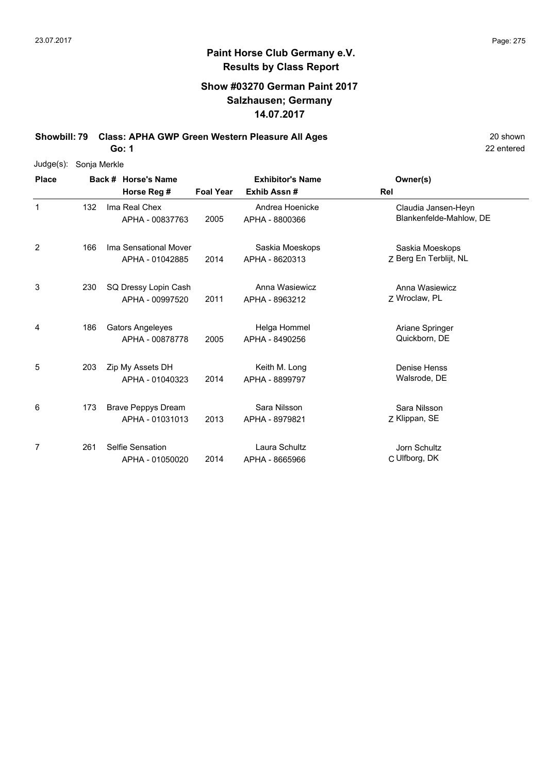### **Show #03270 German Paint 2017 Salzhausen; Germany 14.07.2017**

**Showbill: 79 Class: APHA GWP Green Western Pleasure All Ages** 20 Shown

**Go: 1**

| Judge(s):    | Sonja Merkle |                           |                  |                         |                         |
|--------------|--------------|---------------------------|------------------|-------------------------|-------------------------|
| <b>Place</b> |              | Back # Horse's Name       |                  | <b>Exhibitor's Name</b> | Owner(s)                |
|              |              | Horse Reg #               | <b>Foal Year</b> | Exhib Assn#             | Rel                     |
| $\mathbf 1$  | 132          | Ima Real Chex             |                  | Andrea Hoenicke         | Claudia Jansen-Heyn     |
|              |              | APHA - 00837763           | 2005             | APHA - 8800366          | Blankenfelde-Mahlow, DE |
| 2            | 166          | Ima Sensational Mover     |                  | Saskia Moeskops         | Saskia Moeskops         |
|              |              | APHA - 01042885           | 2014             | APHA - 8620313          | Z Berg En Terblijt, NL  |
| 3            | 230          | SQ Dressy Lopin Cash      |                  | Anna Wasiewicz          | Anna Wasiewicz          |
|              |              | APHA - 00997520           | 2011             | APHA - 8963212          | Z Wroclaw, PL           |
| 4            | 186          | <b>Gators Angeleyes</b>   |                  | Helga Hommel            | Ariane Springer         |
|              |              | APHA - 00878778           | 2005             | APHA - 8490256          | Quickborn, DE           |
| 5            | 203          | Zip My Assets DH          |                  | Keith M. Long           | Denise Henss            |
|              |              | APHA - 01040323           | 2014             | APHA - 8899797          | Walsrode, DE            |
| 6            | 173          | <b>Brave Peppys Dream</b> |                  | Sara Nilsson            | Sara Nilsson            |
|              |              | APHA - 01031013           | 2013             | APHA - 8979821          | Z Klippan, SE           |
| 7            | 261          | Selfie Sensation          |                  | Laura Schultz           | Jorn Schultz            |
|              |              | APHA - 01050020           | 2014             | APHA - 8665966          | C Ulfborg, DK           |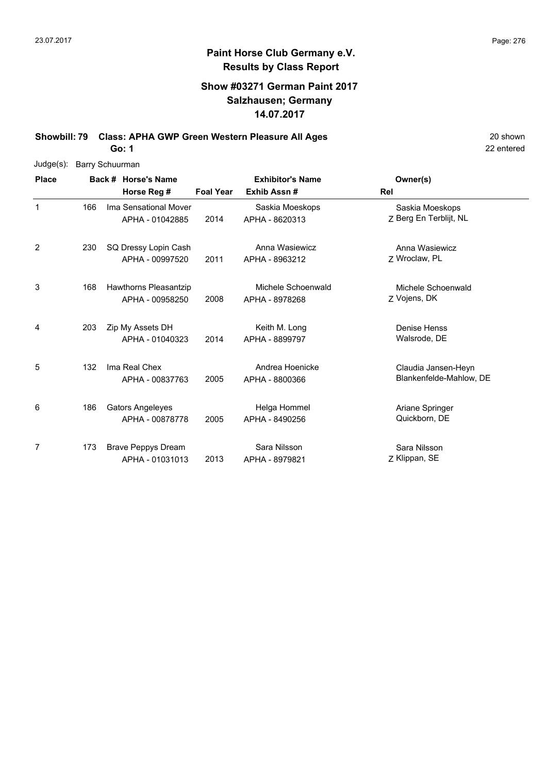### **Show #03271 German Paint 2017 Salzhausen; Germany 14.07.2017**

**Showbill: 79 Class: APHA GWP Green Western Pleasure All Ages** 20 Shown

**Go: 1**

| $Judge(s)$ : |     | Barry Schuurman                                 |                  |                                        |                                                |
|--------------|-----|-------------------------------------------------|------------------|----------------------------------------|------------------------------------------------|
| <b>Place</b> |     | Back # Horse's Name<br>Horse Reg #              | <b>Foal Year</b> | <b>Exhibitor's Name</b><br>Exhib Assn# | Owner(s)<br>Rel                                |
| 1            | 166 | Ima Sensational Mover<br>APHA - 01042885        | 2014             | Saskia Moeskops<br>APHA - 8620313      | Saskia Moeskops<br>Z Berg En Terblijt, NL      |
| 2            | 230 | SQ Dressy Lopin Cash<br>APHA - 00997520         | 2011             | Anna Wasiewicz<br>APHA - 8963212       | Anna Wasiewicz<br>7 Wroclaw, PL                |
| 3            | 168 | <b>Hawthorns Pleasantzip</b><br>APHA - 00958250 | 2008             | Michele Schoenwald<br>APHA - 8978268   | Michele Schoenwald<br>Z Vojens, DK             |
| 4            | 203 | Zip My Assets DH<br>APHA - 01040323             | 2014             | Keith M. Long<br>APHA - 8899797        | Denise Henss<br>Walsrode, DE                   |
| 5            | 132 | Ima Real Chex<br>APHA - 00837763                | 2005             | Andrea Hoenicke<br>APHA - 8800366      | Claudia Jansen-Heyn<br>Blankenfelde-Mahlow, DE |
| 6            | 186 | <b>Gators Angeleyes</b><br>APHA - 00878778      | 2005             | Helga Hommel<br>APHA - 8490256         | Ariane Springer<br>Quickborn, DE               |
| 7            | 173 | <b>Brave Peppys Dream</b><br>APHA - 01031013    | 2013             | Sara Nilsson<br>APHA - 8979821         | Sara Nilsson<br>Z Klippan, SE                  |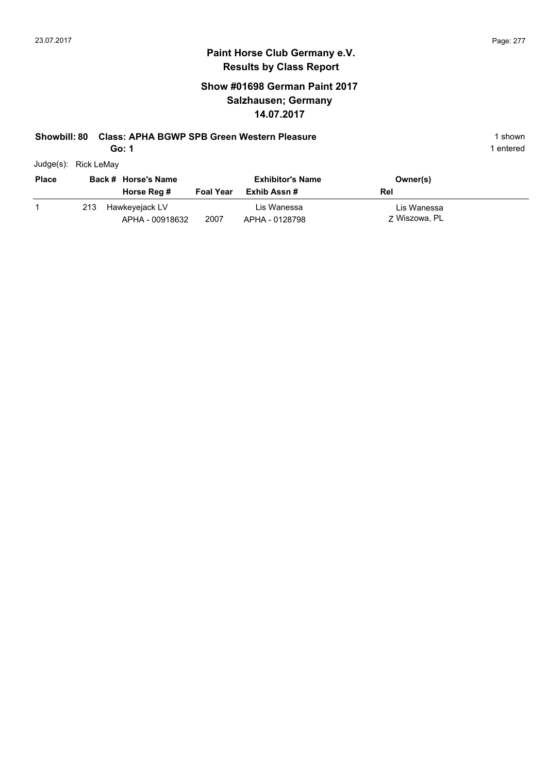### **Show #01698 German Paint 2017 Salzhausen; Germany 14.07.2017**

#### **Showbill: 80 Class: APHA BGWP SPB Green Western Pleasure** 1 Shown 1 shown

**Go: 1**

| Judge(s): | Rick LeMay |
|-----------|------------|

| <b>Place</b> |     | Back # Horse's Name               |                  | <b>Exhibitor's Name</b>       | Owner(s)                     |
|--------------|-----|-----------------------------------|------------------|-------------------------------|------------------------------|
|              |     | Horse Reg #                       | <b>Foal Year</b> | Exhib Assn #                  | Rel                          |
|              | 213 | Hawkeyejack LV<br>APHA - 00918632 | 2007             | Lis Wanessa<br>APHA - 0128798 | Lis Wanessa<br>7 Wiszowa, PL |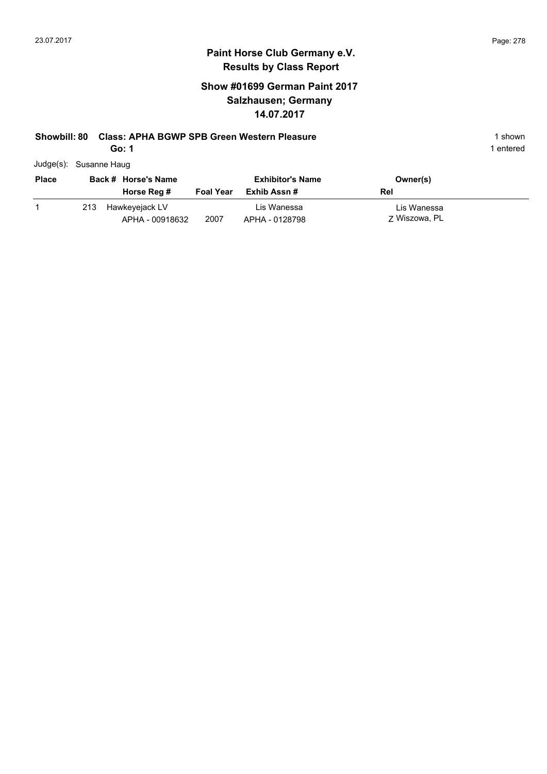### **Show #01699 German Paint 2017 Salzhausen; Germany 14.07.2017**

#### **Showbill: 80 Class: APHA BGWP SPB Green Western Pleasure** 1 Shown 1 shown

**Go: 1**

| Judge(s): Susanne Haug |
|------------------------|
|                        |

| <b>Place</b> |     | Back # Horse's Name               |                  | <b>Exhibitor's Name</b>       | Owner(s)                     |
|--------------|-----|-----------------------------------|------------------|-------------------------------|------------------------------|
|              |     | Horse Reg #                       | <b>Foal Year</b> | Exhib Assn #                  | Rel                          |
|              | 213 | Hawkeyejack LV<br>APHA - 00918632 | 2007             | Lis Wanessa<br>APHA - 0128798 | Lis Wanessa<br>7 Wiszowa, PL |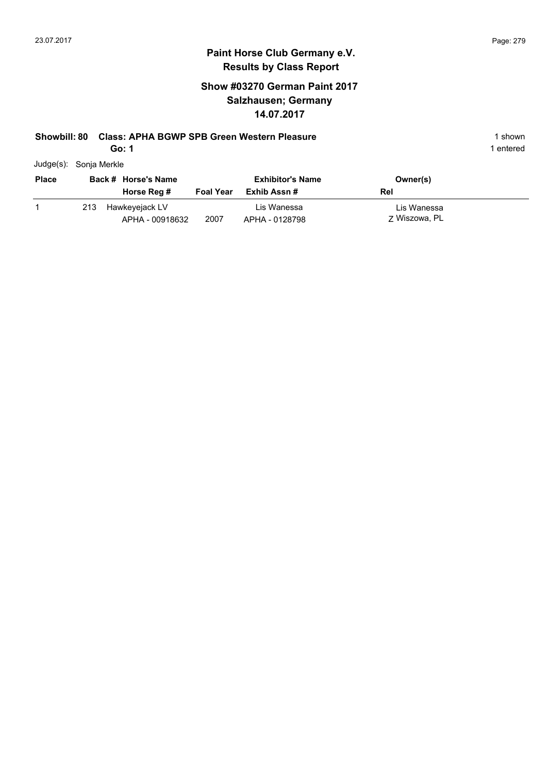### **Show #03270 German Paint 2017 Salzhausen; Germany 14.07.2017**

#### **Showbill: 80 Class: APHA BGWP SPB Green Western Pleasure** 1 Shown 1 shown

**Go: 1**

| Judge(s): | Sonja Merkle |
|-----------|--------------|
|           |              |

| <b>Place</b> |     | Back # Horse's Name               |                  | <b>Exhibitor's Name</b>       | Owner(s)                     |
|--------------|-----|-----------------------------------|------------------|-------------------------------|------------------------------|
|              |     | Horse Reg #                       | <b>Foal Year</b> | Exhib Assn #                  | Rel                          |
|              | 213 | Hawkeyejack LV<br>APHA - 00918632 | 2007             | Lis Wanessa<br>APHA - 0128798 | Lis Wanessa<br>7 Wiszowa, PL |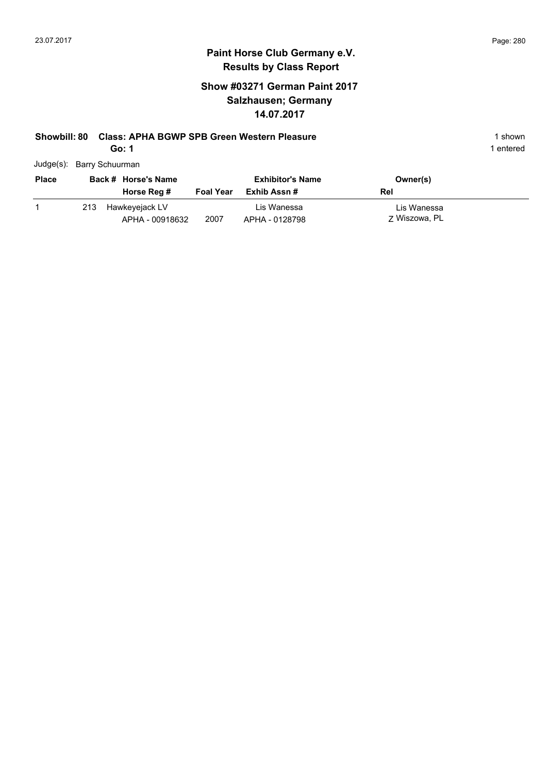### **Show #03271 German Paint 2017 Salzhausen; Germany 14.07.2017**

### **Showbill: 80 Class: APHA BGWP SPB Green Western Pleasure** 1 Shown 1 shown

**Go: 1**

| Judge(s): Barry Schuurman |
|---------------------------|
|                           |

| <b>Place</b> |     | Back # Horse's Name               |                  | <b>Exhibitor's Name</b>       | Owner(s)                     |
|--------------|-----|-----------------------------------|------------------|-------------------------------|------------------------------|
|              |     | Horse Reg #                       | <b>Foal Year</b> | Exhib Assn #                  | Rel                          |
|              | 213 | Hawkeyejack LV<br>APHA - 00918632 | 2007             | Lis Wanessa<br>APHA - 0128798 | Lis Wanessa<br>7 Wiszowa, PL |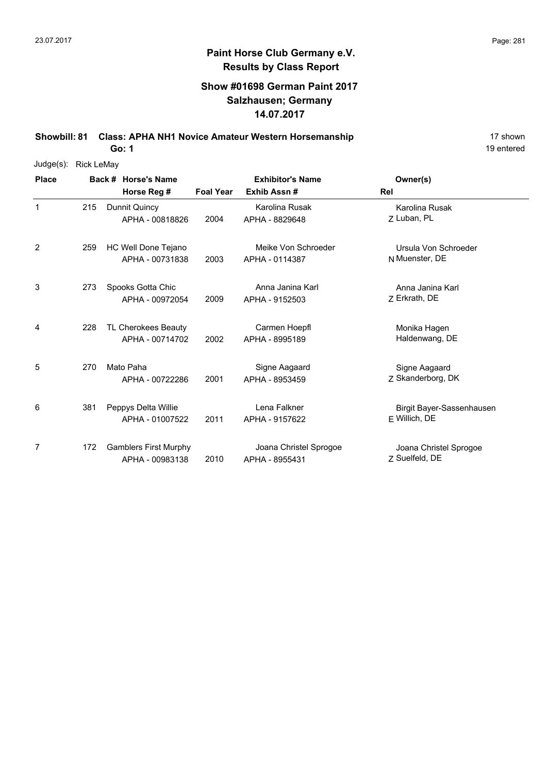19 entered

# **Paint Horse Club Germany e.V. Results by Class Report**

#### **Show #01698 German Paint 2017 Salzhausen; Germany 14.07.2017**

**Showbill: 81 Class: APHA NH1 Novice Amateur Western Horsemanship** 17 Shown

| Judge(s):    | <b>Rick LeMay</b> |                              |                  |                         |                           |
|--------------|-------------------|------------------------------|------------------|-------------------------|---------------------------|
| <b>Place</b> |                   | Back # Horse's Name          |                  | <b>Exhibitor's Name</b> | Owner(s)                  |
|              |                   | Horse Reg #                  | <b>Foal Year</b> | Exhib Assn#             | Rel                       |
| $\mathbf{1}$ | 215               | Dunnit Quincy                |                  | Karolina Rusak          | Karolina Rusak            |
|              |                   | APHA - 00818826              | 2004             | APHA - 8829648          | 7 Luban, PL               |
| 2            | 259               | HC Well Done Tejano          |                  | Meike Von Schroeder     | Ursula Von Schroeder      |
|              |                   | APHA - 00731838              | 2003             | APHA - 0114387          | N Muenster, DE            |
| 3            | 273               | Spooks Gotta Chic            |                  | Anna Janina Karl        | Anna Janina Karl          |
|              |                   | APHA - 00972054              | 2009             | APHA - 9152503          | Z Erkrath, DE             |
| 4            | 228               | TL Cherokees Beauty          |                  | Carmen Hoepfl           | Monika Hagen              |
|              |                   | APHA - 00714702              | 2002             | APHA - 8995189          | Haldenwang, DE            |
| 5            | 270               | Mato Paha                    |                  | Signe Aagaard           | Signe Aagaard             |
|              |                   | APHA - 00722286              | 2001             | APHA - 8953459          | Z Skanderborg, DK         |
| 6            | 381               | Peppys Delta Willie          |                  | Lena Falkner            | Birgit Bayer-Sassenhausen |
|              |                   | APHA - 01007522              | 2011             | APHA - 9157622          | E Willich, DE             |
| 7            | 172               | <b>Gamblers First Murphy</b> |                  | Joana Christel Sprogoe  | Joana Christel Sprogoe    |
|              |                   | APHA - 00983138              | 2010             | APHA - 8955431          | Z Suelfeld, DE            |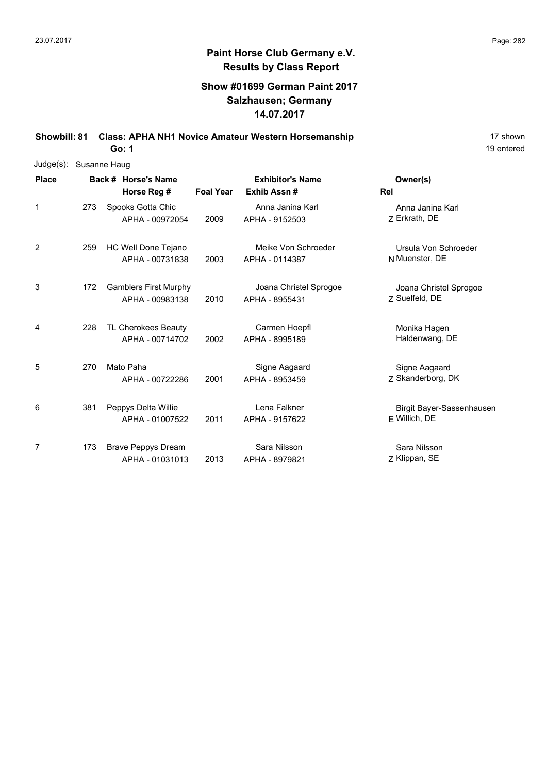19 entered

# **Paint Horse Club Germany e.V. Results by Class Report**

### **Show #01699 German Paint 2017 Salzhausen; Germany 14.07.2017**

**Showbill: 81 Class: APHA NH1 Novice Amateur Western Horsemanship** 17 Shown 17 shown

| Judge(s):    | Susanne Haug |                                                 |                  |                                          |                                            |  |  |  |  |
|--------------|--------------|-------------------------------------------------|------------------|------------------------------------------|--------------------------------------------|--|--|--|--|
| <b>Place</b> |              | Back # Horse's Name                             |                  | <b>Exhibitor's Name</b>                  | Owner(s)                                   |  |  |  |  |
|              |              | Horse Reg #                                     | <b>Foal Year</b> | Exhib Assn#                              | Rel                                        |  |  |  |  |
| $\mathbf{1}$ | 273          | Spooks Gotta Chic<br>APHA - 00972054            | 2009             | Anna Janina Karl<br>APHA - 9152503       | Anna Janina Karl<br>7 Erkrath, DE          |  |  |  |  |
| 2            | 259          | HC Well Done Tejano<br>APHA - 00731838          | 2003             | Meike Von Schroeder<br>APHA - 0114387    | Ursula Von Schroeder<br>N Muenster, DE     |  |  |  |  |
| 3            | 172          | <b>Gamblers First Murphy</b><br>APHA - 00983138 | 2010             | Joana Christel Sprogoe<br>APHA - 8955431 | Joana Christel Sprogoe<br>Z Suelfeld, DE   |  |  |  |  |
| 4            | 228          | TL Cherokees Beauty<br>APHA - 00714702          | 2002             | Carmen Hoepfl<br>APHA - 8995189          | Monika Hagen<br>Haldenwang, DE             |  |  |  |  |
| 5            | 270          | Mato Paha<br>APHA - 00722286                    | 2001             | Signe Aagaard<br>APHA - 8953459          | Signe Aagaard<br>Z Skanderborg, DK         |  |  |  |  |
| 6            | 381          | Peppys Delta Willie<br>APHA - 01007522          | 2011             | Lena Falkner<br>APHA - 9157622           | Birgit Bayer-Sassenhausen<br>F Willich, DE |  |  |  |  |
| 7            | 173          | <b>Brave Peppys Dream</b><br>APHA - 01031013    | 2013             | Sara Nilsson<br>APHA - 8979821           | Sara Nilsson<br>Z Klippan, SE              |  |  |  |  |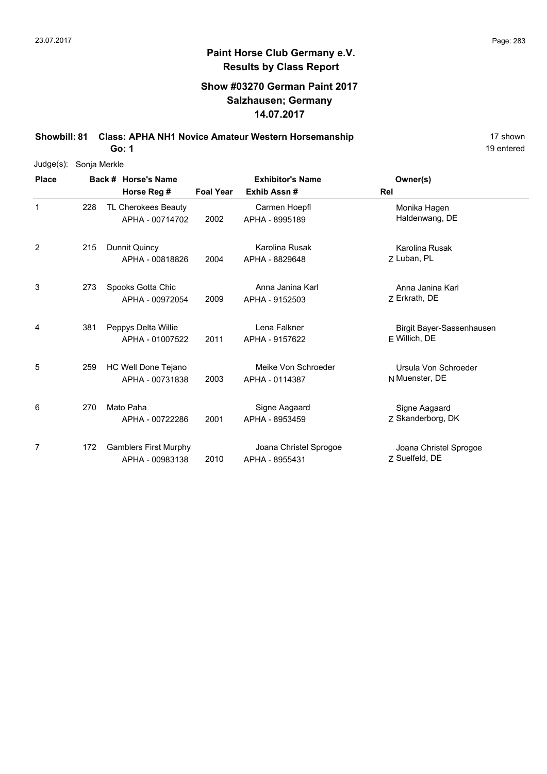### **Show #03270 German Paint 2017 Salzhausen; Germany 14.07.2017**

**Showbill: 81 Class: APHA NH1 Novice Amateur Western Horsemanship** 17 Shown

19 entered

| Judge(s): Sonja Merkle |     |                                                 |                  |                                          |                                            |
|------------------------|-----|-------------------------------------------------|------------------|------------------------------------------|--------------------------------------------|
| <b>Place</b>           |     | Back # Horse's Name                             |                  | <b>Exhibitor's Name</b>                  | Owner(s)                                   |
|                        |     | Horse Reg #                                     | <b>Foal Year</b> | Exhib Assn#                              | Rel                                        |
| $\mathbf 1$            | 228 | TL Cherokees Beauty<br>APHA - 00714702          | 2002             | Carmen Hoepfl<br>APHA - 8995189          | Monika Hagen<br>Haldenwang, DE             |
| $\overline{2}$         | 215 | <b>Dunnit Quincy</b><br>APHA - 00818826         | 2004             | Karolina Rusak<br>APHA - 8829648         | Karolina Rusak<br>Z Luban, PL              |
| 3                      | 273 | Spooks Gotta Chic<br>APHA - 00972054            | 2009             | Anna Janina Karl<br>APHA - 9152503       | Anna Janina Karl<br>Z Erkrath, DE          |
| 4                      | 381 | Peppys Delta Willie<br>APHA - 01007522          | 2011             | Lena Falkner<br>APHA - 9157622           | Birgit Bayer-Sassenhausen<br>F Willich, DE |
| 5                      | 259 | HC Well Done Tejano<br>APHA - 00731838          | 2003             | Meike Von Schroeder<br>APHA - 0114387    | Ursula Von Schroeder<br>N Muenster, DE     |
| 6                      | 270 | Mato Paha<br>APHA - 00722286                    | 2001             | Signe Aagaard<br>APHA - 8953459          | Signe Aagaard<br>Z Skanderborg, DK         |
| 7                      | 172 | <b>Gamblers First Murphy</b><br>APHA - 00983138 | 2010             | Joana Christel Sprogoe<br>APHA - 8955431 | Joana Christel Sprogoe<br>Z Suelfeld, DE   |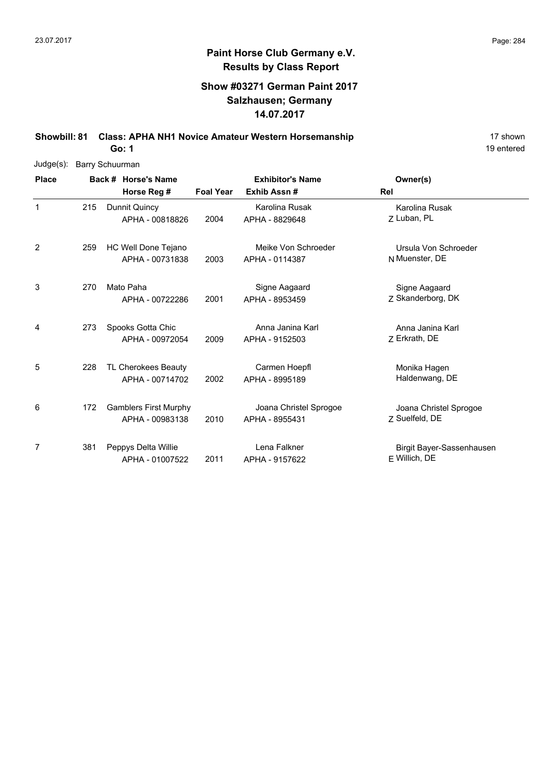### **Show #03271 German Paint 2017 Salzhausen; Germany 14.07.2017**

**Showbill: 81 Class: APHA NH1 Novice Amateur Western Horsemanship** 17 Shown

**Go: 1**

| $Judge(s)$ : | <b>Barry Schuurman</b> |                              |                  |                         |                           |
|--------------|------------------------|------------------------------|------------------|-------------------------|---------------------------|
| <b>Place</b> |                        | Back # Horse's Name          |                  | <b>Exhibitor's Name</b> | Owner(s)                  |
|              |                        | Horse Reg #                  | <b>Foal Year</b> | Exhib Assn#             | Rel                       |
| 1            | 215                    | Dunnit Quincy                |                  | Karolina Rusak          | Karolina Rusak            |
|              |                        | APHA - 00818826              | 2004             | APHA - 8829648          | 7 Luban, PL               |
| 2            | 259                    | HC Well Done Tejano          |                  | Meike Von Schroeder     | Ursula Von Schroeder      |
|              |                        | APHA - 00731838              | 2003             | APHA - 0114387          | N Muenster, DE            |
| 3            | 270                    | Mato Paha                    |                  | Signe Aagaard           | Signe Aagaard             |
|              |                        | APHA - 00722286              | 2001             | APHA - 8953459          | Z Skanderborg, DK         |
| 4            | 273                    | Spooks Gotta Chic            |                  | Anna Janina Karl        | Anna Janina Karl          |
|              |                        | APHA - 00972054              | 2009             | APHA - 9152503          | 7 Erkrath, DE             |
| 5            | 228                    | TL Cherokees Beauty          |                  | Carmen Hoepfl           | Monika Hagen              |
|              |                        | APHA - 00714702              | 2002             | APHA - 8995189          | Haldenwang, DE            |
| 6            | 172                    | <b>Gamblers First Murphy</b> |                  | Joana Christel Sprogoe  | Joana Christel Sprogoe    |
|              |                        | APHA - 00983138              | 2010             | APHA - 8955431          | Z Suelfeld, DE            |
| 7            | 381                    | Peppys Delta Willie          |                  | Lena Falkner            | Birgit Bayer-Sassenhausen |
|              |                        | APHA - 01007522              | 2011             | APHA - 9157622          | E Willich, DE             |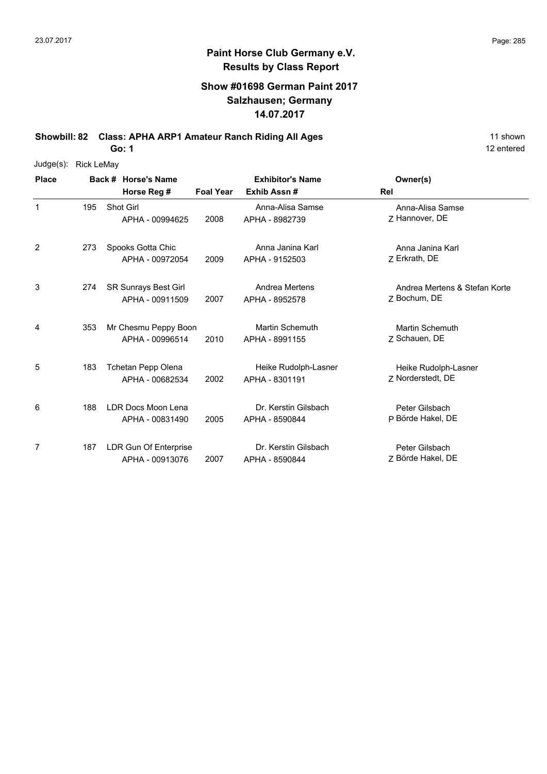### **Show #01698 German Paint 2017 Salzhausen; Germany 14.07.2017**

**Showbill: 82 Class: APHA ARP1 Amateur Ranch Riding All Ages** 11 shown

**Go: 1**

| Judge(s): Rick LeMay |
|----------------------|
|                      |

| <b>Place</b> |     | Back # Horse's Name                      |                  | <b>Exhibitor's Name</b><br>Exhib Assn#   | Owner(s)                                      |  |
|--------------|-----|------------------------------------------|------------------|------------------------------------------|-----------------------------------------------|--|
|              |     | Horse Reg #                              | <b>Foal Year</b> |                                          | Rel                                           |  |
| $\mathbf{1}$ | 195 | Shot Girl<br>APHA - 00994625             | 2008             | Anna-Alisa Samse<br>APHA - 8982739       | Anna-Alisa Samse<br>7 Hannover, DE            |  |
| 2            | 273 | Spooks Gotta Chic<br>APHA - 00972054     | 2009             | Anna Janina Karl<br>APHA - 9152503       | Anna Janina Karl<br>Z Erkrath, DE             |  |
| 3            | 274 | SR Sunrays Best Girl<br>APHA - 00911509  | 2007             | Andrea Mertens<br>APHA - 8952578         | Andrea Mertens & Stefan Korte<br>7 Bochum, DE |  |
| 4            | 353 | Mr Chesmu Peppy Boon<br>APHA - 00996514  | 2010             | <b>Martin Schemuth</b><br>APHA - 8991155 | <b>Martin Schemuth</b><br>Z Schauen, DE       |  |
| 5            | 183 | Tchetan Pepp Olena<br>APHA - 00682534    | 2002             | Heike Rudolph-Lasner<br>APHA - 8301191   | Heike Rudolph-Lasner<br>Z Norderstedt, DE     |  |
| 6            | 188 | LDR Docs Moon Lena<br>APHA - 00831490    | 2005             | Dr. Kerstin Gilsbach<br>APHA - 8590844   | Peter Gilsbach<br>P Börde Hakel, DE           |  |
| 7            | 187 | LDR Gun Of Enterprise<br>APHA - 00913076 | 2007             | Dr. Kerstin Gilsbach<br>APHA - 8590844   | Peter Gilsbach<br>Z Börde Hakel, DE           |  |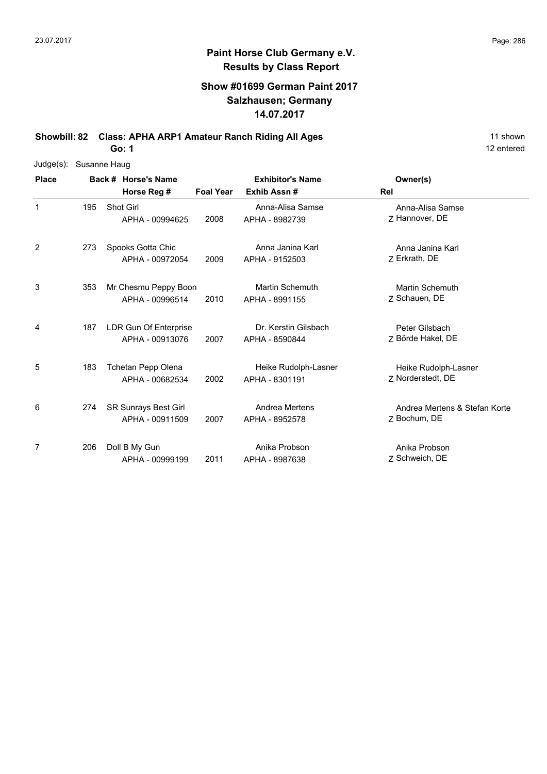### **Show #01699 German Paint 2017 Salzhausen; Germany 14.07.2017**

**Showbill: 82 Class: APHA ARP1 Amateur Ranch Riding All Ages** 11 shown

**Go: 1**

| $Judge(s)$ : | Susanne Haug |  |                             |                  |                         |                               |  |  |
|--------------|--------------|--|-----------------------------|------------------|-------------------------|-------------------------------|--|--|
| <b>Place</b> |              |  | Back # Horse's Name         |                  | <b>Exhibitor's Name</b> | Owner(s)                      |  |  |
|              |              |  | Horse Reg #                 | <b>Foal Year</b> | Exhib Assn#             | Rel                           |  |  |
| $\mathbf 1$  | 195          |  | Shot Girl                   |                  | Anna-Alisa Samse        | Anna-Alisa Samse              |  |  |
|              |              |  | APHA - 00994625             | 2008             | APHA - 8982739          | Z Hannover, DE                |  |  |
| 2            | 273          |  | Spooks Gotta Chic           |                  | Anna Janina Karl        | Anna Janina Karl              |  |  |
|              |              |  | APHA - 00972054             | 2009             | APHA - 9152503          | Z Erkrath, DE                 |  |  |
| 3            | 353          |  | Mr Chesmu Peppy Boon        |                  | <b>Martin Schemuth</b>  | Martin Schemuth               |  |  |
|              |              |  | APHA - 00996514             | 2010             | APHA - 8991155          | Z Schauen, DE                 |  |  |
| 4            | 187          |  | LDR Gun Of Enterprise       |                  | Dr. Kerstin Gilsbach    | Peter Gilsbach                |  |  |
|              |              |  | APHA - 00913076             | 2007             | APHA - 8590844          | Z Börde Hakel, DE             |  |  |
| 5            | 183          |  | Tchetan Pepp Olena          |                  | Heike Rudolph-Lasner    | Heike Rudolph-Lasner          |  |  |
|              |              |  | APHA - 00682534             | 2002             | APHA - 8301191          | Z Norderstedt, DE             |  |  |
| 6            | 274          |  | <b>SR Sunrays Best Girl</b> |                  | Andrea Mertens          | Andrea Mertens & Stefan Korte |  |  |
|              |              |  | APHA - 00911509             | 2007             | APHA - 8952578          | Z Bochum, DE                  |  |  |
| 7            | 206          |  | Doll B My Gun               |                  | Anika Probson           | Anika Probson                 |  |  |
|              |              |  | APHA - 00999199             | 2011             | APHA - 8987638          | Z Schweich, DE                |  |  |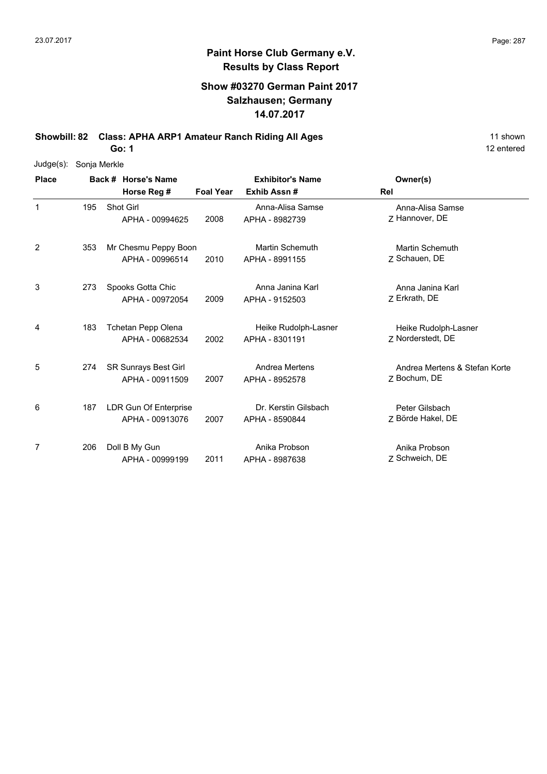### **Show #03270 German Paint 2017 Salzhausen; Germany 14.07.2017**

**Showbill: 82 Class: APHA ARP1 Amateur Ranch Riding All Ages** 11 shown

**Go: 1**

| $Judge(s)$ : | Sonja Merkle |  |                       |                  |                         |                               |  |  |
|--------------|--------------|--|-----------------------|------------------|-------------------------|-------------------------------|--|--|
| <b>Place</b> |              |  | Back # Horse's Name   |                  | <b>Exhibitor's Name</b> | Owner(s)                      |  |  |
|              |              |  | Horse Reg #           | <b>Foal Year</b> | Exhib Assn#             | Rel                           |  |  |
| $\mathbf 1$  | 195          |  | Shot Girl             |                  | Anna-Alisa Samse        | Anna-Alisa Samse              |  |  |
|              |              |  | APHA - 00994625       | 2008             | APHA - 8982739          | Z Hannover, DE                |  |  |
| 2            | 353          |  | Mr Chesmu Peppy Boon  |                  | <b>Martin Schemuth</b>  | <b>Martin Schemuth</b>        |  |  |
|              |              |  | APHA - 00996514       | 2010             | APHA - 8991155          | Z Schauen, DE                 |  |  |
| 3            | 273          |  | Spooks Gotta Chic     |                  | Anna Janina Karl        | Anna Janina Karl              |  |  |
|              |              |  | APHA - 00972054       | 2009             | APHA - 9152503          | Z Erkrath, DE                 |  |  |
| 4            | 183          |  | Tchetan Pepp Olena    |                  | Heike Rudolph-Lasner    | Heike Rudolph-Lasner          |  |  |
|              |              |  | APHA - 00682534       | 2002             | APHA - 8301191          | 7 Norderstedt, DE             |  |  |
| 5            | 274          |  | SR Sunrays Best Girl  |                  | Andrea Mertens          | Andrea Mertens & Stefan Korte |  |  |
|              |              |  | APHA - 00911509       | 2007             | APHA - 8952578          | Z Bochum, DE                  |  |  |
| 6            | 187          |  | LDR Gun Of Enterprise |                  | Dr. Kerstin Gilsbach    | Peter Gilsbach                |  |  |
|              |              |  | APHA - 00913076       | 2007             | APHA - 8590844          | Z Börde Hakel, DE             |  |  |
| 7            | 206          |  | Doll B My Gun         |                  | Anika Probson           | Anika Probson                 |  |  |
|              |              |  | APHA - 00999199       | 2011             | APHA - 8987638          | Z Schweich, DE                |  |  |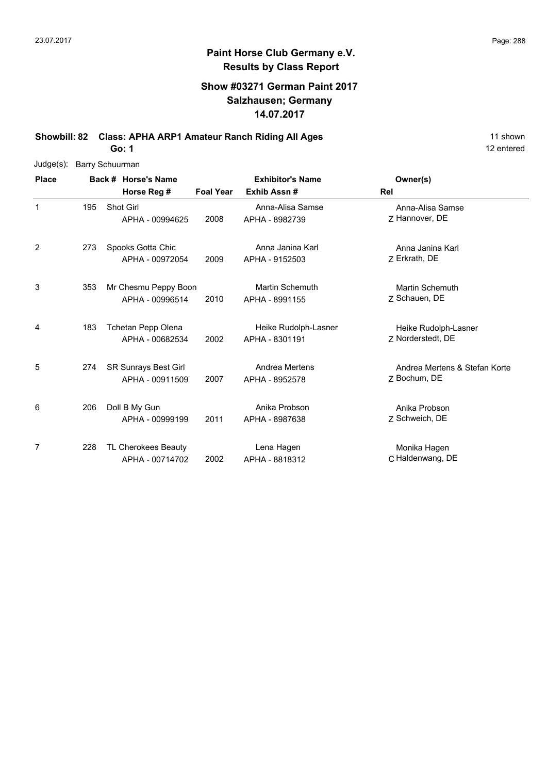### **Show #03271 German Paint 2017 Salzhausen; Germany 14.07.2017**

**Showbill: 82 Class: APHA ARP1 Amateur Ranch Riding All Ages** 11 shown

**Go: 1**

|              | Judge(s): Barry Schuurman |  |                             |                  |                         |                               |  |  |
|--------------|---------------------------|--|-----------------------------|------------------|-------------------------|-------------------------------|--|--|
| <b>Place</b> |                           |  | Back # Horse's Name         |                  | <b>Exhibitor's Name</b> | Owner(s)                      |  |  |
|              |                           |  | Horse Reg #                 | <b>Foal Year</b> | Exhib Assn#             | Rel                           |  |  |
| $\mathbf 1$  | 195                       |  | Shot Girl                   |                  | Anna-Alisa Samse        | Anna-Alisa Samse              |  |  |
|              |                           |  | APHA - 00994625             | 2008             | APHA - 8982739          | Z Hannover, DE                |  |  |
| 2            | 273                       |  | Spooks Gotta Chic           |                  | Anna Janina Karl        | Anna Janina Karl              |  |  |
|              |                           |  | APHA - 00972054             | 2009             | APHA - 9152503          | Z Erkrath, DE                 |  |  |
| 3            | 353                       |  | Mr Chesmu Peppy Boon        |                  | <b>Martin Schemuth</b>  | <b>Martin Schemuth</b>        |  |  |
|              |                           |  | APHA - 00996514             | 2010             | APHA - 8991155          | Z Schauen, DE                 |  |  |
| 4            | 183                       |  | Tchetan Pepp Olena          |                  | Heike Rudolph-Lasner    | Heike Rudolph-Lasner          |  |  |
|              |                           |  | APHA - 00682534             | 2002             | APHA - 8301191          | 7 Norderstedt, DE             |  |  |
| 5            | 274                       |  | <b>SR Sunrays Best Girl</b> |                  | Andrea Mertens          | Andrea Mertens & Stefan Korte |  |  |
|              |                           |  | APHA - 00911509             | 2007             | APHA - 8952578          | Z Bochum, DE                  |  |  |
| 6            | 206                       |  | Doll B My Gun               |                  | Anika Probson           | Anika Probson                 |  |  |
|              |                           |  | APHA - 00999199             | 2011             | APHA - 8987638          | Z Schweich, DE                |  |  |
| 7            | 228                       |  | TL Cherokees Beauty         |                  | Lena Hagen              | Monika Hagen                  |  |  |
|              |                           |  | APHA - 00714702             | 2002             | APHA - 8818312          | C Haldenwang, DE              |  |  |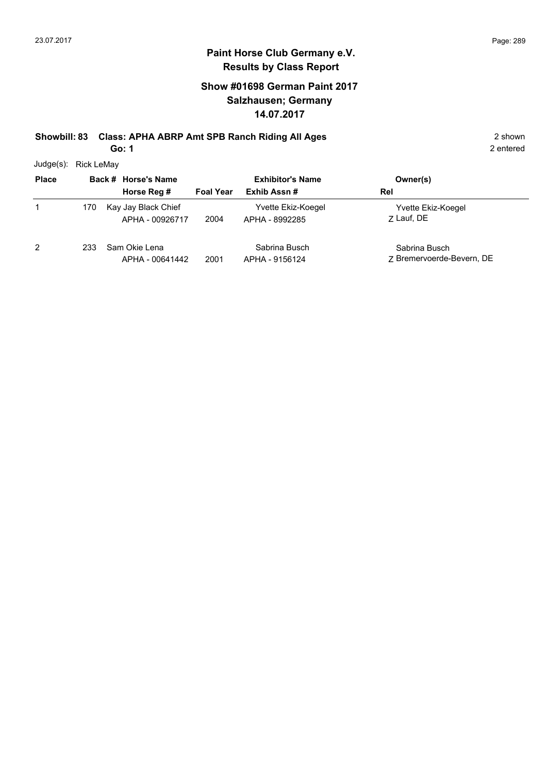## **Show #01698 German Paint 2017 Salzhausen; Germany 14.07.2017**

**Showbill: 83 Class: APHA ABRP Amt SPB Ranch Riding All Ages** 2 shown

**Go: 1**

2 entered

Judge(s): Rick LeMay

| <b>Place</b> |     | Back # Horse's Name                    | <b>Exhibitor's Name</b> |                                      | Owner(s)                                   |
|--------------|-----|----------------------------------------|-------------------------|--------------------------------------|--------------------------------------------|
|              |     | Horse Reg #                            | <b>Foal Year</b>        | Exhib Assn#                          | Rel                                        |
|              | 170 | Kay Jay Black Chief<br>APHA - 00926717 | 2004                    | Yvette Ekiz-Koegel<br>APHA - 8992285 | Yvette Ekiz-Koegel<br>7 Lauf, DE           |
| 2            | 233 | Sam Okie Lena<br>APHA - 00641442       | 2001                    | Sabrina Busch<br>APHA - 9156124      | Sabrina Busch<br>7 Bremervoerde-Bevern, DE |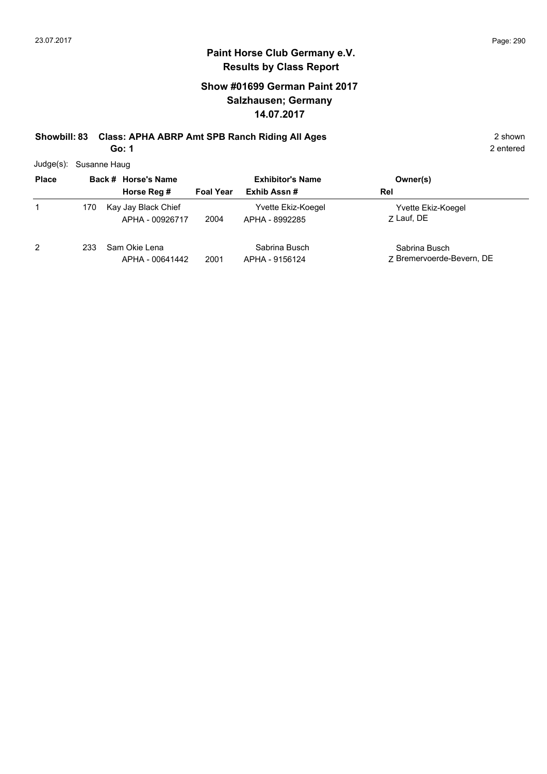## **Show #01699 German Paint 2017 Salzhausen; Germany 14.07.2017**

# **Showbill: 83 Class: APHA ABRP Amt SPB Ranch Riding All Ages** 2 shown

**Go: 1**

2 entered

Judge(s): Susanne Haug

| <b>Place</b> |     | Back # Horse's Name                    | <b>Exhibitor's Name</b> |                                      | Owner(s)                                   |
|--------------|-----|----------------------------------------|-------------------------|--------------------------------------|--------------------------------------------|
|              |     | Horse Reg #                            | <b>Foal Year</b>        | Exhib Assn#                          | Rel                                        |
| 1            | 170 | Kay Jay Black Chief<br>APHA - 00926717 | 2004                    | Yvette Ekiz-Koegel<br>APHA - 8992285 | Yvette Ekiz-Koegel<br>7 Lauf, DE           |
| 2            | 233 | Sam Okie Lena<br>APHA - 00641442       | 2001                    | Sabrina Busch<br>APHA - 9156124      | Sabrina Busch<br>7 Bremervoerde-Bevern, DE |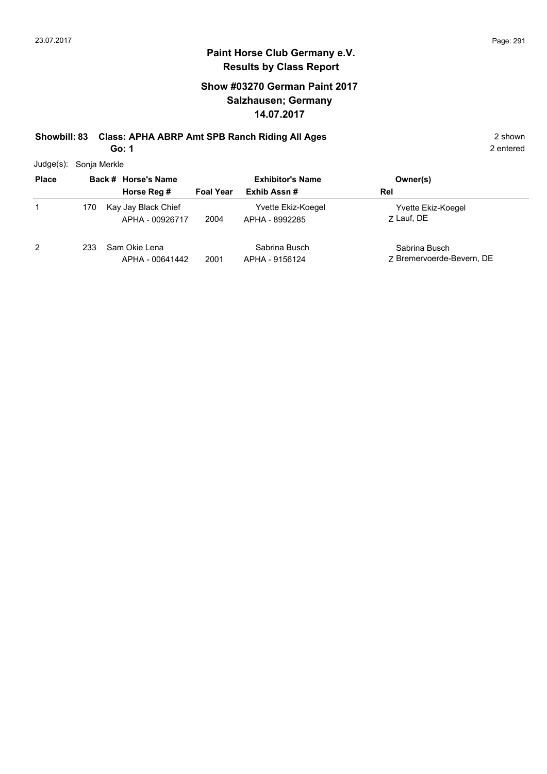## **Show #03270 German Paint 2017 Salzhausen; Germany 14.07.2017**

# **Showbill: 83 Class: APHA ABRP Amt SPB Ranch Riding All Ages** 2 shown

**Go: 1**

2 entered

Judge(s): Sonja Merkle

| <b>Place</b> |     | Back # Horse's Name                    | <b>Exhibitor's Name</b> |                                      | Owner(s)                                   |
|--------------|-----|----------------------------------------|-------------------------|--------------------------------------|--------------------------------------------|
|              |     | Horse Reg #                            | <b>Foal Year</b>        | Exhib Assn#                          | Rel                                        |
|              | 170 | Kay Jay Black Chief<br>APHA - 00926717 | 2004                    | Yvette Ekiz-Koegel<br>APHA - 8992285 | Yvette Ekiz-Koegel<br>7 Lauf, DE           |
| 2            | 233 | Sam Okie Lena<br>APHA - 00641442       | 2001                    | Sabrina Busch<br>APHA - 9156124      | Sabrina Busch<br>7 Bremervoerde-Bevern, DE |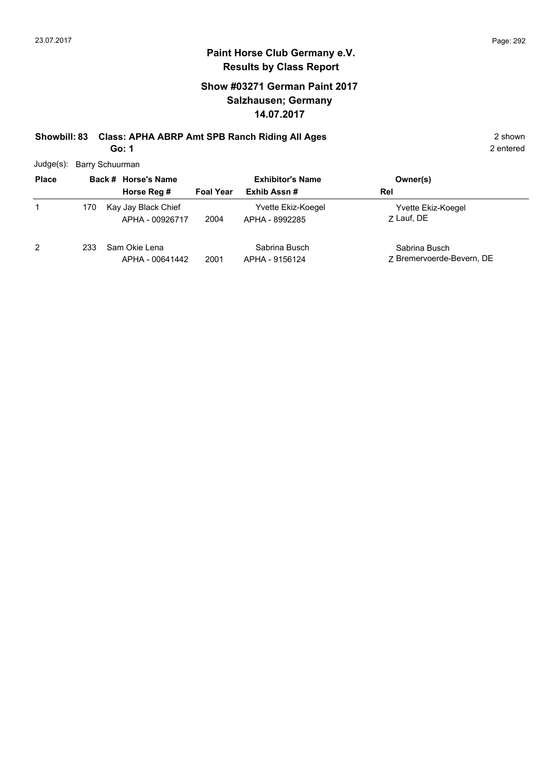## **Show #03271 German Paint 2017 Salzhausen; Germany 14.07.2017**

# **Showbill: 83 Class: APHA ABRP Amt SPB Ranch Riding All Ages** 2 shown

**Go: 1**

2 entered

Judge(s): Barry Schuurman

| <b>Place</b> |     | Back # Horse's Name                    | <b>Exhibitor's Name</b> |                                      | Owner(s)                                   |
|--------------|-----|----------------------------------------|-------------------------|--------------------------------------|--------------------------------------------|
|              |     | Horse Reg #                            | <b>Foal Year</b>        | Exhib Assn#                          | Rel                                        |
| 1            | 170 | Kay Jay Black Chief<br>APHA - 00926717 | 2004                    | Yvette Ekiz-Koegel<br>APHA - 8992285 | Yvette Ekiz-Koegel<br>7 Lauf, DE           |
| 2            | 233 | Sam Okie Lena<br>APHA - 00641442       | 2001                    | Sabrina Busch<br>APHA - 9156124      | Sabrina Busch<br>7 Bremervoerde-Bevern, DE |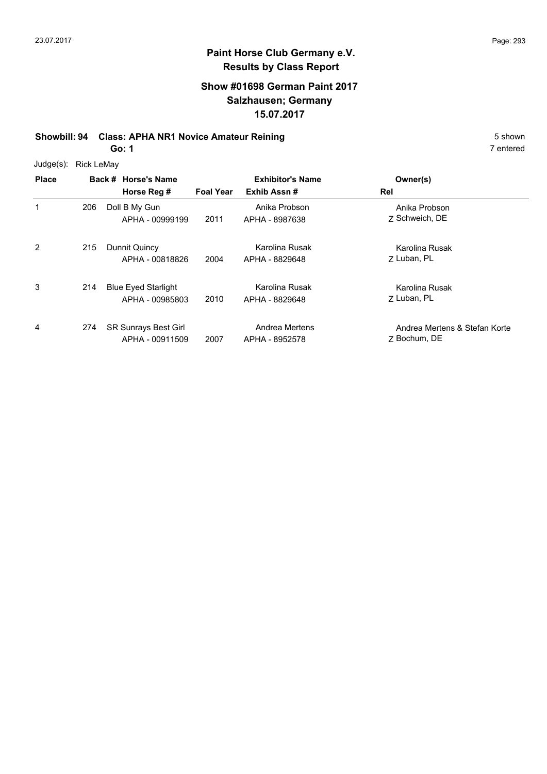#### **Show #01698 German Paint 2017 Salzhausen; Germany 15.07.2017**

## **Showbill: 94 Class: APHA NR1 Novice Amateur Reining 5 Shown 5 Shown 5 shown**

**Go: 1**

| Judge(s): | Rick LeMay |
|-----------|------------|
|           |            |

| <b>Place</b> |     | Back # Horse's Name<br>Horse Reg #             | <b>Foal Year</b> | <b>Exhibitor's Name</b><br>Exhib Assn# | Owner(s)<br>Rel                               |
|--------------|-----|------------------------------------------------|------------------|----------------------------------------|-----------------------------------------------|
| 1            | 206 | Doll B My Gun<br>APHA - 00999199               | 2011             | Anika Probson<br>APHA - 8987638        | Anika Probson<br>7 Schweich, DE               |
| 2            | 215 | Dunnit Quincy<br>APHA - 00818826               | 2004             | Karolina Rusak<br>APHA - 8829648       | Karolina Rusak<br>7 Luban, PL                 |
| 3            | 214 | <b>Blue Eyed Starlight</b><br>APHA - 00985803  | 2010             | Karolina Rusak<br>APHA - 8829648       | Karolina Rusak<br>7 Luban, PL                 |
| 4            | 274 | <b>SR Sunrays Best Girl</b><br>APHA - 00911509 | 2007             | Andrea Mertens<br>APHA - 8952578       | Andrea Mertens & Stefan Korte<br>7 Bochum, DE |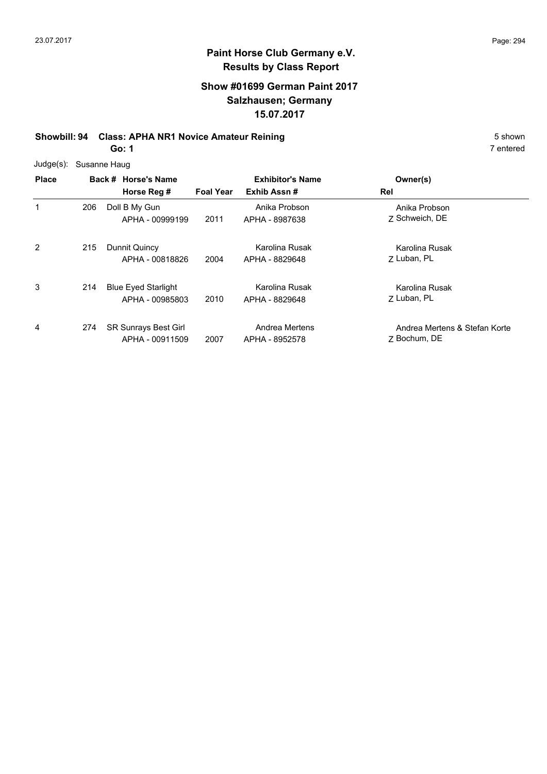#### **Show #01699 German Paint 2017 Salzhausen; Germany 15.07.2017**

## **Showbill: 94 Class: APHA NR1 Novice Amateur Reining 5 Shown 5 Shown 5 shown**

**Go: 1**

| $Judge(s)$ : |     | Susanne Haug                                  |                  |                                  |                                               |
|--------------|-----|-----------------------------------------------|------------------|----------------------------------|-----------------------------------------------|
| <b>Place</b> |     | Back # Horse's Name                           |                  | <b>Exhibitor's Name</b>          | Owner(s)                                      |
|              |     | Horse Reg #                                   | <b>Foal Year</b> | Exhib Assn#                      | Rel                                           |
| 1            | 206 | Doll B My Gun<br>APHA - 00999199              | 2011             | Anika Probson<br>APHA - 8987638  | Anika Probson<br>7 Schweich, DE               |
| 2            | 215 | Dunnit Quincy<br>APHA - 00818826              | 2004             | Karolina Rusak<br>APHA - 8829648 | Karolina Rusak<br>7 Luban, PL                 |
| 3            | 214 | <b>Blue Eyed Starlight</b><br>APHA - 00985803 | 2010             | Karolina Rusak<br>APHA - 8829648 | Karolina Rusak<br>7 Luban, PL                 |
| 4            | 274 | SR Sunrays Best Girl<br>APHA - 00911509       | 2007             | Andrea Mertens<br>APHA - 8952578 | Andrea Mertens & Stefan Korte<br>Z Bochum, DE |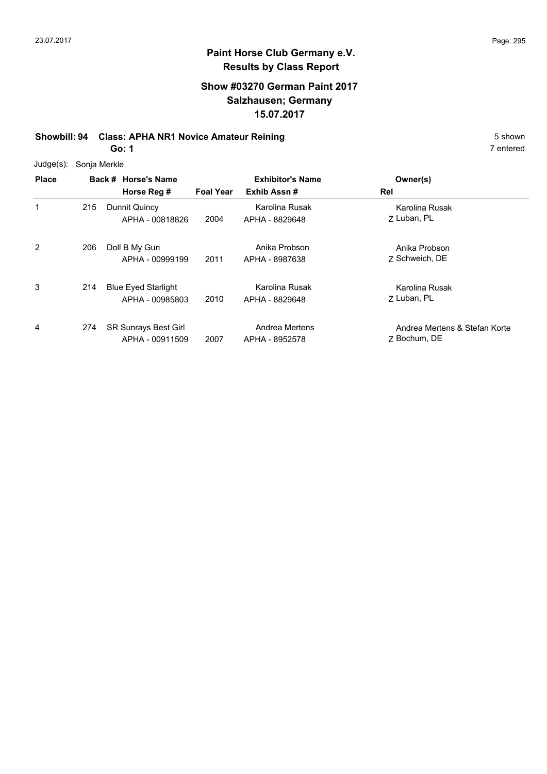## **Show #03270 German Paint 2017 Salzhausen; Germany 15.07.2017**

## **Showbill: 94 Class: APHA NR1 Novice Amateur Reining**

**Go: 1**

| 5 shown   |
|-----------|
| 7 entered |

| Judge(s): Sonja Merkle |
|------------------------|
|                        |

| <b>Place</b> |     | Back # Horse's Name                            |                  | <b>Exhibitor's Name</b>          | Owner(s)                                      |
|--------------|-----|------------------------------------------------|------------------|----------------------------------|-----------------------------------------------|
|              |     | Horse Reg #                                    | <b>Foal Year</b> | Exhib Assn#                      | Rel                                           |
| 1            | 215 | Dunnit Quincy<br>APHA - 00818826               | 2004             | Karolina Rusak<br>APHA - 8829648 | Karolina Rusak<br>7 Luban, PL                 |
| 2            | 206 | Doll B My Gun<br>APHA - 00999199               | 2011             | Anika Probson<br>APHA - 8987638  | Anika Probson<br>7 Schweich, DE               |
| 3            | 214 | <b>Blue Eyed Starlight</b><br>APHA - 00985803  | 2010             | Karolina Rusak<br>APHA - 8829648 | Karolina Rusak<br>7 Luban, PL                 |
| 4            | 274 | <b>SR Sunrays Best Girl</b><br>APHA - 00911509 | 2007             | Andrea Mertens<br>APHA - 8952578 | Andrea Mertens & Stefan Korte<br>7 Bochum, DE |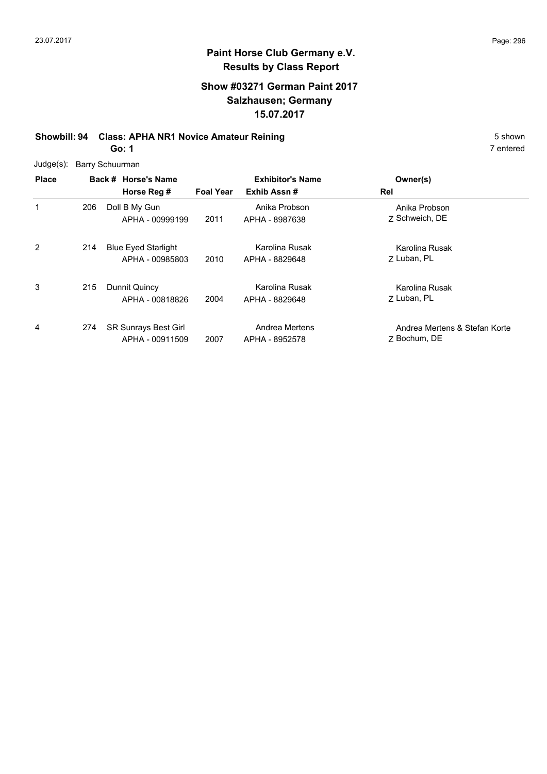## **Show #03271 German Paint 2017 Salzhausen; Germany 15.07.2017**

# **Showbill: 94 Class: APHA NR1 Novice Amateur Reining 5 Shown 5 Shown 5 shown**

**Go: 1**

| Judge(s): Barry Schuurman |  |
|---------------------------|--|
|                           |  |

| <b>Place</b> |     | Back # Horse's Name                            | <b>Exhibitor's Name</b> |                                  | Owner(s)                                      |
|--------------|-----|------------------------------------------------|-------------------------|----------------------------------|-----------------------------------------------|
|              |     | Horse Reg #                                    | <b>Foal Year</b>        | Exhib Assn#                      | Rel                                           |
| 1            | 206 | Doll B My Gun<br>APHA - 00999199               | 2011                    | Anika Probson<br>APHA - 8987638  | Anika Probson<br>7 Schweich, DE               |
| 2            | 214 | <b>Blue Eyed Starlight</b><br>APHA - 00985803  | 2010                    | Karolina Rusak<br>APHA - 8829648 | Karolina Rusak<br>7 Luban, PL                 |
| 3            | 215 | Dunnit Quincy<br>APHA - 00818826               | 2004                    | Karolina Rusak<br>APHA - 8829648 | Karolina Rusak<br>7 Luban, PL                 |
| 4            | 274 | <b>SR Sunrays Best Girl</b><br>APHA - 00911509 | 2007                    | Andrea Mertens<br>APHA - 8952578 | Andrea Mertens & Stefan Korte<br>7 Bochum, DE |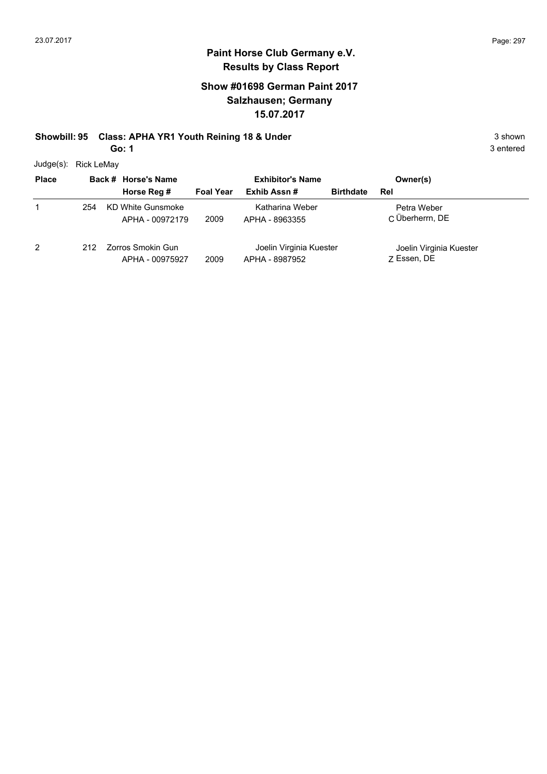## **Show #01698 German Paint 2017 Salzhausen; Germany 15.07.2017**

# **Showbill: 95 Class: APHA YR1 Youth Reining 18 & Under** 3 shown 3 shown

**Go: 1**

Judge(s): Rick LeMay

| <b>Place</b>   |     | Back # Horse's Name                  |                  | <b>Exhibitor's Name</b>                   |                  | Owner(s)                               |
|----------------|-----|--------------------------------------|------------------|-------------------------------------------|------------------|----------------------------------------|
|                |     | Horse Reg #                          | <b>Foal Year</b> | Exhib Assn #                              | <b>Birthdate</b> | Rel                                    |
|                | 254 | KD White Gunsmoke<br>APHA - 00972179 | 2009             | Katharina Weber<br>APHA - 8963355         |                  | Petra Weber<br>C Überherrn, DE         |
| $\overline{2}$ | 212 | Zorros Smokin Gun<br>APHA - 00975927 | 2009             | Joelin Virginia Kuester<br>APHA - 8987952 |                  | Joelin Virginia Kuester<br>7 Essen, DE |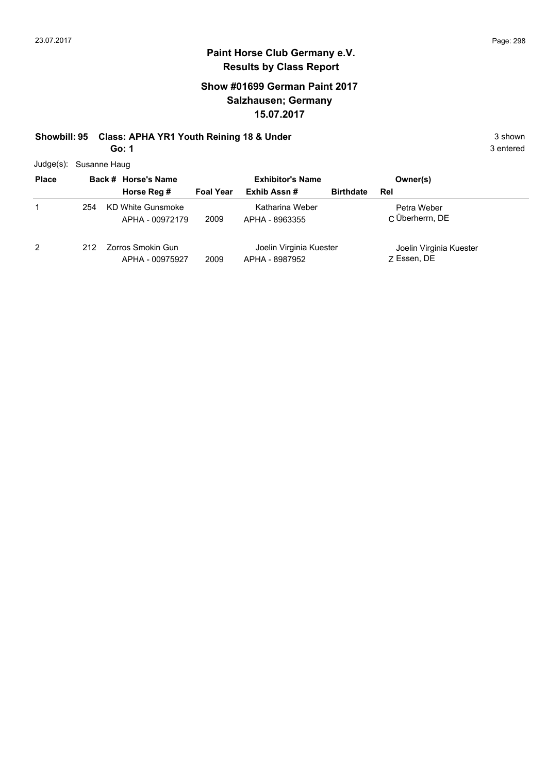## **Show #01699 German Paint 2017 Salzhausen; Germany 15.07.2017**

# **Showbill: 95 Class: APHA YR1 Youth Reining 18 & Under** 3 shown 3 shown

**Go: 1**

| <b>Place</b>   |      | Back # Horse's Name                  | <b>Exhibitor's Name</b> |                                           | Owner(s)         |                                        |  |
|----------------|------|--------------------------------------|-------------------------|-------------------------------------------|------------------|----------------------------------------|--|
|                |      | Horse Reg #                          | <b>Foal Year</b>        | Exhib Assn #                              | <b>Birthdate</b> | Rel                                    |  |
|                | 254  | KD White Gunsmoke<br>APHA - 00972179 | 2009                    | Katharina Weber<br>APHA - 8963355         |                  | Petra Weber<br>C Überherrn, DE         |  |
| $\overline{2}$ | 212. | Zorros Smokin Gun<br>APHA - 00975927 | 2009                    | Joelin Virginia Kuester<br>APHA - 8987952 |                  | Joelin Virginia Kuester<br>Z Essen, DE |  |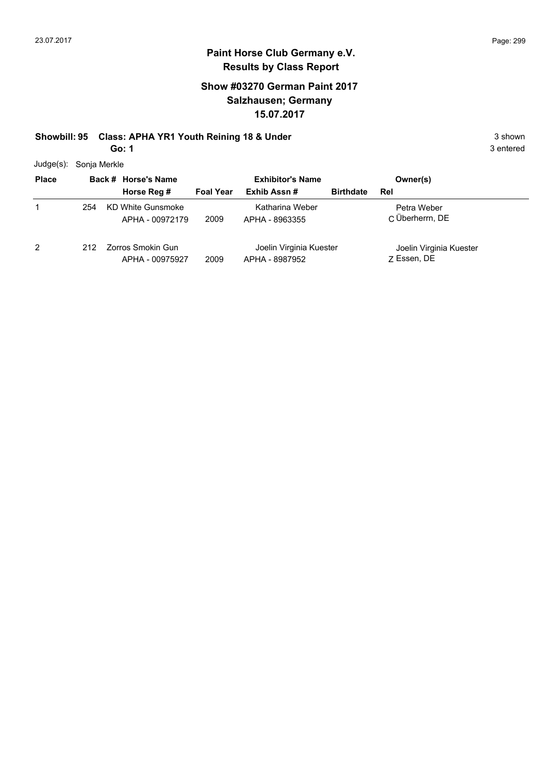1

### **Paint Horse Club Germany e.V. Results by Class Report**

## **Show #03270 German Paint 2017 Salzhausen; Germany 15.07.2017**

# **Showbill: 95 Class: APHA YR1 Youth Reining 18 & Under** 3 shown 3 shown

**Go: 1**

 $Judge(s)$ :

| Judge(s):    | Sonja Merkle |                                      |                  |                                   |                  |                                |  |
|--------------|--------------|--------------------------------------|------------------|-----------------------------------|------------------|--------------------------------|--|
| <b>Place</b> |              | Back # Horse's Name                  |                  | <b>Exhibitor's Name</b>           |                  | Owner(s)                       |  |
|              |              | Horse Reg #                          | <b>Foal Year</b> | Exhib Assn #                      | <b>Birthdate</b> | Rel                            |  |
|              | 254          | KD White Gunsmoke<br>APHA - 00972179 | 2009             | Katharina Weber<br>APHA - 8963355 |                  | Petra Weber<br>C Überherrn, DE |  |

2 212 Zorros Smokin Gun APHA - 00975927 2009 Essen, DE APHA - 8987952 Joelin Virginia Kuester

Z Essen, DE Joelin Virginia Kuester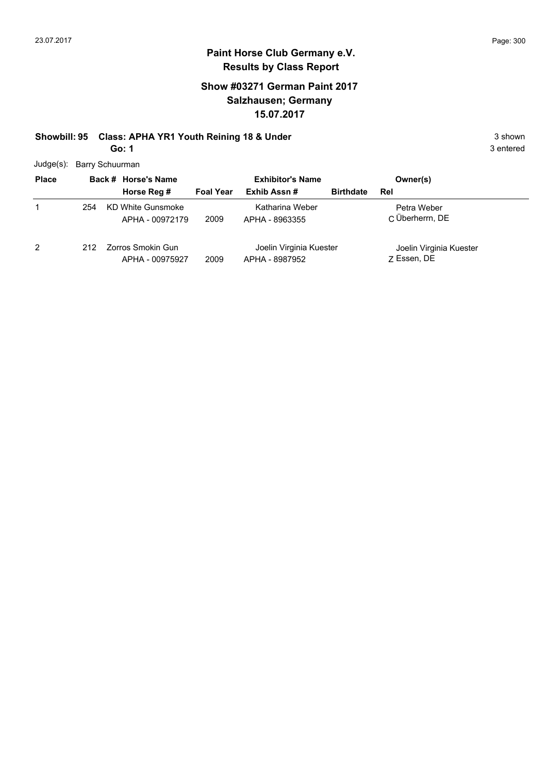### **Paint Horse Club Germany e.V. Results by Class Report**

## **Show #03271 German Paint 2017 Salzhausen; Germany 15.07.2017**

# **Showbill: 95 Class: APHA YR1 Youth Reining 18 & Under** 3 shown 3 shown

**Go: 1**

Judge(s): Barry Schuurman

| <b>Place</b> |     | Back # Horse's Name                  | <b>Exhibitor's Name</b> |                                           | Owner(s)         |                                        |  |
|--------------|-----|--------------------------------------|-------------------------|-------------------------------------------|------------------|----------------------------------------|--|
|              |     | Horse Reg #                          | <b>Foal Year</b>        | Exhib Assn#                               | <b>Birthdate</b> | Rel                                    |  |
|              | 254 | KD White Gunsmoke<br>APHA - 00972179 | 2009                    | Katharina Weber<br>APHA - 8963355         |                  | Petra Weber<br>C Überherrn, DE         |  |
| 2            | 212 | Zorros Smokin Gun<br>APHA - 00975927 | 2009                    | Joelin Virginia Kuester<br>APHA - 8987952 |                  | Joelin Virginia Kuester<br>7 Essen, DE |  |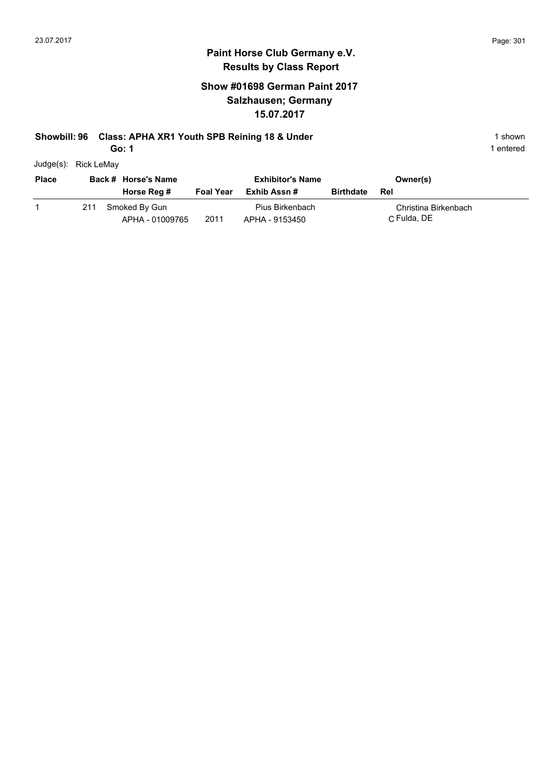## **Show #01698 German Paint 2017 Salzhausen; Germany 15.07.2017**

#### **Showbill: 96 Class: APHA XR1 Youth SPB Reining 18 & Under** 1 **Shown** 1 shown

**Go: 1**

1 entered

Judge(s): Rick LeMay

| <b>Place</b> | Back # Horse's Name |                                  |                  | <b>Exhibitor's Name</b>           |                  | Owner(s)                            |
|--------------|---------------------|----------------------------------|------------------|-----------------------------------|------------------|-------------------------------------|
|              |                     | Horse Reg #                      | <b>Foal Year</b> | Exhib Assn #                      | <b>Birthdate</b> | Rel                                 |
|              | 211                 | Smoked By Gun<br>APHA - 01009765 | 2011             | Pius Birkenbach<br>APHA - 9153450 |                  | Christina Birkenbach<br>C Fulda, DE |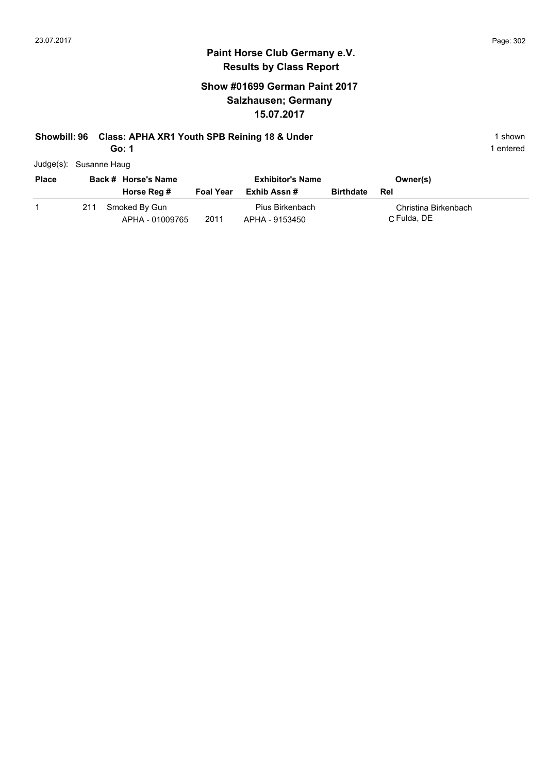## **Show #01699 German Paint 2017 Salzhausen; Germany 15.07.2017**

#### **Showbill: 96 Class: APHA XR1 Youth SPB Reining 18 & Under** 1 **Shown** 1 shown

**Go: 1**

| Judge(s): Susanne Haug |  |
|------------------------|--|
|                        |  |

| <b>Place</b> | Back # Horse's Name |                                  |                  | <b>Exhibitor's Name</b>           |                  | Owner(s)                            |  |
|--------------|---------------------|----------------------------------|------------------|-----------------------------------|------------------|-------------------------------------|--|
|              |                     | Horse Reg #                      | <b>Foal Year</b> | Exhib Assn #                      | <b>Birthdate</b> | Rel                                 |  |
|              | 211                 | Smoked By Gun<br>APHA - 01009765 | 2011             | Pius Birkenbach<br>APHA - 9153450 |                  | Christina Birkenbach<br>C Fulda, DE |  |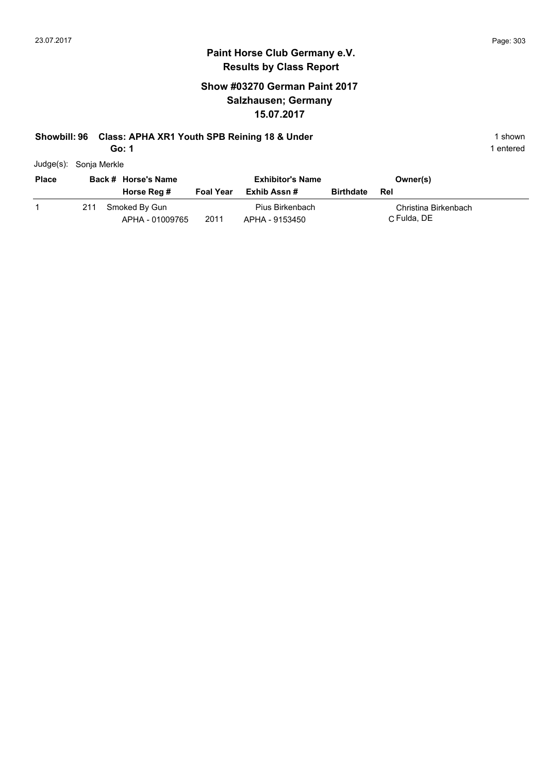## **Show #03270 German Paint 2017 Salzhausen; Germany 15.07.2017**

#### **Showbill: 96 Class: APHA XR1 Youth SPB Reining 18 & Under** 1 **Shown** 1 shown

**Go: 1**

1 entered

Judge(s): Sonja Merkle

| <b>Place</b> | Back # Horse's Name |                                  | <b>Exhibitor's Name</b> |                                   |                  | Owner(s)                            |
|--------------|---------------------|----------------------------------|-------------------------|-----------------------------------|------------------|-------------------------------------|
|              |                     | Horse Reg #                      | <b>Foal Year</b>        | Exhib Assn #                      | <b>Birthdate</b> | Rel                                 |
|              | 211                 | Smoked By Gun<br>APHA - 01009765 | 2011                    | Pius Birkenbach<br>APHA - 9153450 |                  | Christina Birkenbach<br>C Fulda, DE |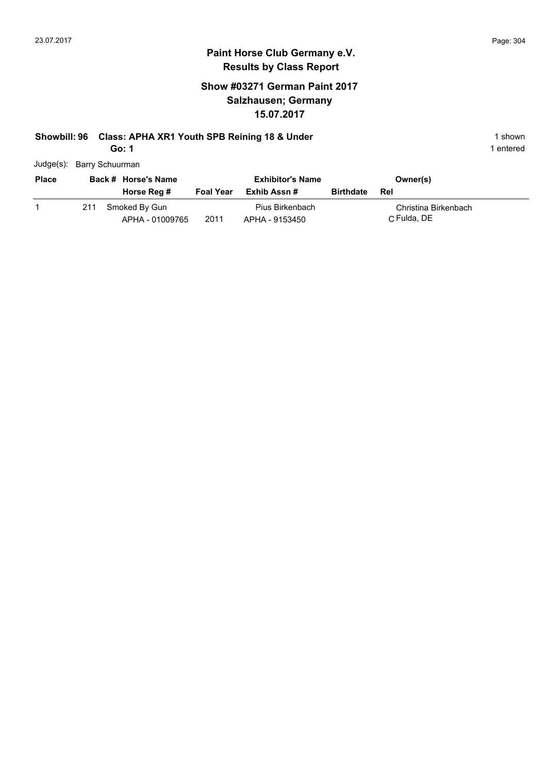## **Show #03271 German Paint 2017 Salzhausen; Germany 15.07.2017**

## **Showbill: 96 Class: APHA XR1 Youth SPB Reining 18 & Under** 1 **Shown** 1 shown

**Go: 1**

| <b>Place</b> | Back # Horse's Name |                                  |                  | <b>Exhibitor's Name</b>           | Owner(s)         |                                     |
|--------------|---------------------|----------------------------------|------------------|-----------------------------------|------------------|-------------------------------------|
|              |                     | Horse Reg #                      | <b>Foal Year</b> | Exhib Assn #                      | <b>Birthdate</b> | Rel                                 |
|              | 211                 | Smoked By Gun<br>APHA - 01009765 | 2011             | Pius Birkenbach<br>APHA - 9153450 |                  | Christina Birkenbach<br>C Fulda, DE |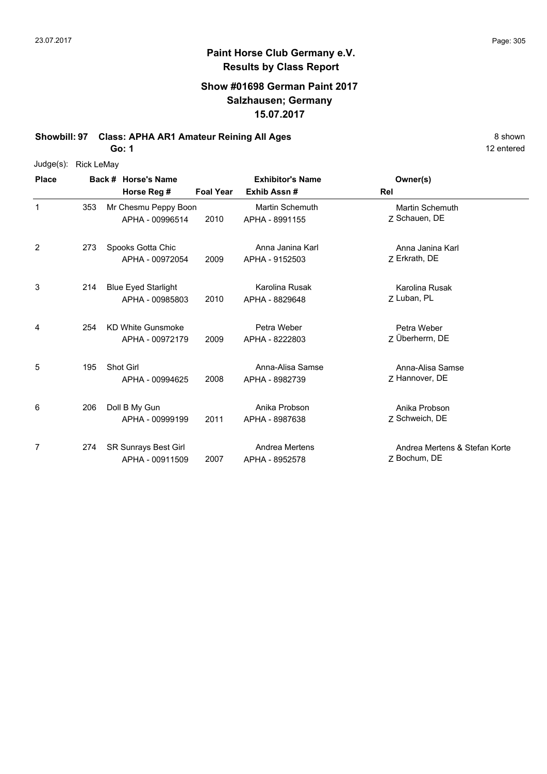## **Paint Horse Club Germany e.V. Results by Class Report**

#### **Show #01698 German Paint 2017 Salzhausen; Germany 15.07.2017**

**Showbill: 97 Class: APHA AR1 Amateur Reining All Ages** 8 Shown

**Go: 1**

| Judge(s):    | <b>Rick LeMay</b> |                             |                 |                  |                         |     |                               |
|--------------|-------------------|-----------------------------|-----------------|------------------|-------------------------|-----|-------------------------------|
| <b>Place</b> |                   | Back # Horse's Name         |                 |                  | <b>Exhibitor's Name</b> |     | Owner(s)                      |
|              |                   | Horse Reg #                 |                 | <b>Foal Year</b> | Exhib Assn#             | Rel |                               |
| $\mathbf{1}$ | 353               | Mr Chesmu Peppy Boon        |                 |                  | Martin Schemuth         |     | <b>Martin Schemuth</b>        |
|              |                   |                             | APHA - 00996514 | 2010             | APHA - 8991155          |     | Z Schauen, DE                 |
| 2            | 273               | Spooks Gotta Chic           |                 |                  | Anna Janina Karl        |     | Anna Janina Karl              |
|              |                   |                             | APHA - 00972054 | 2009             | APHA - 9152503          |     | Z Erkrath, DE                 |
| 3            | 214               | <b>Blue Eyed Starlight</b>  |                 |                  | Karolina Rusak          |     | Karolina Rusak                |
|              |                   |                             | APHA - 00985803 | 2010             | APHA - 8829648          |     | Z Luban, PL                   |
| 4            | 254               | <b>KD White Gunsmoke</b>    |                 |                  | Petra Weber             |     | Petra Weber                   |
|              |                   |                             | APHA - 00972179 | 2009             | APHA - 8222803          |     | Z Überherrn, DE               |
| 5            | 195               | Shot Girl                   |                 |                  | Anna-Alisa Samse        |     | Anna-Alisa Samse              |
|              |                   |                             | APHA - 00994625 | 2008             | APHA - 8982739          |     | Z Hannover, DE                |
| 6            | 206               | Doll B My Gun               |                 |                  | Anika Probson           |     | Anika Probson                 |
|              |                   |                             | APHA - 00999199 | 2011             | APHA - 8987638          |     | Z Schweich, DE                |
| 7            | 274               | <b>SR Sunrays Best Girl</b> |                 |                  | Andrea Mertens          |     | Andrea Mertens & Stefan Korte |
|              |                   |                             | APHA - 00911509 | 2007             | APHA - 8952578          |     | Z Bochum, DE                  |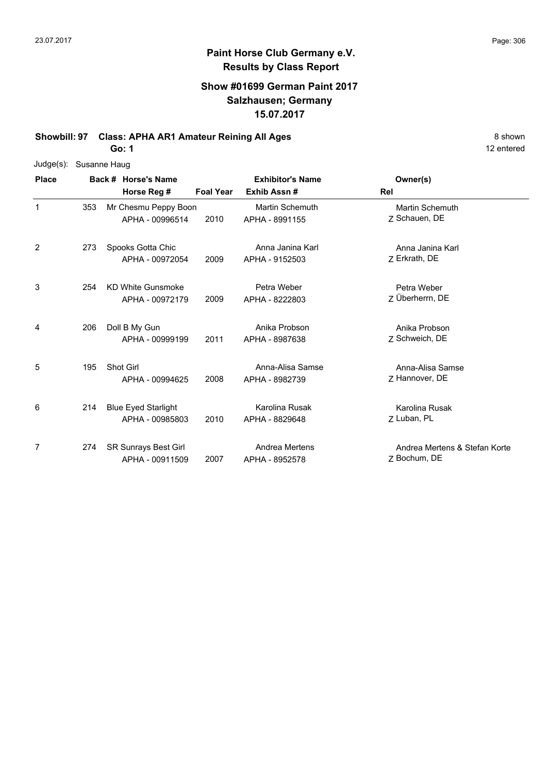#### **Show #01699 German Paint 2017 Salzhausen; Germany 15.07.2017**

**Showbill: 97 Class: APHA AR1 Amateur Reining All Ages** 8 Shown

**Go: 1**

| Judge(s):    | Susanne Haug |                             |                  |                         |                               |
|--------------|--------------|-----------------------------|------------------|-------------------------|-------------------------------|
| <b>Place</b> |              | Back # Horse's Name         |                  | <b>Exhibitor's Name</b> | Owner(s)                      |
|              |              | Horse Reg #                 | <b>Foal Year</b> | Exhib Assn#             | Rel                           |
| $\mathbf{1}$ | 353          | Mr Chesmu Peppy Boon        |                  | <b>Martin Schemuth</b>  | <b>Martin Schemuth</b>        |
|              |              | APHA - 00996514             | 2010             | APHA - 8991155          | 7 Schauen, DE                 |
| 2            | 273          | Spooks Gotta Chic           |                  | Anna Janina Karl        | Anna Janina Karl              |
|              |              | APHA - 00972054             | 2009             | APHA - 9152503          | Z Erkrath, DE                 |
| 3            | 254          | <b>KD White Gunsmoke</b>    |                  | Petra Weber             | Petra Weber                   |
|              |              | APHA - 00972179             | 2009             | APHA - 8222803          | Z Überherrn, DE               |
| 4            | 206          | Doll B My Gun               |                  | Anika Probson           | Anika Probson                 |
|              |              | APHA - 00999199             | 2011             | APHA - 8987638          | Z Schweich, DE                |
| 5            | 195          | Shot Girl                   |                  | Anna-Alisa Samse        | Anna-Alisa Samse              |
|              |              | APHA - 00994625             | 2008             | APHA - 8982739          | Z Hannover, DE                |
| 6            | 214          | <b>Blue Eyed Starlight</b>  |                  | Karolina Rusak          | Karolina Rusak                |
|              |              | APHA - 00985803             | 2010             | APHA - 8829648          | Z Luban, PL                   |
| 7            | 274          | <b>SR Sunrays Best Girl</b> |                  | Andrea Mertens          | Andrea Mertens & Stefan Korte |
|              |              | APHA - 00911509             | 2007             | APHA - 8952578          | Z Bochum, DE                  |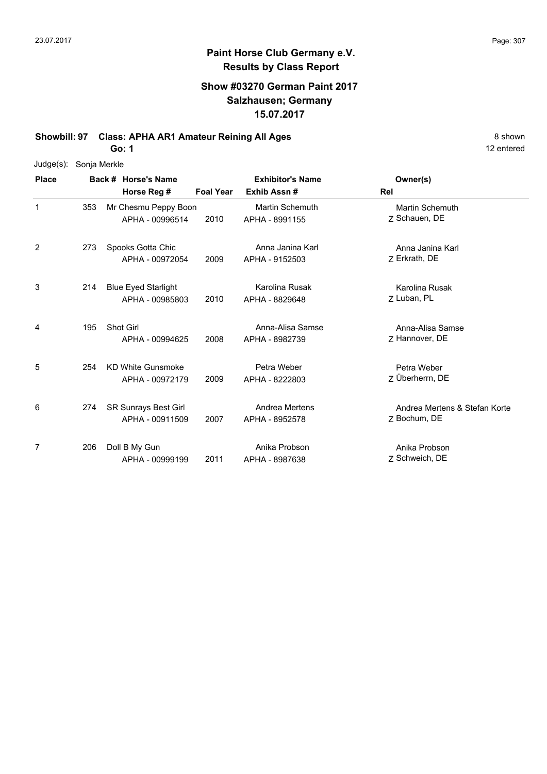## **Paint Horse Club Germany e.V. Results by Class Report**

#### **Show #03270 German Paint 2017 Salzhausen; Germany 15.07.2017**

**Showbill: 97 Class: APHA AR1 Amateur Reining All Ages** 8 Shown

**Go: 1**

| $Judge(s)$ : | Sonja Merkle |                             |                  |                         |                               |
|--------------|--------------|-----------------------------|------------------|-------------------------|-------------------------------|
| <b>Place</b> |              | Back # Horse's Name         |                  | <b>Exhibitor's Name</b> | Owner(s)                      |
|              |              | Horse Reg #                 | <b>Foal Year</b> | Exhib Assn#             | Rel                           |
| $\mathbf{1}$ | 353          | Mr Chesmu Peppy Boon        |                  | <b>Martin Schemuth</b>  | <b>Martin Schemuth</b>        |
|              |              | APHA - 00996514             | 2010             | APHA - 8991155          | Z Schauen, DE                 |
| 2            | 273          | Spooks Gotta Chic           |                  | Anna Janina Karl        | Anna Janina Karl              |
|              |              | APHA - 00972054             | 2009             | APHA - 9152503          | Z Erkrath, DE                 |
| 3            | 214          | <b>Blue Eyed Starlight</b>  |                  | Karolina Rusak          | Karolina Rusak                |
|              |              | APHA - 00985803             | 2010             | APHA - 8829648          | Z Luban, PL                   |
| 4            | 195          | Shot Girl                   |                  | Anna-Alisa Samse        | Anna-Alisa Samse              |
|              |              | APHA - 00994625             | 2008             | APHA - 8982739          | 7 Hannover, DE                |
| 5            | 254          | <b>KD White Gunsmoke</b>    |                  | Petra Weber             | Petra Weber                   |
|              |              | APHA - 00972179             | 2009             | APHA - 8222803          | Z Überherrn, DE               |
| 6            | 274          | <b>SR Sunrays Best Girl</b> |                  | Andrea Mertens          | Andrea Mertens & Stefan Korte |
|              |              | APHA - 00911509             | 2007             | APHA - 8952578          | Z Bochum, DE                  |
| 7            | 206          | Doll B My Gun               |                  | Anika Probson           | Anika Probson                 |
|              |              | APHA - 00999199             | 2011             | APHA - 8987638          | Z Schweich, DE                |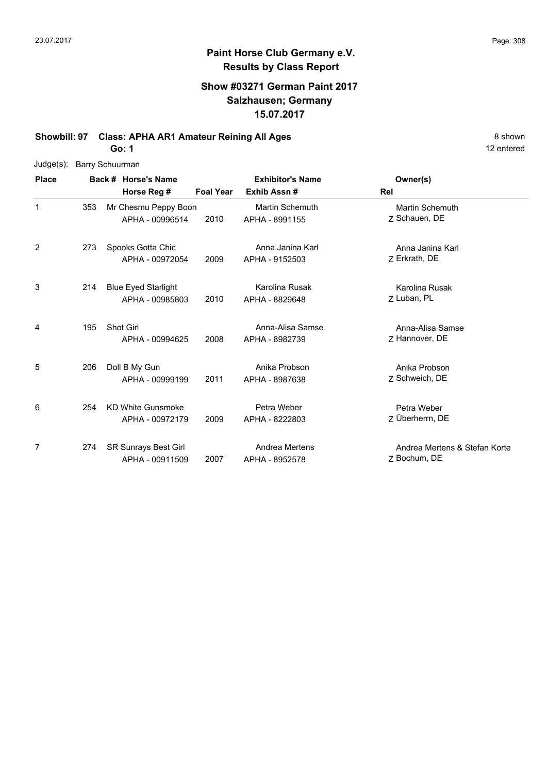### **Paint Horse Club Germany e.V. Results by Class Report**

### **Show #03271 German Paint 2017 Salzhausen; Germany 15.07.2017**

**Showbill: 97 Class: APHA AR1 Amateur Reining All Ages** 8 Shown **Go: 1**

| Judge(s): Barry Schuurman |
|---------------------------|

| <b>Place</b> |     | Back # Horse's Name<br>Horse Reg #             | <b>Foal Year</b> | <b>Exhibitor's Name</b><br>Exhib Assn#   | Owner(s)<br>Rel                               |
|--------------|-----|------------------------------------------------|------------------|------------------------------------------|-----------------------------------------------|
| 1            | 353 | Mr Chesmu Peppy Boon<br>APHA - 00996514        | 2010             | <b>Martin Schemuth</b><br>APHA - 8991155 | <b>Martin Schemuth</b><br>Z Schauen, DE       |
| 2            | 273 | Spooks Gotta Chic<br>APHA - 00972054           | 2009             | Anna Janina Karl<br>APHA - 9152503       | Anna Janina Karl<br>Z Erkrath, DE             |
| 3            | 214 | <b>Blue Eyed Starlight</b><br>APHA - 00985803  | 2010             | Karolina Rusak<br>APHA - 8829648         | Karolina Rusak<br>Z Luban, PL                 |
| 4            | 195 | <b>Shot Girl</b><br>APHA - 00994625            | 2008             | Anna-Alisa Samse<br>APHA - 8982739       | Anna-Alisa Samse<br>Z Hannover, DE            |
| 5            | 206 | Doll B My Gun<br>APHA - 00999199               | 2011             | Anika Probson<br>APHA - 8987638          | Anika Probson<br>Z Schweich, DE               |
| 6            | 254 | <b>KD White Gunsmoke</b><br>APHA - 00972179    | 2009             | Petra Weber<br>APHA - 8222803            | Petra Weber<br>Z Überherrn, DE                |
| 7            | 274 | <b>SR Sunrays Best Girl</b><br>APHA - 00911509 | 2007             | Andrea Mertens<br>APHA - 8952578         | Andrea Mertens & Stefan Korte<br>7 Bochum, DE |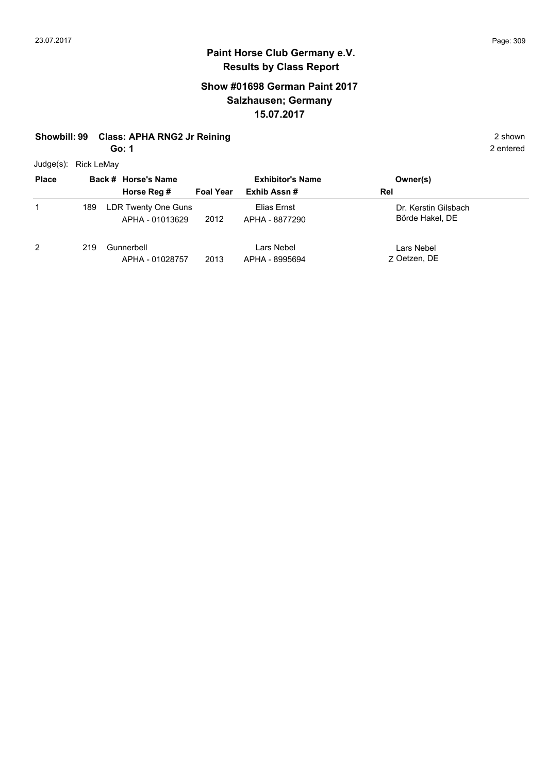## **Show #01698 German Paint 2017 Salzhausen; Germany 15.07.2017**

## **Showbill: 99 Class: APHA RNG2 Jr Reining 2 shown** 2 shown

**Go: 1**

Judge(s): Rick LeMay

| $5 - 9 - 1$<br><b>Place</b> |     | Back # Horse's Name                    | <b>Exhibitor's Name</b> |                               | Owner(s)                                |
|-----------------------------|-----|----------------------------------------|-------------------------|-------------------------------|-----------------------------------------|
|                             |     | Horse Reg #                            | <b>Foal Year</b>        | Exhib Assn#                   | Rel                                     |
|                             | 189 | LDR Twenty One Guns<br>APHA - 01013629 | 2012                    | Elias Ernst<br>APHA - 8877290 | Dr. Kerstin Gilsbach<br>Börde Hakel, DE |
| 2                           | 219 | Gunnerbell<br>APHA - 01028757          | 2013                    | Lars Nebel<br>APHA - 8995694  | Lars Nebel<br>7 Oetzen, DE              |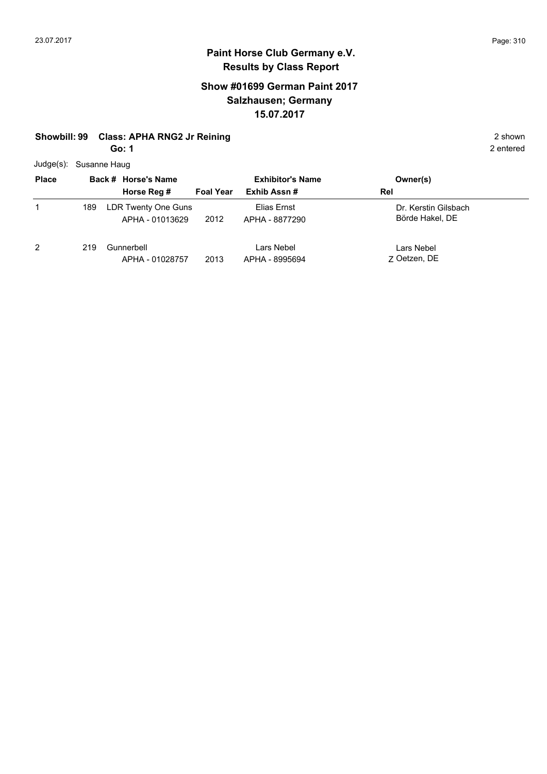## **Show #01699 German Paint 2017 Salzhausen; Germany 15.07.2017**

## **Showbill: 99 Class: APHA RNG2 Jr Reining 2 shown** 2 shown

**Go: 1**

Judge(s): Susanne Haug

| <b>Place</b> |     | Back # Horse's Name                    | <b>Exhibitor's Name</b> |                               | Owner(s)                                |
|--------------|-----|----------------------------------------|-------------------------|-------------------------------|-----------------------------------------|
|              |     | Horse Reg #                            | <b>Foal Year</b>        | Exhib Assn#                   | Rel                                     |
|              | 189 | LDR Twenty One Guns<br>APHA - 01013629 | 2012                    | Elias Ernst<br>APHA - 8877290 | Dr. Kerstin Gilsbach<br>Börde Hakel, DE |
| 2            | 219 | Gunnerbell<br>APHA - 01028757          | 2013                    | Lars Nebel<br>APHA - 8995694  | Lars Nebel<br>7 Oetzen, DE              |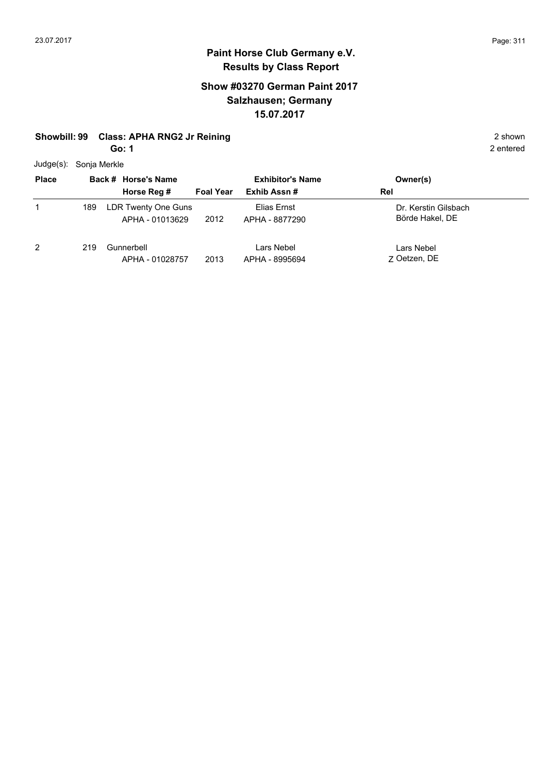## **Show #03270 German Paint 2017 Salzhausen; Germany 15.07.2017**

## **Showbill: 99 Class: APHA RNG2 Jr Reining 2 shown** 2 shown

**Go: 1**

Judge(s): Sonja Merkle

| <b>Place</b> |     | Back # Horse's Name                    |                  | <b>Exhibitor's Name</b>       | Owner(s)                                |
|--------------|-----|----------------------------------------|------------------|-------------------------------|-----------------------------------------|
|              |     | Horse Reg #                            | <b>Foal Year</b> | Exhib Assn#                   | Rel                                     |
|              | 189 | LDR Twenty One Guns<br>APHA - 01013629 | 2012             | Elias Ernst<br>APHA - 8877290 | Dr. Kerstin Gilsbach<br>Börde Hakel, DE |
| 2            | 219 | Gunnerbell<br>APHA - 01028757          | 2013             | Lars Nebel<br>APHA - 8995694  | Lars Nebel<br>7 Oetzen, DE              |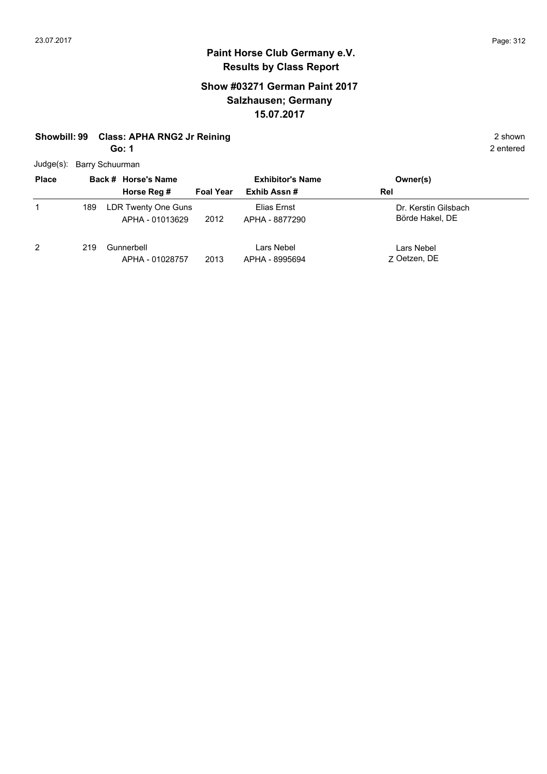## **Show #03271 German Paint 2017 Salzhausen; Germany 15.07.2017**

# **Showbill: 99 Class: APHA RNG2 Jr Reining 2 shown** 2 shown

**Go: 1**

| Judge(s): Barry Schuurman |
|---------------------------|
|                           |

| <b>Place</b>   | Back # Horse's Name |                                        | <b>Exhibitor's Name</b> |                               | Owner(s)                                |
|----------------|---------------------|----------------------------------------|-------------------------|-------------------------------|-----------------------------------------|
|                |                     | Horse Reg #                            | <b>Foal Year</b>        | Exhib Assn#                   | Rel                                     |
|                | 189                 | LDR Twenty One Guns<br>APHA - 01013629 | 2012                    | Elias Ernst<br>APHA - 8877290 | Dr. Kerstin Gilsbach<br>Börde Hakel, DE |
| $\overline{2}$ | 219                 | Gunnerbell<br>APHA - 01028757          | 2013                    | Lars Nebel<br>APHA - 8995694  | Lars Nebel<br>7 Oetzen, DE              |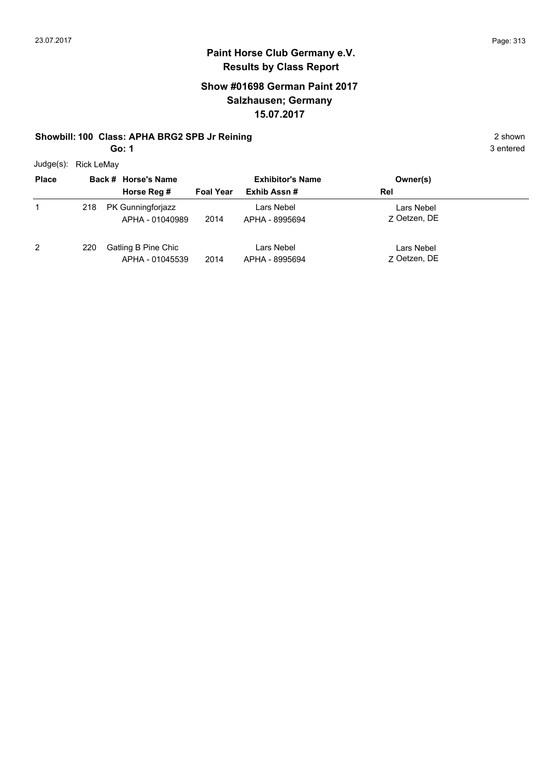## **Paint Horse Club Germany e.V. Results by Class Report**

### **Show #01698 German Paint 2017 Salzhausen; Germany 15.07.2017**

#### **Showbill: 100 Class: APHA BRG2 SPB Jr Reining 2 shown 2 shown**

**Go: 1**

Judge(s): Rick LeMay

| <b>Place</b> |     | Back # Horse's Name                    |                  | <b>Exhibitor's Name</b>      | Owner(s)                   |
|--------------|-----|----------------------------------------|------------------|------------------------------|----------------------------|
|              |     | Horse Reg #                            | <b>Foal Year</b> | Exhib Assn#                  | Rel                        |
|              | 218 | PK Gunningforjazz<br>APHA - 01040989   | 2014             | Lars Nebel<br>APHA - 8995694 | Lars Nebel<br>7 Oetzen, DE |
| 2            | 220 | Gatling B Pine Chic<br>APHA - 01045539 | 2014             | Lars Nebel<br>APHA - 8995694 | Lars Nebel<br>7 Oetzen, DE |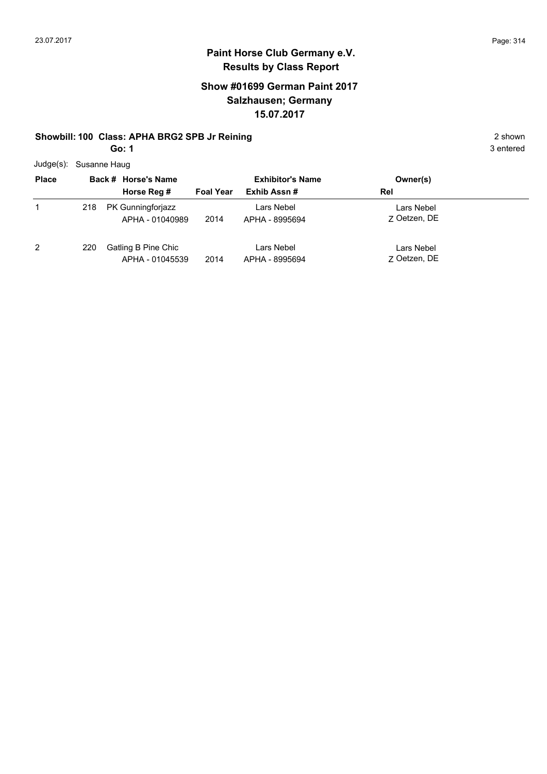## **Paint Horse Club Germany e.V. Results by Class Report**

### **Show #01699 German Paint 2017 Salzhausen; Germany 15.07.2017**

#### **Showbill: 100 Class: APHA BRG2 SPB Jr Reining 2 shown 2 shown**

**Go: 1**

Judge(s): Susanne Haug

| <b>Place</b> |     | Back # Horse's Name | <b>Exhibitor's Name</b> |                | Owner(s)     |
|--------------|-----|---------------------|-------------------------|----------------|--------------|
|              |     | Horse Reg #         | <b>Foal Year</b>        | Exhib Assn#    | Rel          |
|              | 218 | PK Gunningforjazz   |                         | Lars Nebel     | Lars Nebel   |
|              |     | APHA - 01040989     | 2014                    | APHA - 8995694 | 7 Oetzen, DE |
| 2            | 220 | Gatling B Pine Chic |                         | Lars Nebel     | Lars Nebel   |
|              |     | APHA - 01045539     | 2014                    | APHA - 8995694 | 7 Oetzen, DE |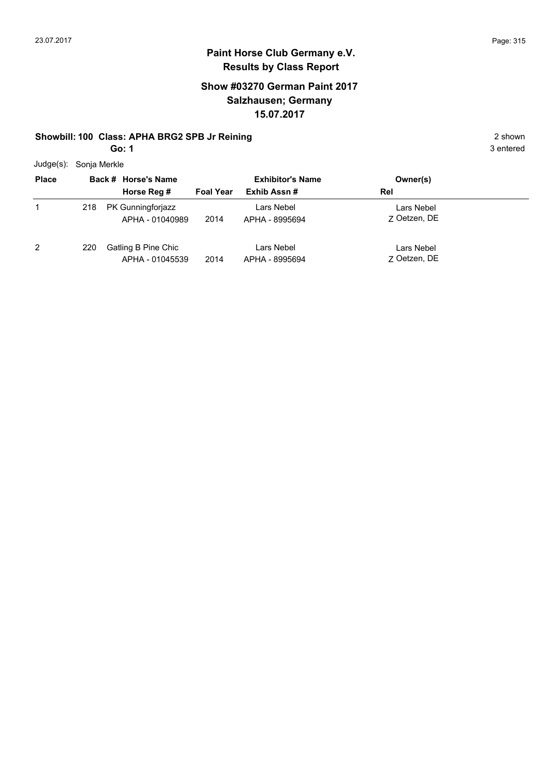## **Paint Horse Club Germany e.V. Results by Class Report**

### **Show #03270 German Paint 2017 Salzhausen; Germany 15.07.2017**

#### **Showbill: 100 Class: APHA BRG2 SPB Jr Reining 2 shown 2 shown**

**Go: 1**

Judge(s): Sonja Merkle

| <b>Place</b> |     | Back # Horse's Name<br>Horse Reg #     | <b>Foal Year</b> | <b>Exhibitor's Name</b><br>Exhib Assn# | Owner(s)<br>Rel            |
|--------------|-----|----------------------------------------|------------------|----------------------------------------|----------------------------|
|              | 218 | PK Gunningforjazz<br>APHA - 01040989   | 2014             | Lars Nebel<br>APHA - 8995694           | Lars Nebel<br>7 Oetzen, DE |
| 2            | 220 | Gatling B Pine Chic<br>APHA - 01045539 | 2014             | Lars Nebel<br>APHA - 8995694           | Lars Nebel<br>7 Oetzen, DE |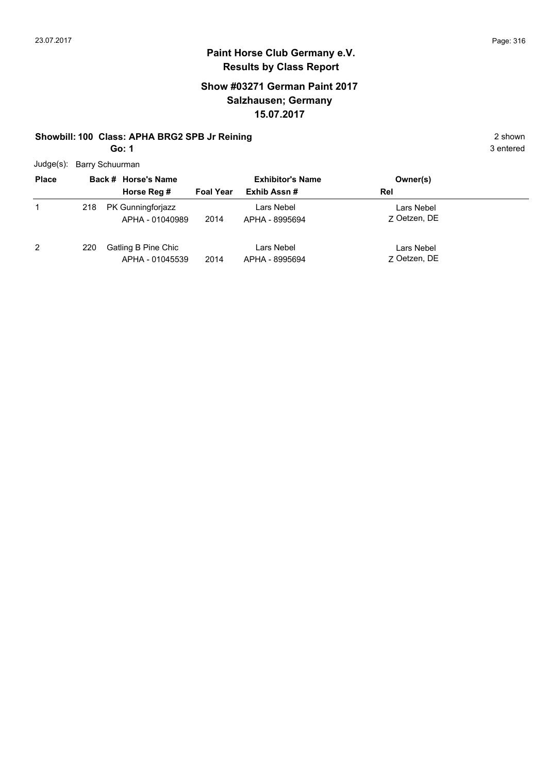## **Paint Horse Club Germany e.V. Results by Class Report**

## **Show #03271 German Paint 2017 Salzhausen; Germany 15.07.2017**

#### **Showbill: 100 Class: APHA BRG2 SPB Jr Reining 2 shown 2 shown**

**Go: 1**

Judge(s): Barry Schuurman

| <b>Place</b>   |     | Back # Horse's Name<br>Horse Reg #     | <b>Foal Year</b> | <b>Exhibitor's Name</b><br>Exhib Assn# | Owner(s)<br>Rel            |
|----------------|-----|----------------------------------------|------------------|----------------------------------------|----------------------------|
|                | 218 | PK Gunningforjazz<br>APHA - 01040989   | 2014             | Lars Nebel<br>APHA - 8995694           | Lars Nebel<br>7 Oetzen, DE |
| $\overline{2}$ | 220 | Gatling B Pine Chic<br>APHA - 01045539 | 2014             | Lars Nebel<br>APHA - 8995694           | Lars Nebel<br>7 Oetzen, DE |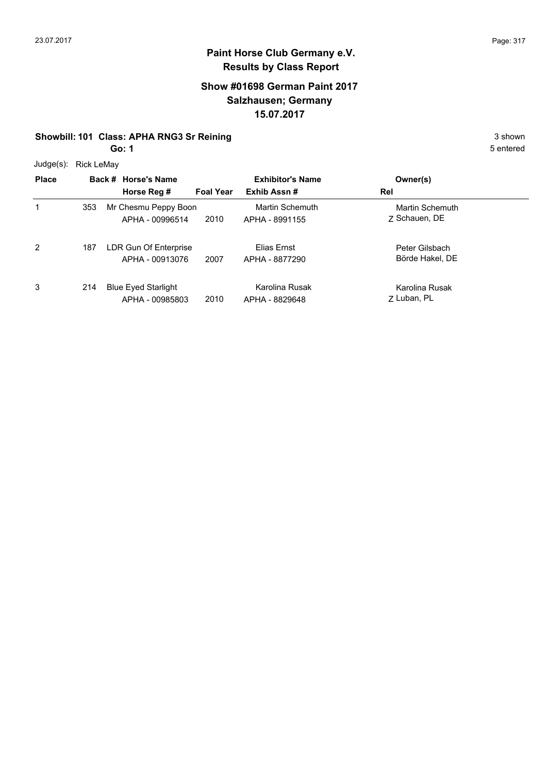#### **Show #01698 German Paint 2017 Salzhausen; Germany 15.07.2017**

## **Showbill: 101 Class: APHA RNG3 Sr Reining** 3 shown

**Go: 1**

Judge(s): Rick LeMay

| Juuge(s).    | <b>RICK LEIVIAV</b> |                                               |                  |                                   |                                   |  |
|--------------|---------------------|-----------------------------------------------|------------------|-----------------------------------|-----------------------------------|--|
| <b>Place</b> |                     | Back # Horse's Name                           |                  | <b>Exhibitor's Name</b>           | Owner(s)                          |  |
|              |                     | Horse Reg #                                   | <b>Foal Year</b> | Exhib Assn#                       | <b>Rel</b>                        |  |
| 1            | 353                 | Mr Chesmu Peppy Boon<br>APHA - 00996514       | 2010             | Martin Schemuth<br>APHA - 8991155 | Martin Schemuth<br>7 Schauen, DE  |  |
| 2            | 187                 | LDR Gun Of Enterprise<br>APHA - 00913076      | 2007             | Elias Ernst<br>APHA - 8877290     | Peter Gilsbach<br>Börde Hakel, DE |  |
| 3            | 214                 | <b>Blue Eyed Starlight</b><br>APHA - 00985803 | 2010             | Karolina Rusak<br>APHA - 8829648  | Karolina Rusak<br>Z Luban, PL     |  |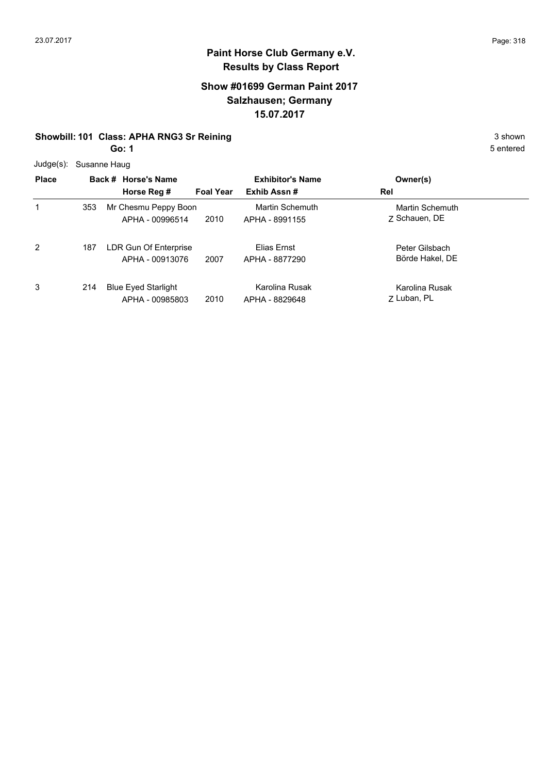#### **Show #01699 German Paint 2017 Salzhausen; Germany 15.07.2017**

## **Showbill: 101 Class: APHA RNG3 Sr Reining** 3 shown

**Go: 1**

|  | Judge(s): Susanne Haug |  |
|--|------------------------|--|
|--|------------------------|--|

| <b>Place</b> |     | Back # Horse's Name<br>Horse Reg #            | <b>Foal Year</b> | <b>Exhibitor's Name</b><br>Exhib Assn# | Owner(s)<br>Rel                   |
|--------------|-----|-----------------------------------------------|------------------|----------------------------------------|-----------------------------------|
| 1            | 353 | Mr Chesmu Peppy Boon<br>APHA - 00996514       | 2010             | Martin Schemuth<br>APHA - 8991155      | Martin Schemuth<br>7 Schauen, DE  |
| 2            | 187 | LDR Gun Of Enterprise<br>APHA - 00913076      | 2007             | Elias Ernst<br>APHA - 8877290          | Peter Gilsbach<br>Börde Hakel, DE |
| 3            | 214 | <b>Blue Eyed Starlight</b><br>APHA - 00985803 | 2010             | Karolina Rusak<br>APHA - 8829648       | Karolina Rusak<br>Z Luban, PL     |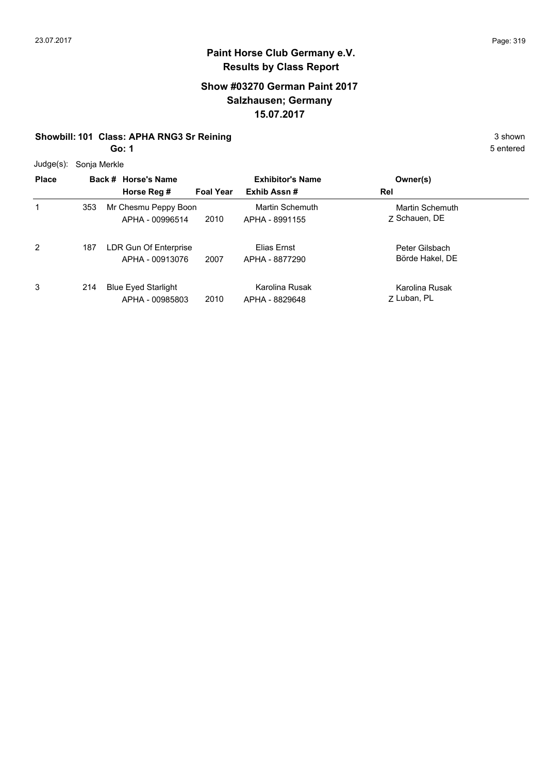#### **Show #03270 German Paint 2017 Salzhausen; Germany 15.07.2017**

## **Showbill: 101 Class: APHA RNG3 Sr Reining** 3 shown

**Go: 1**

Judge(s): Sonja Merkle

| Juuy <del>c</del> (5). | <b>SUITE MEINE</b> |                                               |                  |                                          |                                   |  |
|------------------------|--------------------|-----------------------------------------------|------------------|------------------------------------------|-----------------------------------|--|
| <b>Place</b>           |                    | Back # Horse's Name                           |                  | <b>Exhibitor's Name</b>                  | Owner(s)                          |  |
|                        |                    | Horse Reg #                                   | <b>Foal Year</b> | Exhib Assn#                              | Rel                               |  |
|                        | 353                | Mr Chesmu Peppy Boon<br>APHA - 00996514       | 2010             | <b>Martin Schemuth</b><br>APHA - 8991155 | Martin Schemuth<br>7 Schauen, DE  |  |
| 2                      | 187                | LDR Gun Of Enterprise<br>APHA - 00913076      | 2007             | Elias Ernst<br>APHA - 8877290            | Peter Gilsbach<br>Börde Hakel, DE |  |
| 3                      | 214                | <b>Blue Eyed Starlight</b><br>APHA - 00985803 | 2010             | Karolina Rusak<br>APHA - 8829648         | Karolina Rusak<br>7 Luban, PL     |  |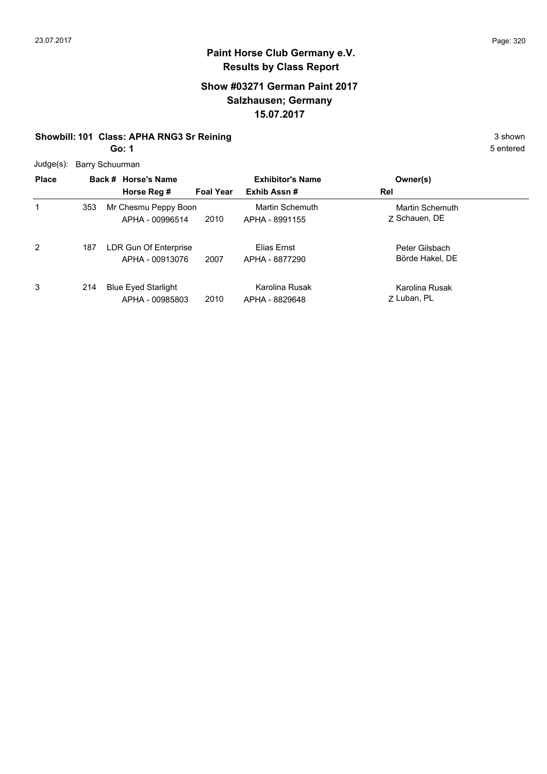#### **Show #03271 German Paint 2017 Salzhausen; Germany 15.07.2017**

## **Showbill: 101 Class: APHA RNG3 Sr Reining** 3 shown

**Go: 1**

| <b>Place</b> |     | Back # Horse's Name<br>Horse Reg #            | <b>Foal Year</b> | <b>Exhibitor's Name</b><br>Exhib Assn# | Owner(s)<br>Rel                   |  |
|--------------|-----|-----------------------------------------------|------------------|----------------------------------------|-----------------------------------|--|
|              | 353 | Mr Chesmu Peppy Boon<br>APHA - 00996514       | 2010             | Martin Schemuth<br>APHA - 8991155      | Martin Schemuth<br>7 Schauen, DE  |  |
| 2            | 187 | LDR Gun Of Enterprise<br>APHA - 00913076      | 2007             | Elias Ernst<br>APHA - 8877290          | Peter Gilsbach<br>Börde Hakel, DE |  |
| 3            | 214 | <b>Blue Eyed Starlight</b><br>APHA - 00985803 | 2010             | Karolina Rusak<br>APHA - 8829648       | Karolina Rusak<br>7 Luban, PL     |  |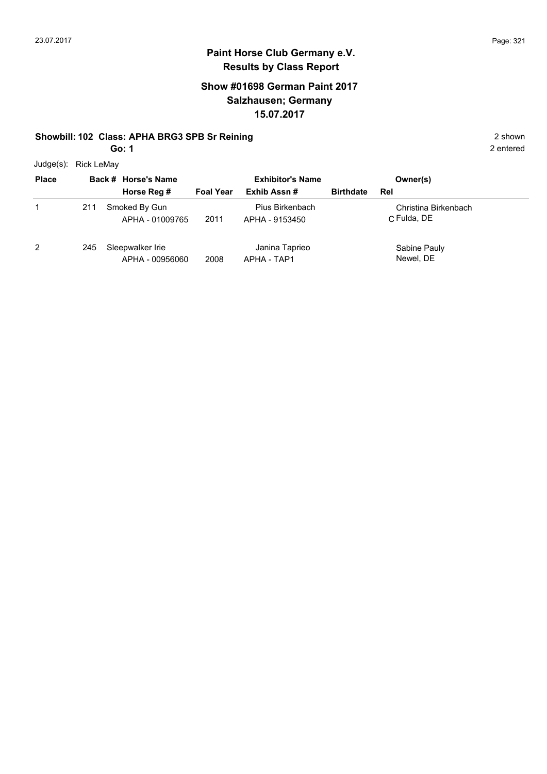## **Show #01698 German Paint 2017 Salzhausen; Germany 15.07.2017**

#### **Showbill: 102 Class: APHA BRG3 SPB Sr Reining 2 shown 2 shown 2 shown**

**Go: 1**

Judge(s): Rick LeMay

| <b>Place</b>  | Back # Horse's Name |                                     | <b>Exhibitor's Name</b> |                                   |                  | Owner(s)                            |
|---------------|---------------------|-------------------------------------|-------------------------|-----------------------------------|------------------|-------------------------------------|
|               |                     | Horse Reg #                         | <b>Foal Year</b>        | Exhib Assn#                       | <b>Birthdate</b> | Rel                                 |
|               | 211                 | Smoked By Gun<br>APHA - 01009765    | 2011                    | Pius Birkenbach<br>APHA - 9153450 |                  | Christina Birkenbach<br>C Fulda, DE |
| $\mathcal{P}$ | 245                 | Sleepwalker Irie<br>APHA - 00956060 | 2008                    | Janina Taprieo<br>APHA - TAP1     |                  | Sabine Pauly<br>Newel, DE           |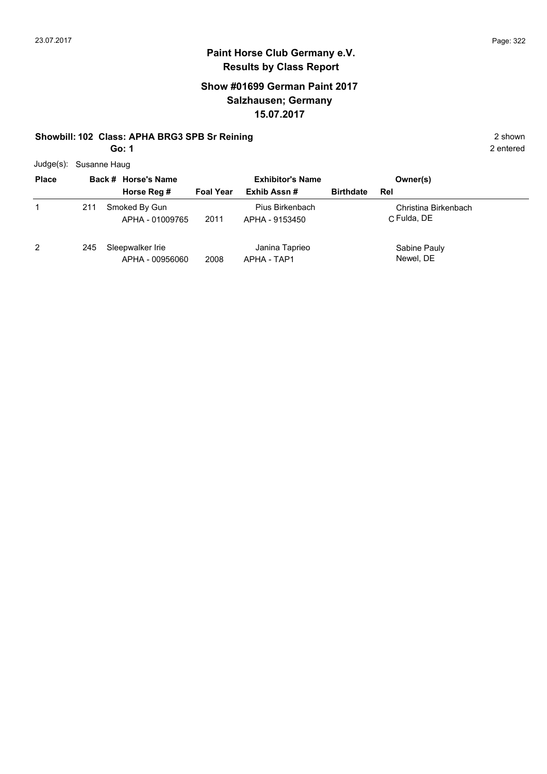## **Show #01699 German Paint 2017 Salzhausen; Germany 15.07.2017**

#### **Showbill: 102 Class: APHA BRG3 SPB Sr Reining 2 shown 2 shown 2 shown**

**Go: 1**

2 entered

Judge(s): Susanne Haug

| <b>Place</b> |     | Back # Horse's Name                 |                  | <b>Exhibitor's Name</b>           |                  | Owner(s)                            |
|--------------|-----|-------------------------------------|------------------|-----------------------------------|------------------|-------------------------------------|
|              |     | Horse Reg #                         | <b>Foal Year</b> | Exhib Assn#                       | <b>Birthdate</b> | Rel                                 |
| 1            | 211 | Smoked By Gun<br>APHA - 01009765    | 2011             | Pius Birkenbach<br>APHA - 9153450 |                  | Christina Birkenbach<br>C Fulda, DE |
| 2            | 245 | Sleepwalker Irie<br>APHA - 00956060 | 2008             | Janina Taprieo<br>APHA - TAP1     |                  | Sabine Pauly<br>Newel, DE           |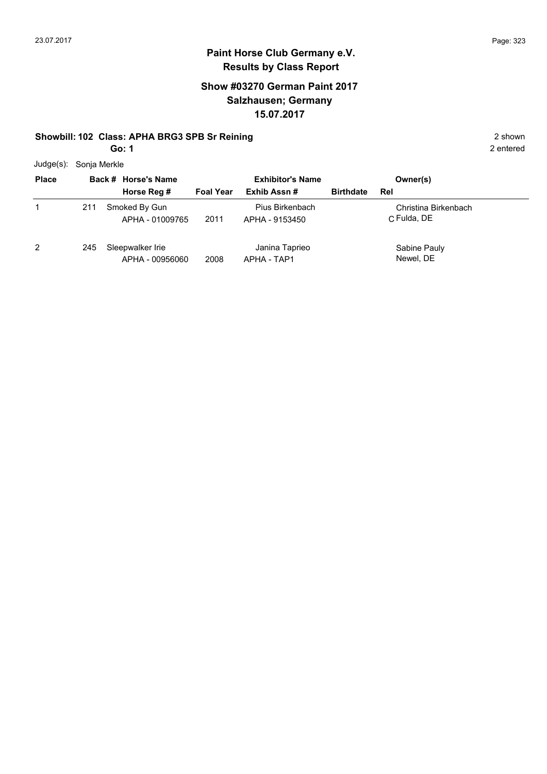## **Show #03270 German Paint 2017 Salzhausen; Germany 15.07.2017**

#### **Showbill: 102 Class: APHA BRG3 SPB Sr Reining 2 shown 2 shown**

**Go: 1**

Judge(s): Sonja Merkle

| <b>Place</b> | Back # Horse's Name |                                     | <b>Exhibitor's Name</b> |                                   | Owner(s)         |                                     |  |
|--------------|---------------------|-------------------------------------|-------------------------|-----------------------------------|------------------|-------------------------------------|--|
|              |                     | Horse Reg #                         | <b>Foal Year</b>        | Exhib Assn#                       | <b>Birthdate</b> | Rel                                 |  |
|              | 211                 | Smoked By Gun<br>APHA - 01009765    | 2011                    | Pius Birkenbach<br>APHA - 9153450 |                  | Christina Birkenbach<br>C Fulda, DE |  |
|              | 245                 | Sleepwalker Irie<br>APHA - 00956060 | 2008                    | Janina Taprieo<br>APHA - TAP1     |                  | Sabine Pauly<br>Newel, DE           |  |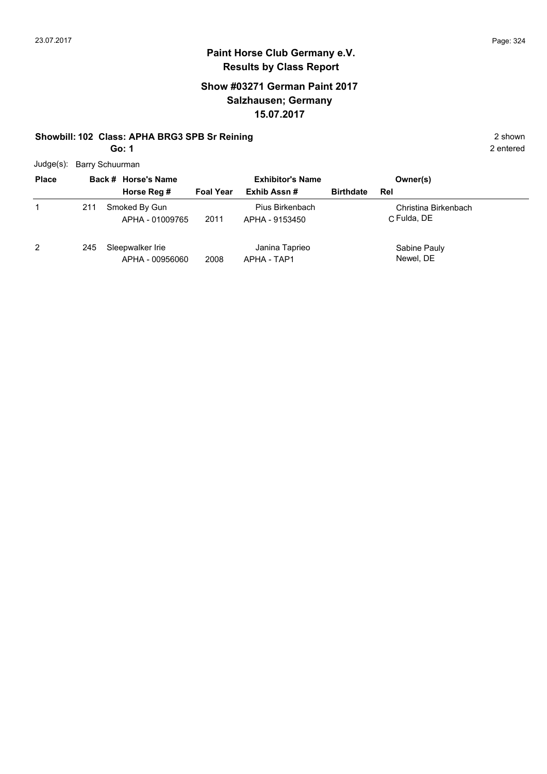## **Show #03271 German Paint 2017 Salzhausen; Germany 15.07.2017**

#### **Showbill: 102 Class: APHA BRG3 SPB Sr Reining 2 shown 2 shown 2 shown**

**Go: 1**

2 entered

Judge(s): Barry Schuurman

| <b>Place</b>   |     | Back # Horse's Name                 |                  | <b>Exhibitor's Name</b>           |                  | Owner(s)                            |
|----------------|-----|-------------------------------------|------------------|-----------------------------------|------------------|-------------------------------------|
|                |     | Horse Reg #                         | <b>Foal Year</b> | Exhib Assn#                       | <b>Birthdate</b> | Rel                                 |
| 1              | 211 | Smoked By Gun<br>APHA - 01009765    | 2011             | Pius Birkenbach<br>APHA - 9153450 |                  | Christina Birkenbach<br>C Fulda, DE |
| $\overline{2}$ | 245 | Sleepwalker Irie<br>APHA - 00956060 | 2008             | Janina Taprieo<br>APHA - TAP1     |                  | Sabine Pauly<br>Newel, DE           |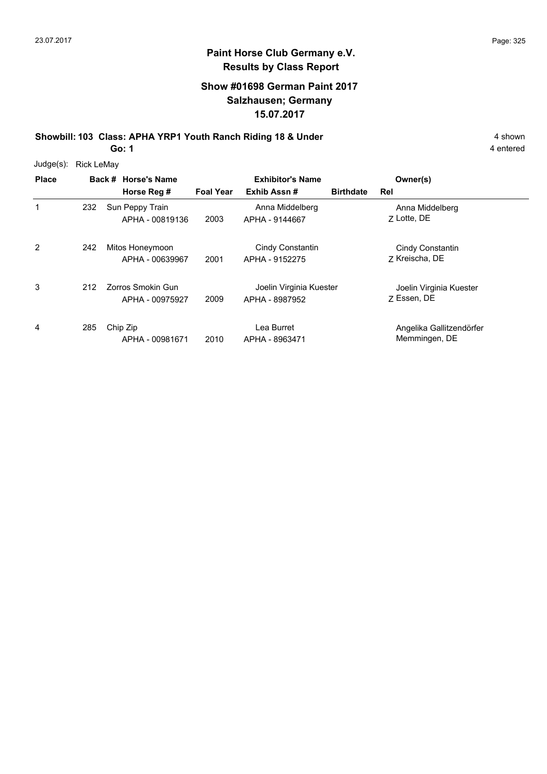### **Show #01698 German Paint 2017 Salzhausen; Germany 15.07.2017**

**Showbill: 103 Class: APHA YRP1 Youth Ranch Riding 18 & Under** 4 shown 4 shown

**Go: 1**

| $Judge(s)$ : | <b>Rick LeMay</b> |                                      |                  |                                           |                  |                                           |
|--------------|-------------------|--------------------------------------|------------------|-------------------------------------------|------------------|-------------------------------------------|
| <b>Place</b> |                   | Back # Horse's Name                  |                  | <b>Exhibitor's Name</b>                   |                  | Owner(s)                                  |
|              |                   | Horse Reg #                          | <b>Foal Year</b> | Exhib Assn#                               | <b>Birthdate</b> | Rel                                       |
| 1            | 232               | Sun Peppy Train<br>APHA - 00819136   | 2003             | Anna Middelberg<br>APHA - 9144667         |                  | Anna Middelberg<br>7 Lotte, DE            |
| 2            | 242               | Mitos Honeymoon<br>APHA - 00639967   | 2001             | Cindy Constantin<br>APHA - 9152275        |                  | Cindy Constantin<br>7 Kreischa, DE        |
| 3            | 212               | Zorros Smokin Gun<br>APHA - 00975927 | 2009             | Joelin Virginia Kuester<br>APHA - 8987952 |                  | Joelin Virginia Kuester<br>7 Essen, DE    |
| 4            | 285               | Chip Zip<br>APHA - 00981671          | 2010             | Lea Burret<br>APHA - 8963471              |                  | Angelika Gallitzendörfer<br>Memmingen, DE |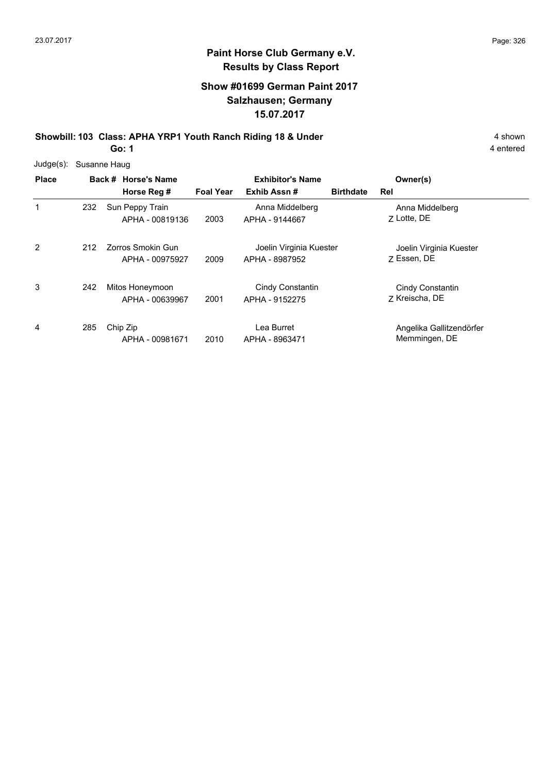### **Show #01699 German Paint 2017 Salzhausen; Germany 15.07.2017**

**Showbill: 103 Class: APHA YRP1 Youth Ranch Riding 18 & Under** 4 shown 4 shown **Go: 1**

| $Judge(s)$ : | Susanne Haug |                                      |                  |                                           |                  |                                           |  |
|--------------|--------------|--------------------------------------|------------------|-------------------------------------------|------------------|-------------------------------------------|--|
| <b>Place</b> |              | Back # Horse's Name                  |                  | <b>Exhibitor's Name</b>                   |                  | Owner(s)                                  |  |
|              |              | Horse Reg #                          | <b>Foal Year</b> | Exhib Assn#                               | <b>Birthdate</b> | Rel                                       |  |
| 1            | 232          | Sun Peppy Train<br>APHA - 00819136   | 2003             | Anna Middelberg<br>APHA - 9144667         |                  | Anna Middelberg<br>Z Lotte, DE            |  |
| 2            | 212          | Zorros Smokin Gun<br>APHA - 00975927 | 2009             | Joelin Virginia Kuester<br>APHA - 8987952 |                  | Joelin Virginia Kuester<br>7 Essen, DE    |  |
| 3            | 242          | Mitos Honeymoon<br>APHA - 00639967   | 2001             | Cindy Constantin<br>APHA - 9152275        |                  | Cindy Constantin<br>Z Kreischa, DE        |  |
| 4            | 285          | Chip Zip<br>APHA - 00981671          | 2010             | Lea Burret<br>APHA - 8963471              |                  | Angelika Gallitzendörfer<br>Memmingen, DE |  |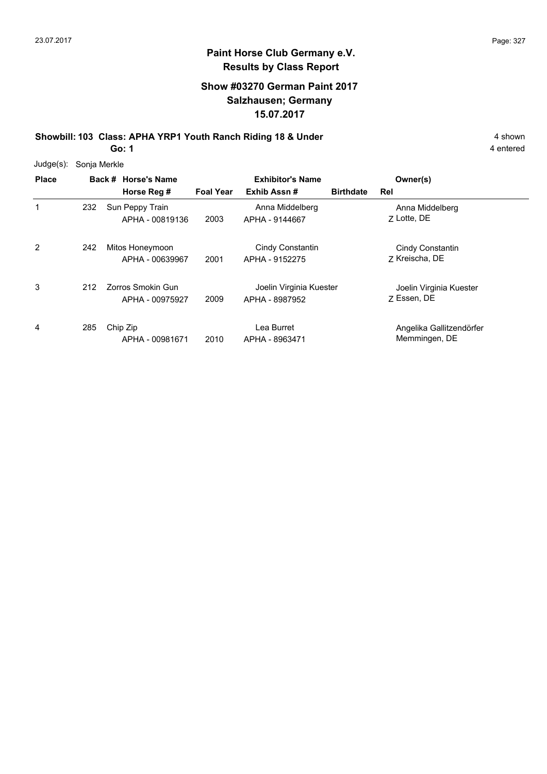### **Show #03270 German Paint 2017 Salzhausen; Germany 15.07.2017**

**Showbill: 103 Class: APHA YRP1 Youth Ranch Riding 18 & Under** 4 shown 4 shown

**Go: 1**

| $Judge(s)$ : | Sonja Merkle |                                             |                  |                                           |                  |                                           |
|--------------|--------------|---------------------------------------------|------------------|-------------------------------------------|------------------|-------------------------------------------|
| <b>Place</b> |              | Back # Horse's Name                         |                  | <b>Exhibitor's Name</b>                   |                  | Owner(s)                                  |
|              |              | Horse Reg #                                 | <b>Foal Year</b> | Exhib Assn#                               | <b>Birthdate</b> | Rel                                       |
| 1            | 232          | Sun Peppy Train<br>APHA - 00819136          | 2003             | Anna Middelberg<br>APHA - 9144667         |                  | Anna Middelberg<br>7 Lotte, DE            |
| 2            | 242          | Mitos Honeymoon<br>APHA - 00639967          | 2001             | Cindy Constantin<br>APHA - 9152275        |                  | Cindy Constantin<br>7 Kreischa, DE        |
| 3            | 212          | <b>Zorros Smokin Gun</b><br>APHA - 00975927 | 2009             | Joelin Virginia Kuester<br>APHA - 8987952 |                  | Joelin Virginia Kuester<br>7 Essen, DE    |
| 4            | 285          | Chip Zip<br>APHA - 00981671                 | 2010             | Lea Burret<br>APHA - 8963471              |                  | Angelika Gallitzendörfer<br>Memmingen, DE |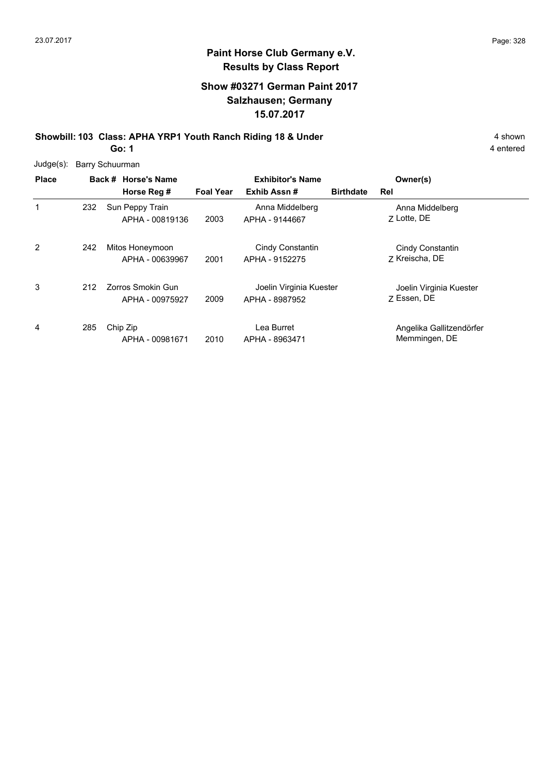### **Show #03271 German Paint 2017 Salzhausen; Germany 15.07.2017**

**Showbill: 103 Class: APHA YRP1 Youth Ranch Riding 18 & Under** 4 shown 4 shown **Go: 1**

| Judge(s): Barry Schuurman |  |
|---------------------------|--|
|                           |  |

| <b>Place</b> |     | Back # Horse's Name                  |                  | <b>Exhibitor's Name</b>                   |                  | Owner(s)                                  |  |
|--------------|-----|--------------------------------------|------------------|-------------------------------------------|------------------|-------------------------------------------|--|
|              |     | Horse Reg #                          | <b>Foal Year</b> | Exhib Assn#                               | <b>Birthdate</b> | Rel                                       |  |
| 1            | 232 | Sun Peppy Train<br>APHA - 00819136   | 2003             | Anna Middelberg<br>APHA - 9144667         |                  | Anna Middelberg<br>7 Lotte, DE            |  |
| 2            | 242 | Mitos Honeymoon<br>APHA - 00639967   | 2001             | Cindy Constantin<br>APHA - 9152275        |                  | Cindy Constantin<br>7 Kreischa, DE        |  |
| 3            | 212 | Zorros Smokin Gun<br>APHA - 00975927 | 2009             | Joelin Virginia Kuester<br>APHA - 8987952 |                  | Joelin Virginia Kuester<br>7 Essen, DE    |  |
| 4            | 285 | Chip Zip<br>APHA - 00981671          | 2010             | Lea Burret<br>APHA - 8963471              |                  | Angelika Gallitzendörfer<br>Memmingen, DE |  |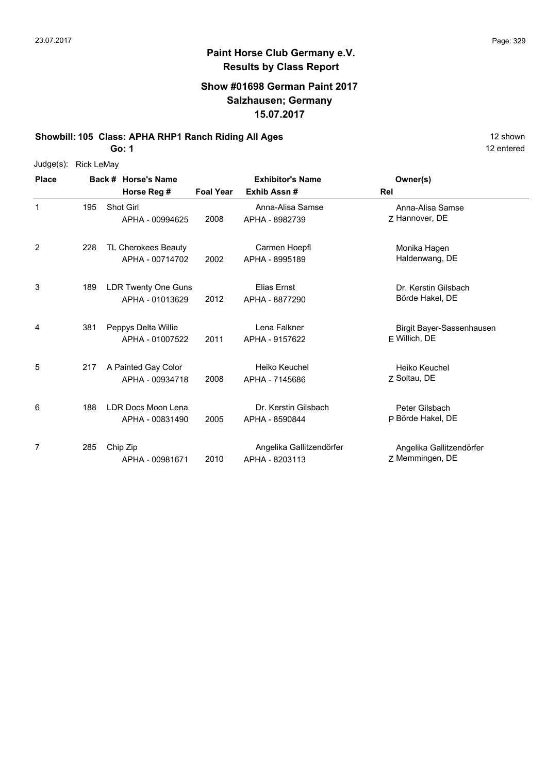#### **Show #01698 German Paint 2017 Salzhausen; Germany 15.07.2017**

**Showbill: 105 Class: APHA RHP1 Ranch Riding All Ages** 12 Shown

**Go: 1**

Judge(s): Rick LeMay

| <b>Place</b> |     | Back # Horse's Name<br>Horse Reg #            | <b>Foal Year</b> | <b>Exhibitor's Name</b><br>Exhib Assn#     | Owner(s)<br>Rel                             |
|--------------|-----|-----------------------------------------------|------------------|--------------------------------------------|---------------------------------------------|
| 1            | 195 | <b>Shot Girl</b><br>APHA - 00994625           | 2008             | Anna-Alisa Samse<br>APHA - 8982739         | Anna-Alisa Samse<br>Z Hannover, DE          |
| 2            | 228 | TL Cherokees Beauty<br>APHA - 00714702        | 2002             | Carmen Hoepfl<br>APHA - 8995189            | Monika Hagen<br>Haldenwang, DE              |
| 3            | 189 | <b>LDR Twenty One Guns</b><br>APHA - 01013629 | 2012             | Elias Ernst<br>APHA - 8877290              | Dr. Kerstin Gilsbach<br>Börde Hakel, DE     |
| 4            | 381 | Peppys Delta Willie<br>APHA - 01007522        | 2011             | Lena Falkner<br>APHA - 9157622             | Birgit Bayer-Sassenhausen<br>F Willich, DE  |
| 5            | 217 | A Painted Gay Color<br>APHA - 00934718        | 2008             | Heiko Keuchel<br>APHA - 7145686            | Heiko Keuchel<br>Z Soltau, DE               |
| 6            | 188 | LDR Docs Moon Lena<br>APHA - 00831490         | 2005             | Dr. Kerstin Gilsbach<br>APHA - 8590844     | Peter Gilsbach<br>P Börde Hakel, DE         |
| 7            | 285 | Chip Zip<br>APHA - 00981671                   | 2010             | Angelika Gallitzendörfer<br>APHA - 8203113 | Angelika Gallitzendörfer<br>Z Memmingen, DE |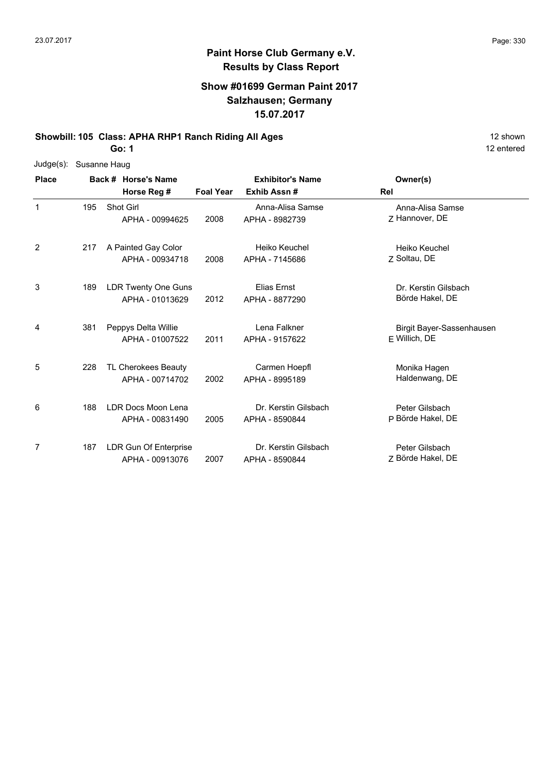#### **Show #01699 German Paint 2017 Salzhausen; Germany 15.07.2017**

**Showbill: 105 Class: APHA RHP1 Ranch Riding All Ages** 12 Shown

**Go: 1**

| Judge(s): Susanne Haug |               |                                    |                |
|------------------------|---------------|------------------------------------|----------------|
| <b>Place</b>           |               | Back # Horse's Name<br>Horse Reg # | <b>Foal Ye</b> |
|                        | 195 Shot Girl |                                    |                |

| <b>Place</b> |     | Back # Horse's Name                           |                  | <b>Exhibitor's Name</b>                | Owner(s)                                     |
|--------------|-----|-----------------------------------------------|------------------|----------------------------------------|----------------------------------------------|
|              |     | Horse Reg #                                   | <b>Foal Year</b> | Exhib Assn#                            | Rel                                          |
| 1            | 195 | <b>Shot Girl</b><br>APHA - 00994625           | 2008             | Anna-Alisa Samse<br>APHA - 8982739     | Anna-Alisa Samse<br>7 Hannover, DE           |
| 2            | 217 | A Painted Gay Color<br>APHA - 00934718        | 2008             | Heiko Keuchel<br>APHA - 7145686        | Heiko Keuchel<br>Z Soltau, DE                |
| 3            | 189 | <b>LDR Twenty One Guns</b><br>APHA - 01013629 | 2012             | Elias Ernst<br>APHA - 8877290          | Dr. Kerstin Gilsbach<br>Börde Hakel, DE      |
| 4            | 381 | Peppys Delta Willie<br>APHA - 01007522        | 2011             | Lena Falkner<br>APHA - 9157622         | Birgit Bayer-Sassenhausen<br>$E$ Willich, DE |
| 5            | 228 | TL Cherokees Beauty<br>APHA - 00714702        | 2002             | Carmen Hoepfl<br>APHA - 8995189        | Monika Hagen<br>Haldenwang, DE               |
| 6            | 188 | LDR Docs Moon Lena<br>APHA - 00831490         | 2005             | Dr. Kerstin Gilsbach<br>APHA - 8590844 | Peter Gilsbach<br>P Börde Hakel, DE          |
| 7            | 187 | LDR Gun Of Enterprise<br>APHA - 00913076      | 2007             | Dr. Kerstin Gilsbach<br>APHA - 8590844 | Peter Gilsbach<br>Z Börde Hakel, DE          |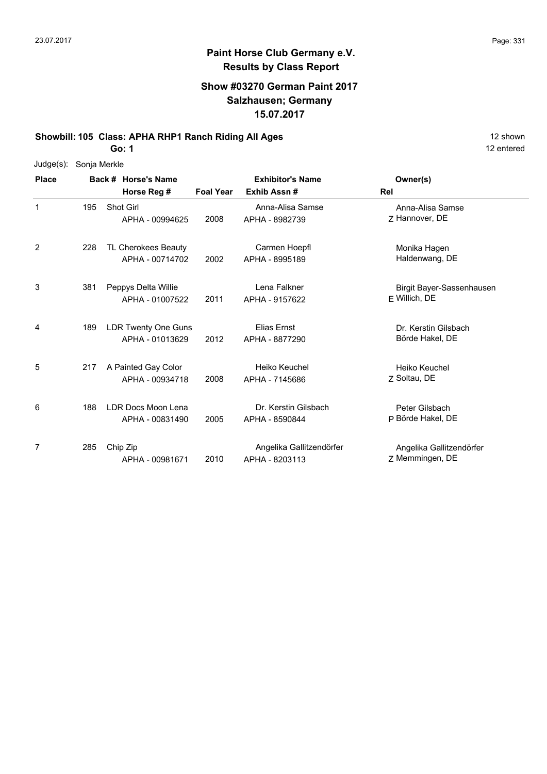## **Paint Horse Club Germany e.V. Results by Class Report**

#### **Show #03270 German Paint 2017 Salzhausen; Germany 15.07.2017**

**Showbill: 105 Class: APHA RHP1 Ranch Riding All Ages** 12 Shown

**Go: 1**

Judge(s): Sonja Merkle

| <b>Place</b> |     | Back # Horse's Name                           |                  | <b>Exhibitor's Name</b>                    | Owner(s)                                     |
|--------------|-----|-----------------------------------------------|------------------|--------------------------------------------|----------------------------------------------|
|              |     | Horse Reg #                                   | <b>Foal Year</b> | Exhib Assn#                                | Rel                                          |
| 1            | 195 | Shot Girl<br>APHA - 00994625                  | 2008             | Anna-Alisa Samse<br>APHA - 8982739         | Anna-Alisa Samse<br>Z Hannover, DE           |
| 2            | 228 | TL Cherokees Beauty<br>APHA - 00714702        | 2002             | Carmen Hoepfl<br>APHA - 8995189            | Monika Hagen<br>Haldenwang, DE               |
| 3            | 381 | Peppys Delta Willie<br>APHA - 01007522        | 2011             | Lena Falkner<br>APHA - 9157622             | Birgit Bayer-Sassenhausen<br>$E$ Willich, DE |
| 4            | 189 | <b>LDR Twenty One Guns</b><br>APHA - 01013629 | 2012             | Elias Ernst<br>APHA - 8877290              | Dr. Kerstin Gilsbach<br>Börde Hakel, DE      |
| 5            | 217 | A Painted Gay Color<br>APHA - 00934718        | 2008             | Heiko Keuchel<br>APHA - 7145686            | Heiko Keuchel<br>7 Soltau, DE                |
| 6            | 188 | LDR Docs Moon Lena<br>APHA - 00831490         | 2005             | Dr. Kerstin Gilsbach<br>APHA - 8590844     | Peter Gilsbach<br>P Börde Hakel, DE          |
| 7            | 285 | Chip Zip<br>APHA - 00981671                   | 2010             | Angelika Gallitzendörfer<br>APHA - 8203113 | Angelika Gallitzendörfer<br>Z Memmingen, DE  |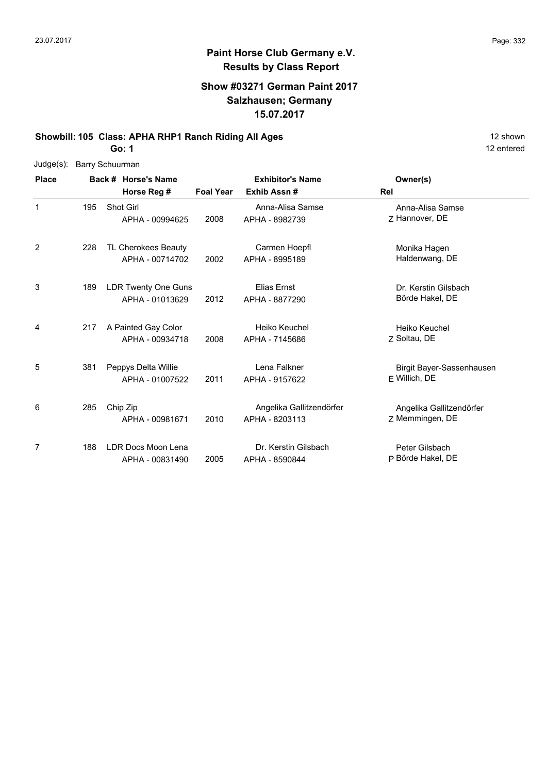### **Paint Horse Club Germany e.V. Results by Class Report**

### **Show #03271 German Paint 2017 Salzhausen; Germany 15.07.2017**

**Showbill: 105 Class: APHA RHP1 Ranch Riding All Ages** 12 Shown

**Go: 1**

Judge(s): Barry Schuurman

| <b>Place</b> |     | Back # Horse's Name<br>Horse Reg #            | <b>Foal Year</b> | <b>Exhibitor's Name</b><br>Exhib Assn#     | Owner(s)<br>Rel                             |
|--------------|-----|-----------------------------------------------|------------------|--------------------------------------------|---------------------------------------------|
| 1            | 195 | Shot Girl<br>APHA - 00994625                  | 2008             | Anna-Alisa Samse<br>APHA - 8982739         | Anna-Alisa Samse<br>7 Hannover, DE          |
| 2            | 228 | TL Cherokees Beauty<br>APHA - 00714702        | 2002             | Carmen Hoepfl<br>APHA - 8995189            | Monika Hagen<br>Haldenwang, DE              |
| 3            | 189 | <b>LDR Twenty One Guns</b><br>APHA - 01013629 | 2012             | Elias Ernst<br>APHA - 8877290              | Dr. Kerstin Gilsbach<br>Börde Hakel, DE     |
| 4            | 217 | A Painted Gay Color<br>APHA - 00934718        | 2008             | Heiko Keuchel<br>APHA - 7145686            | Heiko Keuchel<br>7 Soltau, DE               |
| 5            | 381 | Peppys Delta Willie<br>APHA - 01007522        | 2011             | Lena Falkner<br>APHA - 9157622             | Birgit Bayer-Sassenhausen<br>F Willich, DE  |
| 6            | 285 | Chip Zip<br>APHA - 00981671                   | 2010             | Angelika Gallitzendörfer<br>APHA - 8203113 | Angelika Gallitzendörfer<br>Z Memmingen, DE |
| 7            | 188 | LDR Docs Moon Lena<br>APHA - 00831490         | 2005             | Dr. Kerstin Gilsbach<br>APHA - 8590844     | Peter Gilsbach<br>P Börde Hakel, DE         |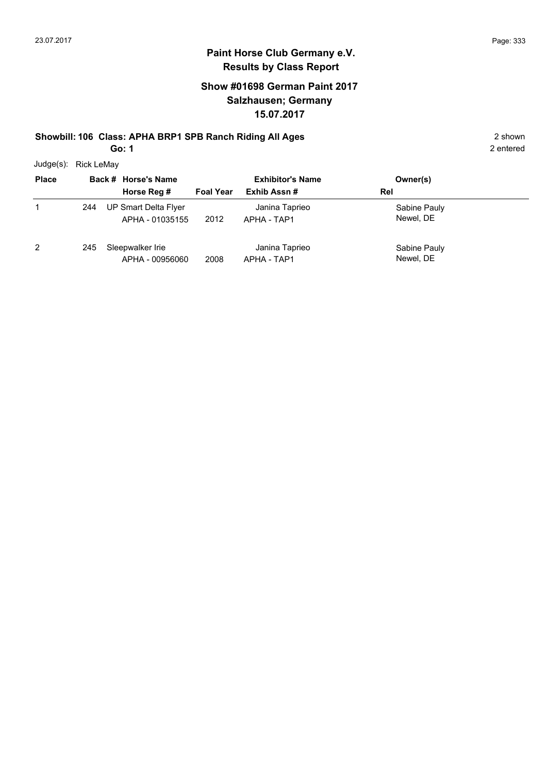### **Paint Horse Club Germany e.V. Results by Class Report**

### **Show #01698 German Paint 2017 Salzhausen; Germany 15.07.2017**

### **Showbill: 106 Class: APHA BRP1 SPB Ranch Riding All Ages** 2 shown

**Go: 1**

Judge(s): Rick LeMay

| <b>Place</b> |     | Back # Horse's Name                     |                  | <b>Exhibitor's Name</b>       | Owner(s)                  |  |
|--------------|-----|-----------------------------------------|------------------|-------------------------------|---------------------------|--|
|              |     | Horse Reg #                             | <b>Foal Year</b> | Exhib Assn#                   | Rel                       |  |
|              | 244 | UP Smart Delta Flyer<br>APHA - 01035155 | 2012             | Janina Taprieo<br>APHA - TAP1 | Sabine Pauly<br>Newel, DE |  |
| 2            | 245 | Sleepwalker Irie<br>APHA - 00956060     | 2008             | Janina Taprieo<br>APHA - TAP1 | Sabine Pauly<br>Newel, DE |  |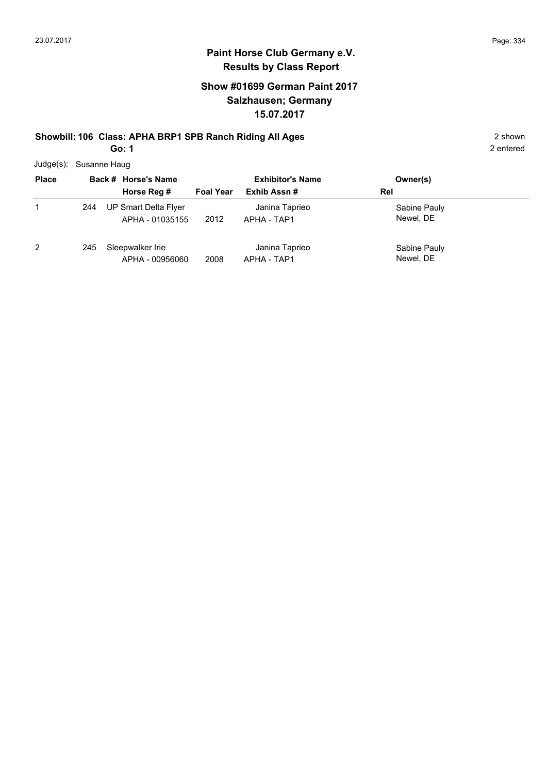### **Show #01699 German Paint 2017 Salzhausen; Germany 15.07.2017**

# **Showbill: 106 Class: APHA BRP1 SPB Ranch Riding All Ages** 2 shown

**Go: 1**

|  | Judge(s): Susanne Haug |
|--|------------------------|
|--|------------------------|

| <b>Place</b> |     | Back # Horse's Name<br>Horse Reg #      | <b>Foal Year</b> | <b>Exhibitor's Name</b><br>Exhib Assn# | Owner(s)<br>Rel           |
|--------------|-----|-----------------------------------------|------------------|----------------------------------------|---------------------------|
| 1            | 244 | UP Smart Delta Flyer<br>APHA - 01035155 | 2012             | Janina Taprieo<br>APHA - TAP1          | Sabine Pauly<br>Newel, DE |
| 2            | 245 | Sleepwalker Irie<br>APHA - 00956060     | 2008             | Janina Taprieo<br>APHA - TAP1          | Sabine Pauly<br>Newel, DE |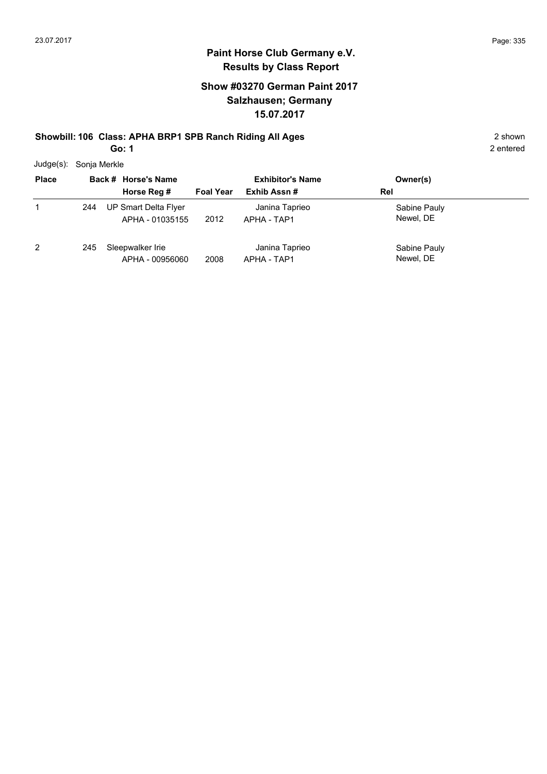### **Paint Horse Club Germany e.V. Results by Class Report**

### **Show #03270 German Paint 2017 Salzhausen; Germany 15.07.2017**

## **Showbill: 106 Class: APHA BRP1 SPB Ranch Riding All Ages** 2 shown

**Go: 1**

Judge(s): Sonja Merkle

| <b>Place</b> |     | Back # Horse's Name                     | <b>Exhibitor's Name</b> |                               | Owner(s)                  |  |  |  |
|--------------|-----|-----------------------------------------|-------------------------|-------------------------------|---------------------------|--|--|--|
|              |     | Horse Reg #                             | <b>Foal Year</b>        | Exhib Assn#                   | Rel                       |  |  |  |
|              | 244 | UP Smart Delta Flyer<br>APHA - 01035155 | 2012                    | Janina Taprieo<br>APHA - TAP1 | Sabine Pauly<br>Newel, DE |  |  |  |
| 2            | 245 | Sleepwalker Irie<br>APHA - 00956060     | 2008                    | Janina Taprieo<br>APHA - TAP1 | Sabine Pauly<br>Newel, DE |  |  |  |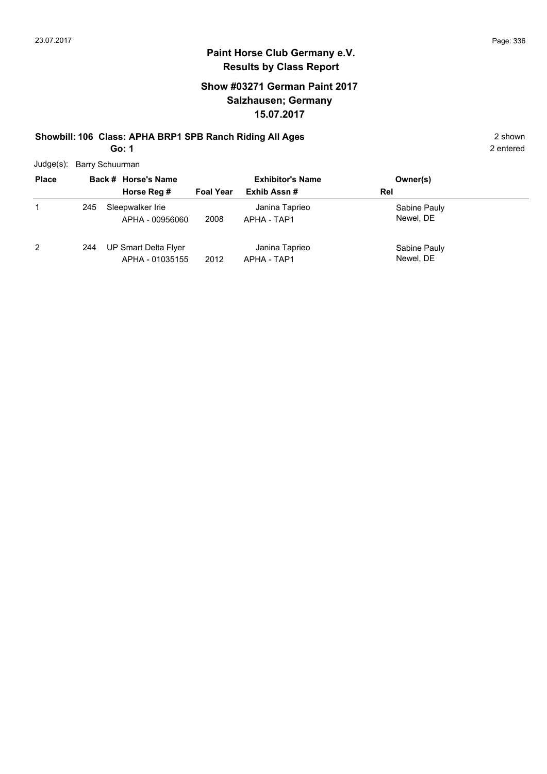#### **Paint Horse Club Germany e.V. Results by Class Report**

### **Show #03271 German Paint 2017 Salzhausen; Germany 15.07.2017**

# **Showbill: 106 Class: APHA BRP1 SPB Ranch Riding All Ages** 2 shown

**Go: 1**

Judge(s): Barry Schuurman

| <b>Place</b> |     | Back # Horse's Name                     | <b>Exhibitor's Name</b> |                               | Owner(s)                  |
|--------------|-----|-----------------------------------------|-------------------------|-------------------------------|---------------------------|
|              |     | Horse Reg #                             | <b>Foal Year</b>        | Exhib Assn#                   | Rel                       |
|              | 245 | Sleepwalker Irie<br>APHA - 00956060     | 2008                    | Janina Taprieo<br>APHA - TAP1 | Sabine Pauly<br>Newel, DE |
| 2            | 244 | UP Smart Delta Flyer<br>APHA - 01035155 | 2012                    | Janina Taprieo<br>APHA - TAP1 | Sabine Pauly<br>Newel, DE |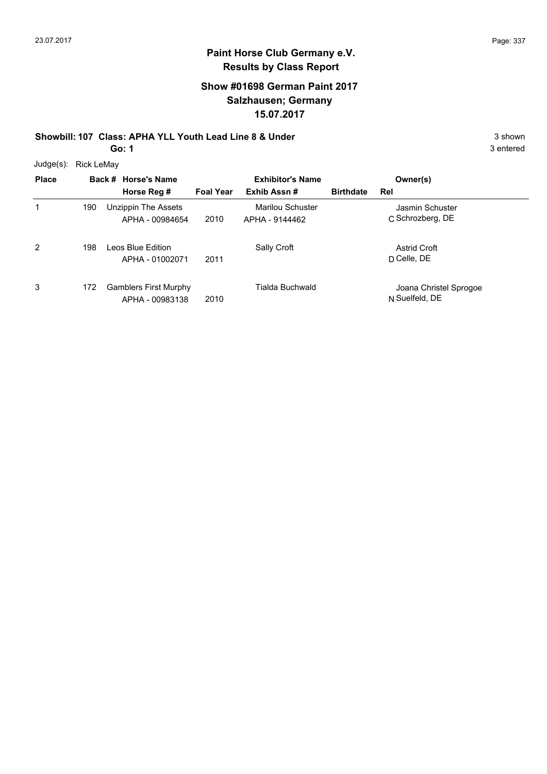### **Show #01698 German Paint 2017 Salzhausen; Germany 15.07.2017**

# **Showbill: 107 Class: APHA YLL Youth Lead Line 8 & Under** 3 shown 3 shown

**Go: 1**

3 entered

Judge(s): Rick LeMay

| <b>Place</b> |     | Back # Horse's Name<br>Horse Reg #              | <b>Foal Year</b> | <b>Exhibitor's Name</b><br>Exhib Assn# | <b>Birthdate</b> | Owner(s)<br>Rel                          |
|--------------|-----|-------------------------------------------------|------------------|----------------------------------------|------------------|------------------------------------------|
| 1            | 190 | Unzippin The Assets<br>APHA - 00984654          | 2010             | Marilou Schuster<br>APHA - 9144462     |                  | Jasmin Schuster<br>C Schrozberg, DE      |
| 2            | 198 | Leos Blue Edition<br>APHA - 01002071            | 2011             | Sally Croft                            |                  | <b>Astrid Croft</b><br>D Celle, DE       |
| 3            | 172 | <b>Gamblers First Murphy</b><br>APHA - 00983138 | 2010             | Tialda Buchwald                        |                  | Joana Christel Sprogoe<br>N Suelfeld, DE |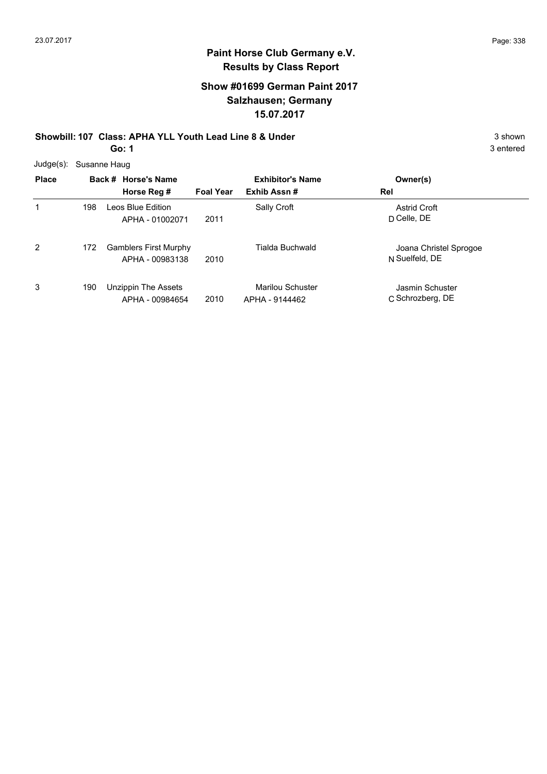### **Show #01699 German Paint 2017 Salzhausen; Germany 15.07.2017**

#### **Showbill: 107 Class: APHA YLL Youth Lead Line 8 & Under** 3 shown 3 shown **Go: 1**

| Judge(s): Susanne Haug |  |
|------------------------|--|
|                        |  |

| <b>Place</b> |     | Back # Horse's Name<br>Horse Reg #              | <b>Foal Year</b> | <b>Exhibitor's Name</b><br>Exhib Assn#    | Owner(s)<br>Rel                          |
|--------------|-----|-------------------------------------------------|------------------|-------------------------------------------|------------------------------------------|
| 1            | 198 | Leos Blue Edition<br>APHA - 01002071            | 2011             | Sally Croft                               | <b>Astrid Croft</b><br>D Celle, DE       |
| 2            | 172 | <b>Gamblers First Murphy</b><br>APHA - 00983138 | 2010             | Tialda Buchwald                           | Joana Christel Sprogoe<br>N Suelfeld, DE |
| 3            | 190 | Unzippin The Assets<br>APHA - 00984654          | 2010             | <b>Marilou Schuster</b><br>APHA - 9144462 | Jasmin Schuster<br>C Schrozberg, DE      |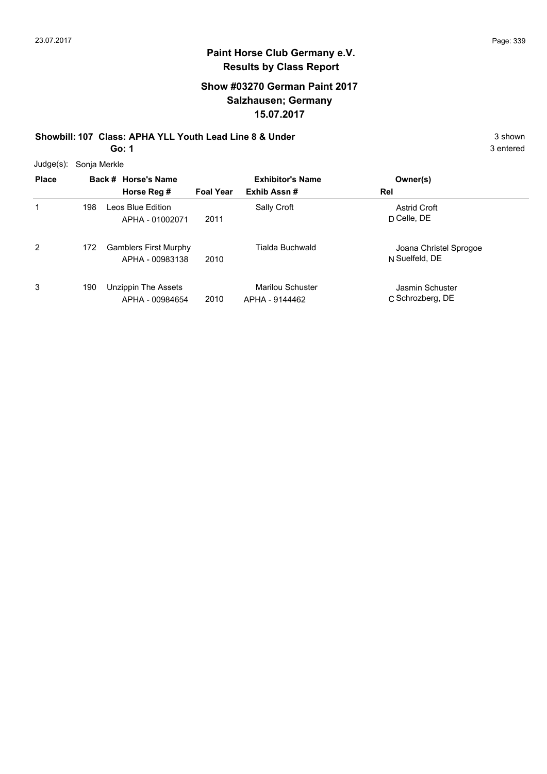### **Show #03270 German Paint 2017 Salzhausen; Germany 15.07.2017**

**Showbill: 107 Class: APHA YLL Youth Lead Line 8 & Under** 3 shown 3 shown **Go: 1**

|  | Judge(s): Sonja Merkle |
|--|------------------------|
|--|------------------------|

| <b>Place</b> |     | Back # Horse's Name<br>Horse Reg #              | <b>Foal Year</b> | <b>Exhibitor's Name</b><br>Exhib Assn# | Owner(s)<br>Rel                          |
|--------------|-----|-------------------------------------------------|------------------|----------------------------------------|------------------------------------------|
| 1            | 198 | Leos Blue Edition<br>APHA - 01002071            | 2011             | Sally Croft                            | <b>Astrid Croft</b><br>$D$ Celle, $DE$   |
| 2            | 172 | <b>Gamblers First Murphy</b><br>APHA - 00983138 | 2010             | <b>Tialda Buchwald</b>                 | Joana Christel Sprogoe<br>N Suelfeld, DE |
| 3            | 190 | Unzippin The Assets<br>APHA - 00984654          | 2010             | Marilou Schuster<br>APHA - 9144462     | Jasmin Schuster<br>C Schrozberg, DE      |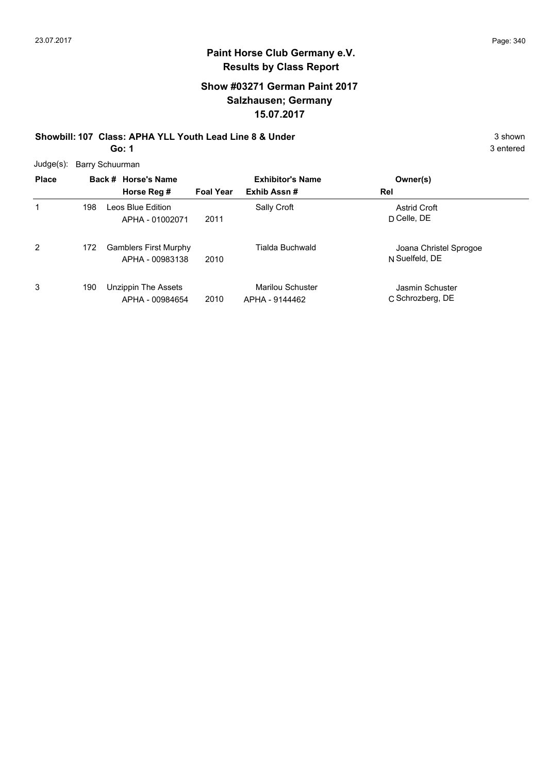### **Show #03271 German Paint 2017 Salzhausen; Germany 15.07.2017**

**Showbill: 107 Class: APHA YLL Youth Lead Line 8 & Under** 3 shown 3 shown **Go: 1**

3 entered

Judge(s): Barry Schuurman

| <b>Place</b> |     | Back # Horse's Name<br>Horse Reg #              | <b>Foal Year</b> | <b>Exhibitor's Name</b><br>Exhib Assn# | Owner(s)<br>Rel                          |
|--------------|-----|-------------------------------------------------|------------------|----------------------------------------|------------------------------------------|
| 1            | 198 | Leos Blue Edition<br>APHA - 01002071            | 2011             | Sally Croft                            | <b>Astrid Croft</b><br>D Celle, DE       |
| 2            | 172 | <b>Gamblers First Murphy</b><br>APHA - 00983138 | 2010             | Tialda Buchwald                        | Joana Christel Sprogoe<br>N Suelfeld, DE |
| 3            | 190 | Unzippin The Assets<br>APHA - 00984654          | 2010             | Marilou Schuster<br>APHA - 9144462     | Jasmin Schuster<br>C Schrozberg, DE      |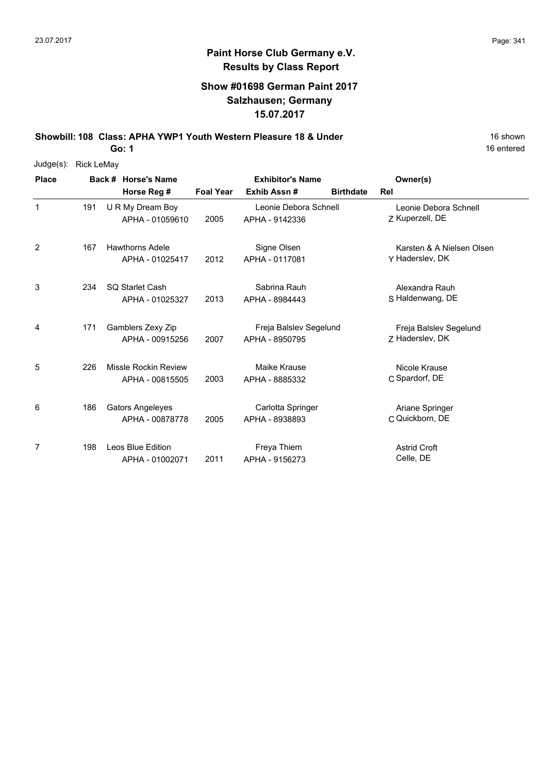#### **Show #01698 German Paint 2017 Salzhausen; Germany 15.07.2017**

**Showbill: 108 Class: APHA YWP1 Youth Western Pleasure 18 & Under** 18 **8 16 Shown** 

**Go: 1**

| $Judge(s)$ : | <b>Rick LeMay</b> |  |                         |                  |                         |                  |                           |
|--------------|-------------------|--|-------------------------|------------------|-------------------------|------------------|---------------------------|
| <b>Place</b> |                   |  | Back # Horse's Name     |                  | <b>Exhibitor's Name</b> |                  | Owner(s)                  |
|              |                   |  | Horse Reg #             | <b>Foal Year</b> | Exhib Assn#             | <b>Birthdate</b> | Rel                       |
| 1            | 191               |  | U R My Dream Boy        |                  | Leonie Debora Schnell   |                  | Leonie Debora Schnell     |
|              |                   |  | APHA - 01059610         | 2005             | APHA - 9142336          |                  | Z Kuperzell, DE           |
| 2            | 167               |  | <b>Hawthorns Adele</b>  |                  | Signe Olsen             |                  | Karsten & A Nielsen Olsen |
|              |                   |  | APHA - 01025417         | 2012             | APHA - 0117081          |                  | Y Haderslev, DK           |
| 3            | 234               |  | <b>SO Starlet Cash</b>  |                  | Sabrina Rauh            |                  | Alexandra Rauh            |
|              |                   |  | APHA - 01025327         | 2013             | APHA - 8984443          |                  | S Haldenwang, DE          |
| 4            | 171               |  | Gamblers Zexy Zip       |                  | Freja Balslev Segelund  |                  | Freja Balslev Segelund    |
|              |                   |  | APHA - 00915256         | 2007             | APHA - 8950795          |                  | Z Haderslev, DK           |
| 5            | 226               |  | Missle Rockin Review    |                  | Maike Krause            |                  | Nicole Krause             |
|              |                   |  | APHA - 00815505         | 2003             | APHA - 8885332          |                  | C Spardorf, DE            |
| 6            | 186               |  | <b>Gators Angeleyes</b> |                  | Carlotta Springer       |                  | Ariane Springer           |
|              |                   |  | APHA - 00878778         | 2005             | APHA - 8938893          |                  | C Quickborn, DE           |
| 7            | 198               |  | Leos Blue Edition       |                  | Freya Thiem             |                  | <b>Astrid Croft</b>       |
|              |                   |  | APHA - 01002071         | 2011             | APHA - 9156273          |                  | Celle, DE                 |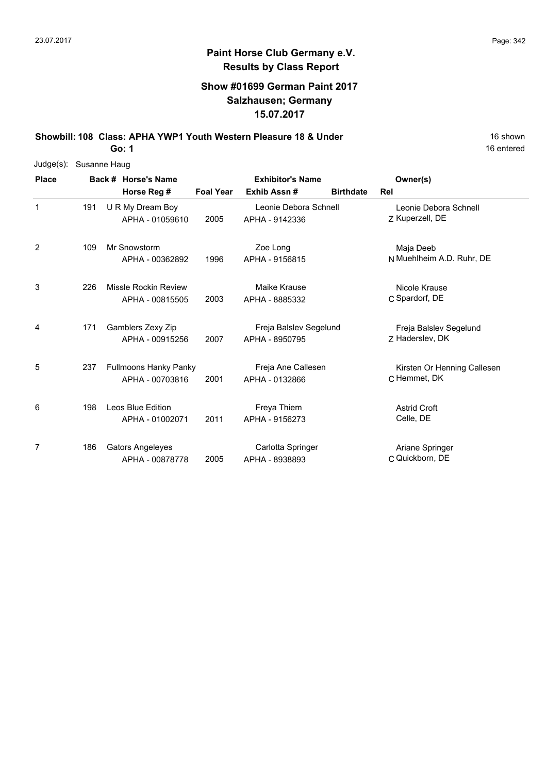### **Show #01699 German Paint 2017 Salzhausen; Germany 15.07.2017**

**Showbill: 108 Class: APHA YWP1 Youth Western Pleasure 18 & Under** 18 **8 16 Shown** 

**Go: 1**

| Judge(s):    | Susanne Haug |                              |                  |                         |                  |                             |
|--------------|--------------|------------------------------|------------------|-------------------------|------------------|-----------------------------|
| <b>Place</b> |              | Back # Horse's Name          |                  | <b>Exhibitor's Name</b> |                  | Owner(s)                    |
|              |              | Horse Reg #                  | <b>Foal Year</b> | Exhib Assn#             | <b>Birthdate</b> | Rel                         |
| $\mathbf{1}$ | 191          | U R My Dream Boy             |                  | Leonie Debora Schnell   |                  | Leonie Debora Schnell       |
|              |              | APHA - 01059610              | 2005             | APHA - 9142336          |                  | Z Kuperzell, DE             |
| 2            | 109          | Mr Snowstorm                 |                  | Zoe Long                |                  | Maja Deeb                   |
|              |              | APHA - 00362892              | 1996             | APHA - 9156815          |                  | N Muehlheim A.D. Ruhr, DE   |
| 3            | 226          | <b>Missle Rockin Review</b>  |                  | Maike Krause            |                  | Nicole Krause               |
|              |              | APHA - 00815505              | 2003             | APHA - 8885332          |                  | C Spardorf, DE              |
| 4            | 171          | Gamblers Zexy Zip            |                  | Freja Balslev Segelund  |                  | Freja Balslev Segelund      |
|              |              | APHA - 00915256              | 2007             | APHA - 8950795          |                  | Z Haderslev, DK             |
| 5            | 237          | <b>Fullmoons Hanky Panky</b> |                  | Freja Ane Callesen      |                  | Kirsten Or Henning Callesen |
|              |              | APHA - 00703816              | 2001             | APHA - 0132866          |                  | C Hemmet, DK                |
| 6            | 198          | Leos Blue Edition            |                  | Freya Thiem             |                  | <b>Astrid Croft</b>         |
|              |              | APHA - 01002071              | 2011             | APHA - 9156273          |                  | Celle, DE                   |
| 7            | 186          | <b>Gators Angeleyes</b>      |                  | Carlotta Springer       |                  | Ariane Springer             |
|              |              | APHA - 00878778              | 2005             | APHA - 8938893          |                  | C Quickborn, DE             |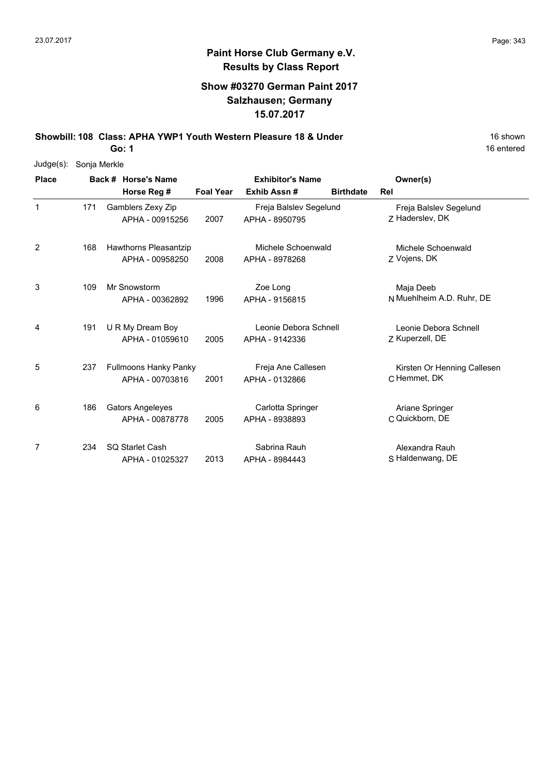### **Show #03270 German Paint 2017 Salzhausen; Germany 15.07.2017**

**Showbill: 108 Class: APHA YWP1 Youth Western Pleasure 18 & Under** 18 **8 16 Shown** 

**Go: 1**

| Judge(s):    | Sonja Merkle |                                                 |                  |                                          |                  |                                             |
|--------------|--------------|-------------------------------------------------|------------------|------------------------------------------|------------------|---------------------------------------------|
| <b>Place</b> |              | Back # Horse's Name                             |                  | <b>Exhibitor's Name</b>                  |                  | Owner(s)                                    |
|              |              | Horse Reg #                                     | <b>Foal Year</b> | Exhib Assn#                              | <b>Birthdate</b> | <b>Rel</b>                                  |
| $\mathbf{1}$ | 171          | Gamblers Zexy Zip<br>APHA - 00915256            | 2007             | Freja Balslev Segelund<br>APHA - 8950795 |                  | Freja Balslev Segelund<br>7 Haderslev, DK   |
| 2            | 168          | Hawthorns Pleasantzip<br>APHA - 00958250        | 2008             | Michele Schoenwald<br>APHA - 8978268     |                  | Michele Schoenwald<br>Z Vojens, DK          |
| 3            | 109          | Mr Snowstorm<br>APHA - 00362892                 | 1996             | Zoe Long<br>APHA - 9156815               |                  | Maja Deeb<br>N Muehlheim A.D. Ruhr, DE      |
| 4            | 191          | U R My Dream Boy<br>APHA - 01059610             | 2005             | Leonie Debora Schnell<br>APHA - 9142336  |                  | Leonie Debora Schnell<br>Z Kuperzell, DE    |
| 5            | 237          | <b>Fullmoons Hanky Panky</b><br>APHA - 00703816 | 2001             | Freja Ane Callesen<br>APHA - 0132866     |                  | Kirsten Or Henning Callesen<br>C Hemmet, DK |
| 6            | 186          | <b>Gators Angeleyes</b><br>APHA - 00878778      | 2005             | Carlotta Springer<br>APHA - 8938893      |                  | Ariane Springer<br>C Quickborn, DE          |
| 7            | 234          | SQ Starlet Cash<br>APHA - 01025327              | 2013             | Sabrina Rauh<br>APHA - 8984443           |                  | Alexandra Rauh<br>S Haldenwang, DE          |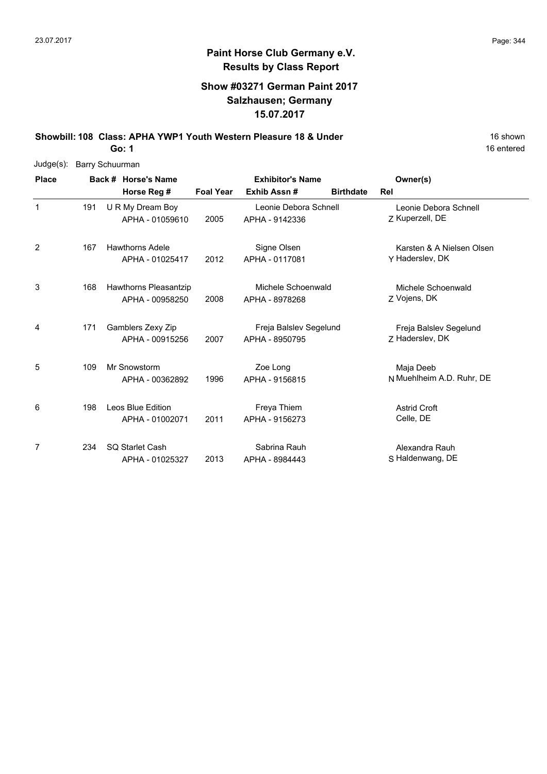### **Show #03271 German Paint 2017 Salzhausen; Germany 15.07.2017**

**Showbill: 108 Class: APHA YWP1 Youth Western Pleasure 18 & Under** 18 **8 Nown** 16 shown

**Go: 1**

| Judge(s):    |     | Barry Schuurman |                        |                  |                         |                  |                           |  |  |  |  |  |
|--------------|-----|-----------------|------------------------|------------------|-------------------------|------------------|---------------------------|--|--|--|--|--|
| <b>Place</b> |     |                 | Back # Horse's Name    |                  | <b>Exhibitor's Name</b> |                  | Owner(s)                  |  |  |  |  |  |
|              |     |                 | Horse Reg #            | <b>Foal Year</b> | Exhib Assn#             | <b>Birthdate</b> | Rel                       |  |  |  |  |  |
| $\mathbf{1}$ | 191 |                 | U R My Dream Boy       |                  | Leonie Debora Schnell   |                  | Leonie Debora Schnell     |  |  |  |  |  |
|              |     |                 | APHA - 01059610        | 2005             | APHA - 9142336          |                  | Z Kuperzell, DE           |  |  |  |  |  |
| 2            | 167 |                 | <b>Hawthorns Adele</b> |                  | Signe Olsen             |                  | Karsten & A Nielsen Olsen |  |  |  |  |  |
|              |     |                 | APHA - 01025417        | 2012             | APHA - 0117081          |                  | Y Haderslev, DK           |  |  |  |  |  |
| 3            | 168 |                 | Hawthorns Pleasantzip  |                  | Michele Schoenwald      |                  | Michele Schoenwald        |  |  |  |  |  |
|              |     |                 | APHA - 00958250        | 2008             | APHA - 8978268          |                  | Z Vojens, DK              |  |  |  |  |  |
| 4            | 171 |                 | Gamblers Zexy Zip      |                  | Freja Balslev Segelund  |                  | Freja Balslev Segelund    |  |  |  |  |  |
|              |     |                 | APHA - 00915256        | 2007             | APHA - 8950795          |                  | Z Haderslev, DK           |  |  |  |  |  |
| 5            | 109 |                 | Mr Snowstorm           |                  | Zoe Long                |                  | Maja Deeb                 |  |  |  |  |  |
|              |     |                 | APHA - 00362892        | 1996             | APHA - 9156815          |                  | N Muehlheim A.D. Ruhr, DE |  |  |  |  |  |
| 6            | 198 |                 | Leos Blue Edition      |                  | Freya Thiem             |                  | <b>Astrid Croft</b>       |  |  |  |  |  |
|              |     |                 | APHA - 01002071        | 2011             | APHA - 9156273          |                  | Celle, DE                 |  |  |  |  |  |
| 7            | 234 |                 | SQ Starlet Cash        |                  | Sabrina Rauh            |                  | Alexandra Rauh            |  |  |  |  |  |
|              |     |                 | APHA - 01025327        | 2013             | APHA - 8984443          |                  | S Haldenwang, DE          |  |  |  |  |  |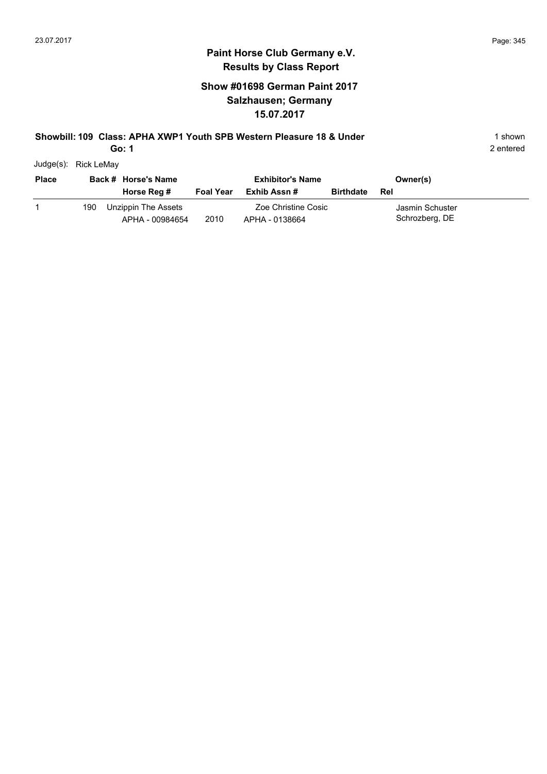### **Paint Horse Club Germany e.V. Results by Class Report**

### **Show #01698 German Paint 2017 Salzhausen; Germany 15.07.2017**

#### **Showbill: 109 Class: APHA XWP1 Youth SPB Western Pleasure 18 & Under** 199 1 shown

**Go: 1**

Judge(s): Rick LeMay

| <b>Place</b> |     | Back # Horse's Name                    |                  | <b>Exhibitor's Name</b>               |                  | Owner(s)                          |
|--------------|-----|----------------------------------------|------------------|---------------------------------------|------------------|-----------------------------------|
|              |     | Horse Reg #                            | <b>Foal Year</b> | Exhib Assn #                          | <b>Birthdate</b> | Rel                               |
|              | 190 | Unzippin The Assets<br>APHA - 00984654 | 2010             | Zoe Christine Cosic<br>APHA - 0138664 |                  | Jasmin Schuster<br>Schrozberg, DE |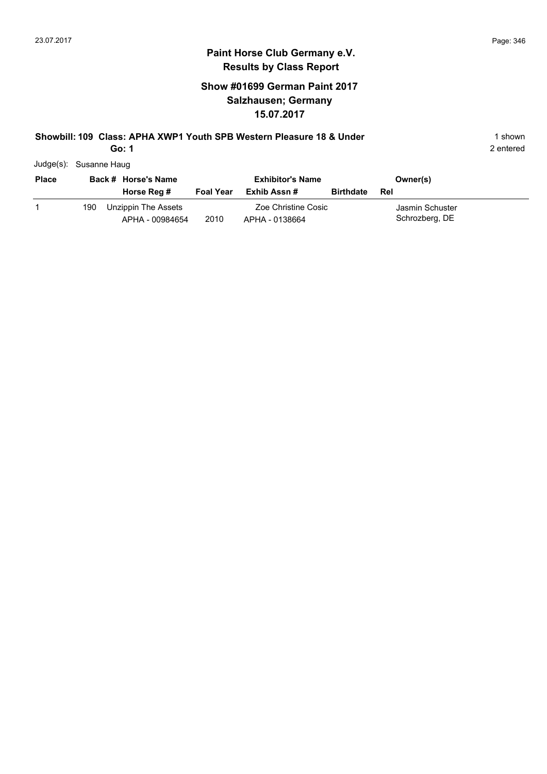#### **Paint Horse Club Germany e.V. Results by Class Report**

### **Show #01699 German Paint 2017 Salzhausen; Germany 15.07.2017**

#### **Showbill: 109 Class: APHA XWP1 Youth SPB Western Pleasure 18 & Under** 199 1 shown

**Go: 1**

Judge(s): Susanne Haug

| <b>Place</b> |     | Back # Horse's Name<br>Horse Reg #     | <b>Foal Year</b> | <b>Exhibitor's Name</b><br>Exhib Assn # | <b>Birthdate</b> | Owner(s)<br>Rel                   |  |
|--------------|-----|----------------------------------------|------------------|-----------------------------------------|------------------|-----------------------------------|--|
|              | 190 | Unzippin The Assets<br>APHA - 00984654 | 2010             | Zoe Christine Cosic<br>APHA - 0138664   |                  | Jasmin Schuster<br>Schrozberg, DE |  |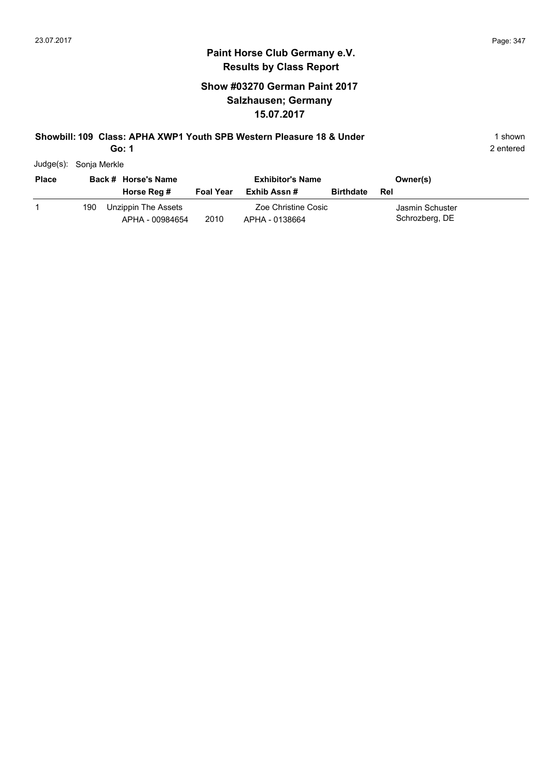### **Paint Horse Club Germany e.V. Results by Class Report**

### **Show #03270 German Paint 2017 Salzhausen; Germany 15.07.2017**

#### **Showbill: 109 Class: APHA XWP1 Youth SPB Western Pleasure 18 & Under** 199 1 shown

**Go: 1**

Judge(s): Sonja Merkle

| <b>Place</b> |     | Back # Horse's Name<br>Horse Reg #     | <b>Foal Year</b> | <b>Exhibitor's Name</b><br>Exhib Assn # | <b>Birthdate</b> | Owner(s)<br>Rel                   |
|--------------|-----|----------------------------------------|------------------|-----------------------------------------|------------------|-----------------------------------|
|              | 190 | Unzippin The Assets<br>APHA - 00984654 | 2010             | Zoe Christine Cosic<br>APHA - 0138664   |                  | Jasmin Schuster<br>Schrozberg, DE |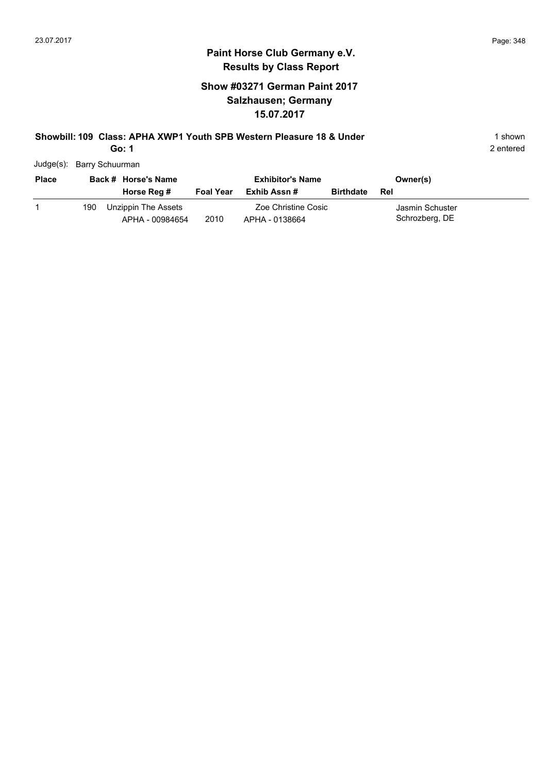#### **Paint Horse Club Germany e.V. Results by Class Report**

### **Show #03271 German Paint 2017 Salzhausen; Germany 15.07.2017**

#### **Showbill: 109 Class: APHA XWP1 Youth SPB Western Pleasure 18 & Under** 199 1 shown

**Go: 1**

Judge(s): Barry Schuurman

| <b>Place</b> |     | Back # Horse's Name<br>Horse Reg #     | <b>Foal Year</b> | <b>Exhibitor's Name</b><br>Exhib Assn # | <b>Birthdate</b> | Owner(s)<br>Rel                   |  |
|--------------|-----|----------------------------------------|------------------|-----------------------------------------|------------------|-----------------------------------|--|
|              | 190 | Unzippin The Assets<br>APHA - 00984654 | 2010             | Zoe Christine Cosic<br>APHA - 0138664   |                  | Jasmin Schuster<br>Schrozberg, DE |  |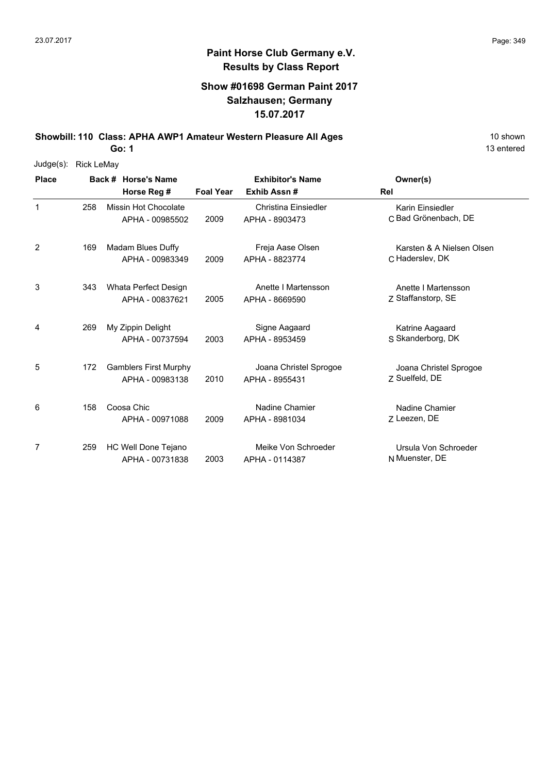#### **Show #01698 German Paint 2017 Salzhausen; Germany 15.07.2017**

**Showbill: 110 Class: APHA AWP1 Amateur Western Pleasure All Ages** 10 Shown 10 shown

**Go: 1**

| Judge(s):    | <b>Rick LeMay</b> |                                                 |                  |                                          |                                              |
|--------------|-------------------|-------------------------------------------------|------------------|------------------------------------------|----------------------------------------------|
| <b>Place</b> |                   | Back # Horse's Name                             |                  | <b>Exhibitor's Name</b>                  | Owner(s)                                     |
|              |                   | Horse Reg #                                     | <b>Foal Year</b> | Exhib Assn #                             | <b>Rel</b>                                   |
| $\mathbf{1}$ | 258               | Missin Hot Chocolate<br>APHA - 00985502         | 2009             | Christina Einsiedler<br>APHA - 8903473   | Karin Einsiedler<br>C Bad Grönenbach, DE     |
| 2            | 169               | Madam Blues Duffy<br>APHA - 00983349            | 2009             | Freja Aase Olsen<br>APHA - 8823774       | Karsten & A Nielsen Olsen<br>C Haderslev, DK |
| 3            | 343               | Whata Perfect Design<br>APHA - 00837621         | 2005             | Anette I Martensson<br>APHA - 8669590    | Anette I Martensson<br>Z Staffanstorp, SE    |
| 4            | 269               | My Zippin Delight<br>APHA - 00737594            | 2003             | Signe Aagaard<br>APHA - 8953459          | Katrine Aagaard<br>S Skanderborg, DK         |
| 5            | 172               | <b>Gamblers First Murphy</b><br>APHA - 00983138 | 2010             | Joana Christel Sprogoe<br>APHA - 8955431 | Joana Christel Sprogoe<br>7 Suelfeld, DE     |
| 6            | 158               | Coosa Chic<br>APHA - 00971088                   | 2009             | Nadine Chamier<br>APHA - 8981034         | Nadine Chamier<br>Z Leezen, DE               |
| 7            | 259               | HC Well Done Tejano<br>APHA - 00731838          | 2003             | Meike Von Schroeder<br>APHA - 0114387    | Ursula Von Schroeder<br>N Muenster, DE       |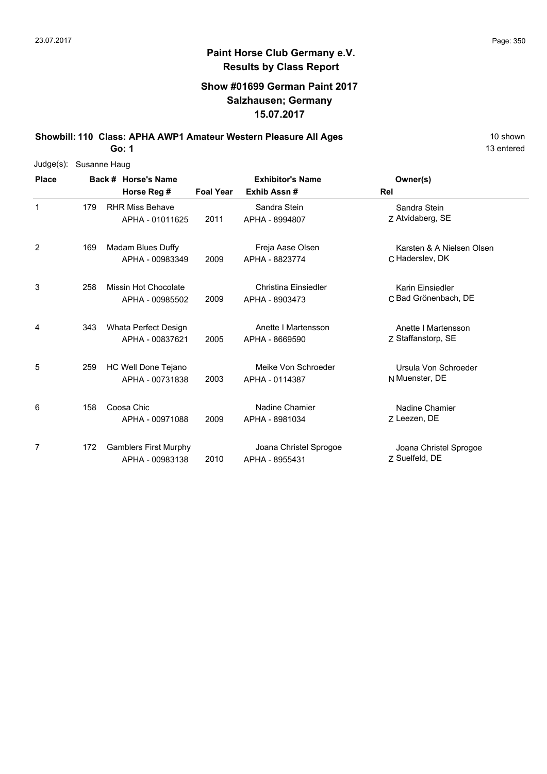#### **Show #01699 German Paint 2017 Salzhausen; Germany 15.07.2017**

**Showbill: 110 Class: APHA AWP1 Amateur Western Pleasure All Ages** 10 Shown

**Go: 1**

| Judge(s):    |     | Susanne Haug                 |                  |                         |                           |
|--------------|-----|------------------------------|------------------|-------------------------|---------------------------|
| <b>Place</b> |     | Back # Horse's Name          |                  | <b>Exhibitor's Name</b> | Owner(s)                  |
|              |     | Horse Reg #                  | <b>Foal Year</b> | Exhib Assn #            | Rel                       |
| $\mathbf{1}$ | 179 | <b>RHR Miss Behave</b>       |                  | Sandra Stein            | Sandra Stein              |
|              |     | APHA - 01011625              | 2011             | APHA - 8994807          | Z Atvidaberg, SE          |
| 2            | 169 | Madam Blues Duffy            |                  | Freja Aase Olsen        | Karsten & A Nielsen Olsen |
|              |     | APHA - 00983349              | 2009             | APHA - 8823774          | C Haderslev, DK           |
| 3            | 258 | Missin Hot Chocolate         |                  | Christina Einsiedler    | Karin Einsiedler          |
|              |     | APHA - 00985502              | 2009             | APHA - 8903473          | C Bad Grönenbach, DE      |
| 4            | 343 | Whata Perfect Design         |                  | Anette I Martensson     | Anette I Martensson       |
|              |     | APHA - 00837621              | 2005             | APHA - 8669590          | Z Staffanstorp, SE        |
| 5            | 259 | HC Well Done Tejano          |                  | Meike Von Schroeder     | Ursula Von Schroeder      |
|              |     | APHA - 00731838              | 2003             | APHA - 0114387          | N Muenster, DE            |
| 6            | 158 | Coosa Chic                   |                  | Nadine Chamier          | Nadine Chamier            |
|              |     | APHA - 00971088              | 2009             | APHA - 8981034          | Z Leezen, DE              |
| 7            | 172 | <b>Gamblers First Murphy</b> |                  | Joana Christel Sprogoe  | Joana Christel Sprogoe    |
|              |     | APHA - 00983138              | 2010             | APHA - 8955431          | Z Suelfeld, DE            |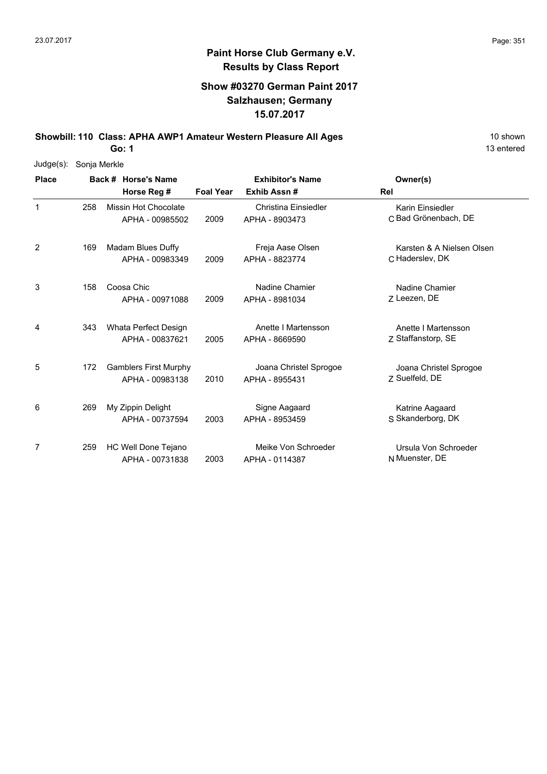#### **Show #03270 German Paint 2017 Salzhausen; Germany 15.07.2017**

**Showbill: 110 Class: APHA AWP1 Amateur Western Pleasure All Ages** 10 Shown 10 shown

**Go: 1**

| Judge(s):    | Sonja Merkle |  |                                                 |                         |                                          |                                              |  |  |  |  |  |
|--------------|--------------|--|-------------------------------------------------|-------------------------|------------------------------------------|----------------------------------------------|--|--|--|--|--|
| <b>Place</b> |              |  | Back # Horse's Name                             | <b>Exhibitor's Name</b> |                                          | Owner(s)                                     |  |  |  |  |  |
|              |              |  | Horse Reg #                                     | <b>Foal Year</b>        | Exhib Assn #                             | Rel                                          |  |  |  |  |  |
| $\mathbf{1}$ | 258          |  | Missin Hot Chocolate<br>APHA - 00985502         | 2009                    | Christina Einsiedler<br>APHA - 8903473   | Karin Einsiedler<br>C Bad Grönenbach, DE     |  |  |  |  |  |
| 2            | 169          |  | Madam Blues Duffy<br>APHA - 00983349            | 2009                    | Freja Aase Olsen<br>APHA - 8823774       | Karsten & A Nielsen Olsen<br>C Haderslev, DK |  |  |  |  |  |
| 3            | 158          |  | Coosa Chic<br>APHA - 00971088                   | 2009                    | Nadine Chamier<br>APHA - 8981034         | Nadine Chamier<br>7 Leezen, DE               |  |  |  |  |  |
| 4            | 343          |  | Whata Perfect Design<br>APHA - 00837621         | 2005                    | Anette I Martensson<br>APHA - 8669590    | Anette I Martensson<br>Z Staffanstorp, SE    |  |  |  |  |  |
| 5            | 172          |  | <b>Gamblers First Murphy</b><br>APHA - 00983138 | 2010                    | Joana Christel Sprogoe<br>APHA - 8955431 | Joana Christel Sprogoe<br>7 Suelfeld, DE     |  |  |  |  |  |
| 6            | 269          |  | My Zippin Delight<br>APHA - 00737594            | 2003                    | Signe Aagaard<br>APHA - 8953459          | Katrine Aagaard<br>S Skanderborg, DK         |  |  |  |  |  |
| 7            | 259          |  | HC Well Done Tejano<br>APHA - 00731838          | 2003                    | Meike Von Schroeder<br>APHA - 0114387    | Ursula Von Schroeder<br>N Muenster, DE       |  |  |  |  |  |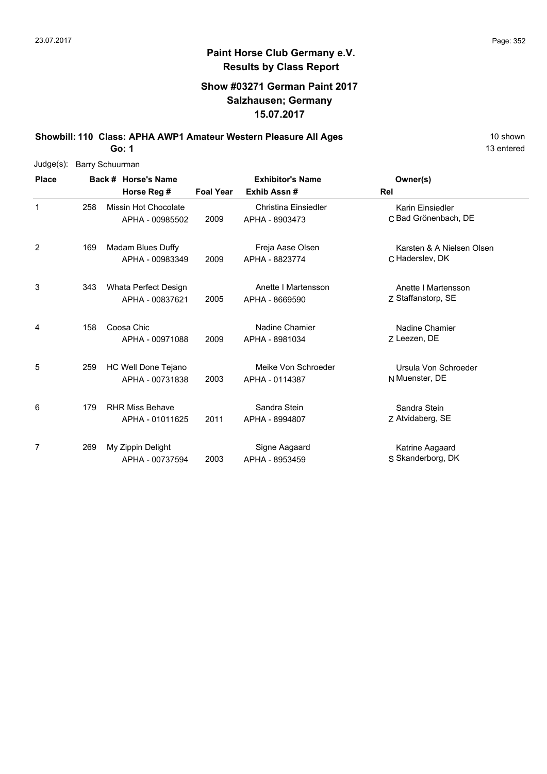### **Show #03271 German Paint 2017 Salzhausen; Germany 15.07.2017**

**Showbill: 110 Class: APHA AWP1 Amateur Western Pleasure All Ages** 10 Shown 10 shown

**Go: 1**

| $Judge(s)$ : | <b>Barry Schuurman</b> |                        |                  |                             |                           |  |  |  |  |  |
|--------------|------------------------|------------------------|------------------|-----------------------------|---------------------------|--|--|--|--|--|
| <b>Place</b> |                        | Back # Horse's Name    |                  | <b>Exhibitor's Name</b>     | Owner(s)                  |  |  |  |  |  |
|              |                        | Horse Reg #            | <b>Foal Year</b> | Exhib Assn#                 | Rel                       |  |  |  |  |  |
| 1            | 258                    | Missin Hot Chocolate   |                  | <b>Christina Einsiedler</b> | Karin Einsiedler          |  |  |  |  |  |
|              |                        | APHA - 00985502        | 2009             | APHA - 8903473              | C Bad Grönenbach, DE      |  |  |  |  |  |
| 2            | 169                    | Madam Blues Duffy      |                  | Freja Aase Olsen            | Karsten & A Nielsen Olsen |  |  |  |  |  |
|              |                        | APHA - 00983349        | 2009             | APHA - 8823774              | C Haderslev, DK           |  |  |  |  |  |
| 3            | 343                    | Whata Perfect Design   |                  | Anette I Martensson         | Anette I Martensson       |  |  |  |  |  |
|              |                        | APHA - 00837621        | 2005             | APHA - 8669590              | Z Staffanstorp, SE        |  |  |  |  |  |
| 4            | 158                    | Coosa Chic             |                  | Nadine Chamier              | Nadine Chamier            |  |  |  |  |  |
|              |                        | APHA - 00971088        | 2009             | APHA - 8981034              | Z Leezen, DE              |  |  |  |  |  |
| 5            | 259                    | HC Well Done Tejano    |                  | Meike Von Schroeder         | Ursula Von Schroeder      |  |  |  |  |  |
|              |                        | APHA - 00731838        | 2003             | APHA - 0114387              | N Muenster, DE            |  |  |  |  |  |
| 6            | 179                    | <b>RHR Miss Behave</b> |                  | Sandra Stein                | Sandra Stein              |  |  |  |  |  |
|              |                        | APHA - 01011625        | 2011             | APHA - 8994807              | Z Atvidaberg, SE          |  |  |  |  |  |
| 7            | 269                    | My Zippin Delight      |                  | Signe Aagaard               | Katrine Aagaard           |  |  |  |  |  |
|              |                        | APHA - 00737594        | 2003             | APHA - 8953459              | S Skanderborg, DK         |  |  |  |  |  |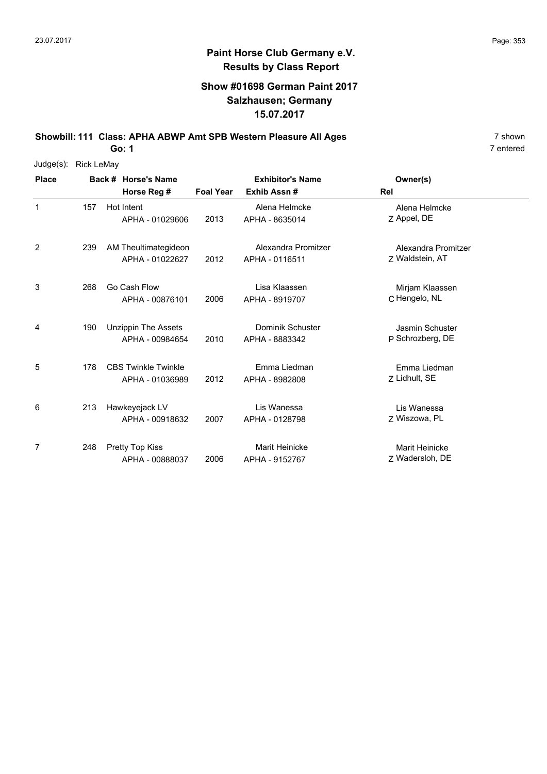#### **Show #01698 German Paint 2017 Salzhausen; Germany 15.07.2017**

**Showbill: 111 Class: APHA ABWP Amt SPB Western Pleasure All Ages** 7 shown

**Go: 1**

| $Judge(s)$ : | <b>Rick LeMay</b> |                            |                  |                         |                        |
|--------------|-------------------|----------------------------|------------------|-------------------------|------------------------|
| <b>Place</b> |                   | Back # Horse's Name        |                  | <b>Exhibitor's Name</b> | Owner(s)               |
|              |                   | Horse Reg #                | <b>Foal Year</b> | Exhib Assn#             | <b>Rel</b>             |
| $\mathbf 1$  | 157               | Hot Intent                 |                  | Alena Helmcke           | Alena Helmcke          |
|              |                   | APHA - 01029606            | 2013             | APHA - 8635014          | Z Appel, DE            |
| 2            | 239               | AM Theultimategideon       |                  | Alexandra Promitzer     | Alexandra Promitzer    |
|              |                   | APHA - 01022627            | 2012             | APHA - 0116511          | Z Waldstein, AT        |
| 3            | 268               | Go Cash Flow               |                  | Lisa Klaassen           | Mirjam Klaassen        |
|              |                   | APHA - 00876101            | 2006             | APHA - 8919707          | C Hengelo, NL          |
| 4            | 190               | <b>Unzippin The Assets</b> |                  | Dominik Schuster        | <b>Jasmin Schuster</b> |
|              |                   | APHA - 00984654            | 2010             | APHA - 8883342          | P Schrozberg, DE       |
| 5            | 178               | <b>CBS Twinkle Twinkle</b> |                  | Emma Liedman            | Emma Liedman           |
|              |                   | APHA - 01036989            | 2012             | APHA - 8982808          | Z Lidhult, SE          |
| 6            | 213               | Hawkeyejack LV             |                  | Lis Wanessa             | Lis Wanessa            |
|              |                   | APHA - 00918632            | 2007             | APHA - 0128798          | Z Wiszowa, PL          |
| 7            | 248               | <b>Pretty Top Kiss</b>     |                  | <b>Marit Heinicke</b>   | Marit Heinicke         |
|              |                   | APHA - 00888037            | 2006             | APHA - 9152767          | Z Wadersloh, DE        |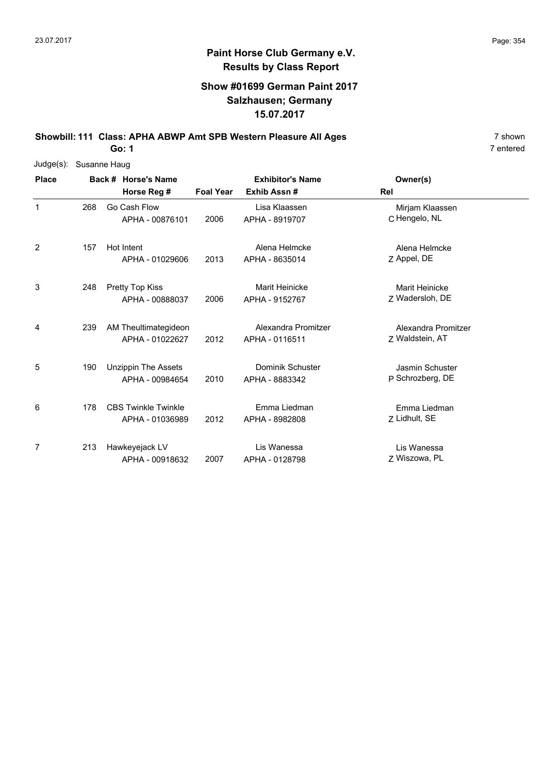#### **Show #01699 German Paint 2017 Salzhausen; Germany 15.07.2017**

**Showbill: 111 Class: APHA ABWP Amt SPB Western Pleasure All Ages** 7 shown

**Go: 1**

| Judge(s):    | Susanne Haug |  |                            |                  |                         |                     |  |  |  |  |  |
|--------------|--------------|--|----------------------------|------------------|-------------------------|---------------------|--|--|--|--|--|
| <b>Place</b> |              |  | Back # Horse's Name        |                  | <b>Exhibitor's Name</b> | Owner(s)            |  |  |  |  |  |
|              |              |  | Horse Reg #                | <b>Foal Year</b> | Exhib Assn#             | <b>Rel</b>          |  |  |  |  |  |
| $\mathbf 1$  | 268          |  | Go Cash Flow               |                  | Lisa Klaassen           | Mirjam Klaassen     |  |  |  |  |  |
|              |              |  | APHA - 00876101            | 2006             | APHA - 8919707          | C Hengelo, NL       |  |  |  |  |  |
| 2            | 157          |  | Hot Intent                 |                  | Alena Helmcke           | Alena Helmcke       |  |  |  |  |  |
|              |              |  | APHA - 01029606            | 2013             | APHA - 8635014          | Z Appel, DE         |  |  |  |  |  |
| 3            | 248          |  | Pretty Top Kiss            |                  | <b>Marit Heinicke</b>   | Marit Heinicke      |  |  |  |  |  |
|              |              |  | APHA - 00888037            | 2006             | APHA - 9152767          | Z Wadersloh, DE     |  |  |  |  |  |
| 4            | 239          |  | AM Theultimategideon       |                  | Alexandra Promitzer     | Alexandra Promitzer |  |  |  |  |  |
|              |              |  | APHA - 01022627            | 2012             | APHA - 0116511          | Z Waldstein, AT     |  |  |  |  |  |
| 5            | 190          |  | <b>Unzippin The Assets</b> |                  | <b>Dominik Schuster</b> | Jasmin Schuster     |  |  |  |  |  |
|              |              |  | APHA - 00984654            | 2010             | APHA - 8883342          | P Schrozberg, DE    |  |  |  |  |  |
| 6            | 178          |  | <b>CBS Twinkle Twinkle</b> |                  | Emma Liedman            | Emma Liedman        |  |  |  |  |  |
|              |              |  | APHA - 01036989            | 2012             | APHA - 8982808          | Z Lidhult, SE       |  |  |  |  |  |
| 7            | 213          |  | Hawkeyejack LV             |                  | Lis Wanessa             | Lis Wanessa         |  |  |  |  |  |
|              |              |  | APHA - 00918632            | 2007             | APHA - 0128798          | Z Wiszowa, PL       |  |  |  |  |  |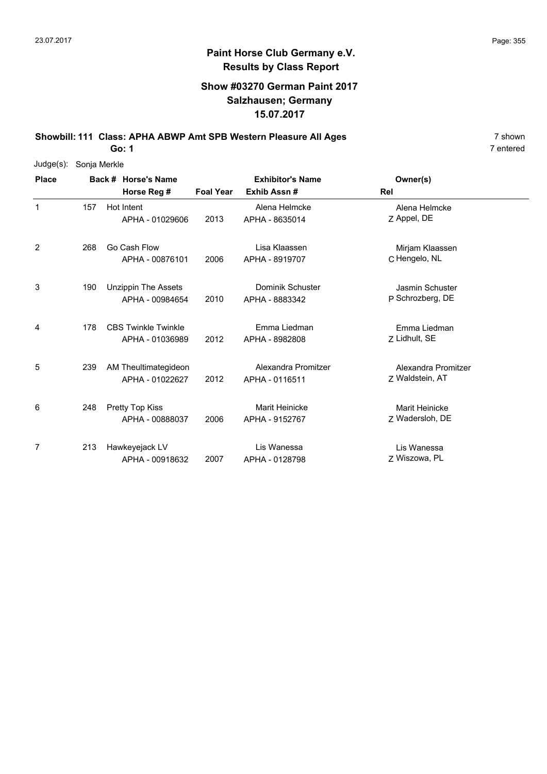#### **Show #03270 German Paint 2017 Salzhausen; Germany 15.07.2017**

**Showbill: 111 Class: APHA ABWP Amt SPB Western Pleasure All Ages** 7 shown

**Go: 1**

| Judge(s):    | Sonja Merkle |                            |                  |                         |                        |
|--------------|--------------|----------------------------|------------------|-------------------------|------------------------|
| <b>Place</b> |              | Back # Horse's Name        |                  | <b>Exhibitor's Name</b> | Owner(s)               |
|              |              | Horse Reg #                | <b>Foal Year</b> | Exhib Assn#             | Rel                    |
| $\mathbf{1}$ | 157          | Hot Intent                 |                  | Alena Helmcke           | Alena Helmcke          |
|              |              | APHA - 01029606            | 2013             | APHA - 8635014          | Z Appel, DE            |
| 2            | 268          | Go Cash Flow               |                  | Lisa Klaassen           | Mirjam Klaassen        |
|              |              | APHA - 00876101            | 2006             | APHA - 8919707          | C Hengelo, NL          |
| 3            | 190          | <b>Unzippin The Assets</b> |                  | <b>Dominik Schuster</b> | <b>Jasmin Schuster</b> |
|              |              | APHA - 00984654            | 2010             | APHA - 8883342          | P Schrozberg, DE       |
| 4            | 178          | <b>CBS Twinkle Twinkle</b> |                  | Emma Liedman            | Emma Liedman           |
|              |              | APHA - 01036989            | 2012             | APHA - 8982808          | Z Lidhult, SE          |
| 5            | 239          | AM Theultimategideon       |                  | Alexandra Promitzer     | Alexandra Promitzer    |
|              |              | APHA - 01022627            | 2012             | APHA - 0116511          | Z Waldstein, AT        |
| 6            | 248          | <b>Pretty Top Kiss</b>     |                  | <b>Marit Heinicke</b>   | Marit Heinicke         |
|              |              | APHA - 00888037            | 2006             | APHA - 9152767          | Z Wadersloh, DE        |
| 7            | 213          | Hawkeyejack LV             |                  | Lis Wanessa             | Lis Wanessa            |
|              |              | APHA - 00918632            | 2007             | APHA - 0128798          | Z Wiszowa, PL          |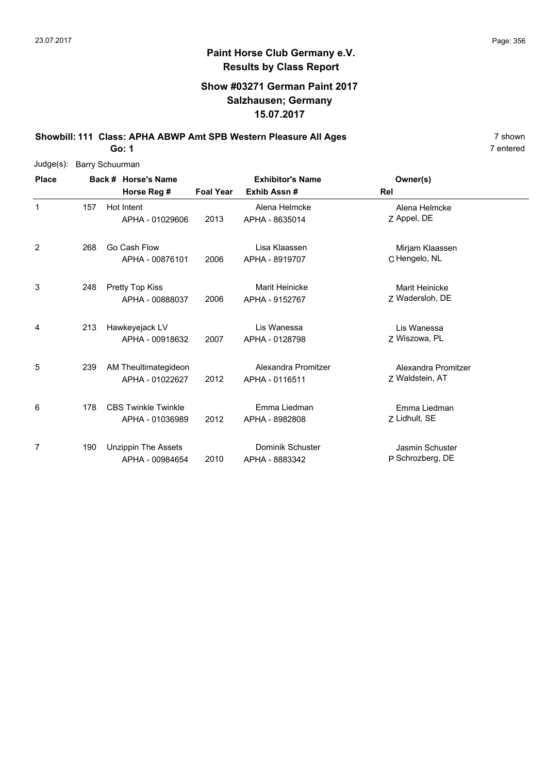#### **Show #03271 German Paint 2017 Salzhausen; Germany 15.07.2017**

**Showbill: 111 Class: APHA ABWP Amt SPB Western Pleasure All Ages** 7 shown

**Go: 1**

| Judge(s):    | <b>Barry Schuurman</b> |  |                            |                  |                         |                     |  |  |  |  |
|--------------|------------------------|--|----------------------------|------------------|-------------------------|---------------------|--|--|--|--|
| <b>Place</b> |                        |  | Back # Horse's Name        |                  | <b>Exhibitor's Name</b> | Owner(s)            |  |  |  |  |
|              |                        |  | Horse Reg #                | <b>Foal Year</b> | Exhib Assn#             | Rel                 |  |  |  |  |
| $\mathbf{1}$ | 157                    |  | Hot Intent                 |                  | Alena Helmcke           | Alena Helmcke       |  |  |  |  |
|              |                        |  | APHA - 01029606            | 2013             | APHA - 8635014          | Z Appel, DE         |  |  |  |  |
| 2            | 268                    |  | Go Cash Flow               |                  | Lisa Klaassen           | Mirjam Klaassen     |  |  |  |  |
|              |                        |  | APHA - 00876101            | 2006             | APHA - 8919707          | C Hengelo, NL       |  |  |  |  |
| 3            | 248                    |  | <b>Pretty Top Kiss</b>     |                  | Marit Heinicke          | Marit Heinicke      |  |  |  |  |
|              |                        |  | APHA - 00888037            | 2006             | APHA - 9152767          | Z Wadersloh, DE     |  |  |  |  |
| 4            | 213                    |  | Hawkeyejack LV             |                  | Lis Wanessa             | Lis Wanessa         |  |  |  |  |
|              |                        |  | APHA - 00918632            | 2007             | APHA - 0128798          | Z Wiszowa, PL       |  |  |  |  |
| 5            | 239                    |  | AM Theultimategideon       |                  | Alexandra Promitzer     | Alexandra Promitzer |  |  |  |  |
|              |                        |  | APHA - 01022627            | 2012             | APHA - 0116511          | Z Waldstein, AT     |  |  |  |  |
| 6            | 178                    |  | <b>CBS Twinkle Twinkle</b> |                  | Emma Liedman            | Emma Liedman        |  |  |  |  |
|              |                        |  | APHA - 01036989            | 2012             | APHA - 8982808          | Z Lidhult, SE       |  |  |  |  |
| 7            | 190                    |  | <b>Unzippin The Assets</b> |                  | Dominik Schuster        | Jasmin Schuster     |  |  |  |  |
|              |                        |  | APHA - 00984654            | 2010             | APHA - 8883342          | P Schrozberg, DE    |  |  |  |  |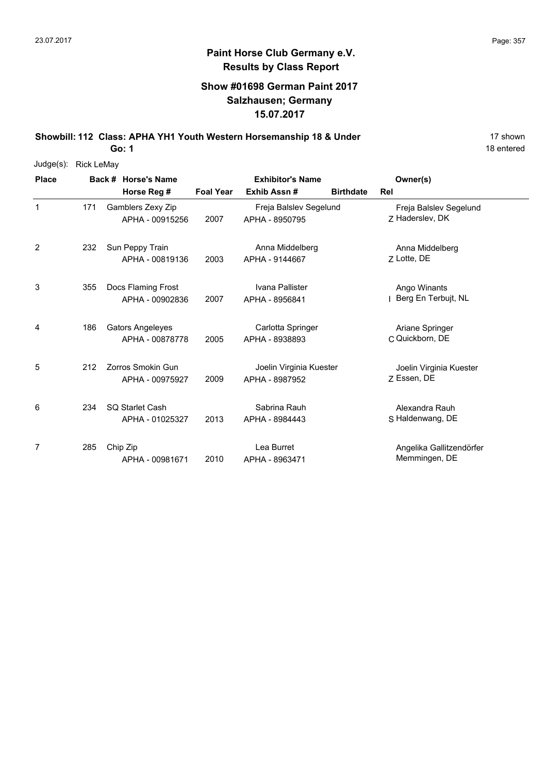## **Paint Horse Club Germany e.V. Results by Class Report**

#### **Show #01698 German Paint 2017 Salzhausen; Germany 15.07.2017**

**Showbill: 112 Class: APHA YH1 Youth Western Horsemanship 18 & Under** 17 Shown

| Judge(s):    | <b>Rick LeMay</b> |                                            |                         |                                           |                  |                                           |  |  |  |  |  |
|--------------|-------------------|--------------------------------------------|-------------------------|-------------------------------------------|------------------|-------------------------------------------|--|--|--|--|--|
| <b>Place</b> |                   | Back # Horse's Name                        | <b>Exhibitor's Name</b> |                                           | Owner(s)         |                                           |  |  |  |  |  |
|              |                   | Horse Reg #                                | <b>Foal Year</b>        | Exhib Assn#                               | <b>Birthdate</b> | Rel                                       |  |  |  |  |  |
| 1            | 171               | Gamblers Zexy Zip<br>APHA - 00915256       | 2007                    | Freja Balslev Segelund<br>APHA - 8950795  |                  | Freja Balslev Segelund<br>7 Haderslev, DK |  |  |  |  |  |
| 2            | 232               | Sun Peppy Train<br>APHA - 00819136         | 2003                    | Anna Middelberg<br>APHA - 9144667         |                  | Anna Middelberg<br>Z Lotte, DE            |  |  |  |  |  |
| 3            | 355               | Docs Flaming Frost<br>APHA - 00902836      | 2007                    | Ivana Pallister<br>APHA - 8956841         |                  | Ango Winants<br>Berg En Terbujt, NL       |  |  |  |  |  |
| 4            | 186               | <b>Gators Angeleyes</b><br>APHA - 00878778 | 2005                    | Carlotta Springer<br>APHA - 8938893       |                  | Ariane Springer<br>C Quickborn, DE        |  |  |  |  |  |
| 5            | 212               | Zorros Smokin Gun<br>APHA - 00975927       | 2009                    | Joelin Virginia Kuester<br>APHA - 8987952 |                  | Joelin Virginia Kuester<br>7 Essen, DE    |  |  |  |  |  |
| 6            | 234               | <b>SQ Starlet Cash</b><br>APHA - 01025327  | 2013                    | Sabrina Rauh<br>APHA - 8984443            |                  | Alexandra Rauh<br>S Haldenwang, DE        |  |  |  |  |  |
| 7            | 285               | Chip Zip<br>APHA - 00981671                | 2010                    | Lea Burret<br>APHA - 8963471              |                  | Angelika Gallitzendörfer<br>Memmingen, DE |  |  |  |  |  |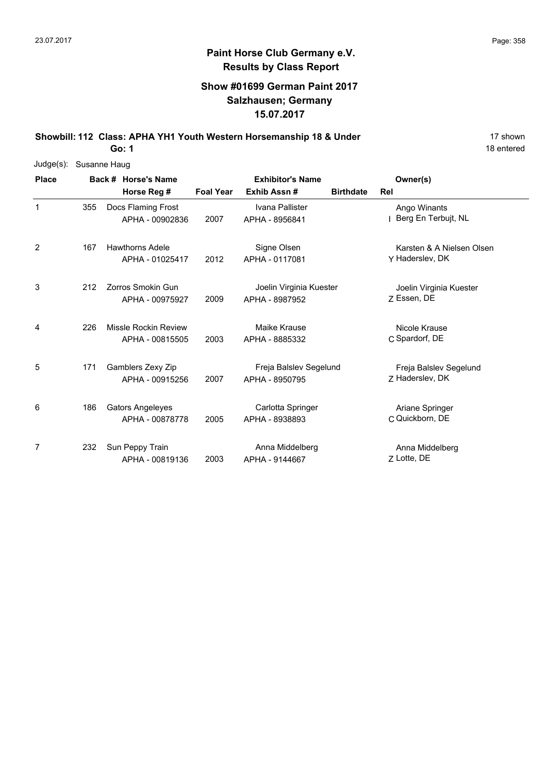## **Paint Horse Club Germany e.V. Results by Class Report**

#### **Show #01699 German Paint 2017 Salzhausen; Germany 15.07.2017**

**Showbill: 112 Class: APHA YH1 Youth Western Horsemanship 18 & Under** 17 Shown

| Judge(s):    |     | Susanne Haug                               |                  |                                           |                  |                                              |
|--------------|-----|--------------------------------------------|------------------|-------------------------------------------|------------------|----------------------------------------------|
| <b>Place</b> |     | Back # Horse's Name                        |                  | <b>Exhibitor's Name</b>                   |                  | Owner(s)                                     |
|              |     | Horse Reg #                                | <b>Foal Year</b> | Exhib Assn#                               | <b>Birthdate</b> | <b>Rel</b>                                   |
| 1            | 355 | Docs Flaming Frost<br>APHA - 00902836      | 2007             | Ivana Pallister<br>APHA - 8956841         |                  | Ango Winants<br>Berg En Terbujt, NL          |
| 2            | 167 | <b>Hawthorns Adele</b><br>APHA - 01025417  | 2012             | Signe Olsen<br>APHA - 0117081             |                  | Karsten & A Nielsen Olsen<br>Y Haderslev, DK |
| 3            | 212 | Zorros Smokin Gun<br>APHA - 00975927       | 2009             | Joelin Virginia Kuester<br>APHA - 8987952 |                  | Joelin Virginia Kuester<br>Z Essen, DE       |
| 4            | 226 | Missle Rockin Review<br>APHA - 00815505    | 2003             | Maike Krause<br>APHA - 8885332            |                  | Nicole Krause<br>C Spardorf, DE              |
| 5            | 171 | Gamblers Zexy Zip<br>APHA - 00915256       | 2007             | Freja Balslev Segelund<br>APHA - 8950795  |                  | Freja Balslev Segelund<br>Z Haderslev, DK    |
| 6            | 186 | <b>Gators Angeleyes</b><br>APHA - 00878778 | 2005             | Carlotta Springer<br>APHA - 8938893       |                  | Ariane Springer<br>C Quickborn, DE           |
| 7            | 232 | Sun Peppy Train<br>APHA - 00819136         | 2003             | Anna Middelberg<br>APHA - 9144667         |                  | Anna Middelberg<br>Z Lotte, DE               |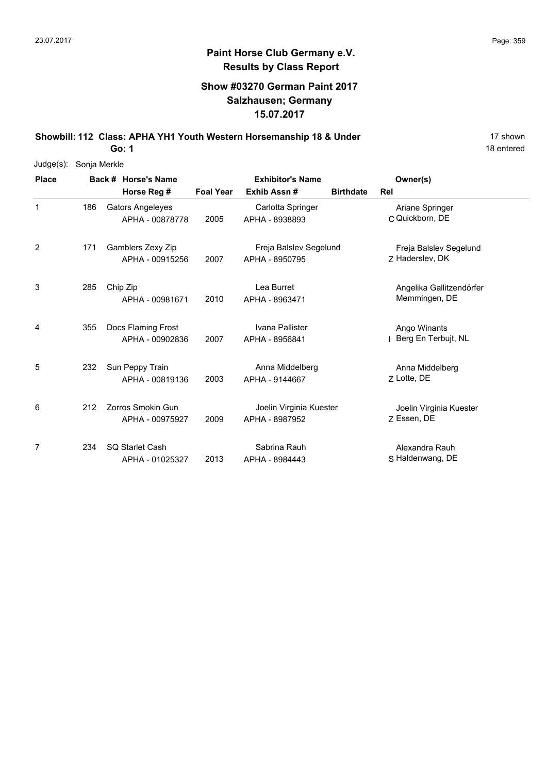### **Paint Horse Club Germany e.V. Results by Class Report**

#### **Show #03270 German Paint 2017 Salzhausen; Germany 15.07.2017**

**Showbill: 112 Class: APHA YH1 Youth Western Horsemanship 18 & Under** 17 Shown

| Judge(s):    | Sonja Merkle |  |                         |                         |                         |                  |                          |  |  |  |  |
|--------------|--------------|--|-------------------------|-------------------------|-------------------------|------------------|--------------------------|--|--|--|--|
| <b>Place</b> |              |  | Back # Horse's Name     | <b>Exhibitor's Name</b> |                         | Owner(s)         |                          |  |  |  |  |
|              |              |  | Horse Reg #             | <b>Foal Year</b>        | Exhib Assn#             | <b>Birthdate</b> | Rel                      |  |  |  |  |
| $\mathbf 1$  | 186          |  | <b>Gators Angeleyes</b> |                         | Carlotta Springer       |                  | Ariane Springer          |  |  |  |  |
|              |              |  | APHA - 00878778         | 2005                    | APHA - 8938893          |                  | C Quickborn, DE          |  |  |  |  |
| 2            | 171          |  | Gamblers Zexy Zip       |                         | Freja Balslev Segelund  |                  | Freja Balslev Segelund   |  |  |  |  |
|              |              |  | APHA - 00915256         | 2007                    | APHA - 8950795          |                  | Z Haderslev, DK          |  |  |  |  |
| 3            | 285          |  | Chip Zip                |                         | Lea Burret              |                  | Angelika Gallitzendörfer |  |  |  |  |
|              |              |  | APHA - 00981671         | 2010                    | APHA - 8963471          |                  | Memmingen, DE            |  |  |  |  |
| 4            | 355          |  | Docs Flaming Frost      |                         | Ivana Pallister         |                  | Ango Winants             |  |  |  |  |
|              |              |  | APHA - 00902836         | 2007                    | APHA - 8956841          |                  | Berg En Terbujt, NL      |  |  |  |  |
| 5            | 232          |  | Sun Peppy Train         |                         | Anna Middelberg         |                  | Anna Middelberg          |  |  |  |  |
|              |              |  | APHA - 00819136         | 2003                    | APHA - 9144667          |                  | 7 Lotte, DE              |  |  |  |  |
| 6            | 212          |  | Zorros Smokin Gun       |                         | Joelin Virginia Kuester |                  | Joelin Virginia Kuester  |  |  |  |  |
|              |              |  | APHA - 00975927         | 2009                    | APHA - 8987952          |                  | 7 Essen, DE              |  |  |  |  |
| 7            | 234          |  | <b>SQ Starlet Cash</b>  |                         | Sabrina Rauh            |                  | Alexandra Rauh           |  |  |  |  |
|              |              |  | APHA - 01025327         | 2013                    | APHA - 8984443          |                  | S Haldenwang, DE         |  |  |  |  |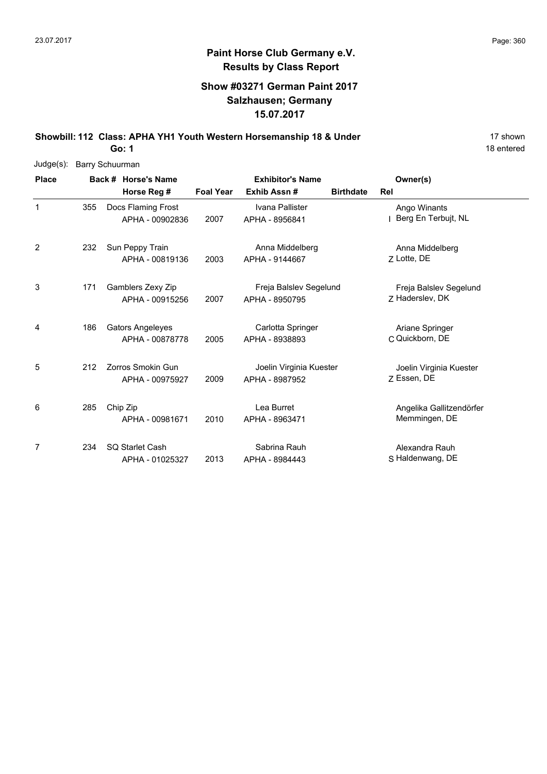### **Paint Horse Club Germany e.V. Results by Class Report**

#### **Show #03271 German Paint 2017 Salzhausen; Germany 15.07.2017**

**Showbill: 112 Class: APHA YH1 Youth Western Horsemanship 18 & Under** 17 Shown

| Judge(s):    | <b>Barry Schuurman</b> |  |                          |                         |                         |                  |                          |  |  |  |
|--------------|------------------------|--|--------------------------|-------------------------|-------------------------|------------------|--------------------------|--|--|--|
| <b>Place</b> |                        |  | Back # Horse's Name      | <b>Exhibitor's Name</b> |                         |                  | Owner(s)                 |  |  |  |
|              |                        |  | Horse Reg #              | <b>Foal Year</b>        | Exhib Assn#             | <b>Birthdate</b> | Rel                      |  |  |  |
| $\mathbf{1}$ | 355                    |  | Docs Flaming Frost       |                         | Ivana Pallister         |                  | Ango Winants             |  |  |  |
|              |                        |  | APHA - 00902836          | 2007                    | APHA - 8956841          |                  | Berg En Terbujt, NL      |  |  |  |
| 2            | 232                    |  | Sun Peppy Train          |                         | Anna Middelberg         |                  | Anna Middelberg          |  |  |  |
|              |                        |  | APHA - 00819136          | 2003                    | APHA - 9144667          |                  | Z Lotte, DE              |  |  |  |
| 3            | 171                    |  | Gamblers Zexy Zip        |                         | Freja Balslev Segelund  |                  | Freja Balslev Segelund   |  |  |  |
|              |                        |  | APHA - 00915256          | 2007                    | APHA - 8950795          |                  | Z Haderslev, DK          |  |  |  |
| 4            | 186                    |  | <b>Gators Angeleyes</b>  |                         | Carlotta Springer       |                  | Ariane Springer          |  |  |  |
|              |                        |  | APHA - 00878778          | 2005                    | APHA - 8938893          |                  | C Quickborn, DE          |  |  |  |
| 5            | 212                    |  | <b>Zorros Smokin Gun</b> |                         | Joelin Virginia Kuester |                  | Joelin Virginia Kuester  |  |  |  |
|              |                        |  | APHA - 00975927          | 2009                    | APHA - 8987952          |                  | 7 Essen, DE              |  |  |  |
| 6            | 285                    |  | Chip Zip                 |                         | Lea Burret              |                  | Angelika Gallitzendörfer |  |  |  |
|              |                        |  | APHA - 00981671          | 2010                    | APHA - 8963471          |                  | Memmingen, DE            |  |  |  |
| 7            | 234                    |  | SQ Starlet Cash          |                         | Sabrina Rauh            |                  | Alexandra Rauh           |  |  |  |
|              |                        |  | APHA - 01025327          | 2013                    | APHA - 8984443          |                  | S Haldenwang, DE         |  |  |  |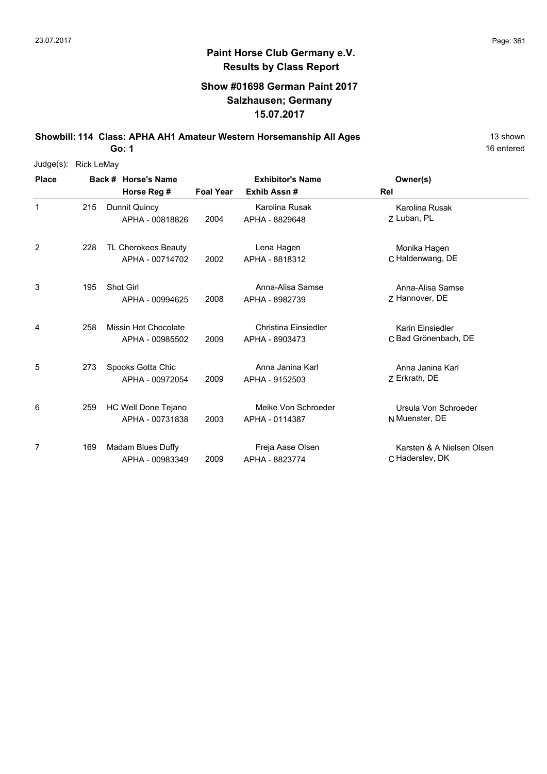#### **Show #01698 German Paint 2017 Salzhausen; Germany 15.07.2017**

**Showbill: 114 Class: APHA AH1 Amateur Western Horsemanship All Ages** 13 shown

**Go: 1**

| Judge(s):    | <b>Rick LeMay</b> |                      |                  |                         |                           |
|--------------|-------------------|----------------------|------------------|-------------------------|---------------------------|
| <b>Place</b> |                   | Back # Horse's Name  |                  | <b>Exhibitor's Name</b> | Owner(s)                  |
|              |                   | Horse Reg #          | <b>Foal Year</b> | Exhib Assn#             | Rel                       |
| $\mathbf{1}$ | 215               | Dunnit Quincy        |                  | Karolina Rusak          | Karolina Rusak            |
|              |                   | APHA - 00818826      | 2004             | APHA - 8829648          | Z Luban, PL               |
| 2            | 228               | TL Cherokees Beauty  |                  | Lena Hagen              | Monika Hagen              |
|              |                   | APHA - 00714702      | 2002             | APHA - 8818312          | C Haldenwang, DE          |
| 3            | 195               | Shot Girl            |                  | Anna-Alisa Samse        | Anna-Alisa Samse          |
|              |                   | APHA - 00994625      | 2008             | APHA - 8982739          | Z Hannover, DE            |
| 4            | 258               | Missin Hot Chocolate |                  | Christina Einsiedler    | Karin Einsiedler          |
|              |                   | APHA - 00985502      | 2009             | APHA - 8903473          | C Bad Grönenbach, DE      |
| 5            | 273               | Spooks Gotta Chic    |                  | Anna Janina Karl        | Anna Janina Karl          |
|              |                   | APHA - 00972054      | 2009             | APHA - 9152503          | Z Erkrath, DE             |
| 6            | 259               | HC Well Done Tejano  |                  | Meike Von Schroeder     | Ursula Von Schroeder      |
|              |                   | APHA - 00731838      | 2003             | APHA - 0114387          | N Muenster, DE            |
| 7            | 169               | Madam Blues Duffy    |                  | Freja Aase Olsen        | Karsten & A Nielsen Olsen |
|              |                   | APHA - 00983349      | 2009             | APHA - 8823774          | C Haderslev, DK           |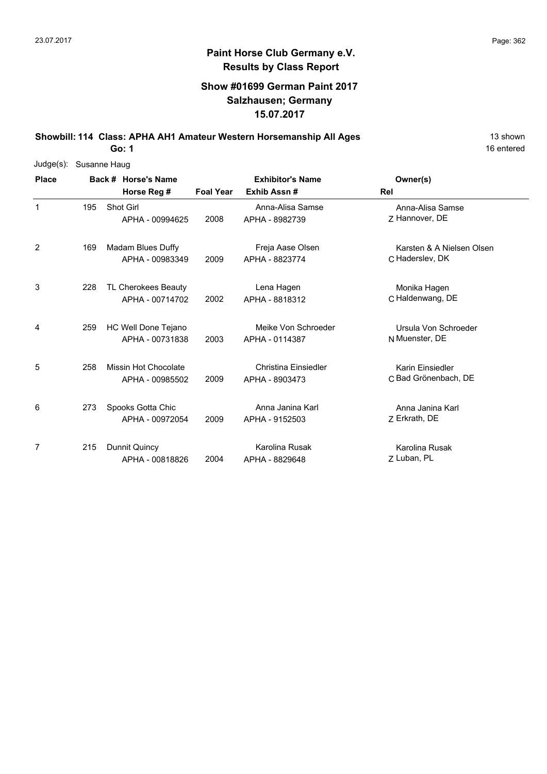# **Paint Horse Club Germany e.V. Results by Class Report**

### **Show #01699 German Paint 2017 Salzhausen; Germany 15.07.2017**

**Showbill: 114 Class: APHA AH1 Amateur Western Horsemanship All Ages** 13 shown

| Judge(s):    | Susanne Haug |  |                      |                  |                         |                           |  |  |  |  |
|--------------|--------------|--|----------------------|------------------|-------------------------|---------------------------|--|--|--|--|
| <b>Place</b> |              |  | Back # Horse's Name  |                  | <b>Exhibitor's Name</b> | Owner(s)                  |  |  |  |  |
|              |              |  | Horse Reg #          | <b>Foal Year</b> | Exhib Assn#             | Rel                       |  |  |  |  |
| 1            | 195          |  | Shot Girl            |                  | Anna-Alisa Samse        | Anna-Alisa Samse          |  |  |  |  |
|              |              |  | APHA - 00994625      | 2008             | APHA - 8982739          | 7 Hannover, DE            |  |  |  |  |
| 2            | 169          |  | Madam Blues Duffy    |                  | Freja Aase Olsen        | Karsten & A Nielsen Olsen |  |  |  |  |
|              |              |  | APHA - 00983349      | 2009             | APHA - 8823774          | C Haderslev, DK           |  |  |  |  |
| 3            | 228          |  | TL Cherokees Beauty  |                  | Lena Hagen              | Monika Hagen              |  |  |  |  |
|              |              |  | APHA - 00714702      | 2002             | APHA - 8818312          | C Haldenwang, DE          |  |  |  |  |
| 4            | 259          |  | HC Well Done Tejano  |                  | Meike Von Schroeder     | Ursula Von Schroeder      |  |  |  |  |
|              |              |  | APHA - 00731838      | 2003             | APHA - 0114387          | N Muenster, DE            |  |  |  |  |
| 5            | 258          |  | Missin Hot Chocolate |                  | Christina Einsiedler    | Karin Einsiedler          |  |  |  |  |
|              |              |  | APHA - 00985502      | 2009             | APHA - 8903473          | C Bad Grönenbach, DE      |  |  |  |  |
| 6            | 273          |  | Spooks Gotta Chic    |                  | Anna Janina Karl        | Anna Janina Karl          |  |  |  |  |
|              |              |  | APHA - 00972054      | 2009             | APHA - 9152503          | Z Erkrath, DE             |  |  |  |  |
| 7            | 215          |  | Dunnit Quincy        |                  | Karolina Rusak          | Karolina Rusak            |  |  |  |  |
|              |              |  | APHA - 00818826      | 2004             | APHA - 8829648          | Z Luban, PL               |  |  |  |  |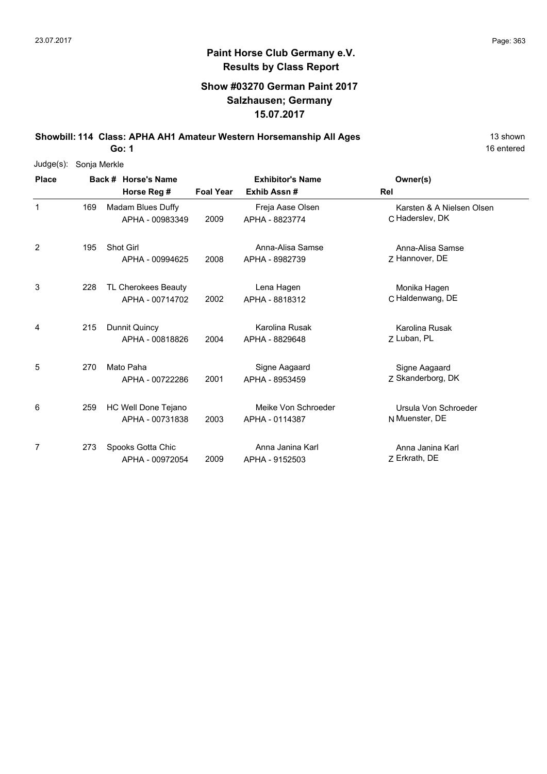## **Paint Horse Club Germany e.V. Results by Class Report**

### **Show #03270 German Paint 2017 Salzhausen; Germany 15.07.2017**

**Showbill: 114 Class: APHA AH1 Amateur Western Horsemanship All Ages** 13 shown

| Judge(s):    | Sonja Merkle |                                        |                  |                                       |                                              |
|--------------|--------------|----------------------------------------|------------------|---------------------------------------|----------------------------------------------|
| <b>Place</b> |              | Back # Horse's Name                    |                  | <b>Exhibitor's Name</b>               | Owner(s)                                     |
|              |              | Horse Reg #                            | <b>Foal Year</b> | Exhib Assn#                           | <b>Rel</b>                                   |
| 1            | 169          | Madam Blues Duffy<br>APHA - 00983349   | 2009             | Freja Aase Olsen<br>APHA - 8823774    | Karsten & A Nielsen Olsen<br>C Haderslev, DK |
| 2            | 195          | <b>Shot Girl</b><br>APHA - 00994625    | 2008             | Anna-Alisa Samse<br>APHA - 8982739    | Anna-Alisa Samse<br>Z Hannover, DE           |
| 3            | 228          | TL Cherokees Beauty<br>APHA - 00714702 | 2002             | Lena Hagen<br>APHA - 8818312          | Monika Hagen<br>C Haldenwang, DE             |
| 4            | 215          | Dunnit Quincy<br>APHA - 00818826       | 2004             | Karolina Rusak<br>APHA - 8829648      | Karolina Rusak<br>7 Luban, PL                |
| 5            | 270          | Mato Paha<br>APHA - 00722286           | 2001             | Signe Aagaard<br>APHA - 8953459       | Signe Aagaard<br>Z Skanderborg, DK           |
| 6            | 259          | HC Well Done Tejano<br>APHA - 00731838 | 2003             | Meike Von Schroeder<br>APHA - 0114387 | Ursula Von Schroeder<br>N Muenster, DE       |
| 7            | 273          | Spooks Gotta Chic<br>APHA - 00972054   | 2009             | Anna Janina Karl<br>APHA - 9152503    | Anna Janina Karl<br>Z Erkrath, DE            |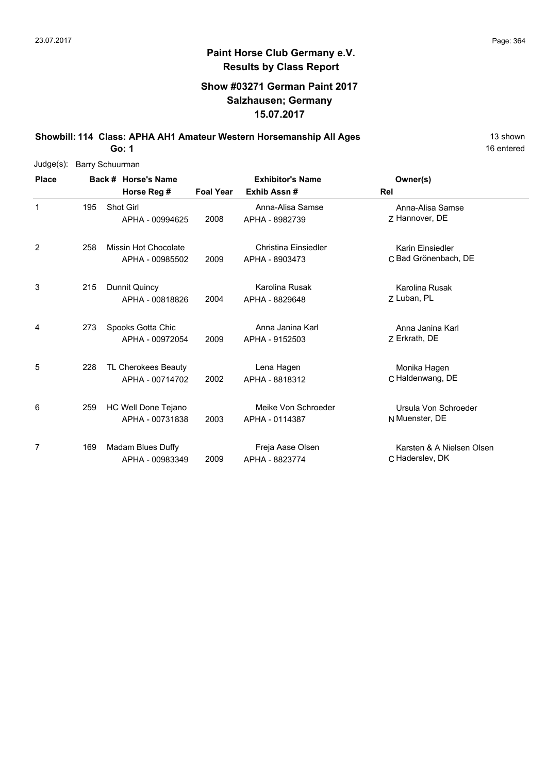### **Show #03271 German Paint 2017 Salzhausen; Germany 15.07.2017**

**Showbill: 114 Class: APHA AH1 Amateur Western Horsemanship All Ages** 13 shown

**Go: 1**

| $Judge(s)$ : | <b>Barry Schuurman</b> |                             |                  |                             |                           |
|--------------|------------------------|-----------------------------|------------------|-----------------------------|---------------------------|
| <b>Place</b> |                        | Back # Horse's Name         |                  | <b>Exhibitor's Name</b>     | Owner(s)                  |
|              |                        | Horse Reg #                 | <b>Foal Year</b> | Exhib Assn#                 | Rel                       |
| $\mathbf{1}$ | 195                    | Shot Girl                   |                  | Anna-Alisa Samse            | Anna-Alisa Samse          |
|              |                        | APHA - 00994625             | 2008             | APHA - 8982739              | 7 Hannover, DE            |
| 2            | 258                    | <b>Missin Hot Chocolate</b> |                  | <b>Christina Einsiedler</b> | Karin Einsiedler          |
|              |                        | APHA - 00985502             | 2009             | APHA - 8903473              | C Bad Grönenbach, DE      |
| 3            | 215                    | Dunnit Quincy               |                  | Karolina Rusak              | Karolina Rusak            |
|              |                        | APHA - 00818826             | 2004             | APHA - 8829648              | Z Luban, PL               |
| 4            | 273                    | Spooks Gotta Chic           |                  | Anna Janina Karl            | Anna Janina Karl          |
|              |                        | APHA - 00972054             | 2009             | APHA - 9152503              | Z Erkrath, DE             |
| 5            | 228                    | TL Cherokees Beauty         |                  | Lena Hagen                  | Monika Hagen              |
|              |                        | APHA - 00714702             | 2002             | APHA - 8818312              | C Haldenwang, DE          |
| 6            | 259                    | HC Well Done Tejano         |                  | Meike Von Schroeder         | Ursula Von Schroeder      |
|              |                        | APHA - 00731838             | 2003             | APHA - 0114387              | N Muenster, DE            |
| 7            | 169                    | Madam Blues Duffy           |                  | Freja Aase Olsen            | Karsten & A Nielsen Olsen |
|              |                        | APHA - 00983349             | 2009             | APHA - 8823774              | C Haderslev, DK           |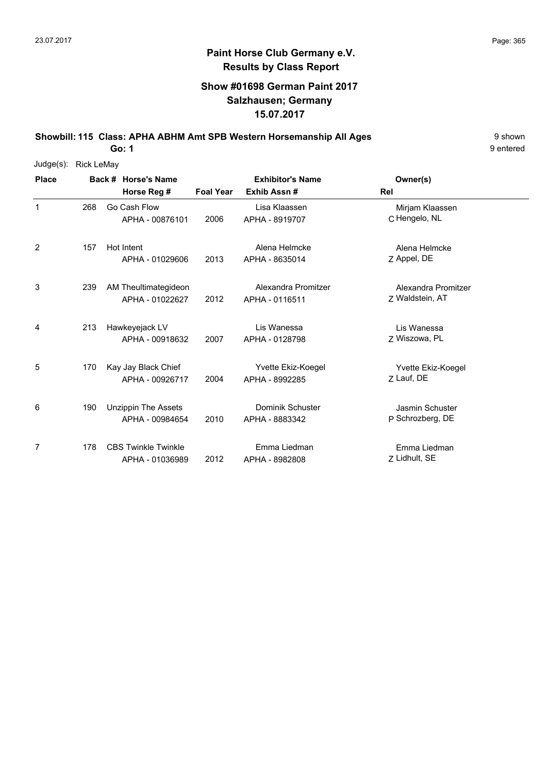### **Show #01698 German Paint 2017 Salzhausen; Germany 15.07.2017**

**Showbill: 115 Class: APHA ABHM Amt SPB Western Horsemanship All Ages** 9 Shown

9 entered

| Judge(s):    | <b>Rick LeMay</b> |                            |                  |                         |                     |  |
|--------------|-------------------|----------------------------|------------------|-------------------------|---------------------|--|
| <b>Place</b> |                   | Back # Horse's Name        |                  | <b>Exhibitor's Name</b> | Owner(s)            |  |
|              |                   | Horse Reg #                | <b>Foal Year</b> | Exhib Assn#             | Rel                 |  |
| $\mathbf{1}$ | 268               | Go Cash Flow               |                  | Lisa Klaassen           | Mirjam Klaassen     |  |
|              |                   | APHA - 00876101            | 2006             | APHA - 8919707          | C Hengelo, NL       |  |
| 2            | 157               | Hot Intent                 |                  | Alena Helmcke           | Alena Helmcke       |  |
|              |                   | APHA - 01029606            | 2013             | APHA - 8635014          | Z Appel, DE         |  |
| 3            | 239               | AM Theultimategideon       |                  | Alexandra Promitzer     | Alexandra Promitzer |  |
|              |                   | APHA - 01022627            | 2012             | APHA - 0116511          | Z Waldstein, AT     |  |
| 4            | 213               | Hawkeyejack LV             |                  | Lis Wanessa             | Lis Wanessa         |  |
|              |                   | APHA - 00918632            | 2007             | APHA - 0128798          | Z Wiszowa, PL       |  |
| 5            | 170               | Kay Jay Black Chief        |                  | Yvette Ekiz-Koegel      | Yvette Ekiz-Koegel  |  |
|              |                   | APHA - 00926717            | 2004             | APHA - 8992285          | Z Lauf, DE          |  |
| 6            | 190               | <b>Unzippin The Assets</b> |                  | Dominik Schuster        | Jasmin Schuster     |  |
|              |                   | APHA - 00984654            | 2010             | APHA - 8883342          | P Schrozberg, DE    |  |
| 7            | 178               | <b>CBS Twinkle Twinkle</b> |                  | Emma Liedman            | Emma Liedman        |  |
|              |                   | APHA - 01036989            | 2012             | APHA - 8982808          | Z Lidhult, SE       |  |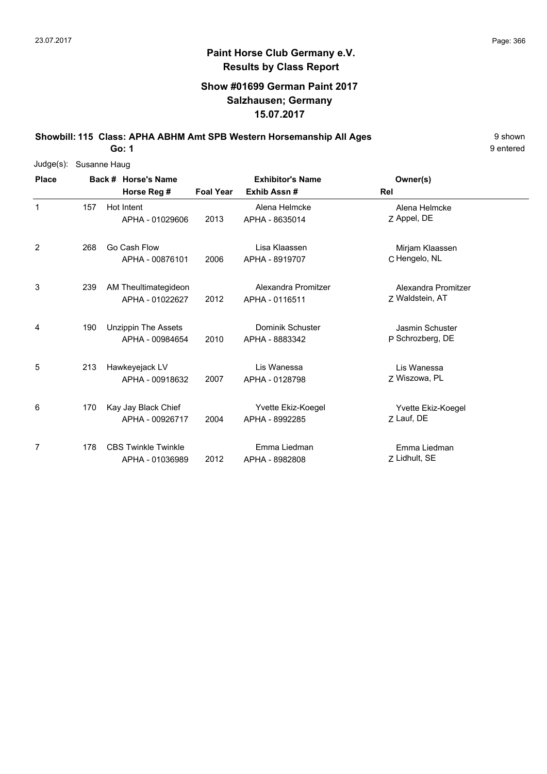### **Show #01699 German Paint 2017 Salzhausen; Germany 15.07.2017**

**Showbill: 115 Class: APHA ABHM Amt SPB Western Horsemanship All Ages** 9 Shown

9 entered

| $Judge(s)$ : | Susanne Haug |                            |                  |                         |                        |
|--------------|--------------|----------------------------|------------------|-------------------------|------------------------|
| <b>Place</b> |              | Back # Horse's Name        |                  | <b>Exhibitor's Name</b> | Owner(s)               |
|              |              | Horse Reg #                | <b>Foal Year</b> | Exhib Assn#             | <b>Rel</b>             |
| $\mathbf 1$  | 157          | Hot Intent                 |                  | Alena Helmcke           | Alena Helmcke          |
|              |              | APHA - 01029606            | 2013             | APHA - 8635014          | Z Appel, DE            |
| 2            | 268          | Go Cash Flow               |                  | Lisa Klaassen           | Mirjam Klaassen        |
|              |              | APHA - 00876101            | 2006             | APHA - 8919707          | C Hengelo, NL          |
| 3            | 239          | AM Theultimategideon       |                  | Alexandra Promitzer     | Alexandra Promitzer    |
|              |              | APHA - 01022627            | 2012             | APHA - 0116511          | Z Waldstein, AT        |
| 4            | 190          | <b>Unzippin The Assets</b> |                  | Dominik Schuster        | <b>Jasmin Schuster</b> |
|              |              | APHA - 00984654            | 2010             | APHA - 8883342          | P Schrozberg, DE       |
| 5            | 213          | Hawkeyejack LV             |                  | Lis Wanessa             | Lis Wanessa            |
|              |              | APHA - 00918632            | 2007             | APHA - 0128798          | Z Wiszowa, PL          |
| 6            | 170          | Kay Jay Black Chief        |                  | Yvette Ekiz-Koegel      | Yvette Ekiz-Koegel     |
|              |              | APHA - 00926717            | 2004             | APHA - 8992285          | Z Lauf, DE             |
| 7            | 178          | <b>CBS Twinkle Twinkle</b> |                  | Emma Liedman            | Emma Liedman           |
|              |              | APHA - 01036989            | 2012             | APHA - 8982808          | Z Lidhult, SE          |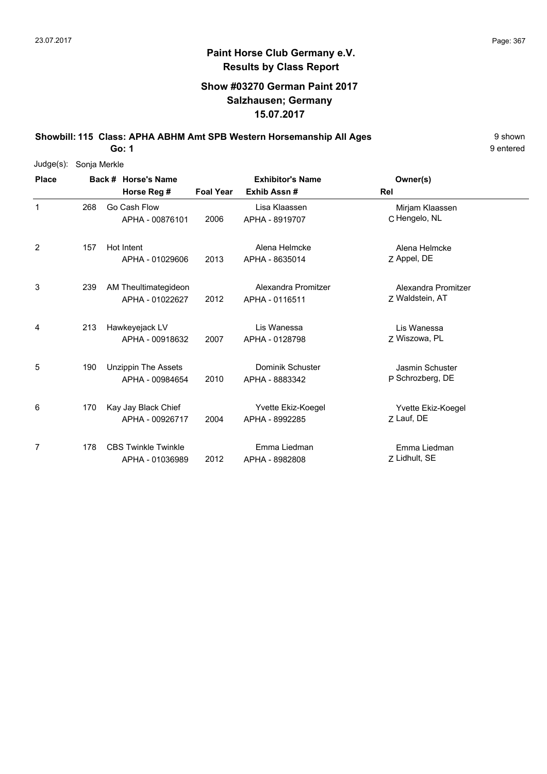### **Show #03270 German Paint 2017 Salzhausen; Germany 15.07.2017**

**Showbill: 115 Class: APHA ABHM Amt SPB Western Horsemanship All Ages** 9 Shown

9 entered

| $Judge(s)$ : | Sonja Merkle |                                               |                  |                                       |                                        |  |  |  |  |  |
|--------------|--------------|-----------------------------------------------|------------------|---------------------------------------|----------------------------------------|--|--|--|--|--|
| <b>Place</b> |              | Back # Horse's Name                           |                  | <b>Exhibitor's Name</b>               | Owner(s)                               |  |  |  |  |  |
|              |              | Horse Reg #                                   | <b>Foal Year</b> | Exhib Assn#                           | Rel                                    |  |  |  |  |  |
| 1            | 268          | Go Cash Flow<br>APHA - 00876101               | 2006             | Lisa Klaassen<br>APHA - 8919707       | Mirjam Klaassen<br>C Hengelo, NL       |  |  |  |  |  |
| 2            | 157          | Hot Intent<br>APHA - 01029606                 | 2013             | Alena Helmcke<br>APHA - 8635014       | Alena Helmcke<br>Z Appel, DE           |  |  |  |  |  |
| 3            | 239          | AM Theultimategideon<br>APHA - 01022627       | 2012             | Alexandra Promitzer<br>APHA - 0116511 | Alexandra Promitzer<br>Z Waldstein, AT |  |  |  |  |  |
| 4            | 213          | Hawkeyejack LV<br>APHA - 00918632             | 2007             | Lis Wanessa<br>APHA - 0128798         | Lis Wanessa<br>Z Wiszowa, PL           |  |  |  |  |  |
| 5            | 190          | <b>Unzippin The Assets</b><br>APHA - 00984654 | 2010             | Dominik Schuster<br>APHA - 8883342    | Jasmin Schuster<br>P Schrozberg, DE    |  |  |  |  |  |
| 6            | 170          | Kay Jay Black Chief<br>APHA - 00926717        | 2004             | Yvette Ekiz-Koegel<br>APHA - 8992285  | Yvette Ekiz-Koegel<br>Z Lauf, DE       |  |  |  |  |  |
| 7            | 178          | <b>CBS Twinkle Twinkle</b><br>APHA - 01036989 | 2012             | Emma Liedman<br>APHA - 8982808        | Emma Liedman<br>Z Lidhult, SE          |  |  |  |  |  |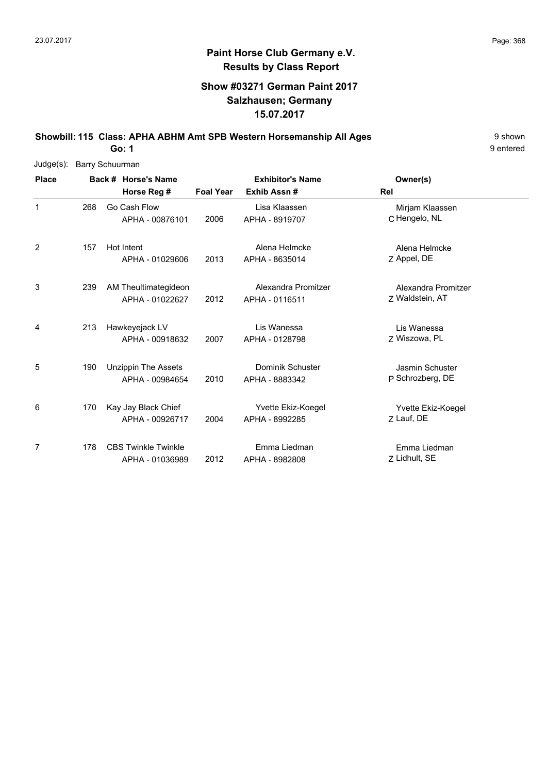### **Show #03271 German Paint 2017 Salzhausen; Germany 15.07.2017**

**Showbill: 115 Class: APHA ABHM Amt SPB Western Horsemanship All Ages** 9 Shown

9 entered

| Judge(s):    | <b>Barry Schuurman</b> |                                               |                  |                                       |                                        |  |
|--------------|------------------------|-----------------------------------------------|------------------|---------------------------------------|----------------------------------------|--|
| <b>Place</b> |                        | Back # Horse's Name                           |                  | <b>Exhibitor's Name</b>               | Owner(s)                               |  |
|              |                        | Horse Reg #                                   | <b>Foal Year</b> | Exhib Assn#                           | <b>Rel</b>                             |  |
| $\mathbf{1}$ | 268                    | Go Cash Flow<br>APHA - 00876101               | 2006             | Lisa Klaassen<br>APHA - 8919707       | Mirjam Klaassen<br>C Hengelo, NL       |  |
| 2            | 157                    | Hot Intent<br>APHA - 01029606                 | 2013             | Alena Helmcke<br>APHA - 8635014       | Alena Helmcke<br>Z Appel, DE           |  |
| 3            | 239                    | AM Theultimategideon<br>APHA - 01022627       | 2012             | Alexandra Promitzer<br>APHA - 0116511 | Alexandra Promitzer<br>Z Waldstein, AT |  |
| 4            | 213                    | Hawkeyejack LV<br>APHA - 00918632             | 2007             | Lis Wanessa<br>APHA - 0128798         | Lis Wanessa<br>7 Wiszowa, PL           |  |
| 5            | 190                    | <b>Unzippin The Assets</b><br>APHA - 00984654 | 2010             | Dominik Schuster<br>APHA - 8883342    | Jasmin Schuster<br>P Schrozberg, DE    |  |
| 6            | 170                    | Kay Jay Black Chief<br>APHA - 00926717        | 2004             | Yvette Ekiz-Koegel<br>APHA - 8992285  | Yvette Ekiz-Koegel<br>Z Lauf, DE       |  |
| 7            | 178                    | <b>CBS Twinkle Twinkle</b><br>APHA - 01036989 | 2012             | Emma Liedman<br>APHA - 8982808        | Emma Liedman<br>Z Lidhult, SE          |  |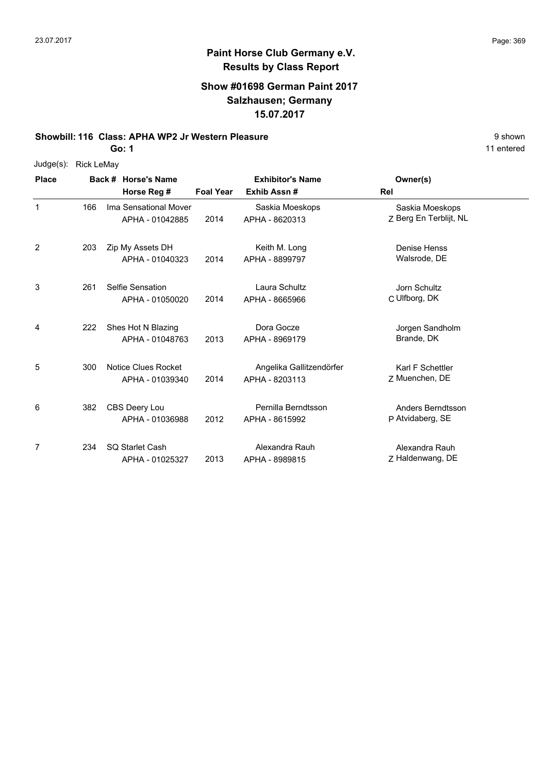# **Paint Horse Club Germany e.V. Results by Class Report**

#### **Show #01698 German Paint 2017 Salzhausen; Germany 15.07.2017**

#### **Showbill: 116 Class: APHA WP2 Jr Western Pleasure** 8 **Shown** 9 shown

|  | Judge(s): Rick LeMay |
|--|----------------------|
|--|----------------------|

| <b>Place</b> |     | Back # Horse's Name                       |                  | <b>Exhibitor's Name</b>                    | Owner(s)                                  |  |
|--------------|-----|-------------------------------------------|------------------|--------------------------------------------|-------------------------------------------|--|
|              |     | Horse Reg #                               | <b>Foal Year</b> | Exhib Assn#                                | Rel                                       |  |
| 1            | 166 | Ima Sensational Mover<br>APHA - 01042885  | 2014             | Saskia Moeskops<br>APHA - 8620313          | Saskia Moeskops<br>Z Berg En Terblijt, NL |  |
| 2            | 203 | Zip My Assets DH<br>APHA - 01040323       | 2014             | Keith M. Long<br>APHA - 8899797            | <b>Denise Henss</b><br>Walsrode, DE       |  |
| 3            | 261 | Selfie Sensation<br>APHA - 01050020       | 2014             | Laura Schultz<br>APHA - 8665966            | Jorn Schultz<br>C Ulfborg, DK             |  |
| 4            | 222 | Shes Hot N Blazing<br>APHA - 01048763     | 2013             | Dora Gocze<br>APHA - 8969179               | Jorgen Sandholm<br>Brande, DK             |  |
| 5            | 300 | Notice Clues Rocket<br>APHA - 01039340    | 2014             | Angelika Gallitzendörfer<br>APHA - 8203113 | Karl F Schettler<br>Z Muenchen, DE        |  |
| 6            | 382 | CBS Deery Lou<br>APHA - 01036988          | 2012             | Pernilla Berndtsson<br>APHA - 8615992      | Anders Berndtsson<br>P Atvidaberg, SE     |  |
| 7            | 234 | <b>SQ Starlet Cash</b><br>APHA - 01025327 | 2013             | Alexandra Rauh<br>APHA - 8989815           | Alexandra Rauh<br>Z Haldenwang, DE        |  |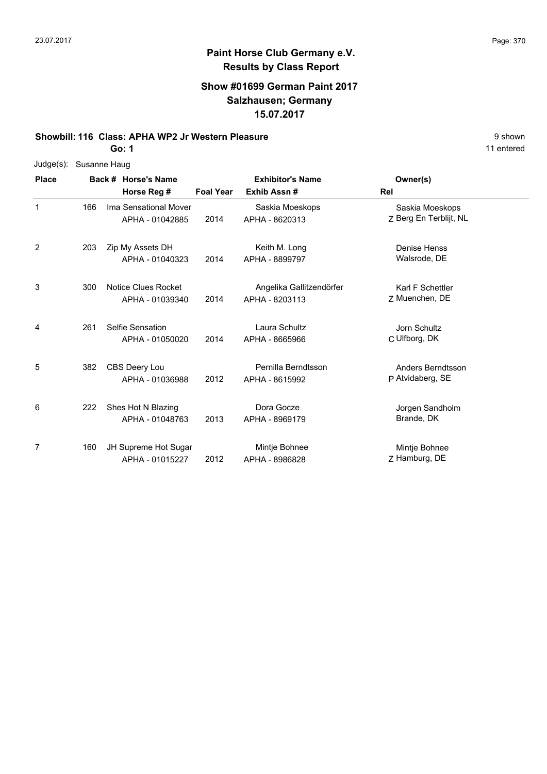# **Paint Horse Club Germany e.V. Results by Class Report**

#### **Show #01699 German Paint 2017 Salzhausen; Germany 15.07.2017**

#### **Showbill: 116 Class: APHA WP2 Jr Western Pleasure** 8 **Shown** 9 shown

|              | Judge(s): Susanne Haug     |  |
|--------------|----------------------------|--|
| <b>Place</b> | <b>Back # Horse's Name</b> |  |

| <b>Place</b>   |     | Back # Horse's Name                      | <b>Exhibitor's Name</b> |                                            | Owner(s)                                  |  |
|----------------|-----|------------------------------------------|-------------------------|--------------------------------------------|-------------------------------------------|--|
|                |     | Horse Reg #                              | <b>Foal Year</b>        | Exhib Assn#                                | Rel                                       |  |
| 1              | 166 | Ima Sensational Mover<br>APHA - 01042885 | 2014                    | Saskia Moeskops<br>APHA - 8620313          | Saskia Moeskops<br>Z Berg En Terblijt, NL |  |
| $\overline{c}$ | 203 | Zip My Assets DH<br>APHA - 01040323      | 2014                    | Keith M. Long<br>APHA - 8899797            | <b>Denise Henss</b><br>Walsrode, DE       |  |
| 3              | 300 | Notice Clues Rocket<br>APHA - 01039340   | 2014                    | Angelika Gallitzendörfer<br>APHA - 8203113 | Karl F Schettler<br>Z Muenchen, DE        |  |
| 4              | 261 | Selfie Sensation<br>APHA - 01050020      | 2014                    | Laura Schultz<br>APHA - 8665966            | Jorn Schultz<br>C Ulfborg, DK             |  |
| 5              | 382 | CBS Deery Lou<br>APHA - 01036988         | 2012                    | Pernilla Berndtsson<br>APHA - 8615992      | Anders Berndtsson<br>P Atvidaberg, SE     |  |
| 6              | 222 | Shes Hot N Blazing<br>APHA - 01048763    | 2013                    | Dora Gocze<br>APHA - 8969179               | Jorgen Sandholm<br>Brande, DK             |  |
| 7              | 160 | JH Supreme Hot Sugar<br>APHA - 01015227  | 2012                    | Mintje Bohnee<br>APHA - 8986828            | Mintje Bohnee<br>Z Hamburg, DE            |  |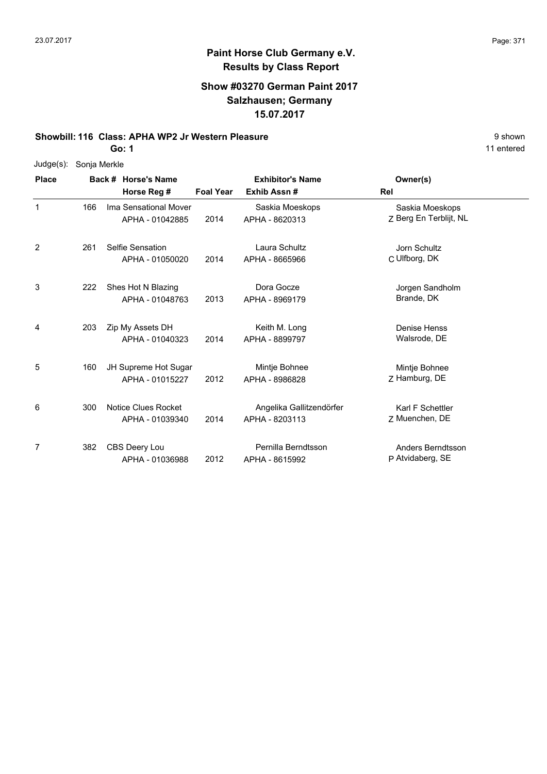## **Paint Horse Club Germany e.V. Results by Class Report**

#### **Show #03270 German Paint 2017 Salzhausen; Germany 15.07.2017**

#### **Showbill: 116 Class: APHA WP2 Jr Western Pleasure** 8 **Shown** 9 shown

| $Judge(s)$ : | Sonja Merkle |
|--------------|--------------|
|--------------|--------------|

| <b>Place</b> |     | <b>Horse's Name</b><br>Back #                 | <b>Exhibitor's Name</b> |                                            | Owner(s)                                  |  |
|--------------|-----|-----------------------------------------------|-------------------------|--------------------------------------------|-------------------------------------------|--|
|              |     | Horse Reg #                                   | <b>Foal Year</b>        | Exhib Assn#                                | Rel                                       |  |
| 1            | 166 | Ima Sensational Mover<br>APHA - 01042885      | 2014                    | Saskia Moeskops<br>APHA - 8620313          | Saskia Moeskops<br>Z Berg En Terblijt, NL |  |
| 2            | 261 | Selfie Sensation<br>APHA - 01050020           | 2014                    | Laura Schultz<br>APHA - 8665966            | Jorn Schultz<br>C Ulfborg, DK             |  |
| 3            | 222 | Shes Hot N Blazing<br>APHA - 01048763         | 2013                    | Dora Gocze<br>APHA - 8969179               | Jorgen Sandholm<br>Brande, DK             |  |
| 4            | 203 | Zip My Assets DH<br>APHA - 01040323           | 2014                    | Keith M. Long<br>APHA - 8899797            | Denise Henss<br>Walsrode, DE              |  |
| 5            | 160 | JH Supreme Hot Sugar<br>APHA - 01015227       | 2012                    | Mintje Bohnee<br>APHA - 8986828            | Mintje Bohnee<br>Z Hamburg, DE            |  |
| 6            | 300 | <b>Notice Clues Rocket</b><br>APHA - 01039340 | 2014                    | Angelika Gallitzendörfer<br>APHA - 8203113 | Karl F Schettler<br>7 Muenchen, DE        |  |
| 7            | 382 | CBS Deery Lou<br>APHA - 01036988              | 2012                    | Pernilla Berndtsson<br>APHA - 8615992      | Anders Berndtsson<br>P Atvidaberg, SE     |  |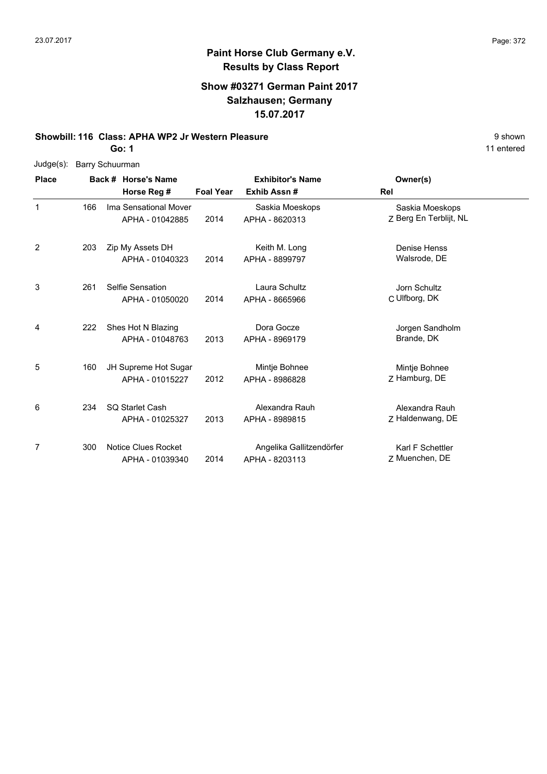## **Paint Horse Club Germany e.V. Results by Class Report**

### **Show #03271 German Paint 2017 Salzhausen; Germany 15.07.2017**

#### **Showbill: 116 Class: APHA WP2 Jr Western Pleasure** 8 **Shown** 9 shown

|  | Judge(s): Barry Schuurman |
|--|---------------------------|
|--|---------------------------|

| <b>Place</b> |     | Back # Horse's Name                       | <b>Exhibitor's Name</b> |                                            | Owner(s)                                  |  |
|--------------|-----|-------------------------------------------|-------------------------|--------------------------------------------|-------------------------------------------|--|
|              |     | Horse Reg #                               | <b>Foal Year</b>        | Exhib Assn#                                | <b>Rel</b>                                |  |
| $\mathbf 1$  | 166 | Ima Sensational Mover<br>APHA - 01042885  | 2014                    | Saskia Moeskops<br>APHA - 8620313          | Saskia Moeskops<br>Z Berg En Terblijt, NL |  |
| 2            | 203 | Zip My Assets DH<br>APHA - 01040323       | 2014                    | Keith M. Long<br>APHA - 8899797            | <b>Denise Henss</b><br>Walsrode, DE       |  |
| 3            | 261 | Selfie Sensation<br>APHA - 01050020       | 2014                    | Laura Schultz<br>APHA - 8665966            | Jorn Schultz<br>C Ulfborg, DK             |  |
| 4            | 222 | Shes Hot N Blazing<br>APHA - 01048763     | 2013                    | Dora Gocze<br>APHA - 8969179               | Jorgen Sandholm<br>Brande, DK             |  |
| 5            | 160 | JH Supreme Hot Sugar<br>APHA - 01015227   | 2012                    | Mintje Bohnee<br>APHA - 8986828            | Mintje Bohnee<br>Z Hamburg, DE            |  |
| 6            | 234 | <b>SQ Starlet Cash</b><br>APHA - 01025327 | 2013                    | Alexandra Rauh<br>APHA - 8989815           | Alexandra Rauh<br>Z Haldenwang, DE        |  |
| 7            | 300 | Notice Clues Rocket<br>APHA - 01039340    | 2014                    | Angelika Gallitzendörfer<br>APHA - 8203113 | Karl F Schettler<br>Z Muenchen, DE        |  |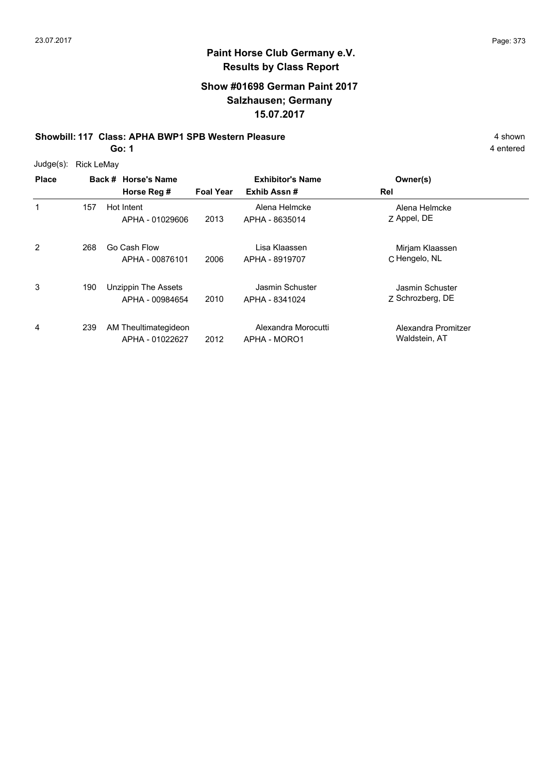## **Paint Horse Club Germany e.V. Results by Class Report**

### **Show #01698 German Paint 2017 Salzhausen; Germany 15.07.2017**

#### **Showbill: 117 Class: APHA BWP1 SPB Western Pleasure** 4 shown

**Go: 1**

Judge(s): Rick LeMay

| <b>Place</b>   |     |              | Back # Horse's Name<br>Horse Reg #      | <b>Foal Year</b> | <b>Exhibitor's Name</b><br>Exhib Assn# | Owner(s)<br>Rel                      |
|----------------|-----|--------------|-----------------------------------------|------------------|----------------------------------------|--------------------------------------|
| 1              | 157 | Hot Intent   | APHA - 01029606                         | 2013             | Alena Helmcke<br>APHA - 8635014        | Alena Helmcke<br>Z Appel, DE         |
| $\overline{2}$ | 268 | Go Cash Flow | APHA - 00876101                         | 2006             | Lisa Klaassen<br>APHA - 8919707        | Mirjam Klaassen<br>C Hengelo, NL     |
| 3              | 190 |              | Unzippin The Assets<br>APHA - 00984654  | 2010             | Jasmin Schuster<br>APHA - 8341024      | Jasmin Schuster<br>Z Schrozberg, DE  |
| 4              | 239 |              | AM Theultimategideon<br>APHA - 01022627 | 2012             | Alexandra Morocutti<br>APHA - MORO1    | Alexandra Promitzer<br>Waldstein, AT |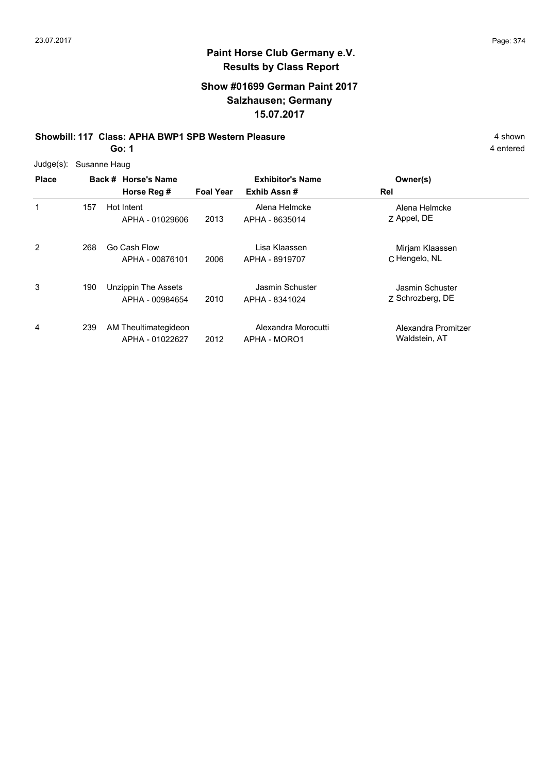## **Paint Horse Club Germany e.V. Results by Class Report**

### **Show #01699 German Paint 2017 Salzhausen; Germany 15.07.2017**

#### **Showbill: 117 Class: APHA BWP1 SPB Western Pleasure** 4 shown

**Go: 1**

Judge(s): Susanne Haug

| <b>Place</b> |     | Back # Horse's Name<br>Horse Reg #      | <b>Foal Year</b> | <b>Exhibitor's Name</b><br>Exhib Assn# | Owner(s)<br>Rel                      |
|--------------|-----|-----------------------------------------|------------------|----------------------------------------|--------------------------------------|
| 1            | 157 | Hot Intent<br>APHA - 01029606           | 2013             | Alena Helmcke<br>APHA - 8635014        | Alena Helmcke<br>Z Appel, DE         |
| 2            | 268 | Go Cash Flow<br>APHA - 00876101         | 2006             | Lisa Klaassen<br>APHA - 8919707        | Mirjam Klaassen<br>C Hengelo, NL     |
| 3            | 190 | Unzippin The Assets<br>APHA - 00984654  | 2010             | Jasmin Schuster<br>APHA - 8341024      | Jasmin Schuster<br>Z Schrozberg, DE  |
| 4            | 239 | AM Theultimategideon<br>APHA - 01022627 | 2012             | Alexandra Morocutti<br>APHA - MORO1    | Alexandra Promitzer<br>Waldstein, AT |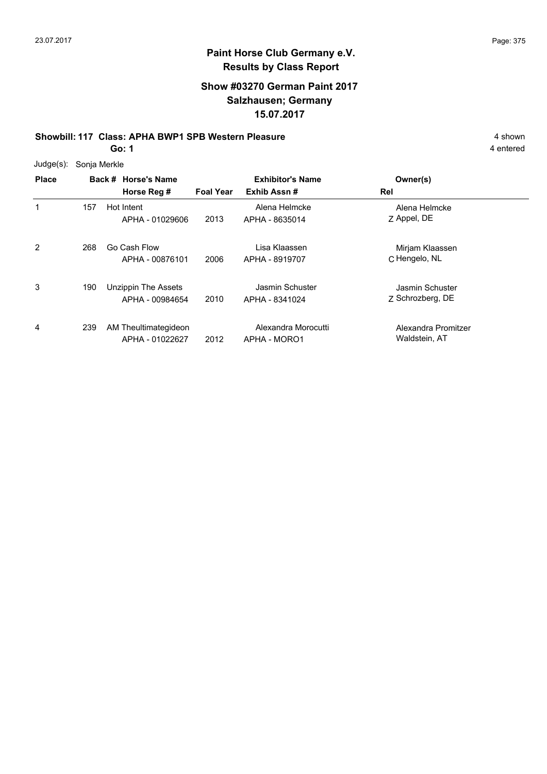### **Paint Horse Club Germany e.V. Results by Class Report**

### **Show #03270 German Paint 2017 Salzhausen; Germany 15.07.2017**

#### **Showbill: 117 Class: APHA BWP1 SPB Western Pleasure** 4 shown

| Judge(s): | Sonja Merkle |  |
|-----------|--------------|--|
|           |              |  |

| <b>Place</b> |     | Back # Horse's Name<br>Horse Reg #            | <b>Foal Year</b> | <b>Exhibitor's Name</b><br>Exhib Assn# | Owner(s)<br>Rel                      |
|--------------|-----|-----------------------------------------------|------------------|----------------------------------------|--------------------------------------|
| 1            | 157 | Hot Intent<br>APHA - 01029606                 | 2013             | Alena Helmcke<br>APHA - 8635014        | Alena Helmcke<br>Z Appel, DE         |
| 2            | 268 | Go Cash Flow<br>APHA - 00876101               | 2006             | Lisa Klaassen<br>APHA - 8919707        | Mirjam Klaassen<br>C Hengelo, NL     |
| 3            | 190 | <b>Unzippin The Assets</b><br>APHA - 00984654 | 2010             | Jasmin Schuster<br>APHA - 8341024      | Jasmin Schuster<br>Z Schrozberg, DE  |
| 4            | 239 | AM Theultimategideon<br>APHA - 01022627       | 2012             | Alexandra Morocutti<br>APHA - MORO1    | Alexandra Promitzer<br>Waldstein, AT |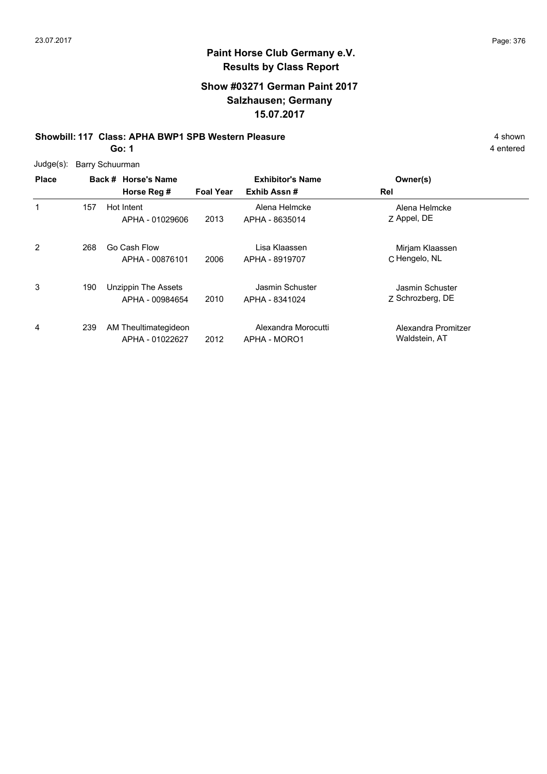### **Paint Horse Club Germany e.V. Results by Class Report**

### **Show #03271 German Paint 2017 Salzhausen; Germany 15.07.2017**

### **Showbill: 117 Class: APHA BWP1 SPB Western Pleasure** 4 shown

**Go: 1**

Judge(s): Barry Schuurman

| <b>Place</b> |     | Back # Horse's Name<br>Horse Reg #      | <b>Foal Year</b> | <b>Exhibitor's Name</b><br>Exhib Assn# | Owner(s)<br>Rel                      |
|--------------|-----|-----------------------------------------|------------------|----------------------------------------|--------------------------------------|
| 1            | 157 | Hot Intent<br>APHA - 01029606           | 2013             | Alena Helmcke<br>APHA - 8635014        | Alena Helmcke<br>Z Appel, DE         |
| 2            | 268 | Go Cash Flow<br>APHA - 00876101         | 2006             | Lisa Klaassen<br>APHA - 8919707        | Mirjam Klaassen<br>C Hengelo, NL     |
| 3            | 190 | Unzippin The Assets<br>APHA - 00984654  | 2010             | Jasmin Schuster<br>APHA - 8341024      | Jasmin Schuster<br>Z Schrozberg, DE  |
| 4            | 239 | AM Theultimategideon<br>APHA - 01022627 | 2012             | Alexandra Morocutti<br>APHA - MORO1    | Alexandra Promitzer<br>Waldstein, AT |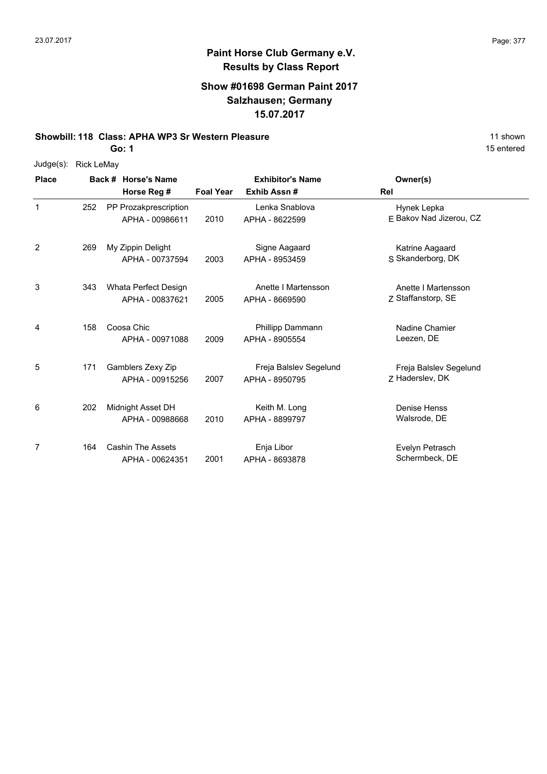# **Paint Horse Club Germany e.V. Results by Class Report**

#### **Show #01698 German Paint 2017 Salzhausen; Germany 15.07.2017**

#### **Showbill: 118 Class: APHA WP3 Sr Western Pleasure** 11 Shown 11 shown

| Judge(s): | Rick LeMay |
|-----------|------------|
|-----------|------------|

| <b>Place</b> |     | Back # Horse's Name                         |                  | <b>Exhibitor's Name</b>                  | Owner(s)                                  |
|--------------|-----|---------------------------------------------|------------------|------------------------------------------|-------------------------------------------|
|              |     | Horse Reg #                                 | <b>Foal Year</b> | Exhib Assn#                              | Rel                                       |
| 1            | 252 | PP Prozakprescription<br>APHA - 00986611    | 2010             | Lenka Snablova<br>APHA - 8622599         | Hynek Lepka<br>E Bakov Nad Jizerou, CZ    |
| 2            | 269 | My Zippin Delight<br>APHA - 00737594        | 2003             | Signe Aagaard<br>APHA - 8953459          | Katrine Aagaard<br>S Skanderborg, DK      |
| 3            | 343 | Whata Perfect Design<br>APHA - 00837621     | 2005             | Anette I Martensson<br>APHA - 8669590    | Anette I Martensson<br>Z Staffanstorp, SE |
| 4            | 158 | Coosa Chic<br>APHA - 00971088               | 2009             | Phillipp Dammann<br>APHA - 8905554       | Nadine Chamier<br>Leezen, DE              |
| 5            | 171 | Gamblers Zexy Zip<br>APHA - 00915256        | 2007             | Freja Balslev Segelund<br>APHA - 8950795 | Freja Balslev Segelund<br>Z Haderslev, DK |
| 6            | 202 | Midnight Asset DH<br>APHA - 00988668        | 2010             | Keith M. Long<br>APHA - 8899797          | Denise Henss<br>Walsrode, DE              |
| 7            | 164 | <b>Cashin The Assets</b><br>APHA - 00624351 | 2001             | Enja Libor<br>APHA - 8693878             | Evelyn Petrasch<br>Schermbeck, DE         |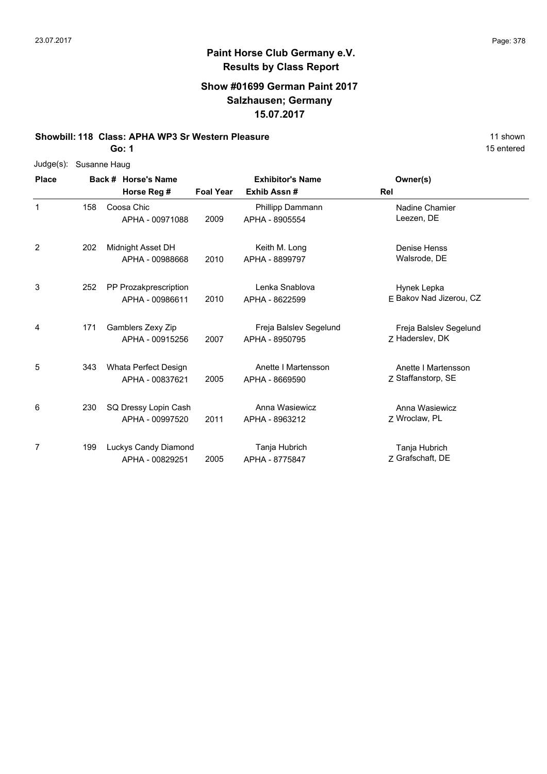# **Paint Horse Club Germany e.V. Results by Class Report**

#### **Show #01699 German Paint 2017 Salzhausen; Germany 15.07.2017**

#### **Showbill: 118 Class: APHA WP3 Sr Western Pleasure** 11 Shown

|  | Judge(s): Susanne Haug |
|--|------------------------|
|--|------------------------|

| <b>Place</b> | Back # Horse's Name |                                          | <b>Exhibitor's Name</b> |                                          | Owner(s)                                  |
|--------------|---------------------|------------------------------------------|-------------------------|------------------------------------------|-------------------------------------------|
|              |                     | Horse Reg #                              | <b>Foal Year</b>        | Exhib Assn#                              | Rel                                       |
| $\mathbf 1$  | 158                 | Coosa Chic<br>APHA - 00971088            | 2009                    | Phillipp Dammann<br>APHA - 8905554       | Nadine Chamier<br>Leezen, DE              |
| 2            | 202                 | Midnight Asset DH<br>APHA - 00988668     | 2010                    | Keith M. Long<br>APHA - 8899797          | <b>Denise Henss</b><br>Walsrode, DE       |
| 3            | 252                 | PP Prozakprescription<br>APHA - 00986611 | 2010                    | Lenka Snablova<br>APHA - 8622599         | Hynek Lepka<br>E Bakov Nad Jizerou, CZ    |
| 4            | 171                 | Gamblers Zexy Zip<br>APHA - 00915256     | 2007                    | Freja Balslev Segelund<br>APHA - 8950795 | Freja Balslev Segelund<br>Z Haderslev, DK |
| 5            | 343                 | Whata Perfect Design<br>APHA - 00837621  | 2005                    | Anette I Martensson<br>APHA - 8669590    | Anette I Martensson<br>Z Staffanstorp, SE |
| 6            | 230                 | SQ Dressy Lopin Cash<br>APHA - 00997520  | 2011                    | Anna Wasiewicz<br>APHA - 8963212         | Anna Wasiewicz<br>7 Wroclaw, PL           |
| 7            | 199                 | Luckys Candy Diamond<br>APHA - 00829251  | 2005                    | Tanja Hubrich<br>APHA - 8775847          | Tanja Hubrich<br>Z Grafschaft, DE         |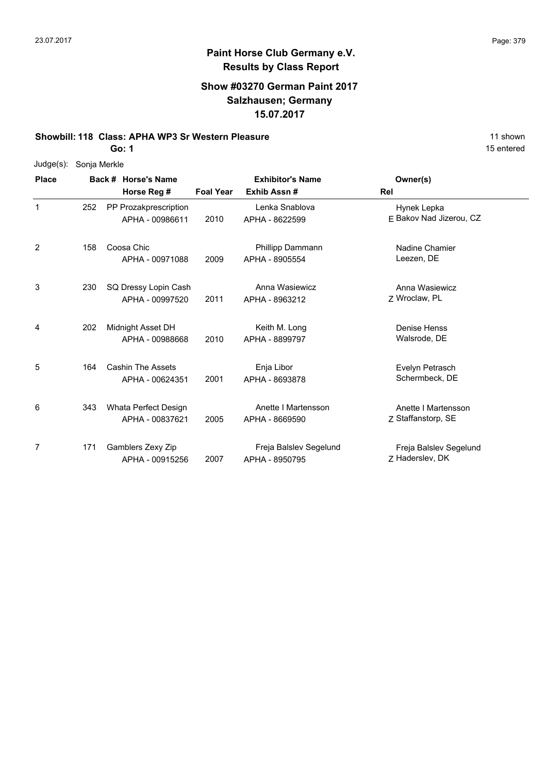## **Paint Horse Club Germany e.V. Results by Class Report**

### **Show #03270 German Paint 2017 Salzhausen; Germany 15.07.2017**

**Showbill: 118 Class: APHA WP3 Sr Western Pleasure** 11 Shown

| $Judge(s)$ : | Sonja Merkle |
|--------------|--------------|
|--------------|--------------|

| <b>Place</b> |     | Back # Horse's Name                         | <b>Exhibitor's Name</b> |                                          | Owner(s)                                  |
|--------------|-----|---------------------------------------------|-------------------------|------------------------------------------|-------------------------------------------|
|              |     | Horse Reg #                                 | <b>Foal Year</b>        | Exhib Assn#                              | <b>Rel</b>                                |
| 1            | 252 | PP Prozakprescription<br>APHA - 00986611    | 2010                    | Lenka Snablova<br>APHA - 8622599         | Hynek Lepka<br>E Bakov Nad Jizerou, CZ    |
| 2            | 158 | Coosa Chic<br>APHA - 00971088               | 2009                    | Phillipp Dammann<br>APHA - 8905554       | Nadine Chamier<br>Leezen, DE              |
| 3            | 230 | SQ Dressy Lopin Cash<br>APHA - 00997520     | 2011                    | Anna Wasiewicz<br>APHA - 8963212         | Anna Wasiewicz<br>7 Wroclaw, PL           |
| 4            | 202 | Midnight Asset DH<br>APHA - 00988668        | 2010                    | Keith M. Long<br>APHA - 8899797          | Denise Henss<br>Walsrode, DE              |
| 5            | 164 | <b>Cashin The Assets</b><br>APHA - 00624351 | 2001                    | Enja Libor<br>APHA - 8693878             | Evelyn Petrasch<br>Schermbeck, DE         |
| 6            | 343 | Whata Perfect Design<br>APHA - 00837621     | 2005                    | Anette I Martensson<br>APHA - 8669590    | Anette I Martensson<br>Z Staffanstorp, SE |
| 7            | 171 | Gamblers Zexy Zip<br>APHA - 00915256        | 2007                    | Freja Balslev Segelund<br>APHA - 8950795 | Freja Balslev Segelund<br>Z Haderslev, DK |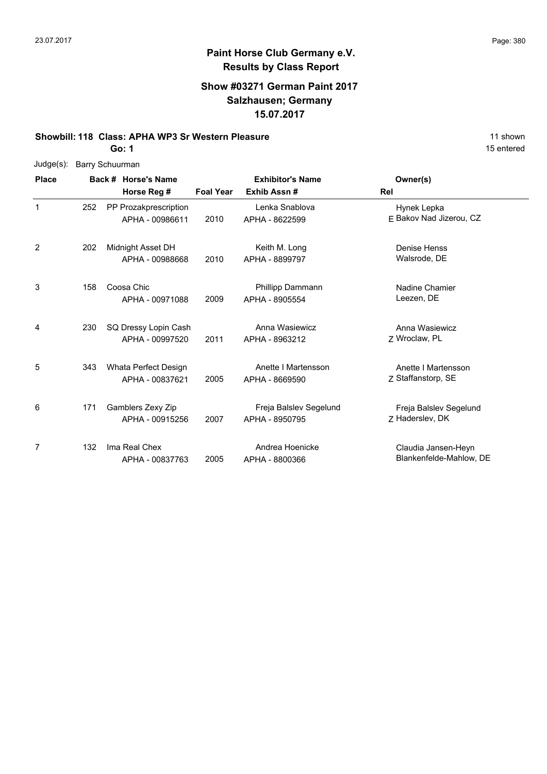## **Paint Horse Club Germany e.V. Results by Class Report**

### **Show #03271 German Paint 2017 Salzhausen; Germany 15.07.2017**

#### **Showbill: 118 Class: APHA WP3 Sr Western Pleasure** 11 Shown

|  | Judge(s): Barry Schuurman |
|--|---------------------------|
|--|---------------------------|

| <b>Place</b>   |     | Back # Horse's Name                      | <b>Exhibitor's Name</b> |                                          | Owner(s)                                       |
|----------------|-----|------------------------------------------|-------------------------|------------------------------------------|------------------------------------------------|
|                |     | Horse Reg #                              | <b>Foal Year</b>        | Exhib Assn#                              | Rel                                            |
| 1              | 252 | PP Prozakprescription<br>APHA - 00986611 | 2010                    | Lenka Snablova<br>APHA - 8622599         | Hynek Lepka<br>E Bakov Nad Jizerou, CZ         |
| $\overline{2}$ | 202 | Midnight Asset DH<br>APHA - 00988668     | 2010                    | Keith M. Long<br>APHA - 8899797          | Denise Henss<br>Walsrode, DE                   |
| 3              | 158 | Coosa Chic<br>APHA - 00971088            | 2009                    | Phillipp Dammann<br>APHA - 8905554       | Nadine Chamier<br>Leezen, DE                   |
| 4              | 230 | SQ Dressy Lopin Cash<br>APHA - 00997520  | 2011                    | Anna Wasiewicz<br>APHA - 8963212         | Anna Wasiewicz<br>7 Wroclaw, PL                |
| 5              | 343 | Whata Perfect Design<br>APHA - 00837621  | 2005                    | Anette I Martensson<br>APHA - 8669590    | Anette I Martensson<br>7 Staffanstorp, SE      |
| 6              | 171 | Gamblers Zexy Zip<br>APHA - 00915256     | 2007                    | Freja Balslev Segelund<br>APHA - 8950795 | Freja Balslev Segelund<br>Z Haderslev, DK      |
| 7              | 132 | Ima Real Chex<br>APHA - 00837763         | 2005                    | Andrea Hoenicke<br>APHA - 8800366        | Claudia Jansen-Heyn<br>Blankenfelde-Mahlow, DE |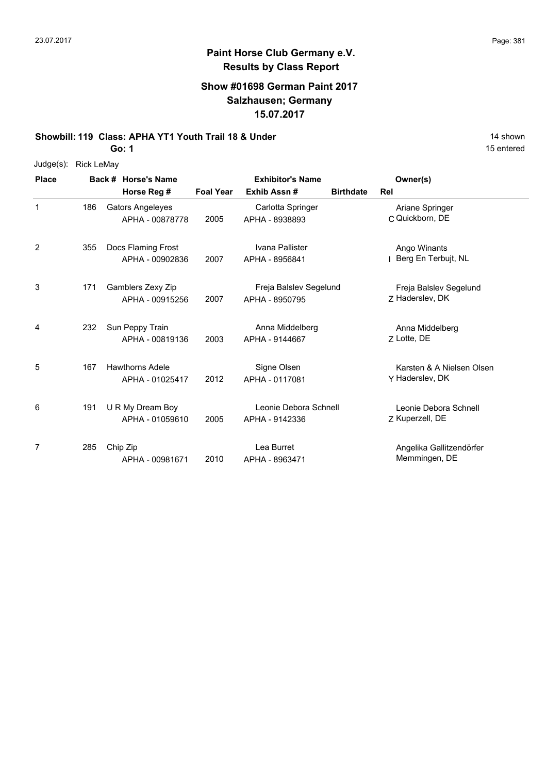# **Paint Horse Club Germany e.V. Results by Class Report**

### **Show #01698 German Paint 2017 Salzhausen; Germany 15.07.2017**

**Showbill: 119 Class: APHA YT1 Youth Trail 18 & Under** 19 **14 shown** 

| <b>Place</b> |                      | Back # Horse's Name |
|--------------|----------------------|---------------------|
|              | Judge(s): Rick LeMay |                     |

| <b>Place</b> |     | Back # Horse's Name                        |                  | <b>Exhibitor's Name</b>                  |                  | Owner(s)                                     |
|--------------|-----|--------------------------------------------|------------------|------------------------------------------|------------------|----------------------------------------------|
|              |     | Horse Reg #                                | <b>Foal Year</b> | Exhib Assn#                              | <b>Birthdate</b> | Rel                                          |
| $\mathbf{1}$ | 186 | <b>Gators Angeleyes</b><br>APHA - 00878778 | 2005             | Carlotta Springer<br>APHA - 8938893      |                  | Ariane Springer<br>C Quickborn, DE           |
| 2            | 355 | Docs Flaming Frost<br>APHA - 00902836      | 2007             | Ivana Pallister<br>APHA - 8956841        |                  | Ango Winants<br>Berg En Terbujt, NL          |
| 3            | 171 | Gamblers Zexy Zip<br>APHA - 00915256       | 2007             | Freja Balslev Segelund<br>APHA - 8950795 |                  | Freja Balslev Segelund<br>7 Haderslev, DK    |
| 4            | 232 | Sun Peppy Train<br>APHA - 00819136         | 2003             | Anna Middelberg<br>APHA - 9144667        |                  | Anna Middelberg<br>7 Lotte, DE               |
| 5            | 167 | <b>Hawthorns Adele</b><br>APHA - 01025417  | 2012             | Signe Olsen<br>APHA - 0117081            |                  | Karsten & A Nielsen Olsen<br>Y Haderslev, DK |
| 6            | 191 | U R My Dream Boy<br>APHA - 01059610        | 2005             | Leonie Debora Schnell<br>APHA - 9142336  |                  | Leonie Debora Schnell<br>Z Kuperzell, DE     |
| 7            | 285 | Chip Zip<br>APHA - 00981671                | 2010             | Lea Burret<br>APHA - 8963471             |                  | Angelika Gallitzendörfer<br>Memmingen, DE    |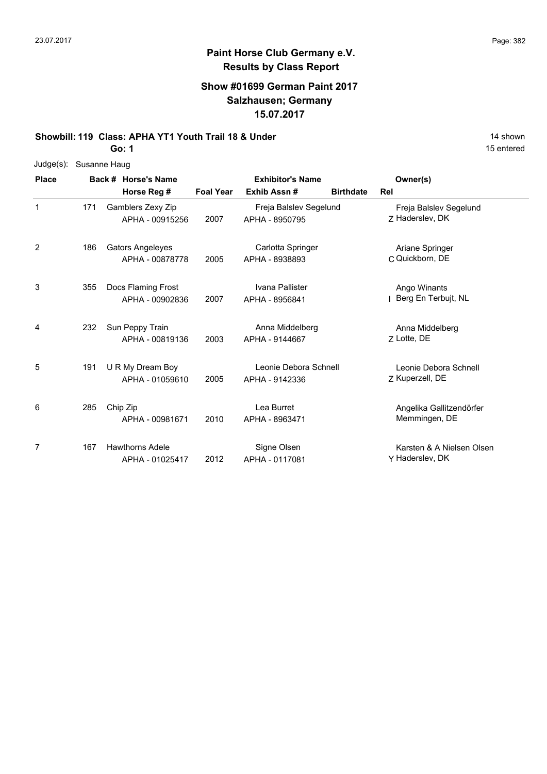### **Show #01699 German Paint 2017 Salzhausen; Germany 15.07.2017**

**Showbill: 119 Class: APHA YT1 Youth Trail 18 & Under** 14 Shown 14 shown

**Go: 1**

| Judge(s):    | Susanne Haug |  |                         |                  |                         |                  |                           |  |  |
|--------------|--------------|--|-------------------------|------------------|-------------------------|------------------|---------------------------|--|--|
| <b>Place</b> |              |  | Back # Horse's Name     |                  | <b>Exhibitor's Name</b> |                  | Owner(s)                  |  |  |
|              |              |  | Horse Reg #             | <b>Foal Year</b> | Exhib Assn#             | <b>Birthdate</b> | Rel                       |  |  |
| 1            | 171          |  | Gamblers Zexy Zip       |                  | Freja Balslev Segelund  |                  | Freja Balslev Segelund    |  |  |
|              |              |  | APHA - 00915256         | 2007             | APHA - 8950795          |                  | Z Haderslev, DK           |  |  |
| 2            | 186          |  | <b>Gators Angeleyes</b> |                  | Carlotta Springer       |                  | Ariane Springer           |  |  |
|              |              |  | APHA - 00878778         | 2005             | APHA - 8938893          |                  | C Quickborn, DE           |  |  |
| 3            | 355          |  | Docs Flaming Frost      |                  | Ivana Pallister         |                  | Ango Winants              |  |  |
|              |              |  | APHA - 00902836         | 2007             | APHA - 8956841          |                  | Berg En Terbujt, NL       |  |  |
| 4            | 232          |  | Sun Peppy Train         |                  | Anna Middelberg         |                  | Anna Middelberg           |  |  |
|              |              |  | APHA - 00819136         | 2003             | APHA - 9144667          |                  | Z Lotte, DE               |  |  |
| 5            | 191          |  | U R My Dream Boy        |                  | Leonie Debora Schnell   |                  | Leonie Debora Schnell     |  |  |
|              |              |  | APHA - 01059610         | 2005             | APHA - 9142336          |                  | Z Kuperzell, DE           |  |  |
| 6            | 285          |  | Chip Zip                |                  | Lea Burret              |                  | Angelika Gallitzendörfer  |  |  |
|              |              |  | APHA - 00981671         | 2010             | APHA - 8963471          |                  | Memmingen, DE             |  |  |
| 7            | 167          |  | <b>Hawthorns Adele</b>  |                  | Signe Olsen             |                  | Karsten & A Nielsen Olsen |  |  |
|              |              |  | APHA - 01025417         | 2012             | APHA - 0117081          |                  | Y Haderslev, DK           |  |  |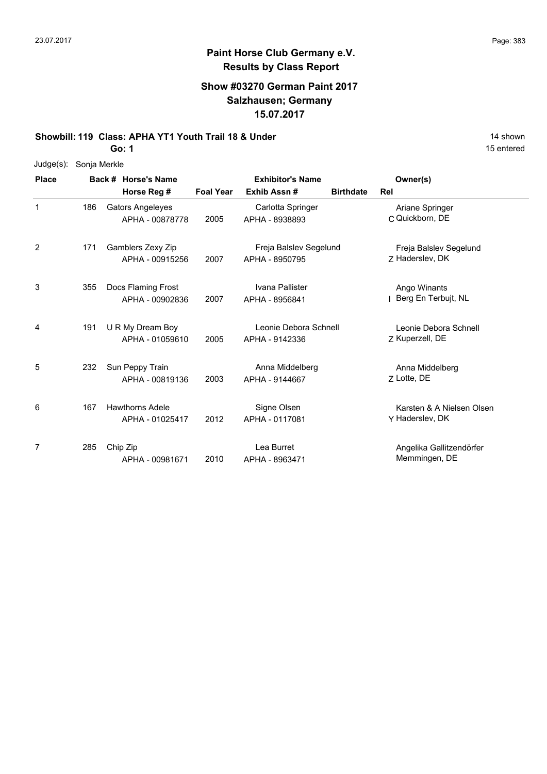### **Show #03270 German Paint 2017 Salzhausen; Germany 15.07.2017**

**Showbill: 119 Class: APHA YT1 Youth Trail 18 & Under** 14 Shown 14 shown

**Go: 1**

| $Judge(s)$ : | Sonja Merkle |                         |                  |                         |                  |                           |
|--------------|--------------|-------------------------|------------------|-------------------------|------------------|---------------------------|
| <b>Place</b> |              | Back # Horse's Name     |                  | <b>Exhibitor's Name</b> |                  | Owner(s)                  |
|              |              | Horse Reg #             | <b>Foal Year</b> | Exhib Assn#             | <b>Birthdate</b> | Rel                       |
| 1            | 186          | <b>Gators Angeleyes</b> |                  | Carlotta Springer       |                  | Ariane Springer           |
|              |              | APHA - 00878778         | 2005             | APHA - 8938893          |                  | C Quickborn, DE           |
| 2            | 171          | Gamblers Zexy Zip       |                  | Freja Balslev Segelund  |                  | Freja Balslev Segelund    |
|              |              | APHA - 00915256         | 2007             | APHA - 8950795          |                  | Z Haderslev, DK           |
| 3            | 355          | Docs Flaming Frost      |                  | Ivana Pallister         |                  | Ango Winants              |
|              |              | APHA - 00902836         | 2007             | APHA - 8956841          |                  | Berg En Terbujt, NL       |
| 4            | 191          | U R My Dream Boy        |                  | Leonie Debora Schnell   |                  | Leonie Debora Schnell     |
|              |              | APHA - 01059610         | 2005             | APHA - 9142336          |                  | Z Kuperzell, DE           |
| 5            | 232          | Sun Peppy Train         |                  | Anna Middelberg         |                  | Anna Middelberg           |
|              |              | APHA - 00819136         | 2003             | APHA - 9144667          |                  | Z Lotte, DE               |
| 6            | 167          | <b>Hawthorns Adele</b>  |                  | Signe Olsen             |                  | Karsten & A Nielsen Olsen |
|              |              | APHA - 01025417         | 2012             | APHA - 0117081          |                  | Y Haderslev, DK           |
| 7            | 285          | Chip Zip                |                  | Lea Burret              |                  | Angelika Gallitzendörfer  |
|              |              | APHA - 00981671         | 2010             | APHA - 8963471          |                  | Memmingen, DE             |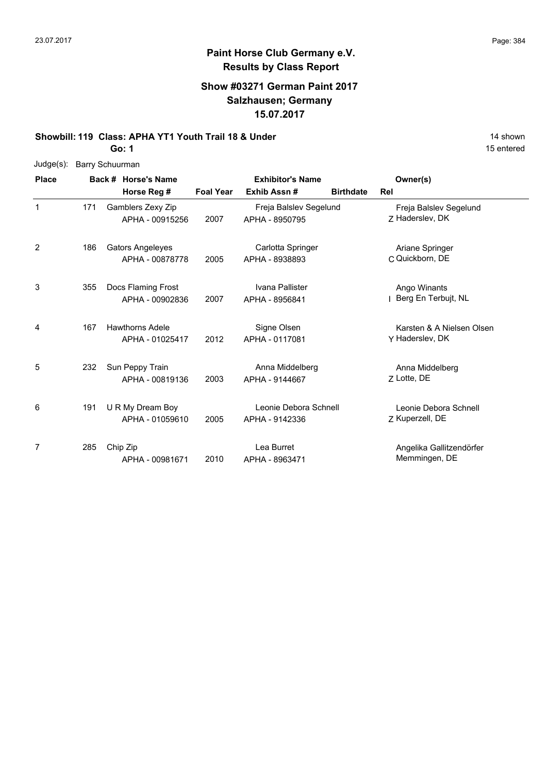## **Paint Horse Club Germany e.V. Results by Class Report**

### **Show #03271 German Paint 2017 Salzhausen; Germany 15.07.2017**

**Showbill: 119 Class: APHA YT1 Youth Trail 18 & Under** 14 Shown 14 shown

**Go: 1**

Judge(s): Barry Schuurman

| <b>Place</b> |     | Back # Horse's Name                        | <b>Exhibitor's Name</b> |                                          |                  | Owner(s)                                     |
|--------------|-----|--------------------------------------------|-------------------------|------------------------------------------|------------------|----------------------------------------------|
|              |     | Horse Reg #                                | <b>Foal Year</b>        | Exhib Assn#                              | <b>Birthdate</b> | Rel                                          |
| 1            | 171 | Gamblers Zexy Zip<br>APHA - 00915256       | 2007                    | Freja Balslev Segelund<br>APHA - 8950795 |                  | Freja Balslev Segelund<br>Z Haderslev, DK    |
| 2            | 186 | <b>Gators Angeleyes</b><br>APHA - 00878778 | 2005                    | Carlotta Springer<br>APHA - 8938893      |                  | Ariane Springer<br>C Quickborn, DE           |
| 3            | 355 | Docs Flaming Frost<br>APHA - 00902836      | 2007                    | Ivana Pallister<br>APHA - 8956841        |                  | Ango Winants<br>Berg En Terbujt, NL          |
| 4            | 167 | <b>Hawthorns Adele</b><br>APHA - 01025417  | 2012                    | Signe Olsen<br>APHA - 0117081            |                  | Karsten & A Nielsen Olsen<br>Y Haderslev, DK |
| 5            | 232 | Sun Peppy Train<br>APHA - 00819136         | 2003                    | Anna Middelberg<br>APHA - 9144667        |                  | Anna Middelberg<br>7 Lotte, DE               |
| 6            | 191 | U R My Dream Boy<br>APHA - 01059610        | 2005                    | Leonie Debora Schnell<br>APHA - 9142336  |                  | Leonie Debora Schnell<br>Z Kuperzell, DE     |
| 7            | 285 | Chip Zip<br>APHA - 00981671                | 2010                    | Lea Burret<br>APHA - 8963471             |                  | Angelika Gallitzendörfer<br>Memmingen, DE    |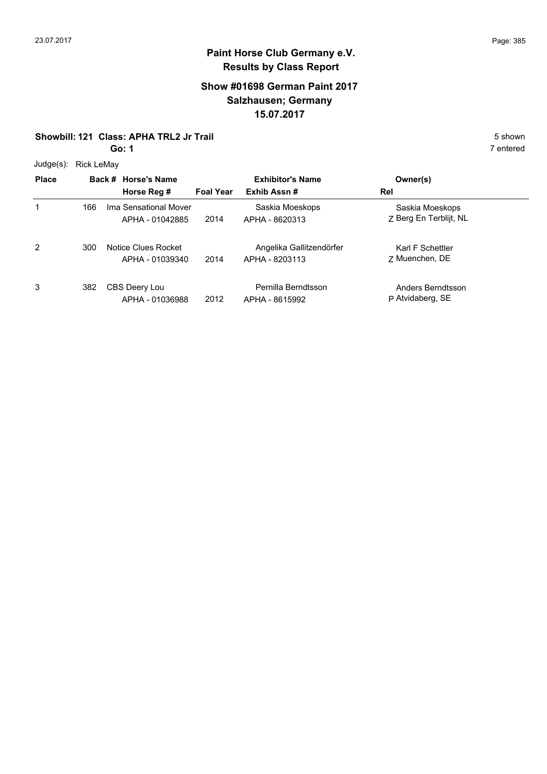### **Show #01698 German Paint 2017 Salzhausen; Germany 15.07.2017**

#### **Showbill: 121 Class: APHA TRL2 Jr Trail** 5 **Shown** 5 shown

**Go: 1**

 $Judae(a)$ :  $Dialdeba$ 

| Judge(s):    | <b>RICK LEMAY</b> |                                          | <b>Exhibitor's Name</b> |                                            |                                           |  |
|--------------|-------------------|------------------------------------------|-------------------------|--------------------------------------------|-------------------------------------------|--|
| <b>Place</b> |                   | Back # Horse's Name                      |                         |                                            | Owner(s)                                  |  |
|              |                   | Horse Reg #                              | <b>Foal Year</b>        | Exhib Assn#                                | Rel                                       |  |
| 1            | 166               | Ima Sensational Mover<br>APHA - 01042885 | 2014                    | Saskia Moeskops<br>APHA - 8620313          | Saskia Moeskops<br>Z Berg En Terblijt, NL |  |
| 2            | 300               | Notice Clues Rocket<br>APHA - 01039340   | 2014                    | Angelika Gallitzendörfer<br>APHA - 8203113 | Karl F Schettler<br>7 Muenchen, DE        |  |
| 3            | 382               | CBS Deery Lou<br>APHA - 01036988         | 2012                    | Pernilla Berndtsson<br>APHA - 8615992      | Anders Berndtsson<br>P Atvidaberg, SE     |  |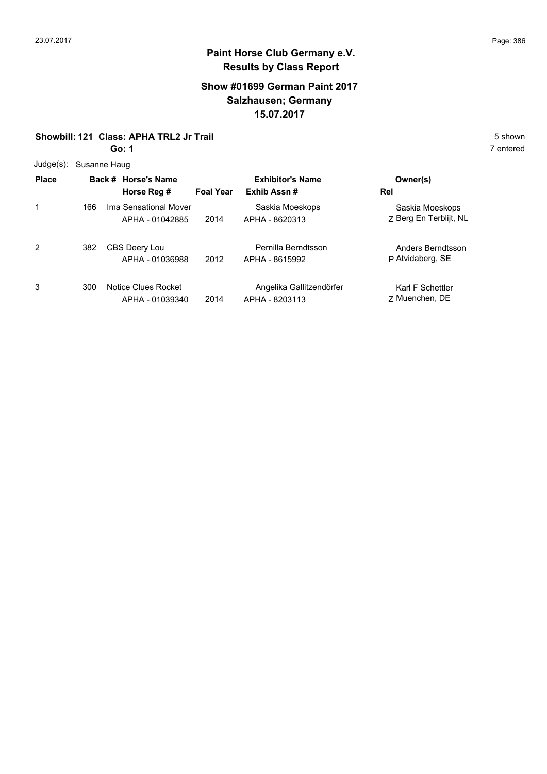### **Show #01699 German Paint 2017 Salzhausen; Germany 15.07.2017**

### **Showbill: 121 Class: APHA TRL2 Jr Trail** 5 **Shown** 5 shown

**Go: 1**

|  | Judge(s): Susanne Haug |
|--|------------------------|
|--|------------------------|

|              | $5 - 9 - 1$ $-7 - 5 - 6 - 1$ |                                          |                  |                                            |                                           |  |  |  |  |
|--------------|------------------------------|------------------------------------------|------------------|--------------------------------------------|-------------------------------------------|--|--|--|--|
| <b>Place</b> |                              | Back # Horse's Name                      |                  | <b>Exhibitor's Name</b>                    | Owner(s)                                  |  |  |  |  |
|              |                              | Horse Reg #                              | <b>Foal Year</b> | Exhib Assn#                                | Rel                                       |  |  |  |  |
| 1            | 166                          | Ima Sensational Mover<br>APHA - 01042885 | 2014             | Saskia Moeskops<br>APHA - 8620313          | Saskia Moeskops<br>Z Berg En Terblijt, NL |  |  |  |  |
| 2            | 382                          | CBS Deery Lou<br>APHA - 01036988         | 2012             | Pernilla Berndtsson<br>APHA - 8615992      | Anders Berndtsson<br>P Atvidaberg, SE     |  |  |  |  |
| 3            | 300                          | Notice Clues Rocket<br>APHA - 01039340   | 2014             | Angelika Gallitzendörfer<br>APHA - 8203113 | Karl F Schettler<br>7 Muenchen, DE        |  |  |  |  |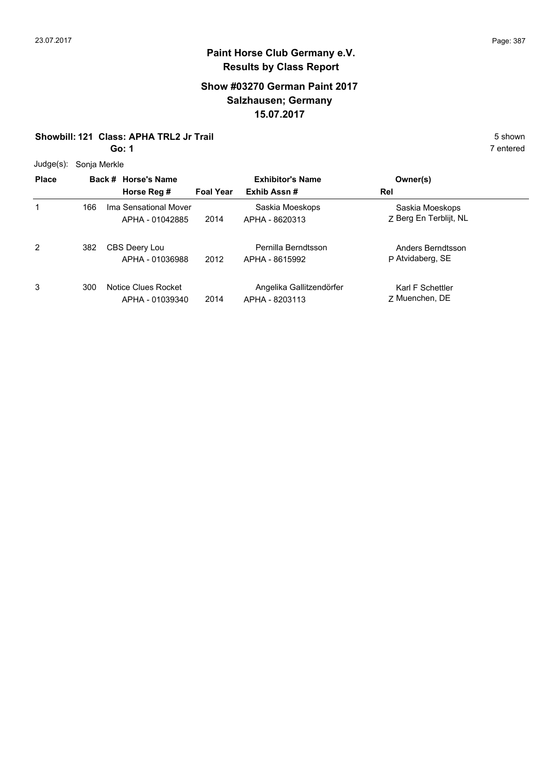### **Show #03270 German Paint 2017 Salzhausen; Germany 15.07.2017**

#### **Showbill: 121 Class: APHA TRL2 Jr Trail** 5 **Shown** 5 shown

**Go: 1**

Judge(s): Sonja Merkle

| Juuye(s).    | <b>SUITE METRIC</b> |                                          |                  |                                            |                                           |  |
|--------------|---------------------|------------------------------------------|------------------|--------------------------------------------|-------------------------------------------|--|
| <b>Place</b> |                     | Back # Horse's Name                      |                  | <b>Exhibitor's Name</b>                    | Owner(s)                                  |  |
|              |                     | Horse Reg #                              | <b>Foal Year</b> | Exhib Assn#                                | Rel                                       |  |
| 1            | 166                 | Ima Sensational Mover<br>APHA - 01042885 | 2014             | Saskia Moeskops<br>APHA - 8620313          | Saskia Moeskops<br>Z Berg En Terblijt, NL |  |
| 2            | 382                 | CBS Deery Lou<br>APHA - 01036988         | 2012             | Pernilla Berndtsson<br>APHA - 8615992      | Anders Berndtsson<br>P Atvidaberg, SE     |  |
| 3            | 300                 | Notice Clues Rocket<br>APHA - 01039340   | 2014             | Angelika Gallitzendörfer<br>APHA - 8203113 | Karl F Schettler<br>7 Muenchen, DE        |  |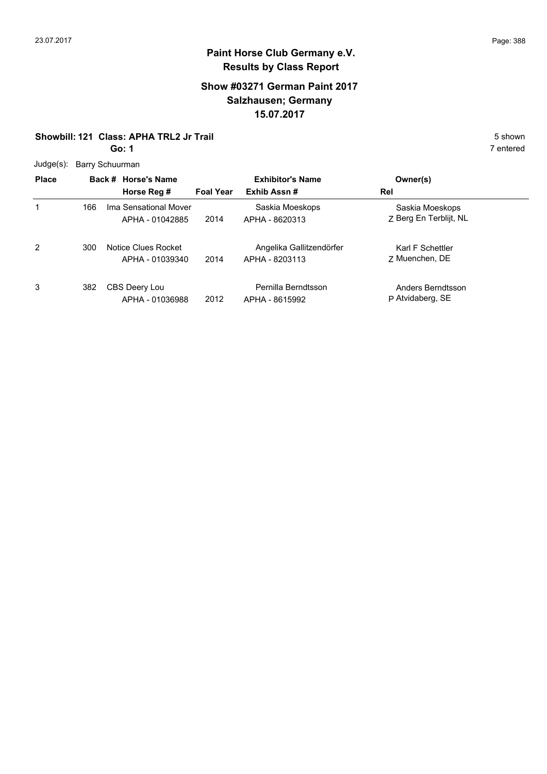### **Show #03271 German Paint 2017 Salzhausen; Germany 15.07.2017**

#### **Showbill: 121 Class: APHA TRL2 Jr Trail** 5 **Shown** 5 shown

**Go: 1**

7 entered

Judge(s): Barry Schuurman

| <b>Place</b> |     | Back # Horse's Name<br>Horse Reg #       | <b>Foal Year</b> | <b>Exhibitor's Name</b><br>Exhib Assn#     | Owner(s)<br>Rel                           |  |
|--------------|-----|------------------------------------------|------------------|--------------------------------------------|-------------------------------------------|--|
| 1            | 166 | Ima Sensational Mover<br>APHA - 01042885 | 2014             | Saskia Moeskops<br>APHA - 8620313          | Saskia Moeskops<br>Z Berg En Terblijt, NL |  |
| 2            | 300 | Notice Clues Rocket<br>APHA - 01039340   | 2014             | Angelika Gallitzendörfer<br>APHA - 8203113 | Karl F Schettler<br>7 Muenchen, DE        |  |
| 3            | 382 | CBS Deery Lou<br>APHA - 01036988         | 2012             | Pernilla Berndtsson<br>APHA - 8615992      | Anders Berndtsson<br>P Atvidaberg, SE     |  |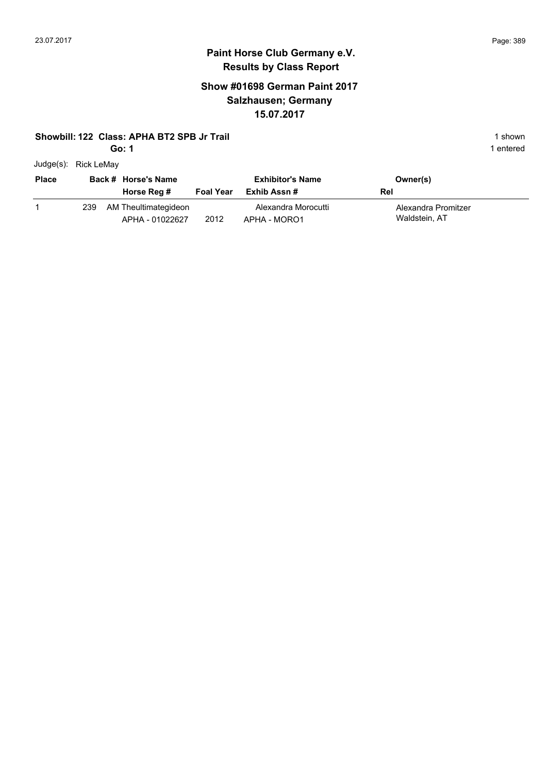### **Paint Horse Club Germany e.V. Results by Class Report**

### **Show #01698 German Paint 2017 Salzhausen; Germany 15.07.2017**

#### **Showbill: 122 Class: APHA BT2 SPB Jr Trail** 1 **Shown** 1 shown

**Go: 1**

Judge(s): Rick LeMay

| <b>Place</b> |     | Back # Horse's Name<br>Horse Reg #      | <b>Foal Year</b> | <b>Exhibitor's Name</b><br>Exhib Assn # | Owner(s)<br>Rel                      |
|--------------|-----|-----------------------------------------|------------------|-----------------------------------------|--------------------------------------|
|              | 239 | AM Theultimategideon<br>APHA - 01022627 | 2012             | Alexandra Morocutti<br>APHA - MORO1     | Alexandra Promitzer<br>Waldstein, AT |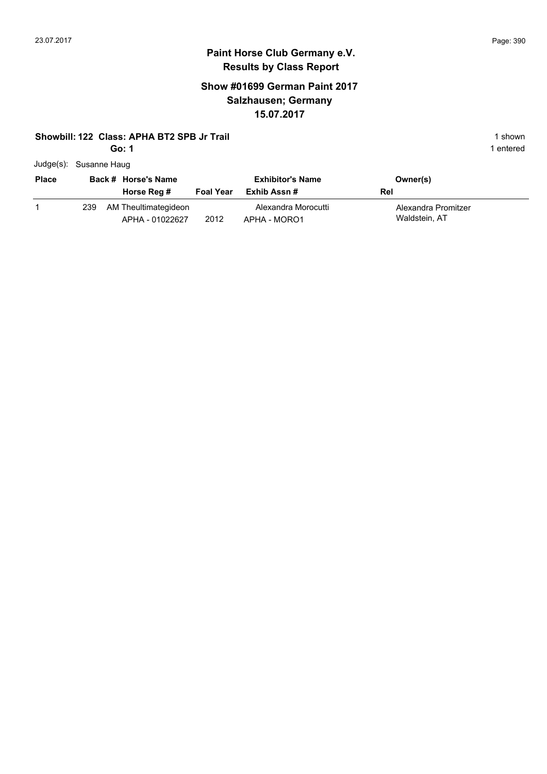### **Paint Horse Club Germany e.V. Results by Class Report**

### **Show #01699 German Paint 2017 Salzhausen; Germany 15.07.2017**

#### **Showbill: 122 Class: APHA BT2 SPB Jr Trail** 1 **Shown** 1 shown

| Judge(s): Susanne Haug |  |
|------------------------|--|
|------------------------|--|

| <b>Place</b> |     | Back # Horse's Name<br>Horse Reg #      | <b>Foal Year</b> | <b>Exhibitor's Name</b><br>Exhib Assn # | Owner(s)<br>Rel                      |
|--------------|-----|-----------------------------------------|------------------|-----------------------------------------|--------------------------------------|
|              | 239 | AM Theultimategideon<br>APHA - 01022627 | 2012             | Alexandra Morocutti<br>APHA - MORO1     | Alexandra Promitzer<br>Waldstein, AT |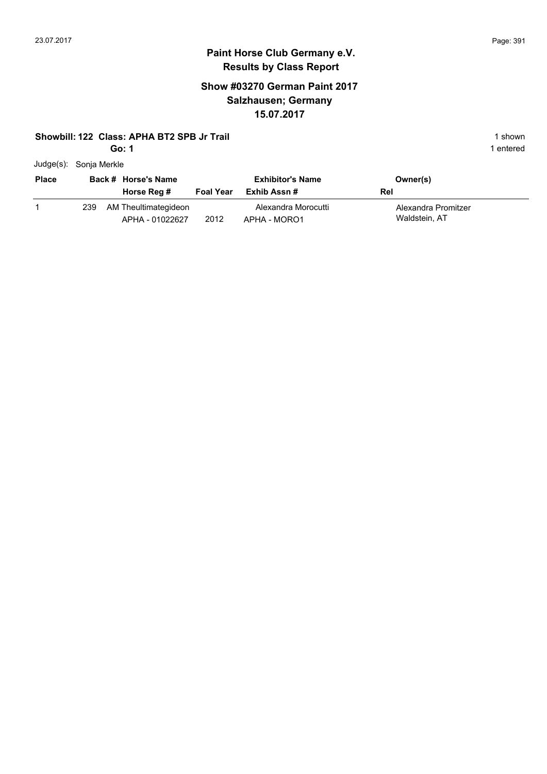### **Paint Horse Club Germany e.V. Results by Class Report**

### **Show #03270 German Paint 2017 Salzhausen; Germany 15.07.2017**

#### **Showbill: 122 Class: APHA BT2 SPB Jr Trail** 1 **Shown** 1 shown

| $Judge(s)$ : | Sonja Merkle |
|--------------|--------------|
|--------------|--------------|

| <b>Place</b> |     | Back # Horse's Name<br>Horse Reg #      | <b>Foal Year</b> | <b>Exhibitor's Name</b><br>Exhib Assn # | Owner(s)<br>Rel                      |  |
|--------------|-----|-----------------------------------------|------------------|-----------------------------------------|--------------------------------------|--|
|              | 239 | AM Theultimategideon<br>APHA - 01022627 | 2012             | Alexandra Morocutti<br>APHA - MORO1     | Alexandra Promitzer<br>Waldstein, AT |  |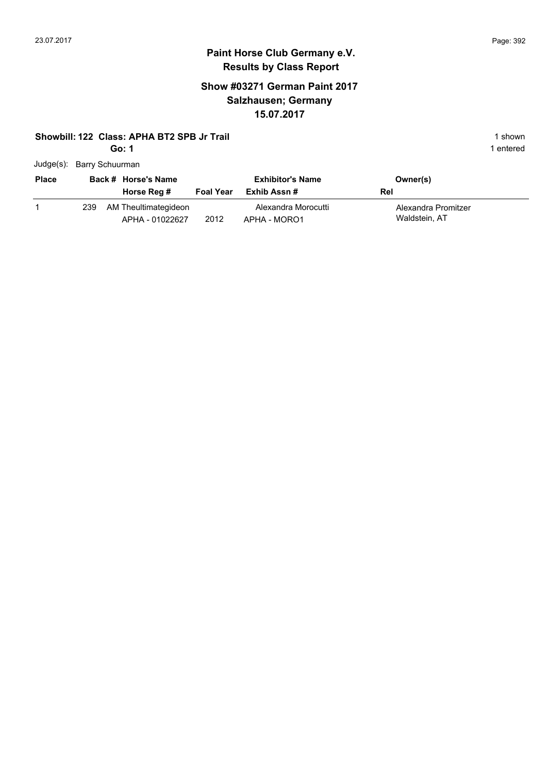### **Paint Horse Club Germany e.V. Results by Class Report**

### **Show #03271 German Paint 2017 Salzhausen; Germany 15.07.2017**

#### **Showbill: 122 Class: APHA BT2 SPB Jr Trail** 1 **Shown** 1 shown

|  | Judge(s): Barry Schuurman |
|--|---------------------------|
|--|---------------------------|

| <b>Place</b> |      | Back # Horse's Name<br>Horse Reg #      | <b>Foal Year</b> | <b>Exhibitor's Name</b><br>Exhib Assn # | Owner(s)<br>Rel                      |
|--------------|------|-----------------------------------------|------------------|-----------------------------------------|--------------------------------------|
|              | 239. | AM Theultimategideon<br>APHA - 01022627 | 2012             | Alexandra Morocutti<br>APHA - MORO1     | Alexandra Promitzer<br>Waldstein, AT |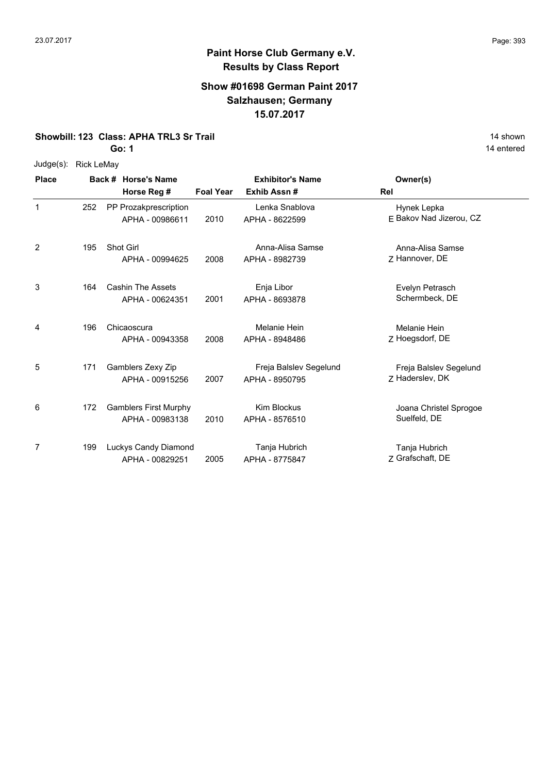# **Paint Horse Club Germany e.V. Results by Class Report**

#### **Show #01698 German Paint 2017 Salzhausen; Germany 15.07.2017**

**Showbill: 123 Class: APHA TRL3 Sr Trail** 14 Shown 14 shown

**Go: 1**

Judge(s): Rick LeMay

| <b>Place</b> |     | Back # Horse's Name<br>Horse Reg #              | <b>Foal Year</b> | <b>Exhibitor's Name</b><br>Exhib Assn#   | Owner(s)<br>Rel                           |
|--------------|-----|-------------------------------------------------|------------------|------------------------------------------|-------------------------------------------|
| 1            | 252 | PP Prozakprescription<br>APHA - 00986611        | 2010             | Lenka Snablova<br>APHA - 8622599         | Hynek Lepka<br>E Bakov Nad Jizerou, CZ    |
| 2            | 195 | <b>Shot Girl</b><br>APHA - 00994625             | 2008             | Anna-Alisa Samse<br>APHA - 8982739       | Anna-Alisa Samse<br>Z Hannover, DE        |
| 3            | 164 | <b>Cashin The Assets</b><br>APHA - 00624351     | 2001             | Enja Libor<br>APHA - 8693878             | Evelyn Petrasch<br>Schermbeck, DE         |
| 4            | 196 | Chicaoscura<br>APHA - 00943358                  | 2008             | Melanie Hein<br>APHA - 8948486           | <b>Melanie Hein</b><br>Z Hoegsdorf, DE    |
| 5            | 171 | Gamblers Zexy Zip<br>APHA - 00915256            | 2007             | Freja Balslev Segelund<br>APHA - 8950795 | Freja Balslev Segelund<br>7 Haderslev, DK |
| 6            | 172 | <b>Gamblers First Murphy</b><br>APHA - 00983138 | 2010             | <b>Kim Blockus</b><br>APHA - 8576510     | Joana Christel Sprogoe<br>Suelfeld, DE    |
| 7            | 199 | Luckys Candy Diamond<br>APHA - 00829251         | 2005             | Tanja Hubrich<br>APHA - 8775847          | Tanja Hubrich<br>7 Grafschaft, DE         |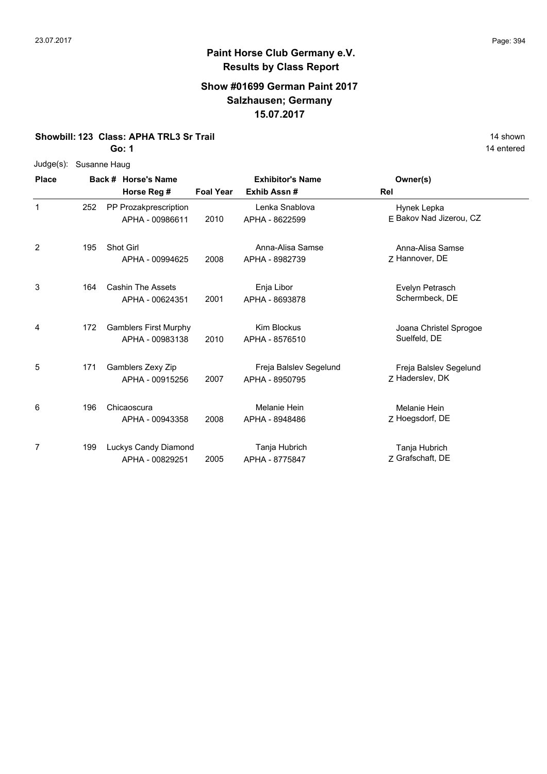#### **Show #01699 German Paint 2017 Salzhausen; Germany 15.07.2017**

**Showbill: 123 Class: APHA TRL3 Sr Trail** 14 Shown 14 shown

**Go: 1**

| $Judge(s)$ : | Susanne Haug |                              |                  |                         |                         |
|--------------|--------------|------------------------------|------------------|-------------------------|-------------------------|
| <b>Place</b> |              | Back # Horse's Name          |                  | <b>Exhibitor's Name</b> | Owner(s)                |
|              |              | Horse Reg #                  | <b>Foal Year</b> | Exhib Assn#             | Rel                     |
| 1            | 252          | PP Prozakprescription        |                  | Lenka Snablova          | Hynek Lepka             |
|              |              | APHA - 00986611              | 2010             | APHA - 8622599          | E Bakov Nad Jizerou, CZ |
| 2            | 195          | <b>Shot Girl</b>             |                  | Anna-Alisa Samse        | Anna-Alisa Samse        |
|              |              | APHA - 00994625              | 2008             | APHA - 8982739          | Z Hannover, DE          |
| 3            | 164          | <b>Cashin The Assets</b>     |                  | Enja Libor              | Evelyn Petrasch         |
|              |              | APHA - 00624351              | 2001             | APHA - 8693878          | Schermbeck, DE          |
| 4            | 172          | <b>Gamblers First Murphy</b> |                  | <b>Kim Blockus</b>      | Joana Christel Sprogoe  |
|              |              | APHA - 00983138              | 2010             | APHA - 8576510          | Suelfeld, DE            |
| 5            | 171          | Gamblers Zexy Zip            |                  | Freja Balslev Segelund  | Freja Balslev Segelund  |
|              |              | APHA - 00915256              | 2007             | APHA - 8950795          | Z Haderslev, DK         |
| 6            | 196          | Chicaoscura                  |                  | Melanie Hein            | Melanie Hein            |
|              |              | APHA - 00943358              | 2008             | APHA - 8948486          | Z Hoegsdorf, DE         |
| 7            | 199          | Luckys Candy Diamond         |                  | Tanja Hubrich           | Tanja Hubrich           |
|              |              | APHA - 00829251              | 2005             | APHA - 8775847          | Z Grafschaft, DE        |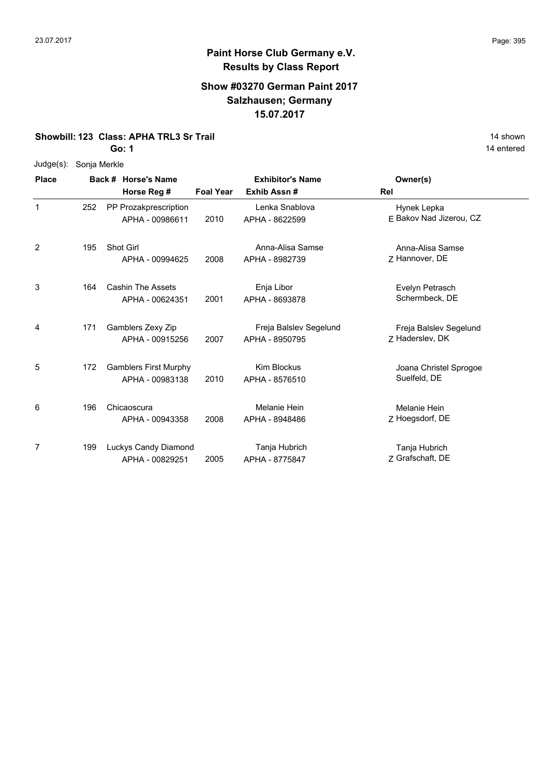### **Show #03270 German Paint 2017 Salzhausen; Germany 15.07.2017**

**Showbill: 123 Class: APHA TRL3 Sr Trail** 14 Shown 14 shown

**Go: 1**

| $Judge(s)$ : |     | Sonja Merkle                 |                  |                         |                         |  |  |  |  |  |  |  |
|--------------|-----|------------------------------|------------------|-------------------------|-------------------------|--|--|--|--|--|--|--|
| <b>Place</b> |     | Back # Horse's Name          |                  | <b>Exhibitor's Name</b> | Owner(s)                |  |  |  |  |  |  |  |
|              |     | Horse Reg #                  | <b>Foal Year</b> | Exhib Assn#             | Rel                     |  |  |  |  |  |  |  |
| $\mathbf{1}$ | 252 | PP Prozakprescription        |                  | Lenka Snablova          | Hynek Lepka             |  |  |  |  |  |  |  |
|              |     | APHA - 00986611              | 2010             | APHA - 8622599          | E Bakov Nad Jizerou, CZ |  |  |  |  |  |  |  |
| 2            | 195 | Shot Girl                    |                  | Anna-Alisa Samse        | Anna-Alisa Samse        |  |  |  |  |  |  |  |
|              |     | APHA - 00994625              | 2008             | APHA - 8982739          | Z Hannover, DE          |  |  |  |  |  |  |  |
| 3            | 164 | <b>Cashin The Assets</b>     |                  | Enja Libor              | Evelyn Petrasch         |  |  |  |  |  |  |  |
|              |     | APHA - 00624351              | 2001             | APHA - 8693878          | Schermbeck, DE          |  |  |  |  |  |  |  |
| 4            | 171 | Gamblers Zexy Zip            |                  | Freja Balslev Segelund  | Freja Balslev Segelund  |  |  |  |  |  |  |  |
|              |     | APHA - 00915256              | 2007             | APHA - 8950795          | Z Haderslev, DK         |  |  |  |  |  |  |  |
| 5            | 172 | <b>Gamblers First Murphy</b> |                  | <b>Kim Blockus</b>      | Joana Christel Sprogoe  |  |  |  |  |  |  |  |
|              |     | APHA - 00983138              | 2010             | APHA - 8576510          | Suelfeld, DE            |  |  |  |  |  |  |  |
| 6            | 196 | Chicaoscura                  |                  | Melanie Hein            | Melanie Hein            |  |  |  |  |  |  |  |
|              |     | APHA - 00943358              | 2008             | APHA - 8948486          | Z Hoegsdorf, DE         |  |  |  |  |  |  |  |
| 7            | 199 | Luckys Candy Diamond         |                  | Tanja Hubrich           | Tanja Hubrich           |  |  |  |  |  |  |  |
|              |     | APHA - 00829251              | 2005             | APHA - 8775847          | Z Grafschaft, DE        |  |  |  |  |  |  |  |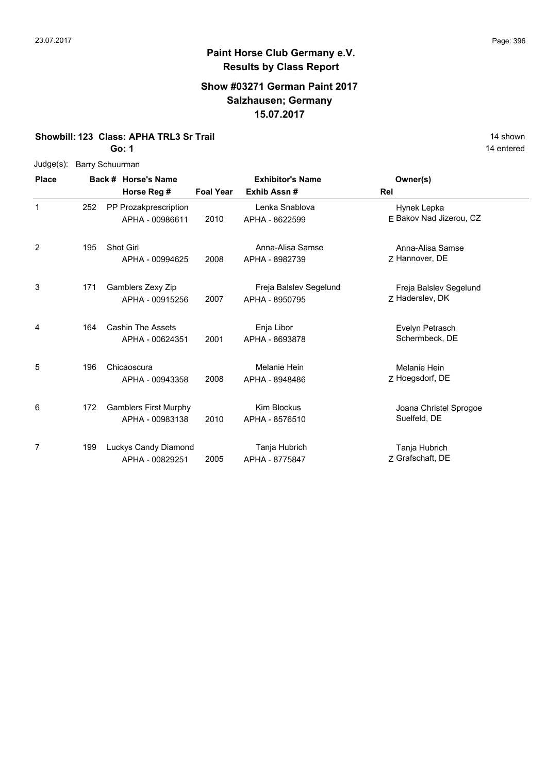### **Show #03271 German Paint 2017 Salzhausen; Germany 15.07.2017**

**Showbill: 123 Class: APHA TRL3 Sr Trail** 14 Shown 14 shown

**Go: 1**

|              |                 | ו :סט                        |                                    |      |                                          | 14 entere                                 |  |  |  |
|--------------|-----------------|------------------------------|------------------------------------|------|------------------------------------------|-------------------------------------------|--|--|--|
| $Judge(s)$ : | Barry Schuurman |                              |                                    |      |                                          |                                           |  |  |  |
| <b>Place</b> |                 |                              | Back # Horse's Name<br>Horse Reg # |      | <b>Exhibitor's Name</b><br>Exhib Assn#   | Owner(s)<br>Rel                           |  |  |  |
| $\mathbf{1}$ | 252             | PP Prozakprescription        | APHA - 00986611                    | 2010 | Lenka Snablova<br>APHA - 8622599         | Hynek Lepka<br>E Bakov Nad Jizerou, CZ    |  |  |  |
| 2            | 195             | Shot Girl                    | APHA - 00994625                    | 2008 | Anna-Alisa Samse<br>APHA - 8982739       | Anna-Alisa Samse<br>Z Hannover, DE        |  |  |  |
| 3            | 171             | Gamblers Zexy Zip            | APHA - 00915256                    | 2007 | Freja Balslev Segelund<br>APHA - 8950795 | Freja Balslev Segelund<br>7 Haderslev, DK |  |  |  |
| 4            | 164             | <b>Cashin The Assets</b>     | APHA - 00624351                    | 2001 | Enja Libor<br>APHA - 8693878             | Evelyn Petrasch<br>Schermbeck, DE         |  |  |  |
| 5            | 196             | Chicaoscura                  | APHA - 00943358                    | 2008 | Melanie Hein<br>APHA - 8948486           | Melanie Hein<br>Z Hoegsdorf, DE           |  |  |  |
| 6            | 172             | <b>Gamblers First Murphy</b> | APHA - 00983138                    | 2010 | <b>Kim Blockus</b><br>APHA - 8576510     | Joana Christel Sprogoe<br>Suelfeld, DE    |  |  |  |
| 7            | 199             | Luckys Candy Diamond         | APHA - 00829251                    | 2005 | Tanja Hubrich<br>APHA - 8775847          | Tanja Hubrich<br>Z Grafschaft, DE         |  |  |  |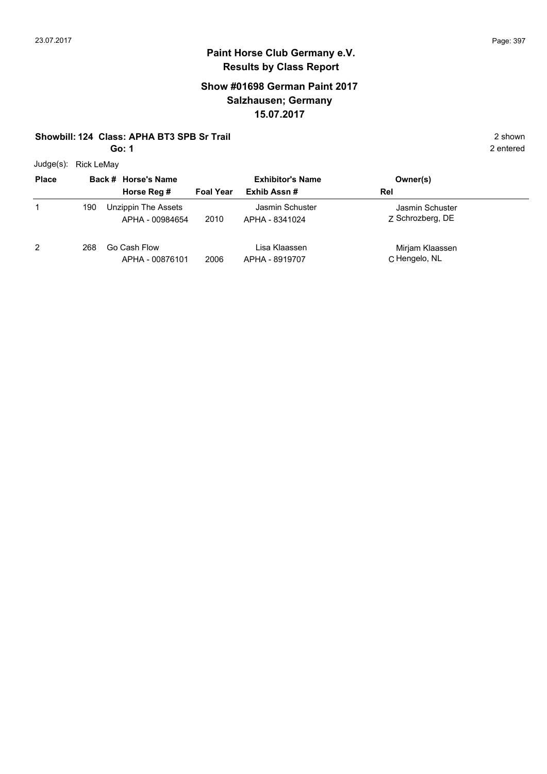## **Show #01698 German Paint 2017 Salzhausen; Germany 15.07.2017**

#### **Showbill: 124 Class: APHA BT3 SPB Sr Trail** 2 shown

**Go: 1**

Judge(s): Rick LeMay

| <b>Place</b> |     | Back # Horse's Name                    | <b>Exhibitor's Name</b> |                                   | Owner(s)                            |  |
|--------------|-----|----------------------------------------|-------------------------|-----------------------------------|-------------------------------------|--|
|              |     | Horse Reg #                            | <b>Foal Year</b>        | Exhib Assn#                       | Rel                                 |  |
|              | 190 | Unzippin The Assets<br>APHA - 00984654 | 2010                    | Jasmin Schuster<br>APHA - 8341024 | Jasmin Schuster<br>Z Schrozberg, DE |  |
| 2            | 268 | Go Cash Flow<br>APHA - 00876101        | 2006                    | Lisa Klaassen<br>APHA - 8919707   | Mirjam Klaassen<br>C Hengelo, NL    |  |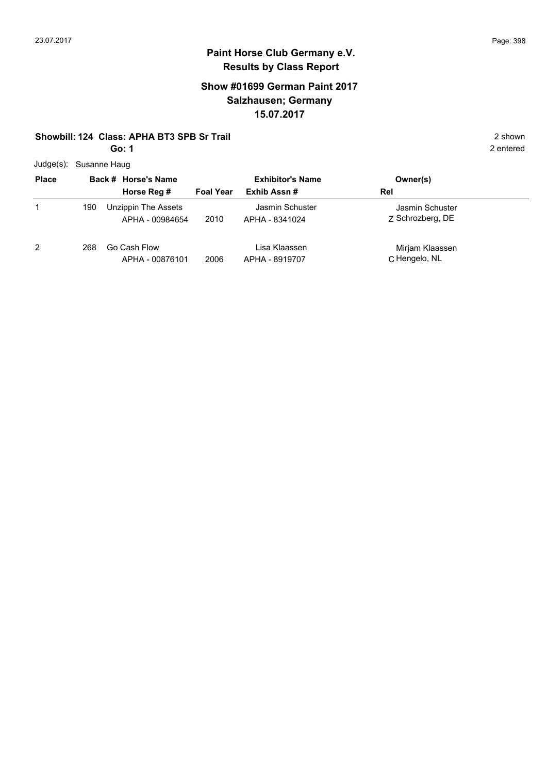## **Show #01699 German Paint 2017 Salzhausen; Germany 15.07.2017**

#### **Showbill: 124 Class: APHA BT3 SPB Sr Trail** 2 shown

**Go: 1**

Judge(s): Susanne Haug

| <b>Place</b>   |     | Back # Horse's Name                    | <b>Exhibitor's Name</b> |                                   | Owner(s)                            |
|----------------|-----|----------------------------------------|-------------------------|-----------------------------------|-------------------------------------|
|                |     | Horse Reg #                            | <b>Foal Year</b>        | Exhib Assn#                       | Rel                                 |
| 1              | 190 | Unzippin The Assets<br>APHA - 00984654 | 2010                    | Jasmin Schuster<br>APHA - 8341024 | Jasmin Schuster<br>Z Schrozberg, DE |
| $\overline{2}$ | 268 | Go Cash Flow<br>APHA - 00876101        | 2006                    | Lisa Klaassen<br>APHA - 8919707   | Mirjam Klaassen<br>C Hengelo, NL    |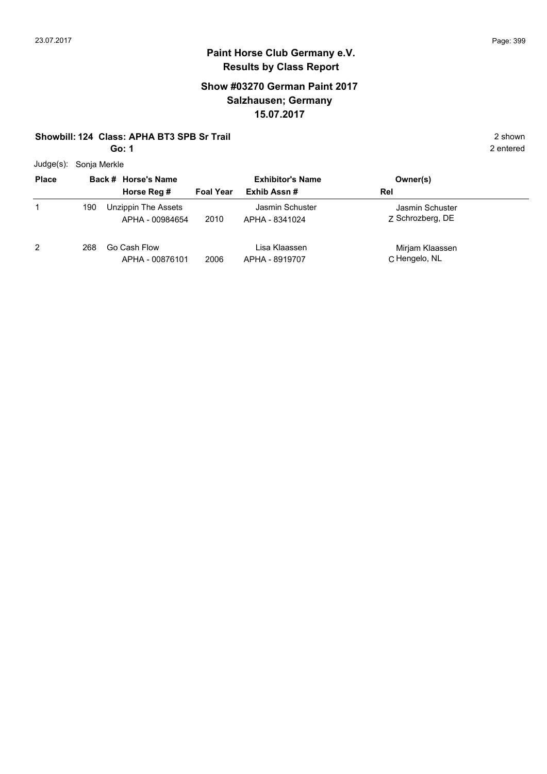## **Show #03270 German Paint 2017 Salzhausen; Germany 15.07.2017**

#### **Showbill: 124 Class: APHA BT3 SPB Sr Trail** 2 shown

**Go: 1**

Judge(s): Sonja Merkle

| <b>Place</b> |     | Back # Horse's Name                    |                  | <b>Exhibitor's Name</b>           | Owner(s)                            |
|--------------|-----|----------------------------------------|------------------|-----------------------------------|-------------------------------------|
|              |     | Horse Reg #                            | <b>Foal Year</b> | Exhib Assn#                       | Rel                                 |
|              | 190 | Unzippin The Assets<br>APHA - 00984654 | 2010             | Jasmin Schuster<br>APHA - 8341024 | Jasmin Schuster<br>Z Schrozberg, DE |
| 2            | 268 | Go Cash Flow<br>APHA - 00876101        | 2006             | Lisa Klaassen<br>APHA - 8919707   | Mirjam Klaassen<br>C Hengelo, NL    |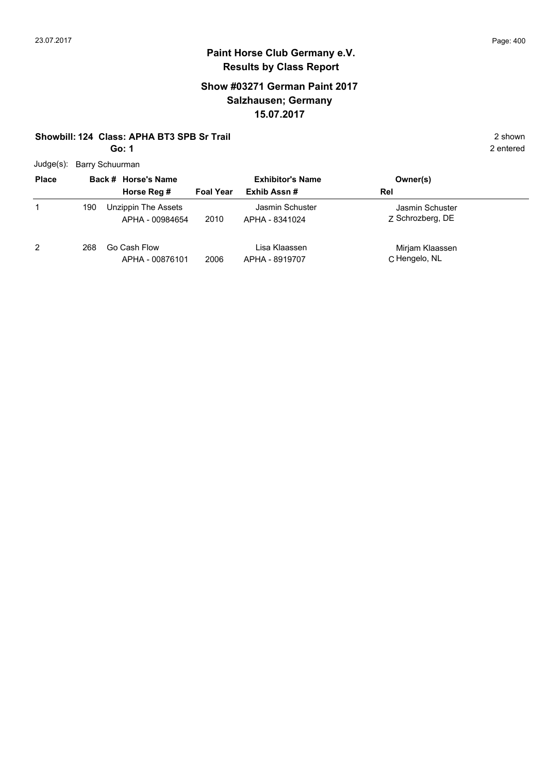## **Show #03271 German Paint 2017 Salzhausen; Germany 15.07.2017**

#### **Showbill: 124 Class: APHA BT3 SPB Sr Trail** 2 shown

**Go: 1**

Judge(s): Barry Schuurman

| $\frac{1}{2}$  |     |                                        |                         |                                   |                                     |  |
|----------------|-----|----------------------------------------|-------------------------|-----------------------------------|-------------------------------------|--|
| <b>Place</b>   |     | Back # Horse's Name                    | <b>Exhibitor's Name</b> |                                   | Owner(s)                            |  |
|                |     | Horse Reg #                            | <b>Foal Year</b>        | Exhib Assn#                       | Rel                                 |  |
|                | 190 | Unzippin The Assets<br>APHA - 00984654 | 2010                    | Jasmin Schuster<br>APHA - 8341024 | Jasmin Schuster<br>Z Schrozberg, DE |  |
| $\overline{2}$ | 268 | Go Cash Flow<br>APHA - 00876101        | 2006                    | Lisa Klaassen<br>APHA - 8919707   | Mirjam Klaassen<br>C Hengelo, NL    |  |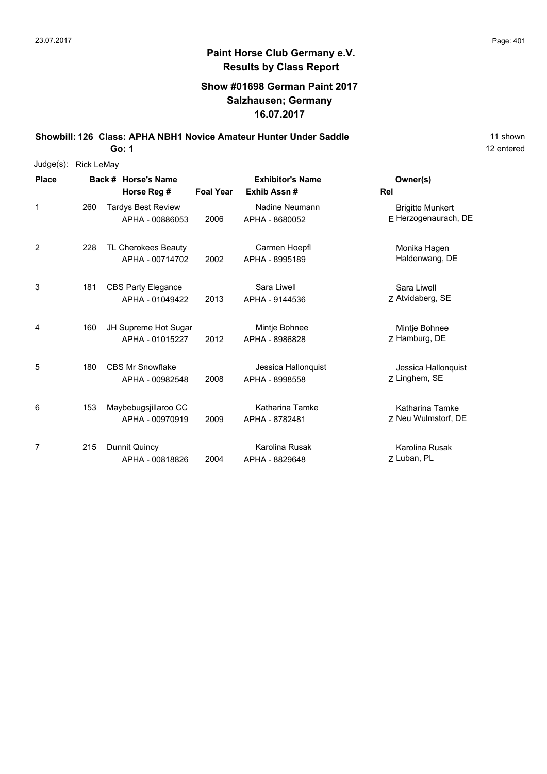## **Show #01698 German Paint 2017 Salzhausen; Germany 16.07.2017**

**Showbill: 126 Class: APHA NBH1 Novice Amateur Hunter Under Saddle** 11 Shown 11 shown

**Go: 1**

| Judge(s):    | <b>Rick LeMay</b> |                           |                  |                         |                         |  |  |  |  |  |  |
|--------------|-------------------|---------------------------|------------------|-------------------------|-------------------------|--|--|--|--|--|--|
| <b>Place</b> |                   | Back # Horse's Name       |                  | <b>Exhibitor's Name</b> | Owner(s)                |  |  |  |  |  |  |
|              |                   | Horse Reg #               | <b>Foal Year</b> | Exhib Assn#             | Rel                     |  |  |  |  |  |  |
| $\mathbf{1}$ | 260               | <b>Tardys Best Review</b> |                  | Nadine Neumann          | <b>Brigitte Munkert</b> |  |  |  |  |  |  |
|              |                   | APHA - 00886053           | 2006             | APHA - 8680052          | E Herzogenaurach, DE    |  |  |  |  |  |  |
| 2            | 228               | TL Cherokees Beauty       |                  | Carmen Hoepfl           | Monika Hagen            |  |  |  |  |  |  |
|              |                   | APHA - 00714702           | 2002             | APHA - 8995189          | Haldenwang, DE          |  |  |  |  |  |  |
| 3            | 181               | <b>CBS Party Elegance</b> |                  | Sara Liwell             | Sara Liwell             |  |  |  |  |  |  |
|              |                   | APHA - 01049422           | 2013             | APHA - 9144536          | Z Atvidaberg, SE        |  |  |  |  |  |  |
| 4            | 160               | JH Supreme Hot Sugar      |                  | Mintje Bohnee           | Mintje Bohnee           |  |  |  |  |  |  |
|              |                   | APHA - 01015227           | 2012             | APHA - 8986828          | Z Hamburg, DE           |  |  |  |  |  |  |
| 5            | 180               | <b>CBS Mr Snowflake</b>   |                  | Jessica Hallonquist     | Jessica Hallonquist     |  |  |  |  |  |  |
|              |                   | APHA - 00982548           | 2008             | APHA - 8998558          | Z Linghem, SE           |  |  |  |  |  |  |
| 6            | 153               | Maybebugsjillaroo CC      |                  | Katharina Tamke         | Katharina Tamke         |  |  |  |  |  |  |
|              |                   | APHA - 00970919           | 2009             | APHA - 8782481          | Z Neu Wulmstorf, DE     |  |  |  |  |  |  |
| 7            | 215               | Dunnit Quincy             |                  | Karolina Rusak          | Karolina Rusak          |  |  |  |  |  |  |
|              |                   | APHA - 00818826           | 2004             | APHA - 8829648          | Z Luban, PL             |  |  |  |  |  |  |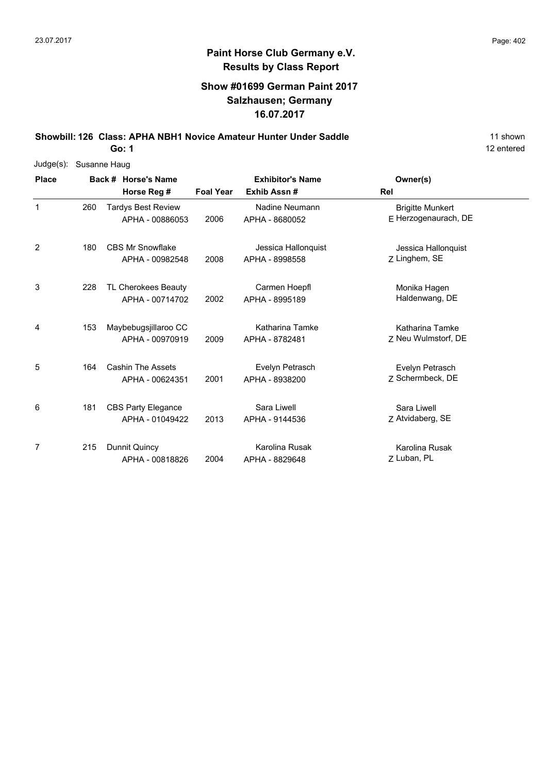## **Show #01699 German Paint 2017 Salzhausen; Germany 16.07.2017**

**Showbill: 126 Class: APHA NBH1 Novice Amateur Hunter Under Saddle** 11 Shown 11 shown

**Go: 1**

| Judge(s):    | Susanne Haug |  |                                              |                  |                                       |                                                 |  |  |  |  |  |
|--------------|--------------|--|----------------------------------------------|------------------|---------------------------------------|-------------------------------------------------|--|--|--|--|--|
| <b>Place</b> |              |  | Back # Horse's Name                          |                  | <b>Exhibitor's Name</b>               | Owner(s)                                        |  |  |  |  |  |
|              |              |  | Horse Reg #                                  | <b>Foal Year</b> | Exhib Assn#                           | <b>Rel</b>                                      |  |  |  |  |  |
| $\mathbf{1}$ | 260          |  | <b>Tardys Best Review</b><br>APHA - 00886053 | 2006             | Nadine Neumann<br>APHA - 8680052      | <b>Brigitte Munkert</b><br>E Herzogenaurach, DE |  |  |  |  |  |
| 2            | 180          |  | <b>CBS Mr Snowflake</b><br>APHA - 00982548   | 2008             | Jessica Hallonquist<br>APHA - 8998558 | Jessica Hallonquist<br>Z Linghem, SE            |  |  |  |  |  |
| 3            | 228          |  | TL Cherokees Beauty<br>APHA - 00714702       | 2002             | Carmen Hoepfl<br>APHA - 8995189       | Monika Hagen<br>Haldenwang, DE                  |  |  |  |  |  |
| 4            | 153          |  | Maybebugsjillaroo CC<br>APHA - 00970919      | 2009             | Katharina Tamke<br>APHA - 8782481     | <b>Katharina Tamke</b><br>Z Neu Wulmstorf, DE   |  |  |  |  |  |
| 5            | 164          |  | <b>Cashin The Assets</b><br>APHA - 00624351  | 2001             | Evelyn Petrasch<br>APHA - 8938200     | Evelyn Petrasch<br>7 Schermbeck, DE             |  |  |  |  |  |
| 6            | 181          |  | <b>CBS Party Elegance</b><br>APHA - 01049422 | 2013             | Sara Liwell<br>APHA - 9144536         | Sara Liwell<br>Z Atvidaberg, SE                 |  |  |  |  |  |
| 7            | 215          |  | Dunnit Quincy<br>APHA - 00818826             | 2004             | Karolina Rusak<br>APHA - 8829648      | Karolina Rusak<br>Z Luban, PL                   |  |  |  |  |  |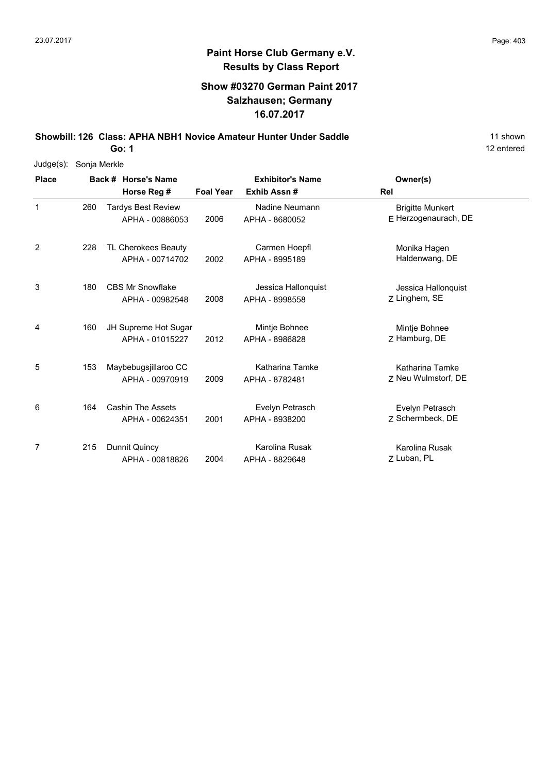## **Show #03270 German Paint 2017 Salzhausen; Germany 16.07.2017**

**Showbill: 126 Class: APHA NBH1 Novice Amateur Hunter Under Saddle** 11 Shown 11 shown

**Go: 1**

| Judge(s):    | Sonja Merkle |                                              |                  |                                       |                                                 |  |
|--------------|--------------|----------------------------------------------|------------------|---------------------------------------|-------------------------------------------------|--|
| <b>Place</b> |              | Back # Horse's Name                          |                  | <b>Exhibitor's Name</b>               | Owner(s)                                        |  |
|              |              | Horse Reg #                                  | <b>Foal Year</b> | Exhib Assn#                           | Rel                                             |  |
| $\mathbf{1}$ | 260          | <b>Tardys Best Review</b><br>APHA - 00886053 | 2006             | Nadine Neumann<br>APHA - 8680052      | <b>Brigitte Munkert</b><br>E Herzogenaurach, DE |  |
| 2            | 228          | TL Cherokees Beauty<br>APHA - 00714702       | 2002             | Carmen Hoepfl<br>APHA - 8995189       | Monika Hagen<br>Haldenwang, DE                  |  |
| 3            | 180          | <b>CBS Mr Snowflake</b><br>APHA - 00982548   | 2008             | Jessica Hallonquist<br>APHA - 8998558 | Jessica Hallonquist<br>Z Linghem, SE            |  |
| 4            | 160          | JH Supreme Hot Sugar<br>APHA - 01015227      | 2012             | Mintje Bohnee<br>APHA - 8986828       | Mintje Bohnee<br>Z Hamburg, DE                  |  |
| 5            | 153          | Maybebugsjillaroo CC<br>APHA - 00970919      | 2009             | Katharina Tamke<br>APHA - 8782481     | Katharina Tamke<br>Z Neu Wulmstorf, DE          |  |
| 6            | 164          | <b>Cashin The Assets</b><br>APHA - 00624351  | 2001             | Evelyn Petrasch<br>APHA - 8938200     | Evelyn Petrasch<br>Z Schermbeck, DE             |  |
| 7            | 215          | Dunnit Quincy<br>APHA - 00818826             | 2004             | Karolina Rusak<br>APHA - 8829648      | Karolina Rusak<br>Z Luban, PL                   |  |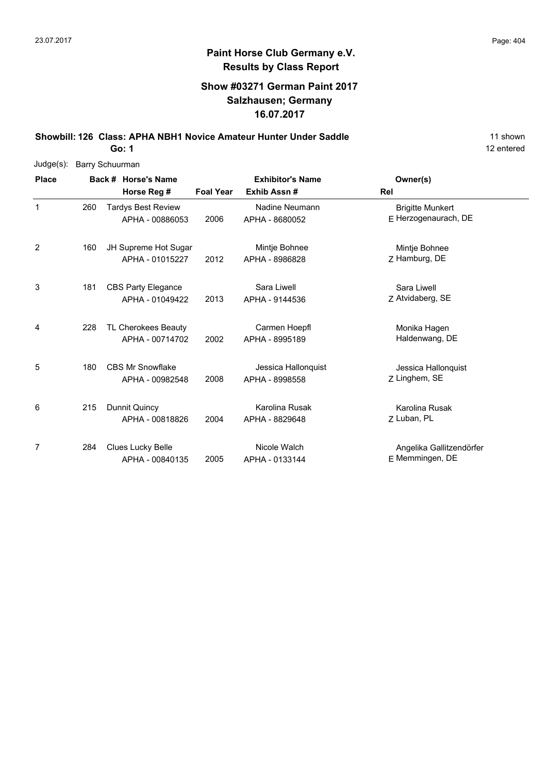# **Paint Horse Club Germany e.V. Results by Class Report**

## **Show #03271 German Paint 2017 Salzhausen; Germany 16.07.2017**

**Showbill: 126 Class: APHA NBH1 Novice Amateur Hunter Under Saddle** 11 Shown 11 shown

| Judge(s):    | Barry Schuurman |  |                           |                  |                         |                          |  |  |  |  |  |
|--------------|-----------------|--|---------------------------|------------------|-------------------------|--------------------------|--|--|--|--|--|
| <b>Place</b> |                 |  | Back # Horse's Name       |                  | <b>Exhibitor's Name</b> | Owner(s)                 |  |  |  |  |  |
|              |                 |  | Horse Reg #               | <b>Foal Year</b> | Exhib Assn#             | Rel                      |  |  |  |  |  |
| $\mathbf{1}$ | 260             |  | <b>Tardys Best Review</b> |                  | Nadine Neumann          | <b>Brigitte Munkert</b>  |  |  |  |  |  |
|              |                 |  | APHA - 00886053           | 2006             | APHA - 8680052          | E Herzogenaurach, DE     |  |  |  |  |  |
| 2            | 160             |  | JH Supreme Hot Sugar      |                  | Mintje Bohnee           | Mintje Bohnee            |  |  |  |  |  |
|              |                 |  | APHA - 01015227           | 2012             | APHA - 8986828          | Z Hamburg, DE            |  |  |  |  |  |
| 3            | 181             |  | <b>CBS Party Elegance</b> |                  | Sara Liwell             | Sara Liwell              |  |  |  |  |  |
|              |                 |  | APHA - 01049422           | 2013             | APHA - 9144536          | Z Atvidaberg, SE         |  |  |  |  |  |
| 4            | 228             |  | TL Cherokees Beauty       |                  | Carmen Hoepfl           | Monika Hagen             |  |  |  |  |  |
|              |                 |  | APHA - 00714702           | 2002             | APHA - 8995189          | Haldenwang, DE           |  |  |  |  |  |
| 5            | 180             |  | <b>CBS Mr Snowflake</b>   |                  | Jessica Hallonquist     | Jessica Hallonquist      |  |  |  |  |  |
|              |                 |  | APHA - 00982548           | 2008             | APHA - 8998558          | Z Linghem, SE            |  |  |  |  |  |
| 6            | 215             |  | Dunnit Quincy             |                  | Karolina Rusak          | Karolina Rusak           |  |  |  |  |  |
|              |                 |  | APHA - 00818826           | 2004             | APHA - 8829648          | Z Luban, PL              |  |  |  |  |  |
| 7            | 284             |  | <b>Clues Lucky Belle</b>  |                  | Nicole Walch            | Angelika Gallitzendörfer |  |  |  |  |  |
|              |                 |  | APHA - 00840135           | 2005             | APHA - 0133144          | E Memmingen, DE          |  |  |  |  |  |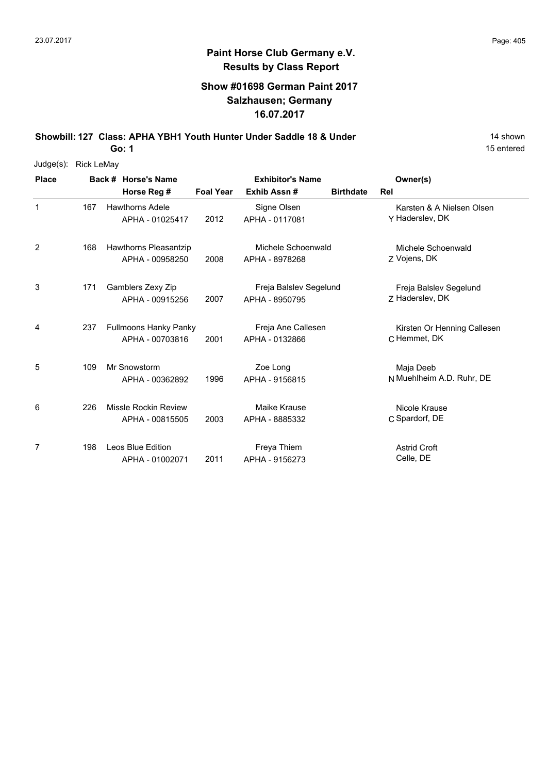# **Paint Horse Club Germany e.V. Results by Class Report**

## **Show #01698 German Paint 2017 Salzhausen; Germany 16.07.2017**

**Showbill: 127 Class: APHA YBH1 Youth Hunter Under Saddle 18 & Under** 19 **14 shown** 

| $Judge(s)$ : | <b>Rick LeMay</b> |  |                              |                  |                         |                  |                             |
|--------------|-------------------|--|------------------------------|------------------|-------------------------|------------------|-----------------------------|
| <b>Place</b> |                   |  | Back # Horse's Name          |                  | <b>Exhibitor's Name</b> |                  | Owner(s)                    |
|              |                   |  | Horse Reg #                  | <b>Foal Year</b> | Exhib Assn#             | <b>Birthdate</b> | Rel                         |
| 1            | 167               |  | <b>Hawthorns Adele</b>       |                  | Signe Olsen             |                  | Karsten & A Nielsen Olsen   |
|              |                   |  | APHA - 01025417              | 2012             | APHA - 0117081          |                  | Y Haderslev, DK             |
| 2            | 168               |  | Hawthorns Pleasantzip        |                  | Michele Schoenwald      |                  | Michele Schoenwald          |
|              |                   |  | APHA - 00958250              | 2008             | APHA - 8978268          |                  | Z Vojens, DK                |
| 3            | 171               |  | Gamblers Zexy Zip            |                  | Freja Balslev Segelund  |                  | Freja Balslev Segelund      |
|              |                   |  | APHA - 00915256              | 2007             | APHA - 8950795          |                  | Z Haderslev, DK             |
| 4            | 237               |  | <b>Fullmoons Hanky Panky</b> |                  | Freja Ane Callesen      |                  | Kirsten Or Henning Callesen |
|              |                   |  | APHA - 00703816              | 2001             | APHA - 0132866          |                  | C Hemmet, DK                |
| 5            | 109               |  | Mr Snowstorm                 |                  | Zoe Long                |                  | Maja Deeb                   |
|              |                   |  | APHA - 00362892              | 1996             | APHA - 9156815          |                  | N Muehlheim A.D. Ruhr, DE   |
| 6            | 226               |  | Missle Rockin Review         |                  | Maike Krause            |                  | Nicole Krause               |
|              |                   |  | APHA - 00815505              | 2003             | APHA - 8885332          |                  | C Spardorf, DE              |
| 7            | 198               |  | <b>Leos Blue Edition</b>     |                  | Freya Thiem             |                  | <b>Astrid Croft</b>         |
|              |                   |  | APHA - 01002071              | 2011             | APHA - 9156273          |                  | Celle, DE                   |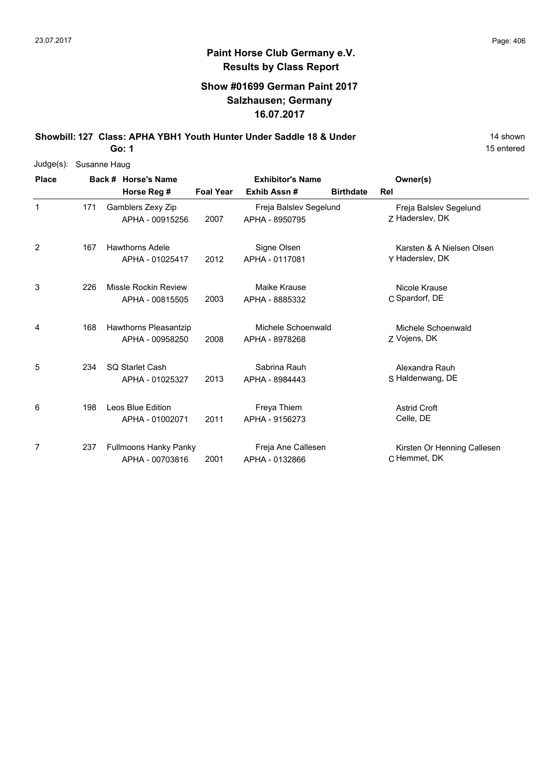# **Paint Horse Club Germany e.V. Results by Class Report**

## **Show #01699 German Paint 2017 Salzhausen; Germany 16.07.2017**

**Showbill: 127 Class: APHA YBH1 Youth Hunter Under Saddle 18 & Under** 19 **14 shown** 

| Judge(s):    | Susanne Haug |  |                                                 |                         |                                          |                  |                                              |  |  |  |  |
|--------------|--------------|--|-------------------------------------------------|-------------------------|------------------------------------------|------------------|----------------------------------------------|--|--|--|--|
| <b>Place</b> |              |  | Back # Horse's Name                             | <b>Exhibitor's Name</b> |                                          | Owner(s)         |                                              |  |  |  |  |
|              |              |  | Horse Reg #                                     | <b>Foal Year</b>        | Exhib Assn#                              | <b>Birthdate</b> | Rel                                          |  |  |  |  |
| 1            | 171          |  | Gamblers Zexy Zip<br>APHA - 00915256            | 2007                    | Freja Balslev Segelund<br>APHA - 8950795 |                  | Freja Balslev Segelund<br>Z Haderslev, DK    |  |  |  |  |
| 2            | 167          |  | <b>Hawthorns Adele</b><br>APHA - 01025417       | 2012                    | Signe Olsen<br>APHA - 0117081            |                  | Karsten & A Nielsen Olsen<br>Y Haderslev, DK |  |  |  |  |
| 3            | 226          |  | Missle Rockin Review<br>APHA - 00815505         | 2003                    | Maike Krause<br>APHA - 8885332           |                  | Nicole Krause<br>C Spardorf, DE              |  |  |  |  |
| 4            | 168          |  | Hawthorns Pleasantzip<br>APHA - 00958250        | 2008                    | Michele Schoenwald<br>APHA - 8978268     |                  | Michele Schoenwald<br>Z Vojens, DK           |  |  |  |  |
| 5            | 234          |  | <b>SQ Starlet Cash</b><br>APHA - 01025327       | 2013                    | Sabrina Rauh<br>APHA - 8984443           |                  | Alexandra Rauh<br>S Haldenwang, DE           |  |  |  |  |
| 6            | 198          |  | Leos Blue Edition<br>APHA - 01002071            | 2011                    | Freya Thiem<br>APHA - 9156273            |                  | <b>Astrid Croft</b><br>Celle, DE             |  |  |  |  |
| 7            | 237          |  | <b>Fullmoons Hanky Panky</b><br>APHA - 00703816 | 2001                    | Freja Ane Callesen<br>APHA - 0132866     |                  | Kirsten Or Henning Callesen<br>C Hemmet, DK  |  |  |  |  |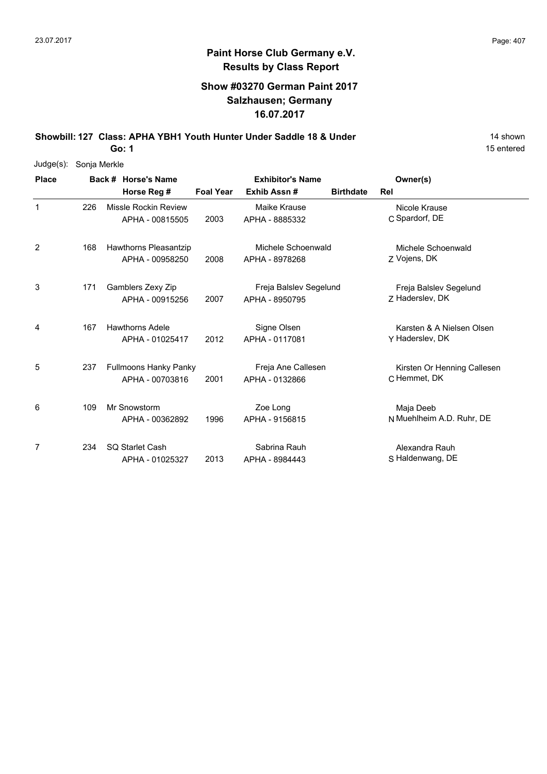## **Show #03270 German Paint 2017 Salzhausen; Germany 16.07.2017**

**Showbill: 127 Class: APHA YBH1 Youth Hunter Under Saddle 18 & Under** 19 **14 shown** 

**Go: 1**

| Judge(s):    | Sonja Merkle |                              |                  |                         |                  |                             |
|--------------|--------------|------------------------------|------------------|-------------------------|------------------|-----------------------------|
| <b>Place</b> |              | Back # Horse's Name          |                  | <b>Exhibitor's Name</b> |                  | Owner(s)                    |
|              |              | Horse Reg #                  | <b>Foal Year</b> | Exhib Assn#             | <b>Birthdate</b> | <b>Rel</b>                  |
| $\mathbf 1$  | 226          | <b>Missle Rockin Review</b>  |                  | Maike Krause            |                  | Nicole Krause               |
|              |              | APHA - 00815505              | 2003             | APHA - 8885332          |                  | C Spardorf, DE              |
| 2            | 168          | Hawthorns Pleasantzip        |                  | Michele Schoenwald      |                  | Michele Schoenwald          |
|              |              | APHA - 00958250              | 2008             | APHA - 8978268          |                  | Z Vojens, DK                |
| 3            | 171          | Gamblers Zexy Zip            |                  | Freja Balslev Segelund  |                  | Freja Balslev Segelund      |
|              |              | APHA - 00915256              | 2007             | APHA - 8950795          |                  | Z Haderslev, DK             |
| 4            | 167          | <b>Hawthorns Adele</b>       |                  | Signe Olsen             |                  | Karsten & A Nielsen Olsen   |
|              |              | APHA - 01025417              | 2012             | APHA - 0117081          |                  | Y Haderslev, DK             |
| 5            | 237          | <b>Fullmoons Hanky Panky</b> |                  | Freja Ane Callesen      |                  | Kirsten Or Henning Callesen |
|              |              | APHA - 00703816              | 2001             | APHA - 0132866          |                  | C Hemmet, DK                |
| 6            | 109          | Mr Snowstorm                 |                  | Zoe Long                |                  | Maja Deeb                   |
|              |              | APHA - 00362892              | 1996             | APHA - 9156815          |                  | N Muehlheim A.D. Ruhr, DE   |
| 7            | 234          | <b>SQ Starlet Cash</b>       |                  | Sabrina Rauh            |                  | Alexandra Rauh              |
|              |              | APHA - 01025327              | 2013             | APHA - 8984443          |                  | S Haldenwang, DE            |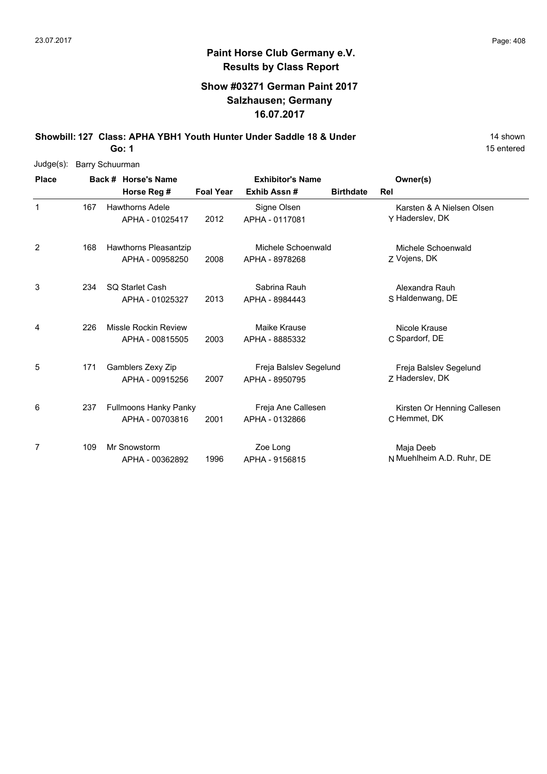## **Show #03271 German Paint 2017 Salzhausen; Germany 16.07.2017**

**Showbill: 127 Class: APHA YBH1 Youth Hunter Under Saddle 18 & Under** 19 **14 shown** 

**Go: 1**

| Judge(s):    | <b>Barry Schuurman</b> |                     |                              |                  |                         |                  |                             |  |  |  |  |  |
|--------------|------------------------|---------------------|------------------------------|------------------|-------------------------|------------------|-----------------------------|--|--|--|--|--|
| <b>Place</b> |                        | Back # Horse's Name |                              |                  | <b>Exhibitor's Name</b> |                  | Owner(s)                    |  |  |  |  |  |
|              |                        |                     | Horse Reg #                  | <b>Foal Year</b> | Exhib Assn#             | <b>Birthdate</b> | Rel                         |  |  |  |  |  |
| 1            | 167                    |                     | <b>Hawthorns Adele</b>       |                  | Signe Olsen             |                  | Karsten & A Nielsen Olsen   |  |  |  |  |  |
|              |                        |                     | APHA - 01025417              | 2012             | APHA - 0117081          |                  | Y Haderslev, DK             |  |  |  |  |  |
| 2            | 168                    |                     | <b>Hawthorns Pleasantzip</b> |                  | Michele Schoenwald      |                  | Michele Schoenwald          |  |  |  |  |  |
|              |                        |                     | APHA - 00958250              | 2008             | APHA - 8978268          |                  | Z Vojens, DK                |  |  |  |  |  |
| 3            | 234                    |                     | <b>SQ Starlet Cash</b>       |                  | Sabrina Rauh            |                  | Alexandra Rauh              |  |  |  |  |  |
|              |                        |                     | APHA - 01025327              | 2013             | APHA - 8984443          |                  | S Haldenwang, DE            |  |  |  |  |  |
| 4            | 226                    |                     | <b>Missle Rockin Review</b>  |                  | Maike Krause            |                  | Nicole Krause               |  |  |  |  |  |
|              |                        |                     | APHA - 00815505              | 2003             | APHA - 8885332          |                  | C Spardorf, DE              |  |  |  |  |  |
| 5            | 171                    |                     | Gamblers Zexy Zip            |                  | Freja Balslev Segelund  |                  | Freja Balslev Segelund      |  |  |  |  |  |
|              |                        |                     | APHA - 00915256              | 2007             | APHA - 8950795          |                  | 7 Haderslev, DK             |  |  |  |  |  |
| 6            | 237                    |                     | <b>Fullmoons Hanky Panky</b> |                  | Freja Ane Callesen      |                  | Kirsten Or Henning Callesen |  |  |  |  |  |
|              |                        |                     | APHA - 00703816              | 2001             | APHA - 0132866          |                  | C Hemmet, DK                |  |  |  |  |  |
| 7            | 109                    |                     | Mr Snowstorm                 |                  | Zoe Long                |                  | Maja Deeb                   |  |  |  |  |  |
|              |                        |                     | APHA - 00362892              | 1996             | APHA - 9156815          |                  | N Muehlheim A.D. Ruhr, DE   |  |  |  |  |  |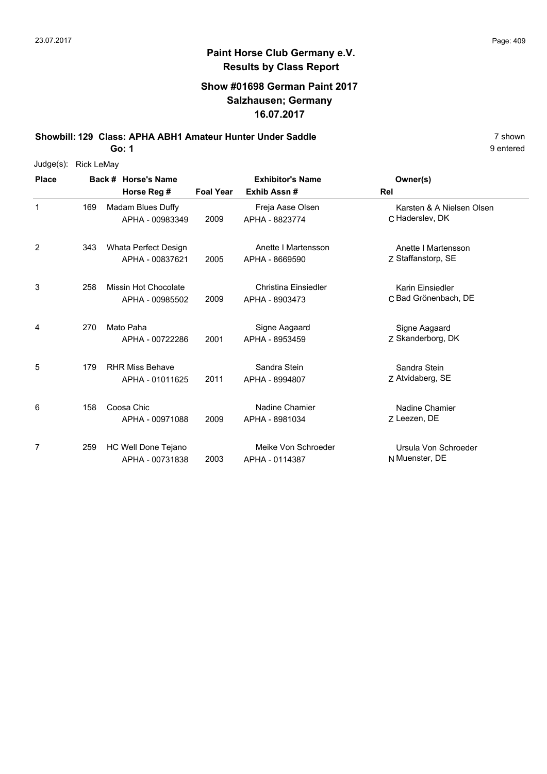## **Show #01698 German Paint 2017 Salzhausen; Germany 16.07.2017**

**Showbill: 129 Class: APHA ABH1 Amateur Hunter Under Saddle** 7 shown

**Go: 1**

| $Judge(s)$ :   | <b>Rick LeMay</b> |                                      |                  |                                    |                                              |
|----------------|-------------------|--------------------------------------|------------------|------------------------------------|----------------------------------------------|
| <b>Place</b>   |                   | Back # Horse's Name                  |                  | <b>Exhibitor's Name</b>            | Owner(s)                                     |
|                |                   | Horse Reg #                          | <b>Foal Year</b> | Exhib Assn#                        | Rel                                          |
| $\mathbf{1}$   | 169               | Madam Blues Duffy<br>APHA - 00983349 | 2009             | Freja Aase Olsen<br>APHA - 8823774 | Karsten & A Nielsen Olsen<br>C Haderslev, DK |
|                |                   |                                      |                  |                                    |                                              |
| $\overline{2}$ | 343               | Whata Perfect Design                 |                  | Anette I Martensson                | Anette I Martensson                          |
|                |                   | APHA - 00837621                      | 2005             | APHA - 8669590                     | Z Staffanstorp, SE                           |
| 3              | 258               | Missin Hot Chocolate                 |                  | Christina Einsiedler               | Karin Einsiedler                             |
|                |                   | APHA - 00985502                      | 2009             | APHA - 8903473                     | C Bad Grönenbach, DE                         |
| 4              | 270               | Mato Paha                            |                  | Signe Aagaard                      | Signe Aagaard                                |
|                |                   | APHA - 00722286                      | 2001             | APHA - 8953459                     | Z Skanderborg, DK                            |
| 5              | 179               | <b>RHR Miss Behave</b>               |                  | Sandra Stein                       | Sandra Stein                                 |
|                |                   | APHA - 01011625                      | 2011             | APHA - 8994807                     | Z Atvidaberg, SE                             |
| 6              | 158               | Coosa Chic                           |                  | Nadine Chamier                     | Nadine Chamier                               |
|                |                   | APHA - 00971088                      | 2009             | APHA - 8981034                     | Z Leezen, DE                                 |
| 7              | 259               | HC Well Done Tejano                  |                  | Meike Von Schroeder                | Ursula Von Schroeder                         |
|                |                   | APHA - 00731838                      | 2003             | APHA - 0114387                     | N Muenster, DE                               |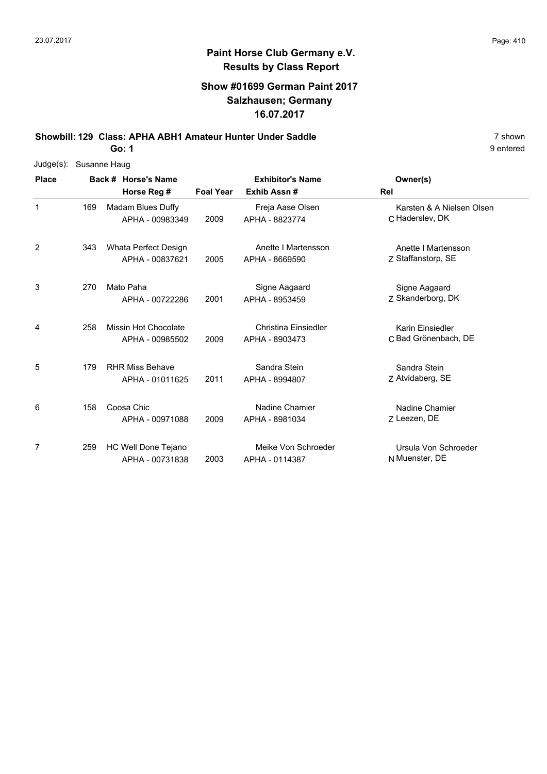## **Show #01699 German Paint 2017 Salzhausen; Germany 16.07.2017**

**Showbill: 129 Class: APHA ABH1 Amateur Hunter Under Saddle** 7 shown

**Go: 1**

| Judge(s):      |     | Susanne Haug             |                  |                             |                           |  |  |  |  |  |  |
|----------------|-----|--------------------------|------------------|-----------------------------|---------------------------|--|--|--|--|--|--|
| <b>Place</b>   |     | Back # Horse's Name      |                  | <b>Exhibitor's Name</b>     | Owner(s)                  |  |  |  |  |  |  |
|                |     | Horse Reg #              | <b>Foal Year</b> | Exhib Assn#                 | Rel                       |  |  |  |  |  |  |
| $\mathbf{1}$   | 169 | <b>Madam Blues Duffy</b> |                  | Freja Aase Olsen            | Karsten & A Nielsen Olsen |  |  |  |  |  |  |
|                |     | APHA - 00983349          | 2009             | APHA - 8823774              | C Haderslev, DK           |  |  |  |  |  |  |
| $\overline{2}$ | 343 | Whata Perfect Design     |                  | Anette I Martensson         | Anette I Martensson       |  |  |  |  |  |  |
|                |     | APHA - 00837621          | 2005             | APHA - 8669590              | Z Staffanstorp, SE        |  |  |  |  |  |  |
| 3              | 270 | Mato Paha                |                  | Signe Aagaard               | Signe Aagaard             |  |  |  |  |  |  |
|                |     | APHA - 00722286          | 2001             | APHA - 8953459              | Z Skanderborg, DK         |  |  |  |  |  |  |
| 4              | 258 | Missin Hot Chocolate     |                  | <b>Christina Einsiedler</b> | Karin Einsiedler          |  |  |  |  |  |  |
|                |     | APHA - 00985502          | 2009             | APHA - 8903473              | C Bad Grönenbach, DE      |  |  |  |  |  |  |
| 5              | 179 | <b>RHR Miss Behave</b>   |                  | Sandra Stein                | Sandra Stein              |  |  |  |  |  |  |
|                |     | APHA - 01011625          | 2011             | APHA - 8994807              | Z Atvidaberg, SE          |  |  |  |  |  |  |
| 6              | 158 | Coosa Chic               |                  | Nadine Chamier              | Nadine Chamier            |  |  |  |  |  |  |
|                |     | APHA - 00971088          | 2009             | APHA - 8981034              | Z Leezen, DE              |  |  |  |  |  |  |
| 7              | 259 | HC Well Done Tejano      |                  | Meike Von Schroeder         | Ursula Von Schroeder      |  |  |  |  |  |  |
|                |     | APHA - 00731838          | 2003             | APHA - 0114387              | N Muenster, DE            |  |  |  |  |  |  |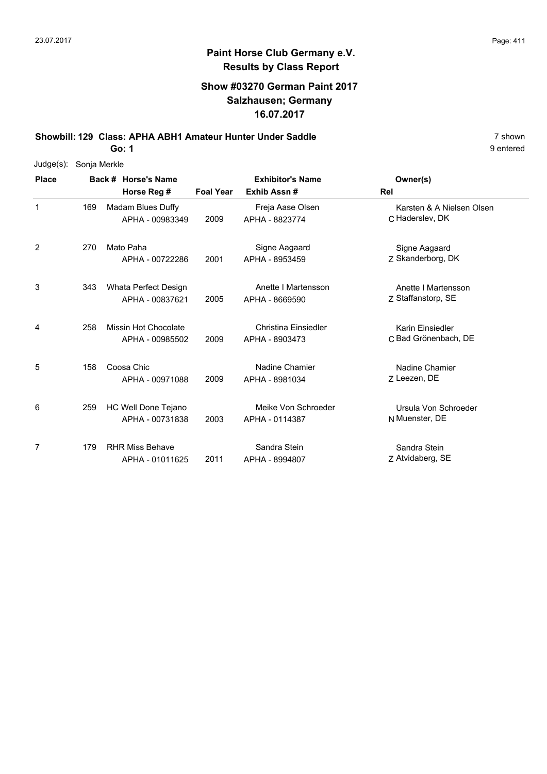## **Show #03270 German Paint 2017 Salzhausen; Germany 16.07.2017**

**Showbill: 129 Class: APHA ABH1 Amateur Hunter Under Saddle** 7 shown

**Go: 1**

| Judge(s):    | Sonja Merkle |                     |                             |                         |                             |                           |
|--------------|--------------|---------------------|-----------------------------|-------------------------|-----------------------------|---------------------------|
| <b>Place</b> |              | Back # Horse's Name |                             | <b>Exhibitor's Name</b> |                             | Owner(s)                  |
|              |              |                     | Horse Reg #                 | <b>Foal Year</b>        | Exhib Assn#                 | Rel                       |
| $\mathbf{1}$ | 169          |                     | Madam Blues Duffy           |                         | Freja Aase Olsen            | Karsten & A Nielsen Olsen |
|              |              |                     | APHA - 00983349             | 2009                    | APHA - 8823774              | C Haderslev, DK           |
| 2            | 270          |                     | Mato Paha                   |                         | Signe Aagaard               | Signe Aagaard             |
|              |              |                     | APHA - 00722286             | 2001                    | APHA - 8953459              | Z Skanderborg, DK         |
| 3            | 343          |                     | Whata Perfect Design        |                         | Anette I Martensson         | Anette I Martensson       |
|              |              |                     | APHA - 00837621             | 2005                    | APHA - 8669590              | Z Staffanstorp, SE        |
| 4            | 258          |                     | <b>Missin Hot Chocolate</b> |                         | <b>Christina Einsiedler</b> | Karin Einsiedler          |
|              |              |                     | APHA - 00985502             | 2009                    | APHA - 8903473              | C Bad Grönenbach, DE      |
| 5            | 158          |                     | Coosa Chic                  |                         | <b>Nadine Chamier</b>       | Nadine Chamier            |
|              |              |                     | APHA - 00971088             | 2009                    | APHA - 8981034              | Z Leezen, DE              |
| 6            | 259          |                     | HC Well Done Tejano         |                         | Meike Von Schroeder         | Ursula Von Schroeder      |
|              |              |                     | APHA - 00731838             | 2003                    | APHA - 0114387              | N Muenster, DE            |
| 7            | 179          |                     | <b>RHR Miss Behave</b>      |                         | Sandra Stein                | Sandra Stein              |
|              |              |                     | APHA - 01011625             | 2011                    | APHA - 8994807              | Z Atvidaberg, SE          |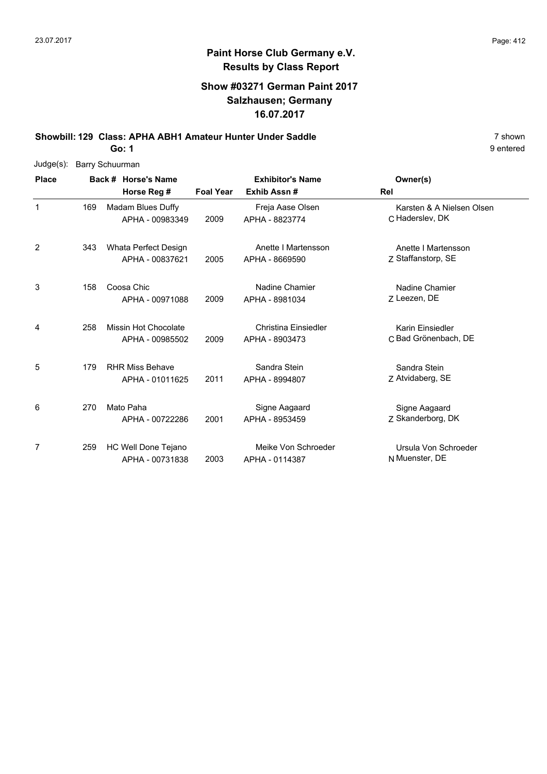## **Show #03271 German Paint 2017 Salzhausen; Germany 16.07.2017**

**Showbill: 129 Class: APHA ABH1 Amateur Hunter Under Saddle** 7 shown

**Go: 1**

| Judge(s):    |     | <b>Barry Schuurman</b> |                            |                  |                             |                           |  |  |  |  |
|--------------|-----|------------------------|----------------------------|------------------|-----------------------------|---------------------------|--|--|--|--|
| <b>Place</b> |     |                        | Back # Horse's Name        |                  | <b>Exhibitor's Name</b>     | Owner(s)                  |  |  |  |  |
|              |     |                        | Horse Reg #                | <b>Foal Year</b> | Exhib Assn#                 | Rel                       |  |  |  |  |
| 1            | 169 |                        | Madam Blues Duffy          |                  | Freja Aase Olsen            | Karsten & A Nielsen Olsen |  |  |  |  |
|              |     |                        | APHA - 00983349            | 2009             | APHA - 8823774              | C Haderslev, DK           |  |  |  |  |
| 2            | 343 |                        | Whata Perfect Design       |                  | Anette I Martensson         | Anette I Martensson       |  |  |  |  |
|              |     |                        | APHA - 00837621            | 2005             | APHA - 8669590              | Z Staffanstorp, SE        |  |  |  |  |
| 3            | 158 |                        | Coosa Chic                 |                  | Nadine Chamier              | Nadine Chamier            |  |  |  |  |
|              |     |                        | APHA - 00971088            | 2009             | APHA - 8981034              | Z Leezen, DE              |  |  |  |  |
| 4            | 258 |                        | Missin Hot Chocolate       |                  | <b>Christina Einsiedler</b> | Karin Einsiedler          |  |  |  |  |
|              |     |                        | APHA - 00985502            | 2009             | APHA - 8903473              | C Bad Grönenbach, DE      |  |  |  |  |
| 5            | 179 |                        | <b>RHR Miss Behave</b>     |                  | Sandra Stein                | Sandra Stein              |  |  |  |  |
|              |     |                        | APHA - 01011625            | 2011             | APHA - 8994807              | Z Atvidaberg, SE          |  |  |  |  |
| 6            | 270 |                        | Mato Paha                  |                  | Signe Aagaard               | Signe Aagaard             |  |  |  |  |
|              |     |                        | APHA - 00722286            | 2001             | APHA - 8953459              | Z Skanderborg, DK         |  |  |  |  |
| 7            | 259 |                        | <b>HC Well Done Tejano</b> |                  | Meike Von Schroeder         | Ursula Von Schroeder      |  |  |  |  |
|              |     |                        | APHA - 00731838            | 2003             | APHA - 0114387              | N Muenster, DE            |  |  |  |  |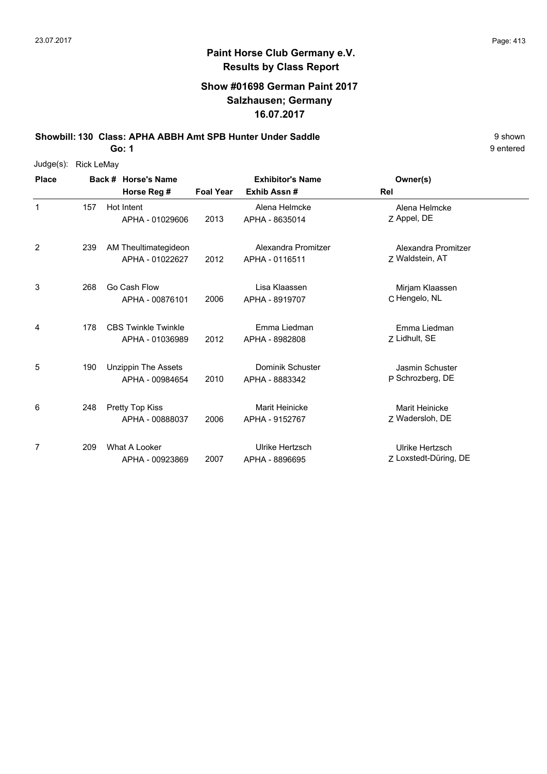### **Show #01698 German Paint 2017 Salzhausen; Germany 16.07.2017**

**Showbill: 130 Class: APHA ABBH Amt SPB Hunter Under Saddle** 9 shown

**Go: 1**

| Judge(s):      | <b>Rick LeMay</b> |                            |                  |                         |                       |
|----------------|-------------------|----------------------------|------------------|-------------------------|-----------------------|
| <b>Place</b>   |                   | Back # Horse's Name        |                  | <b>Exhibitor's Name</b> | Owner(s)              |
|                |                   | Horse Reg #                | <b>Foal Year</b> | Exhib Assn#             | Rel                   |
| $\mathbf{1}$   | 157               | Hot Intent                 |                  | Alena Helmcke           | Alena Helmcke         |
|                |                   | APHA - 01029606            | 2013             | APHA - 8635014          | Z Appel, DE           |
| 2              | 239               | AM Theultimategideon       |                  | Alexandra Promitzer     | Alexandra Promitzer   |
|                |                   | APHA - 01022627            | 2012             | APHA - 0116511          | Z Waldstein, AT       |
| 3              | 268               | Go Cash Flow               |                  | Lisa Klaassen           | Mirjam Klaassen       |
|                |                   | APHA - 00876101            | 2006             | APHA - 8919707          | C Hengelo, NL         |
| 4              | 178               | <b>CBS Twinkle Twinkle</b> |                  | Emma Liedman            | Emma Liedman          |
|                |                   | APHA - 01036989            | 2012             | APHA - 8982808          | Z Lidhult, SE         |
| 5              | 190               | <b>Unzippin The Assets</b> |                  | <b>Dominik Schuster</b> | Jasmin Schuster       |
|                |                   | APHA - 00984654            | 2010             | APHA - 8883342          | P Schrozberg, DE      |
| 6              | 248               | Pretty Top Kiss            |                  | Marit Heinicke          | Marit Heinicke        |
|                |                   | APHA - 00888037            | 2006             | APHA - 9152767          | Z Wadersloh, DE       |
| $\overline{7}$ | 209               | What A Looker              |                  | Ulrike Hertzsch         | Ulrike Hertzsch       |
|                |                   | APHA - 00923869            | 2007             | APHA - 8896695          | Z Loxstedt-Düring, DE |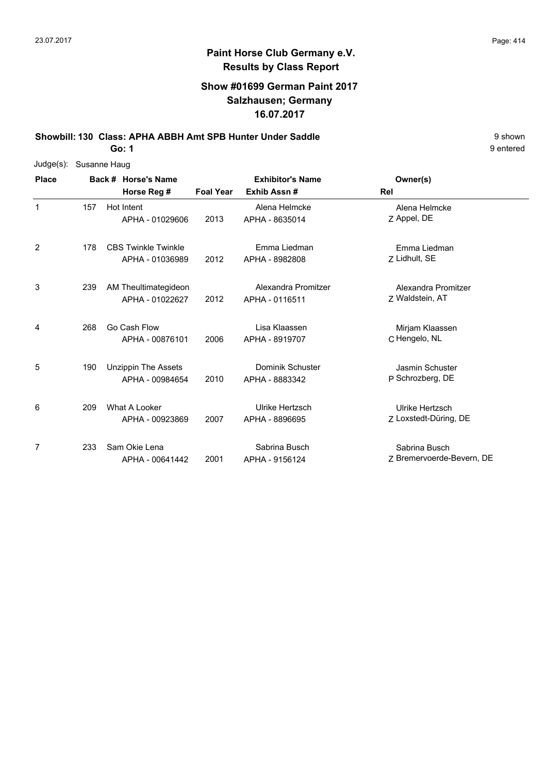### **Show #01699 German Paint 2017 Salzhausen; Germany 16.07.2017**

**Showbill: 130 Class: APHA ABBH Amt SPB Hunter Under Saddle** 9 shown

**Go: 1**

|              |     | Judge(s): Susanne Haug |                            |                  |                         |                           |  |  |  |  |
|--------------|-----|------------------------|----------------------------|------------------|-------------------------|---------------------------|--|--|--|--|
| <b>Place</b> |     |                        | Back # Horse's Name        |                  | <b>Exhibitor's Name</b> | Owner(s)                  |  |  |  |  |
|              |     |                        | Horse Reg #                | <b>Foal Year</b> | Exhib Assn#             | Rel                       |  |  |  |  |
| 1            | 157 |                        | Hot Intent                 |                  | Alena Helmcke           | Alena Helmcke             |  |  |  |  |
|              |     |                        | APHA - 01029606            | 2013             | APHA - 8635014          | Z Appel, DE               |  |  |  |  |
| 2            | 178 |                        | <b>CBS Twinkle Twinkle</b> |                  | Emma Liedman            | Emma Liedman              |  |  |  |  |
|              |     |                        | APHA - 01036989            | 2012             | APHA - 8982808          | Z Lidhult, SE             |  |  |  |  |
| 3            | 239 |                        | AM Theultimategideon       |                  | Alexandra Promitzer     | Alexandra Promitzer       |  |  |  |  |
|              |     |                        | APHA - 01022627            | 2012             | APHA - 0116511          | Z Waldstein, AT           |  |  |  |  |
| 4            | 268 |                        | Go Cash Flow               |                  | Lisa Klaassen           | Mirjam Klaassen           |  |  |  |  |
|              |     |                        | APHA - 00876101            | 2006             | APHA - 8919707          | C Hengelo, NL             |  |  |  |  |
| 5            | 190 |                        | <b>Unzippin The Assets</b> |                  | Dominik Schuster        | Jasmin Schuster           |  |  |  |  |
|              |     |                        | APHA - 00984654            | 2010             | APHA - 8883342          | P Schrozberg, DE          |  |  |  |  |
| 6            | 209 |                        | What A Looker              |                  | Ulrike Hertzsch         | Ulrike Hertzsch           |  |  |  |  |
|              |     |                        | APHA - 00923869            | 2007             | APHA - 8896695          | Z Loxstedt-Düring, DE     |  |  |  |  |
| 7            | 233 |                        | Sam Okie Lena              |                  | Sabrina Busch           | Sabrina Busch             |  |  |  |  |
|              |     |                        | APHA - 00641442            | 2001             | APHA - 9156124          | Z Bremervoerde-Bevern, DE |  |  |  |  |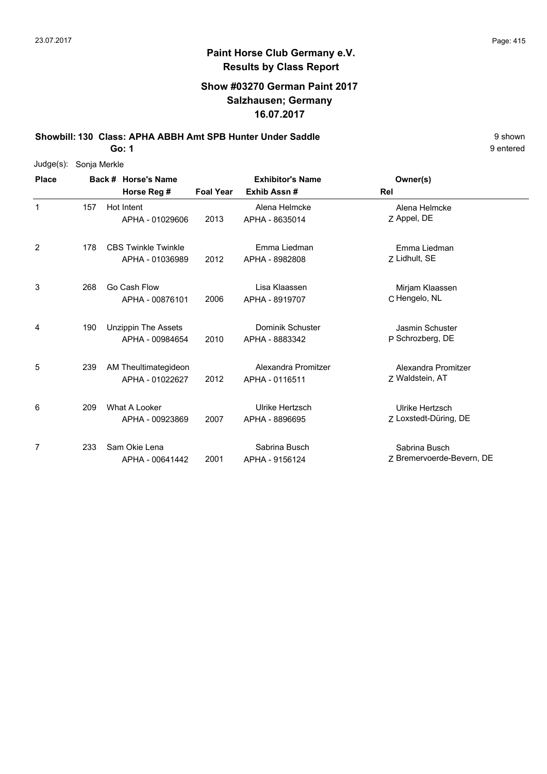### **Show #03270 German Paint 2017 Salzhausen; Germany 16.07.2017**

**Showbill: 130 Class: APHA ABBH Amt SPB Hunter Under Saddle** 9 shown

**Go: 1**

| $Judge(s)$ : | Sonja Merkle |                            |                  |                         |                           |
|--------------|--------------|----------------------------|------------------|-------------------------|---------------------------|
| <b>Place</b> |              | Back # Horse's Name        |                  | <b>Exhibitor's Name</b> | Owner(s)                  |
|              |              | Horse Reg #                | <b>Foal Year</b> | Exhib Assn#             | Rel                       |
| $\mathbf{1}$ | 157          | Hot Intent                 |                  | Alena Helmcke           | Alena Helmcke             |
|              |              | APHA - 01029606            | 2013             | APHA - 8635014          | Z Appel, DE               |
| 2            | 178          | <b>CBS Twinkle Twinkle</b> |                  | Emma Liedman            | Emma Liedman              |
|              |              | APHA - 01036989            | 2012             | APHA - 8982808          | Z Lidhult, SE             |
| 3            | 268          | Go Cash Flow               |                  | Lisa Klaassen           | Mirjam Klaassen           |
|              |              | APHA - 00876101            | 2006             | APHA - 8919707          | C Hengelo, NL             |
| 4            | 190          | <b>Unzippin The Assets</b> |                  | <b>Dominik Schuster</b> | Jasmin Schuster           |
|              |              | APHA - 00984654            | 2010             | APHA - 8883342          | P Schrozberg, DE          |
| 5            | 239          | AM Theultimategideon       |                  | Alexandra Promitzer     | Alexandra Promitzer       |
|              |              | APHA - 01022627            | 2012             | APHA - 0116511          | Z Waldstein, AT           |
| 6            | 209          | What A Looker              |                  | Ulrike Hertzsch         | Ulrike Hertzsch           |
|              |              | APHA - 00923869            | 2007             | APHA - 8896695          | Z Loxstedt-Düring, DE     |
| 7            | 233          | Sam Okie Lena              |                  | Sabrina Busch           | Sabrina Busch             |
|              |              | APHA - 00641442            | 2001             | APHA - 9156124          | Z Bremervoerde-Bevern, DE |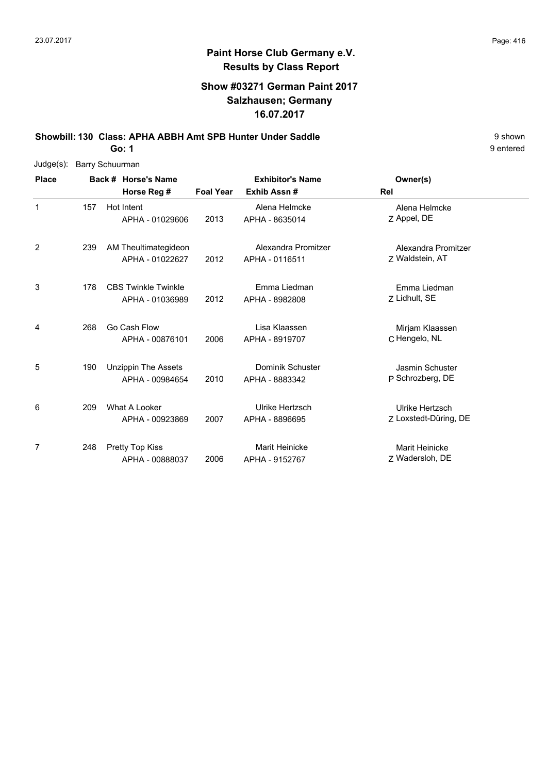### **Show #03271 German Paint 2017 Salzhausen; Germany 16.07.2017**

**Showbill: 130 Class: APHA ABBH Amt SPB Hunter Under Saddle** 9 shown

**Go: 1**

| $Judge(s)$ : | <b>Barry Schuurman</b> |  |                            |                  |                         |                       |  |  |  |
|--------------|------------------------|--|----------------------------|------------------|-------------------------|-----------------------|--|--|--|
| <b>Place</b> |                        |  | Back # Horse's Name        |                  | <b>Exhibitor's Name</b> | Owner(s)              |  |  |  |
|              |                        |  | Horse Reg #                | <b>Foal Year</b> | Exhib Assn#             | Rel                   |  |  |  |
| $\mathbf{1}$ | 157                    |  | Hot Intent                 |                  | Alena Helmcke           | Alena Helmcke         |  |  |  |
|              |                        |  | APHA - 01029606            | 2013             | APHA - 8635014          | Z Appel, DE           |  |  |  |
| 2            | 239                    |  | AM Theultimategideon       |                  | Alexandra Promitzer     | Alexandra Promitzer   |  |  |  |
|              |                        |  | APHA - 01022627            | 2012             | APHA - 0116511          | Z Waldstein, AT       |  |  |  |
| 3            | 178                    |  | <b>CBS Twinkle Twinkle</b> |                  | Emma Liedman            | Emma Liedman          |  |  |  |
|              |                        |  | APHA - 01036989            | 2012             | APHA - 8982808          | Z Lidhult, SE         |  |  |  |
| 4            | 268                    |  | Go Cash Flow               |                  | Lisa Klaassen           | Mirjam Klaassen       |  |  |  |
|              |                        |  | APHA - 00876101            | 2006             | APHA - 8919707          | C Hengelo, NL         |  |  |  |
| 5            | 190                    |  | <b>Unzippin The Assets</b> |                  | Dominik Schuster        | Jasmin Schuster       |  |  |  |
|              |                        |  | APHA - 00984654            | 2010             | APHA - 8883342          | P Schrozberg, DE      |  |  |  |
| 6            | 209                    |  | What A Looker              |                  | Ulrike Hertzsch         | Ulrike Hertzsch       |  |  |  |
|              |                        |  | APHA - 00923869            | 2007             | APHA - 8896695          | Z Loxstedt-Düring, DE |  |  |  |
| 7            | 248                    |  | <b>Pretty Top Kiss</b>     |                  | <b>Marit Heinicke</b>   | <b>Marit Heinicke</b> |  |  |  |
|              |                        |  | APHA - 00888037            | 2006             | APHA - 9152767          | Z Wadersloh, DE       |  |  |  |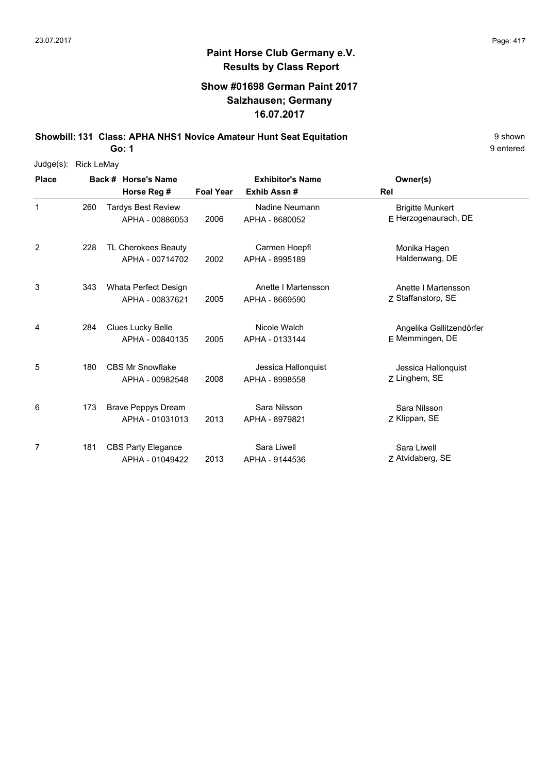## **Show #01698 German Paint 2017 Salzhausen; Germany 16.07.2017**

**Showbill: 131 Class: APHA NHS1 Novice Amateur Hunt Seat Equitation** 9 Shown

**Go: 1**

| Judge(s):    | <b>Rick LeMay</b> |                           |                  |                         |                          |
|--------------|-------------------|---------------------------|------------------|-------------------------|--------------------------|
| <b>Place</b> |                   | Back # Horse's Name       |                  | <b>Exhibitor's Name</b> | Owner(s)                 |
|              |                   | Horse Reg #               | <b>Foal Year</b> | Exhib Assn#             | <b>Rel</b>               |
| $\mathbf{1}$ | 260               | <b>Tardys Best Review</b> |                  | Nadine Neumann          | <b>Brigitte Munkert</b>  |
|              |                   | APHA - 00886053           | 2006             | APHA - 8680052          | E Herzogenaurach, DE     |
| 2            | 228               | TL Cherokees Beauty       |                  | Carmen Hoepfl           | Monika Hagen             |
|              |                   | APHA - 00714702           | 2002             | APHA - 8995189          | Haldenwang, DE           |
| 3            | 343               | Whata Perfect Design      |                  | Anette I Martensson     | Anette I Martensson      |
|              |                   | APHA - 00837621           | 2005             | APHA - 8669590          | Z Staffanstorp, SE       |
| 4            | 284               | <b>Clues Lucky Belle</b>  |                  | Nicole Walch            | Angelika Gallitzendörfer |
|              |                   | APHA - 00840135           | 2005             | APHA - 0133144          | E Memmingen, DE          |
| 5            | 180               | <b>CBS Mr Snowflake</b>   |                  | Jessica Hallonquist     | Jessica Hallonquist      |
|              |                   | APHA - 00982548           | 2008             | APHA - 8998558          | Z Linghem, SE            |
| 6            | 173               | <b>Brave Peppys Dream</b> |                  | Sara Nilsson            | Sara Nilsson             |
|              |                   | APHA - 01031013           | 2013             | APHA - 8979821          | Z Klippan, SE            |
| 7            | 181               | <b>CBS Party Elegance</b> |                  | Sara Liwell             | Sara Liwell              |
|              |                   | APHA - 01049422           | 2013             | APHA - 9144536          | Z Atvidaberg, SE         |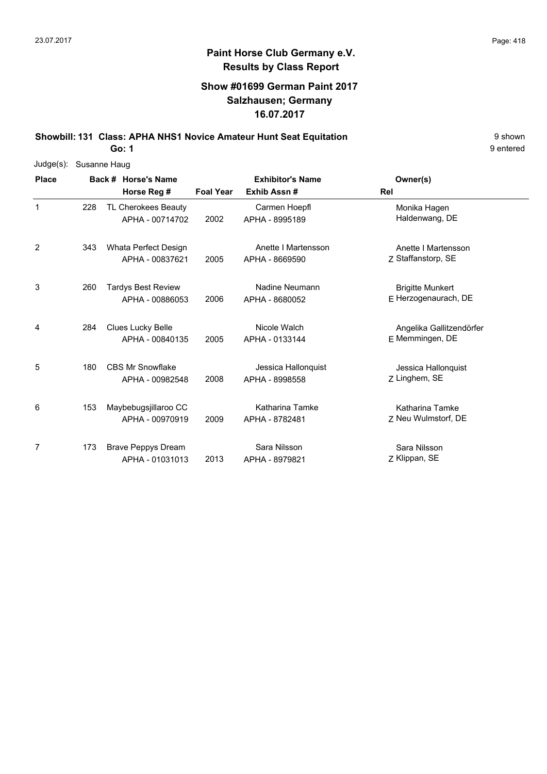## **Show #01699 German Paint 2017 Salzhausen; Germany 16.07.2017**

**Showbill: 131 Class: APHA NHS1 Novice Amateur Hunt Seat Equitation** 9 Shown 9 shown

**Go: 1**

| Judge(s):    | Susanne Haug |                                              |                  |                                       |                                                 |  |  |  |  |
|--------------|--------------|----------------------------------------------|------------------|---------------------------------------|-------------------------------------------------|--|--|--|--|
| <b>Place</b> |              | Back # Horse's Name                          |                  | <b>Exhibitor's Name</b>               | Owner(s)                                        |  |  |  |  |
|              |              | Horse Reg #                                  | <b>Foal Year</b> | Exhib Assn#                           | Rel                                             |  |  |  |  |
| $\mathbf{1}$ | 228          | TL Cherokees Beauty<br>APHA - 00714702       | 2002             | Carmen Hoepfl<br>APHA - 8995189       | Monika Hagen<br>Haldenwang, DE                  |  |  |  |  |
| 2            | 343          | Whata Perfect Design<br>APHA - 00837621      | 2005             | Anette I Martensson<br>APHA - 8669590 | Anette I Martensson<br>Z Staffanstorp, SE       |  |  |  |  |
| 3            | 260          | <b>Tardys Best Review</b><br>APHA - 00886053 | 2006             | Nadine Neumann<br>APHA - 8680052      | <b>Brigitte Munkert</b><br>E Herzogenaurach, DE |  |  |  |  |
| 4            | 284          | Clues Lucky Belle<br>APHA - 00840135         | 2005             | Nicole Walch<br>APHA - 0133144        | Angelika Gallitzendörfer<br>E Memmingen, DE     |  |  |  |  |
| 5            | 180          | <b>CBS Mr Snowflake</b><br>APHA - 00982548   | 2008             | Jessica Hallonquist<br>APHA - 8998558 | Jessica Hallonquist<br>Z Linghem, SE            |  |  |  |  |
| 6            | 153          | Maybebugsjillaroo CC<br>APHA - 00970919      | 2009             | Katharina Tamke<br>APHA - 8782481     | Katharina Tamke<br>Z Neu Wulmstorf, DE          |  |  |  |  |
| 7            | 173          | <b>Brave Peppys Dream</b><br>APHA - 01031013 | 2013             | Sara Nilsson<br>APHA - 8979821        | Sara Nilsson<br>Z Klippan, SE                   |  |  |  |  |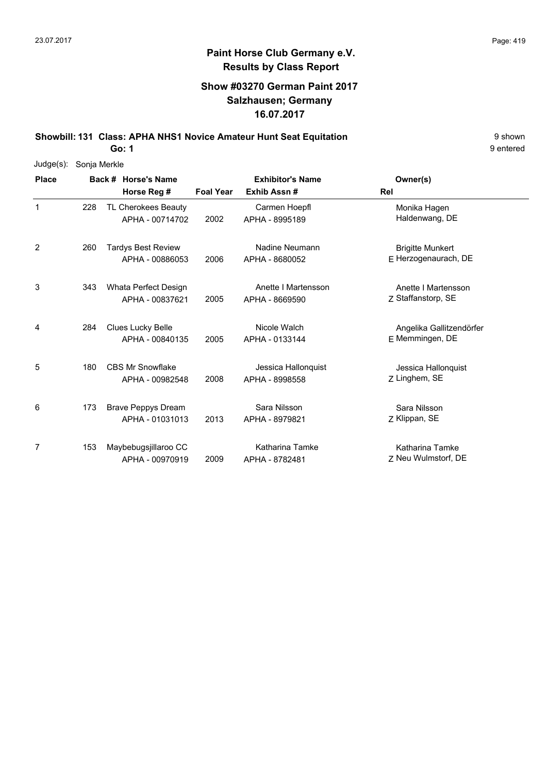## **Show #03270 German Paint 2017 Salzhausen; Germany 16.07.2017**

**Showbill: 131 Class: APHA NHS1 Novice Amateur Hunt Seat Equitation** 9 Shown

**Go: 1**

| Judge(s):    | Sonja Merkle |                           |                  |                         |                          |
|--------------|--------------|---------------------------|------------------|-------------------------|--------------------------|
| <b>Place</b> |              | Back # Horse's Name       |                  | <b>Exhibitor's Name</b> | Owner(s)                 |
|              |              | Horse Reg #               | <b>Foal Year</b> | Exhib Assn#             | <b>Rel</b>               |
| $\mathbf{1}$ | 228          | TL Cherokees Beauty       |                  | Carmen Hoepfl           | Monika Hagen             |
|              |              | APHA - 00714702           | 2002             | APHA - 8995189          | Haldenwang, DE           |
| 2            | 260          | <b>Tardys Best Review</b> |                  | Nadine Neumann          | <b>Brigitte Munkert</b>  |
|              |              | APHA - 00886053           | 2006             | APHA - 8680052          | $E$ Herzogenaurach, DE   |
| 3            | 343          | Whata Perfect Design      |                  | Anette I Martensson     | Anette I Martensson      |
|              |              | APHA - 00837621           | 2005             | APHA - 8669590          | Z Staffanstorp, SE       |
| 4            | 284          | Clues Lucky Belle         |                  | Nicole Walch            | Angelika Gallitzendörfer |
|              |              | APHA - 00840135           | 2005             | APHA - 0133144          | E Memmingen, DE          |
| 5            | 180          | <b>CBS Mr Snowflake</b>   |                  | Jessica Hallonquist     | Jessica Hallonquist      |
|              |              | APHA - 00982548           | 2008             | APHA - 8998558          | Z Linghem, SE            |
| 6            | 173          | <b>Brave Peppys Dream</b> |                  | Sara Nilsson            | Sara Nilsson             |
|              |              | APHA - 01031013           | 2013             | APHA - 8979821          | Z Klippan, SE            |
| 7            | 153          | Maybebugsjillaroo CC      |                  | Katharina Tamke         | Katharina Tamke          |
|              |              | APHA - 00970919           | 2009             | APHA - 8782481          | Z Neu Wulmstorf, DE      |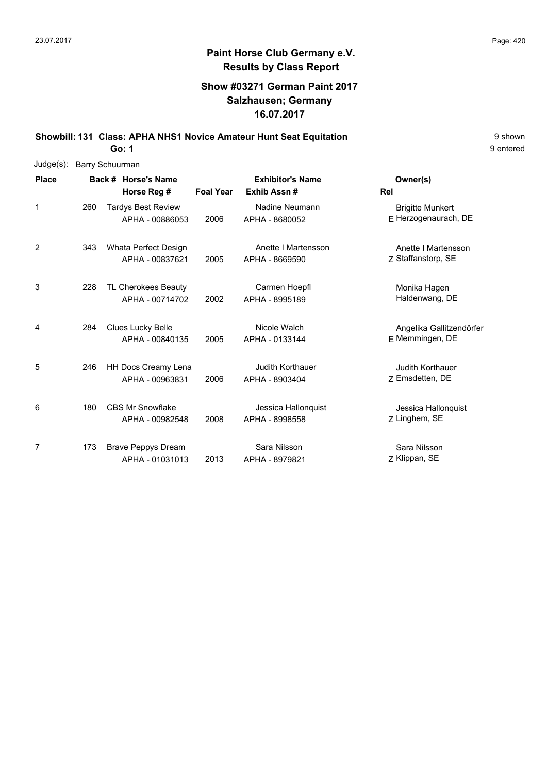## **Show #03271 German Paint 2017 Salzhausen; Germany 16.07.2017**

**Showbill: 131 Class: APHA NHS1 Novice Amateur Hunt Seat Equitation** 9 Shown **Go: 1**

| Judge(s):    |     | <b>Barry Schuurman</b> |                            |                  |                         |                          |  |  |  |  |
|--------------|-----|------------------------|----------------------------|------------------|-------------------------|--------------------------|--|--|--|--|
| <b>Place</b> |     |                        | Back # Horse's Name        |                  | <b>Exhibitor's Name</b> | Owner(s)                 |  |  |  |  |
|              |     |                        | Horse Reg #                | <b>Foal Year</b> | Exhib Assn#             | <b>Rel</b>               |  |  |  |  |
| $\mathbf{1}$ | 260 |                        | <b>Tardys Best Review</b>  |                  | Nadine Neumann          | <b>Brigitte Munkert</b>  |  |  |  |  |
|              |     |                        | APHA - 00886053            | 2006             | APHA - 8680052          | E Herzogenaurach, DE     |  |  |  |  |
| 2            | 343 |                        | Whata Perfect Design       |                  | Anette I Martensson     | Anette I Martensson      |  |  |  |  |
|              |     |                        | APHA - 00837621            | 2005             | APHA - 8669590          | Z Staffanstorp, SE       |  |  |  |  |
| 3            | 228 |                        | <b>TL Cherokees Beauty</b> |                  | Carmen Hoepfl           | Monika Hagen             |  |  |  |  |
|              |     |                        | APHA - 00714702            | 2002             | APHA - 8995189          | Haldenwang, DE           |  |  |  |  |
| 4            | 284 |                        | Clues Lucky Belle          |                  | Nicole Walch            | Angelika Gallitzendörfer |  |  |  |  |
|              |     |                        | APHA - 00840135            | 2005             | APHA - 0133144          | E Memmingen, DE          |  |  |  |  |
| 5            | 246 |                        | <b>HH Docs Creamy Lena</b> |                  | <b>Judith Korthauer</b> | Judith Korthauer         |  |  |  |  |
|              |     |                        | APHA - 00963831            | 2006             | APHA - 8903404          | Z Emsdetten, DE          |  |  |  |  |
| 6            | 180 |                        | <b>CBS Mr Snowflake</b>    |                  | Jessica Hallonquist     | Jessica Hallonquist      |  |  |  |  |
|              |     |                        | APHA - 00982548            | 2008             | APHA - 8998558          | Z Linghem, SE            |  |  |  |  |
| 7            | 173 |                        | <b>Brave Peppys Dream</b>  |                  | Sara Nilsson            | Sara Nilsson             |  |  |  |  |
|              |     |                        | APHA - 01031013            | 2013             | APHA - 8979821          | Z Klippan, SE            |  |  |  |  |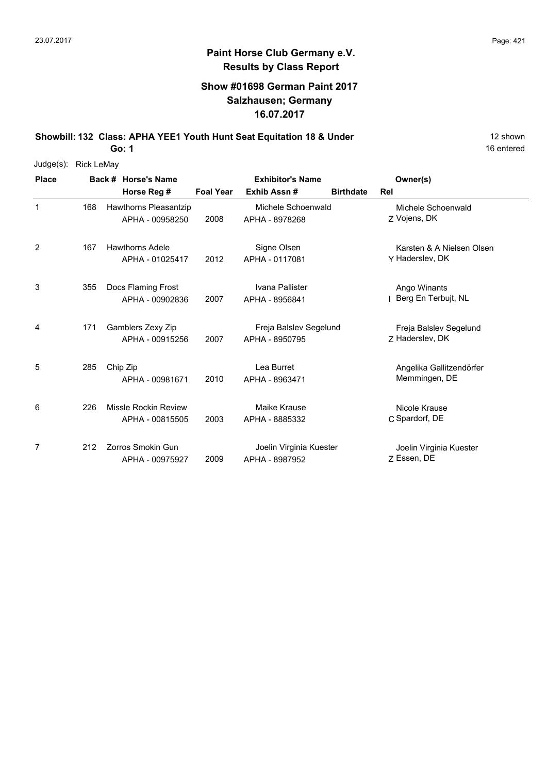# **Paint Horse Club Germany e.V. Results by Class Report**

## **Show #01698 German Paint 2017 Salzhausen; Germany 16.07.2017**

**Showbill: 132 Class: APHA YEE1 Youth Hunt Seat Equitation 18 & Under** 12 Shown 12 shown

| Judge(s):    | <b>Rick LeMay</b> |                        |                  |                         |                  |                           |
|--------------|-------------------|------------------------|------------------|-------------------------|------------------|---------------------------|
| <b>Place</b> |                   | Back # Horse's Name    |                  | <b>Exhibitor's Name</b> |                  | Owner(s)                  |
|              |                   | Horse Reg #            | <b>Foal Year</b> | Exhib Assn#             | <b>Birthdate</b> | Rel                       |
| 1            | 168               | Hawthorns Pleasantzip  |                  | Michele Schoenwald      |                  | Michele Schoenwald        |
|              |                   | APHA - 00958250        | 2008             | APHA - 8978268          |                  | Z Vojens, DK              |
| 2            | 167               | <b>Hawthorns Adele</b> |                  | Signe Olsen             |                  | Karsten & A Nielsen Olsen |
|              |                   | APHA - 01025417        | 2012             | APHA - 0117081          |                  | Y Haderslev, DK           |
| 3            | 355               | Docs Flaming Frost     |                  | Ivana Pallister         |                  | Ango Winants              |
|              |                   | APHA - 00902836        | 2007             | APHA - 8956841          |                  | Berg En Terbujt, NL       |
| 4            | 171               | Gamblers Zexy Zip      |                  | Freja Balslev Segelund  |                  | Freja Balslev Segelund    |
|              |                   | APHA - 00915256        | 2007             | APHA - 8950795          |                  | Z Haderslev, DK           |
| 5            | 285               | Chip Zip               |                  | Lea Burret              |                  | Angelika Gallitzendörfer  |
|              |                   | APHA - 00981671        | 2010             | APHA - 8963471          |                  | Memmingen, DE             |
| 6            | 226               | Missle Rockin Review   |                  | Maike Krause            |                  | Nicole Krause             |
|              |                   | APHA - 00815505        | 2003             | APHA - 8885332          |                  | C Spardorf, DE            |
| 7            | 212               | Zorros Smokin Gun      |                  | Joelin Virginia Kuester |                  | Joelin Virginia Kuester   |
|              |                   | APHA - 00975927        | 2009             | APHA - 8987952          |                  | Z Essen, DE               |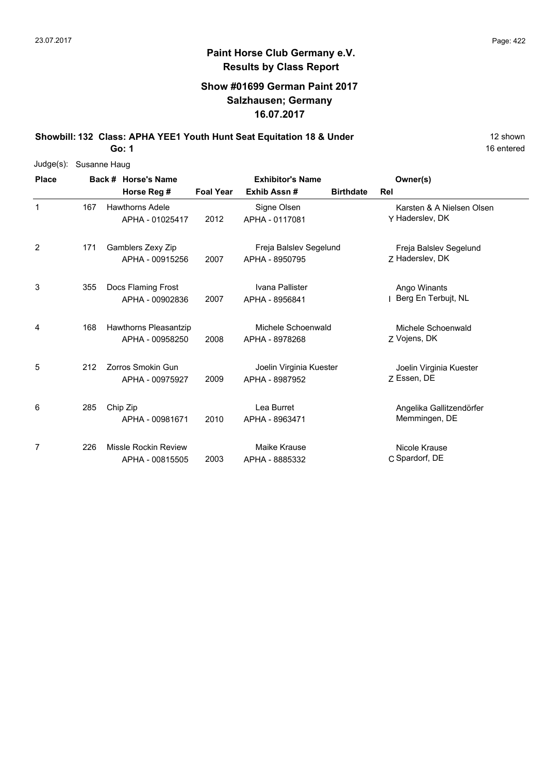# **Paint Horse Club Germany e.V. Results by Class Report**

## **Show #01699 German Paint 2017 Salzhausen; Germany 16.07.2017**

**Showbill: 132 Class: APHA YEE1 Youth Hunt Seat Equitation 18 & Under** 12 Shown 12 shown

| Judge(s):    | Susanne Haug |  |                                    |                                                                                |                         |  |                           |  |  |
|--------------|--------------|--|------------------------------------|--------------------------------------------------------------------------------|-------------------------|--|---------------------------|--|--|
| <b>Place</b> |              |  | Back # Horse's Name<br>Horse Reg # | <b>Exhibitor's Name</b><br><b>Foal Year</b><br>Exhib Assn#<br><b>Birthdate</b> |                         |  | Owner(s)<br>Rel           |  |  |
|              |              |  |                                    |                                                                                |                         |  |                           |  |  |
| 1            | 167          |  | <b>Hawthorns Adele</b>             |                                                                                | Signe Olsen             |  | Karsten & A Nielsen Olsen |  |  |
|              |              |  | APHA - 01025417                    | 2012                                                                           | APHA - 0117081          |  | Y Haderslev, DK           |  |  |
| 2            | 171          |  | Gamblers Zexy Zip                  |                                                                                | Freja Balslev Segelund  |  | Freja Balslev Segelund    |  |  |
|              |              |  | APHA - 00915256                    | 2007                                                                           | APHA - 8950795          |  | Z Haderslev, DK           |  |  |
| 3            | 355          |  | Docs Flaming Frost                 |                                                                                | Ivana Pallister         |  | Ango Winants              |  |  |
|              |              |  | APHA - 00902836                    | 2007                                                                           | APHA - 8956841          |  | Berg En Terbujt, NL       |  |  |
| 4            | 168          |  | Hawthorns Pleasantzip              |                                                                                | Michele Schoenwald      |  | Michele Schoenwald        |  |  |
|              |              |  | APHA - 00958250                    | 2008                                                                           | APHA - 8978268          |  | Z Vojens, DK              |  |  |
| 5            | 212          |  | Zorros Smokin Gun                  |                                                                                | Joelin Virginia Kuester |  | Joelin Virginia Kuester   |  |  |
|              |              |  | APHA - 00975927                    | 2009                                                                           | APHA - 8987952          |  | 7 Essen, DE               |  |  |
| 6            | 285          |  | Chip Zip                           |                                                                                | Lea Burret              |  | Angelika Gallitzendörfer  |  |  |
|              |              |  | APHA - 00981671                    | 2010                                                                           | APHA - 8963471          |  | Memmingen, DE             |  |  |
| 7            | 226          |  | <b>Missle Rockin Review</b>        |                                                                                | Maike Krause            |  | Nicole Krause             |  |  |
|              |              |  | APHA - 00815505                    | 2003                                                                           | APHA - 8885332          |  | C Spardorf, DE            |  |  |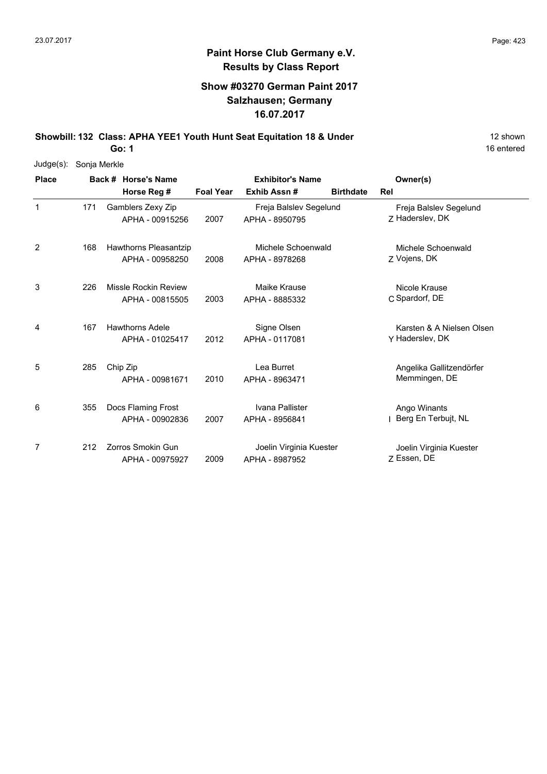## **Paint Horse Club Germany e.V. Results by Class Report**

## **Show #03270 German Paint 2017 Salzhausen; Germany 16.07.2017**

**Showbill: 132 Class: APHA YEE1 Youth Hunt Seat Equitation 18 & Under** 12 Shown

| $Judge(s)$ : | Sonja Merkle |                             |                         |                         |                  |                           |
|--------------|--------------|-----------------------------|-------------------------|-------------------------|------------------|---------------------------|
| <b>Place</b> |              | Back # Horse's Name         | <b>Exhibitor's Name</b> |                         |                  | Owner(s)                  |
|              |              | Horse Reg #                 | <b>Foal Year</b>        | Exhib Assn#             | <b>Birthdate</b> | Rel                       |
| 1            | 171          | Gamblers Zexy Zip           |                         | Freja Balslev Segelund  |                  | Freja Balslev Segelund    |
|              |              | APHA - 00915256             | 2007                    | APHA - 8950795          |                  | 7 Haderslev, DK           |
| 2            | 168          | Hawthorns Pleasantzip       |                         | Michele Schoenwald      |                  | Michele Schoenwald        |
|              |              | APHA - 00958250             | 2008                    | APHA - 8978268          |                  | Z Vojens, DK              |
| 3            | 226          | <b>Missle Rockin Review</b> |                         | <b>Maike Krause</b>     |                  | Nicole Krause             |
|              |              | APHA - 00815505             | 2003                    | APHA - 8885332          |                  | C Spardorf, DE            |
| 4            | 167          | <b>Hawthorns Adele</b>      |                         | Signe Olsen             |                  | Karsten & A Nielsen Olsen |
|              |              | APHA - 01025417             | 2012                    | APHA - 0117081          |                  | Y Haderslev, DK           |
| 5            | 285          | Chip Zip                    |                         | Lea Burret              |                  | Angelika Gallitzendörfer  |
|              |              | APHA - 00981671             | 2010                    | APHA - 8963471          |                  | Memmingen, DE             |
| 6            | 355          | Docs Flaming Frost          |                         | Ivana Pallister         |                  | Ango Winants              |
|              |              | APHA - 00902836             | 2007                    | APHA - 8956841          |                  | Berg En Terbujt, NL       |
| 7            | 212          | Zorros Smokin Gun           |                         | Joelin Virginia Kuester |                  | Joelin Virginia Kuester   |
|              |              | APHA - 00975927             | 2009                    | APHA - 8987952          |                  | Z Essen, DE               |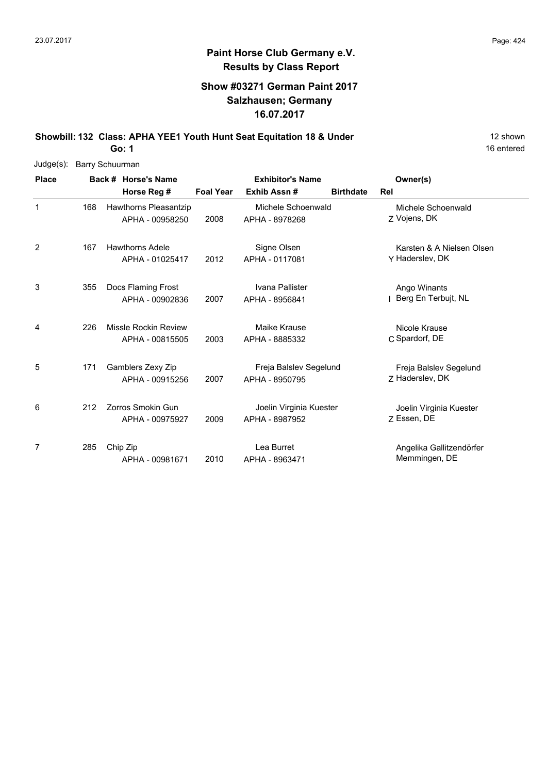# **Paint Horse Club Germany e.V. Results by Class Report**

## **Show #03271 German Paint 2017 Salzhausen; Germany 16.07.2017**

**Showbill: 132 Class: APHA YEE1 Youth Hunt Seat Equitation 18 & Under** 12 Shown 12 shown

| Judge(s):    | Barry Schuurman |  |                        |                  |                         |                  |                           |  |  |  |
|--------------|-----------------|--|------------------------|------------------|-------------------------|------------------|---------------------------|--|--|--|
| <b>Place</b> |                 |  | Back # Horse's Name    |                  | <b>Exhibitor's Name</b> |                  | Owner(s)                  |  |  |  |
|              |                 |  | Horse Reg #            | <b>Foal Year</b> | Exhib Assn#             | <b>Birthdate</b> | Rel                       |  |  |  |
| $\mathbf 1$  | 168             |  | Hawthorns Pleasantzip  |                  | Michele Schoenwald      |                  | Michele Schoenwald        |  |  |  |
|              |                 |  | APHA - 00958250        | 2008             | APHA - 8978268          |                  | Z Vojens, DK              |  |  |  |
| 2            | 167             |  | <b>Hawthorns Adele</b> |                  | Signe Olsen             |                  | Karsten & A Nielsen Olsen |  |  |  |
|              |                 |  | APHA - 01025417        | 2012             | APHA - 0117081          |                  | Y Haderslev, DK           |  |  |  |
| 3            | 355             |  | Docs Flaming Frost     |                  | Ivana Pallister         |                  | Ango Winants              |  |  |  |
|              |                 |  | APHA - 00902836        | 2007             | APHA - 8956841          |                  | Berg En Terbujt, NL       |  |  |  |
| 4            | 226             |  | Missle Rockin Review   |                  | Maike Krause            |                  | Nicole Krause             |  |  |  |
|              |                 |  | APHA - 00815505        | 2003             | APHA - 8885332          |                  | C Spardorf, DE            |  |  |  |
| 5            | 171             |  | Gamblers Zexy Zip      |                  | Freja Balslev Segelund  |                  | Freja Balslev Segelund    |  |  |  |
|              |                 |  | APHA - 00915256        | 2007             | APHA - 8950795          |                  | 7 Haderslev, DK           |  |  |  |
| 6            | 212             |  | Zorros Smokin Gun      |                  | Joelin Virginia Kuester |                  | Joelin Virginia Kuester   |  |  |  |
|              |                 |  | APHA - 00975927        | 2009             | APHA - 8987952          |                  | Z Essen, DE               |  |  |  |
| 7            | 285             |  | Chip Zip               |                  | Lea Burret              |                  | Angelika Gallitzendörfer  |  |  |  |
|              |                 |  | APHA - 00981671        | 2010             | APHA - 8963471          |                  | Memmingen, DE             |  |  |  |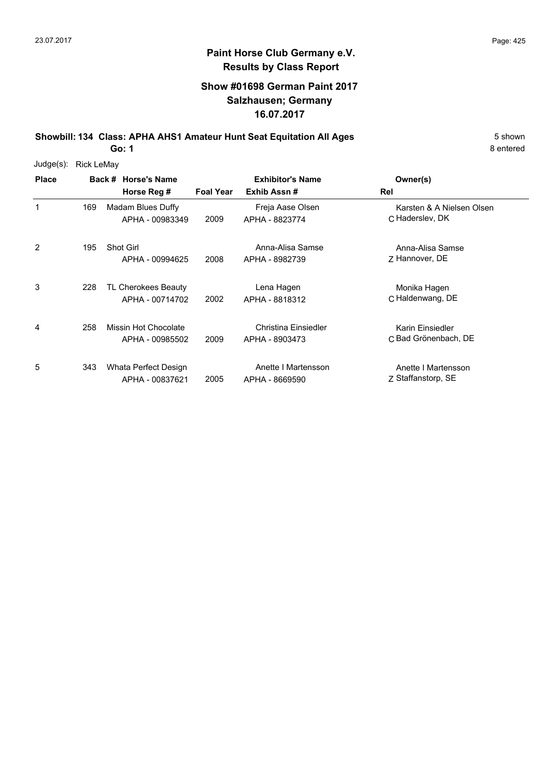# **Paint Horse Club Germany e.V. Results by Class Report**

## **Show #01698 German Paint 2017 Salzhausen; Germany 16.07.2017**

**Showbill: 134 Class: APHA AHS1 Amateur Hunt Seat Equitation All Ages** 5 Shown

| $Judge(s)$ : | <b>Rick LeMay</b> |                                         |                  |                                        |                                              |
|--------------|-------------------|-----------------------------------------|------------------|----------------------------------------|----------------------------------------------|
| <b>Place</b> |                   | Back # Horse's Name<br>Horse Reg #      | <b>Foal Year</b> | <b>Exhibitor's Name</b><br>Exhib Assn# | Owner(s)<br>Rel                              |
| 1            | 169               | Madam Blues Duffy<br>APHA - 00983349    | 2009             | Freja Aase Olsen<br>APHA - 8823774     | Karsten & A Nielsen Olsen<br>C Haderslev, DK |
| 2            | 195               | <b>Shot Girl</b><br>APHA - 00994625     | 2008             | Anna-Alisa Samse<br>APHA - 8982739     | Anna-Alisa Samse<br>Z Hannover, DE           |
| 3            | 228               | TL Cherokees Beauty<br>APHA - 00714702  | 2002             | Lena Hagen<br>APHA - 8818312           | Monika Hagen<br>C Haldenwang, DE             |
| 4            | 258               | Missin Hot Chocolate<br>APHA - 00985502 | 2009             | Christina Einsiedler<br>APHA - 8903473 | Karin Einsiedler<br>C Bad Grönenbach, DE     |
| 5            | 343               | Whata Perfect Design<br>APHA - 00837621 | 2005             | Anette I Martensson<br>APHA - 8669590  | Anette I Martensson<br>Z Staffanstorp, SE    |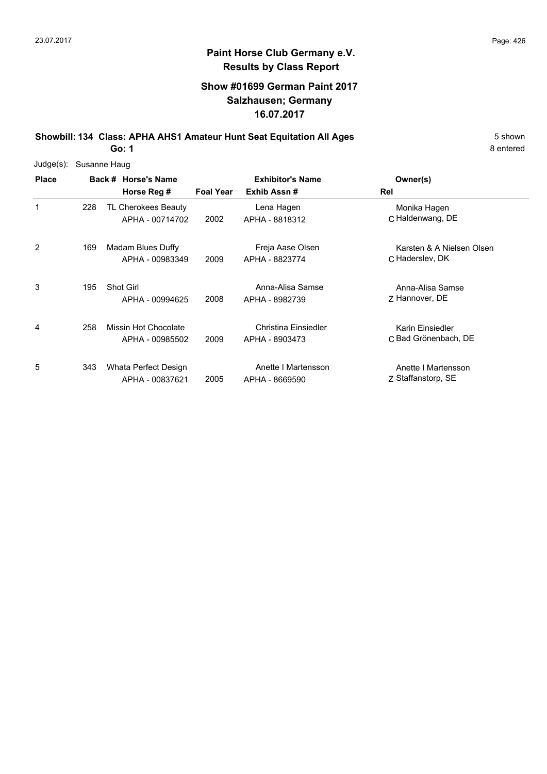8 entered

# **Paint Horse Club Germany e.V. Results by Class Report**

## **Show #01699 German Paint 2017 Salzhausen; Germany 16.07.2017**

**Showbill: 134 Class: APHA AHS1 Amateur Hunt Seat Equitation All Ages** 5 Shown

| Judge(s):    | Susanne Haug |                                         |                  |                                        |                                              |  |  |  |  |
|--------------|--------------|-----------------------------------------|------------------|----------------------------------------|----------------------------------------------|--|--|--|--|
| <b>Place</b> |              | Back # Horse's Name<br>Horse Reg #      | <b>Foal Year</b> | <b>Exhibitor's Name</b><br>Exhib Assn# | Owner(s)<br>Rel                              |  |  |  |  |
| 1            | 228          | TL Cherokees Beauty<br>APHA - 00714702  | 2002             | Lena Hagen<br>APHA - 8818312           | Monika Hagen<br>C Haldenwang, DE             |  |  |  |  |
| 2            | 169          | Madam Blues Duffy<br>APHA - 00983349    | 2009             | Freja Aase Olsen<br>APHA - 8823774     | Karsten & A Nielsen Olsen<br>C Haderslev, DK |  |  |  |  |
| 3            | 195          | <b>Shot Girl</b><br>APHA - 00994625     | 2008             | Anna-Alisa Samse<br>APHA - 8982739     | Anna-Alisa Samse<br>Z Hannover, DE           |  |  |  |  |
| 4            | 258          | Missin Hot Chocolate<br>APHA - 00985502 | 2009             | Christina Einsiedler<br>APHA - 8903473 | Karin Einsiedler<br>C Bad Grönenbach, DE     |  |  |  |  |
| 5            | 343          | Whata Perfect Design<br>APHA - 00837621 | 2005             | Anette I Martensson<br>APHA - 8669590  | Anette I Martensson<br>Z Staffanstorp, SE    |  |  |  |  |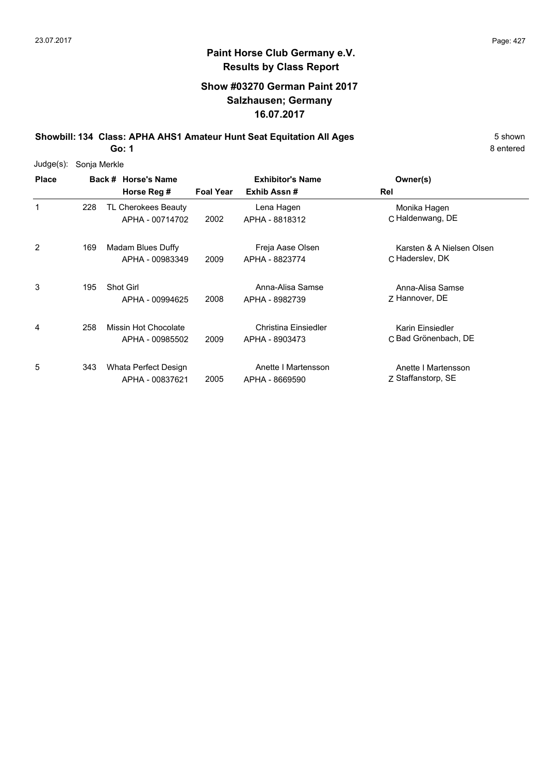# **Paint Horse Club Germany e.V. Results by Class Report**

### **Show #03270 German Paint 2017 Salzhausen; Germany 16.07.2017**

**Showbill: 134 Class: APHA AHS1 Amateur Hunt Seat Equitation All Ages** 5 Shown

| Judge(s):    | Sonja Merkle |                                         |                  |                                        |                                              |  |  |  |  |
|--------------|--------------|-----------------------------------------|------------------|----------------------------------------|----------------------------------------------|--|--|--|--|
| <b>Place</b> |              | Back # Horse's Name<br>Horse Reg #      | <b>Foal Year</b> | <b>Exhibitor's Name</b><br>Exhib Assn# | Owner(s)<br>Rel                              |  |  |  |  |
| 1            | 228          | TL Cherokees Beauty<br>APHA - 00714702  | 2002             | Lena Hagen<br>APHA - 8818312           | Monika Hagen<br>C Haldenwang, DE             |  |  |  |  |
| 2            | 169          | Madam Blues Duffy<br>APHA - 00983349    | 2009             | Freja Aase Olsen<br>APHA - 8823774     | Karsten & A Nielsen Olsen<br>C Haderslev, DK |  |  |  |  |
| 3            | 195          | Shot Girl<br>APHA - 00994625            | 2008             | Anna-Alisa Samse<br>APHA - 8982739     | Anna-Alisa Samse<br>Z Hannover, DE           |  |  |  |  |
| 4            | 258          | Missin Hot Chocolate<br>APHA - 00985502 | 2009             | Christina Einsiedler<br>APHA - 8903473 | Karin Einsiedler<br>C Bad Grönenbach, DE     |  |  |  |  |
| 5            | 343          | Whata Perfect Design<br>APHA - 00837621 | 2005             | Anette I Martensson<br>APHA - 8669590  | Anette I Martensson<br>Z Staffanstorp, SE    |  |  |  |  |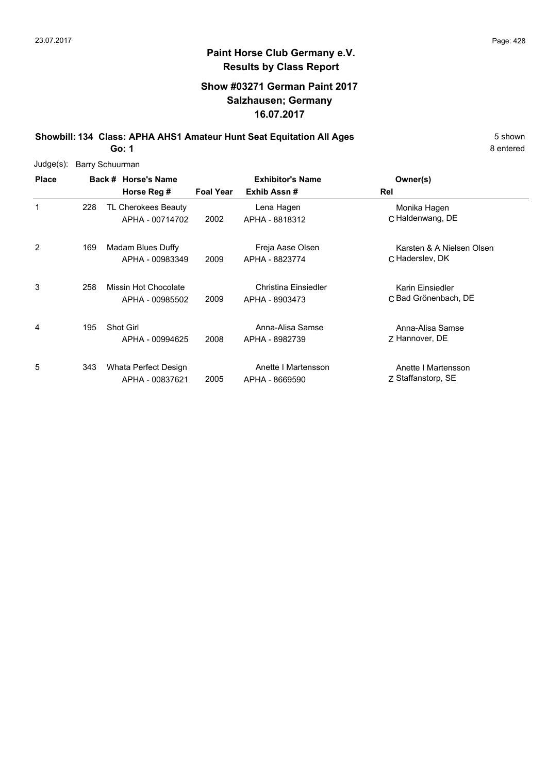## **Show #03271 German Paint 2017 Salzhausen; Germany 16.07.2017**

**Showbill: 134 Class: APHA AHS1 Amateur Hunt Seat Equitation All Ages** 5 Shown

**Go: 1**

| Judge(s):    |     | <b>Barry Schuurman</b>                  |                  |                                        |                                              |
|--------------|-----|-----------------------------------------|------------------|----------------------------------------|----------------------------------------------|
| <b>Place</b> |     | Back # Horse's Name<br>Horse Reg #      | <b>Foal Year</b> | <b>Exhibitor's Name</b><br>Exhib Assn# | Owner(s)<br>Rel                              |
| 1            | 228 | TL Cherokees Beauty<br>APHA - 00714702  | 2002             | Lena Hagen<br>APHA - 8818312           | Monika Hagen<br>C Haldenwang, DE             |
| 2            | 169 | Madam Blues Duffy<br>APHA - 00983349    | 2009             | Freja Aase Olsen<br>APHA - 8823774     | Karsten & A Nielsen Olsen<br>C Haderslev, DK |
| 3            | 258 | Missin Hot Chocolate<br>APHA - 00985502 | 2009             | Christina Einsiedler<br>APHA - 8903473 | Karin Einsiedler<br>C Bad Grönenbach, DE     |
| 4            | 195 | <b>Shot Girl</b><br>APHA - 00994625     | 2008             | Anna-Alisa Samse<br>APHA - 8982739     | Anna-Alisa Samse<br>Z Hannover, DE           |
| 5            | 343 | Whata Perfect Design<br>APHA - 00837621 | 2005             | Anette I Martensson<br>APHA - 8669590  | Anette I Martensson<br>Z Staffanstorp, SE    |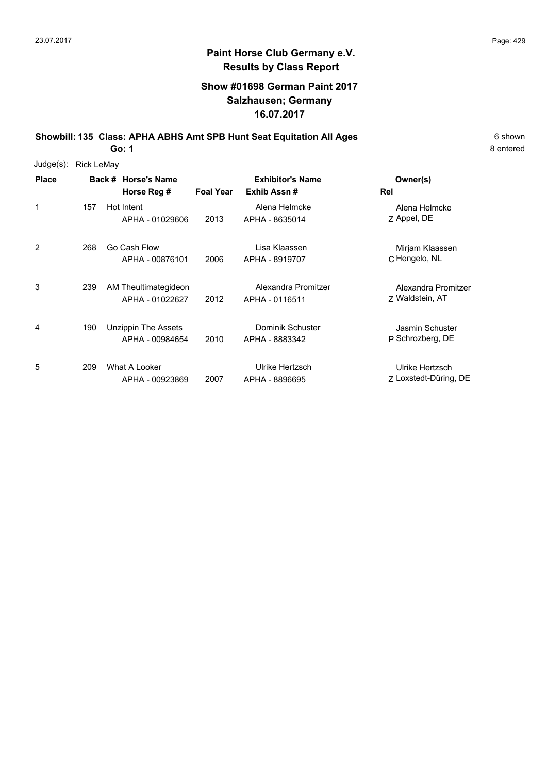### **Show #01698 German Paint 2017 Salzhausen; Germany 16.07.2017**

**Showbill: 135 Class: APHA ABHS Amt SPB Hunt Seat Equitation All Ages** 6 shown

**Go: 1**

| $Judge(s)$ : | <b>Rick LeMay</b> |                                         |                  |                                       |                                          |  |
|--------------|-------------------|-----------------------------------------|------------------|---------------------------------------|------------------------------------------|--|
| <b>Place</b> |                   | Back # Horse's Name                     |                  | <b>Exhibitor's Name</b>               | Owner(s)                                 |  |
|              |                   | Horse Reg #                             | <b>Foal Year</b> | Exhib Assn#                           | Rel                                      |  |
| 1            | 157               | Hot Intent<br>APHA - 01029606           | 2013             | Alena Helmcke<br>APHA - 8635014       | Alena Helmcke<br>Z Appel, DE             |  |
| 2            | 268               | Go Cash Flow<br>APHA - 00876101         | 2006             | Lisa Klaassen<br>APHA - 8919707       | Mirjam Klaassen<br>C Hengelo, NL         |  |
| 3            | 239               | AM Theultimategideon<br>APHA - 01022627 | 2012             | Alexandra Promitzer<br>APHA - 0116511 | Alexandra Promitzer<br>Z Waldstein, AT   |  |
| 4            | 190               | Unzippin The Assets<br>APHA - 00984654  | 2010             | Dominik Schuster<br>APHA - 8883342    | Jasmin Schuster<br>P Schrozberg, DE      |  |
| 5            | 209               | What A Looker<br>APHA - 00923869        | 2007             | Ulrike Hertzsch<br>APHA - 8896695     | Ulrike Hertzsch<br>Z Loxstedt-Düring, DE |  |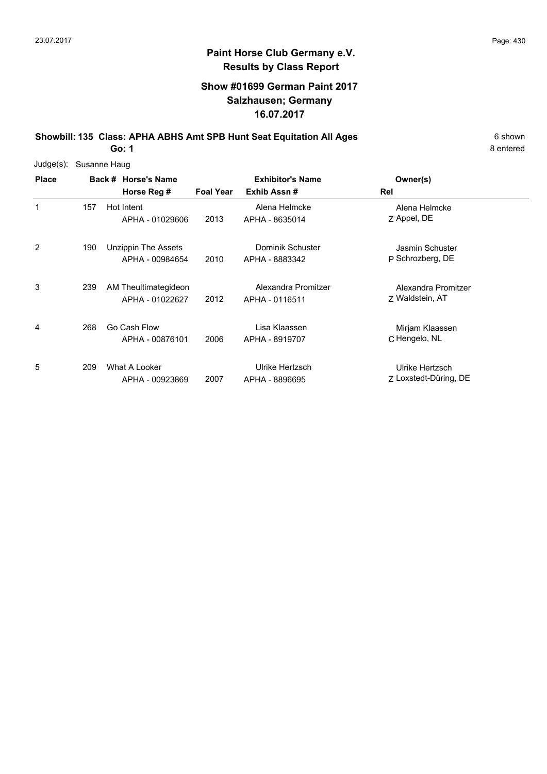### **Show #01699 German Paint 2017 Salzhausen; Germany 16.07.2017**

**Showbill: 135 Class: APHA ABHS Amt SPB Hunt Seat Equitation All Ages** 6 shown

**Go: 1**

| $Judge(s)$ : | Susanne Haug |                                         |                  |                                        |                                          |  |  |  |  |  |
|--------------|--------------|-----------------------------------------|------------------|----------------------------------------|------------------------------------------|--|--|--|--|--|
| <b>Place</b> |              | Back # Horse's Name<br>Horse Reg #      | <b>Foal Year</b> | <b>Exhibitor's Name</b><br>Exhib Assn# | Owner(s)<br>Rel                          |  |  |  |  |  |
| 1            | 157          | Hot Intent<br>APHA - 01029606           | 2013             | Alena Helmcke<br>APHA - 8635014        | Alena Helmcke<br>Z Appel, DE             |  |  |  |  |  |
| 2            | 190          | Unzippin The Assets<br>APHA - 00984654  | 2010             | Dominik Schuster<br>APHA - 8883342     | Jasmin Schuster<br>P Schrozberg, DE      |  |  |  |  |  |
| 3            | 239          | AM Theultimategideon<br>APHA - 01022627 | 2012             | Alexandra Promitzer<br>APHA - 0116511  | Alexandra Promitzer<br>Z Waldstein, AT   |  |  |  |  |  |
| 4            | 268          | Go Cash Flow<br>APHA - 00876101         | 2006             | Lisa Klaassen<br>APHA - 8919707        | Mirjam Klaassen<br>C Hengelo, NL         |  |  |  |  |  |
| 5            | 209          | What A Looker<br>APHA - 00923869        | 2007             | Ulrike Hertzsch<br>APHA - 8896695      | Ulrike Hertzsch<br>Z Loxstedt-Düring, DE |  |  |  |  |  |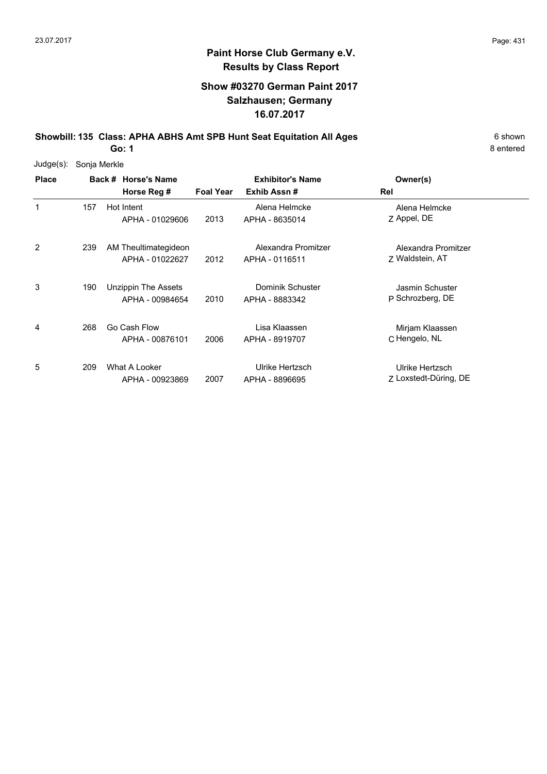## **Paint Horse Club Germany e.V. Results by Class Report**

### **Show #03270 German Paint 2017 Salzhausen; Germany 16.07.2017**

**Showbill: 135 Class: APHA ABHS Amt SPB Hunt Seat Equitation All Ages** 6 Shown

| $Judge(s)$ : |     | Sonja Merkle                            |                  |                                        |                                          |  |  |  |  |  |
|--------------|-----|-----------------------------------------|------------------|----------------------------------------|------------------------------------------|--|--|--|--|--|
| <b>Place</b> |     | Back # Horse's Name<br>Horse Reg #      | <b>Foal Year</b> | <b>Exhibitor's Name</b><br>Exhib Assn# | Owner(s)<br>Rel                          |  |  |  |  |  |
| 1            | 157 | Hot Intent<br>APHA - 01029606           | 2013             | Alena Helmcke<br>APHA - 8635014        | Alena Helmcke<br>Z Appel, DE             |  |  |  |  |  |
| 2            | 239 | AM Theultimategideon<br>APHA - 01022627 | 2012             | Alexandra Promitzer<br>APHA - 0116511  | Alexandra Promitzer<br>7 Waldstein, AT   |  |  |  |  |  |
| 3            | 190 | Unzippin The Assets<br>APHA - 00984654  | 2010             | Dominik Schuster<br>APHA - 8883342     | Jasmin Schuster<br>P Schrozberg, DE      |  |  |  |  |  |
| 4            | 268 | Go Cash Flow<br>APHA - 00876101         | 2006             | Lisa Klaassen<br>APHA - 8919707        | Mirjam Klaassen<br>C Hengelo, NL         |  |  |  |  |  |
| 5            | 209 | What A Looker<br>APHA - 00923869        | 2007             | Ulrike Hertzsch<br>APHA - 8896695      | Ulrike Hertzsch<br>Z Loxstedt-Düring, DE |  |  |  |  |  |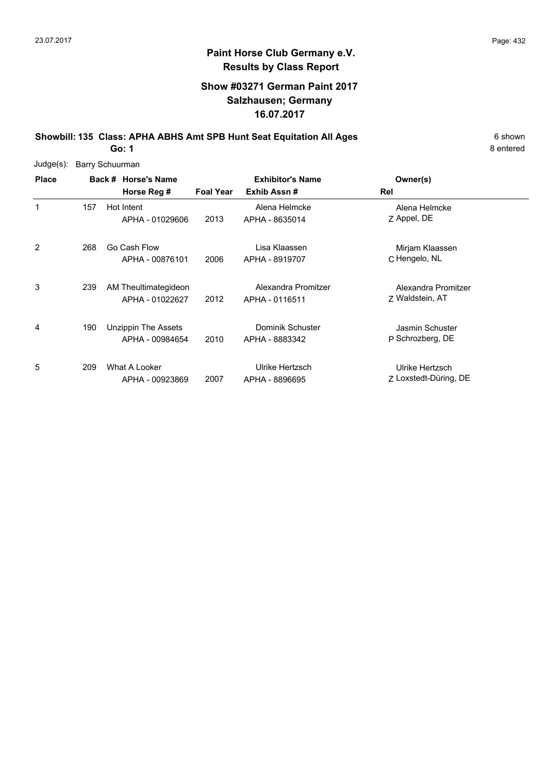## **Show #03271 German Paint 2017 Salzhausen; Germany 16.07.2017**

**Showbill: 135 Class: APHA ABHS Amt SPB Hunt Seat Equitation All Ages** 6 shown

**Go: 1**

| Judge(s):    | Barry Schuurman |                                               |                  |                                        |                                          |  |  |  |  |
|--------------|-----------------|-----------------------------------------------|------------------|----------------------------------------|------------------------------------------|--|--|--|--|
| <b>Place</b> |                 | Back # Horse's Name<br>Horse Reg #            | <b>Foal Year</b> | <b>Exhibitor's Name</b><br>Exhib Assn# | Owner(s)<br>Rel                          |  |  |  |  |
| 1            | 157             | Hot Intent<br>APHA - 01029606                 | 2013             | Alena Helmcke<br>APHA - 8635014        | Alena Helmcke<br>Z Appel, DE             |  |  |  |  |
| 2            | 268             | Go Cash Flow<br>APHA - 00876101               | 2006             | Lisa Klaassen<br>APHA - 8919707        | Mirjam Klaassen<br>C Hengelo, NL         |  |  |  |  |
| 3            | 239             | AM Theultimategideon<br>APHA - 01022627       | 2012             | Alexandra Promitzer<br>APHA - 0116511  | Alexandra Promitzer<br>Z Waldstein, AT   |  |  |  |  |
| 4            | 190             | <b>Unzippin The Assets</b><br>APHA - 00984654 | 2010             | Dominik Schuster<br>APHA - 8883342     | Jasmin Schuster<br>P Schrozberg, DE      |  |  |  |  |
| 5            | 209             | What A Looker<br>APHA - 00923869              | 2007             | Ulrike Hertzsch<br>APHA - 8896695      | Ulrike Hertzsch<br>Z Loxstedt-Düring, DE |  |  |  |  |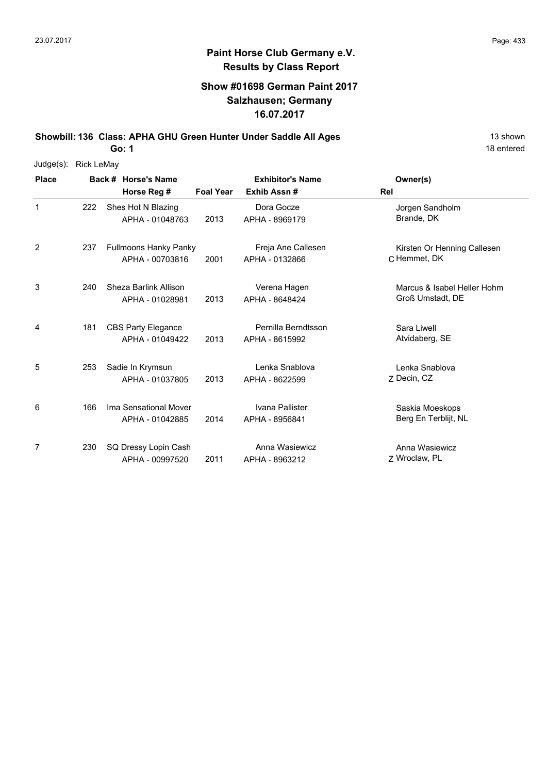#### **Show #01698 German Paint 2017 Salzhausen; Germany 16.07.2017**

**Showbill: 136 Class: APHA GHU Green Hunter Under Saddle All Ages** 13 shown

**Go: 1**

| Judge(s):    | <b>Rick LeMay</b> |                              |                  |                         |                             |
|--------------|-------------------|------------------------------|------------------|-------------------------|-----------------------------|
| <b>Place</b> |                   | Back # Horse's Name          |                  | <b>Exhibitor's Name</b> | Owner(s)                    |
|              |                   | Horse Reg #                  | <b>Foal Year</b> | Exhib Assn#             | <b>Rel</b>                  |
| $\mathbf{1}$ | 222               | Shes Hot N Blazing           |                  | Dora Gocze              | Jorgen Sandholm             |
|              |                   | APHA - 01048763              | 2013             | APHA - 8969179          | Brande, DK                  |
| 2            | 237               | <b>Fullmoons Hanky Panky</b> |                  | Freja Ane Callesen      | Kirsten Or Henning Callesen |
|              |                   | APHA - 00703816              | 2001             | APHA - 0132866          | C Hemmet, DK                |
| 3            | 240               | Sheza Barlink Allison        |                  | Verena Hagen            | Marcus & Isabel Heller Hohm |
|              |                   | APHA - 01028981              | 2013             | APHA - 8648424          | Groß Umstadt, DE            |
| 4            | 181               | <b>CBS Party Elegance</b>    |                  | Pernilla Berndtsson     | Sara Liwell                 |
|              |                   | APHA - 01049422              | 2013             | APHA - 8615992          | Atvidaberg, SE              |
| 5            | 253               | Sadie In Krymsun             |                  | Lenka Snablova          | Lenka Snablova              |
|              |                   | APHA - 01037805              | 2013             | APHA - 8622599          | Z Decin, CZ                 |
| 6            | 166               | Ima Sensational Mover        |                  | Ivana Pallister         | Saskia Moeskops             |
|              |                   | APHA - 01042885              | 2014             | APHA - 8956841          | Berg En Terblijt, NL        |
| 7            | 230               | SQ Dressy Lopin Cash         |                  | Anna Wasiewicz          | Anna Wasiewicz              |
|              |                   | APHA - 00997520              | 2011             | APHA - 8963212          | Z Wroclaw, PL               |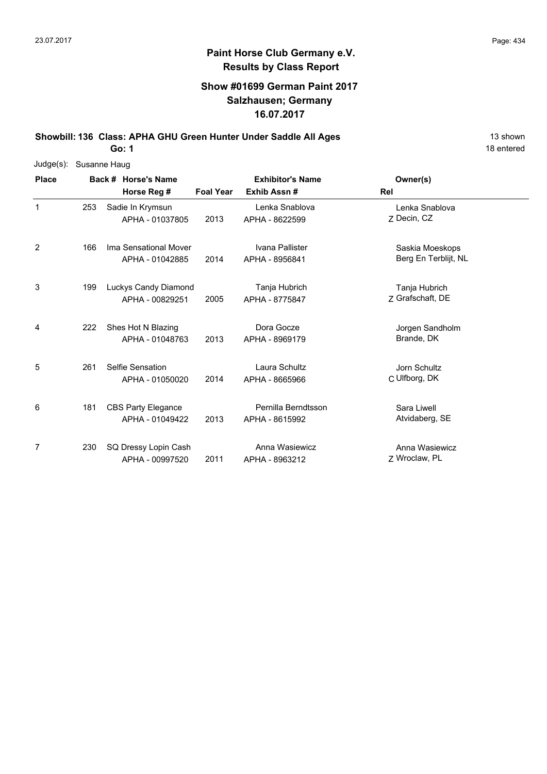#### **Show #01699 German Paint 2017 Salzhausen; Germany 16.07.2017**

**Showbill: 136 Class: APHA GHU Green Hunter Under Saddle All Ages** 13 shown

**Go: 1**

| Judge(s):    |     | Susanne Haug |                           |                  |                         |                      |  |  |  |  |  |
|--------------|-----|--------------|---------------------------|------------------|-------------------------|----------------------|--|--|--|--|--|
| <b>Place</b> |     |              | Back # Horse's Name       |                  | <b>Exhibitor's Name</b> | Owner(s)             |  |  |  |  |  |
|              |     |              | Horse Reg #               | <b>Foal Year</b> | Exhib Assn#             | Rel                  |  |  |  |  |  |
| 1            | 253 |              | Sadie In Krymsun          |                  | Lenka Snablova          | Lenka Snablova       |  |  |  |  |  |
|              |     |              | APHA - 01037805           | 2013             | APHA - 8622599          | Z Decin, CZ          |  |  |  |  |  |
| 2            | 166 |              | Ima Sensational Mover     |                  | Ivana Pallister         | Saskia Moeskops      |  |  |  |  |  |
|              |     |              | APHA - 01042885           | 2014             | APHA - 8956841          | Berg En Terblijt, NL |  |  |  |  |  |
| 3            | 199 |              | Luckys Candy Diamond      |                  | Tanja Hubrich           | Tanja Hubrich        |  |  |  |  |  |
|              |     |              | APHA - 00829251           | 2005             | APHA - 8775847          | Z Grafschaft, DE     |  |  |  |  |  |
| 4            | 222 |              | Shes Hot N Blazing        |                  | Dora Gocze              | Jorgen Sandholm      |  |  |  |  |  |
|              |     |              | APHA - 01048763           | 2013             | APHA - 8969179          | Brande, DK           |  |  |  |  |  |
| 5            | 261 |              | Selfie Sensation          |                  | Laura Schultz           | Jorn Schultz         |  |  |  |  |  |
|              |     |              | APHA - 01050020           | 2014             | APHA - 8665966          | C Ulfborg, DK        |  |  |  |  |  |
| 6            | 181 |              | <b>CBS Party Elegance</b> |                  | Pernilla Berndtsson     | Sara Liwell          |  |  |  |  |  |
|              |     |              | APHA - 01049422           | 2013             | APHA - 8615992          | Atvidaberg, SE       |  |  |  |  |  |
| 7            | 230 |              | SQ Dressy Lopin Cash      |                  | Anna Wasiewicz          | Anna Wasiewicz       |  |  |  |  |  |
|              |     |              | APHA - 00997520           | 2011             | APHA - 8963212          | Z Wroclaw, PL        |  |  |  |  |  |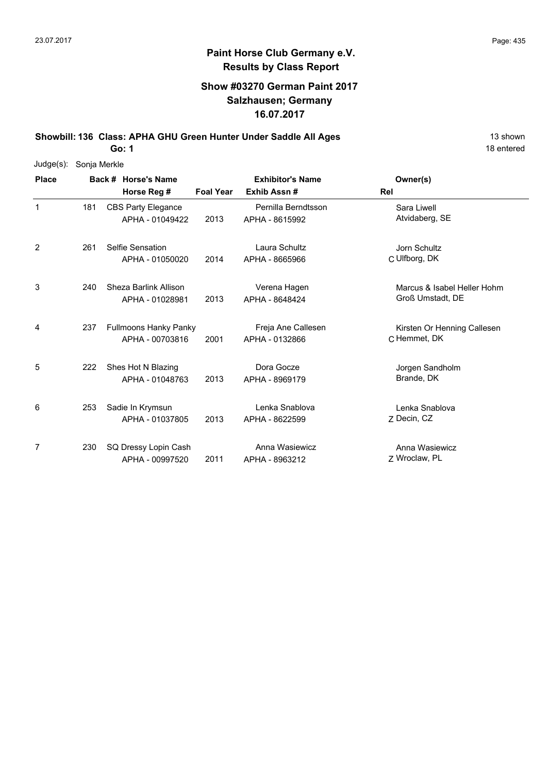## **Show #03270 German Paint 2017 Salzhausen; Germany 16.07.2017**

**Showbill: 136 Class: APHA GHU Green Hunter Under Saddle All Ages** 13 shown

**Go: 1**

| Judge(s):    | Sonja Merkle |                           |                  |                         |                             |
|--------------|--------------|---------------------------|------------------|-------------------------|-----------------------------|
| <b>Place</b> |              | Back # Horse's Name       |                  | <b>Exhibitor's Name</b> | Owner(s)                    |
|              |              | Horse Reg #               | <b>Foal Year</b> | Exhib Assn#             | <b>Rel</b>                  |
| $\mathbf{1}$ | 181          | <b>CBS Party Elegance</b> |                  | Pernilla Berndtsson     | Sara Liwell                 |
|              |              | APHA - 01049422           | 2013             | APHA - 8615992          | Atvidaberg, SE              |
| 2            | 261          | Selfie Sensation          |                  | Laura Schultz           | Jorn Schultz                |
|              |              | APHA - 01050020           | 2014             | APHA - 8665966          | C Ulfborg, DK               |
| 3            | 240          | Sheza Barlink Allison     |                  | Verena Hagen            | Marcus & Isabel Heller Hohm |
|              |              | APHA - 01028981           | 2013             | APHA - 8648424          | Groß Umstadt, DE            |
| 4            | 237          | Fullmoons Hanky Panky     |                  | Freja Ane Callesen      | Kirsten Or Henning Callesen |
|              |              | APHA - 00703816           | 2001             | APHA - 0132866          | C Hemmet, DK                |
| 5            | 222          | Shes Hot N Blazing        |                  | Dora Gocze              | Jorgen Sandholm             |
|              |              | APHA - 01048763           | 2013             | APHA - 8969179          | Brande, DK                  |
| 6            | 253          | Sadie In Krymsun          |                  | Lenka Snablova          | Lenka Snablova              |
|              |              | APHA - 01037805           | 2013             | APHA - 8622599          | Z Decin, CZ                 |
| 7            | 230          | SQ Dressy Lopin Cash      |                  | Anna Wasiewicz          | Anna Wasiewicz              |
|              |              | APHA - 00997520           | 2011             | APHA - 8963212          | Z Wroclaw, PL               |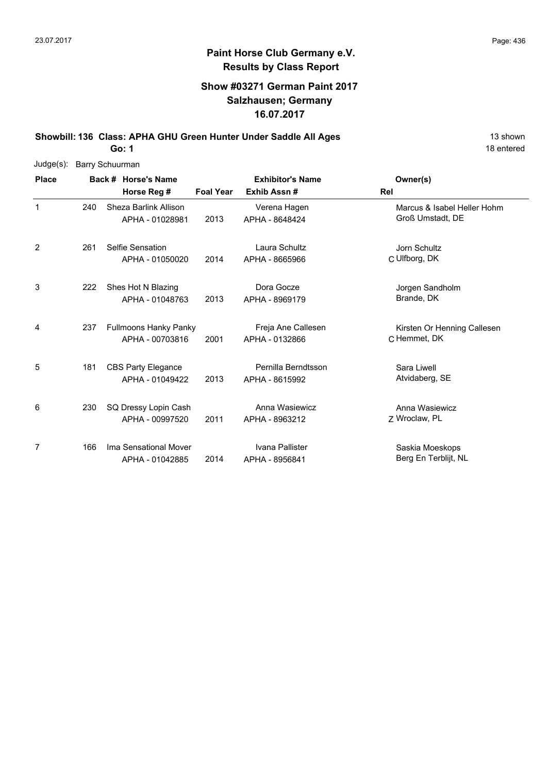## **Paint Horse Club Germany e.V. Results by Class Report**

## **Show #03271 German Paint 2017 Salzhausen; Germany 16.07.2017**

**Showbill: 136 Class: APHA GHU Green Hunter Under Saddle All Ages** 13 shown **Go: 1**

| Judge(s):    | <b>Barry Schuurman</b> |                                          |                  |                                |                                                 |
|--------------|------------------------|------------------------------------------|------------------|--------------------------------|-------------------------------------------------|
| <b>Place</b> |                        | Back # Horse's Name                      |                  | <b>Exhibitor's Name</b>        | Owner(s)                                        |
|              |                        | Horse Reg #                              | <b>Foal Year</b> | Exhib Assn#                    | Rel                                             |
| $\mathbf{1}$ | 240                    | Sheza Barlink Allison<br>APHA - 01028981 | 2013             | Verena Hagen<br>APHA - 8648424 | Marcus & Isabel Heller Hohm<br>Groß Umstadt, DE |
|              |                        |                                          |                  |                                |                                                 |
| 2            | 261                    | Selfie Sensation                         |                  | Laura Schultz                  | Jorn Schultz                                    |
|              |                        | APHA - 01050020                          | 2014             | APHA - 8665966                 | C Ulfborg, DK                                   |
| 3            | 222                    | Shes Hot N Blazing                       |                  | Dora Gocze                     | Jorgen Sandholm                                 |
|              |                        | APHA - 01048763                          | 2013             | APHA - 8969179                 | Brande, DK                                      |
| 4            | 237                    | <b>Fullmoons Hanky Panky</b>             |                  | Freja Ane Callesen             | Kirsten Or Henning Callesen                     |
|              |                        | APHA - 00703816                          | 2001             | APHA - 0132866                 | C Hemmet, DK                                    |
| 5            | 181                    | <b>CBS Party Elegance</b>                |                  | Pernilla Berndtsson            | Sara Liwell                                     |
|              |                        | APHA - 01049422                          | 2013             | APHA - 8615992                 | Atvidaberg, SE                                  |
| 6            | 230                    | SQ Dressy Lopin Cash                     |                  | Anna Wasiewicz                 | Anna Wasiewicz                                  |
|              |                        | APHA - 00997520                          | 2011             | APHA - 8963212                 | Z Wroclaw, PL                                   |
| 7            | 166                    | Ima Sensational Mover                    |                  | Ivana Pallister                | Saskia Moeskops                                 |
|              |                        | APHA - 01042885                          | 2014             | APHA - 8956841                 | Berg En Terblijt, NL                            |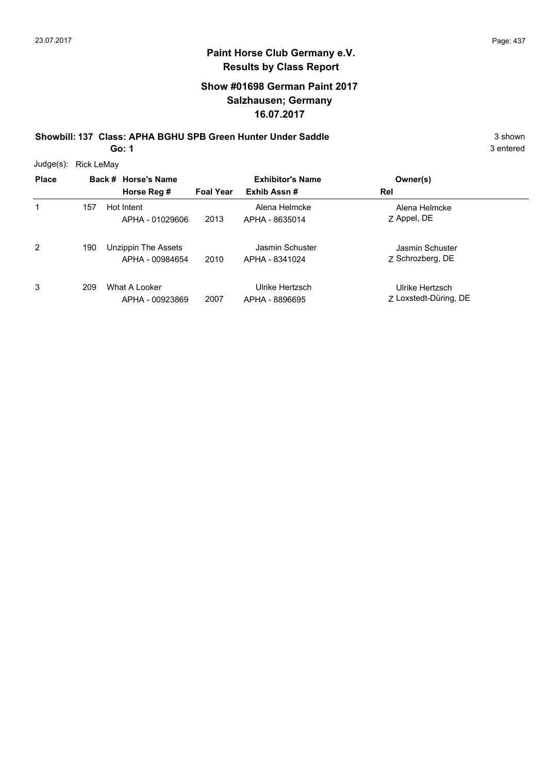## **Show #01698 German Paint 2017 Salzhausen; Germany 16.07.2017**

**Showbill: 137 Class: APHA BGHU SPB Green Hunter Under Saddle** 3 shown

**Go: 1**

| Judge(s):    | <b>Rick LeMay</b> |                                        |                  |                                   |                                          |
|--------------|-------------------|----------------------------------------|------------------|-----------------------------------|------------------------------------------|
| <b>Place</b> |                   | Back # Horse's Name                    |                  | <b>Exhibitor's Name</b>           | Owner(s)                                 |
|              |                   | Horse Reg #                            | <b>Foal Year</b> | Exhib Assn#                       | Rel                                      |
| 1            | 157               | Hot Intent<br>APHA - 01029606          | 2013             | Alena Helmcke<br>APHA - 8635014   | Alena Helmcke<br>Z Appel, DE             |
| 2            | 190               | Unzippin The Assets<br>APHA - 00984654 | 2010             | Jasmin Schuster<br>APHA - 8341024 | Jasmin Schuster<br>7 Schrozberg, DE      |
| 3            | 209               | What A Looker<br>APHA - 00923869       | 2007             | Ulrike Hertzsch<br>APHA - 8896695 | Ulrike Hertzsch<br>7 Loxstedt-Düring, DE |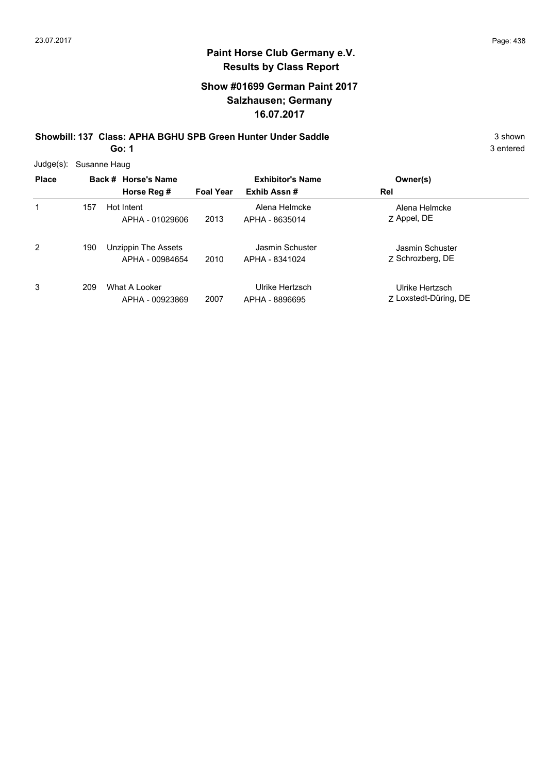## **Show #01699 German Paint 2017 Salzhausen; Germany 16.07.2017**

**Showbill: 137 Class: APHA BGHU SPB Green Hunter Under Saddle** 3 shown

**Go: 1**

| Judge(s):    |     | Susanne Haug                           |                  |                                   |                                          |
|--------------|-----|----------------------------------------|------------------|-----------------------------------|------------------------------------------|
| <b>Place</b> |     | Back # Horse's Name                    |                  | <b>Exhibitor's Name</b>           | Owner(s)                                 |
|              |     | Horse Reg #                            | <b>Foal Year</b> | Exhib Assn#                       | Rel                                      |
| 1            | 157 | Hot Intent<br>APHA - 01029606          | 2013             | Alena Helmcke<br>APHA - 8635014   | Alena Helmcke<br>Z Appel, DE             |
| 2            | 190 | Unzippin The Assets<br>APHA - 00984654 | 2010             | Jasmin Schuster<br>APHA - 8341024 | Jasmin Schuster<br>7 Schrozberg, DE      |
| 3            | 209 | What A Looker<br>APHA - 00923869       | 2007             | Ulrike Hertzsch<br>APHA - 8896695 | Ulrike Hertzsch<br>7 Loxstedt-Düring, DE |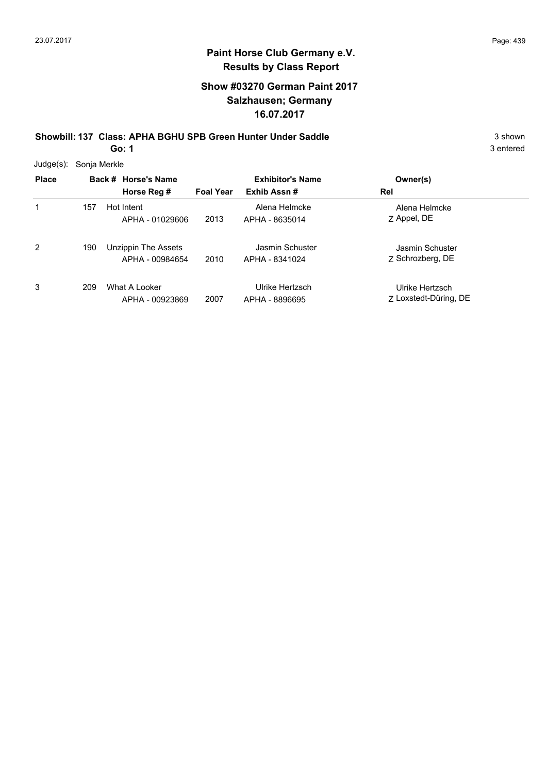## **Show #03270 German Paint 2017 Salzhausen; Germany 16.07.2017**

**Showbill: 137 Class: APHA BGHU SPB Green Hunter Under Saddle** 3 shown

**Go: 1**

| Judge(s):    | Sonja Merkle |                                        |                  |                                   |                                          |  |
|--------------|--------------|----------------------------------------|------------------|-----------------------------------|------------------------------------------|--|
| <b>Place</b> |              | Back # Horse's Name                    |                  | <b>Exhibitor's Name</b>           | Owner(s)                                 |  |
|              |              | Horse Reg #                            | <b>Foal Year</b> | Exhib Assn#                       | Rel                                      |  |
| 1            | 157          | Hot Intent<br>APHA - 01029606          | 2013             | Alena Helmcke<br>APHA - 8635014   | Alena Helmcke<br>Z Appel, DE             |  |
| 2            | 190          | Unzippin The Assets<br>APHA - 00984654 | 2010             | Jasmin Schuster<br>APHA - 8341024 | Jasmin Schuster<br>Z Schrozberg, DE      |  |
| 3            | 209          | What A Looker<br>APHA - 00923869       | 2007             | Ulrike Hertzsch<br>APHA - 8896695 | Ulrike Hertzsch<br>7 Loxstedt-Düring, DE |  |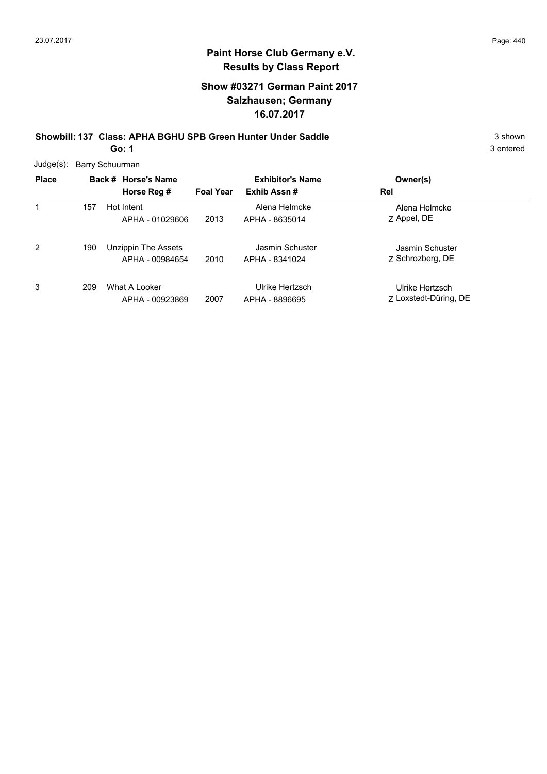## **Show #03271 German Paint 2017 Salzhausen; Germany 16.07.2017**

**Showbill: 137 Class: APHA BGHU SPB Green Hunter Under Saddle** 3 shown **Go: 1**

| Judge(s):    | Barry Schuurman |                                        |                  |                                   |                                          |  |  |  |  |
|--------------|-----------------|----------------------------------------|------------------|-----------------------------------|------------------------------------------|--|--|--|--|
| <b>Place</b> |                 | Back # Horse's Name                    |                  | <b>Exhibitor's Name</b>           | Owner(s)                                 |  |  |  |  |
|              |                 | Horse Reg #                            | <b>Foal Year</b> | Exhib Assn#                       | Rel                                      |  |  |  |  |
| 1            | 157             | Hot Intent<br>APHA - 01029606          | 2013             | Alena Helmcke<br>APHA - 8635014   | Alena Helmcke<br>Z Appel, DE             |  |  |  |  |
| 2            | 190             | Unzippin The Assets<br>APHA - 00984654 | 2010             | Jasmin Schuster<br>APHA - 8341024 | Jasmin Schuster<br>Z Schrozberg, DE      |  |  |  |  |
| 3            | 209             | What A Looker<br>APHA - 00923869       | 2007             | Ulrike Hertzsch<br>APHA - 8896695 | Ulrike Hertzsch<br>7 Loxstedt-Düring, DE |  |  |  |  |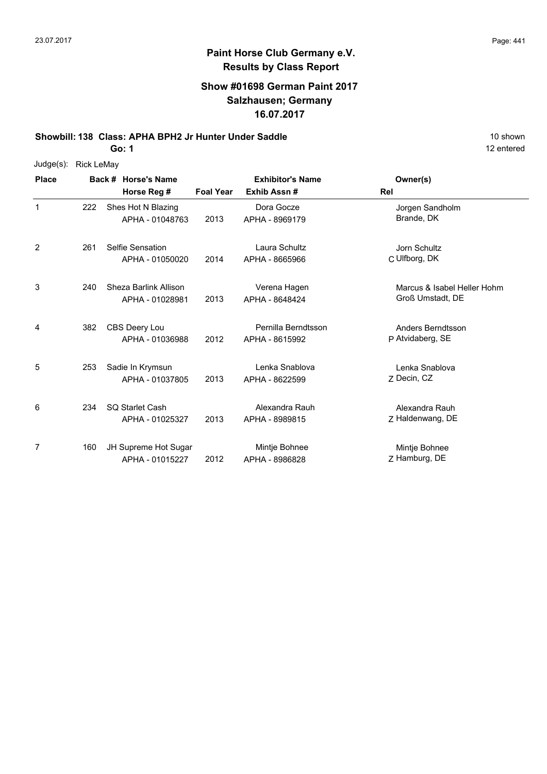# **Paint Horse Club Germany e.V. Results by Class Report**

#### **Show #01698 German Paint 2017 Salzhausen; Germany 16.07.2017**

**Showbill: 138 Class: APHA BPH2 Jr Hunter Under Saddle** 10 Shown 10 shown

| Judge(s): | Rick LeMay |
|-----------|------------|
|-----------|------------|

| <b>Place</b> |     | Back # Horse's Name                       |                  | <b>Exhibitor's Name</b>               | Owner(s)                                        |
|--------------|-----|-------------------------------------------|------------------|---------------------------------------|-------------------------------------------------|
|              |     | Horse Reg #                               | <b>Foal Year</b> | Exhib Assn#                           | Rel                                             |
| $\mathbf{1}$ | 222 | Shes Hot N Blazing<br>APHA - 01048763     | 2013             | Dora Gocze<br>APHA - 8969179          | Jorgen Sandholm<br>Brande, DK                   |
| 2            | 261 | Selfie Sensation<br>APHA - 01050020       | 2014             | Laura Schultz<br>APHA - 8665966       | Jorn Schultz<br>C Ulfborg, DK                   |
| 3            | 240 | Sheza Barlink Allison<br>APHA - 01028981  | 2013             | Verena Hagen<br>APHA - 8648424        | Marcus & Isabel Heller Hohm<br>Groß Umstadt, DE |
| 4            | 382 | CBS Deery Lou<br>APHA - 01036988          | 2012             | Pernilla Berndtsson<br>APHA - 8615992 | Anders Berndtsson<br>P Atvidaberg, SE           |
| 5            | 253 | Sadie In Krymsun<br>APHA - 01037805       | 2013             | Lenka Snablova<br>APHA - 8622599      | Lenka Snablova<br>Z Decin, CZ                   |
| 6            | 234 | <b>SQ Starlet Cash</b><br>APHA - 01025327 | 2013             | Alexandra Rauh<br>APHA - 8989815      | Alexandra Rauh<br>Z Haldenwang, DE              |
| 7            | 160 | JH Supreme Hot Sugar<br>APHA - 01015227   | 2012             | Mintje Bohnee<br>APHA - 8986828       | Mintje Bohnee<br>Z Hamburg, DE                  |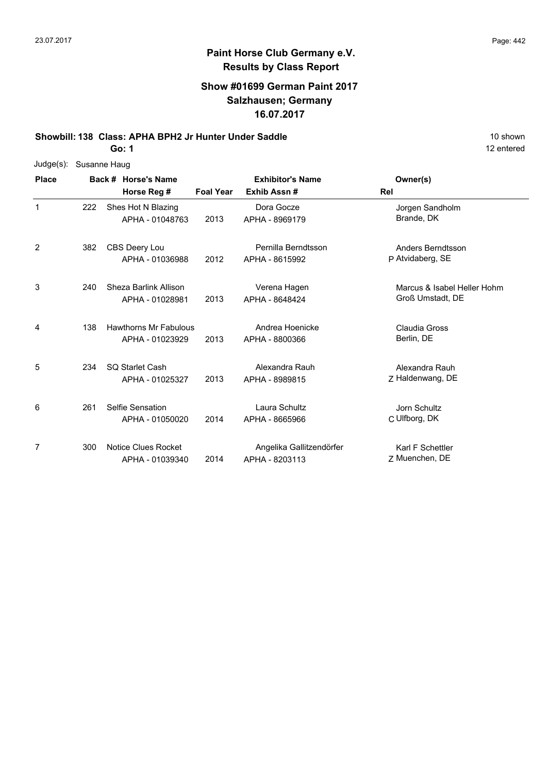#### **Show #01699 German Paint 2017 Salzhausen; Germany 16.07.2017**

**Showbill: 138 Class: APHA BPH2 Jr Hunter Under Saddle** 10 Shown 10 shown

**Go: 1**

| Judge(s):    | Susanne Haug |                              |                  |                          |                             |
|--------------|--------------|------------------------------|------------------|--------------------------|-----------------------------|
| <b>Place</b> |              | Back # Horse's Name          |                  | <b>Exhibitor's Name</b>  | Owner(s)                    |
|              |              | Horse Reg #                  | <b>Foal Year</b> | Exhib Assn#              | <b>Rel</b>                  |
| $\mathbf{1}$ | 222          | Shes Hot N Blazing           |                  | Dora Gocze               | Jorgen Sandholm             |
|              |              | APHA - 01048763              | 2013             | APHA - 8969179           | Brande, DK                  |
| 2            | 382          | CBS Deery Lou                |                  | Pernilla Berndtsson      | Anders Berndtsson           |
|              |              | APHA - 01036988              | 2012             | APHA - 8615992           | P Atvidaberg, SE            |
| 3            | 240          | Sheza Barlink Allison        |                  | Verena Hagen             | Marcus & Isabel Heller Hohm |
|              |              | APHA - 01028981              | 2013             | APHA - 8648424           | Groß Umstadt, DE            |
| 4            | 138          | <b>Hawthorns Mr Fabulous</b> |                  | Andrea Hoenicke          | Claudia Gross               |
|              |              | APHA - 01023929              | 2013             | APHA - 8800366           | Berlin, DE                  |
| 5            | 234          | <b>SQ Starlet Cash</b>       |                  | Alexandra Rauh           | Alexandra Rauh              |
|              |              | APHA - 01025327              | 2013             | APHA - 8989815           | Z Haldenwang, DE            |
| 6            | 261          | Selfie Sensation             |                  | Laura Schultz            | Jorn Schultz                |
|              |              | APHA - 01050020              | 2014             | APHA - 8665966           | C Ulfborg, DK               |
| 7            | 300          | Notice Clues Rocket          |                  | Angelika Gallitzendörfer | Karl F Schettler            |
|              |              | APHA - 01039340              | 2014             | APHA - 8203113           | Z Muenchen, DE              |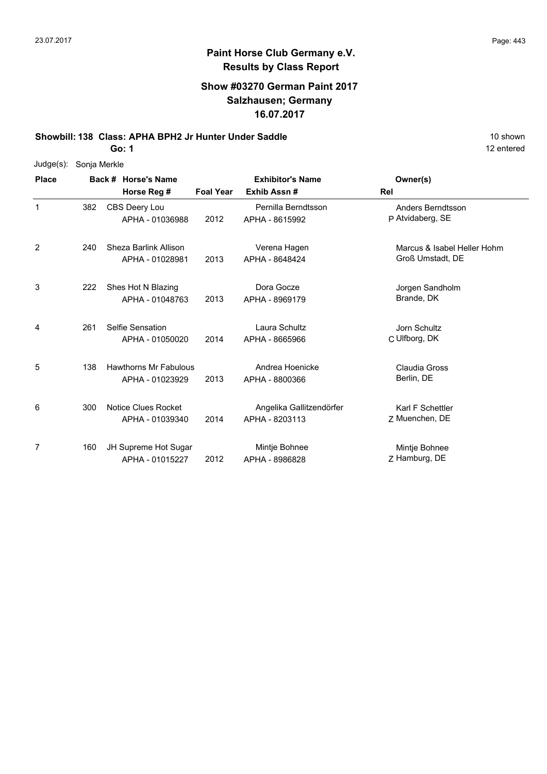## **Paint Horse Club Germany e.V. Results by Class Report**

#### **Show #03270 German Paint 2017 Salzhausen; Germany 16.07.2017**

**Showbill: 138 Class: APHA BPH2 Jr Hunter Under Saddle** 10 Shown 10 shown

| $Judge(s)$ : | Sonja Merkle |                                                 |                  |                                            |                                                 |
|--------------|--------------|-------------------------------------------------|------------------|--------------------------------------------|-------------------------------------------------|
| <b>Place</b> |              | Back # Horse's Name                             |                  | <b>Exhibitor's Name</b>                    | Owner(s)                                        |
|              |              | Horse Reg #                                     | <b>Foal Year</b> | Exhib Assn#                                | Rel                                             |
| 1            | 382          | CBS Deery Lou<br>APHA - 01036988                | 2012             | Pernilla Berndtsson<br>APHA - 8615992      | Anders Berndtsson<br>P Atvidaberg, SE           |
| 2            | 240          | Sheza Barlink Allison<br>APHA - 01028981        | 2013             | Verena Hagen<br>APHA - 8648424             | Marcus & Isabel Heller Hohm<br>Groß Umstadt, DE |
| 3            | 222          | Shes Hot N Blazing<br>APHA - 01048763           | 2013             | Dora Gocze<br>APHA - 8969179               | Jorgen Sandholm<br>Brande, DK                   |
| 4            | 261          | Selfie Sensation<br>APHA - 01050020             | 2014             | Laura Schultz<br>APHA - 8665966            | Jorn Schultz<br>C Ulfborg, DK                   |
| 5            | 138          | <b>Hawthorns Mr Fabulous</b><br>APHA - 01023929 | 2013             | Andrea Hoenicke<br>APHA - 8800366          | Claudia Gross<br>Berlin, DE                     |
| 6            | 300          | Notice Clues Rocket<br>APHA - 01039340          | 2014             | Angelika Gallitzendörfer<br>APHA - 8203113 | Karl F Schettler<br>Z Muenchen, DE              |
| 7            | 160          | JH Supreme Hot Sugar<br>APHA - 01015227         | 2012             | Mintje Bohnee<br>APHA - 8986828            | Mintje Bohnee<br>Z Hamburg, DE                  |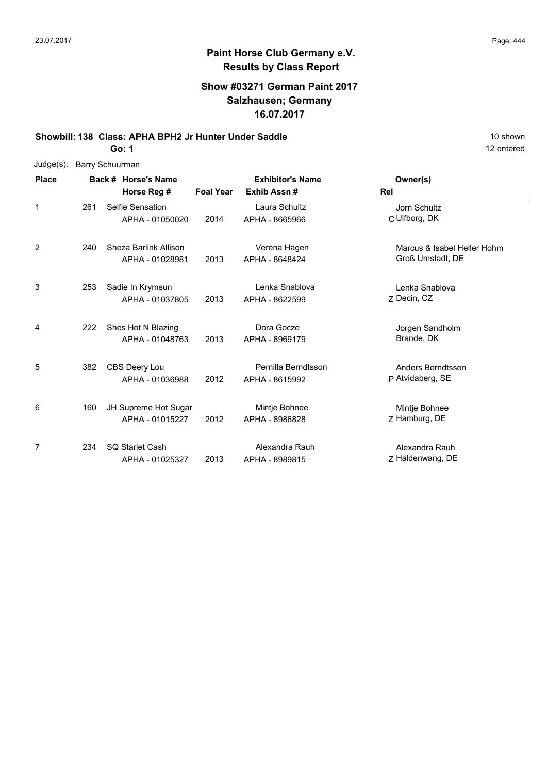# **Paint Horse Club Germany e.V. Results by Class Report**

## **Show #03271 German Paint 2017 Salzhausen; Germany 16.07.2017**

**Showbill: 138 Class: APHA BPH2 Jr Hunter Under Saddle** 10 Shown 10 shown

|  | Judge(s): Barry Schuurman |
|--|---------------------------|
|--|---------------------------|

| <b>Place</b> |     | Back # Horse's Name                       | <b>Exhibitor's Name</b> |                                       | Owner(s)                                        |
|--------------|-----|-------------------------------------------|-------------------------|---------------------------------------|-------------------------------------------------|
|              |     | Horse Reg #                               | <b>Foal Year</b>        | Exhib Assn#                           | Rel                                             |
| 1            | 261 | Selfie Sensation<br>APHA - 01050020       | 2014                    | Laura Schultz<br>APHA - 8665966       | Jorn Schultz<br>C Ulfborg, DK                   |
| 2            | 240 | Sheza Barlink Allison<br>APHA - 01028981  | 2013                    | Verena Hagen<br>APHA - 8648424        | Marcus & Isabel Heller Hohm<br>Groß Umstadt, DE |
| 3            | 253 | Sadie In Krymsun<br>APHA - 01037805       | 2013                    | Lenka Snablova<br>APHA - 8622599      | Lenka Snablova<br>Z Decin, CZ                   |
| 4            | 222 | Shes Hot N Blazing<br>APHA - 01048763     | 2013                    | Dora Gocze<br>APHA - 8969179          | Jorgen Sandholm<br>Brande, DK                   |
| 5            | 382 | CBS Deery Lou<br>APHA - 01036988          | 2012                    | Pernilla Berndtsson<br>APHA - 8615992 | Anders Berndtsson<br>P Atvidaberg, SE           |
| 6            | 160 | JH Supreme Hot Sugar<br>APHA - 01015227   | 2012                    | Mintje Bohnee<br>APHA - 8986828       | Mintje Bohnee<br>Z Hamburg, DE                  |
| 7            | 234 | <b>SQ Starlet Cash</b><br>APHA - 01025327 | 2013                    | Alexandra Rauh<br>APHA - 8989815      | Alexandra Rauh<br>Z Haldenwang, DE              |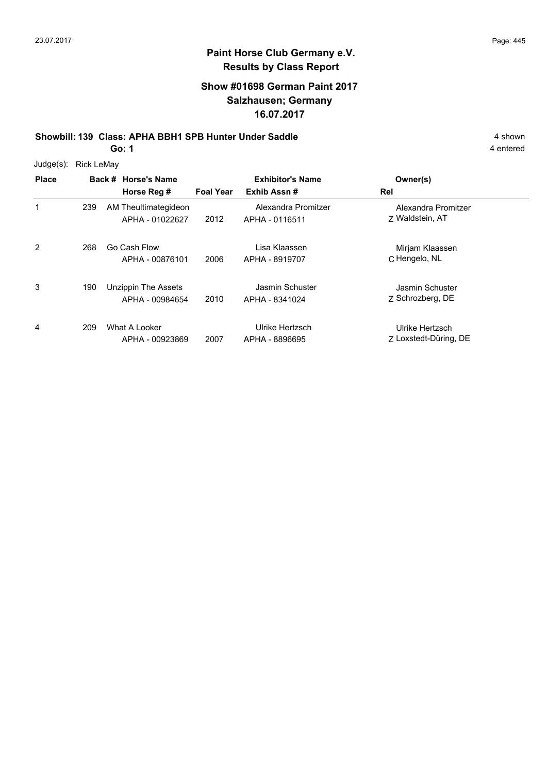3

4

## **Paint Horse Club Germany e.V. Results by Class Report**

## **Show #01698 German Paint 2017 Salzhausen; Germany 16.07.2017**

**Showbill: 139 Class: APHA BBH1 SPB Hunter Under Saddle** 4 shown

**Go: 1**

4 entered

Alexandra Promitzer

C Hengelo, NL Mirjam Klaassen

| $Judge(s)$ : | <b>Rick LeMay</b> |                      |                  |                         |                 |
|--------------|-------------------|----------------------|------------------|-------------------------|-----------------|
| <b>Place</b> |                   | Back # Horse's Name  |                  | <b>Exhibitor's Name</b> | Owner(s)        |
|              |                   | Horse Reg #          | <b>Foal Year</b> | Exhib Assn#             | Rel             |
|              | 239               | AM Theultimategideon |                  | Alexandra Promitzer     | Alexandra Pro   |
|              |                   | APHA - 01022627      | 2012             | APHA - 0116511          | 7 Waldstein, AT |
| 2            | 268               | Go Cash Flow         |                  | Lisa Klaassen           | Mirjam Klaass   |
|              |                   | APHA - 00876101      | 2006             | APHA - 8919707          | C Hengelo, NL   |

2010 APHA - 8341024 2 Schrozberg, DE Jasmin Schuster 190 Unzippin The Assets APHA - 00984654 Jasmin Schuster APHA - 8341024 Z 2007 Loxstedt-Düring, DE Ulrike Hertzsch What A Looker 209APHA - 00923869 Ulrike Hertzsch APHA - 8896695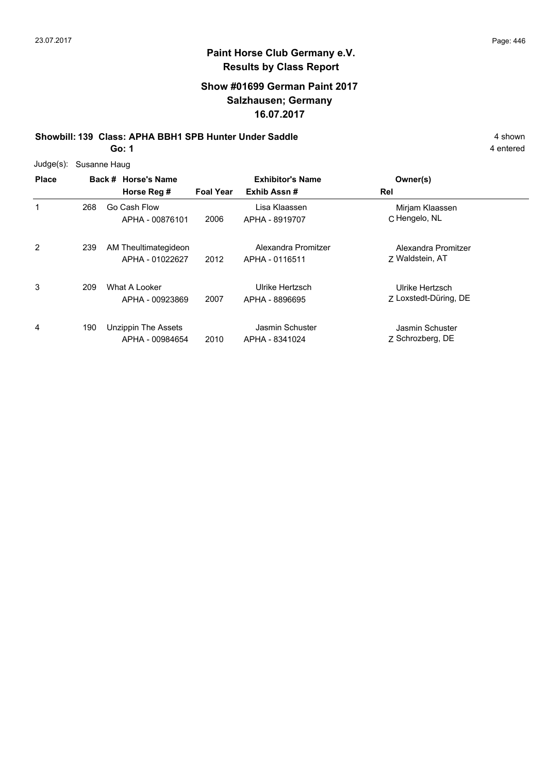## **Show #01699 German Paint 2017 Salzhausen; Germany 16.07.2017**

**Showbill: 139 Class: APHA BBH1 SPB Hunter Under Saddle** 4 shown

**Go: 1**

| Judge(s):    | Susanne Haug |                                               |                  |                                       |                                          |  |  |  |  |
|--------------|--------------|-----------------------------------------------|------------------|---------------------------------------|------------------------------------------|--|--|--|--|
| <b>Place</b> |              | Back # Horse's Name                           |                  | <b>Exhibitor's Name</b>               | Owner(s)                                 |  |  |  |  |
|              |              | Horse Reg #                                   | <b>Foal Year</b> | Exhib Assn#                           | Rel                                      |  |  |  |  |
| 1            | 268          | Go Cash Flow<br>APHA - 00876101               | 2006             | Lisa Klaassen<br>APHA - 8919707       | Mirjam Klaassen<br>C Hengelo, NL         |  |  |  |  |
| 2            | 239          | AM Theultimategideon<br>APHA - 01022627       | 2012             | Alexandra Promitzer<br>APHA - 0116511 | Alexandra Promitzer<br>7 Waldstein, AT   |  |  |  |  |
| 3            | 209          | What A Looker<br>APHA - 00923869              | 2007             | Ulrike Hertzsch<br>APHA - 8896695     | Ulrike Hertzsch<br>7 Loxstedt-Düring, DE |  |  |  |  |
| 4            | 190          | <b>Unzippin The Assets</b><br>APHA - 00984654 | 2010             | Jasmin Schuster<br>APHA - 8341024     | Jasmin Schuster<br>Z Schrozberg, DE      |  |  |  |  |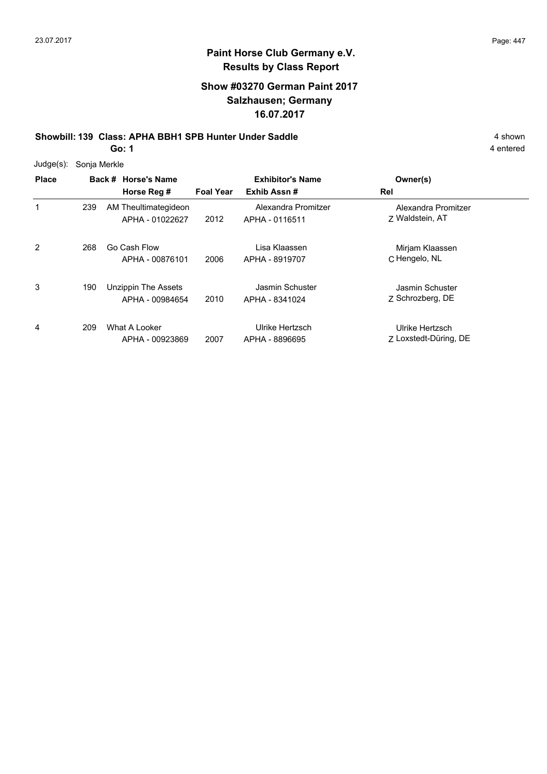## **Show #03270 German Paint 2017 Salzhausen; Germany 16.07.2017**

**Showbill: 139 Class: APHA BBH1 SPB Hunter Under Saddle** 4 shown 4 shown

**Go: 1**

| $Judge(s)$ : |     | Sonja Merkle                            |                  |                                        |                                          |  |  |  |
|--------------|-----|-----------------------------------------|------------------|----------------------------------------|------------------------------------------|--|--|--|
| <b>Place</b> |     | Back # Horse's Name<br>Horse Reg #      | <b>Foal Year</b> | <b>Exhibitor's Name</b><br>Exhib Assn# | Owner(s)<br>Rel                          |  |  |  |
|              | 239 | AM Theultimategideon<br>APHA - 01022627 | 2012             | Alexandra Promitzer<br>APHA - 0116511  | Alexandra Promitzer<br>7 Waldstein, AT   |  |  |  |
| 2            | 268 | Go Cash Flow<br>APHA - 00876101         | 2006             | Lisa Klaassen<br>APHA - 8919707        | Mirjam Klaassen<br>C Hengelo, NL         |  |  |  |
| 3            | 190 | Unzippin The Assets<br>APHA - 00984654  | 2010             | Jasmin Schuster<br>APHA - 8341024      | Jasmin Schuster<br>Z Schrozberg, DE      |  |  |  |
| 4            | 209 | What A Looker<br>APHA - 00923869        | 2007             | Ulrike Hertzsch<br>APHA - 8896695      | Ulrike Hertzsch<br>Z Loxstedt-Düring, DE |  |  |  |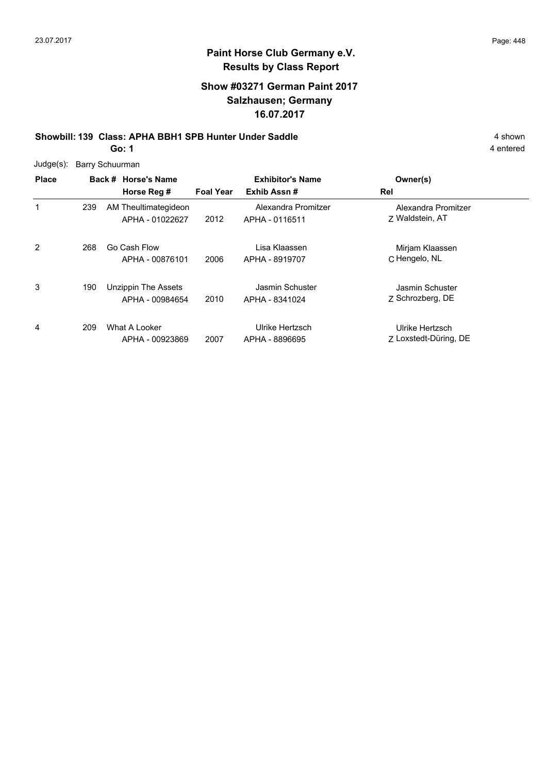## **Show #03271 German Paint 2017 Salzhausen; Germany 16.07.2017**

#### **Showbill: 139 Class: APHA BBH1 SPB Hunter Under Saddle** 4 shown **Go: 1**

|              |                 | ◡. .                                          |                  |                                       |                                          | י טוונטוס |
|--------------|-----------------|-----------------------------------------------|------------------|---------------------------------------|------------------------------------------|-----------|
| Judge(s):    | Barry Schuurman |                                               |                  |                                       |                                          |           |
| <b>Place</b> |                 | Back # Horse's Name                           |                  | <b>Exhibitor's Name</b>               | Owner(s)                                 |           |
|              |                 | Horse Reg #                                   | <b>Foal Year</b> | Exhib Assn#                           | Rel                                      |           |
| 1            | 239             | AM Theultimategideon<br>APHA - 01022627       | 2012             | Alexandra Promitzer<br>APHA - 0116511 | Alexandra Promitzer<br>Z Waldstein, AT   |           |
| 2            | 268             | Go Cash Flow<br>APHA - 00876101               | 2006             | Lisa Klaassen<br>APHA - 8919707       | Mirjam Klaassen<br>C Hengelo, NL         |           |
| 3            | 190             | <b>Unzippin The Assets</b><br>APHA - 00984654 | 2010             | Jasmin Schuster<br>APHA - 8341024     | Jasmin Schuster<br>Z Schrozberg, DE      |           |
| 4            | 209             | What A Looker<br>APHA - 00923869              | 2007             | Ulrike Hertzsch<br>APHA - 8896695     | Ulrike Hertzsch<br>Z Loxstedt-Düring, DE |           |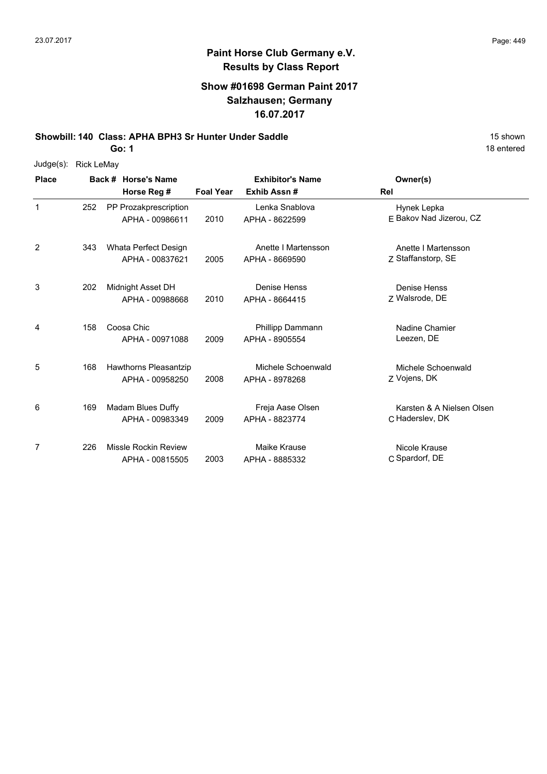#### **Show #01698 German Paint 2017 Salzhausen; Germany 16.07.2017**

**Showbill: 140 Class: APHA BPH3 Sr Hunter Under Saddle** 15 Shown 15 shown

**Go: 1**

|              | Judge(s): Rick LeMay |                     |
|--------------|----------------------|---------------------|
| <b>Place</b> |                      | Back # Horse's Name |
|              |                      | Horee Rea #         |

| <b>Place</b> |     | Back # Horse's Name                             | <b>Exhibitor's Name</b> |                                       | Owner(s)                                     |
|--------------|-----|-------------------------------------------------|-------------------------|---------------------------------------|----------------------------------------------|
|              |     | Horse Reg #                                     | <b>Foal Year</b>        | Exhib Assn#                           | <b>Rel</b>                                   |
| 1            | 252 | PP Prozakprescription<br>APHA - 00986611        | 2010                    | Lenka Snablova<br>APHA - 8622599      | Hynek Lepka<br>E Bakov Nad Jizerou, CZ       |
| 2            | 343 | Whata Perfect Design<br>APHA - 00837621         | 2005                    | Anette I Martensson<br>APHA - 8669590 | Anette I Martensson<br>Z Staffanstorp, SE    |
| 3            | 202 | Midnight Asset DH<br>APHA - 00988668            | 2010                    | Denise Henss<br>APHA - 8664415        | <b>Denise Henss</b><br>Z Walsrode, DE        |
| 4            | 158 | Coosa Chic<br>APHA - 00971088                   | 2009                    | Phillipp Dammann<br>APHA - 8905554    | Nadine Chamier<br>Leezen, DE                 |
| 5            | 168 | <b>Hawthorns Pleasantzip</b><br>APHA - 00958250 | 2008                    | Michele Schoenwald<br>APHA - 8978268  | Michele Schoenwald<br>Z Vojens, DK           |
| 6            | 169 | Madam Blues Duffy<br>APHA - 00983349            | 2009                    | Freja Aase Olsen<br>APHA - 8823774    | Karsten & A Nielsen Olsen<br>C Haderslev, DK |
| 7            | 226 | <b>Missle Rockin Review</b><br>APHA - 00815505  | 2003                    | Maike Krause<br>APHA - 8885332        | Nicole Krause<br>C Spardorf, DE              |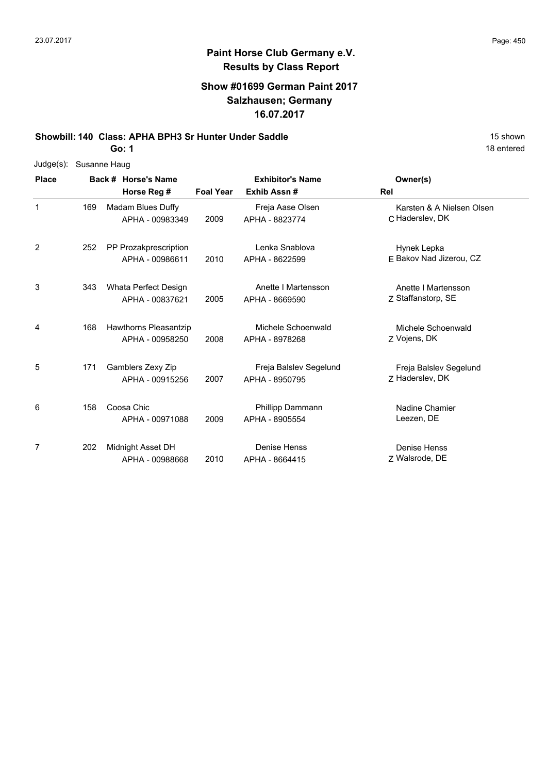## **Show #01699 German Paint 2017 Salzhausen; Germany 16.07.2017**

**Showbill: 140 Class: APHA BPH3 Sr Hunter Under Saddle** 15 Shown 15 shown

**Go: 1**

| Judge(s):    | Susanne Haug |                       |                  |                         |                           |
|--------------|--------------|-----------------------|------------------|-------------------------|---------------------------|
| <b>Place</b> |              | Back # Horse's Name   |                  | <b>Exhibitor's Name</b> | Owner(s)                  |
|              |              | Horse Reg #           | <b>Foal Year</b> | Exhib Assn#             | Rel                       |
| $\mathbf{1}$ | 169          | Madam Blues Duffy     |                  | Freja Aase Olsen        | Karsten & A Nielsen Olsen |
|              |              | APHA - 00983349       | 2009             | APHA - 8823774          | C Haderslev, DK           |
| 2            | 252          | PP Prozakprescription |                  | Lenka Snablova          | Hynek Lepka               |
|              |              | APHA - 00986611       | 2010             | APHA - 8622599          | E Bakov Nad Jizerou, CZ   |
| 3            | 343          | Whata Perfect Design  |                  | Anette I Martensson     | Anette I Martensson       |
|              |              | APHA - 00837621       | 2005             | APHA - 8669590          | Z Staffanstorp, SE        |
| 4            | 168          | Hawthorns Pleasantzip |                  | Michele Schoenwald      | Michele Schoenwald        |
|              |              | APHA - 00958250       | 2008             | APHA - 8978268          | Z Vojens, DK              |
| 5            | 171          | Gamblers Zexy Zip     |                  | Freja Balslev Segelund  | Freja Balslev Segelund    |
|              |              | APHA - 00915256       | 2007             | APHA - 8950795          | Z Haderslev, DK           |
| 6            | 158          | Coosa Chic            |                  | <b>Phillipp Dammann</b> | Nadine Chamier            |
|              |              | APHA - 00971088       | 2009             | APHA - 8905554          | Leezen, DE                |
| 7            | 202          | Midnight Asset DH     |                  | <b>Denise Henss</b>     | Denise Henss              |
|              |              | APHA - 00988668       | 2010             | APHA - 8664415          | Z Walsrode, DE            |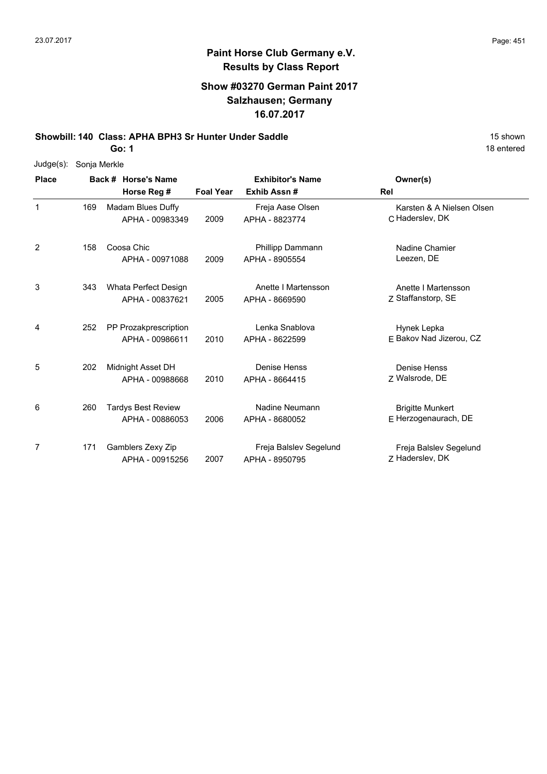# **Paint Horse Club Germany e.V. Results by Class Report**

## **Show #03270 German Paint 2017 Salzhausen; Germany 16.07.2017**

**Showbill: 140 Class: APHA BPH3 Sr Hunter Under Saddle** 15 Shown 15 shown

| Judge(s):    | Sonja Merkle |                           |                  |                         |                           |
|--------------|--------------|---------------------------|------------------|-------------------------|---------------------------|
| <b>Place</b> |              | Back # Horse's Name       |                  | <b>Exhibitor's Name</b> | Owner(s)                  |
|              |              | Horse Reg #               | <b>Foal Year</b> | Exhib Assn#             | <b>Rel</b>                |
| $\mathbf{1}$ | 169          | Madam Blues Duffy         |                  | Freja Aase Olsen        | Karsten & A Nielsen Olsen |
|              |              | APHA - 00983349           | 2009             | APHA - 8823774          | C Haderslev, DK           |
| 2            | 158          | Coosa Chic                |                  | Phillipp Dammann        | Nadine Chamier            |
|              |              | APHA - 00971088           | 2009             | APHA - 8905554          | Leezen, DE                |
| 3            | 343          | Whata Perfect Design      |                  | Anette I Martensson     | Anette I Martensson       |
|              |              | APHA - 00837621           | 2005             | APHA - 8669590          | Z Staffanstorp, SE        |
| 4            | 252          | PP Prozakprescription     |                  | Lenka Snablova          | Hynek Lepka               |
|              |              | APHA - 00986611           | 2010             | APHA - 8622599          | E Bakov Nad Jizerou, CZ   |
| 5            | 202          | Midnight Asset DH         |                  | Denise Henss            | Denise Henss              |
|              |              | APHA - 00988668           | 2010             | APHA - 8664415          | Z Walsrode, DE            |
| 6            | 260          | <b>Tardys Best Review</b> |                  | Nadine Neumann          | <b>Brigitte Munkert</b>   |
|              |              | APHA - 00886053           | 2006             | APHA - 8680052          | E Herzogenaurach, DE      |
| 7            | 171          | Gamblers Zexy Zip         |                  | Freja Balslev Segelund  | Freja Balslev Segelund    |
|              |              | APHA - 00915256           | 2007             | APHA - 8950795          | Z Haderslev, DK           |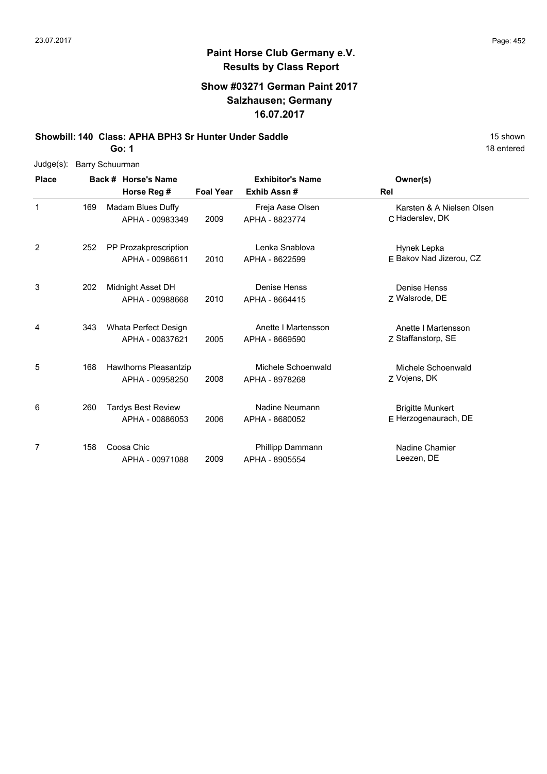## **Show #03271 German Paint 2017 Salzhausen; Germany 16.07.2017**

**Showbill: 140 Class: APHA BPH3 Sr Hunter Under Saddle** 15 Shown 15 shown

**Go: 1**

| $Judge(s)$ : |     | <b>Barry Schuurman</b>    |                  |                         |                           |
|--------------|-----|---------------------------|------------------|-------------------------|---------------------------|
| <b>Place</b> |     | Back # Horse's Name       |                  | <b>Exhibitor's Name</b> | Owner(s)                  |
|              |     | Horse Reg #               | <b>Foal Year</b> | Exhib Assn#             | Rel                       |
| 1            | 169 | Madam Blues Duffy         |                  | Freja Aase Olsen        | Karsten & A Nielsen Olsen |
|              |     | APHA - 00983349           | 2009             | APHA - 8823774          | C Haderslev, DK           |
| 2            | 252 | PP Prozakprescription     |                  | Lenka Snablova          | Hynek Lepka               |
|              |     | APHA - 00986611           | 2010             | APHA - 8622599          | F Bakov Nad Jizerou, CZ   |
| 3            | 202 | Midnight Asset DH         |                  | <b>Denise Henss</b>     | Denise Henss              |
|              |     | APHA - 00988668           | 2010             | APHA - 8664415          | Z Walsrode, DE            |
| 4            | 343 | Whata Perfect Design      |                  | Anette I Martensson     | Anette I Martensson       |
|              |     | APHA - 00837621           | 2005             | APHA - 8669590          | Z Staffanstorp, SE        |
| 5            | 168 | Hawthorns Pleasantzip     |                  | Michele Schoenwald      | Michele Schoenwald        |
|              |     | APHA - 00958250           | 2008             | APHA - 8978268          | Z Vojens, DK              |
| 6            | 260 | <b>Tardys Best Review</b> |                  | Nadine Neumann          | <b>Brigitte Munkert</b>   |
|              |     | APHA - 00886053           | 2006             | APHA - 8680052          | E Herzogenaurach, DE      |
| 7            | 158 | Coosa Chic                |                  | <b>Phillipp Dammann</b> | Nadine Chamier            |
|              |     | APHA - 00971088           | 2009             | APHA - 8905554          | Leezen, DE                |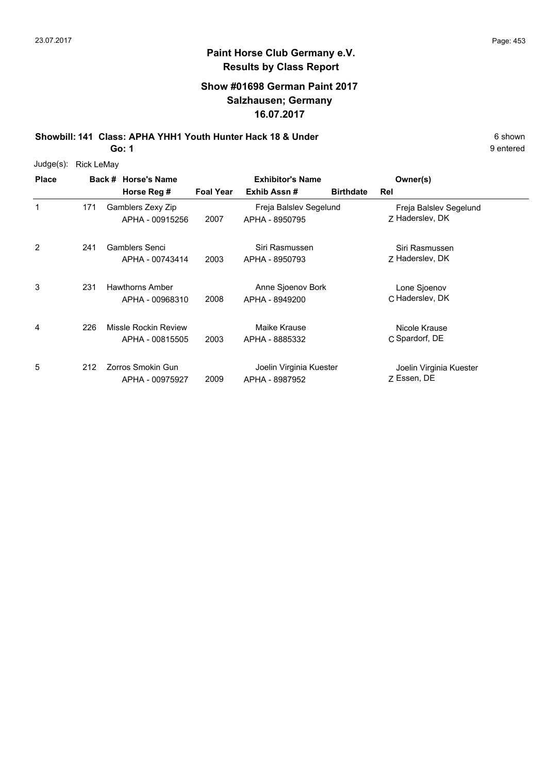#### **Show #01698 German Paint 2017 Salzhausen; Germany 16.07.2017**

**Showbill: 141 Class: APHA YHH1 Youth Hunter Hack 18 & Under** 6 **Shown** 6 shown **Go: 1**

Judge(s): Rick LeMay

**Back # Horse's Name Place Owner(s) Horse Reg # Exhib Assn # Foal Year Birthdate Rel Exhibitor's Name** 1 Z Haderslev, DK Freja Balslev Segelund 2007 APHA - 8950795 Z Haderslev, DK Gamblers Zexy Zip APHA - 00915256 Freja Balslev Segelund 171 2 7 Haderslev, DK Siri Rasmussen 2003 Haderslev, DK APHA - 8950793 241 Gamblers Senci APHA - 00743414 Siri Rasmussen 3 C Haderslev, DK Lone Sjoenov 2008 Haderslev, DK APHA - 8949200 Hawthorns Amber APHA - 00968310 Anne Sjoenov Bork 231 4 C Spardorf, DE Nicole Krause 2003 APHA - 8885332 C Spardorf, DE Missle Rockin Review APHA - 00815505 Maike Krause 226 5 Z Essen, DE Joelin Virginia Kuester 2009 Essen, DE APHA - 8987952 212 Zorros Smokin Gun APHA - 00975927 Joelin Virginia Kuester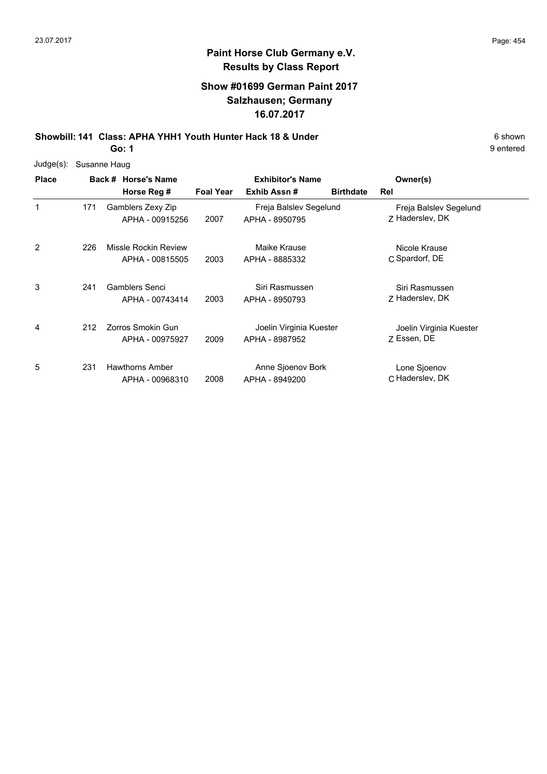## **Show #01699 German Paint 2017 Salzhausen; Germany 16.07.2017**

**Showbill: 141 Class: APHA YHH1 Youth Hunter Hack 18 & Under** 6 Shown 6 shown **Go: 1**

| Judge(s):    | Susanne Haug |                                         |                  |                                           |                                           |
|--------------|--------------|-----------------------------------------|------------------|-------------------------------------------|-------------------------------------------|
| <b>Place</b> |              | Back # Horse's Name<br>Horse Reg #      | <b>Foal Year</b> | <b>Exhibitor's Name</b><br>Exhib Assn#    | Owner(s)<br><b>Birthdate</b><br>Rel       |
| 1            | 171          | Gamblers Zexy Zip<br>APHA - 00915256    | 2007             | Freja Balslev Segelund<br>APHA - 8950795  | Freja Balslev Segelund<br>Z Haderslev, DK |
| 2            | 226          | Missle Rockin Review<br>APHA - 00815505 | 2003             | Maike Krause<br>APHA - 8885332            | Nicole Krause<br>C Spardorf, DE           |
| 3            | 241          | Gamblers Senci<br>APHA - 00743414       | 2003             | Siri Rasmussen<br>APHA - 8950793          | Siri Rasmussen<br>Z Haderslev, DK         |
| 4            | 212          | Zorros Smokin Gun<br>APHA - 00975927    | 2009             | Joelin Virginia Kuester<br>APHA - 8987952 | Joelin Virginia Kuester<br>Z Essen, DE    |
| 5            | 231          | Hawthorns Amber<br>APHA - 00968310      | 2008             | Anne Sjoenov Bork<br>APHA - 8949200       | Lone Sjoenov<br>C Haderslev, DK           |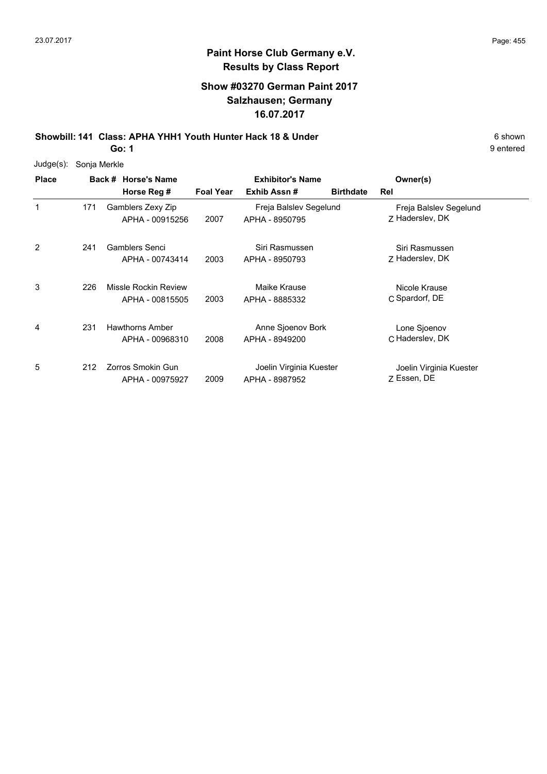1

2

3

4

5

#### **Paint Horse Club Germany e.V. Results by Class Report**

#### **Show #03270 German Paint 2017 Salzhausen; Germany 16.07.2017**

**Showbill: 141 Class: APHA YHH1 Youth Hunter Hack 18 & Under** 6 **Shown** 6 shown **Go: 1**

Judge(s): Sonja Merkle

212 Zorros Smokin Gun

APHA - 00975927

**Back # Horse's Name Place Owner(s) Horse Reg # Exhib Assn # Foal Year Birthdate Rel Exhibitor's Name** Z Haderslev, DK Freja Balslev Segelund 2007 APHA - 8950795 Z Haderslev, DK Gamblers Zexy Zip APHA - 00915256 Freja Balslev Segelund 171 7 Haderslev, DK Siri Rasmussen 2003 Haderslev, DK APHA - 8950793 Gamblers Senci APHA - 00743414 Siri Rasmussen 241 C Spardorf, DE Nicole Krause 2003 APHA - 8885332 C Spardorf, DE Missle Rockin Review APHA - 00815505 Maike Krause 226 C Haderslev, DK Lone Sjoenov 2008 Haderslev, DK APHA - 8949200 Hawthorns Amber APHA - 00968310 Anne Sjoenov Bork 231

> Z Essen, DE Joelin Virginia Kuester 2009 Essen, DE APHA - 8987952 Joelin Virginia Kuester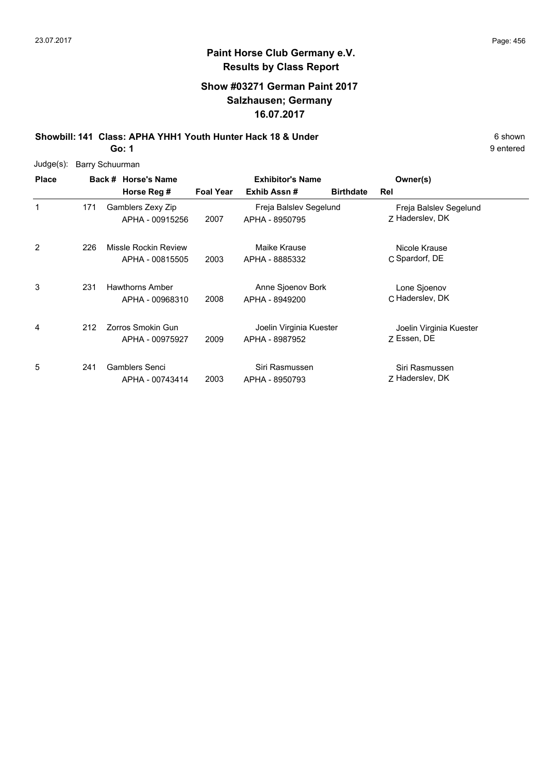## **Show #03271 German Paint 2017 Salzhausen; Germany 16.07.2017**

**Showbill: 141 Class: APHA YHH1 Youth Hunter Hack 18 & Under** 6 Shown 6 shown **Go: 1**

9 entered

Judge(s): Barry Schuurman

| <b>Place</b> |     | Back # Horse's Name<br>Horse Reg #        | <b>Foal Year</b> | <b>Exhibitor's Name</b><br>Exhib Assn#    | <b>Birthdate</b> | Owner(s)<br>Rel                           |  |
|--------------|-----|-------------------------------------------|------------------|-------------------------------------------|------------------|-------------------------------------------|--|
| $\mathbf{1}$ | 171 | Gamblers Zexy Zip<br>APHA - 00915256      | 2007             | Freja Balslev Segelund<br>APHA - 8950795  |                  | Freja Balslev Segelund<br>Z Haderslev, DK |  |
| 2            | 226 | Missle Rockin Review<br>APHA - 00815505   | 2003             | Maike Krause<br>APHA - 8885332            |                  | Nicole Krause<br>C Spardorf, DE           |  |
| 3            | 231 | <b>Hawthorns Amber</b><br>APHA - 00968310 | 2008             | Anne Sjoenov Bork<br>APHA - 8949200       |                  | Lone Sjoenov<br>C Haderslev, DK           |  |
| 4            | 212 | Zorros Smokin Gun<br>APHA - 00975927      | 2009             | Joelin Virginia Kuester<br>APHA - 8987952 |                  | Joelin Virginia Kuester<br>Z Essen, DE    |  |
| 5            | 241 | Gamblers Senci<br>APHA - 00743414         | 2003             | Siri Rasmussen<br>APHA - 8950793          |                  | Siri Rasmussen<br>7 Haderslev, DK         |  |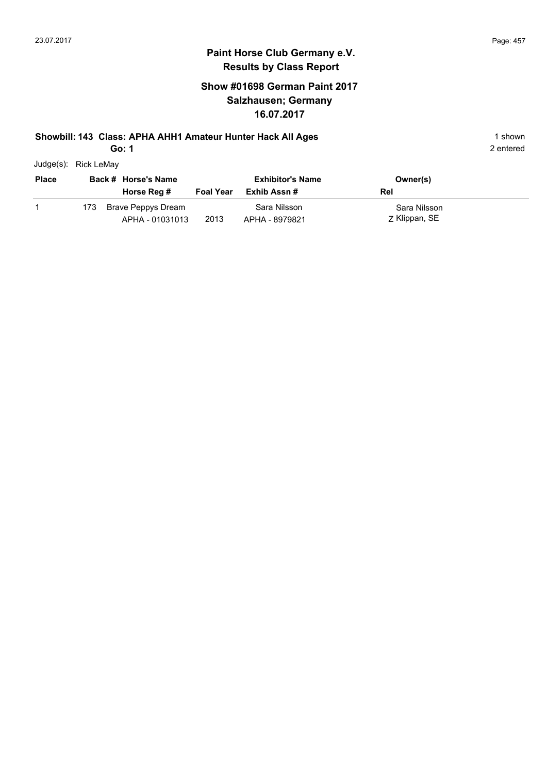## **Show #01698 German Paint 2017 Salzhausen; Germany 16.07.2017**

#### **Showbill: 143 Class: APHA AHH1 Amateur Hunter Hack All Ages** 1 shown

**Go: 1**

| Judge(s): Rick LeMay |      |                                       |                  |                                |                               |
|----------------------|------|---------------------------------------|------------------|--------------------------------|-------------------------------|
| <b>Place</b>         |      | Back # Horse's Name                   |                  | <b>Exhibitor's Name</b>        | Owner(s)                      |
|                      |      | Horse Reg #                           | <b>Foal Year</b> | Exhib Assn #                   | Rel                           |
|                      | 173. | Brave Peppys Dream<br>APHA - 01031013 | 2013             | Sara Nilsson<br>APHA - 8979821 | Sara Nilsson<br>Z Klippan, SE |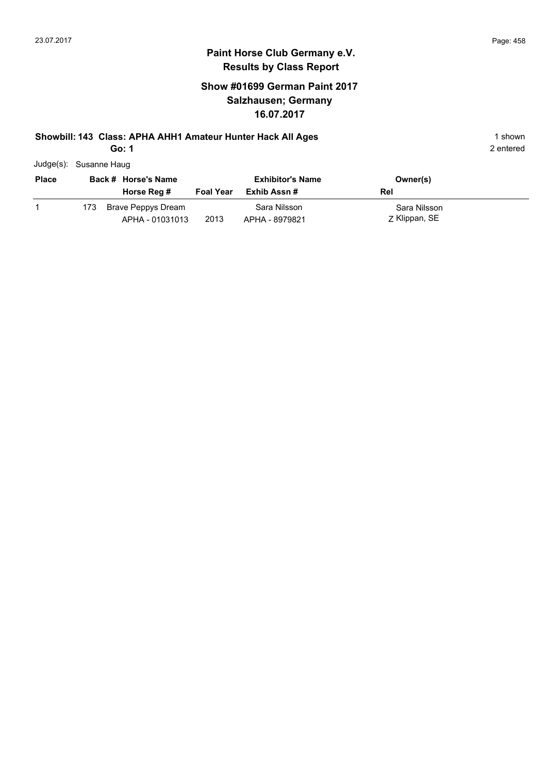## **Show #01699 German Paint 2017 Salzhausen; Germany 16.07.2017**

## **Showbill: 143 Class: APHA AHH1 Amateur Hunter Hack All Ages** 1 shown

**Go: 1**

| Judge(s): Susanne Haug |      |                                       |                  |                                |                               |  |
|------------------------|------|---------------------------------------|------------------|--------------------------------|-------------------------------|--|
| <b>Place</b>           |      | Back # Horse's Name                   |                  | <b>Exhibitor's Name</b>        | Owner(s)                      |  |
|                        |      | Horse Reg #                           | <b>Foal Year</b> | Exhib Assn#                    | Rel                           |  |
|                        | 173. | Brave Peppys Dream<br>APHA - 01031013 | 2013             | Sara Nilsson<br>APHA - 8979821 | Sara Nilsson<br>Z Klippan, SE |  |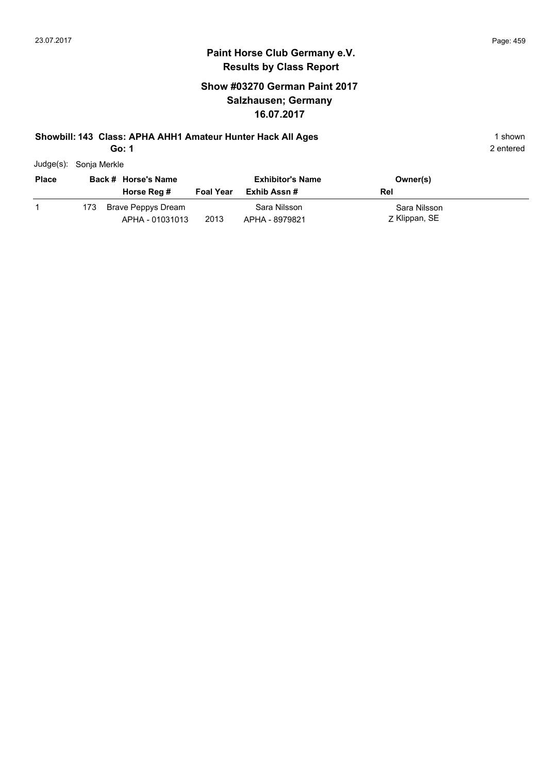## **Show #03270 German Paint 2017 Salzhausen; Germany 16.07.2017**

#### **Showbill: 143 Class: APHA AHH1 Amateur Hunter Hack All Ages** 1 shown

**Go: 1**

| Judge(s): Sonja Merkle |  |
|------------------------|--|

| <b>Place</b> |      | Back # Horse's Name                   |                  | <b>Exhibitor's Name</b>        | Owner(s)                      |
|--------------|------|---------------------------------------|------------------|--------------------------------|-------------------------------|
|              |      | Horse Reg #                           | <b>Foal Year</b> | Exhib Assn #                   | Rel                           |
|              | 173. | Brave Peppys Dream<br>APHA - 01031013 | 2013             | Sara Nilsson<br>APHA - 8979821 | Sara Nilsson<br>Z Klippan, SE |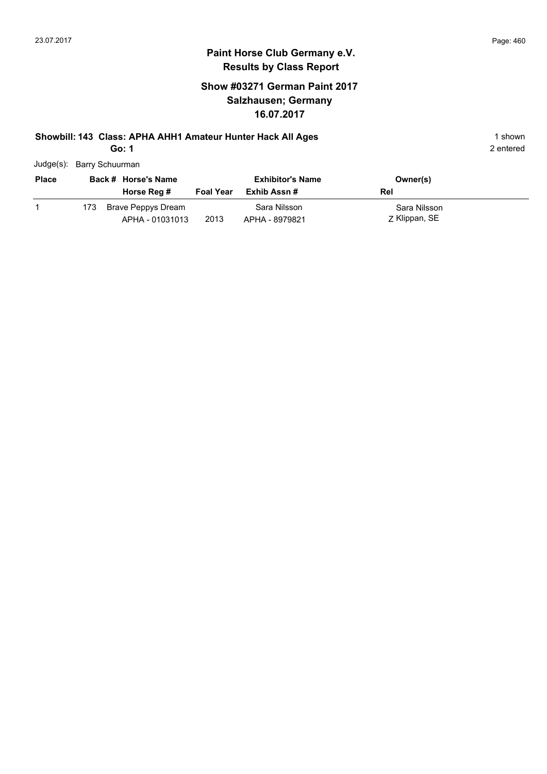## **Show #03271 German Paint 2017 Salzhausen; Germany 16.07.2017**

# **Showbill: 143 Class: APHA AHH1 Amateur Hunter Hack All Ages** 1 shown

**Go: 1**

| Judge(s): Barry Schuurman |  |
|---------------------------|--|

| <b>Place</b> |     | Back # Horse's Name                   |                  | <b>Exhibitor's Name</b>        | Owner(s)                      |
|--------------|-----|---------------------------------------|------------------|--------------------------------|-------------------------------|
|              |     | Horse Reg #                           | <b>Foal Year</b> | Exhib Assn #                   | Rel                           |
|              | 173 | Brave Peppys Dream<br>APHA - 01031013 | 2013             | Sara Nilsson<br>APHA - 8979821 | Sara Nilsson<br>Z Klippan, SE |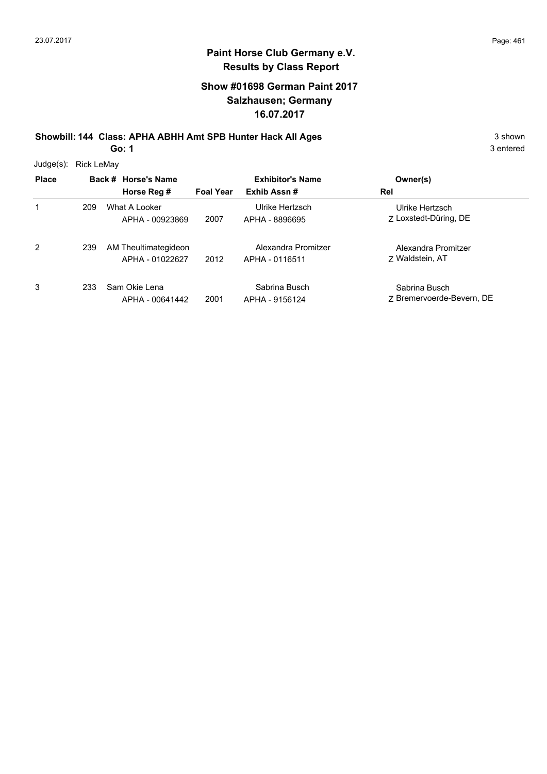## **Show #01698 German Paint 2017 Salzhausen; Germany 16.07.2017**

**Showbill: 144 Class: APHA ABHH Amt SPB Hunter Hack All Ages** 3 shown 3 shown

**Go: 1**

| Judge(s):    | Rick LeMay |                                         |                  |                                       |                                            |
|--------------|------------|-----------------------------------------|------------------|---------------------------------------|--------------------------------------------|
| <b>Place</b> |            | Back # Horse's Name                     |                  | <b>Exhibitor's Name</b>               | Owner(s)                                   |
|              |            | Horse Reg #                             | <b>Foal Year</b> | Exhib Assn#                           | Rel                                        |
| 1            | 209        | What A Looker<br>APHA - 00923869        | 2007             | Ulrike Hertzsch<br>APHA - 8896695     | Ulrike Hertzsch<br>7 Loxstedt-Düring, DE   |
| 2            | 239        | AM Theultimategideon<br>APHA - 01022627 | 2012             | Alexandra Promitzer<br>APHA - 0116511 | Alexandra Promitzer<br>7 Waldstein, AT     |
| 3            | 233        | Sam Okie Lena<br>APHA - 00641442        | 2001             | Sabrina Busch<br>APHA - 9156124       | Sabrina Busch<br>7 Bremervoerde-Bevern, DE |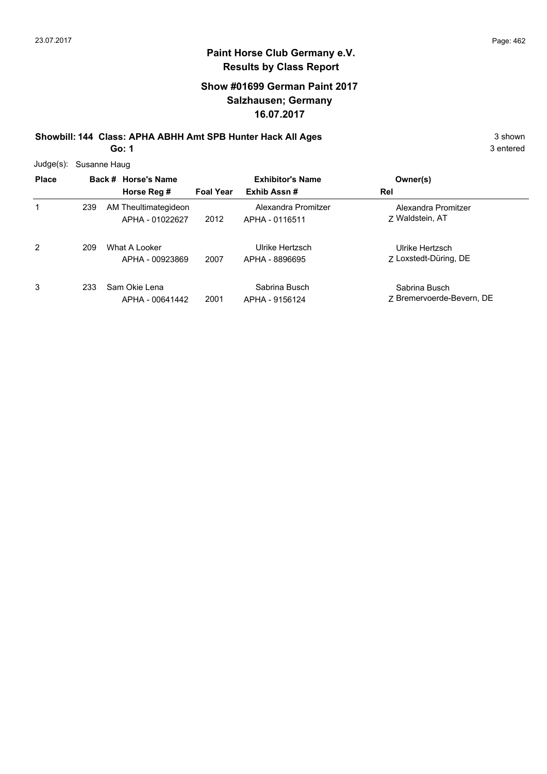## **Show #01699 German Paint 2017 Salzhausen; Germany 16.07.2017**

**Showbill: 144 Class: APHA ABHH Amt SPB Hunter Hack All Ages** 3 shown 3 shown **Go: 1**

| $Judge(s)$ : |     | Susanne Haug                            |                  |                                       |                                            |
|--------------|-----|-----------------------------------------|------------------|---------------------------------------|--------------------------------------------|
| <b>Place</b> |     | Back # Horse's Name                     |                  | <b>Exhibitor's Name</b>               | Owner(s)                                   |
|              |     | Horse Reg #                             | <b>Foal Year</b> | Exhib Assn#                           | Rel                                        |
| 1            | 239 | AM Theultimategideon<br>APHA - 01022627 | 2012             | Alexandra Promitzer<br>APHA - 0116511 | Alexandra Promitzer<br>7 Waldstein, AT     |
| 2            | 209 | What A Looker<br>APHA - 00923869        | 2007             | Ulrike Hertzsch<br>APHA - 8896695     | Ulrike Hertzsch<br>7 Loxstedt-Düring, DE   |
| 3            | 233 | Sam Okie Lena<br>APHA - 00641442        | 2001             | Sabrina Busch<br>APHA - 9156124       | Sabrina Busch<br>7 Bremervoerde-Bevern, DE |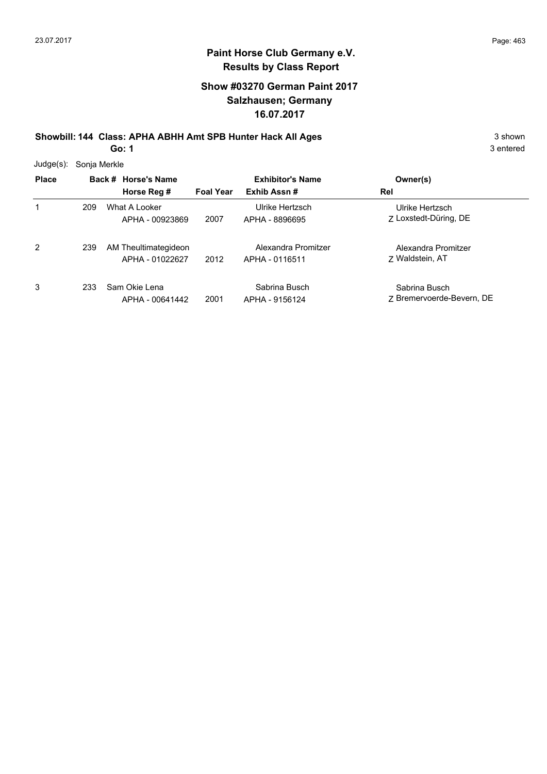## **Show #03270 German Paint 2017 Salzhausen; Germany 16.07.2017**

**Showbill: 144 Class: APHA ABHH Amt SPB Hunter Hack All Ages** 3 shown 3 shown

**Go: 1**

| $Judge(s)$ : | Sonja Merkle |                                         |                  |                                       |                                            |  |  |  |
|--------------|--------------|-----------------------------------------|------------------|---------------------------------------|--------------------------------------------|--|--|--|
| <b>Place</b> |              | Back # Horse's Name                     |                  | <b>Exhibitor's Name</b>               | Owner(s)                                   |  |  |  |
|              |              | Horse Reg #                             | <b>Foal Year</b> | Exhib Assn#                           | Rel                                        |  |  |  |
| 1            | 209          | What A Looker<br>APHA - 00923869        | 2007             | Ulrike Hertzsch<br>APHA - 8896695     | Ulrike Hertzsch<br>7 Loxstedt-Düring, DE   |  |  |  |
| 2            | 239          | AM Theultimategideon<br>APHA - 01022627 | 2012             | Alexandra Promitzer<br>APHA - 0116511 | Alexandra Promitzer<br>7 Waldstein, AT     |  |  |  |
| 3            | 233          | Sam Okie Lena<br>APHA - 00641442        | 2001             | Sabrina Busch<br>APHA - 9156124       | Sabrina Busch<br>7 Bremervoerde-Bevern, DE |  |  |  |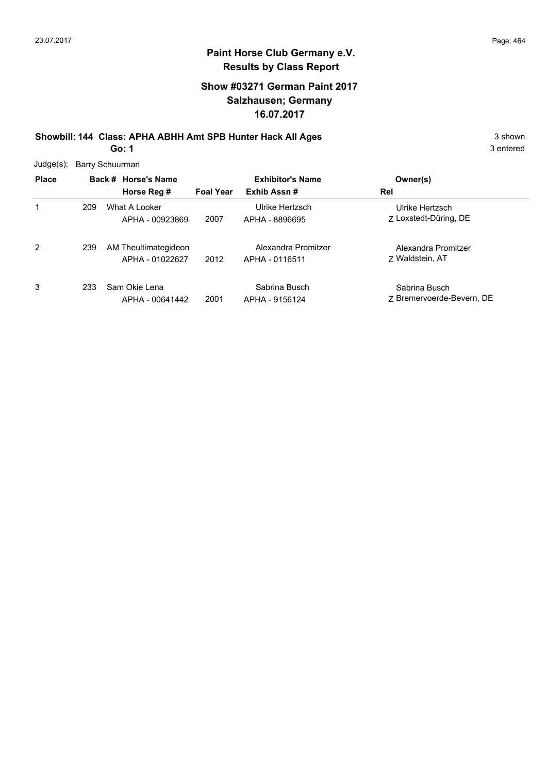## **Show #03271 German Paint 2017 Salzhausen; Germany 16.07.2017**

**Showbill: 144 Class: APHA ABHH Amt SPB Hunter Hack All Ages** 3 shown 3 shown **Go: 1**

| $Judge(s)$ : |     | Barry Schuurman                         |                  |                                       |                                            |
|--------------|-----|-----------------------------------------|------------------|---------------------------------------|--------------------------------------------|
| <b>Place</b> |     | Back # Horse's Name                     |                  | <b>Exhibitor's Name</b>               | Owner(s)                                   |
|              |     | Horse Reg #                             | <b>Foal Year</b> | Exhib Assn#                           | Rel                                        |
| 1            | 209 | What A Looker<br>APHA - 00923869        | 2007             | Ulrike Hertzsch<br>APHA - 8896695     | Ulrike Hertzsch<br>7 Loxstedt-Düring, DE   |
| 2            | 239 | AM Theultimategideon<br>APHA - 01022627 | 2012             | Alexandra Promitzer<br>APHA - 0116511 | Alexandra Promitzer<br>7 Waldstein, AT     |
| 3            | 233 | Sam Okie Lena<br>APHA - 00641442        | 2001             | Sabrina Busch<br>APHA - 9156124       | Sabrina Busch<br>7 Bremervoerde-Bevern, DE |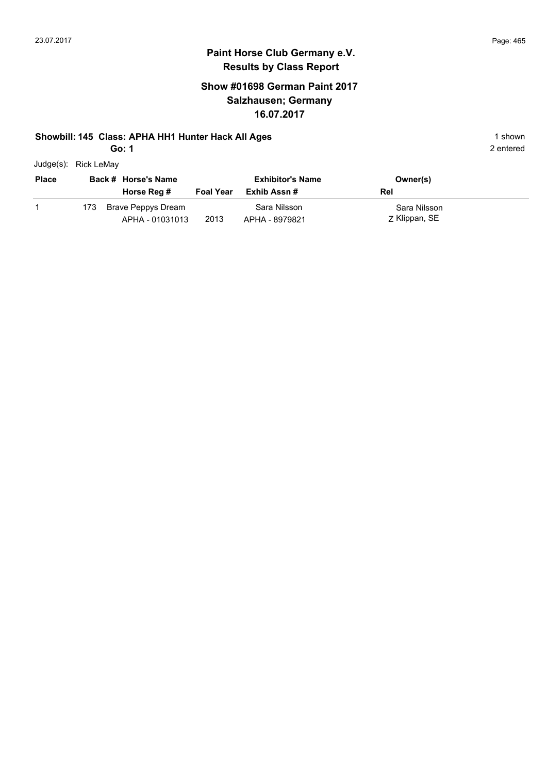## **Paint Horse Club Germany e.V. Results by Class Report**

## **Show #01698 German Paint 2017 Salzhausen; Germany 16.07.2017**

#### **Showbill: 145 Class: APHA HH1 Hunter Hack All Ages** 1 shown

**Go: 1**

Judge(s): Rick LeMay

| <b>Place</b> |     | Back # Horse's Name<br>Horse Reg #    | <b>Foal Year</b> | <b>Exhibitor's Name</b><br>Exhib Assn # | Owner(s)<br>Rel               |
|--------------|-----|---------------------------------------|------------------|-----------------------------------------|-------------------------------|
|              | 173 | Brave Peppys Dream<br>APHA - 01031013 | 2013             | Sara Nilsson<br>APHA - 8979821          | Sara Nilsson<br>Z Klippan, SE |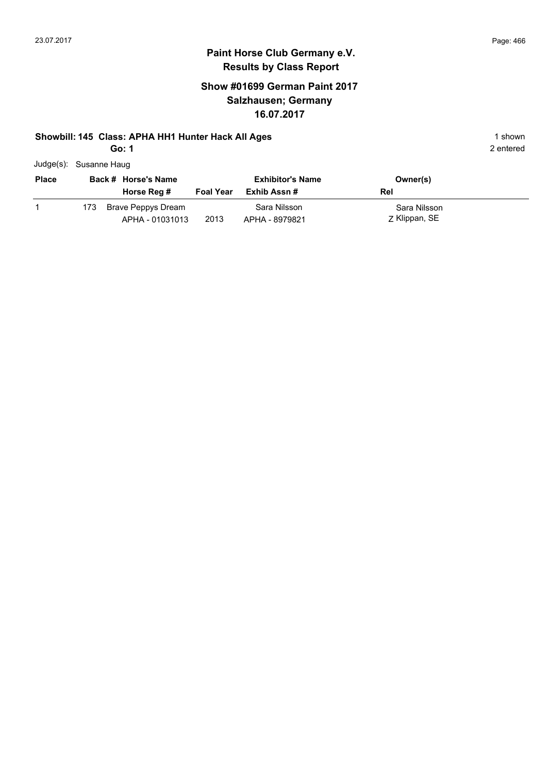## **Paint Horse Club Germany e.V. Results by Class Report**

## **Show #01699 German Paint 2017 Salzhausen; Germany 16.07.2017**

#### **Showbill: 145 Class: APHA HH1 Hunter Hack All Ages** 1 shown

| Judge(s): Susanne Haug |
|------------------------|
|                        |

| <b>Place</b> |      | Back # Horse's Name<br>Horse Reg #    | <b>Foal Year</b> | <b>Exhibitor's Name</b><br>Exhib Assn # | Owner(s)<br>Rel               |
|--------------|------|---------------------------------------|------------------|-----------------------------------------|-------------------------------|
|              | 173. | Brave Peppys Dream<br>APHA - 01031013 | 2013             | Sara Nilsson<br>APHA - 8979821          | Sara Nilsson<br>Z Klippan, SE |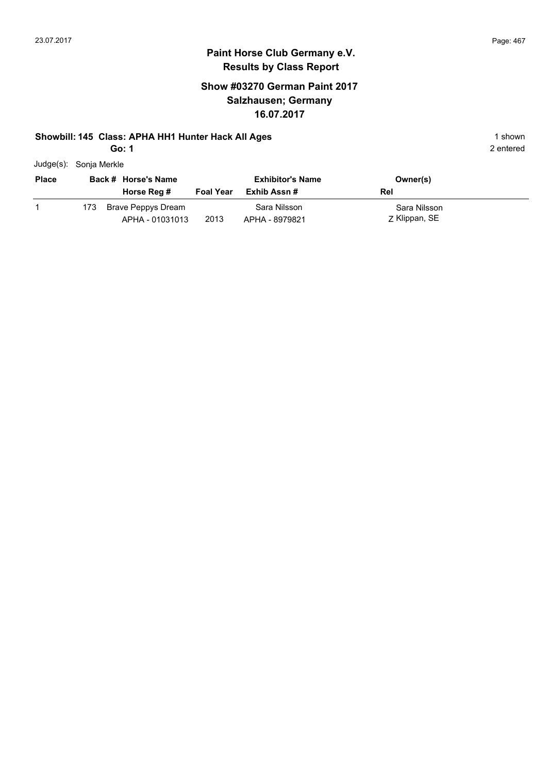## **Paint Horse Club Germany e.V. Results by Class Report**

## **Show #03270 German Paint 2017 Salzhausen; Germany 16.07.2017**

#### **Showbill: 145 Class: APHA HH1 Hunter Hack All Ages** 1 shown

| $Judge(s)$ :<br>Sonja Merkle |
|------------------------------|
|------------------------------|

| <b>Place</b> |      | Back # Horse's Name<br>Horse Reg #    | <b>Foal Year</b> | <b>Exhibitor's Name</b><br>Exhib Assn # | Owner(s)<br>Rel               |
|--------------|------|---------------------------------------|------------------|-----------------------------------------|-------------------------------|
|              | 173. | Brave Peppys Dream<br>APHA - 01031013 | 2013             | Sara Nilsson<br>APHA - 8979821          | Sara Nilsson<br>Z Klippan, SE |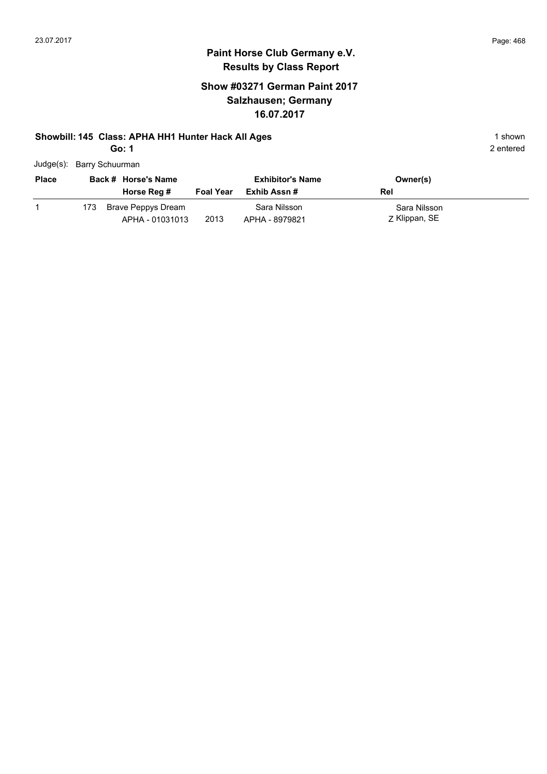## **Paint Horse Club Germany e.V. Results by Class Report**

## **Show #03271 German Paint 2017 Salzhausen; Germany 16.07.2017**

#### **Showbill: 145 Class: APHA HH1 Hunter Hack All Ages** 1 shown

| Judge(s): Barry Schuurman |  |
|---------------------------|--|
|                           |  |

| <b>Place</b> |     | Back # Horse's Name<br>Horse Reg #    | <b>Foal Year</b> | <b>Exhibitor's Name</b><br>Exhib Assn # | Owner(s)<br>Rel               |
|--------------|-----|---------------------------------------|------------------|-----------------------------------------|-------------------------------|
|              | 173 | Brave Peppys Dream<br>APHA - 01031013 | 2013             | Sara Nilsson<br>APHA - 8979821          | Sara Nilsson<br>Z Klippan, SE |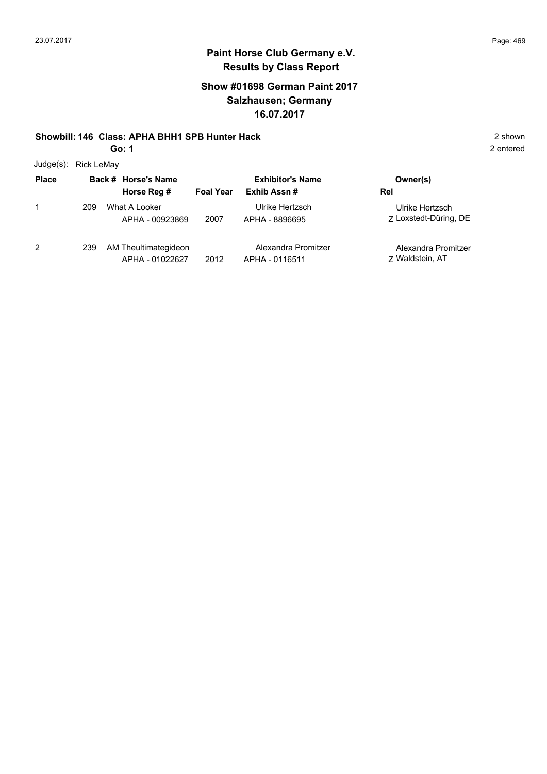2 entered

# **Paint Horse Club Germany e.V. Results by Class Report**

#### **Show #01698 German Paint 2017 Salzhausen; Germany 16.07.2017**

#### **Showbill: 146 Class: APHA BHH1 SPB Hunter Hack** 2 shown

**Go: 1**

Judge(s): Rick LeMay

| <b>JUUYU(J).</b> INUN LUIVIAY<br><b>Place</b> |     | Back # Horse's Name<br>Horse Reg #      | <b>Foal Year</b> | <b>Exhibitor's Name</b><br>Exhib Assn# | Owner(s)<br>Rel                          |
|-----------------------------------------------|-----|-----------------------------------------|------------------|----------------------------------------|------------------------------------------|
|                                               | 209 | What A Looker<br>APHA - 00923869        | 2007             | Ulrike Hertzsch<br>APHA - 8896695      | Ulrike Hertzsch<br>7 Loxstedt-Düring, DE |
| 2                                             | 239 | AM Theultimategideon<br>APHA - 01022627 | 2012             | Alexandra Promitzer<br>APHA - 0116511  | Alexandra Promitzer<br>7 Waldstein, AT   |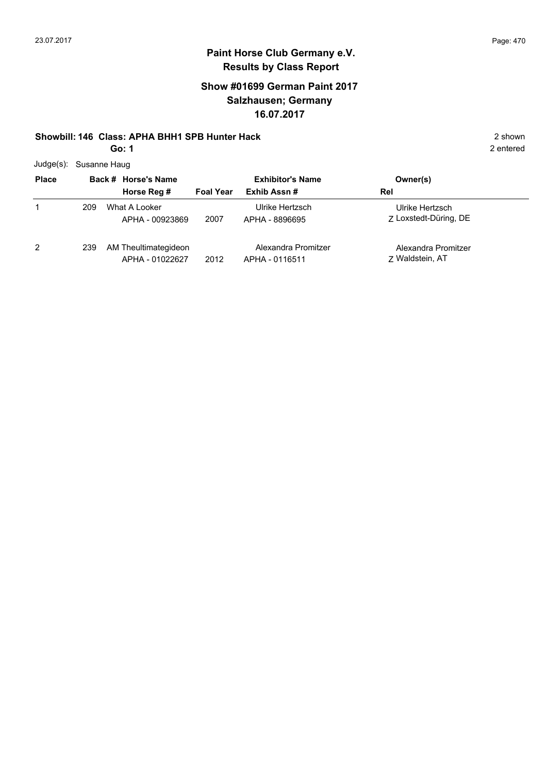#### **Show #01699 German Paint 2017 Salzhausen; Germany 16.07.2017**

#### **Showbill: 146 Class: APHA BHH1 SPB Hunter Hack** 2 shown

**Go: 1**

|  | Judge(s): Susanne Haug |
|--|------------------------|
|--|------------------------|

| <b>Place</b>   |     | Back # Horse's Name                     |                  | <b>Exhibitor's Name</b>               | Owner(s)                                 |
|----------------|-----|-----------------------------------------|------------------|---------------------------------------|------------------------------------------|
|                |     | Horse Reg #                             | <b>Foal Year</b> | Exhib Assn#                           | Rel                                      |
|                | 209 | What A Looker<br>APHA - 00923869        | 2007             | Ulrike Hertzsch<br>APHA - 8896695     | Ulrike Hertzsch<br>7 Loxstedt-Düring, DE |
| $\overline{2}$ | 239 | AM Theultimategideon<br>APHA - 01022627 | 2012             | Alexandra Promitzer<br>APHA - 0116511 | Alexandra Promitzer<br>7 Waldstein, AT   |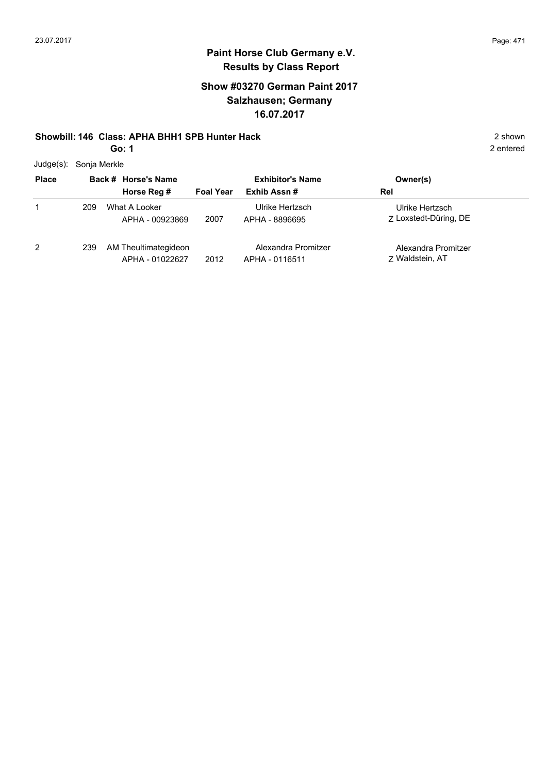#### **Show #03270 German Paint 2017 Salzhausen; Germany 16.07.2017**

#### **Showbill: 146 Class: APHA BHH1 SPB Hunter Hack** 2 shown

**Go: 1**

Judge(s): Sonja Merkle

| <b>Place</b> |     | Back # Horse's Name                     | <b>Exhibitor's Name</b> |                                       | Owner(s)                                 |
|--------------|-----|-----------------------------------------|-------------------------|---------------------------------------|------------------------------------------|
|              |     | Horse Reg #                             | <b>Foal Year</b>        | Exhib Assn#                           | Rel                                      |
|              | 209 | What A Looker<br>APHA - 00923869        | 2007                    | Ulrike Hertzsch<br>APHA - 8896695     | Ulrike Hertzsch<br>Z Loxstedt-Düring, DE |
| 2            | 239 | AM Theultimategideon<br>APHA - 01022627 | 2012                    | Alexandra Promitzer<br>APHA - 0116511 | Alexandra Promitzer<br>7 Waldstein, AT   |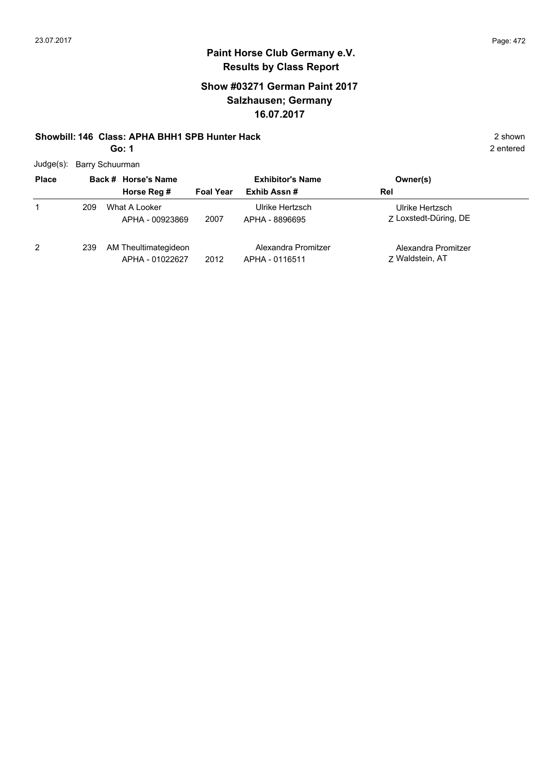#### **Show #03271 German Paint 2017 Salzhausen; Germany 16.07.2017**

#### **Showbill: 146 Class: APHA BHH1 SPB Hunter Hack** 2 shown

**Go: 1**

2 entered

Judge(s): Barry Schuurman

| <b>Place</b> |     | Back # Horse's Name                     |                  | <b>Exhibitor's Name</b>               | Owner(s)                                 |
|--------------|-----|-----------------------------------------|------------------|---------------------------------------|------------------------------------------|
|              |     | Horse Reg #                             | <b>Foal Year</b> | Exhib Assn#                           | Rel                                      |
|              | 209 | What A Looker<br>APHA - 00923869        | 2007             | Ulrike Hertzsch<br>APHA - 8896695     | Ulrike Hertzsch<br>7 Loxstedt-Düring, DE |
| 2            | 239 | AM Theultimategideon<br>APHA - 01022627 | 2012             | Alexandra Promitzer<br>APHA - 0116511 | Alexandra Promitzer<br>Z Waldstein, AT   |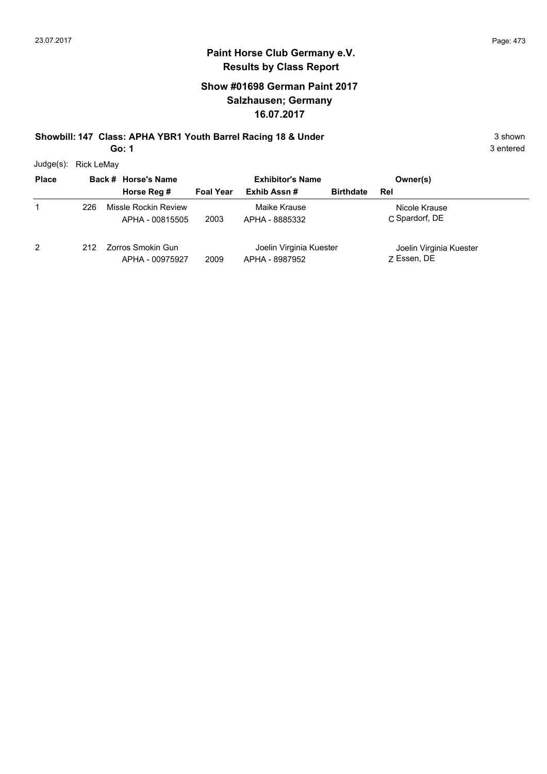#### **Show #01698 German Paint 2017 Salzhausen; Germany 16.07.2017**

# **Showbill: 147 Class: APHA YBR1 Youth Barrel Racing 18 & Under** 3 shown 3 shown

**Go: 1**

Judge(s): Rick LeMay

| <b>Place</b> |      | Back # Horse's Name                     | <b>Exhibitor's Name</b> |                                           | Owner(s)         |                                        |
|--------------|------|-----------------------------------------|-------------------------|-------------------------------------------|------------------|----------------------------------------|
|              |      | Horse Reg #                             | <b>Foal Year</b>        | Exhib Assn#                               | <b>Birthdate</b> | Rel                                    |
|              | 226  | Missle Rockin Review<br>APHA - 00815505 | 2003                    | Maike Krause<br>APHA - 8885332            |                  | Nicole Krause<br>C Spardorf, DE        |
| 2            | 212. | Zorros Smokin Gun<br>APHA - 00975927    | 2009                    | Joelin Virginia Kuester<br>APHA - 8987952 |                  | Joelin Virginia Kuester<br>7 Essen, DE |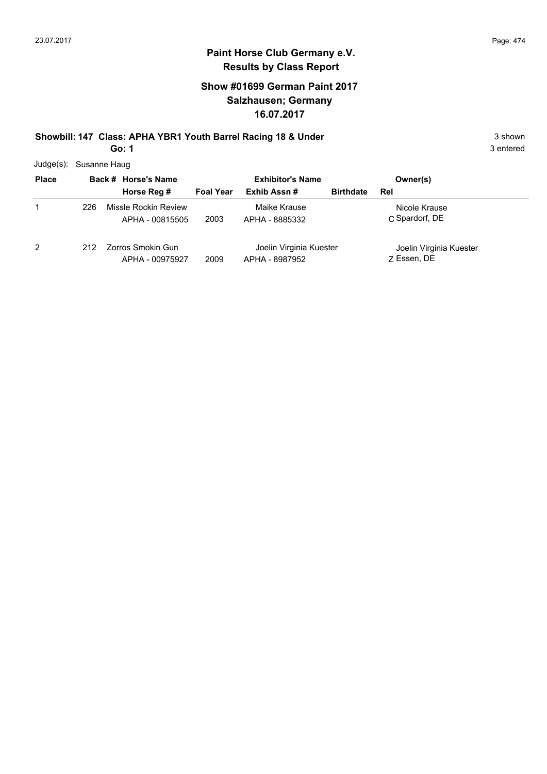#### **Show #01699 German Paint 2017 Salzhausen; Germany 16.07.2017**

# **Showbill: 147 Class: APHA YBR1 Youth Barrel Racing 18 & Under** 3 shown 3 shown

**Go: 1**

3 entered

Judge(s): Susanne Haug

| <b>Place</b> |     | Back # Horse's Name                     |                  | <b>Exhibitor's Name</b>                   |                  | Owner(s)                               |
|--------------|-----|-----------------------------------------|------------------|-------------------------------------------|------------------|----------------------------------------|
|              |     | Horse Reg #                             | <b>Foal Year</b> | Exhib Assn#                               | <b>Birthdate</b> | Rel                                    |
| 1            | 226 | Missle Rockin Review<br>APHA - 00815505 | 2003             | Maike Krause<br>APHA - 8885332            |                  | Nicole Krause<br>C Spardorf, DE        |
| 2            | 212 | Zorros Smokin Gun<br>APHA - 00975927    | 2009             | Joelin Virginia Kuester<br>APHA - 8987952 |                  | Joelin Virginia Kuester<br>Z Essen, DE |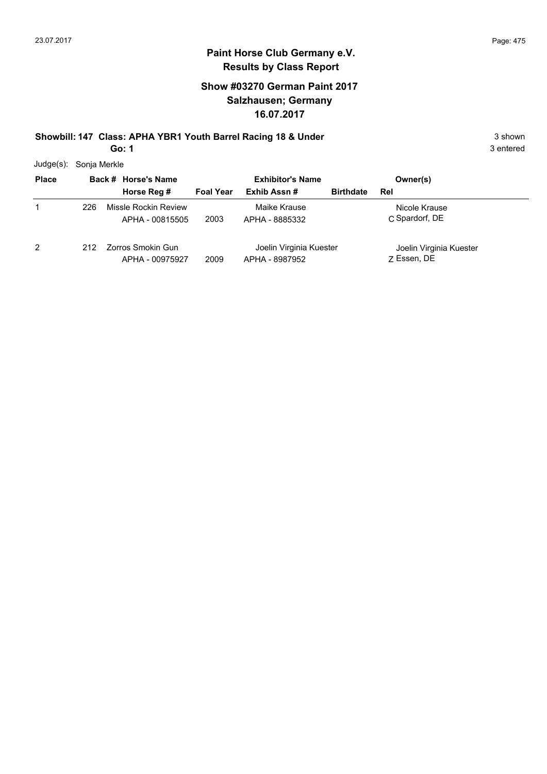#### **Show #03270 German Paint 2017 Salzhausen; Germany 16.07.2017**

**Showbill: 147 Class: APHA YBR1 Youth Barrel Racing 18 & Under** 3 shown 3 shown

**Go: 1**

3 entered

Judge(s): Sonja Merkle

| <b>Place</b> | Back # Horse's Name |                                         | <b>Exhibitor's Name</b> |                                           |                  | Owner(s)                               |
|--------------|---------------------|-----------------------------------------|-------------------------|-------------------------------------------|------------------|----------------------------------------|
|              |                     | Horse Reg #                             | <b>Foal Year</b>        | Exhib Assn#                               | <b>Birthdate</b> | Rel                                    |
| 1            | 226                 | Missle Rockin Review<br>APHA - 00815505 | 2003                    | Maike Krause<br>APHA - 8885332            |                  | Nicole Krause<br>C Spardorf, DE        |
| 2            | 212                 | Zorros Smokin Gun<br>APHA - 00975927    | 2009                    | Joelin Virginia Kuester<br>APHA - 8987952 |                  | Joelin Virginia Kuester<br>7 Essen, DE |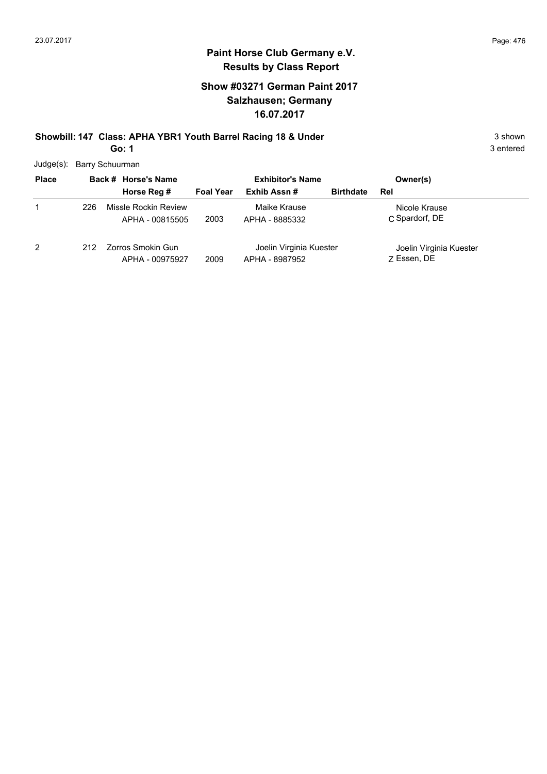3 entered

#### **Paint Horse Club Germany e.V. Results by Class Report**

#### **Show #03271 German Paint 2017 Salzhausen; Germany 16.07.2017**

#### **Showbill: 147 Class: APHA YBR1 Youth Barrel Racing 18 & Under** 3 shown 3 shown **Go: 1**

Judge(s): Barry Schuurman

| <b>Place</b> |     | Back # Horse's Name                     | <b>Exhibitor's Name</b> |                                           | Owner(s)         |                                        |
|--------------|-----|-----------------------------------------|-------------------------|-------------------------------------------|------------------|----------------------------------------|
|              |     | Horse Reg #                             | <b>Foal Year</b>        | Exhib Assn#                               | <b>Birthdate</b> | Rel                                    |
|              | 226 | Missle Rockin Review<br>APHA - 00815505 | 2003                    | Maike Krause<br>APHA - 8885332            |                  | Nicole Krause<br>C Spardorf, DE        |
| 2            | 212 | Zorros Smokin Gun<br>APHA - 00975927    | 2009                    | Joelin Virginia Kuester<br>APHA - 8987952 |                  | Joelin Virginia Kuester<br>7 Essen, DE |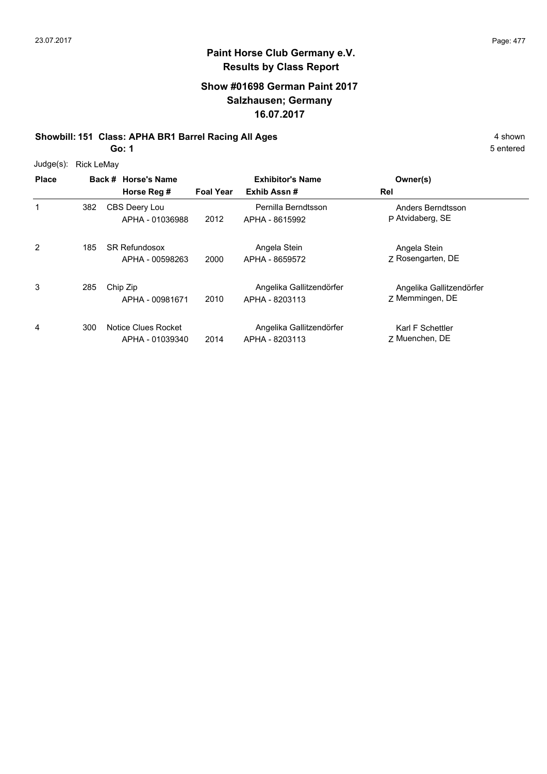#### **Show #01698 German Paint 2017 Salzhausen; Germany 16.07.2017**

#### **Showbill: 151 Class: APHA BR1 Barrel Racing All Ages** 4 shown

**Go: 1**

|              |                   | ו טט                                    |                  |                                            |                                             | эer |
|--------------|-------------------|-----------------------------------------|------------------|--------------------------------------------|---------------------------------------------|-----|
| $Judge(s)$ : | <b>Rick LeMay</b> |                                         |                  |                                            |                                             |     |
| <b>Place</b> |                   | Back # Horse's Name                     |                  | <b>Exhibitor's Name</b>                    | Owner(s)                                    |     |
|              |                   | Horse Reg #                             | <b>Foal Year</b> | Exhib Assn#                                | Rel                                         |     |
| 1            | 382               | CBS Deery Lou<br>APHA - 01036988        | 2012             | Pernilla Berndtsson<br>APHA - 8615992      | Anders Berndtsson<br>P Atvidaberg, SE       |     |
| 2            | 185               | <b>SR Refundosox</b><br>APHA - 00598263 | 2000             | Angela Stein<br>APHA - 8659572             | Angela Stein<br>Z Rosengarten, DE           |     |
| 3            | 285               | Chip Zip<br>APHA - 00981671             | 2010             | Angelika Gallitzendörfer<br>APHA - 8203113 | Angelika Gallitzendörfer<br>Z Memmingen, DE |     |
| 4            | 300               | Notice Clues Rocket<br>APHA - 01039340  | 2014             | Angelika Gallitzendörfer<br>APHA - 8203113 | Karl F Schettler<br>7 Muenchen, DE          |     |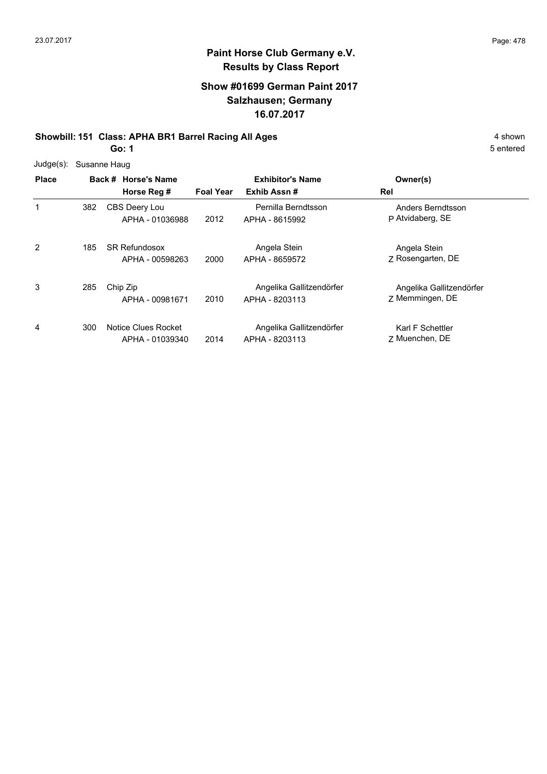#### **Show #01699 German Paint 2017 Salzhausen; Germany 16.07.2017**

#### **Showbill: 151 Class: APHA BR1 Barrel Racing All Ages** 4 shown

**Go: 1**

| $Judge(s)$ : | Susanne Haug |                                         |                  |                                            |                                             |
|--------------|--------------|-----------------------------------------|------------------|--------------------------------------------|---------------------------------------------|
| <b>Place</b> |              | Back # Horse's Name<br>Horse Reg #      | <b>Foal Year</b> | <b>Exhibitor's Name</b><br>Exhib Assn#     | Owner(s)<br>Rel                             |
| 1            | 382          | <b>CBS Deery Lou</b><br>APHA - 01036988 | 2012             | Pernilla Berndtsson<br>APHA - 8615992      | Anders Berndtsson<br>P Atvidaberg, SE       |
| 2            | 185          | <b>SR Refundosox</b><br>APHA - 00598263 | 2000             | Angela Stein<br>APHA - 8659572             | Angela Stein<br>Z Rosengarten, DE           |
| 3            | 285          | Chip Zip<br>APHA - 00981671             | 2010             | Angelika Gallitzendörfer<br>APHA - 8203113 | Angelika Gallitzendörfer<br>Z Memmingen, DE |
| 4            | 300          | Notice Clues Rocket<br>APHA - 01039340  | 2014             | Angelika Gallitzendörfer<br>APHA - 8203113 | Karl F Schettler<br>7 Muenchen, DE          |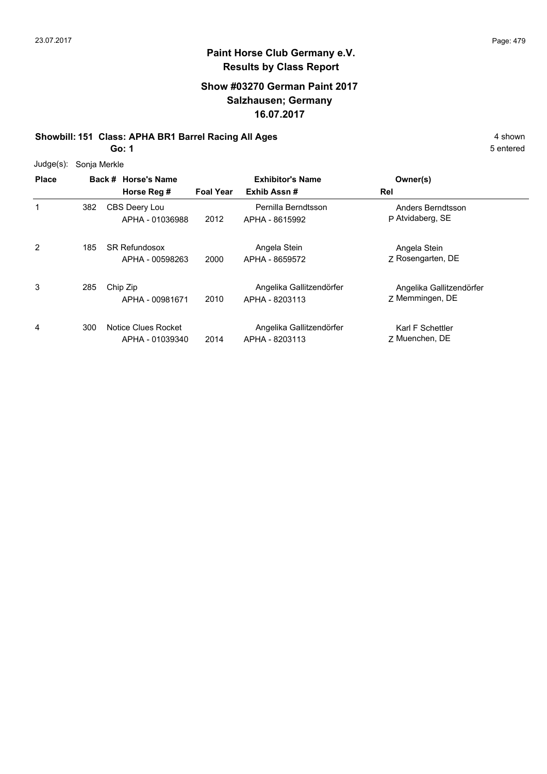#### **Show #03270 German Paint 2017 Salzhausen; Germany 16.07.2017**

#### **Showbill: 151 Class: APHA BR1 Barrel Racing All Ages** 4 shown

**Go: 1**

| $Judge(s)$ : | Sonja Merkle |                                         |                  |                                            |                                             |
|--------------|--------------|-----------------------------------------|------------------|--------------------------------------------|---------------------------------------------|
| <b>Place</b> |              | Back # Horse's Name                     |                  | <b>Exhibitor's Name</b>                    | Owner(s)                                    |
|              |              | Horse Reg #                             | <b>Foal Year</b> | Exhib Assn#                                | Rel                                         |
|              | 382          | CBS Deery Lou<br>APHA - 01036988        | 2012             | Pernilla Berndtsson<br>APHA - 8615992      | Anders Berndtsson<br>P Atvidaberg, SE       |
| 2            | 185          | <b>SR Refundosox</b><br>APHA - 00598263 | 2000             | Angela Stein<br>APHA - 8659572             | Angela Stein<br>Z Rosengarten, DE           |
| 3            | 285          | Chip Zip<br>APHA - 00981671             | 2010             | Angelika Gallitzendörfer<br>APHA - 8203113 | Angelika Gallitzendörfer<br>Z Memmingen, DE |
| 4            | 300          | Notice Clues Rocket<br>APHA - 01039340  | 2014             | Angelika Gallitzendörfer<br>APHA - 8203113 | Karl F Schettler<br>7 Muenchen, DE          |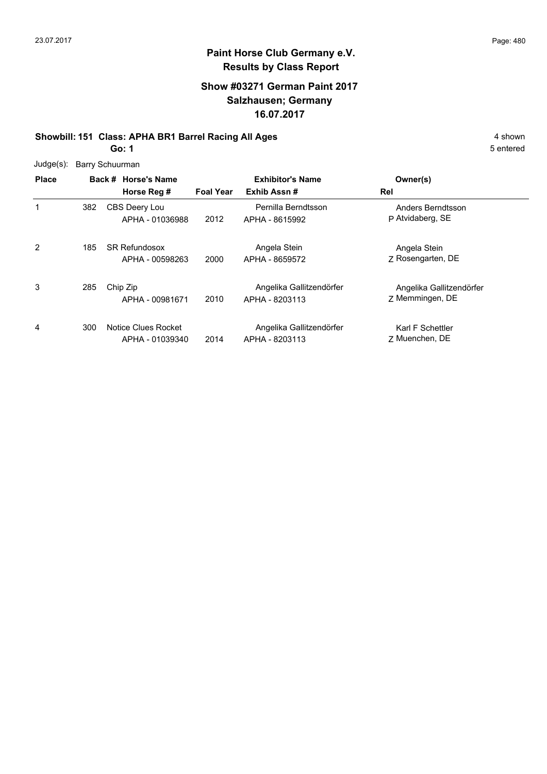#### **Show #03271 German Paint 2017 Salzhausen; Germany 16.07.2017**

#### **Showbill: 151 Class: APHA BR1 Barrel Racing All Ages** 4 shown

**Go: 1**

| $Judge(s)$ : |     | Barry Schuurman                         |                  |                                            |                                             |  |  |  |  |  |  |
|--------------|-----|-----------------------------------------|------------------|--------------------------------------------|---------------------------------------------|--|--|--|--|--|--|
| <b>Place</b> |     | Back # Horse's Name<br>Horse Reg #      | <b>Foal Year</b> | <b>Exhibitor's Name</b><br>Exhib Assn#     | Owner(s)<br>Rel                             |  |  |  |  |  |  |
| 1            | 382 | CBS Deery Lou<br>APHA - 01036988        | 2012             | Pernilla Berndtsson<br>APHA - 8615992      | Anders Berndtsson<br>P Atvidaberg, SE       |  |  |  |  |  |  |
| 2            | 185 | <b>SR Refundosox</b><br>APHA - 00598263 | 2000             | Angela Stein<br>APHA - 8659572             | Angela Stein<br>Z Rosengarten, DE           |  |  |  |  |  |  |
| 3            | 285 | Chip Zip<br>APHA - 00981671             | 2010             | Angelika Gallitzendörfer<br>APHA - 8203113 | Angelika Gallitzendörfer<br>Z Memmingen, DE |  |  |  |  |  |  |
| 4            | 300 | Notice Clues Rocket<br>APHA - 01039340  | 2014             | Angelika Gallitzendörfer<br>APHA - 8203113 | Karl F Schettler<br>7 Muenchen, DE          |  |  |  |  |  |  |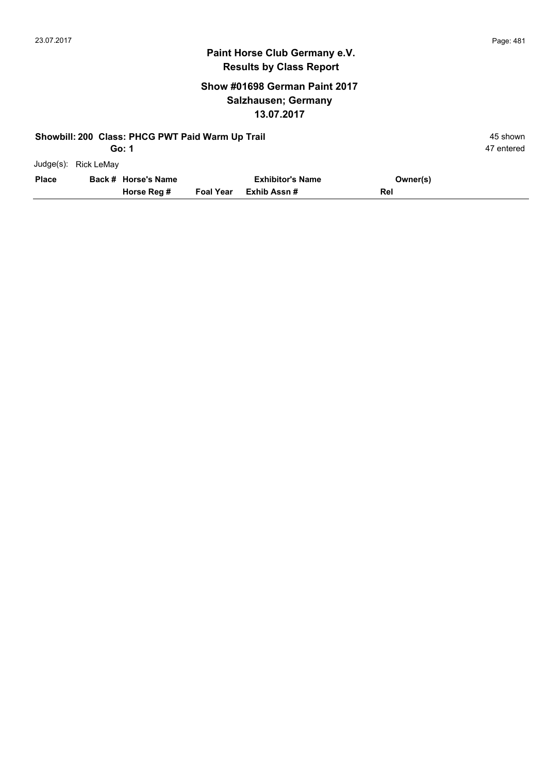47 entered

#### **Paint Horse Club Germany e.V. Results by Class Report**

#### **Show #01698 German Paint 2017 Salzhausen; Germany 13.07.2017**

|              | Showbill: 200 Class: PHCG PWT Paid Warm Up Trail |                     |                  |                         |          |            |  |  |
|--------------|--------------------------------------------------|---------------------|------------------|-------------------------|----------|------------|--|--|
|              |                                                  | Go: 1               |                  |                         |          | 47 entered |  |  |
|              | Judge(s): Rick LeMay                             |                     |                  |                         |          |            |  |  |
| <b>Place</b> |                                                  | Back # Horse's Name |                  | <b>Exhibitor's Name</b> | Owner(s) |            |  |  |
|              |                                                  | Horse Reg #         | <b>Foal Year</b> | Exhib Assn #            | Rel      |            |  |  |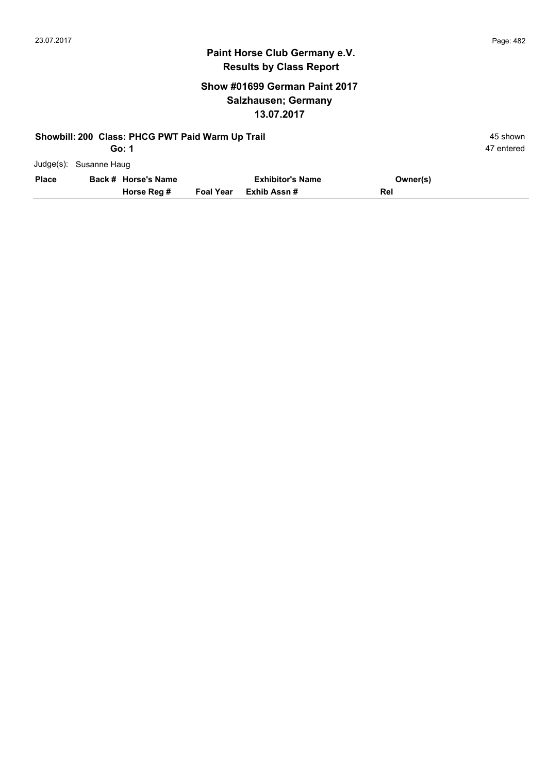#### **Show #01699 German Paint 2017 Salzhausen; Germany 13.07.2017**

|              |                        | Horse Reg #                                      | <b>Foal Year</b> | Exhib Assn#             | Rel      |            |
|--------------|------------------------|--------------------------------------------------|------------------|-------------------------|----------|------------|
| <b>Place</b> |                        | Back # Horse's Name                              |                  | <b>Exhibitor's Name</b> | Owner(s) |            |
|              | Judge(s): Susanne Haug |                                                  |                  |                         |          |            |
|              |                        | Go: 1                                            |                  |                         |          | 47 entered |
|              |                        | Showbill: 200 Class: PHCG PWT Paid Warm Up Trail |                  |                         |          | 45 shown   |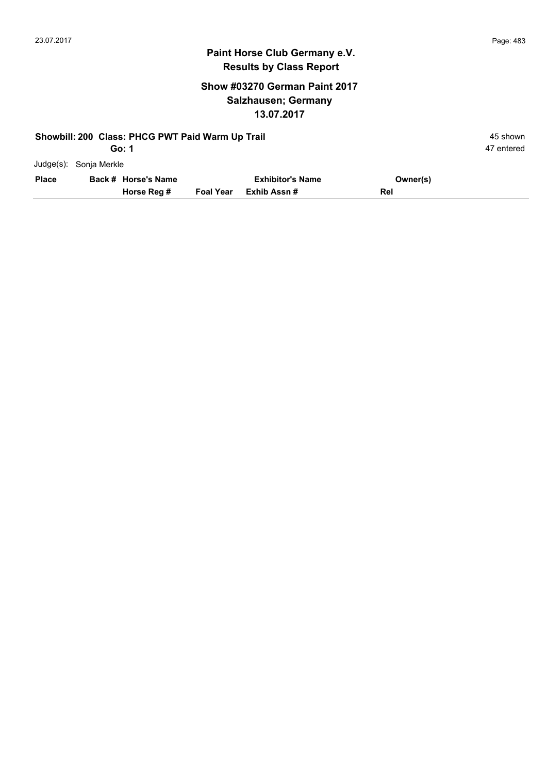#### **Show #03270 German Paint 2017 Salzhausen; Germany 13.07.2017**

|              |                        | Showbill: 200 Class: PHCG PWT Paid Warm Up Trail |                  |                         |          | 45 shown   |
|--------------|------------------------|--------------------------------------------------|------------------|-------------------------|----------|------------|
|              |                        | Go: 1                                            |                  |                         |          | 47 entered |
|              | Judge(s): Sonja Merkle |                                                  |                  |                         |          |            |
| <b>Place</b> |                        | Back # Horse's Name                              |                  | <b>Exhibitor's Name</b> | Owner(s) |            |
|              |                        | Horse Reg #                                      | <b>Foal Year</b> | Exhib Assn #            | Rel      |            |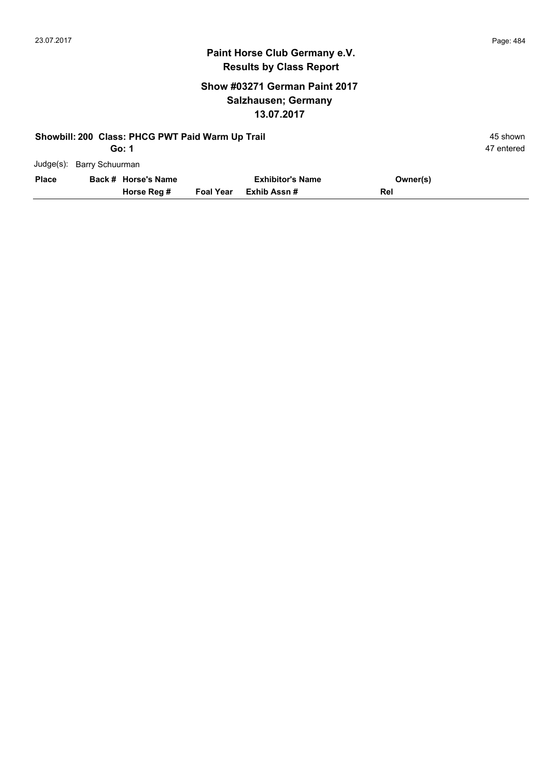#### **Show #03271 German Paint 2017 Salzhausen; Germany 13.07.2017**

|              |                           | Showbill: 200 Class: PHCG PWT Paid Warm Up Trail |                  |                         |          | 45 shown   |
|--------------|---------------------------|--------------------------------------------------|------------------|-------------------------|----------|------------|
|              |                           | Go: 1                                            |                  |                         |          | 47 entered |
|              | Judge(s): Barry Schuurman |                                                  |                  |                         |          |            |
| <b>Place</b> |                           | Back # Horse's Name                              |                  | <b>Exhibitor's Name</b> | Owner(s) |            |
|              |                           | Horse Reg #                                      | <b>Foal Year</b> | Exhib Assn #            | Rel      |            |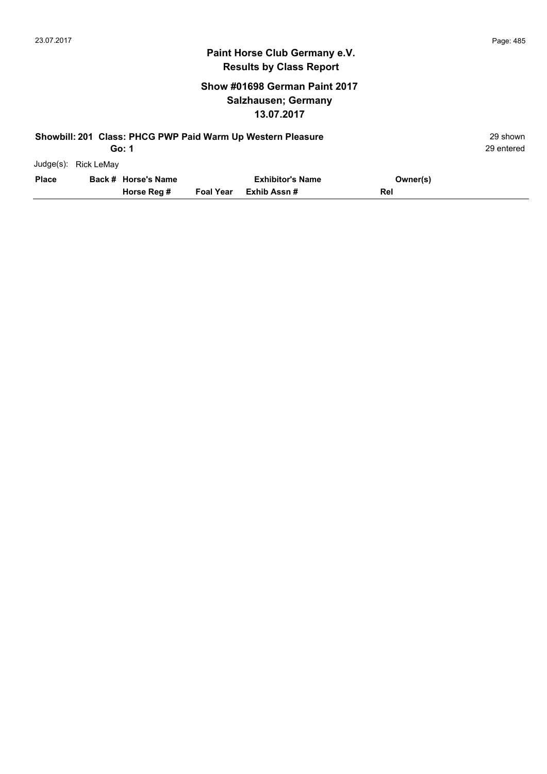#### **Show #01698 German Paint 2017 Salzhausen; Germany 13.07.2017**

|              | Showbill: 201 Class: PHCG PWP Paid Warm Up Western Pleasure<br>Go: 1 |                     |                  |                         |          |  |  |  |
|--------------|----------------------------------------------------------------------|---------------------|------------------|-------------------------|----------|--|--|--|
| Judge(s):    | <b>Rick LeMay</b>                                                    |                     |                  |                         |          |  |  |  |
| <b>Place</b> |                                                                      | Back # Horse's Name |                  | <b>Exhibitor's Name</b> | Owner(s) |  |  |  |
|              |                                                                      | Horse Reg #         | <b>Foal Year</b> | Exhib Assn#             | Rel      |  |  |  |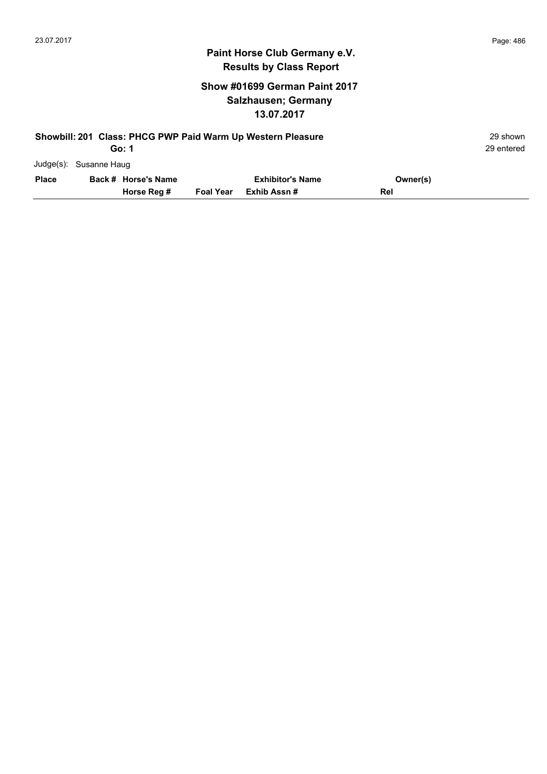#### **Show #01699 German Paint 2017 Salzhausen; Germany 13.07.2017**

|              | Showbill: 201 Class: PHCG PWP Paid Warm Up Western Pleasure |                     |                  |                         |          |  |  |  |
|--------------|-------------------------------------------------------------|---------------------|------------------|-------------------------|----------|--|--|--|
|              | Go: 1                                                       |                     |                  |                         |          |  |  |  |
|              | Judge(s): Susanne Haug                                      |                     |                  |                         |          |  |  |  |
| <b>Place</b> |                                                             | Back # Horse's Name |                  | <b>Exhibitor's Name</b> | Owner(s) |  |  |  |
|              |                                                             | Horse Reg #         | <b>Foal Year</b> | Exhib Assn #            | Rel      |  |  |  |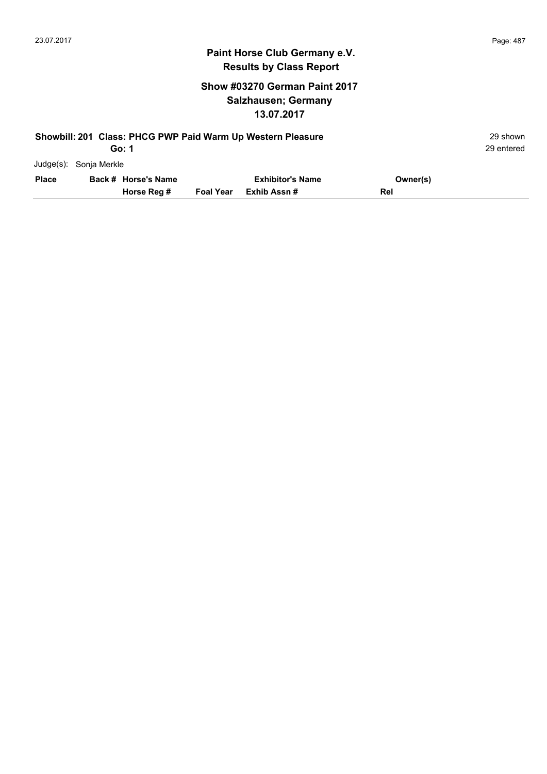#### **Show #03270 German Paint 2017 Salzhausen; Germany 13.07.2017**

|              | Showbill: 201 Class: PHCG PWP Paid Warm Up Western Pleasure |                     |                  |                         |          |  |  |  |
|--------------|-------------------------------------------------------------|---------------------|------------------|-------------------------|----------|--|--|--|
|              | Go: 1                                                       |                     |                  |                         |          |  |  |  |
|              | Judge(s): Sonja Merkle                                      |                     |                  |                         |          |  |  |  |
| <b>Place</b> |                                                             | Back # Horse's Name |                  | <b>Exhibitor's Name</b> | Owner(s) |  |  |  |
|              |                                                             | Horse Reg #         | <b>Foal Year</b> | Exhib Assn#             | Rel      |  |  |  |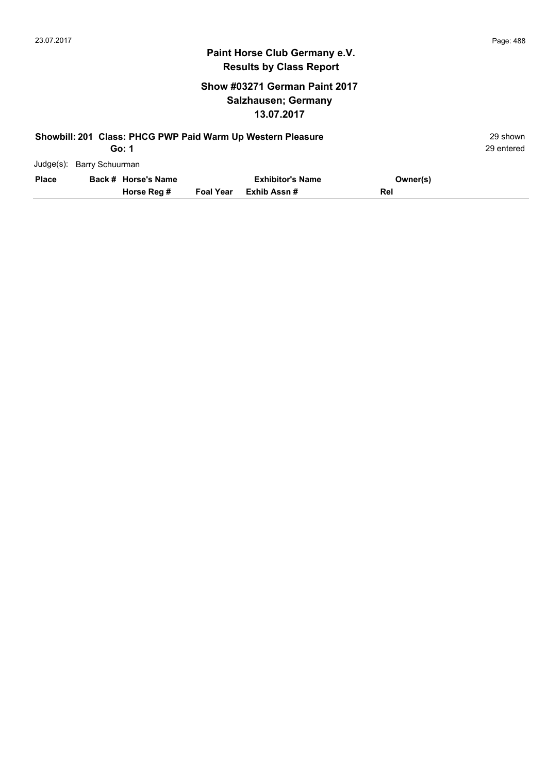#### **Show #03271 German Paint 2017 Salzhausen; Germany 13.07.2017**

|              | Showbill: 201 Class: PHCG PWP Paid Warm Up Western Pleasure |                     |                  |                         |          |            |  |  |
|--------------|-------------------------------------------------------------|---------------------|------------------|-------------------------|----------|------------|--|--|
|              |                                                             | Go: 1               |                  |                         |          | 29 entered |  |  |
|              | Judge(s): Barry Schuurman                                   |                     |                  |                         |          |            |  |  |
| <b>Place</b> |                                                             | Back # Horse's Name |                  | <b>Exhibitor's Name</b> | Owner(s) |            |  |  |
|              |                                                             | Horse Reg #         | <b>Foal Year</b> | Exhib Assn#             | Rel      |            |  |  |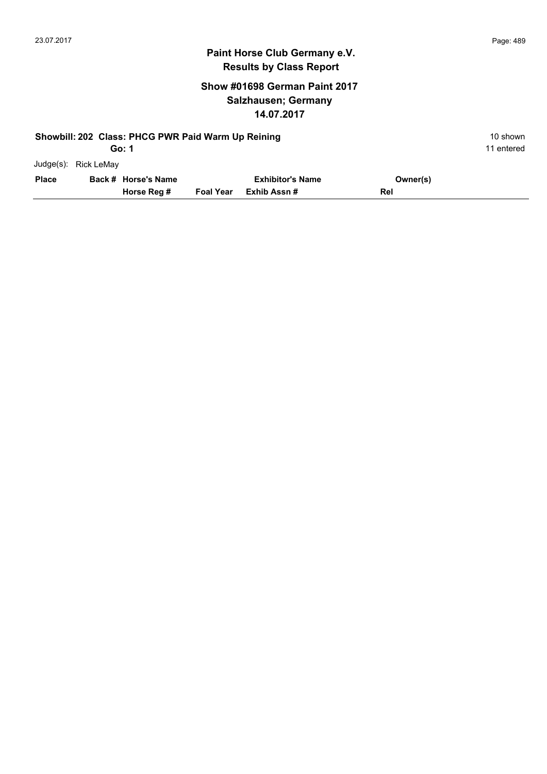#### **Show #01698 German Paint 2017 Salzhausen; Germany 14.07.2017**

|              | Showbill: 202 Class: PHCG PWR Paid Warm Up Reining<br>10 shown |                     |                  |                         |          |            |  |  |  |
|--------------|----------------------------------------------------------------|---------------------|------------------|-------------------------|----------|------------|--|--|--|
|              |                                                                | Go: 1               |                  |                         |          | 11 entered |  |  |  |
| $Judqe(s)$ : | Rick LeMay                                                     |                     |                  |                         |          |            |  |  |  |
| <b>Place</b> |                                                                | Back # Horse's Name |                  | <b>Exhibitor's Name</b> | Owner(s) |            |  |  |  |
|              |                                                                | Horse Reg #         | <b>Foal Year</b> | Exhib Assn#             | Rel      |            |  |  |  |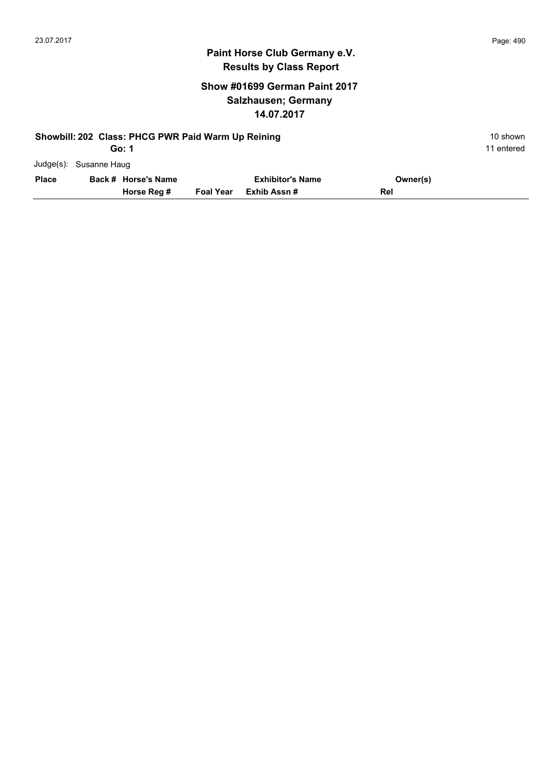#### **Show #01699 German Paint 2017 Salzhausen; Germany 14.07.2017**

|              | Showbill: 202 Class: PHCG PWR Paid Warm Up Reining<br>Go: 1 |                     |                  |                         |          |  |  |  |
|--------------|-------------------------------------------------------------|---------------------|------------------|-------------------------|----------|--|--|--|
|              | Judge(s): Susanne Haug                                      |                     |                  |                         |          |  |  |  |
| <b>Place</b> |                                                             | Back # Horse's Name |                  | <b>Exhibitor's Name</b> | Owner(s) |  |  |  |
|              |                                                             | Horse Reg #         | <b>Foal Year</b> | Exhib Assn #            | Rel      |  |  |  |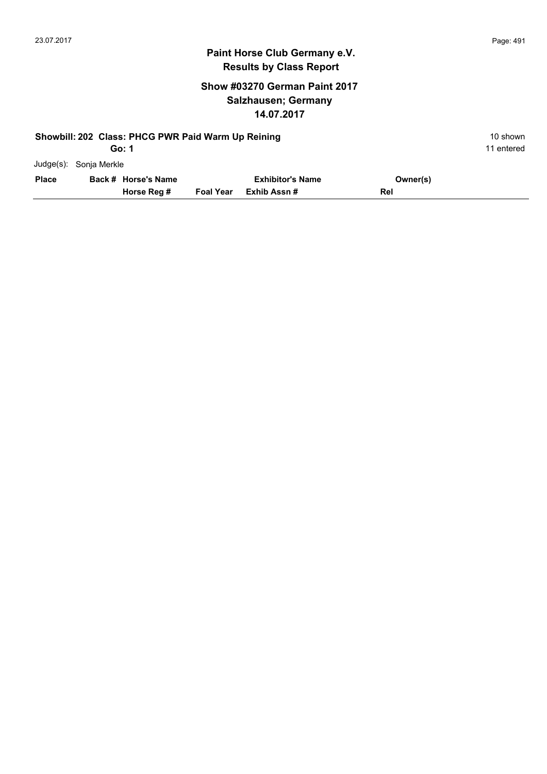#### **Show #03270 German Paint 2017 Salzhausen; Germany 14.07.2017**

|              |              | Showbill: 202 Class: PHCG PWR Paid Warm Up Reining<br>Go: 1 |                  |                         |          | 10 shown<br>11 entered |
|--------------|--------------|-------------------------------------------------------------|------------------|-------------------------|----------|------------------------|
| $Judge(s)$ : | Sonja Merkle |                                                             |                  |                         |          |                        |
| <b>Place</b> |              | Back # Horse's Name                                         |                  | <b>Exhibitor's Name</b> | Owner(s) |                        |
|              |              | Horse Reg #                                                 | <b>Foal Year</b> | Exhib Assn #            | Rel      |                        |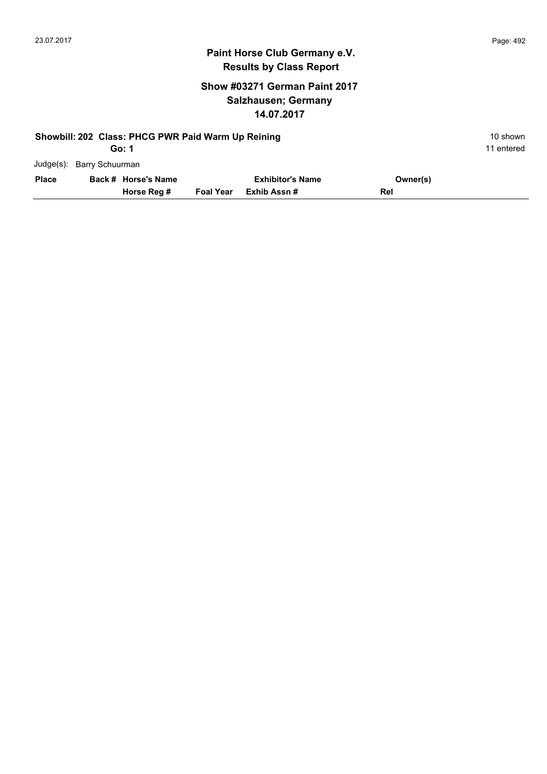#### **Show #03271 German Paint 2017 Salzhausen; Germany 14.07.2017**

| Showbill: 202 Class: PHCG PWR Paid Warm Up Reining<br>Go: 1 |                           |                     |                  |                         |          |  |
|-------------------------------------------------------------|---------------------------|---------------------|------------------|-------------------------|----------|--|
|                                                             | Judge(s): Barry Schuurman |                     |                  |                         |          |  |
| <b>Place</b>                                                |                           | Back # Horse's Name |                  | <b>Exhibitor's Name</b> | Owner(s) |  |
|                                                             |                           | Horse Reg #         | <b>Foal Year</b> | Exhib Assn#             | Rel      |  |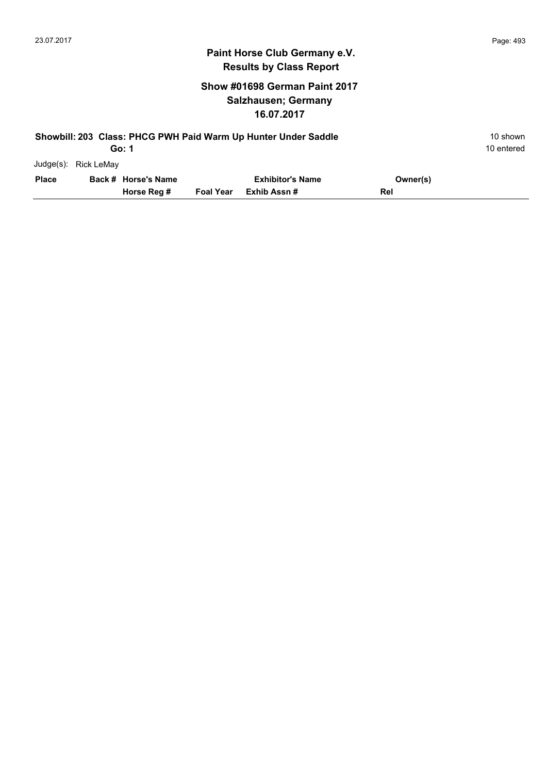#### **Show #01698 German Paint 2017 Salzhausen; Germany 16.07.2017**

| Showbill: 203 Class: PHCG PWH Paid Warm Up Hunter Under Saddle<br>Go: 1 |                      |                     |                  |                         |          |  |
|-------------------------------------------------------------------------|----------------------|---------------------|------------------|-------------------------|----------|--|
|                                                                         | Judge(s): Rick LeMay |                     |                  |                         |          |  |
| <b>Place</b>                                                            |                      | Back # Horse's Name |                  | <b>Exhibitor's Name</b> | Owner(s) |  |
|                                                                         |                      | Horse Reg #         | <b>Foal Year</b> | Exhib Assn #            | Rel      |  |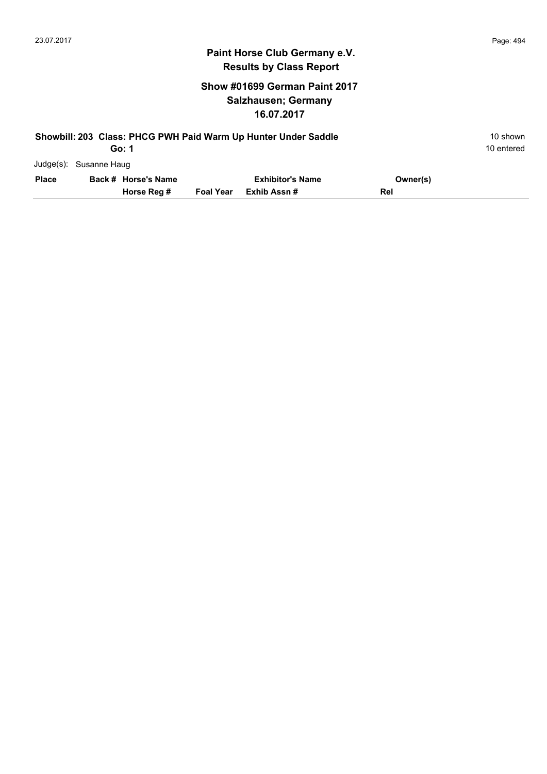#### **Show #01699 German Paint 2017 Salzhausen; Germany 16.07.2017**

| Showbill: 203 Class: PHCG PWH Paid Warm Up Hunter Under Saddle |                        |                     |                  |                         |          |  |  |
|----------------------------------------------------------------|------------------------|---------------------|------------------|-------------------------|----------|--|--|
|                                                                |                        | 10 entered          |                  |                         |          |  |  |
|                                                                | Judge(s): Susanne Haug |                     |                  |                         |          |  |  |
| <b>Place</b>                                                   |                        | Back # Horse's Name |                  | <b>Exhibitor's Name</b> | Owner(s) |  |  |
|                                                                |                        | Horse Reg #         | <b>Foal Year</b> | Exhib Assn#             | Rel      |  |  |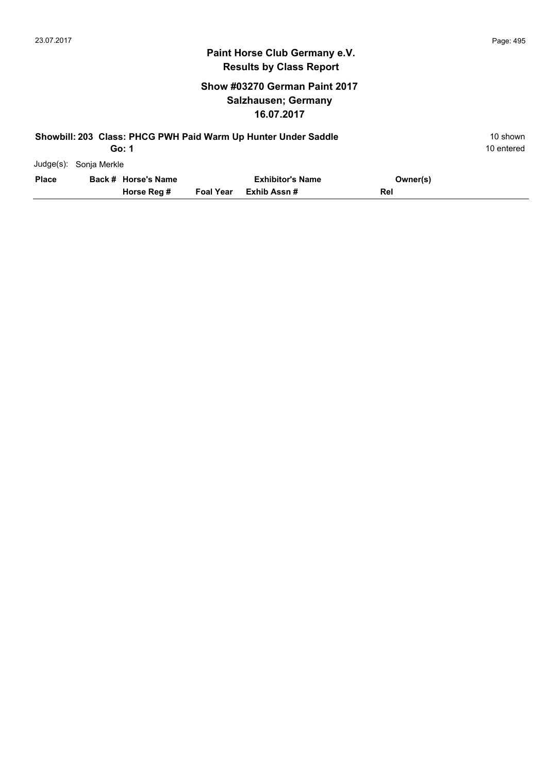#### **Show #03270 German Paint 2017 Salzhausen; Germany 16.07.2017**

| Showbill: 203 Class: PHCG PWH Paid Warm Up Hunter Under Saddle |              |                     |                  |                         |          |            |  |
|----------------------------------------------------------------|--------------|---------------------|------------------|-------------------------|----------|------------|--|
|                                                                |              | Go: 1               |                  |                         |          | 10 entered |  |
| Judge(s):                                                      | Sonja Merkle |                     |                  |                         |          |            |  |
| <b>Place</b>                                                   |              | Back # Horse's Name |                  | <b>Exhibitor's Name</b> | Owner(s) |            |  |
|                                                                |              | Horse Reg #         | <b>Foal Year</b> | Exhib Assn #            | Rel      |            |  |